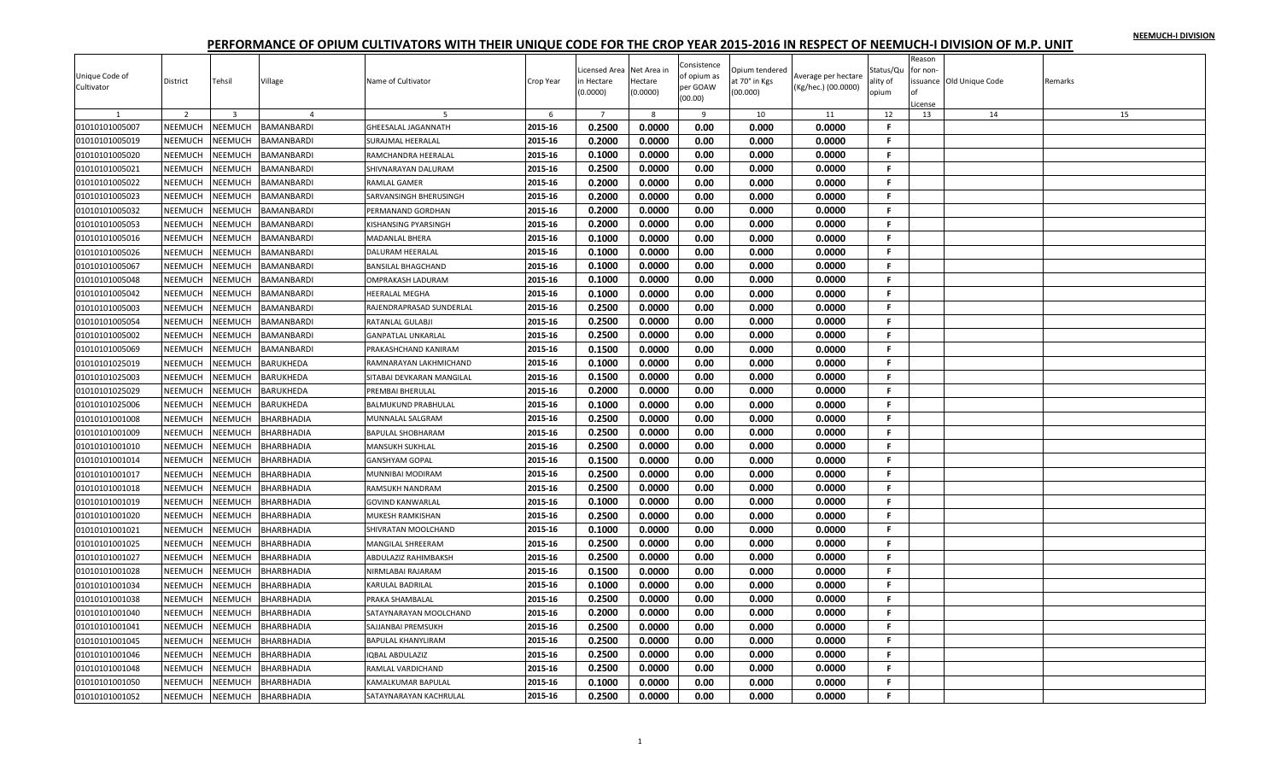| Unique Code of<br>Cultivator | District       | Tehsil         | Village           | Name of Cultivator          | Crop Year | icensed Area<br>n Hectare<br>(0.0000) | Net Area in<br>Hectare<br>(0.0000) | Consistence<br>of opium as<br>per GOAW | Opium tendered<br>at 70° in Kgs<br>(00.000) | Average per hectare<br>(Kg/hec.) (00.0000) | Status/Qu<br>ality of<br>opium | Reason<br>or non- | issuance Old Unique Code | Remarks |
|------------------------------|----------------|----------------|-------------------|-----------------------------|-----------|---------------------------------------|------------------------------------|----------------------------------------|---------------------------------------------|--------------------------------------------|--------------------------------|-------------------|--------------------------|---------|
|                              |                |                |                   |                             |           |                                       |                                    | (00.00)                                |                                             |                                            |                                | License           |                          |         |
|                              | $\overline{2}$ | $\overline{3}$ | $\Delta$          |                             | 6         | $\overline{7}$                        | 8                                  | $\mathbf{q}$                           | 10                                          | 11                                         | 12                             | 13                | 14                       | 15      |
| 01010101005007               | NEEMUCH        | NEEMUCH        | <b>BAMANBARDI</b> | <b>GHEESALAL JAGANNATH</b>  | 2015-16   | 0.2500                                | 0.0000                             | 0.00                                   | 0.000                                       | 0.0000                                     | F                              |                   |                          |         |
| 01010101005019               | NEEMUCH        | NEEMUCH        | BAMANBARDI        | <b>SURAJMAL HEERALAL</b>    | 2015-16   | 0.2000                                | 0.0000                             | 0.00                                   | 0.000                                       | 0.0000                                     | F.                             |                   |                          |         |
| 01010101005020               | NEEMUCH        | NEEMUCH        | BAMANBARDI        | RAMCHANDRA HEERALAL         | 2015-16   | 0.1000                                | 0.0000                             | 0.00                                   | 0.000                                       | 0.0000                                     | F.                             |                   |                          |         |
| 01010101005021               | <b>NEEMUCH</b> | <b>NEEMUCH</b> | BAMANBARDI        | SHIVNARAYAN DALURAM         | 2015-16   | 0.2500                                | 0.0000                             | 0.00                                   | 0.000                                       | 0.0000                                     | F.                             |                   |                          |         |
| 01010101005022               | NEEMUCH        | NEEMUCH        | BAMANBARDI        | RAMLAL GAMER                | 2015-16   | 0.2000                                | 0.0000                             | 0.00                                   | 0.000                                       | 0.0000                                     | F.                             |                   |                          |         |
| 01010101005023               | <b>NEEMUCH</b> | NEEMUCH        | BAMANBARDI        | SARVANSINGH BHERUSINGH      | 2015-16   | 0.2000                                | 0.0000                             | 0.00                                   | 0.000                                       | 0.0000                                     | F.                             |                   |                          |         |
| 01010101005032               | NEEMUCH        | NEEMUCH        | BAMANBARDI        | PERMANAND GORDHAN           | 2015-16   | 0.2000                                | 0.0000                             | 0.00                                   | 0.000                                       | 0.0000                                     | F.                             |                   |                          |         |
| 01010101005053               | NEEMUCH        | NEEMUCH        | BAMANBARDI        | <b>KISHANSING PYARSINGH</b> | 2015-16   | 0.2000                                | 0.0000                             | 0.00                                   | 0.000                                       | 0.0000                                     | F.                             |                   |                          |         |
| 01010101005016               | NEEMUCH        | NEEMUCH        | BAMANBARDI        | MADANLAL BHERA              | 2015-16   | 0.1000                                | 0.0000                             | 0.00                                   | 0.000                                       | 0.0000                                     | F.                             |                   |                          |         |
| 01010101005026               | NEEMUCH        | NEEMUCH        | BAMANBARDI        | <b>DALURAM HEERALAL</b>     | 2015-16   | 0.1000                                | 0.0000                             | 0.00                                   | 0.000                                       | 0.0000                                     | .F                             |                   |                          |         |
| 01010101005067               | NEEMUCH        | NEEMUCH        | BAMANBARDI        | <b>BANSILAL BHAGCHAND</b>   | 2015-16   | 0.1000                                | 0.0000                             | 0.00                                   | 0.000                                       | 0.0000                                     | F.                             |                   |                          |         |
| 01010101005048               | NEEMUCH        | NEEMUCH        | BAMANBARDI        | <b>OMPRAKASH LADURAM</b>    | 2015-16   | 0.1000                                | 0.0000                             | 0.00                                   | 0.000                                       | 0.0000                                     | F.                             |                   |                          |         |
| 01010101005042               | NEEMUCH        | <b>NEEMUCH</b> | BAMANBARDI        | HEERALAL MEGHA              | 2015-16   | 0.1000                                | 0.0000                             | 0.00                                   | 0.000                                       | 0.0000                                     | F.                             |                   |                          |         |
| 01010101005003               | NEEMUCH        | NEEMUCH        | BAMANBARDI        | RAJENDRAPRASAD SUNDERLAL    | 2015-16   | 0.2500                                | 0.0000                             | 0.00                                   | 0.000                                       | 0.0000                                     | F.                             |                   |                          |         |
| 01010101005054               | NEEMUCH        | NEEMUCH        | BAMANBARDI        | RATANLAL GULABJI            | 2015-16   | 0.2500                                | 0.0000                             | 0.00                                   | 0.000                                       | 0.0000                                     | F.                             |                   |                          |         |
| 01010101005002               | NEEMUCH        | NEEMUCH        | BAMANBARDI        | <b>GANPATLAL UNKARLAL</b>   | 2015-16   | 0.2500                                | 0.0000                             | 0.00                                   | 0.000                                       | 0.0000                                     | F.                             |                   |                          |         |
| 01010101005069               | <b>NEEMUCH</b> | NEEMUCH        | BAMANBARDI        | PRAKASHCHAND KANIRAM        | 2015-16   | 0.1500                                | 0.0000                             | 0.00                                   | 0.000                                       | 0.0000                                     | F.                             |                   |                          |         |
| 01010101025019               | NEEMUCH        | <b>NEEMUCH</b> | BARUKHEDA         | RAMNARAYAN LAKHMICHAND      | 2015-16   | 0.1000                                | 0.0000                             | 0.00                                   | 0.000                                       | 0.0000                                     | F                              |                   |                          |         |
| 01010101025003               | <b>NEEMUCH</b> | NEEMUCH        | BARUKHEDA         | SITABAI DEVKARAN MANGILAL   | 2015-16   | 0.1500                                | 0.0000                             | 0.00                                   | 0.000                                       | 0.0000                                     | F.                             |                   |                          |         |
| 01010101025029               | NEEMUCH        | NEEMUCH        | BARUKHEDA         | PREMBAI BHERULAL            | 2015-16   | 0.2000                                | 0.0000                             | 0.00                                   | 0.000                                       | 0.0000                                     | F.                             |                   |                          |         |
| 01010101025006               | NEEMUCH        | NEEMUCH        | BARUKHEDA         | <b>BALMUKUND PRABHULAL</b>  | 2015-16   | 0.1000                                | 0.0000                             | 0.00                                   | 0.000                                       | 0.0000                                     | F.                             |                   |                          |         |
| 01010101001008               | NEEMUCH        | NEEMUCH        | BHARBHADIA        | MUNNALAL SALGRAM            | 2015-16   | 0.2500                                | 0.0000                             | 0.00                                   | 0.000                                       | 0.0000                                     | F.                             |                   |                          |         |
| 01010101001009               | <b>NEEMUCH</b> | NEEMUCH        | BHARBHADIA        | <b>BAPULAL SHOBHARAM</b>    | 2015-16   | 0.2500                                | 0.0000                             | 0.00                                   | 0.000                                       | 0.0000                                     | F.                             |                   |                          |         |
| 01010101001010               | NEEMUCH        | NEEMUCH        | BHARBHADIA        | <b>MANSUKH SUKHLAL</b>      | 2015-16   | 0.2500                                | 0.0000                             | 0.00                                   | 0.000                                       | 0.0000                                     | F.                             |                   |                          |         |
| 01010101001014               | <b>NEEMUCH</b> | NEEMUCH        | BHARBHADIA        | <b>GANSHYAM GOPAL</b>       | 2015-16   | 0.1500                                | 0.0000                             | 0.00                                   | 0.000                                       | 0.0000                                     | F.                             |                   |                          |         |
| 01010101001017               | NEEMUCH        | <b>NEEMUCH</b> | <b>BHARBHADIA</b> | MUNNIBAI MODIRAM            | 2015-16   | 0.2500                                | 0.0000                             | 0.00                                   | 0.000                                       | 0.0000                                     | $\mathbf{F}$                   |                   |                          |         |
| 01010101001018               | NEEMUCH        | NEEMUCH        | BHARBHADIA        | RAMSUKH NANDRAM             | 2015-16   | 0.2500                                | 0.0000                             | 0.00                                   | 0.000                                       | 0.0000                                     | F.                             |                   |                          |         |
| 01010101001019               | NEEMUCH        | NEEMUCH        | BHARBHADIA        | <b>GOVIND KANWARLAL</b>     | 2015-16   | 0.1000                                | 0.0000                             | 0.00                                   | 0.000                                       | 0.0000                                     | F.                             |                   |                          |         |
| 01010101001020               | NEEMUCH        | NEEMUCH        | BHARBHADIA        | <b>MUKESH RAMKISHAN</b>     | 2015-16   | 0.2500                                | 0.0000                             | 0.00                                   | 0.000                                       | 0.0000                                     | F.                             |                   |                          |         |
| 01010101001021               | NEEMUCH        | NEEMUCH        | BHARBHADIA        | SHIVRATAN MOOLCHAND         | 2015-16   | 0.1000                                | 0.0000                             | 0.00                                   | 0.000                                       | 0.0000                                     | F.                             |                   |                          |         |
| 01010101001025               | NEEMUCH        | NEEMUCH        | BHARBHADIA        | <b>MANGILAL SHREERAM</b>    | 2015-16   | 0.2500                                | 0.0000                             | 0.00                                   | 0.000                                       | 0.0000                                     | F.                             |                   |                          |         |
| 01010101001027               | NEEMUCH        | NEEMUCH        | BHARBHADIA        | ABDULAZIZ RAHIMBAKSH        | 2015-16   | 0.2500                                | 0.0000                             | 0.00                                   | 0.000                                       | 0.0000                                     | F.                             |                   |                          |         |
| 01010101001028               | NEEMUCH        | NEEMUCH        | BHARBHADIA        | NIRMLABAI RAJARAM           | 2015-16   | 0.1500                                | 0.0000                             | 0.00                                   | 0.000                                       | 0.0000                                     | F.                             |                   |                          |         |
| 01010101001034               | NEEMUCH        | NEEMUCH        | BHARBHADIA        | KARULAL BADRILAL            | 2015-16   | 0.1000                                | 0.0000                             | 0.00                                   | 0.000                                       | 0.0000                                     | F.                             |                   |                          |         |
| 01010101001038               | NEEMUCH        | NEEMUCH        | BHARBHADIA        | PRAKA SHAMBALAL             | 2015-16   | 0.2500                                | 0.0000                             | 0.00                                   | 0.000                                       | 0.0000                                     | F.                             |                   |                          |         |
| 01010101001040               | NEEMUCH        | NEEMUCH        | BHARBHADIA        | SATAYNARAYAN MOOLCHAND      | 2015-16   | 0.2000                                | 0.0000                             | 0.00                                   | 0.000                                       | 0.0000                                     | F.                             |                   |                          |         |
| 01010101001041               | NEEMUCH        | NEEMUCH        | BHARBHADIA        | SAJJANBAI PREMSUKH          | 2015-16   | 0.2500                                | 0.0000                             | 0.00                                   | 0.000                                       | 0.0000                                     | F.                             |                   |                          |         |
| 01010101001045               | NEEMUCH        | NEEMUCH        | BHARBHADIA        | <b>BAPULAL KHANYLIRAM</b>   | 2015-16   | 0.2500                                | 0.0000                             | 0.00                                   | 0.000                                       | 0.0000                                     | F.                             |                   |                          |         |
| 01010101001046               | NEEMUCH        | NEEMUCH        | BHARBHADIA        | <b>IQBAL ABDULAZIZ</b>      | 2015-16   | 0.2500                                | 0.0000                             | 0.00                                   | 0.000                                       | 0.0000                                     | F.                             |                   |                          |         |
| 01010101001048               | NEEMUCH        | <b>NEEMUCH</b> | BHARBHADIA        | RAMLAL VARDICHAND           | 2015-16   | 0.2500                                | 0.0000                             | 0.00                                   | 0.000                                       | 0.0000                                     | F                              |                   |                          |         |
| 01010101001050               | NEEMUCH        | NEEMUCH        | BHARBHADIA        | <b>KAMALKUMAR BAPULAL</b>   | 2015-16   | 0.1000                                | 0.0000                             | 0.00                                   | 0.000                                       | 0.0000                                     | F.                             |                   |                          |         |
| 01010101001052               | NEEMUCH        | <b>NEEMUCH</b> | <b>BHARBHADIA</b> | SATAYNARAYAN KACHRULAL      | 2015-16   | 0.2500                                | 0.0000                             | 0.00                                   | 0.000                                       | 0.0000                                     | F.                             |                   |                          |         |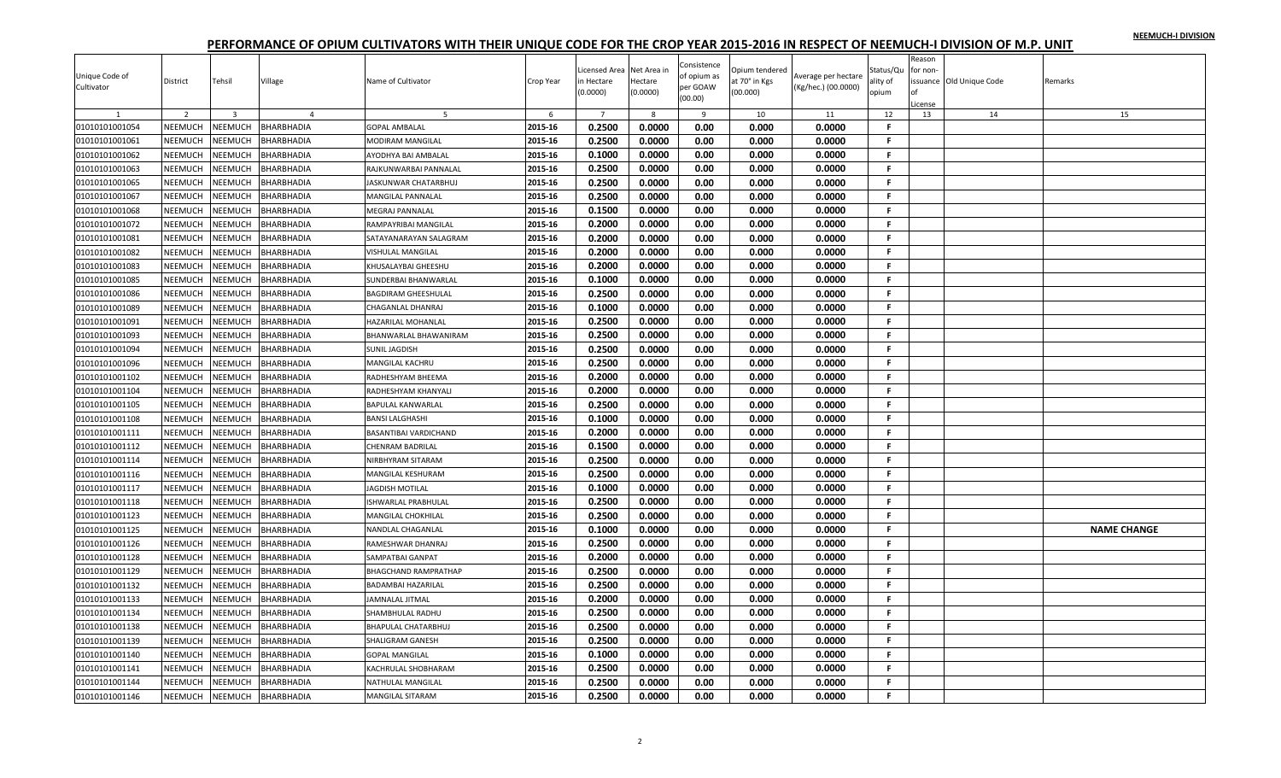|                |                |                |                   |                              |           |                |             | Consistence |                |                     |              | Reason   |                         |                    |
|----------------|----------------|----------------|-------------------|------------------------------|-----------|----------------|-------------|-------------|----------------|---------------------|--------------|----------|-------------------------|--------------------|
| Unique Code of |                |                |                   |                              |           | icensed Area   | Net Area in | of opium as | Opium tendered | Average per hectare | Status/Qu    | for non- |                         |                    |
| Cultivator     | District       | Tehsil         | Village           | Name of Cultivator           | Crop Year | n Hectare      | Hectare     | per GOAW    | at 70° in Kgs  | (Kg/hec.) (00.0000) | ality of     |          | ssuance Old Unique Code | Remarks            |
|                |                |                |                   |                              |           | (0.0000)       | (0.0000)    | (00.00)     | (00.000)       |                     | opium        |          |                         |                    |
|                |                |                |                   |                              |           |                |             |             |                |                     |              | License  |                         |                    |
|                | 2              | $\overline{3}$ |                   | -5                           | 6         | $\overline{7}$ | 8           | 9           | 10             | 11                  | 12<br>F.     | 13       | 14                      | 15                 |
| 01010101001054 | NEEMUCH        | NEEMUCH        | BHARBHADIA        | <b>GOPAL AMBALAL</b>         | 2015-16   | 0.2500         | 0.0000      | 0.00        | 0.000          | 0.0000              |              |          |                         |                    |
| 01010101001061 | NEEMUCH        | NEEMUCH        | BHARBHADIA        | <b>MODIRAM MANGILAL</b>      | 2015-16   | 0.2500         | 0.0000      | 0.00        | 0.000          | 0.0000              | F.           |          |                         |                    |
| 01010101001062 | NEEMUCH        | NEEMUCH        | BHARBHADIA        | AYODHYA BAI AMBALAL          | 2015-16   | 0.1000         | 0.0000      | 0.00        | 0.000          | 0.0000              | F.           |          |                         |                    |
| 01010101001063 | NEEMUCH        | NEEMUCH        | BHARBHADIA        | RAJKUNWARBAI PANNALAL        | 2015-16   | 0.2500         | 0.0000      | 0.00        | 0.000          | 0.0000              | F.           |          |                         |                    |
| 01010101001065 | NEEMUCH        | NEEMUCH        | BHARBHADIA        | JASKUNWAR CHATARBHUJ         | 2015-16   | 0.2500         | 0.0000      | 0.00        | 0.000          | 0.0000              | F.           |          |                         |                    |
| 01010101001067 | NEEMUCH        | NEEMUCH        | BHARBHADIA        | <b>MANGILAL PANNALAL</b>     | 2015-16   | 0.2500         | 0.0000      | 0.00        | 0.000          | 0.0000              | F.           |          |                         |                    |
| 01010101001068 | NEEMUCH        | NEEMUCH        | BHARBHADIA        | <b>MEGRAJ PANNALAL</b>       | 2015-16   | 0.1500         | 0.0000      | 0.00        | 0.000          | 0.0000              | F            |          |                         |                    |
| 01010101001072 | NEEMUCH        | NEEMUCH        | BHARBHADIA        | RAMPAYRIBAI MANGILAL         | 2015-16   | 0.2000         | 0.0000      | 0.00        | 0.000          | 0.0000              | F.           |          |                         |                    |
| 01010101001081 | NEEMUCH        | NEEMUCH        | BHARBHADIA        | SATAYANARAYAN SALAGRAM       | 2015-16   | 0.2000         | 0.0000      | 0.00        | 0.000          | 0.0000              | F.           |          |                         |                    |
| 01010101001082 | NEEMUCH        | NEEMUCH        | BHARBHADIA        | <b>VISHULAL MANGILAL</b>     | 2015-16   | 0.2000         | 0.0000      | 0.00        | 0.000          | 0.0000              | F.           |          |                         |                    |
| 01010101001083 | NEEMUCH        | NEEMUCH        | BHARBHADIA        | KHUSALAYBAI GHEESHU          | 2015-16   | 0.2000         | 0.0000      | 0.00        | 0.000          | 0.0000              | F.           |          |                         |                    |
| 01010101001085 | <b>NEEMUCH</b> | NEEMUCH        | BHARBHADIA        | SUNDERBAI BHANWARLAL         | 2015-16   | 0.1000         | 0.0000      | 0.00        | 0.000          | 0.0000              | F            |          |                         |                    |
| 01010101001086 | NEEMUCH        | NEEMUCH        | BHARBHADIA        | <b>BAGDIRAM GHEESHULAL</b>   | 2015-16   | 0.2500         | 0.0000      | 0.00        | 0.000          | 0.0000              | F.           |          |                         |                    |
|                | NEEMUCH        |                |                   |                              |           | 0.1000         | 0.0000      | 0.00        | 0.000          |                     | F.           |          |                         |                    |
| 01010101001089 |                | NEEMUCH        | BHARBHADIA        | CHAGANLAL DHANRAJ            | 2015-16   |                |             |             |                | 0.0000              |              |          |                         |                    |
| 01010101001091 | NEEMUCH        | NEEMUCH        | BHARBHADIA        | HAZARILAL MOHANLAL           | 2015-16   | 0.2500         | 0.0000      | 0.00        | 0.000          | 0.0000              | F.           |          |                         |                    |
| 01010101001093 | NEEMUCH        | NEEMUCH        | BHARBHADIA        | BHANWARLAL BHAWANIRAM        | 2015-16   | 0.2500         | 0.0000      | 0.00        | 0.000          | 0.0000              | F.           |          |                         |                    |
| 01010101001094 | <b>NEEMUCH</b> | <b>NEEMUCH</b> | BHARBHADIA        | <b>SUNIL JAGDISH</b>         | 2015-16   | 0.2500         | 0.0000      | 0.00        | 0.000          | 0.0000              | F.           |          |                         |                    |
| 01010101001096 | <b>NEEMUCH</b> | NEEMUCH        | BHARBHADIA        | <b>MANGILAL KACHRU</b>       | 2015-16   | 0.2500         | 0.0000      | 0.00        | 0.000          | 0.0000              | F.           |          |                         |                    |
| 01010101001102 | NEEMUCH        | NEEMUCH        | BHARBHADIA        | RADHESHYAM BHEEMA            | 2015-16   | 0.2000         | 0.0000      | 0.00        | 0.000          | 0.0000              | F.           |          |                         |                    |
| 01010101001104 | NEEMUCH        | NEEMUCH        | BHARBHADIA        | RADHESHYAM KHANYALI          | 2015-16   | 0.2000         | 0.0000      | 0.00        | 0.000          | 0.0000              | F.           |          |                         |                    |
| 01010101001105 | NEEMUCH        | <b>NEEMUCH</b> | <b>BHARBHADIA</b> | <b>BAPULAL KANWARLAL</b>     | 2015-16   | 0.2500         | 0.0000      | 0.00        | 0.000          | 0.0000              | $\mathbf{F}$ |          |                         |                    |
| 01010101001108 | NEEMUCH        | NEEMUCH        | BHARBHADIA        | <b>BANSI LALGHASHI</b>       | 2015-16   | 0.1000         | 0.0000      | 0.00        | 0.000          | 0.0000              | F.           |          |                         |                    |
| 01010101001111 | <b>NEEMUCH</b> | NEEMUCH        | BHARBHADIA        | <b>BASANTIBAI VARDICHAND</b> | 2015-16   | 0.2000         | 0.0000      | 0.00        | 0.000          | 0.0000              | F.           |          |                         |                    |
| 01010101001112 | NEEMUCH        | NEEMUCH        | <b>BHARBHADIA</b> | <b>CHENRAM BADRILAL</b>      | 2015-16   | 0.1500         | 0.0000      | 0.00        | 0.000          | 0.0000              | F.           |          |                         |                    |
| 01010101001114 | NEEMUCH        | NEEMUCH        | BHARBHADIA        | NIRBHYRAM SITARAM            | 2015-16   | 0.2500         | 0.0000      | 0.00        | 0.000          | 0.0000              | F.           |          |                         |                    |
| 01010101001116 | NEEMUCH        | <b>NEEMUCH</b> | BHARBHADIA        | MANGILAL KESHURAM            | 2015-16   | 0.2500         | 0.0000      | 0.00        | 0.000          | 0.0000              | F.           |          |                         |                    |
| 01010101001117 | NEEMUCH        | NEEMUCH        | BHARBHADIA        | <b>JAGDISH MOTILAL</b>       | 2015-16   | 0.1000         | 0.0000      | 0.00        | 0.000          | 0.0000              | -F.          |          |                         |                    |
| 01010101001118 | NEEMUCH        | NEEMUCH        | BHARBHADIA        | <b>ISHWARLAL PRABHULAL</b>   | 2015-16   | 0.2500         | 0.0000      | 0.00        | 0.000          | 0.0000              | F.           |          |                         |                    |
| 01010101001123 | NEEMUCH        | NEEMUCH        | BHARBHADIA        | <b>MANGILAL CHOKHILAL</b>    | 2015-16   | 0.2500         | 0.0000      | 0.00        | 0.000          | 0.0000              | -F           |          |                         |                    |
| 01010101001125 | NEEMUCH        | NEEMUCH        | BHARBHADIA        | NANDLAL CHAGANLAL            | 2015-16   | 0.1000         | 0.0000      | 0.00        | 0.000          | 0.0000              | F.           |          |                         | <b>NAME CHANGE</b> |
| 01010101001126 | NEEMUCH        | NEEMUCH        | BHARBHADIA        | RAMESHWAR DHANRAJ            | 2015-16   | 0.2500         | 0.0000      | 0.00        | 0.000          | 0.0000              | F.           |          |                         |                    |
|                |                |                |                   |                              |           |                |             |             |                |                     | F.           |          |                         |                    |
| 01010101001128 | NEEMUCH        | NEEMUCH        | BHARBHADIA        | SAMPATBAI GANPAT             | 2015-16   | 0.2000         | 0.0000      | 0.00        | 0.000          | 0.0000              |              |          |                         |                    |
| 01010101001129 | NEEMUCH        | NEEMUCH        | BHARBHADIA        | <b>BHAGCHAND RAMPRATHAP</b>  | 2015-16   | 0.2500         | 0.0000      | 0.00        | 0.000          | 0.0000              | F.           |          |                         |                    |
| 01010101001132 | <b>NEEMUCH</b> | NEEMUCH        | BHARBHADIA        | <b>BADAMBAI HAZARILAI</b>    | 2015-16   | 0.2500         | 0.0000      | 0.00        | 0.000          | 0.0000              | F.           |          |                         |                    |
| 01010101001133 | NEEMUCH        | NEEMUCH        | BHARBHADIA        | JAMNALAL JITMAL              | 2015-16   | 0.2000         | 0.0000      | 0.00        | 0.000          | 0.0000              | F.           |          |                         |                    |
| 01010101001134 | NEEMUCH        | NEEMUCH        | BHARBHADIA        | SHAMBHULAL RADHU             | 2015-16   | 0.2500         | 0.0000      | 0.00        | 0.000          | 0.0000              | F.           |          |                         |                    |
| 01010101001138 | NEEMUCH        | NEEMUCH        | BHARBHADIA        | <b>BHAPULAL CHATARBHUJ</b>   | 2015-16   | 0.2500         | 0.0000      | 0.00        | 0.000          | 0.0000              | F.           |          |                         |                    |
| 01010101001139 | NEEMUCH        | NEEMUCH        | BHARBHADIA        | SHALIGRAM GANESH             | 2015-16   | 0.2500         | 0.0000      | 0.00        | 0.000          | 0.0000              | F.           |          |                         |                    |
| 01010101001140 | <b>NEEMUCH</b> | NEEMUCH        | BHARBHADIA        | <b>GOPAL MANGILAL</b>        | 2015-16   | 0.1000         | 0.0000      | 0.00        | 0.000          | 0.0000              | F.           |          |                         |                    |
| 01010101001141 | NEEMUCH        | <b>NEEMUCH</b> | BHARBHADIA        | KACHRULAL SHOBHARAM          | 2015-16   | 0.2500         | 0.0000      | 0.00        | 0.000          | 0.0000              | F            |          |                         |                    |
| 01010101001144 | NEEMUCH        | NEEMUCH        | BHARBHADIA        | NATHULAL MANGILAL            | 2015-16   | 0.2500         | 0.0000      | 0.00        | 0.000          | 0.0000              | F.           |          |                         |                    |
| 01010101001146 | NEEMUCH        | <b>NEEMUCH</b> | <b>BHARBHADIA</b> | <b>MANGILAL SITARAM</b>      | 2015-16   | 0.2500         | 0.0000      | 0.00        | 0.000          | 0.0000              | F.           |          |                         |                    |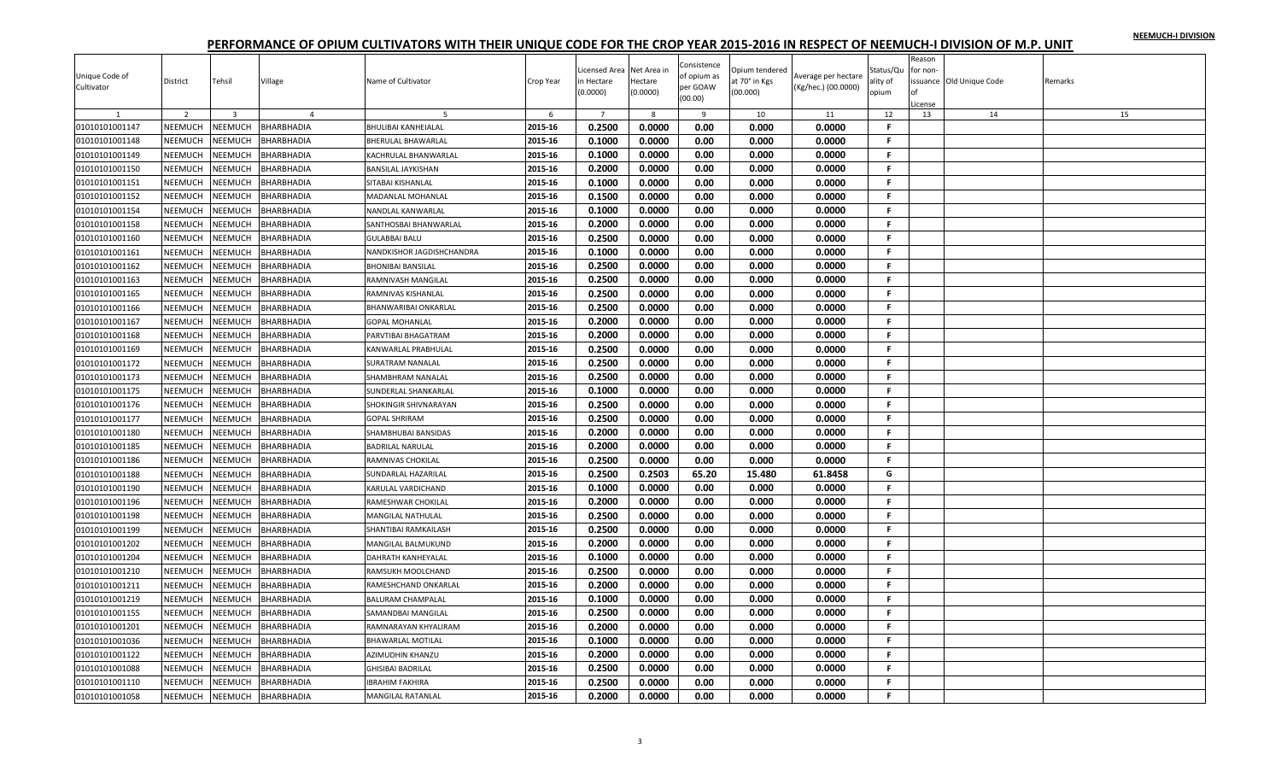| Unique Code of<br>Cultivator | District       | Tehsil         | Village           | Name of Cultivator          | Crop Year | icensed Area<br>n Hectare<br>(0.0000) | Net Area in<br>Hectare<br>(0.0000) | Consistence<br>of opium as<br>per GOAW | Opium tendered<br>at 70° in Kgs<br>(00.000) | Average per hectare<br>(Kg/hec.) (00.0000) | Status/Qu<br>ality of<br>opium | Reason<br>or non- | issuance Old Unique Code | Remarks |
|------------------------------|----------------|----------------|-------------------|-----------------------------|-----------|---------------------------------------|------------------------------------|----------------------------------------|---------------------------------------------|--------------------------------------------|--------------------------------|-------------------|--------------------------|---------|
|                              |                |                |                   |                             |           |                                       |                                    | (00.00)                                |                                             |                                            |                                | License           |                          |         |
|                              | $\overline{2}$ | $\overline{3}$ | $\overline{4}$    |                             | 6         | $\overline{7}$                        | 8                                  | 9                                      | 10                                          | 11                                         | 12                             | 13                | 14                       | 15      |
| 01010101001147               | NEEMUCH        | NEEMUCH        | <b>BHARBHADIA</b> | <b>BHULIBAI KANHEIALAL</b>  | 2015-16   | 0.2500                                | 0.0000                             | 0.00                                   | 0.000                                       | 0.0000                                     | F                              |                   |                          |         |
| 01010101001148               | NEEMUCH        | NEEMUCH        | BHARBHADIA        | <b>BHERULAL BHAWARLAL</b>   | 2015-16   | 0.1000                                | 0.0000                             | 0.00                                   | 0.000                                       | 0.0000                                     | F.                             |                   |                          |         |
| 01010101001149               | NEEMUCH        | NEEMUCH        | BHARBHADIA        | KACHRULAL BHANWARLAL        | 2015-16   | 0.1000                                | 0.0000                             | 0.00                                   | 0.000                                       | 0.0000                                     | F.                             |                   |                          |         |
| 01010101001150               | <b>NEEMUCH</b> | <b>NEEMUCH</b> | <b>BHARBHADIA</b> | <b>BANSILAL JAYKISHAN</b>   | 2015-16   | 0.2000                                | 0.0000                             | 0.00                                   | 0.000                                       | 0.0000                                     | F.                             |                   |                          |         |
| 01010101001151               | NEEMUCH        | NEEMUCH        | BHARBHADIA        | SITABAI KISHANLAL           | 2015-16   | 0.1000                                | 0.0000                             | 0.00                                   | 0.000                                       | 0.0000                                     | F.                             |                   |                          |         |
| 01010101001152               | NEEMUCH        | NEEMUCH        | BHARBHADIA        | MADANLAL MOHANLAL           | 2015-16   | 0.1500                                | 0.0000                             | 0.00                                   | 0.000                                       | 0.0000                                     | F.                             |                   |                          |         |
| 01010101001154               | NEEMUCH        | NEEMUCH        | BHARBHADIA        | NANDLAL KANWARLAL           | 2015-16   | 0.1000                                | 0.0000                             | 0.00                                   | 0.000                                       | 0.0000                                     | F.                             |                   |                          |         |
| 01010101001158               | NEEMUCH        | NEEMUCH        | BHARBHADIA        | SANTHOSBAI BHANWARLAL       | 2015-16   | 0.2000                                | 0.0000                             | 0.00                                   | 0.000                                       | 0.0000                                     | F.                             |                   |                          |         |
| 01010101001160               | NEEMUCH        | NEEMUCH        | BHARBHADIA        | <b>GULABBAI BALU</b>        | 2015-16   | 0.2500                                | 0.0000                             | 0.00                                   | 0.000                                       | 0.0000                                     | F.                             |                   |                          |         |
| 01010101001161               | NEEMUCH        | NEEMUCH        | <b>BHARBHADIA</b> | NANDKISHOR JAGDISHCHANDRA   | 2015-16   | 0.1000                                | 0.0000                             | 0.00                                   | 0.000                                       | 0.0000                                     | .F                             |                   |                          |         |
| 01010101001162               | NEEMUCH        | NEEMUCH        | BHARBHADIA        | <b>BHONIBAI BANSILAL</b>    | 2015-16   | 0.2500                                | 0.0000                             | 0.00                                   | 0.000                                       | 0.0000                                     | F.                             |                   |                          |         |
| 01010101001163               | NEEMUCH        | NEEMUCH        | BHARBHADIA        | RAMNIVASH MANGILAL          | 2015-16   | 0.2500                                | 0.0000                             | 0.00                                   | 0.000                                       | 0.0000                                     | F.                             |                   |                          |         |
| 01010101001165               | NEEMUCH        | <b>NEEMUCH</b> | <b>BHARBHADIA</b> | RAMNIVAS KISHANLAL          | 2015-16   | 0.2500                                | 0.0000                             | 0.00                                   | 0.000                                       | 0.0000                                     | F.                             |                   |                          |         |
| 01010101001166               | NEEMUCH        | NEEMUCH        | BHARBHADIA        | BHANWARIBAI ONKARLAL        | 2015-16   | 0.2500                                | 0.0000                             | 0.00                                   | 0.000                                       | 0.0000                                     | F.                             |                   |                          |         |
| 01010101001167               | NEEMUCH        | NEEMUCH        | BHARBHADIA        | <b>GOPAL MOHANLAL</b>       | 2015-16   | 0.2000                                | 0.0000                             | 0.00                                   | 0.000                                       | 0.0000                                     | F.                             |                   |                          |         |
| 01010101001168               | NEEMUCH        | NEEMUCH        | BHARBHADIA        | PARVTIBAI BHAGATRAM         | 2015-16   | 0.2000                                | 0.0000                             | 0.00                                   | 0.000                                       | 0.0000                                     | F.                             |                   |                          |         |
| 01010101001169               | <b>NEEMUCH</b> | NEEMUCH        | BHARBHADIA        | KANWARLAL PRABHULAI         | 2015-16   | 0.2500                                | 0.0000                             | 0.00                                   | 0.000                                       | 0.0000                                     | F.                             |                   |                          |         |
| 01010101001172               | NEEMUCH        | <b>NEEMUCH</b> | BHARBHADIA        | <b>SURATRAM NANALAL</b>     | 2015-16   | 0.2500                                | 0.0000                             | 0.00                                   | 0.000                                       | 0.0000                                     | F                              |                   |                          |         |
| 01010101001173               | NEEMUCH        | NEEMUCH        | BHARBHADIA        | SHAMBHRAM NANALAL           | 2015-16   | 0.2500                                | 0.0000                             | 0.00                                   | 0.000                                       | 0.0000                                     | F.                             |                   |                          |         |
| 01010101001175               | NEEMUCH        | NEEMUCH        | BHARBHADIA        | <b>SUNDERLAL SHANKARLAL</b> | 2015-16   | 0.1000                                | 0.0000                             | 0.00                                   | 0.000                                       | 0.0000                                     | F.                             |                   |                          |         |
| 01010101001176               | NEEMUCH        | NEEMUCH        | BHARBHADIA        | SHOKINGIR SHIVNARAYAN       | 2015-16   | 0.2500                                | 0.0000                             | 0.00                                   | 0.000                                       | 0.0000                                     | F.                             |                   |                          |         |
| 01010101001177               | NEEMUCH        | NEEMUCH        | BHARBHADIA        | <b>GOPAL SHRIRAM</b>        | 2015-16   | 0.2500                                | 0.0000                             | 0.00                                   | 0.000                                       | 0.0000                                     | F.                             |                   |                          |         |
| 01010101001180               | <b>NEEMUCH</b> | NEEMUCH        | BHARBHADIA        | SHAMBHUBAI BANSIDAS         | 2015-16   | 0.2000                                | 0.0000                             | 0.00                                   | 0.000                                       | 0.0000                                     | F.                             |                   |                          |         |
| 01010101001185               | NEEMUCH        | NEEMUCH        | BHARBHADIA        | <b>BADRILAL NARULAL</b>     | 2015-16   | 0.2000                                | 0.0000                             | 0.00                                   | 0.000                                       | 0.0000                                     | F.                             |                   |                          |         |
| 01010101001186               | NEEMUCH        | NEEMUCH        | BHARBHADIA        | RAMNIVAS CHOKILAL           | 2015-16   | 0.2500                                | 0.0000                             | 0.00                                   | 0.000                                       | 0.0000                                     | F.                             |                   |                          |         |
| 01010101001188               | <b>NEEMUCH</b> | <b>NEEMUCH</b> | <b>BHARBHADIA</b> | SUNDARLAL HAZARILAL         | 2015-16   | 0.2500                                | 0.2503                             | 65.20                                  | 15.480                                      | 61.8458                                    | G                              |                   |                          |         |
| 01010101001190               | NEEMUCH        | NEEMUCH        | BHARBHADIA        | KARULAL VARDICHAND          | 2015-16   | 0.1000                                | 0.0000                             | 0.00                                   | 0.000                                       | 0.0000                                     | F.                             |                   |                          |         |
| 01010101001196               | NEEMUCH        | NEEMUCH        | BHARBHADIA        | RAMESHWAR CHOKILAL          | 2015-16   | 0.2000                                | 0.0000                             | 0.00                                   | 0.000                                       | 0.0000                                     | F.                             |                   |                          |         |
| 01010101001198               | NEEMUCH        | NEEMUCH        | BHARBHADIA        | <b>MANGILAL NATHULAL</b>    | 2015-16   | 0.2500                                | 0.0000                             | 0.00                                   | 0.000                                       | 0.0000                                     | F.                             |                   |                          |         |
| 01010101001199               | NEEMUCH        | NEEMUCH        | BHARBHADIA        | SHANTIBAI RAMKAILASH        | 2015-16   | 0.2500                                | 0.0000                             | 0.00                                   | 0.000                                       | 0.0000                                     | F.                             |                   |                          |         |
| 01010101001202               | NEEMUCH        | NEEMUCH        | BHARBHADIA        | MANGILAL BALMUKUND          | 2015-16   | 0.2000                                | 0.0000                             | 0.00                                   | 0.000                                       | 0.0000                                     | F.                             |                   |                          |         |
| 01010101001204               | NEEMUCH        | NEEMUCH        | BHARBHADIA        | DAHRATH KANHEYALAL          | 2015-16   | 0.1000                                | 0.0000                             | 0.00                                   | 0.000                                       | 0.0000                                     | F.                             |                   |                          |         |
| 01010101001210               | NEEMUCH        | NEEMUCH        | BHARBHADIA        | RAMSUKH MOOLCHAND           | 2015-16   | 0.2500                                | 0.0000                             | 0.00                                   | 0.000                                       | 0.0000                                     | F.                             |                   |                          |         |
| 01010101001211               | NEEMUCH        | NEEMUCH        | BHARBHADIA        | RAMESHCHAND ONKARLAI        | 2015-16   | 0.2000                                | 0.0000                             | 0.00                                   | 0.000                                       | 0.0000                                     | F.                             |                   |                          |         |
| 01010101001219               | NEEMUCH        | NEEMUCH        | BHARBHADIA        | <b>BALURAM CHAMPALAL</b>    | 2015-16   | 0.1000                                | 0.0000                             | 0.00                                   | 0.000                                       | 0.0000                                     | F.                             |                   |                          |         |
| 01010101001155               | NEEMUCH        | NEEMUCH        | BHARBHADIA        | SAMANDBAI MANGILAL          | 2015-16   | 0.2500                                | 0.0000                             | 0.00                                   | 0.000                                       | 0.0000                                     | F.                             |                   |                          |         |
| 01010101001201               | NEEMUCH        | NEEMUCH        | BHARBHADIA        | RAMNARAYAN KHYALIRAM        | 2015-16   | 0.2000                                | 0.0000                             | 0.00                                   | 0.000                                       | 0.0000                                     | F.                             |                   |                          |         |
| 01010101001036               | NEEMUCH        | NEEMUCH        | BHARBHADIA        | <b>BHAWARLAL MOTILAL</b>    | 2015-16   | 0.1000                                | 0.0000                             | 0.00                                   | 0.000                                       | 0.0000                                     | F.                             |                   |                          |         |
| 01010101001122               | <b>NEEMUCH</b> | NEEMUCH        | BHARBHADIA        | AZIMUDHIN KHANZU            | 2015-16   | 0.2000                                | 0.0000                             | 0.00                                   | 0.000                                       | 0.0000                                     | F.                             |                   |                          |         |
| 01010101001088               | NEEMUCH        | <b>NEEMUCH</b> | BHARBHADIA        | <b>GHISIBAI BADRILAL</b>    | 2015-16   | 0.2500                                | 0.0000                             | 0.00                                   | 0.000                                       | 0.0000                                     | F                              |                   |                          |         |
| 01010101001110               | NEEMUCH        | NEEMUCH        | BHARBHADIA        | <b>IBRAHIM FAKHIRA</b>      | 2015-16   | 0.2500                                | 0.0000                             | 0.00                                   | 0.000                                       | 0.0000                                     | F.                             |                   |                          |         |
| 01010101001058               | NEEMUCH        | <b>NEEMUCH</b> | <b>BHARBHADIA</b> | <b>MANGILAL RATANLAL</b>    | 2015-16   | 0.2000                                | 0.0000                             | 0.00                                   | 0.000                                       | 0.0000                                     | F.                             |                   |                          |         |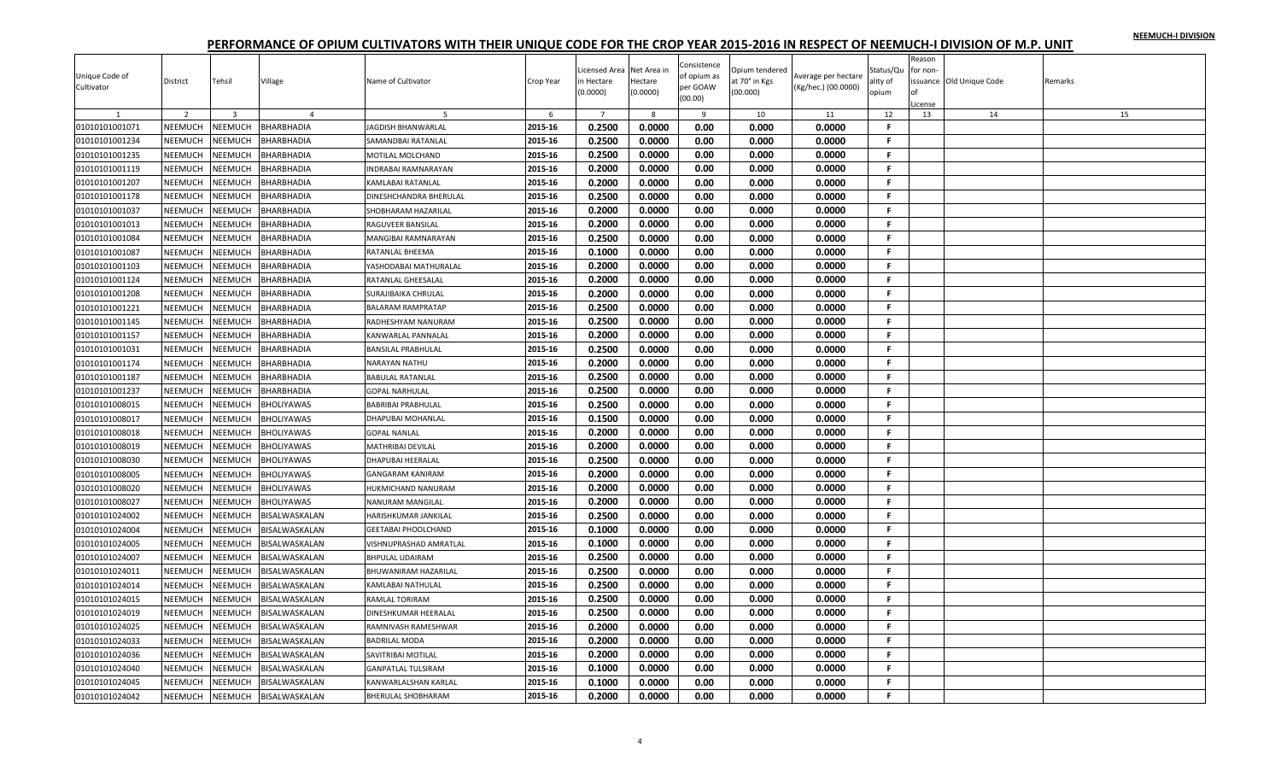| Unique Code of<br>Cultivator | District       | Tehsil         | Village           | Name of Cultivator         | Crop Year | Licensed Area<br>n Hectare<br>(0.0000) | Net Area in<br>Hectare<br>(0.0000) | Consistence<br>of opium as<br>per GOAW | Opium tendered<br>at 70° in Kgs<br>(00.000) | Average per hectare<br>(Kg/hec.) (00.0000) | Status/Qu<br>ality of<br>opium | Reason<br>or non- | issuance Old Unique Code | Remarks |
|------------------------------|----------------|----------------|-------------------|----------------------------|-----------|----------------------------------------|------------------------------------|----------------------------------------|---------------------------------------------|--------------------------------------------|--------------------------------|-------------------|--------------------------|---------|
|                              |                |                |                   |                            |           |                                        |                                    | (00.00)                                |                                             |                                            |                                | License           |                          |         |
|                              | $\overline{2}$ | $\overline{3}$ | $\overline{4}$    |                            | 6         | $\overline{7}$                         | 8                                  | 9                                      | 10                                          | 11                                         | 12                             | 13                | 14                       | 15      |
| 01010101001071               | NEEMUCH        | NEEMUCH        | <b>BHARBHADIA</b> | <b>JAGDISH BHANWARLAL</b>  | 2015-16   | 0.2500                                 | 0.0000                             | 0.00                                   | 0.000                                       | 0.0000                                     | F                              |                   |                          |         |
| 01010101001234               | NEEMUCH        | NEEMUCH        | BHARBHADIA        | SAMANDBAI RATANLAL         | 2015-16   | 0.2500                                 | 0.0000                             | 0.00                                   | 0.000                                       | 0.0000                                     | F.                             |                   |                          |         |
| 01010101001235               | NEEMUCH        | NEEMUCH        | BHARBHADIA        | MOTILAL MOLCHAND           | 2015-16   | 0.2500                                 | 0.0000                             | 0.00                                   | 0.000                                       | 0.0000                                     | F.                             |                   |                          |         |
| 01010101001119               | <b>NEEMUCH</b> | <b>NEEMUCH</b> | <b>BHARBHADIA</b> | <b>INDRABAI RAMNARAYAN</b> | 2015-16   | 0.2000                                 | 0.0000                             | 0.00                                   | 0.000                                       | 0.0000                                     | F.                             |                   |                          |         |
| 01010101001207               | NEEMUCH        | NEEMUCH        | BHARBHADIA        | <b>KAMLABAI RATANLAL</b>   | 2015-16   | 0.2000                                 | 0.0000                             | 0.00                                   | 0.000                                       | 0.0000                                     | F.                             |                   |                          |         |
| 01010101001178               | <b>NEEMUCH</b> | NEEMUCH        | BHARBHADIA        | DINESHCHANDRA BHERULAL     | 2015-16   | 0.2500                                 | 0.0000                             | 0.00                                   | 0.000                                       | 0.0000                                     | F.                             |                   |                          |         |
| 01010101001037               | NEEMUCH        | NEEMUCH        | BHARBHADIA        | SHOBHARAM HAZARILAL        | 2015-16   | 0.2000                                 | 0.0000                             | 0.00                                   | 0.000                                       | 0.0000                                     | F.                             |                   |                          |         |
| 01010101001013               | NEEMUCH        | NEEMUCH        | BHARBHADIA        | RAGUVEER BANSILAL          | 2015-16   | 0.2000                                 | 0.0000                             | 0.00                                   | 0.000                                       | 0.0000                                     | F.                             |                   |                          |         |
| 01010101001084               | NEEMUCH        | NEEMUCH        | BHARBHADIA        | MANGIBAI RAMNARAYAN        | 2015-16   | 0.2500                                 | 0.0000                             | 0.00                                   | 0.000                                       | 0.0000                                     | F.                             |                   |                          |         |
| 01010101001087               | NEEMUCH        | NEEMUCH        | <b>BHARBHADIA</b> | <b>RATANLAL BHEEMA</b>     | 2015-16   | 0.1000                                 | 0.0000                             | 0.00                                   | 0.000                                       | 0.0000                                     | .F                             |                   |                          |         |
| 01010101001103               | NEEMUCH        | NEEMUCH        | BHARBHADIA        | YASHODABAI MATHURALAL      | 2015-16   | 0.2000                                 | 0.0000                             | 0.00                                   | 0.000                                       | 0.0000                                     | F.                             |                   |                          |         |
| 01010101001124               | NEEMUCH        | NEEMUCH        | BHARBHADIA        | RATANLAL GHEESALAL         | 2015-16   | 0.2000                                 | 0.0000                             | 0.00                                   | 0.000                                       | 0.0000                                     | F.                             |                   |                          |         |
| 01010101001208               | NEEMUCH        | NEEMUCH        | <b>BHARBHADIA</b> | SURAJIBAIKA CHRULAL        | 2015-16   | 0.2000                                 | 0.0000                             | 0.00                                   | 0.000                                       | 0.0000                                     | F.                             |                   |                          |         |
| 01010101001221               | NEEMUCH        | NEEMUCH        | BHARBHADIA        | <b>BALARAM RAMPRATAP</b>   | 2015-16   | 0.2500                                 | 0.0000                             | 0.00                                   | 0.000                                       | 0.0000                                     | F.                             |                   |                          |         |
| 01010101001145               | <b>NEEMUCH</b> | NEEMUCH        | BHARBHADIA        | RADHESHYAM NANURAM         | 2015-16   | 0.2500                                 | 0.0000                             | 0.00                                   | 0.000                                       | 0.0000                                     | F.                             |                   |                          |         |
| 01010101001157               | NEEMUCH        | NEEMUCH        | BHARBHADIA        | KANWARLAL PANNALAL         | 2015-16   | 0.2000                                 | 0.0000                             | 0.00                                   | 0.000                                       | 0.0000                                     | F.                             |                   |                          |         |
| 01010101001031               | <b>NEEMUCH</b> | NEEMUCH        | BHARBHADIA        | <b>BANSILAL PRABHULAL</b>  | 2015-16   | 0.2500                                 | 0.0000                             | 0.00                                   | 0.000                                       | 0.0000                                     | F.                             |                   |                          |         |
| 01010101001174               | NEEMUCH        | <b>NEEMUCH</b> | BHARBHADIA        | NARAYAN NATHU              | 2015-16   | 0.2000                                 | 0.0000                             | 0.00                                   | 0.000                                       | 0.0000                                     | F                              |                   |                          |         |
| 01010101001187               | NEEMUCH        | NEEMUCH        | BHARBHADIA        | <b>BABULAL RATANLAL</b>    | 2015-16   | 0.2500                                 | 0.0000                             | 0.00                                   | 0.000                                       | 0.0000                                     | F.                             |                   |                          |         |
| 01010101001237               | NEEMUCH        | NEEMUCH        | BHARBHADIA        | <b>GOPAL NARHULAL</b>      | 2015-16   | 0.2500                                 | 0.0000                             | 0.00                                   | 0.000                                       | 0.0000                                     | F.                             |                   |                          |         |
| 01010101008015               | NEEMUCH        | NEEMUCH        | <b>BHOLIYAWAS</b> | <b>BABRIBAI PRABHULAL</b>  | 2015-16   | 0.2500                                 | 0.0000                             | 0.00                                   | 0.000                                       | 0.0000                                     | F.                             |                   |                          |         |
| 01010101008017               | <b>NEEMUCH</b> | NEEMUCH        | BHOLIYAWAS        | DHAPUBAI MOHANLAL          | 2015-16   | 0.1500                                 | 0.0000                             | 0.00                                   | 0.000                                       | 0.0000                                     | F.                             |                   |                          |         |
| 01010101008018               | <b>NEEMUCH</b> | NEEMUCH        | <b>BHOLIYAWAS</b> | <b>GOPAL NANLAL</b>        | 2015-16   | 0.2000                                 | 0.0000                             | 0.00                                   | 0.000                                       | 0.0000                                     | F                              |                   |                          |         |
| 01010101008019               | NEEMUCH        | NEEMUCH        | BHOLIYAWAS        | <b>MATHRIBAI DEVILAL</b>   | 2015-16   | 0.2000                                 | 0.0000                             | 0.00                                   | 0.000                                       | 0.0000                                     | F.                             |                   |                          |         |
| 01010101008030               | NEEMUCH        | NEEMUCH        | BHOLIYAWAS        | <b>DHAPUBAI HEERALAL</b>   | 2015-16   | 0.2500                                 | 0.0000                             | 0.00                                   | 0.000                                       | 0.0000                                     | F.                             |                   |                          |         |
| 01010101008005               | <b>NEEMUCH</b> | <b>NEEMUCH</b> | <b>BHOLIYAWAS</b> | <b>GANGARAM KANIRAM</b>    | 2015-16   | 0.2000                                 | 0.0000                             | 0.00                                   | 0.000                                       | 0.0000                                     | F.                             |                   |                          |         |
| 01010101008020               | NEEMUCH        | NEEMUCH        | <b>BHOLIYAWAS</b> | HUKMICHAND NANURAM         | 2015-16   | 0.2000                                 | 0.0000                             | 0.00                                   | 0.000                                       | 0.0000                                     | F.                             |                   |                          |         |
| 01010101008027               | NEEMUCH        | NEEMUCH        | <b>BHOLIYAWAS</b> | <b>NANURAM MANGILAL</b>    | 2015-16   | 0.2000                                 | 0.0000                             | 0.00                                   | 0.000                                       | 0.0000                                     | F.                             |                   |                          |         |
| 01010101024002               | NEEMUCH        | NEEMUCH        | BISALWASKALAN     | HARISHKUMAR JANKILAL       | 2015-16   | 0.2500                                 | 0.0000                             | 0.00                                   | 0.000                                       | 0.0000                                     | F.                             |                   |                          |         |
| 01010101024004               | NEEMUCH        | NEEMUCH        | BISALWASKALAN     | <b>GEETABAI PHOOLCHAND</b> | 2015-16   | 0.1000                                 | 0.0000                             | 0.00                                   | 0.000                                       | 0.0000                                     | F.                             |                   |                          |         |
| 01010101024005               | NEEMUCH        | NEEMUCH        | BISALWASKALAN     | VISHNUPRASHAD AMRATLAL     | 2015-16   | 0.1000                                 | 0.0000                             | 0.00                                   | 0.000                                       | 0.0000                                     | F.                             |                   |                          |         |
| 01010101024007               | <b>NEEMUCH</b> | NEEMUCH        | BISALWASKALAN     | <b>BHPULAL UDAIRAM</b>     | 2015-16   | 0.2500                                 | 0.0000                             | 0.00                                   | 0.000                                       | 0.0000                                     | F.                             |                   |                          |         |
| 01010101024011               | NEEMUCH        | NEEMUCH        | BISALWASKALAN     | BHUWANIRAM HAZARILAL       | 2015-16   | 0.2500                                 | 0.0000                             | 0.00                                   | 0.000                                       | 0.0000                                     | F.                             |                   |                          |         |
| 01010101024014               | NEEMUCH        | NEEMUCH        | BISALWASKALAN     | <b>KAMLABAI NATHULAL</b>   | 2015-16   | 0.2500                                 | 0.0000                             | 0.00                                   | 0.000                                       | 0.0000                                     | F.                             |                   |                          |         |
| 01010101024015               | NEEMUCH        | NEEMUCH        | BISALWASKALAN     | RAMLAL TORIRAM             | 2015-16   | 0.2500                                 | 0.0000                             | 0.00                                   | 0.000                                       | 0.0000                                     | F.                             |                   |                          |         |
| 01010101024019               | NEEMUCH        | NEEMUCH        | BISALWASKALAN     | DINESHKUMAR HEERALAL       | 2015-16   | 0.2500                                 | 0.0000                             | 0.00                                   | 0.000                                       | 0.0000                                     | F.                             |                   |                          |         |
| 01010101024025               | NEEMUCH        | NEEMUCH        | BISALWASKALAN     | RAMNIVASH RAMESHWAR        | 2015-16   | 0.2000                                 | 0.0000                             | 0.00                                   | 0.000                                       | 0.0000                                     | F.                             |                   |                          |         |
| 01010101024033               | NEEMUCH        | NEEMUCH        | BISALWASKALAN     | <b>BADRILAL MODA</b>       | 2015-16   | 0.2000                                 | 0.0000                             | 0.00                                   | 0.000                                       | 0.0000                                     | F.                             |                   |                          |         |
| 01010101024036               | NEEMUCH        | NEEMUCH        | BISALWASKALAN     | SAVITRIBAI MOTILAL         | 2015-16   | 0.2000                                 | 0.0000                             | 0.00                                   | 0.000                                       | 0.0000                                     | F.                             |                   |                          |         |
| 01010101024040               | NEEMUCH        | <b>NEEMUCH</b> | BISALWASKALAN     | <b>GANPATLAL TULSIRAM</b>  | 2015-16   | 0.1000                                 | 0.0000                             | 0.00                                   | 0.000                                       | 0.0000                                     | F                              |                   |                          |         |
| 01010101024045               | NEEMUCH        | NEEMUCH        | BISALWASKALAN     | KANWARLALSHAN KARLAL       | 2015-16   | 0.1000                                 | 0.0000                             | 0.00                                   | 0.000                                       | 0.0000                                     | F.                             |                   |                          |         |
| 01010101024042               | NEEMUCH        | <b>NEEMUCH</b> | BISALWASKALAN     | <b>BHERULAL SHOBHARAM</b>  | 2015-16   | 0.2000                                 | 0.0000                             | 0.00                                   | 0.000                                       | 0.0000                                     | F.                             |                   |                          |         |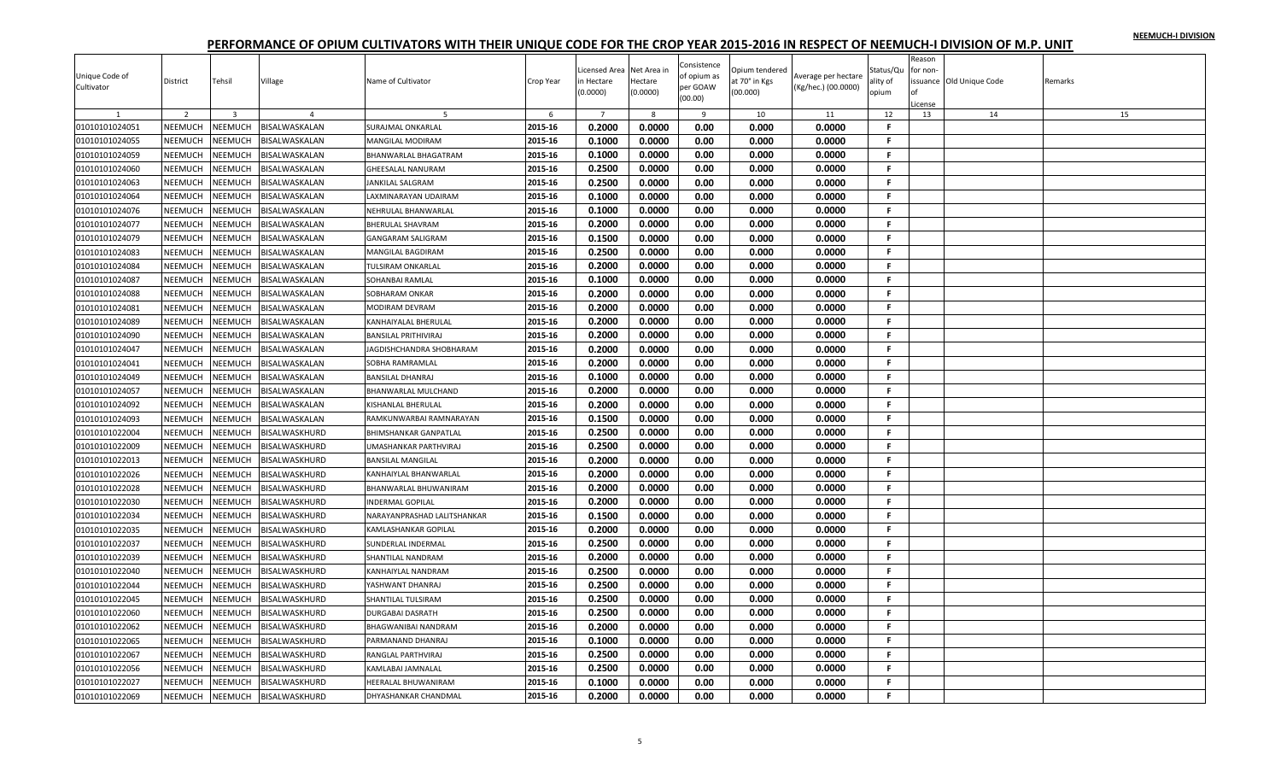|                |                |                |                      |                              |           | icensed Area   | Net Area in | Consistence | Opium tendered |                     | Status/Qu | Reason<br>for non- |                         |         |
|----------------|----------------|----------------|----------------------|------------------------------|-----------|----------------|-------------|-------------|----------------|---------------------|-----------|--------------------|-------------------------|---------|
| Unique Code of | District       | Tehsil         | Village              | Name of Cultivator           | Crop Year | n Hectare      | Hectare     | of opium as | at 70° in Kgs  | Average per hectare | ality of  |                    | ssuance Old Unique Code | Remarks |
| Cultivator     |                |                |                      |                              |           | (0.0000)       | (0.0000)    | per GOAW    | (00.000)       | (Kg/hec.) (00.0000) | opium     |                    |                         |         |
|                |                |                |                      |                              |           |                |             | (00.00)     |                |                     |           | License            |                         |         |
|                | 2              | $\overline{3}$ |                      |                              | 6         | $\overline{7}$ | 8           | 9           | 10             | 11                  | 12        | 13                 | 14                      | 15      |
| 01010101024051 | NEEMUCH        | NEEMUCH        | BISALWASKALAN        | <b>SURAJMAL ONKARLAL</b>     | 2015-16   | 0.2000         | 0.0000      | 0.00        | 0.000          | 0.0000              | F.        |                    |                         |         |
| 01010101024055 | NEEMUCH        | NEEMUCH        | BISALWASKALAN        | <b>MANGILAL MODIRAM</b>      | 2015-16   | 0.1000         | 0.0000      | 0.00        | 0.000          | 0.0000              | F.        |                    |                         |         |
| 01010101024059 | NEEMUCH        | NEEMUCH        | BISALWASKALAN        | BHANWARLAL BHAGATRAM         | 2015-16   | 0.1000         | 0.0000      | 0.00        | 0.000          | 0.0000              | F.        |                    |                         |         |
| 01010101024060 | NEEMUCH        | NEEMUCH        | BISALWASKALAN        | <b>GHEESALAL NANURAM</b>     | 2015-16   | 0.2500         | 0.0000      | 0.00        | 0.000          | 0.0000              | F.        |                    |                         |         |
| 01010101024063 | NEEMUCH        | NEEMUCH        | BISALWASKALAN        | <b>JANKILAL SALGRAM</b>      | 2015-16   | 0.2500         | 0.0000      | 0.00        | 0.000          | 0.0000              | F.        |                    |                         |         |
| 01010101024064 | NEEMUCH        | NEEMUCH        | BISALWASKALAN        | LAXMINARAYAN UDAIRAM         | 2015-16   | 0.1000         | 0.0000      | 0.00        | 0.000          | 0.0000              | F.        |                    |                         |         |
| 01010101024076 | NEEMUCH        | NEEMUCH        | BISALWASKALAN        | NEHRULAL BHANWARLAL          | 2015-16   | 0.1000         | 0.0000      | 0.00        | 0.000          | 0.0000              | F         |                    |                         |         |
| 01010101024077 | NEEMUCH        | NEEMUCH        | <b>BISALWASKALAN</b> | <b>BHERULAL SHAVRAM</b>      | 2015-16   | 0.2000         | 0.0000      | 0.00        | 0.000          | 0.0000              | F.        |                    |                         |         |
| 01010101024079 | NEEMUCH        | NEEMUCH        | BISALWASKALAN        | <b>GANGARAM SALIGRAM</b>     | 2015-16   | 0.1500         | 0.0000      | 0.00        | 0.000          | 0.0000              | F.        |                    |                         |         |
| 01010101024083 | NEEMUCH        | <b>NEEMUCH</b> | BISALWASKALAN        | <b>MANGILAL BAGDIRAM</b>     | 2015-16   | 0.2500         | 0.0000      | 0.00        | 0.000          | 0.0000              | F.        |                    |                         |         |
| 01010101024084 | NEEMUCH        | NEEMUCH        | BISALWASKALAN        | TULSIRAM ONKARLAL            | 2015-16   | 0.2000         | 0.0000      | 0.00        | 0.000          | 0.0000              | F.        |                    |                         |         |
| 01010101024087 | <b>NEEMUCH</b> | NEEMUCH        | BISALWASKALAN        | <b>SOHANBAI RAMLAL</b>       | 2015-16   | 0.1000         | 0.0000      | 0.00        | 0.000          | 0.0000              | F.        |                    |                         |         |
| 01010101024088 | NEEMUCH        | NEEMUCH        | BISALWASKALAN        | SOBHARAM ONKAR               | 2015-16   | 0.2000         | 0.0000      | 0.00        | 0.000          | 0.0000              | F.        |                    |                         |         |
| 01010101024081 | NEEMUCH        | NEEMUCH        | BISALWASKALAN        | <b>MODIRAM DEVRAM</b>        | 2015-16   | 0.2000         | 0.0000      | 0.00        | 0.000          | 0.0000              | F.        |                    |                         |         |
| 01010101024089 | NEEMUCH        | <b>NEEMUCH</b> | BISALWASKALAN        | KANHAIYALAL BHERULAL         | 2015-16   | 0.2000         | 0.0000      | 0.00        | 0.000          | 0.0000              | F.        |                    |                         |         |
| 01010101024090 | NEEMUCH        | NEEMUCH        | BISALWASKALAN        | <b>BANSILAL PRITHIVIRAJ</b>  | 2015-16   | 0.2000         | 0.0000      | 0.00        | 0.000          | 0.0000              | F.        |                    |                         |         |
| 01010101024047 | <b>NEEMUCH</b> | <b>NEEMUCH</b> | BISALWASKALAN        | JAGDISHCHANDRA SHOBHARAM     | 2015-16   | 0.2000         | 0.0000      | 0.00        | 0.000          | 0.0000              | F.        |                    |                         |         |
| 01010101024041 | <b>NEEMUCH</b> | NEEMUCH        | BISALWASKALAN        | SOBHA RAMRAMLAL              | 2015-16   | 0.2000         | 0.0000      | 0.00        | 0.000          | 0.0000              | F.        |                    |                         |         |
| 01010101024049 | NEEMUCH        | NEEMUCH        | BISALWASKALAN        | <b>BANSILAL DHANRAJ</b>      | 2015-16   | 0.1000         | 0.0000      | 0.00        | 0.000          | 0.0000              | F.        |                    |                         |         |
| 01010101024057 | NEEMUCH        | NEEMUCH        | BISALWASKALAN        | BHANWARLAL MULCHAND          | 2015-16   | 0.2000         | 0.0000      | 0.00        | 0.000          | 0.0000              | F.        |                    |                         |         |
| 01010101024092 | <b>NEEMUCH</b> | <b>NEEMUCH</b> | BISALWASKALAN        | <b>KISHANLAL BHERULAL</b>    | 2015-16   | 0.2000         | 0.0000      | 0.00        | 0.000          | 0.0000              | F.        |                    |                         |         |
| 01010101024093 | NEEMUCH        | NEEMUCH        | BISALWASKALAN        | RAMKUNWARBAI RAMNARAYAN      | 2015-16   | 0.1500         | 0.0000      | 0.00        | 0.000          | 0.0000              | F.        |                    |                         |         |
| 01010101022004 | <b>NEEMUCH</b> | NEEMUCH        | BISALWASKHURD        | <b>BHIMSHANKAR GANPATLAL</b> | 2015-16   | 0.2500         | 0.0000      | 0.00        | 0.000          | 0.0000              | F.        |                    |                         |         |
| 01010101022009 | NEEMUCH        | NEEMUCH        | BISALWASKHURD        | <b>UMASHANKAR PARTHVIRAJ</b> | 2015-16   | 0.2500         | 0.0000      | 0.00        | 0.000          | 0.0000              | F.        |                    |                         |         |
| 01010101022013 | NEEMUCH        | NEEMUCH        | BISALWASKHURD        | <b>BANSILAL MANGILAL</b>     | 2015-16   | 0.2000         | 0.0000      | 0.00        | 0.000          | 0.0000              | F.        |                    |                         |         |
| 01010101022026 | NEEMUCH        | <b>NEEMUCH</b> | BISALWASKHURD        | KANHAIYLAL BHANWARLAL        | 2015-16   | 0.2000         | 0.0000      | 0.00        | 0.000          | 0.0000              | F.        |                    |                         |         |
| 01010101022028 | NEEMUCH        | NEEMUCH        | BISALWASKHURD        | BHANWARLAL BHUWANIRAM        | 2015-16   | 0.2000         | 0.0000      | 0.00        | 0.000          | 0.0000              | -F.       |                    |                         |         |
| 01010101022030 | NEEMUCH        | NEEMUCH        | BISALWASKHURD        | <b>INDERMAL GOPILAL</b>      | 2015-16   | 0.2000         | 0.0000      | 0.00        | 0.000          | 0.0000              | F.        |                    |                         |         |
| 01010101022034 | NEEMUCH        | NEEMUCH        | BISALWASKHURD        | NARAYANPRASHAD LALITSHANKAR  | 2015-16   | 0.1500         | 0.0000      | 0.00        | 0.000          | 0.0000              | F.        |                    |                         |         |
| 01010101022035 | NEEMUCH        | NEEMUCH        | BISALWASKHURD        | KAMLASHANKAR GOPILAL         | 2015-16   | 0.2000         | 0.0000      | 0.00        | 0.000          | 0.0000              | F.        |                    |                         |         |
| 01010101022037 | NEEMUCH        | NEEMUCH        | BISALWASKHURD        | SUNDERLAL INDERMAL           | 2015-16   | 0.2500         | 0.0000      | 0.00        | 0.000          | 0.0000              | F.        |                    |                         |         |
| 01010101022039 | NEEMUCH        | NEEMUCH        | BISALWASKHURD        | SHANTILAL NANDRAM            | 2015-16   | 0.2000         | 0.0000      | 0.00        | 0.000          | 0.0000              | F.        |                    |                         |         |
| 01010101022040 | NEEMUCH        | NEEMUCH        | BISALWASKHURD        | KANHAIYLAL NANDRAM           | 2015-16   | 0.2500         | 0.0000      | 0.00        | 0.000          | 0.0000              | F.        |                    |                         |         |
| 01010101022044 | <b>NEEMUCH</b> | NEEMUCH        | BISALWASKHURD        | YASHWANT DHANRAJ             | 2015-16   | 0.2500         | 0.0000      | 0.00        | 0.000          | 0.0000              | F.        |                    |                         |         |
| 01010101022045 | NEEMUCH        | NEEMUCH        | BISALWASKHURD        | SHANTILAL TULSIRAM           | 2015-16   | 0.2500         | 0.0000      | 0.00        | 0.000          | 0.0000              | F.        |                    |                         |         |
| 01010101022060 | NEEMUCH        | NEEMUCH        | BISALWASKHURD        | <b>DURGABAI DASRATH</b>      | 2015-16   | 0.2500         | 0.0000      | 0.00        | 0.000          | 0.0000              | F.        |                    |                         |         |
| 01010101022062 | NEEMUCH        | NEEMUCH        | BISALWASKHURD        | <b>BHAGWANIBAI NANDRAM</b>   | 2015-16   | 0.2000         | 0.0000      | 0.00        | 0.000          | 0.0000              | F.        |                    |                         |         |
| 01010101022065 | NEEMUCH        | NEEMUCH        | BISALWASKHURD        | PARMANAND DHANRAJ            | 2015-16   | 0.1000         | 0.0000      | 0.00        | 0.000          | 0.0000              | F.        |                    |                         |         |
| 01010101022067 | <b>NEEMUCH</b> | NEEMUCH        | BISALWASKHURD        | RANGLAL PARTHVIRAJ           | 2015-16   | 0.2500         | 0.0000      | 0.00        | 0.000          | 0.0000              | F.        |                    |                         |         |
| 01010101022056 | NEEMUCH        | NEEMUCH        | BISALWASKHURD        | KAMLABAI JAMNALAL            | 2015-16   | 0.2500         | 0.0000      | 0.00        | 0.000          | 0.0000              | F         |                    |                         |         |
| 01010101022027 | NEEMUCH        | NEEMUCH        | BISALWASKHURD        | HEERALAL BHUWANIRAM          | 2015-16   | 0.1000         | 0.0000      | 0.00        | 0.000          | 0.0000              | F.        |                    |                         |         |
| 01010101022069 | NEEMUCH        | <b>NEEMUCH</b> | BISALWASKHURD        | DHYASHANKAR CHANDMAL         | 2015-16   | 0.2000         | 0.0000      | 0.00        | 0.000          | 0.0000              | F.        |                    |                         |         |
|                |                |                |                      |                              |           |                |             |             |                |                     |           |                    |                         |         |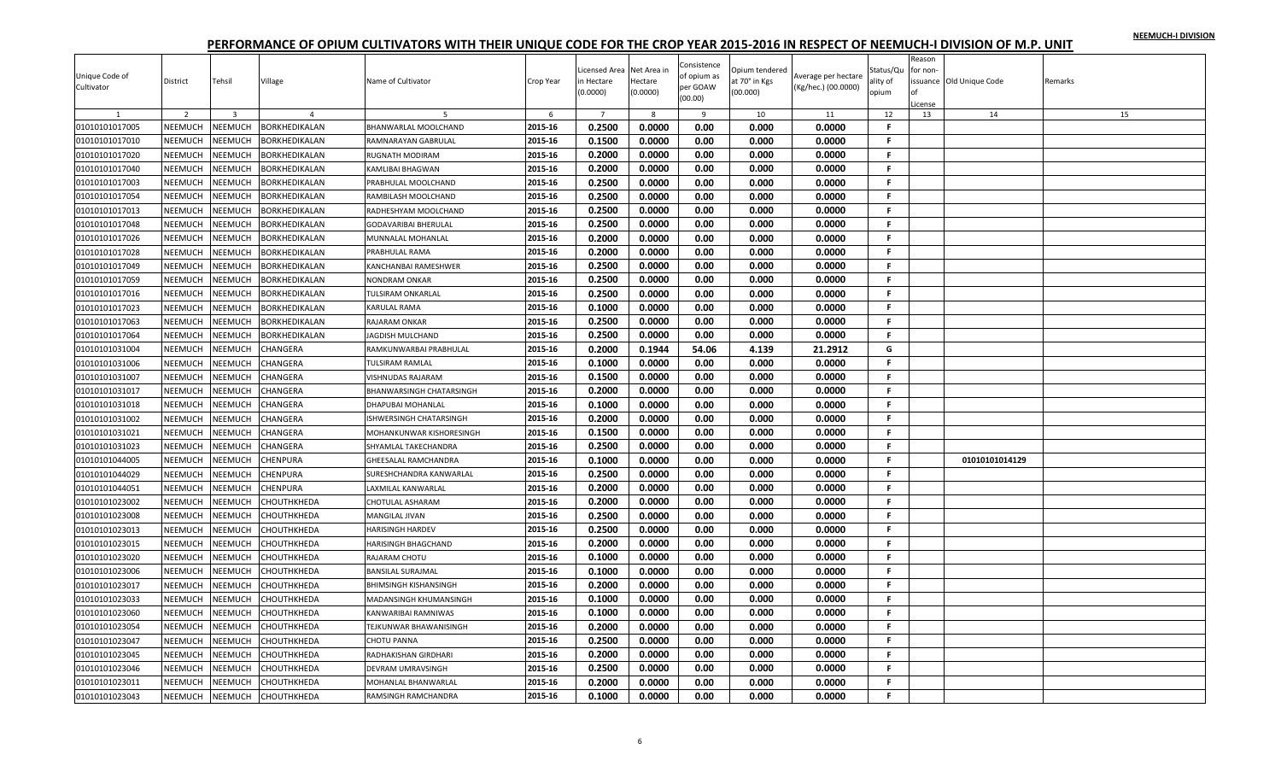|                |                |                |                      |                               |           |                |              | Consistence  |                |                     |           | Reason   |                          |         |
|----------------|----------------|----------------|----------------------|-------------------------------|-----------|----------------|--------------|--------------|----------------|---------------------|-----------|----------|--------------------------|---------|
| Unique Code of |                |                |                      |                               |           | icensed Area   | Net Area in  | of opium as  | Opium tendered | Average per hectare | Status/Qu | for non- |                          |         |
| Cultivator     | District       | Tehsil         | Village              | Name of Cultivator            | Crop Year | n Hectare      | Hectare      | per GOAW     | it 70° in Kgs  | (Kg/hec.) (00.0000) | ılity of  |          | issuance Old Unique Code | Remarks |
|                |                |                |                      |                               |           | 0.0000         | (0.0000)     | (00.00)      | 00.000)        |                     | opium     | License  |                          |         |
|                | 2              | $\overline{3}$ |                      |                               | 6         | $\overline{7}$ | $\mathbf{g}$ | $\mathbf{q}$ | 10             | 11                  | 12        | 13       | 14                       | 15      |
| 01010101017005 | NEEMUCH        | <b>NEEMUCH</b> | <b>BORKHEDIKALAN</b> | BHANWARLAL MOOLCHAND          | 2015-16   | 0.2500         | 0.0000       | 0.00         | 0.000          | 0.0000              | F.        |          |                          |         |
| 01010101017010 | NEEMUCH        | NEEMUCH        | BORKHEDIKALAN        | RAMNARAYAN GABRULAL           | 2015-16   | 0.1500         | 0.0000       | 0.00         | 0.000          | 0.0000              | F.        |          |                          |         |
| 01010101017020 | NEEMUCH        | NEEMUCH        | BORKHEDIKALAN        | RUGNATH MODIRAM               | 2015-16   | 0.2000         | 0.0000       | 0.00         | 0.000          | 0.0000              | F.        |          |                          |         |
| 01010101017040 | NEEMUCH        | <b>NEEMUCH</b> | BORKHEDIKALAN        | KAMLIBAI BHAGWAN              | 2015-16   | 0.2000         | 0.0000       | 0.00         | 0.000          | 0.0000              | F.        |          |                          |         |
| 01010101017003 | NEEMUCH        | NEEMUCH        | BORKHEDIKALAN        | PRABHULAL MOOLCHAND           | 2015-16   | 0.2500         | 0.0000       | 0.00         | 0.000          | 0.0000              | F.        |          |                          |         |
| 01010101017054 | <b>NEEMUCH</b> | NEEMUCH        | BORKHEDIKALAN        | RAMBILASH MOOLCHAND           | 2015-16   | 0.2500         | 0.0000       | 0.00         | 0.000          | 0.0000              | F.        |          |                          |         |
| 01010101017013 | NEEMUCH        | NEEMUCH        | BORKHEDIKALAN        | RADHESHYAM MOOLCHAND          | 2015-16   | 0.2500         | 0.0000       | 0.00         | 0.000          | 0.0000              | F         |          |                          |         |
| 01010101017048 | NEEMUCH        | NEEMUCH        | BORKHEDIKALAN        | <b>GODAVARIBAI BHERULAL</b>   | 2015-16   | 0.2500         | 0.0000       | 0.00         | 0.000          | 0.0000              | Е         |          |                          |         |
| 01010101017026 | NEEMUCH        | NEEMUCH        | BORKHEDIKALAN        | MUNNALAL MOHANLAL             | 2015-16   | 0.2000         | 0.0000       | 0.00         | 0.000          | 0.0000              | F.        |          |                          |         |
| 01010101017028 | NEEMUCH        | NEEMUCH        | BORKHEDIKALAN        | PRABHULAL RAMA                | 2015-16   | 0.2000         | 0.0000       | 0.00         | 0.000          | 0.0000              | F.        |          |                          |         |
| 01010101017049 | NEEMUCH        | NEEMUCH        | BORKHEDIKALAN        | KANCHANBAI RAMESHWER          | 2015-16   | 0.2500         | 0.0000       | 0.00         | 0.000          | 0.0000              | F.        |          |                          |         |
| 01010101017059 | <b>NEEMUCH</b> | NEEMUCH        | BORKHEDIKALAN        | <b>NONDRAM ONKAR</b>          | 2015-16   | 0.2500         | 0.0000       | 0.00         | 0.000          | 0.0000              | F.        |          |                          |         |
| 01010101017016 | NEEMUCH        | NEEMUCH        | BORKHEDIKALAN        | TULSIRAM ONKARLAL             | 2015-16   | 0.2500         | 0.0000       | 0.00         | 0.000          | 0.0000              | F.        |          |                          |         |
| 01010101017023 | NEEMUCH        | <b>NEEMUCH</b> | BORKHEDIKALAN        | KARULAL RAMA                  | 2015-16   | 0.1000         | 0.0000       | 0.00         | 0.000          | 0.0000              | F.        |          |                          |         |
| 01010101017063 | NEEMUCH        | NEEMUCH        | BORKHEDIKALAN        | <b>RAJARAM ONKAR</b>          | 2015-16   | 0.2500         | 0.0000       | 0.00         | 0.000          | 0.0000              | F.        |          |                          |         |
|                |                | NEEMUCH        |                      | JAGDISH MULCHAND              | 2015-16   | 0.2500         | 0.0000       | 0.00         | 0.000          | 0.0000              | F.        |          |                          |         |
| 01010101017064 | NEEMUCH        |                | BORKHEDIKALAN        |                               |           |                |              |              |                |                     |           |          |                          |         |
| 01010101031004 | NEEMUCH        | NEEMUCH        | CHANGERA             | RAMKUNWARBAI PRABHULAL        | 2015-16   | 0.2000         | 0.1944       | 54.06        | 4.139          | 21.2912             | G<br>F.   |          |                          |         |
| 01010101031006 | NEEMUCH        | NEEMUCH        | CHANGERA             | <b>TULSIRAM RAMLAL</b>        | 2015-16   | 0.1000         | 0.0000       | 0.00         | 0.000          | 0.0000              |           |          |                          |         |
| 01010101031007 | NEEMUCH        | NEEMUCH        | CHANGERA             | VISHNUDAS RAJARAM             | 2015-16   | 0.1500         | 0.0000       | 0.00         | 0.000          | 0.0000              | F.        |          |                          |         |
| 01010101031017 | NEEMUCH        | NEEMUCH        | CHANGERA             | BHANWARSINGH CHATARSINGH      | 2015-16   | 0.2000         | 0.0000       | 0.00         | 0.000          | 0.0000              | F.        |          |                          |         |
| 01010101031018 | NEEMUCH        | <b>NEEMUCH</b> | CHANGERA             | <b>DHAPUBAI MOHANLAL</b>      | 2015-16   | 0.1000         | 0.0000       | 0.00         | 0.000          | 0.0000              | F.        |          |                          |         |
| 01010101031002 | NEEMUCH        | NEEMUCH        | CHANGERA             | ISHWERSINGH CHATARSINGH       | 2015-16   | 0.2000         | 0.0000       | 0.00         | 0.000          | 0.0000              | F.        |          |                          |         |
| 01010101031021 | <b>NEEMUCH</b> | NEEMUCH        | CHANGERA             | MOHANKUNWAR KISHORESINGH      | 2015-16   | 0.1500         | 0.0000       | 0.00         | 0.000          | 0.0000              | F.        |          |                          |         |
| 01010101031023 | NEEMUCH        | NEEMUCH        | CHANGERA             | SHYAMLAL TAKECHANDRA          | 2015-16   | 0.2500         | 0.0000       | 0.00         | 0.000          | 0.0000              | F.        |          |                          |         |
| 01010101044005 | NEEMUCH        | <b>NEEMUCH</b> | CHENPURA             | GHEESALAL RAMCHANDRA          | 2015-16   | 0.1000         | 0.0000       | 0.00         | 0.000          | 0.0000              | F         |          | 01010101014129           |         |
| 01010101044029 | NEEMUCH        | <b>NEEMUCH</b> | CHENPURA             | SURESHCHANDRA KANWARLAL       | 2015-16   | 0.2500         | 0.0000       | 0.00         | 0.000          | 0.0000              | F.        |          |                          |         |
| 01010101044051 | NEEMUCH        | NEEMUCH        | CHENPURA             | <b>LAXMILAL KANWARLAL</b>     | 2015-16   | 0.2000         | 0.0000       | 0.00         | 0.000          | 0.0000              | F.        |          |                          |         |
| 01010101023002 | NEEMUCH        | NEEMUCH        | СНОИТНКНЕДА          | CHOTULAL ASHARAM              | 2015-16   | 0.2000         | 0.0000       | 0.00         | 0.000          | 0.0000              | F.        |          |                          |         |
| 01010101023008 | NEEMUCH        | NEEMUCH        | CHOUTHKHEDA          | MANGILAL JIVAN                | 2015-16   | 0.2500         | 0.0000       | 0.00         | 0.000          | 0.0000              | F.        |          |                          |         |
| 01010101023013 | NEEMUCH        | NEEMUCH        | CHOUTHKHEDA          | HARISINGH HARDEV              | 2015-16   | 0.2500         | 0.0000       | 0.00         | 0.000          | 0.0000              | Е         |          |                          |         |
| 01010101023015 | NEEMUCH        | NEEMUCH        | CHOUTHKHEDA          | HARISINGH BHAGCHAND           | 2015-16   | 0.2000         | 0.0000       | 0.00         | 0.000          | 0.0000              | F.        |          |                          |         |
| 01010101023020 | NEEMUCH        | NEEMUCH        | CHOUTHKHEDA          | RAJARAM CHOTU                 | 2015-16   | 0.1000         | 0.0000       | 0.00         | 0.000          | 0.0000              | F.        |          |                          |         |
| 01010101023006 | NEEMUCH        | NEEMUCH        | CHOUTHKHEDA          | <b>BANSILAL SURAJMAL</b>      | 2015-16   | 0.1000         | 0.0000       | 0.00         | 0.000          | 0.0000              | F.        |          |                          |         |
| 01010101023017 | <b>NEEMUCH</b> | NEEMUCH        | CHOUTHKHEDA          | <b>BHIMSINGH KISHANSINGH</b>  | 2015-16   | 0.2000         | 0.0000       | 0.00         | 0.000          | 0.0000              | F.        |          |                          |         |
| 01010101023033 | NEEMUCH        | NEEMUCH        | CHOUTHKHEDA          | MADANSINGH KHUMANSINGH        | 2015-16   | 0.1000         | 0.0000       | 0.00         | 0.000          | 0.0000              | Е         |          |                          |         |
| 01010101023060 | NEEMUCH        | <b>NEEMUCH</b> | CHOUTHKHEDA          | KANWARIBAI RAMNIWAS           | 2015-16   | 0.1000         | 0.0000       | 0.00         | 0.000          | 0.0000              | F.        |          |                          |         |
| 01010101023054 | NEEMUCH        | NEEMUCH        | CHOUTHKHEDA          | <b>TEJKUNWAR BHAWANISINGH</b> | 2015-16   | 0.2000         | 0.0000       | 0.00         | 0.000          | 0.0000              | F.        |          |                          |         |
| 01010101023047 | NEEMUCH        | NEEMUCH        | CHOUTHKHEDA          | <b>CHOTU PANNA</b>            | 2015-16   | 0.2500         | 0.0000       | 0.00         | 0.000          | 0.0000              | F.        |          |                          |         |
| 01010101023045 | NEEMUCH        | NEEMUCH        | CHOUTHKHEDA          | RADHAKISHAN GIRDHARI          | 2015-16   | 0.2000         | 0.0000       | 0.00         | 0.000          | 0.0000              | F.        |          |                          |         |
| 01010101023046 | NEEMUCH        | NEEMUCH        | CHOUTHKHEDA          | DEVRAM UMRAVSINGH             | 2015-16   | 0.2500         | 0.0000       | 0.00         | 0.000          | 0.0000              | F         |          |                          |         |
| 01010101023011 | NEEMUCH        | NEEMUCH        | CHOUTHKHEDA          | MOHANLAL BHANWARLAL           | 2015-16   | 0.2000         | 0.0000       | 0.00         | 0.000          | 0.0000              | F.        |          |                          |         |
| 01010101023043 | NEEMUCH        | <b>NEEMUCH</b> |                      | RAMSINGH RAMCHANDRA           | 2015-16   | 0.1000         | 0.0000       | 0.00         | 0.000          | 0.0000              | F.        |          |                          |         |
|                |                |                | СНОИТНКНЕДА          |                               |           |                |              |              |                |                     |           |          |                          |         |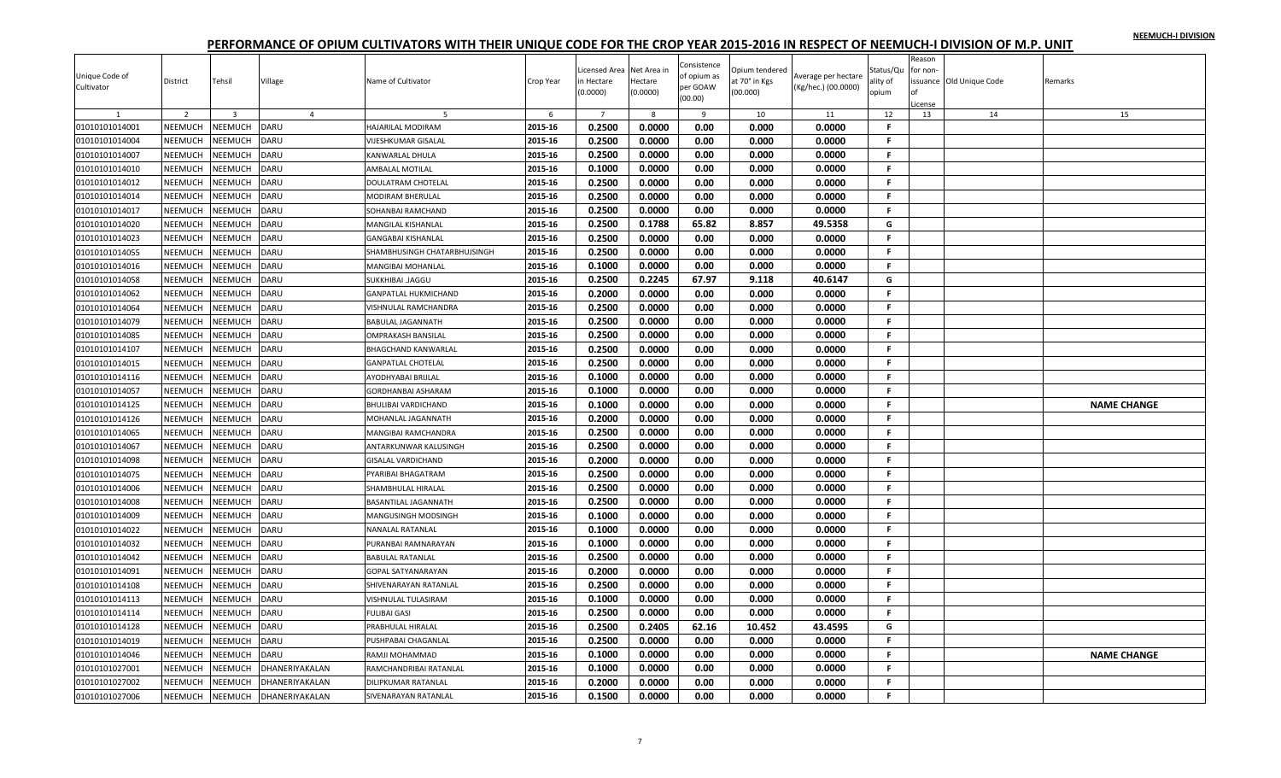|                |                    |                |                       |                              |           |                |             | Consistence |                |                     |              | Reason        |                         |                    |
|----------------|--------------------|----------------|-----------------------|------------------------------|-----------|----------------|-------------|-------------|----------------|---------------------|--------------|---------------|-------------------------|--------------------|
| Unique Code of |                    |                |                       |                              |           | icensed Area   | Net Area in | of opium as | Opium tendered | Average per hectare | Status/Qu    | for non-      |                         |                    |
| Cultivator     | District           | Tehsil         | Village               | Name of Cultivator           | Crop Year | n Hectare      | Hectare     | per GOAW    | it 70° in Kgs  | (Kg/hec.) (00.0000) | ality of     |               | ssuance Old Unique Code | Remarks            |
|                |                    |                |                       |                              |           | (0.0000)       | (0.0000)    | (00.00)     | (00.000)       |                     | opium        |               |                         |                    |
|                | 2                  | $\overline{3}$ | $\overline{4}$        | -5                           | 6         | $\overline{7}$ | 8           | 9           | 10             | 11                  | 12           | License<br>13 | 14                      | 15                 |
| 01010101014001 | NEEMUCH            | NEEMUCH        | <b>DARU</b>           | HAJARILAL MODIRAM            | 2015-16   | 0.2500         | 0.0000      | 0.00        | 0.000          | 0.0000              | F.           |               |                         |                    |
| 01010101014004 |                    | NEEMUCH        | DARU                  | <b>VIJESHKUMAR GISALAL</b>   | 2015-16   | 0.2500         | 0.0000      | 0.00        | 0.000          | 0.0000              | F.           |               |                         |                    |
| 01010101014007 | NEEMUCH<br>NEEMUCH | NEEMUCH        | DARU                  |                              | 2015-16   | 0.2500         |             | 0.00        | 0.000          | 0.0000              | F.           |               |                         |                    |
|                |                    |                |                       | <b>KANWARLAL DHULA</b>       |           |                | 0.0000      |             |                |                     |              |               |                         |                    |
| 01010101014010 | NEEMUCH            | NEEMUCH        | DARU                  | AMBALAL MOTILAL              | 2015-16   | 0.1000         | 0.0000      | 0.00        | 0.000          | 0.0000              | F.           |               |                         |                    |
| 01010101014012 | NEEMUCH            | NEEMUCH        | DARU                  | DOULATRAM CHOTELAL           | 2015-16   | 0.2500         | 0.0000      | 0.00        | 0.000          | 0.0000              | F.           |               |                         |                    |
| 01010101014014 | <b>NEEMUCH</b>     | <b>NEEMUCH</b> | DARU                  | <b>MODIRAM BHERULAL</b>      | 2015-16   | 0.2500         | 0.0000      | 0.00        | 0.000          | 0.0000              | F.           |               |                         |                    |
| 01010101014017 | NEEMUCH            | NEEMUCH        | DARU                  | SOHANBAI RAMCHAND            | 2015-16   | 0.2500         | 0.0000      | 0.00        | 0.000          | 0.0000              | F            |               |                         |                    |
| 01010101014020 | NEEMUCH            | <b>NEEMUCH</b> | DARU                  | MANGILAL KISHANLAL           | 2015-16   | 0.2500         | 0.1788      | 65.82       | 8.857          | 49.5358             | G            |               |                         |                    |
| 01010101014023 | <b>NEEMUCH</b>     | NEEMUCH        | DARU                  | <b>GANGABAI KISHANLAL</b>    | 2015-16   | 0.2500         | 0.0000      | 0.00        | 0.000          | 0.0000              | F.           |               |                         |                    |
| 01010101014055 | NEEMUCH            | NEEMUCH        | DARU                  | SHAMBHUSINGH CHATARBHUJSINGH | 2015-16   | 0.2500         | 0.0000      | 0.00        | 0.000          | 0.0000              | F.           |               |                         |                    |
| 01010101014016 | NEEMUCH            | NEEMUCH        | DARU                  | <b>MANGIBAI MOHANLAL</b>     | 2015-16   | 0.1000         | 0.0000      | 0.00        | 0.000          | 0.0000              | F.           |               |                         |                    |
| 01010101014058 | <b>NEEMUCH</b>     | NEEMUCH        | DARU                  | <b>SUKKHIBAI JAGGU</b>       | 2015-16   | 0.2500         | 0.2245      | 67.97       | 9.118          | 40.6147             | G            |               |                         |                    |
| 01010101014062 | NEEMUCH            | NEEMUCH        | DARU                  | <b>GANPATLAL HUKMICHAND</b>  | 2015-16   | 0.2000         | 0.0000      | 0.00        | 0.000          | 0.0000              | F.           |               |                         |                    |
| 01010101014064 | NEEMUCH            | NEEMUCH        | DARU                  | VISHNULAL RAMCHANDRA         | 2015-16   | 0.2500         | 0.0000      | 0.00        | 0.000          | 0.0000              | F.           |               |                         |                    |
| 01010101014079 | NEEMUCH            | NEEMUCH        | DARU                  | <b>BABULAL JAGANNATH</b>     | 2015-16   | 0.2500         | 0.0000      | 0.00        | 0.000          | 0.0000              | F.           |               |                         |                    |
| 01010101014085 | NEEMUCH            | NEEMUCH        | DARU                  | <b>OMPRAKASH BANSILAL</b>    | 2015-16   | 0.2500         | 0.0000      | 0.00        | 0.000          | 0.0000              | F.           |               |                         |                    |
| 01010101014107 | <b>NEEMUCH</b>     | NEEMUCH        | DARU                  | <b>BHAGCHAND KANWARLAL</b>   | 2015-16   | 0.2500         | 0.0000      | 0.00        | 0.000          | 0.0000              | F.           |               |                         |                    |
| 01010101014015 | <b>NEEMUCH</b>     | NEEMUCH        | DARU                  | <b>GANPATLAL CHOTELAL</b>    | 2015-16   | 0.2500         | 0.0000      | 0.00        | 0.000          | 0.0000              | F.           |               |                         |                    |
| 01010101014116 | NEEMUCH            | NEEMUCH        | DARU                  | AYODHYABAI BRIJLAL           | 2015-16   | 0.1000         | 0.0000      | 0.00        | 0.000          | 0.0000              | F.           |               |                         |                    |
| 01010101014057 | NEEMUCH            | NEEMUCH        | DARU                  |                              | 2015-16   | 0.1000         | 0.0000      | 0.00        | 0.000          | 0.0000              | F.           |               |                         |                    |
|                | <b>NEEMUCH</b>     | <b>NEEMUCH</b> | DARU                  | <b>GORDHANBAI ASHARAM</b>    | 2015-16   | 0.1000         | 0.0000      |             |                |                     | $\mathbf{F}$ |               |                         | <b>NAME CHANGE</b> |
| 01010101014125 |                    |                |                       | <b>BHULIBAI VARDICHAND</b>   |           |                |             | 0.00        | 0.000          | 0.0000              |              |               |                         |                    |
| 01010101014126 | NEEMUCH            | NEEMUCH        | DARU                  | MOHANLAL JAGANNATH           | 2015-16   | 0.2000         | 0.0000      | 0.00        | 0.000          | 0.0000              | F.           |               |                         |                    |
| 01010101014065 | NEEMUCH            | NEEMUCH        | DARU                  | MANGIBAI RAMCHANDRA          | 2015-16   | 0.2500         | 0.0000      | 0.00        | 0.000          | 0.0000              | F.           |               |                         |                    |
| 01010101014067 | NEEMUCH            | <b>NEEMUCH</b> | DARU                  | ANTARKUNWAR KALUSINGH        | 2015-16   | 0.2500         | 0.0000      | 0.00        | 0.000          | 0.0000              | F.           |               |                         |                    |
| 01010101014098 | NEEMUCH            | NEEMUCH        | DARU                  | <b>GISALAL VARDICHAND</b>    | 2015-16   | 0.2000         | 0.0000      | 0.00        | 0.000          | 0.0000              | F.           |               |                         |                    |
| 01010101014075 | NEEMUCH            | NEEMUCH        | DARU                  | PYARIBAI BHAGATRAM           | 2015-16   | 0.2500         | 0.0000      | 0.00        | 0.000          | 0.0000              | F.           |               |                         |                    |
| 01010101014006 | NEEMUCH            | NEEMUCH        | DARU                  | SHAMBHULAL HIRALAL           | 2015-16   | 0.2500         | 0.0000      | 0.00        | 0.000          | 0.0000              | F.           |               |                         |                    |
| 01010101014008 | NEEMUCH            | <b>NEEMUCH</b> | DARU                  | <b>BASANTILAL JAGANNATH</b>  | 2015-16   | 0.2500         | 0.0000      | 0.00        | 0.000          | 0.0000              | F.           |               |                         |                    |
| 01010101014009 | NEEMUCH            | NEEMUCH        | DARU                  | MANGUSINGH MODSINGH          | 2015-16   | 0.1000         | 0.0000      | 0.00        | 0.000          | 0.0000              | F            |               |                         |                    |
| 01010101014022 | NEEMUCH            | <b>NEEMUCH</b> | <b>DARU</b>           | NANALAL RATANLAL             | 2015-16   | 0.1000         | 0.0000      | 0.00        | 0.000          | 0.0000              | F.           |               |                         |                    |
| 01010101014032 | NEEMUCH            | NEEMUCH        | DARU                  | PURANBAI RAMNARAYAN          | 2015-16   | 0.1000         | 0.0000      | 0.00        | 0.000          | 0.0000              | F.           |               |                         |                    |
| 01010101014042 | NEEMUCH            | NEEMUCH        | DARU                  | <b>BABULAL RATANLAL</b>      | 2015-16   | 0.2500         | 0.0000      | 0.00        | 0.000          | 0.0000              | F.           |               |                         |                    |
| 01010101014091 | NEEMUCH            | NEEMUCH        | DARU                  | <b>GOPAL SATYANARAYAN</b>    | 2015-16   | 0.2000         | 0.0000      | 0.00        | 0.000          | 0.0000              | F.           |               |                         |                    |
| 01010101014108 | <b>NEEMUCH</b>     | NEEMUCH        | DARU                  | SHIVENARAYAN RATANLAL        | 2015-16   | 0.2500         | 0.0000      | 0.00        | 0.000          | 0.0000              | F.           |               |                         |                    |
| 01010101014113 | NEEMUCH            | NEEMUCH        | DARU                  | VISHNULAL TULASIRAM          | 2015-16   | 0.1000         | 0.0000      | 0.00        | 0.000          | 0.0000              | F.           |               |                         |                    |
| 01010101014114 | NEEMUCH            | NEEMUCH        | DARU                  | <b>FULIBAI GASI</b>          | 2015-16   | 0.2500         | 0.0000      | 0.00        | 0.000          | 0.0000              | F.           |               |                         |                    |
| 01010101014128 | NEEMUCH            | NEEMUCH        | DARU                  | PRABHULAL HIRALAL            | 2015-16   | 0.2500         | 0.2405      | 62.16       | 10.452         | 43.4595             | G            |               |                         |                    |
| 01010101014019 | NEEMUCH            | NEEMUCH        | DARU                  | PUSHPABAI CHAGANLAL          | 2015-16   | 0.2500         | 0.0000      | 0.00        | 0.000          | 0.0000              | F.           |               |                         |                    |
|                |                    |                |                       |                              |           |                |             |             |                |                     | F.           |               |                         |                    |
| 01010101014046 | NEEMUCH            | NEEMUCH        | DARU                  | RAMJI MOHAMMAD               | 2015-16   | 0.1000         | 0.0000      | 0.00        | 0.000          | 0.0000              | F            |               |                         | <b>NAME CHANGE</b> |
| 01010101027001 | NEEMUCH            | <b>NEEMUCH</b> | <b>DHANERIYAKALAN</b> | RAMCHANDRIBAI RATANLAL       | 2015-16   | 0.1000         | 0.0000      | 0.00        | 0.000          | 0.0000              |              |               |                         |                    |
| 01010101027002 | NEEMUCH            | NEEMUCH        | DHANERIYAKALAN        | DILIPKUMAR RATANLAL          | 2015-16   | 0.2000         | 0.0000      | 0.00        | 0.000          | 0.0000              | F.           |               |                         |                    |
| 01010101027006 | NEEMUCH            | <b>NEEMUCH</b> | DHANERIYAKALAN        | <b>SIVENARAYAN RATANLAL</b>  | 2015-16   | 0.1500         | 0.0000      | 0.00        | 0.000          | 0.0000              | F.           |               |                         |                    |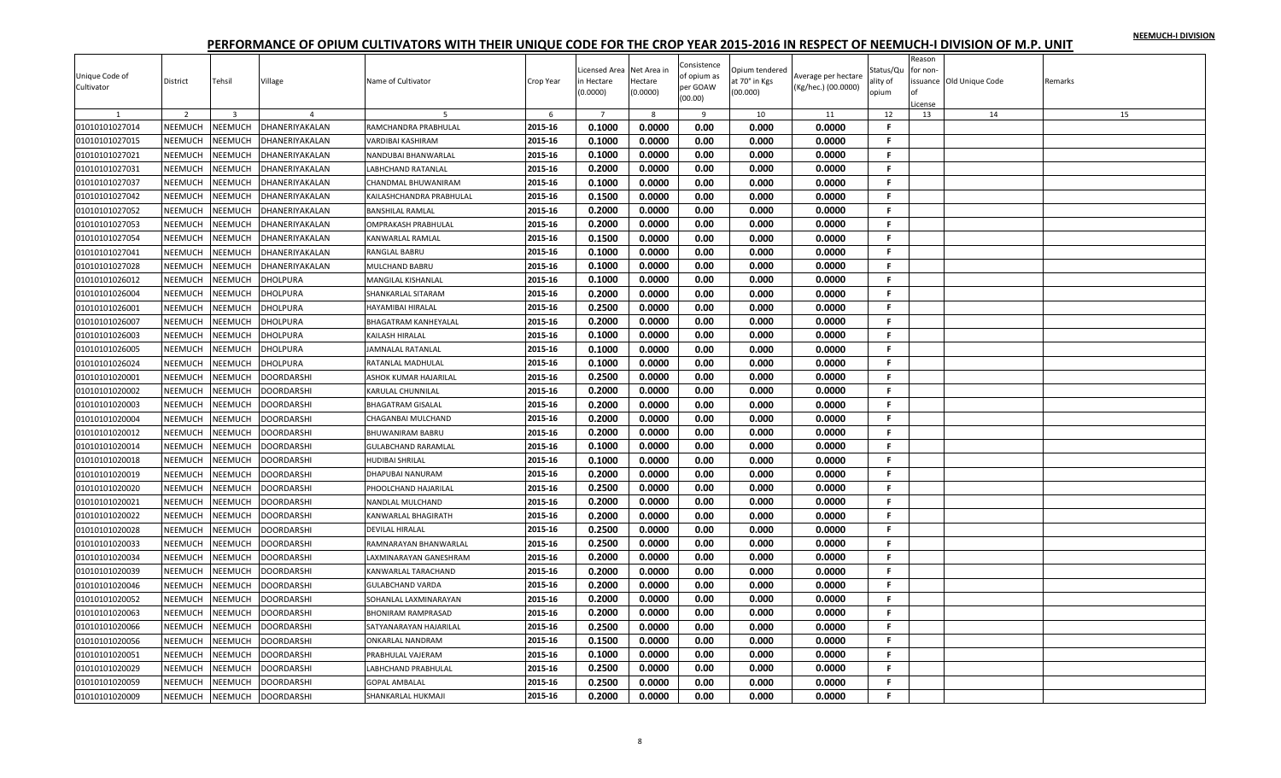| Unique Code of<br>Cultivator | District       | Tehsil         | Village           | Name of Cultivator          | Crop Year | Licensed Area<br>n Hectare<br>(0.0000) | Net Area in<br>Hectare<br>(0.0000) | Consistence<br>of opium as<br>per GOAW | Opium tendered<br>at 70° in Kgs<br>(00.000) | Average per hectare<br>(Kg/hec.) (00.0000) | Status/Qu<br>ality of<br>opium | Reason<br>or non- | issuance Old Unique Code | Remarks |
|------------------------------|----------------|----------------|-------------------|-----------------------------|-----------|----------------------------------------|------------------------------------|----------------------------------------|---------------------------------------------|--------------------------------------------|--------------------------------|-------------------|--------------------------|---------|
|                              |                |                |                   |                             |           |                                        |                                    | (00.00)                                |                                             |                                            |                                | License           |                          |         |
|                              | $\overline{2}$ | $\overline{3}$ | $\overline{4}$    |                             | 6         | $\overline{7}$                         | 8                                  | 9                                      | 10                                          | 11                                         | 12                             | 13                | 14                       | 15      |
| 01010101027014               | NEEMUCH        | NEEMUCH        | DHANERIYAKALAN    | RAMCHANDRA PRABHULAL        | 2015-16   | 0.1000                                 | 0.0000                             | 0.00                                   | 0.000                                       | 0.0000                                     | F                              |                   |                          |         |
| 01010101027015               | NEEMUCH        | NEEMUCH        | DHANERIYAKALAN    | <b>VARDIBAI KASHIRAM</b>    | 2015-16   | 0.1000                                 | 0.0000                             | 0.00                                   | 0.000                                       | 0.0000                                     | F.                             |                   |                          |         |
| 01010101027021               | NEEMUCH        | NEEMUCH        | DHANERIYAKALAN    | NANDUBAI BHANWARLAL         | 2015-16   | 0.1000                                 | 0.0000                             | 0.00                                   | 0.000                                       | 0.0000                                     | F.                             |                   |                          |         |
| 01010101027031               | <b>NEEMUCH</b> | <b>NEEMUCH</b> | DHANERIYAKALAN    | <b>LABHCHAND RATANLAL</b>   | 2015-16   | 0.2000                                 | 0.0000                             | 0.00                                   | 0.000                                       | 0.0000                                     | F.                             |                   |                          |         |
| 01010101027037               | NEEMUCH        | NEEMUCH        | DHANERIYAKALAN    | CHANDMAL BHUWANIRAM         | 2015-16   | 0.1000                                 | 0.0000                             | 0.00                                   | 0.000                                       | 0.0000                                     | F.                             |                   |                          |         |
| 01010101027042               | <b>NEEMUCH</b> | NEEMUCH        | DHANERIYAKALAN    | KAILASHCHANDRA PRABHULAL    | 2015-16   | 0.1500                                 | 0.0000                             | 0.00                                   | 0.000                                       | 0.0000                                     | F.                             |                   |                          |         |
| 01010101027052               | NEEMUCH        | NEEMUCH        | DHANERIYAKALAN    | <b>BANSHILAL RAMLAL</b>     | 2015-16   | 0.2000                                 | 0.0000                             | 0.00                                   | 0.000                                       | 0.0000                                     | F.                             |                   |                          |         |
| 01010101027053               | NEEMUCH        | NEEMUCH        | DHANERIYAKALAN    | <b>OMPRAKASH PRABHULAL</b>  | 2015-16   | 0.2000                                 | 0.0000                             | 0.00                                   | 0.000                                       | 0.0000                                     | F.                             |                   |                          |         |
| 01010101027054               | NEEMUCH        | NEEMUCH        | DHANERIYAKALAN    | KANWARLAL RAMLAL            | 2015-16   | 0.1500                                 | 0.0000                             | 0.00                                   | 0.000                                       | 0.0000                                     | F.                             |                   |                          |         |
| 01010101027041               | NEEMUCH        | NEEMUCH        | DHANERIYAKALAN    | <b>RANGLAL BABRU</b>        | 2015-16   | 0.1000                                 | 0.0000                             | 0.00                                   | 0.000                                       | 0.0000                                     | .F                             |                   |                          |         |
| 01010101027028               | NEEMUCH        | NEEMUCH        | DHANERIYAKALAN    | <b>MULCHAND BABRU</b>       | 2015-16   | 0.1000                                 | 0.0000                             | 0.00                                   | 0.000                                       | 0.0000                                     | F.                             |                   |                          |         |
| 01010101026012               | NEEMUCH        | NEEMUCH        | DHOLPURA          | <b>MANGILAL KISHANLAL</b>   | 2015-16   | 0.1000                                 | 0.0000                             | 0.00                                   | 0.000                                       | 0.0000                                     | F.                             |                   |                          |         |
| 01010101026004               | NEEMUCH        | NEEMUCH        | DHOLPURA          | SHANKARLAL SITARAM          | 2015-16   | 0.2000                                 | 0.0000                             | 0.00                                   | 0.000                                       | 0.0000                                     | F.                             |                   |                          |         |
| 01010101026001               | NEEMUCH        | NEEMUCH        | <b>DHOLPURA</b>   | HAYAMIBAI HIRALAL           | 2015-16   | 0.2500                                 | 0.0000                             | 0.00                                   | 0.000                                       | 0.0000                                     | F.                             |                   |                          |         |
| 01010101026007               | NEEMUCH        | <b>NEEMUCH</b> | DHOLPURA          | <b>BHAGATRAM KANHEYALAL</b> | 2015-16   | 0.2000                                 | 0.0000                             | 0.00                                   | 0.000                                       | 0.0000                                     | F.                             |                   |                          |         |
| 01010101026003               | NEEMUCH        | NEEMUCH        | DHOLPURA          | <b>KAILASH HIRALAL</b>      | 2015-16   | 0.1000                                 | 0.0000                             | 0.00                                   | 0.000                                       | 0.0000                                     | F.                             |                   |                          |         |
| 01010101026005               | <b>NEEMUCH</b> | NEEMUCH        | <b>DHOLPURA</b>   | JAMNALAL RATANLAL           | 2015-16   | 0.1000                                 | 0.0000                             | 0.00                                   | 0.000                                       | 0.0000                                     | F.                             |                   |                          |         |
| 01010101026024               | NEEMUCH        | NEEMUCH        | DHOLPURA          | RATANLAL MADHULAL           | 2015-16   | 0.1000                                 | 0.0000                             | 0.00                                   | 0.000                                       | 0.0000                                     | F                              |                   |                          |         |
| 01010101020001               | NEEMUCH        | NEEMUCH        | DOORDARSHI        | ASHOK KUMAR HAJARILAL       | 2015-16   | 0.2500                                 | 0.0000                             | 0.00                                   | 0.000                                       | 0.0000                                     | F.                             |                   |                          |         |
| 01010101020002               | NEEMUCH        | NEEMUCH        | <b>DOORDARSHI</b> | <b>KARULAL CHUNNILAL</b>    | 2015-16   | 0.2000                                 | 0.0000                             | 0.00                                   | 0.000                                       | 0.0000                                     | F.                             |                   |                          |         |
| 01010101020003               | NEEMUCH        | NEEMUCH        | DOORDARSHI        | <b>BHAGATRAM GISALAL</b>    | 2015-16   | 0.2000                                 | 0.0000                             | 0.00                                   | 0.000                                       | 0.0000                                     | F.                             |                   |                          |         |
| 01010101020004               | NEEMUCH        | NEEMUCH        | DOORDARSHI        | CHAGANBAI MULCHAND          | 2015-16   | 0.2000                                 | 0.0000                             | 0.00                                   | 0.000                                       | 0.0000                                     | F.                             |                   |                          |         |
| 01010101020012               | <b>NEEMUCH</b> | NEEMUCH        | <b>DOORDARSHI</b> | <b>BHUWANIRAM BABRU</b>     | 2015-16   | 0.2000                                 | 0.0000                             | 0.00                                   | 0.000                                       | 0.0000                                     | F.                             |                   |                          |         |
| 01010101020014               | NEEMUCH        | NEEMUCH        | <b>DOORDARSHI</b> | <b>GULABCHAND RARAMLAL</b>  | 2015-16   | 0.1000                                 | 0.0000                             | 0.00                                   | 0.000                                       | 0.0000                                     | F.                             |                   |                          |         |
| 01010101020018               | NEEMUCH        | NEEMUCH        | DOORDARSHI        | <b>HUDIBAI SHRILAL</b>      | 2015-16   | 0.1000                                 | 0.0000                             | 0.00                                   | 0.000                                       | 0.0000                                     | F.                             |                   |                          |         |
| 01010101020019               | <b>NEEMUCH</b> | <b>NEEMUCH</b> | <b>DOORDARSHI</b> | DHAPUBAI NANURAM            | 2015-16   | 0.2000                                 | 0.0000                             | 0.00                                   | 0.000                                       | 0.0000                                     | F.                             |                   |                          |         |
| 01010101020020               | NEEMUCH        | NEEMUCH        | DOORDARSHI        | PHOOLCHAND HAJARILAL        | 2015-16   | 0.2500                                 | 0.0000                             | 0.00                                   | 0.000                                       | 0.0000                                     | F.                             |                   |                          |         |
| 01010101020021               | NEEMUCH        | NEEMUCH        | <b>DOORDARSHI</b> | NANDLAL MULCHAND            | 2015-16   | 0.2000                                 | 0.0000                             | 0.00                                   | 0.000                                       | 0.0000                                     | F.                             |                   |                          |         |
| 01010101020022               | NEEMUCH        | NEEMUCH        | <b>DOORDARSHI</b> | <b>KANWARLAL BHAGIRATH</b>  | 2015-16   | 0.2000                                 | 0.0000                             | 0.00                                   | 0.000                                       | 0.0000                                     | F.                             |                   |                          |         |
| 01010101020028               | NEEMUCH        | NEEMUCH        | DOORDARSHI        | <b>DEVILAL HIRALAL</b>      | 2015-16   | 0.2500                                 | 0.0000                             | 0.00                                   | 0.000                                       | 0.0000                                     | F.                             |                   |                          |         |
| 01010101020033               | NEEMUCH        | NEEMUCH        | <b>DOORDARSHI</b> | RAMNARAYAN BHANWARLAL       | 2015-16   | 0.2500                                 | 0.0000                             | 0.00                                   | 0.000                                       | 0.0000                                     | F.                             |                   |                          |         |
| 01010101020034               | <b>NEEMUCH</b> | NEEMUCH        | DOORDARSHI        | LAXMINARAYAN GANESHRAM      | 2015-16   | 0.2000                                 | 0.0000                             | 0.00                                   | 0.000                                       | 0.0000                                     | F.                             |                   |                          |         |
| 01010101020039               | NEEMUCH        | NEEMUCH        | <b>DOORDARSHI</b> | KANWARLAL TARACHAND         | 2015-16   | 0.2000                                 | 0.0000                             | 0.00                                   | 0.000                                       | 0.0000                                     | F.                             |                   |                          |         |
| 01010101020046               | NEEMUCH        | NEEMUCH        | DOORDARSHI        | <b>GULABCHAND VARDA</b>     | 2015-16   | 0.2000                                 | 0.0000                             | 0.00                                   | 0.000                                       | 0.0000                                     | F.                             |                   |                          |         |
| 01010101020052               | NEEMUCH        | NEEMUCH        | DOORDARSHI        | SOHANLAL LAXMINARAYAN       | 2015-16   | 0.2000                                 | 0.0000                             | 0.00                                   | 0.000                                       | 0.0000                                     | F.                             |                   |                          |         |
| 01010101020063               | NEEMUCH        | NEEMUCH        | <b>DOORDARSHI</b> | <b>BHONIRAM RAMPRASAD</b>   | 2015-16   | 0.2000                                 | 0.0000                             | 0.00                                   | 0.000                                       | 0.0000                                     | F.                             |                   |                          |         |
| 01010101020066               | NEEMUCH        | NEEMUCH        | DOORDARSHI        | SATYANARAYAN HAJARILAL      | 2015-16   | 0.2500                                 | 0.0000                             | 0.00                                   | 0.000                                       | 0.0000                                     | F.                             |                   |                          |         |
| 01010101020056               | NEEMUCH        | NEEMUCH        | DOORDARSHI        | <b>ONKARLAL NANDRAM</b>     | 2015-16   | 0.1500                                 | 0.0000                             | 0.00                                   | 0.000                                       | 0.0000                                     | F.                             |                   |                          |         |
| 01010101020051               | <b>NEEMUCH</b> | NEEMUCH        | <b>DOORDARSHI</b> | PRABHULAL VAJERAM           | 2015-16   | 0.1000                                 | 0.0000                             | 0.00                                   | 0.000                                       | 0.0000                                     | F.                             |                   |                          |         |
| 01010101020029               | NEEMUCH        | <b>NEEMUCH</b> | DOORDARSHI        | LABHCHAND PRABHULAL         | 2015-16   | 0.2500                                 | 0.0000                             | 0.00                                   | 0.000                                       | 0.0000                                     | F                              |                   |                          |         |
| 01010101020059               | NEEMUCH        | NEEMUCH        | DOORDARSHI        | <b>GOPAL AMBALAL</b>        | 2015-16   | 0.2500                                 | 0.0000                             | 0.00                                   | 0.000                                       | 0.0000                                     | F.                             |                   |                          |         |
| 01010101020009               | NEEMUCH        | <b>NEEMUCH</b> | <b>DOORDARSHI</b> | SHANKARLAL HUKMAJI          | 2015-16   | 0.2000                                 | 0.0000                             | 0.00                                   | 0.000                                       | 0.0000                                     | F.                             |                   |                          |         |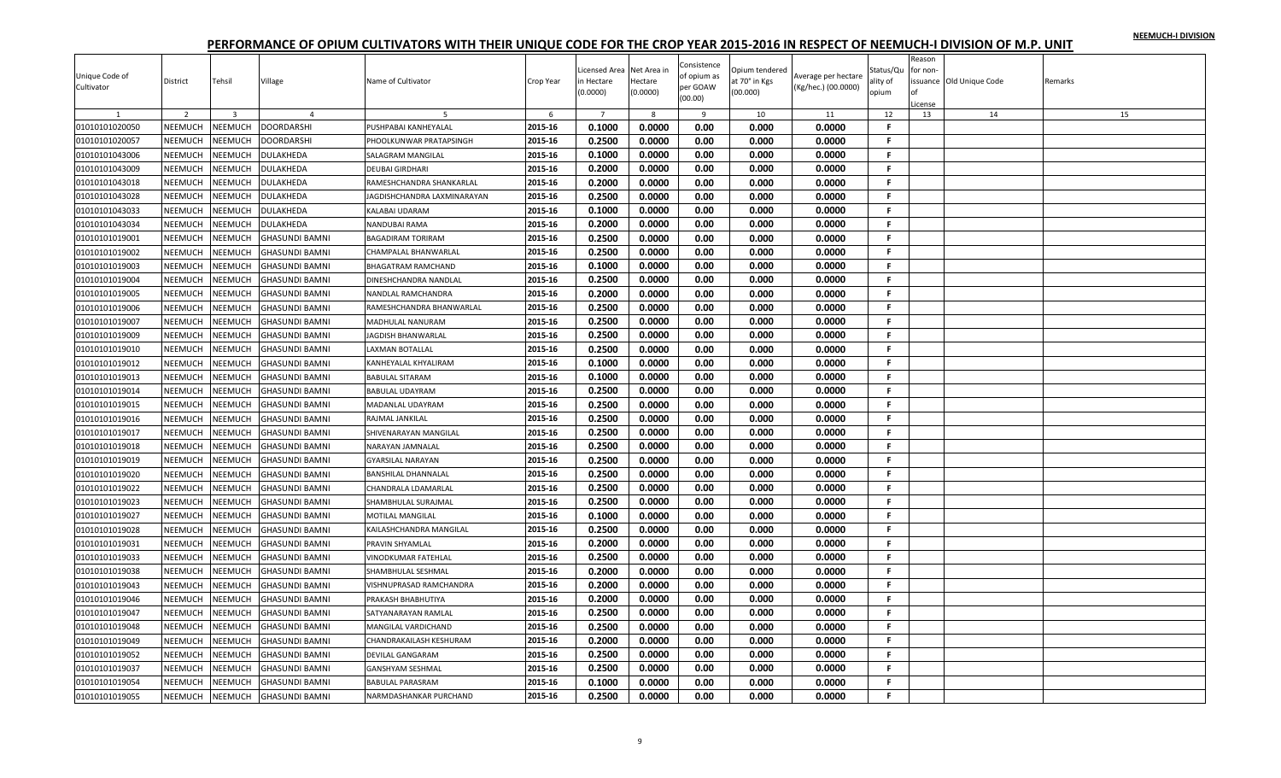|                |                |                |                       |                             |           |                |             | Consistence |                |                     |              | Reason   |                         |         |
|----------------|----------------|----------------|-----------------------|-----------------------------|-----------|----------------|-------------|-------------|----------------|---------------------|--------------|----------|-------------------------|---------|
| Unique Code of |                |                |                       |                             |           | icensed Area   | Net Area in | of opium as | Opium tendered | Average per hectare | Status/Qu    | for non- |                         |         |
| Cultivator     | District       | Tehsil         | Village               | Name of Cultivator          | Crop Year | n Hectare      | Hectare     | per GOAW    | at 70° in Kgs  | (Kg/hec.) (00.0000) | ality of     |          | ssuance Old Unique Code | Remarks |
|                |                |                |                       |                             |           | (0.0000)       | (0.0000)    | (00.00)     | (00.000)       |                     | opium        |          |                         |         |
|                |                |                |                       |                             |           |                |             |             |                |                     |              | License  |                         |         |
|                | 2              | $\overline{3}$ | $\overline{a}$        |                             | 6         | $\overline{7}$ | 8           | 9           | 10             | 11                  | 12           | 13       | 14                      | 15      |
| 01010101020050 | NEEMUCH        | NEEMUCH        | <b>DOORDARSHI</b>     | PUSHPABAI KANHEYALAI        | 2015-16   | 0.1000         | 0.0000      | 0.00        | 0.000          | 0.0000              | F.           |          |                         |         |
| 01010101020057 | NEEMUCH        | NEEMUCH        | DOORDARSHI            | PHOOLKUNWAR PRATAPSINGH     | 2015-16   | 0.2500         | 0.0000      | 0.00        | 0.000          | 0.0000              | F.           |          |                         |         |
| 01010101043006 | NEEMUCH        | NEEMUCH        | DULAKHEDA             | SALAGRAM MANGILAL           | 2015-16   | 0.1000         | 0.0000      | 0.00        | 0.000          | 0.0000              | F.           |          |                         |         |
| 01010101043009 | NEEMUCH        | NEEMUCH        | DULAKHEDA             | <b>DEUBAI GIRDHARI</b>      | 2015-16   | 0.2000         | 0.0000      | 0.00        | 0.000          | 0.0000              | F.           |          |                         |         |
| 01010101043018 | NEEMUCH        | NEEMUCH        | DULAKHEDA             | RAMESHCHANDRA SHANKARLAL    | 2015-16   | 0.2000         | 0.0000      | 0.00        | 0.000          | 0.0000              | F.           |          |                         |         |
| 01010101043028 | NEEMUCH        | NEEMUCH        | DULAKHEDA             | JAGDISHCHANDRA LAXMINARAYAN | 2015-16   | 0.2500         | 0.0000      | 0.00        | 0.000          | 0.0000              | F.           |          |                         |         |
| 01010101043033 | NEEMUCH        | NEEMUCH        | DULAKHEDA             | <b>KALABAI UDARAM</b>       | 2015-16   | 0.1000         | 0.0000      | 0.00        | 0.000          | 0.0000              | F            |          |                         |         |
| 01010101043034 | NEEMUCH        | NEEMUCH        | DULAKHEDA             | NANDUBAI RAMA               | 2015-16   | 0.2000         | 0.0000      | 0.00        | 0.000          | 0.0000              | F.           |          |                         |         |
| 01010101019001 | <b>NEEMUCH</b> | NEEMUCH        | GHASUNDI BAMNI        | <b>BAGADIRAM TORIRAM</b>    | 2015-16   | 0.2500         | 0.0000      | 0.00        | 0.000          | 0.0000              | F.           |          |                         |         |
| 01010101019002 | NEEMUCH        | NEEMUCH        | <b>GHASUNDI BAMNI</b> | CHAMPALAL BHANWARLAL        | 2015-16   | 0.2500         | 0.0000      | 0.00        | 0.000          | 0.0000              | F.           |          |                         |         |
| 01010101019003 | NEEMUCH        | NEEMUCH        | <b>GHASUNDI BAMNI</b> | <b>BHAGATRAM RAMCHAND</b>   | 2015-16   | 0.1000         | 0.0000      | 0.00        | 0.000          | 0.0000              | F.           |          |                         |         |
| 01010101019004 | <b>NEEMUCH</b> | NEEMUCH        | GHASUNDI BAMNI        | DINESHCHANDRA NANDLAL       | 2015-16   | 0.2500         | 0.0000      | 0.00        | 0.000          | 0.0000              | F.           |          |                         |         |
| 01010101019005 | NEEMUCH        | NEEMUCH        | <b>GHASUNDI BAMNI</b> | NANDLAL RAMCHANDRA          | 2015-16   | 0.2000         | 0.0000      | 0.00        | 0.000          | 0.0000              | F.           |          |                         |         |
| 01010101019006 | NEEMUCH        | NEEMUCH        | GHASUNDI BAMNI        | RAMESHCHANDRA BHANWARLAL    | 2015-16   | 0.2500         | 0.0000      | 0.00        | 0.000          | 0.0000              | F.           |          |                         |         |
|                |                |                |                       |                             |           |                |             |             |                |                     |              |          |                         |         |
| 01010101019007 | NEEMUCH        | NEEMUCH        | GHASUNDI BAMNI        | <b>MADHULAL NANURAM</b>     | 2015-16   | 0.2500         | 0.0000      | 0.00        | 0.000          | 0.0000              | F.           |          |                         |         |
| 01010101019009 | NEEMUCH        | NEEMUCH        | <b>GHASUNDI BAMNI</b> | <b>JAGDISH BHANWARLAL</b>   | 2015-16   | 0.2500         | 0.0000      | 0.00        | 0.000          | 0.0000              | F.           |          |                         |         |
| 01010101019010 | <b>NEEMUCH</b> | <b>NEEMUCH</b> | GHASUNDI BAMNI        | <b>LAXMAN BOTALLAL</b>      | 2015-16   | 0.2500         | 0.0000      | 0.00        | 0.000          | 0.0000              | F.           |          |                         |         |
| 01010101019012 | <b>NEEMUCH</b> | NEEMUCH        | GHASUNDI BAMNI        | KANHEYALAL KHYALIRAM        | 2015-16   | 0.1000         | 0.0000      | 0.00        | 0.000          | 0.0000              | F.           |          |                         |         |
| 01010101019013 | NEEMUCH        | NEEMUCH        | GHASUNDI BAMNI        | <b>BABULAL SITARAM</b>      | 2015-16   | 0.1000         | 0.0000      | 0.00        | 0.000          | 0.0000              | F.           |          |                         |         |
| 01010101019014 | NEEMUCH        | NEEMUCH        | GHASUNDI BAMNI        | <b>BABULAL UDAYRAM</b>      | 2015-16   | 0.2500         | 0.0000      | 0.00        | 0.000          | 0.0000              | F.           |          |                         |         |
| 01010101019015 | NEEMUCH        | <b>NEEMUCH</b> | GHASUNDI BAMNI        | MADANLAL UDAYRAM            | 2015-16   | 0.2500         | 0.0000      | 0.00        | 0.000          | 0.0000              | $\mathbf{F}$ |          |                         |         |
| 01010101019016 | NEEMUCH        | NEEMUCH        | <b>GHASUNDI BAMNI</b> | RAJMAL JANKILAL             | 2015-16   | 0.2500         | 0.0000      | 0.00        | 0.000          | 0.0000              | F.           |          |                         |         |
| 01010101019017 | <b>NEEMUCH</b> | NEEMUCH        | GHASUNDI BAMNI        | SHIVENARAYAN MANGILAL       | 2015-16   | 0.2500         | 0.0000      | 0.00        | 0.000          | 0.0000              | F.           |          |                         |         |
| 01010101019018 | NEEMUCH        | NEEMUCH        | <b>GHASUNDI BAMNI</b> | <b>NARAYAN JAMNALAL</b>     | 2015-16   | 0.2500         | 0.0000      | 0.00        | 0.000          | 0.0000              | F.           |          |                         |         |
| 01010101019019 | NEEMUCH        | NEEMUCH        | GHASUNDI BAMNI        | <b>GYARSILAL NARAYAN</b>    | 2015-16   | 0.2500         | 0.0000      | 0.00        | 0.000          | 0.0000              | F.           |          |                         |         |
| 01010101019020 | NEEMUCH        | <b>NEEMUCH</b> | GHASUNDI BAMNI        | <b>BANSHILAL DHANNALAL</b>  | 2015-16   | 0.2500         | 0.0000      | 0.00        | 0.000          | 0.0000              | F.           |          |                         |         |
| 01010101019022 | NEEMUCH        | NEEMUCH        | <b>GHASUNDI BAMNI</b> | CHANDRALA LDAMARLAL         | 2015-16   | 0.2500         | 0.0000      | 0.00        | 0.000          | 0.0000              | -F.          |          |                         |         |
| 01010101019023 | NEEMUCH        | NEEMUCH        | <b>GHASUNDI BAMNI</b> | SHAMBHULAL SURAJMAL         | 2015-16   | 0.2500         | 0.0000      | 0.00        | 0.000          | 0.0000              | F.           |          |                         |         |
| 01010101019027 | NEEMUCH        | NEEMUCH        | GHASUNDI BAMNI        | <b>MOTILAL MANGILAL</b>     | 2015-16   | 0.1000         | 0.0000      | 0.00        | 0.000          | 0.0000              | F.           |          |                         |         |
| 01010101019028 | NEEMUCH        | NEEMUCH        | GHASUNDI BAMNI        | KAILASHCHANDRA MANGILAL     | 2015-16   | 0.2500         | 0.0000      | 0.00        | 0.000          | 0.0000              | F.           |          |                         |         |
| 01010101019031 | NEEMUCH        | NEEMUCH        | GHASUNDI BAMNI        | PRAVIN SHYAMLAL             | 2015-16   | 0.2000         | 0.0000      | 0.00        | 0.000          | 0.0000              | F.           |          |                         |         |
|                |                |                |                       |                             |           |                |             |             |                |                     | F.           |          |                         |         |
| 01010101019033 | NEEMUCH        | NEEMUCH        | GHASUNDI BAMNI        | VINODKUMAR FATEHLAL         | 2015-16   | 0.2500         | 0.0000      | 0.00        | 0.000          | 0.0000              |              |          |                         |         |
| 01010101019038 | NEEMUCH        | NEEMUCH        | <b>GHASUNDI BAMNI</b> | SHAMBHULAL SESHMAL          | 2015-16   | 0.2000         | 0.0000      | 0.00        | 0.000          | 0.0000              | F.           |          |                         |         |
| 01010101019043 | <b>NEEMUCH</b> | NEEMUCH        | GHASUNDI BAMNI        | VISHNUPRASAD RAMCHANDRA     | 2015-16   | 0.2000         | 0.0000      | 0.00        | 0.000          | 0.0000              | F.           |          |                         |         |
| 01010101019046 | NEEMUCH        | NEEMUCH        | <b>GHASUNDI BAMNI</b> | PRAKASH BHABHUTIYA          | 2015-16   | 0.2000         | 0.0000      | 0.00        | 0.000          | 0.0000              | F.           |          |                         |         |
| 01010101019047 | NEEMUCH        | NEEMUCH        | <b>GHASUNDI BAMNI</b> | SATYANARAYAN RAMLAL         | 2015-16   | 0.2500         | 0.0000      | 0.00        | 0.000          | 0.0000              | F.           |          |                         |         |
| 01010101019048 | NEEMUCH        | NEEMUCH        | GHASUNDI BAMNI        | MANGILAL VARDICHAND         | 2015-16   | 0.2500         | 0.0000      | 0.00        | 0.000          | 0.0000              | F.           |          |                         |         |
| 01010101019049 | NEEMUCH        | NEEMUCH        | <b>GHASUNDI BAMNI</b> | CHANDRAKAILASH KESHURAM     | 2015-16   | 0.2000         | 0.0000      | 0.00        | 0.000          | 0.0000              | F.           |          |                         |         |
| 01010101019052 | <b>NEEMUCH</b> | NEEMUCH        | <b>GHASUNDI BAMNI</b> | <b>DEVILAL GANGARAM</b>     | 2015-16   | 0.2500         | 0.0000      | 0.00        | 0.000          | 0.0000              | F.           |          |                         |         |
| 01010101019037 | NEEMUCH        | NEEMUCH        | <b>GHASUNDI BAMNI</b> | <b>GANSHYAM SESHMAL</b>     | 2015-16   | 0.2500         | 0.0000      | 0.00        | 0.000          | 0.0000              | F            |          |                         |         |
| 01010101019054 | NEEMUCH        | NEEMUCH        | <b>GHASUNDI BAMNI</b> | <b>BABULAL PARASRAM</b>     | 2015-16   | 0.1000         | 0.0000      | 0.00        | 0.000          | 0.0000              | F.           |          |                         |         |
| 01010101019055 | NEEMUCH        | <b>NEEMUCH</b> | <b>GHASUNDI BAMNI</b> | NARMDASHANKAR PURCHAND      | 2015-16   | 0.2500         | 0.0000      | 0.00        | 0.000          | 0.0000              | F.           |          |                         |         |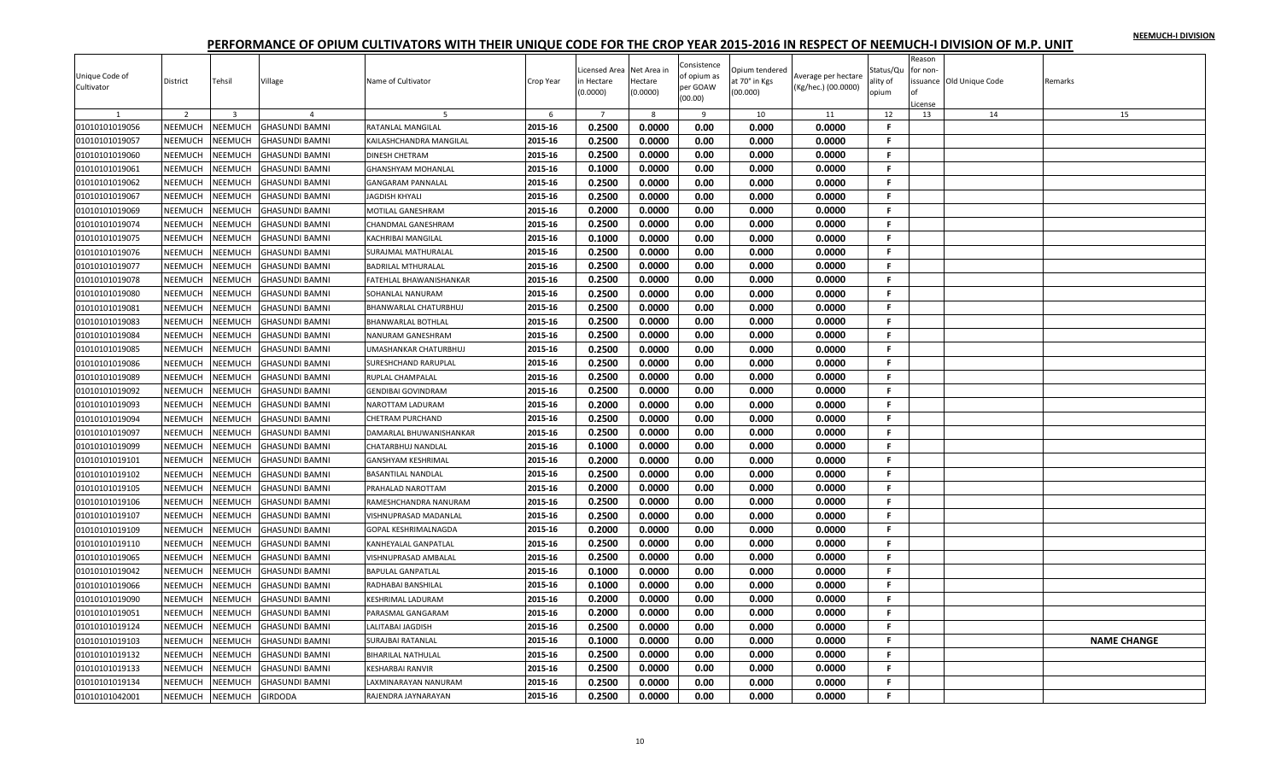|                |                |                         |                       |                             |           |                |              | Consistence |                |                     |           | Reason   |                          |                    |
|----------------|----------------|-------------------------|-----------------------|-----------------------------|-----------|----------------|--------------|-------------|----------------|---------------------|-----------|----------|--------------------------|--------------------|
| Unique Code of |                |                         |                       |                             |           | icensed Area   | Net Area in  | of opium as | Dpium tendered | Average per hectare | Status/Qu | for non- |                          |                    |
| Cultivator     | District       | Tehsil                  | Village               | Name of Cultivator          | Crop Year | n Hectare      | Hectare      | per GOAW    | it 70° in Kgs  | (Kg/hec.) (00.0000) | ality of  |          | issuance Old Unique Code | Remarks            |
|                |                |                         |                       |                             |           | (0.0000)       | (0.0000)     | (00.00)     | (00.000)       |                     | opium     | License  |                          |                    |
|                | 2              | $\overline{\mathbf{3}}$ | $\overline{a}$        | -5                          | 6         | $\overline{7}$ | $\mathbf{R}$ | 9           | 10             | 11                  | 12        | 13       | 14                       | 15                 |
| 01010101019056 | NEEMUCH        | <b>NEEMUCH</b>          | <b>GHASUNDI BAMNI</b> | RATANLAL MANGILAL           | 2015-16   | 0.2500         | 0.0000       | 0.00        | 0.000          | 0.0000              | F.        |          |                          |                    |
| 01010101019057 | NEEMUCH        | <b>NEEMUCH</b>          | <b>GHASUNDI BAMNI</b> | KAILASHCHANDRA MANGILAL     | 2015-16   | 0.2500         | 0.0000       | 0.00        | 0.000          | 0.0000              | F.        |          |                          |                    |
| 01010101019060 | NEEMUCH        | <b>NEEMUCH</b>          | <b>GHASUNDI BAMNI</b> | <b>DINESH CHETRAM</b>       | 2015-16   | 0.2500         | 0.0000       | 0.00        | 0.000          | 0.0000              | F.        |          |                          |                    |
| 01010101019061 | <b>NEEMUCH</b> | <b>NEEMUCH</b>          | <b>GHASUNDI BAMNI</b> | <b>GHANSHYAM MOHANLAL</b>   | 2015-16   | 0.1000         | 0.0000       | 0.00        | 0.000          | 0.0000              | F.        |          |                          |                    |
| 01010101019062 | NEEMUCH        | <b>NEEMUCH</b>          | <b>GHASUNDI BAMNI</b> | <b>GANGARAM PANNALAL</b>    | 2015-16   | 0.2500         | 0.0000       | 0.00        | 0.000          | 0.0000              | F.        |          |                          |                    |
| 01010101019067 | NEEMUCH        | <b>NEEMUCH</b>          | <b>GHASUNDI BAMNI</b> | <b>JAGDISH KHYALI</b>       | 2015-16   | 0.2500         | 0.0000       | 0.00        | 0.000          | 0.0000              | F.        |          |                          |                    |
| 01010101019069 | NEEMUCH        | <b>NEEMUCH</b>          | <b>GHASUNDI BAMNI</b> | MOTILAL GANESHRAM           | 2015-16   | 0.2000         | 0.0000       | 0.00        | 0.000          | 0.0000              | F.        |          |                          |                    |
| 01010101019074 | NEEMUCH        | <b>NEEMUCH</b>          | <b>GHASUNDI BAMNI</b> | CHANDMAL GANESHRAM          | 2015-16   | 0.2500         | 0.0000       | 0.00        | 0.000          | 0.0000              | F.        |          |                          |                    |
| 01010101019075 | NEEMUCH        | NEEMUCH                 | <b>GHASUNDI BAMNI</b> | KACHRIBAI MANGILAL          | 2015-16   | 0.1000         | 0.0000       | 0.00        | 0.000          | 0.0000              | F.        |          |                          |                    |
| 01010101019076 | NEEMUCH        | <b>NEEMUCH</b>          | GHASUNDI BAMNI        | SURAJMAL MATHURALAL         | 2015-16   | 0.2500         | 0.0000       | 0.00        | 0.000          | 0.0000              | F.        |          |                          |                    |
| 01010101019077 | NEEMUCH        | <b>NEEMUCH</b>          | <b>GHASUNDI BAMNI</b> | <b>BADRILAL MTHURALAL</b>   | 2015-16   | 0.2500         | 0.0000       | 0.00        | 0.000          | 0.0000              | F.        |          |                          |                    |
| 01010101019078 | NEEMUCH        | <b>NEEMUCH</b>          | <b>GHASUNDI BAMNI</b> | FATEHLAL BHAWANISHANKAR     | 2015-16   | 0.2500         | 0.0000       | 0.00        | 0.000          | 0.0000              | F.        |          |                          |                    |
| 01010101019080 | NEEMUCH        | <b>NEEMUCH</b>          | GHASUNDI BAMNI        | SOHANLAL NANURAM            | 2015-16   | 0.2500         | 0.0000       | 0.00        | 0.000          | 0.0000              | F         |          |                          |                    |
| 01010101019081 | NEEMUCH        | <b>NEEMUCH</b>          | GHASUNDI BAMNI        | BHANWARLAL CHATURBHUJ       | 2015-16   | 0.2500         | 0.0000       | 0.00        | 0.000          | 0.0000              | F.        |          |                          |                    |
| 01010101019083 | NEEMUCH        | <b>NEEMUCH</b>          | <b>GHASUNDI BAMNI</b> | BHANWARLAL BOTHLAL          | 2015-16   | 0.2500         | 0.0000       | 0.00        | 0.000          | 0.0000              | F.        |          |                          |                    |
| 01010101019084 | NEEMUCH        | <b>NEEMUCH</b>          | <b>GHASUNDI BAMNI</b> | NANURAM GANESHRAM           | 2015-16   | 0.2500         | 0.0000       | 0.00        | 0.000          | 0.0000              | F.        |          |                          |                    |
| 01010101019085 | NEEMUCH        | <b>NEEMUCH</b>          | GHASUNDI BAMNI        | UMASHANKAR CHATURBHUJ       | 2015-16   | 0.2500         | 0.0000       | 0.00        | 0.000          | 0.0000              | F.        |          |                          |                    |
| 01010101019086 | NEEMUCH        | <b>NEEMUCH</b>          | <b>GHASUNDI BAMNI</b> | SURESHCHAND RARUPLAL        | 2015-16   | 0.2500         | 0.0000       | 0.00        | 0.000          | 0.0000              | F.        |          |                          |                    |
| 01010101019089 | NEEMUCH        | <b>NEEMUCH</b>          | GHASUNDI BAMNI        | RUPLAL CHAMPALAL            | 2015-16   | 0.2500         | 0.0000       | 0.00        | 0.000          | 0.0000              | F.        |          |                          |                    |
| 01010101019092 | NEEMUCH        | <b>NEEMUCH</b>          | <b>GHASUNDI BAMNI</b> | <b>GENDIBAI GOVINDRAM</b>   | 2015-16   | 0.2500         | 0.0000       | 0.00        | 0.000          | 0.0000              | F.        |          |                          |                    |
| 01010101019093 | NEEMUCH        | <b>NEEMUCH</b>          | GHASUNDI BAMNI        | NAROTTAM LADURAM            | 2015-16   | 0.2000         | 0.0000       | 0.00        | 0.000          | 0.0000              | F.        |          |                          |                    |
| 01010101019094 | NEEMUCH        | <b>NEEMUCH</b>          | <b>GHASUNDI BAMNI</b> | <b>CHETRAM PURCHAND</b>     | 2015-16   | 0.2500         | 0.0000       | 0.00        | 0.000          | 0.0000              | F.        |          |                          |                    |
| 01010101019097 | NEEMUCH        | <b>NEEMUCH</b>          | <b>GHASUNDI BAMNI</b> | DAMARLAL BHUWANISHANKAR     | 2015-16   | 0.2500         | 0.0000       | 0.00        | 0.000          | 0.0000              | F.        |          |                          |                    |
| 01010101019099 | NEEMUCH        | <b>NEEMUCH</b>          | <b>GHASUNDI BAMNI</b> | CHATARBHUJ NANDLAL          | 2015-16   | 0.1000         | 0.0000       | 0.00        | 0.000          | 0.0000              | F         |          |                          |                    |
| 01010101019101 | NEEMUCH        | <b>NEEMUCH</b>          | <b>GHASUNDI BAMNI</b> | GANSHYAM KESHRIMAL          | 2015-16   | 0.2000         | 0.0000       | 0.00        | 0.000          | 0.0000              | F.        |          |                          |                    |
| 01010101019102 | NEEMUCH        | <b>NEEMUCH</b>          | GHASUNDI BAMNI        | <b>BASANTILAL NANDLAL</b>   | 2015-16   | 0.2500         | 0.0000       | 0.00        | 0.000          | 0.0000              | F.        |          |                          |                    |
| 01010101019105 | NEEMUCH        | <b>NEEMUCH</b>          | <b>GHASUNDI BAMNI</b> | PRAHALAD NAROTTAM           | 2015-16   | 0.2000         | 0.0000       | 0.00        | 0.000          | 0.0000              | F.        |          |                          |                    |
| 01010101019106 | NEEMUCH        | <b>NEEMUCH</b>          | <b>GHASUNDI BAMNI</b> | RAMESHCHANDRA NANURAM       | 2015-16   | 0.2500         | 0.0000       | 0.00        | 0.000          | 0.0000              | F.        |          |                          |                    |
| 01010101019107 | NEEMUCH        | <b>NEEMUCH</b>          | <b>GHASUNDI BAMNI</b> | VISHNUPRASAD MADANLAL       | 2015-16   | 0.2500         | 0.0000       | 0.00        | 0.000          | 0.0000              | F         |          |                          |                    |
| 01010101019109 | NEEMUCH        | <b>NEEMUCH</b>          | GHASUNDI BAMNI        | <b>GOPAL KESHRIMALNAGDA</b> | 2015-16   | 0.2000         | 0.0000       | 0.00        | 0.000          | 0.0000              | F.        |          |                          |                    |
| 01010101019110 | NEEMUCH        | <b>NEEMUCH</b>          | <b>GHASUNDI BAMNI</b> | KANHEYALAL GANPATLAL        | 2015-16   | 0.2500         | 0.0000       | 0.00        | 0.000          | 0.0000              | F.        |          |                          |                    |
| 01010101019065 | NEEMUCH        | <b>NEEMUCH</b>          | GHASUNDI BAMNI        | VISHNUPRASAD AMBALAL        | 2015-16   | 0.2500         | 0.0000       | 0.00        | 0.000          | 0.0000              | F.        |          |                          |                    |
| 01010101019042 | NEEMUCH        | <b>NEEMUCH</b>          | <b>GHASUNDI BAMNI</b> | <b>BAPULAL GANPATLAL</b>    | 2015-16   | 0.1000         | 0.0000       | 0.00        | 0.000          | 0.0000              | F.        |          |                          |                    |
| 01010101019066 | NEEMUCH        | <b>NEEMUCH</b>          | <b>GHASUNDI BAMNI</b> | RADHABAI BANSHILAL          | 2015-16   | 0.1000         | 0.0000       | 0.00        | 0.000          | 0.0000              | F.        |          |                          |                    |
| 01010101019090 | NEEMUCH        | <b>NEEMUCH</b>          | GHASUNDI BAMNI        | KESHRIMAL LADURAM           | 2015-16   | 0.2000         | 0.0000       | 0.00        | 0.000          | 0.0000              | F.        |          |                          |                    |
| 01010101019051 | NEEMUCH        | <b>NEEMUCH</b>          | <b>GHASUNDI BAMNI</b> | PARASMAL GANGARAM           | 2015-16   | 0.2000         | 0.0000       | 0.00        | 0.000          | 0.0000              | F.        |          |                          |                    |
| 01010101019124 | NEEMUCH        | <b>NEEMUCH</b>          | GHASUNDI BAMNI        | LALITABAI JAGDISH           | 2015-16   | 0.2500         | 0.0000       | 0.00        | 0.000          | 0.0000              | F.        |          |                          |                    |
| 01010101019103 | NEEMUCH        | <b>NEEMUCH</b>          | GHASUNDI BAMNI        | <b>SURAJBAI RATANLAL</b>    | 2015-16   | 0.1000         | 0.0000       | 0.00        | 0.000          | 0.0000              | F.        |          |                          | <b>NAME CHANGE</b> |
| 01010101019132 | NEEMUCH        | <b>NEEMUCH</b>          | <b>GHASUNDI BAMNI</b> | <b>BIHARILAL NATHULAL</b>   | 2015-16   | 0.2500         | 0.0000       | 0.00        | 0.000          | 0.0000              | F.        |          |                          |                    |
| 01010101019133 | NEEMUCH        | <b>NEEMUCH</b>          | <b>GHASUNDI BAMNI</b> | KESHARBAI RANVIR            | 2015-16   | 0.2500         | 0.0000       | 0.00        | 0.000          | 0.0000              | F.        |          |                          |                    |
| 01010101019134 | <b>NEEMUCH</b> | <b>JEEMUCH</b>          | <b>GHASUNDI BAMNI</b> | LAXMINARAYAN NANURAM        | 2015-16   | 0.2500         | 0.0000       | 0.00        | 0.000          | 0.0000              | F         |          |                          |                    |
| 01010101042001 | NEEMUCH        | NEEMUCH                 | <b>GIRDODA</b>        | RAJENDRA JAYNARAYAN         | 2015-16   | 0.2500         | 0.0000       | 0.00        | 0.000          | 0.0000              | F         |          |                          |                    |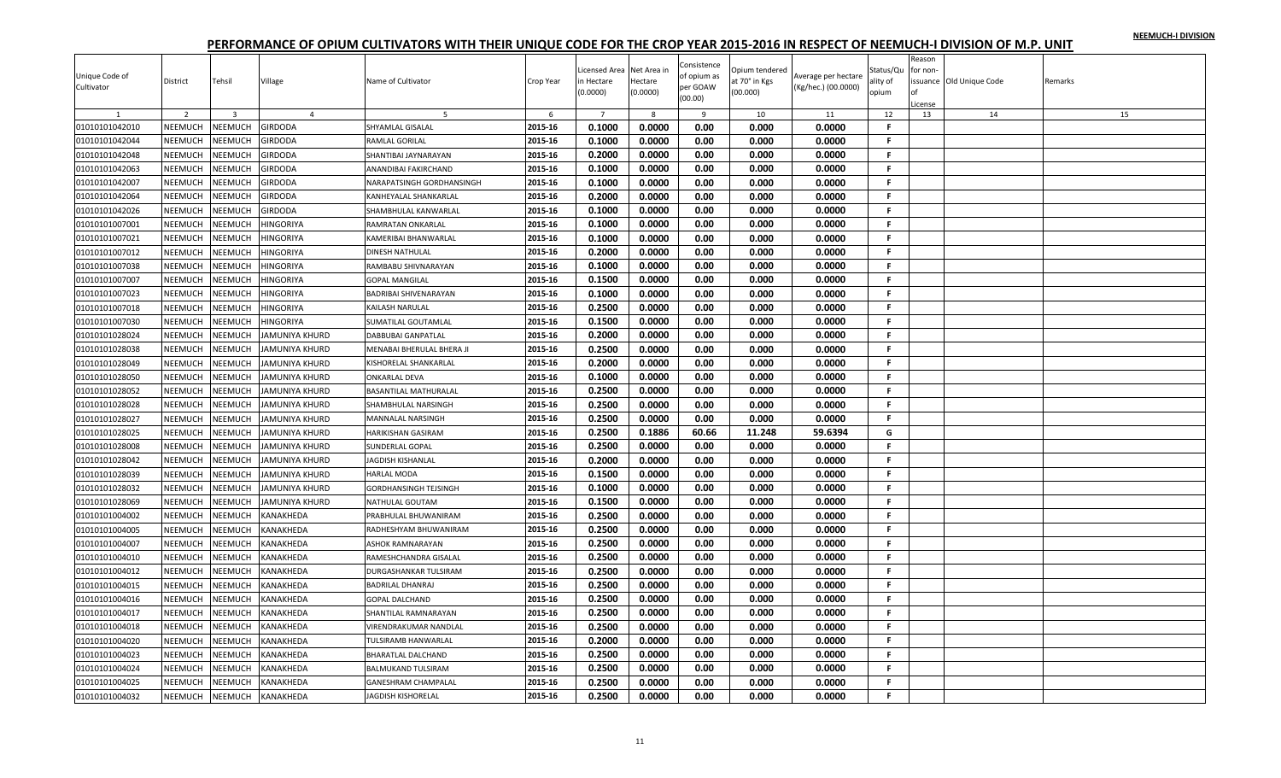|                |                |                |                  |                              |           | icensed Area   | Net Area in  | Consistence | Opium tendered |                     | Status/Qu    | Reason<br>for non- |                         |         |
|----------------|----------------|----------------|------------------|------------------------------|-----------|----------------|--------------|-------------|----------------|---------------------|--------------|--------------------|-------------------------|---------|
| Unique Code of | District       | Tehsil         | Village          | Name of Cultivator           | Crop Year | n Hectare      | Hectare      | of opium as | it 70° in Kgs  | Average per hectare | ality of     |                    | ssuance Old Unique Code | Remarks |
| Cultivator     |                |                |                  |                              |           | (0.0000)       | (0.0000)     | per GOAW    | (00.000)       | (Kg/hec.) (00.0000) | opium        |                    |                         |         |
|                |                |                |                  |                              |           |                |              | (00.00)     |                |                     |              | License            |                         |         |
|                | 2              | $\overline{3}$ | $\overline{4}$   |                              | 6         | $\overline{7}$ | $\mathbf{R}$ | 9           | 10             | 11                  | 12           | 13                 | 14                      | 15      |
| 01010101042010 | NEEMUCH        | NEEMUCH        | <b>GIRDODA</b>   | SHYAMLAL GISALAL             | 2015-16   | 0.1000         | 0.0000       | 0.00        | 0.000          | 0.0000              | F.           |                    |                         |         |
| 01010101042044 | NEEMUCH        | NEEMUCH        | GIRDODA          | RAMLAL GORILAL               | 2015-16   | 0.1000         | 0.0000       | 0.00        | 0.000          | 0.0000              | F.           |                    |                         |         |
| 01010101042048 | NEEMUCH        | NEEMUCH        | GIRDODA          | SHANTIBAI JAYNARAYAN         | 2015-16   | 0.2000         | 0.0000       | 0.00        | 0.000          | 0.0000              | F.           |                    |                         |         |
| 01010101042063 | <b>NEEMUCH</b> | NEEMUCH        | GIRDODA          | ANANDIBAI FAKIRCHAND         | 2015-16   | 0.1000         | 0.0000       | 0.00        | 0.000          | 0.0000              | F.           |                    |                         |         |
| 01010101042007 | NEEMUCH        | NEEMUCH        | GIRDODA          | NARAPATSINGH GORDHANSINGH    | 2015-16   | 0.1000         | 0.0000       | 0.00        | 0.000          | 0.0000              | F.           |                    |                         |         |
| 01010101042064 | NEEMUCH        | NEEMUCH        | GIRDODA          | KANHEYALAL SHANKARLAL        | 2015-16   | 0.2000         | 0.0000       | 0.00        | 0.000          | 0.0000              | F.           |                    |                         |         |
| 01010101042026 | NEEMUCH        | NEEMUCH        | GIRDODA          | SHAMBHULAL KANWARLAL         | 2015-16   | 0.1000         | 0.0000       | 0.00        | 0.000          | 0.0000              | F            |                    |                         |         |
| 01010101007001 | NEEMUCH        | NEEMUCH        | HINGORIYA        | RAMRATAN ONKARLAL            | 2015-16   | 0.1000         | 0.0000       | 0.00        | 0.000          | 0.0000              | F.           |                    |                         |         |
| 01010101007021 | NEEMUCH        | <b>NEEMUCH</b> | HINGORIYA        | KAMERIBAI BHANWARLAL         | 2015-16   | 0.1000         | 0.0000       | 0.00        | 0.000          | 0.0000              | F.           |                    |                         |         |
| 01010101007012 | NEEMUCH        | NEEMUCH        | HINGORIYA        | <b>DINESH NATHULAL</b>       | 2015-16   | 0.2000         | 0.0000       | 0.00        | 0.000          | 0.0000              | F.           |                    |                         |         |
| 01010101007038 | NEEMUCH        | NEEMUCH        | HINGORIYA        | RAMBABU SHIVNARAYAN          | 2015-16   | 0.1000         | 0.0000       | 0.00        | 0.000          | 0.0000              | F.           |                    |                         |         |
| 01010101007007 | <b>NEEMUCH</b> | NEEMUCH        | HINGORIYA        | <b>GOPAL MANGILAL</b>        | 2015-16   | 0.1500         | 0.0000       | 0.00        | 0.000          | 0.0000              | F.           |                    |                         |         |
| 01010101007023 | <b>NEEMUCH</b> | NEEMUCH        | <b>HINGORIYA</b> | <b>BADRIBAI SHIVENARAYAN</b> | 2015-16   | 0.1000         | 0.0000       | 0.00        | 0.000          | 0.0000              | F.           |                    |                         |         |
| 01010101007018 | NEEMUCH        | NEEMUCH        | HINGORIYA        | KAILASH NARULAL              | 2015-16   | 0.2500         | 0.0000       | 0.00        | 0.000          | 0.0000              | F.           |                    |                         |         |
| 01010101007030 | NEEMUCH        | NEEMUCH        | HINGORIYA        | SUMATILAL GOUTAMLAL          | 2015-16   | 0.1500         | 0.0000       | 0.00        | 0.000          | 0.0000              | F.           |                    |                         |         |
| 01010101028024 | <b>NEEMUCH</b> | NEEMUCH        | JAMUNIYA KHURD   | <b>DABBUBAI GANPATLAL</b>    | 2015-16   | 0.2000         | 0.0000       | 0.00        | 0.000          | 0.0000              | $\mathbf{F}$ |                    |                         |         |
| 01010101028038 | <b>NEEMUCH</b> | NEEMUCH        | JAMUNIYA KHURD   | MENABAI BHERULAL BHERA JI    | 2015-16   | 0.2500         | 0.0000       | 0.00        | 0.000          | 0.0000              | F.           |                    |                         |         |
| 01010101028049 | NEEMUCH        | NEEMUCH        | JAMUNIYA KHURD   | KISHORELAL SHANKARLAI        | 2015-16   | 0.2000         | 0.0000       | 0.00        | 0.000          | 0.0000              | F.           |                    |                         |         |
| 01010101028050 | NEEMUCH        | NEEMUCH        | JAMUNIYA KHURD   | <b>ONKARLAL DEVA</b>         | 2015-16   | 0.1000         | 0.0000       | 0.00        | 0.000          | 0.0000              | F.           |                    |                         |         |
| 01010101028052 | NEEMUCH        | NEEMUCH        | JAMUNIYA KHURD   | <b>BASANTILAL MATHURALAL</b> | 2015-16   | 0.2500         | 0.0000       | 0.00        | 0.000          | 0.0000              | F.           |                    |                         |         |
| 01010101028028 | NEEMUCH        | <b>NEEMUCH</b> | JAMUNIYA KHURD   | SHAMBHULAL NARSINGH          | 2015-16   | 0.2500         | 0.0000       | 0.00        | 0.000          | 0.0000              | F.           |                    |                         |         |
| 01010101028027 | NEEMUCH        | NEEMUCH        | JAMUNIYA KHURD   | MANNALAL NARSINGH            | 2015-16   | 0.2500         | 0.0000       | 0.00        | 0.000          | 0.0000              | F.           |                    |                         |         |
| 01010101028025 | NEEMUCH        | NEEMUCH        | JAMUNIYA KHURD   | <b>HARIKISHAN GASIRAM</b>    | 2015-16   | 0.2500         | 0.1886       | 60.66       | 11.248         | 59.6394             | G            |                    |                         |         |
| 01010101028008 | NEEMUCH        | <b>NEEMUCH</b> | IAMUNIYA KHURD   | <b>SUNDERLAL GOPAL</b>       | 2015-16   | 0.2500         | 0.0000       | 0.00        | 0.000          | 0.0000              | F            |                    |                         |         |
| 01010101028042 | NEEMUCH        | NEEMUCH        | JAMUNIYA KHURD   | JAGDISH KISHANLAL            | 2015-16   | 0.2000         | 0.0000       | 0.00        | 0.000          | 0.0000              | F.           |                    |                         |         |
| 01010101028039 | NEEMUCH        | NEEMUCH        | JAMUNIYA KHURD   | <b>HARLAL MODA</b>           | 2015-16   | 0.1500         | 0.0000       | 0.00        | 0.000          | 0.0000              | F.           |                    |                         |         |
| 01010101028032 | NEEMUCH        | NEEMUCH        | JAMUNIYA KHURD   | <b>GORDHANSINGH TEJSINGH</b> | 2015-16   | 0.1000         | 0.0000       | 0.00        | 0.000          | 0.0000              | F.           |                    |                         |         |
| 01010101028069 | NEEMUCH        | NEEMUCH        | JAMUNIYA KHURD   | NATHULAL GOUTAM              | 2015-16   | 0.1500         | 0.0000       | 0.00        | 0.000          | 0.0000              | F.           |                    |                         |         |
| 01010101004002 | <b>NEEMUCH</b> | NEEMUCH        | KANAKHEDA        | PRABHULAL BHUWANIRAM         | 2015-16   | 0.2500         | 0.0000       | 0.00        | 0.000          | 0.0000              | F            |                    |                         |         |
| 01010101004005 | NEEMUCH        | NEEMUCH        | KANAKHEDA        | RADHESHYAM BHUWANIRAM        | 2015-16   | 0.2500         | 0.0000       | 0.00        | 0.000          | 0.0000              | F.           |                    |                         |         |
| 01010101004007 | NEEMUCH        | NEEMUCH        | KANAKHEDA        | <b>ASHOK RAMNARAYAN</b>      | 2015-16   | 0.2500         | 0.0000       | 0.00        | 0.000          | 0.0000              | F.           |                    |                         |         |
| 01010101004010 | NEEMUCH        | NEEMUCH        | KANAKHEDA        | RAMESHCHANDRA GISALAL        | 2015-16   | 0.2500         | 0.0000       | 0.00        | 0.000          | 0.0000              | F.           |                    |                         |         |
| 01010101004012 | NEEMUCH        | NEEMUCH        | KANAKHEDA        | DURGASHANKAR TULSIRAM        | 2015-16   | 0.2500         | 0.0000       | 0.00        | 0.000          | 0.0000              | F.           |                    |                         |         |
| 01010101004015 | <b>NEEMUCH</b> | <b>NEEMUCH</b> | KANAKHEDA        | <b>BADRILAL DHANRAJ</b>      | 2015-16   | 0.2500         | 0.0000       | 0.00        | 0.000          | 0.0000              | F.           |                    |                         |         |
| 01010101004016 | NEEMUCH        | NEEMUCH        | KANAKHEDA        | <b>GOPAL DALCHAND</b>        | 2015-16   | 0.2500         | 0.0000       | 0.00        | 0.000          | 0.0000              | F.           |                    |                         |         |
| 01010101004017 | NEEMUCH        | NEEMUCH        | KANAKHEDA        | SHANTILAL RAMNARAYAN         | 2015-16   | 0.2500         | 0.0000       | 0.00        | 0.000          | 0.0000              | F.           |                    |                         |         |
| 01010101004018 | NEEMUCH        | NEEMUCH        | KANAKHEDA        | VIRENDRAKUMAR NANDLAL        | 2015-16   | 0.2500         | 0.0000       | 0.00        | 0.000          | 0.0000              | F.           |                    |                         |         |
| 01010101004020 | NEEMUCH        | <b>NEEMUCH</b> | KANAKHEDA        | TULSIRAMB HANWARLAL          | 2015-16   | 0.2000         | 0.0000       | 0.00        | 0.000          | 0.0000              | F.           |                    |                         |         |
| 01010101004023 | NEEMUCH        | NEEMUCH        | KANAKHEDA        | <b>BHARATLAL DALCHAND</b>    | 2015-16   | 0.2500         | 0.0000       | 0.00        | 0.000          | 0.0000              | F.           |                    |                         |         |
| 01010101004024 | NEEMUCH        | NEEMUCH        | KANAKHEDA        | <b>BALMUKAND TULSIRAM</b>    | 2015-16   | 0.2500         | 0.0000       | 0.00        | 0.000          | 0.0000              | F.           |                    |                         |         |
| 01010101004025 | NEEMUCH        | <b>NEEMUCH</b> | KANAKHEDA        | <b>GANESHRAM CHAMPALAL</b>   | 2015-16   | 0.2500         | 0.0000       | 0.00        | 0.000          | 0.0000              | F.           |                    |                         |         |
| 01010101004032 | NEEMUCH        | <b>NEEMUCH</b> | KANAKHEDA        | <b>JAGDISH KISHORELAL</b>    | 2015-16   | 0.2500         | 0.0000       | 0.00        | 0.000          | 0.0000              | F.           |                    |                         |         |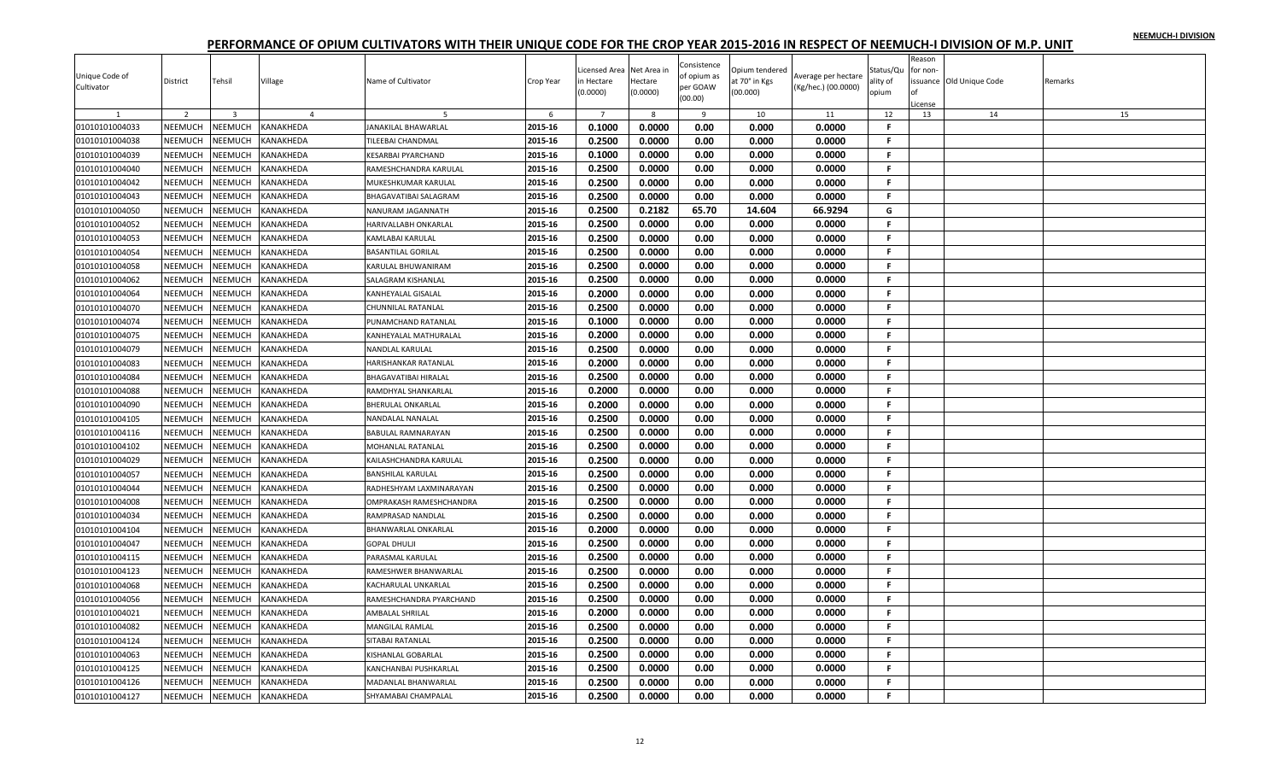| Unique Code of | District       | Tehsil         | Village          | Name of Cultivator           | Crop Year | icensed Area<br>n Hectare | Net Area in<br>Hectare | Consistence<br>of opium as | Opium tendered<br>it 70° in Kgs | Average per hectare | Status/Qu<br>ality of | Reason<br>for non- | ssuance Old Unique Code | Remarks |
|----------------|----------------|----------------|------------------|------------------------------|-----------|---------------------------|------------------------|----------------------------|---------------------------------|---------------------|-----------------------|--------------------|-------------------------|---------|
| Cultivator     |                |                |                  |                              |           | (0.0000)                  | (0.0000)               | per GOAW<br>(00.00)        | (00.000)                        | (Kg/hec.) (00.0000) | opium                 | License            |                         |         |
|                | 2              | $\overline{3}$ | $\overline{a}$   |                              | 6         | $\overline{7}$            | 8                      | 9                          | 10                              | 11                  | 12                    | 13                 | 14                      | 15      |
| 01010101004033 | NEEMUCH        | NEEMUCH        | KANAKHEDA        | JANAKILAL BHAWARLAL          | 2015-16   | 0.1000                    | 0.0000                 | 0.00                       | 0.000                           | 0.0000              | F.                    |                    |                         |         |
| 01010101004038 | NEEMUCH        | NEEMUCH        | KANAKHEDA        | TILEEBAI CHANDMAL            | 2015-16   | 0.2500                    | 0.0000                 | 0.00                       | 0.000                           | 0.0000              | F.                    |                    |                         |         |
| 01010101004039 | NEEMUCH        | NEEMUCH        | KANAKHEDA        | <b>KESARBAI PYARCHAND</b>    | 2015-16   | 0.1000                    | 0.0000                 | 0.00                       | 0.000                           | 0.0000              | F.                    |                    |                         |         |
| 01010101004040 | NEEMUCH        | NEEMUCH        | KANAKHEDA        | RAMESHCHANDRA KARULAL        | 2015-16   | 0.2500                    | 0.0000                 | 0.00                       | 0.000                           | 0.0000              | F.                    |                    |                         |         |
| 01010101004042 | NEEMUCH        | NEEMUCH        | KANAKHEDA        | MUKESHKUMAR KARULAL          | 2015-16   | 0.2500                    | 0.0000                 | 0.00                       | 0.000                           | 0.0000              | F.                    |                    |                         |         |
| 01010101004043 | NEEMUCH        | NEEMUCH        | KANAKHEDA        | <b>BHAGAVATIBAI SALAGRAM</b> | 2015-16   | 0.2500                    | 0.0000                 | 0.00                       | 0.000                           | 0.0000              | F.                    |                    |                         |         |
| 01010101004050 | NEEMUCH        | NEEMUCH        | KANAKHEDA        | NANURAM JAGANNATH            | 2015-16   | 0.2500                    | 0.2182                 | 65.70                      | 14.604                          | 66.9294             | G                     |                    |                         |         |
| 01010101004052 | NEEMUCH        | NEEMUCH        | KANAKHEDA        | HARIVALLABH ONKARLAL         | 2015-16   | 0.2500                    | 0.0000                 | 0.00                       | 0.000                           | 0.0000              | F.                    |                    |                         |         |
| 01010101004053 | NEEMUCH        | NEEMUCH        | KANAKHEDA        | <b>KAMLABAI KARULAL</b>      | 2015-16   | 0.2500                    | 0.0000                 | 0.00                       | 0.000                           | 0.0000              | F.                    |                    |                         |         |
| 01010101004054 | NEEMUCH        | NEEMUCH        | KANAKHEDA        | <b>BASANTILAL GORILAL</b>    | 2015-16   | 0.2500                    | 0.0000                 | 0.00                       | 0.000                           | 0.0000              | F.                    |                    |                         |         |
| 01010101004058 | NEEMUCH        | NEEMUCH        | KANAKHEDA        | KARULAL BHUWANIRAM           | 2015-16   | 0.2500                    | 0.0000                 | 0.00                       | 0.000                           | 0.0000              | F.                    |                    |                         |         |
| 01010101004062 | <b>NEEMUCH</b> | NEEMUCH        | KANAKHEDA        | <b>SALAGRAM KISHANLAL</b>    | 2015-16   | 0.2500                    | 0.0000                 | 0.00                       | 0.000                           | 0.0000              | F                     |                    |                         |         |
| 01010101004064 | NEEMUCH        | NEEMUCH        | KANAKHEDA        | <b>KANHEYALAL GISALAL</b>    | 2015-16   | 0.2000                    | 0.0000                 | 0.00                       | 0.000                           | 0.0000              | F.                    |                    |                         |         |
| 01010101004070 | NEEMUCH        | NEEMUCH        | KANAKHEDA        | CHUNNILAL RATANLAL           | 2015-16   | 0.2500                    | 0.0000                 | 0.00                       | 0.000                           | 0.0000              | F.                    |                    |                         |         |
| 01010101004074 | NEEMUCH        | NEEMUCH        | KANAKHEDA        | PUNAMCHAND RATANLAL          | 2015-16   | 0.1000                    | 0.0000                 | 0.00                       | 0.000                           | 0.0000              | F.                    |                    |                         |         |
| 01010101004075 | NEEMUCH        | NEEMUCH        | KANAKHEDA        | KANHEYALAL MATHURALAL        | 2015-16   | 0.2000                    | 0.0000                 | 0.00                       | 0.000                           | 0.0000              | F.                    |                    |                         |         |
| 01010101004079 | <b>NEEMUCH</b> | <b>NEEMUCH</b> | KANAKHEDA        | NANDLAL KARULAL              | 2015-16   | 0.2500                    | 0.0000                 | 0.00                       | 0.000                           | 0.0000              | F.                    |                    |                         |         |
| 01010101004083 | <b>NEEMUCH</b> | NEEMUCH        | KANAKHEDA        | HARISHANKAR RATANLAL         | 2015-16   | 0.2000                    | 0.0000                 | 0.00                       | 0.000                           | 0.0000              | F.                    |                    |                         |         |
| 01010101004084 | NEEMUCH        | NEEMUCH        | KANAKHEDA        | <b>BHAGAVATIBAI HIRALAL</b>  | 2015-16   | 0.2500                    | 0.0000                 | 0.00                       | 0.000                           | 0.0000              | F.                    |                    |                         |         |
| 01010101004088 | NEEMUCH        | NEEMUCH        | KANAKHEDA        | RAMDHYAL SHANKARLAL          | 2015-16   | 0.2000                    | 0.0000                 | 0.00                       | 0.000                           | 0.0000              | F.                    |                    |                         |         |
| 01010101004090 | NEEMUCH        | <b>NEEMUCH</b> | KANAKHEDA        | <b>BHERULAL ONKARLAL</b>     | 2015-16   | 0.2000                    | 0.0000                 | 0.00                       | 0.000                           | 0.0000              | $\mathbf{F}$          |                    |                         |         |
| 01010101004105 | NEEMUCH        | NEEMUCH        | KANAKHEDA        | NANDALAL NANALAL             | 2015-16   | 0.2500                    | 0.0000                 | 0.00                       | 0.000                           | 0.0000              | F.                    |                    |                         |         |
| 01010101004116 | <b>NEEMUCH</b> | NEEMUCH        | KANAKHEDA        | <b>BABULAL RAMNARAYAN</b>    | 2015-16   | 0.2500                    | 0.0000                 | 0.00                       | 0.000                           | 0.0000              | F.                    |                    |                         |         |
| 01010101004102 | NEEMUCH        | NEEMUCH        | KANAKHEDA        | <b>MOHANLAL RATANLAL</b>     | 2015-16   | 0.2500                    | 0.0000                 | 0.00                       | 0.000                           | 0.0000              | F.                    |                    |                         |         |
| 01010101004029 | NEEMUCH        | NEEMUCH        | KANAKHEDA        | KAILASHCHANDRA KARULAL       | 2015-16   | 0.2500                    | 0.0000                 | 0.00                       | 0.000                           | 0.0000              | F.                    |                    |                         |         |
| 01010101004057 | NEEMUCH        | <b>NEEMUCH</b> | KANAKHEDA        | <b>BANSHILAL KARULAL</b>     | 2015-16   | 0.2500                    | 0.0000                 | 0.00                       | 0.000                           | 0.0000              | F.                    |                    |                         |         |
| 01010101004044 | NEEMUCH        | NEEMUCH        | KANAKHEDA        | RADHESHYAM LAXMINARAYAN      | 2015-16   | 0.2500                    | 0.0000                 | 0.00                       | 0.000                           | 0.0000              | -F.                   |                    |                         |         |
| 01010101004008 | NEEMUCH        | NEEMUCH        | KANAKHEDA        | OMPRAKASH RAMESHCHANDRA      | 2015-16   | 0.2500                    | 0.0000                 | 0.00                       | 0.000                           | 0.0000              | F.                    |                    |                         |         |
| 01010101004034 | NEEMUCH        | NEEMUCH        | KANAKHEDA        | RAMPRASAD NANDLAL            | 2015-16   | 0.2500                    | 0.0000                 | 0.00                       | 0.000                           | 0.0000              | F.                    |                    |                         |         |
| 01010101004104 | NEEMUCH        | NEEMUCH        | KANAKHEDA        | BHANWARLAL ONKARLAL          | 2015-16   | 0.2000                    | 0.0000                 | 0.00                       | 0.000                           | 0.0000              | F.                    |                    |                         |         |
| 01010101004047 | NEEMUCH        | NEEMUCH        | KANAKHEDA        | <b>GOPAL DHULJI</b>          | 2015-16   | 0.2500                    | 0.0000                 | 0.00                       | 0.000                           | 0.0000              | F.                    |                    |                         |         |
| 01010101004115 | NEEMUCH        | NEEMUCH        | KANAKHEDA        | PARASMAL KARULAL             | 2015-16   | 0.2500                    | 0.0000                 | 0.00                       | 0.000                           | 0.0000              | F.                    |                    |                         |         |
| 01010101004123 | NEEMUCH        | NEEMUCH        | KANAKHEDA        | RAMESHWER BHANWARLAL         | 2015-16   | 0.2500                    | 0.0000                 | 0.00                       | 0.000                           | 0.0000              | F.                    |                    |                         |         |
| 01010101004068 | <b>NEEMUCH</b> | NEEMUCH        | KANAKHEDA        | KACHARULAL UNKARLAL          | 2015-16   | 0.2500                    | 0.0000                 | 0.00                       | 0.000                           | 0.0000              | F.                    |                    |                         |         |
| 01010101004056 | NEEMUCH        | NEEMUCH        | KANAKHEDA        | RAMESHCHANDRA PYARCHAND      | 2015-16   | 0.2500                    | 0.0000                 | 0.00                       | 0.000                           | 0.0000              | F.                    |                    |                         |         |
| 01010101004021 | NEEMUCH        | NEEMUCH        | KANAKHEDA        | AMBALAL SHRILAL              | 2015-16   | 0.2000                    | 0.0000                 | 0.00                       | 0.000                           | 0.0000              | F.                    |                    |                         |         |
| 01010101004082 | NEEMUCH        | NEEMUCH        | KANAKHEDA        | <b>MANGILAL RAMLAL</b>       | 2015-16   | 0.2500                    | 0.0000                 | 0.00                       | 0.000                           | 0.0000              | F.                    |                    |                         |         |
| 01010101004124 | NEEMUCH        | NEEMUCH        | KANAKHEDA        | SITABAI RATANLAL             | 2015-16   | 0.2500                    | 0.0000                 | 0.00                       | 0.000                           | 0.0000              | F.                    |                    |                         |         |
| 01010101004063 | NEEMUCH        | NEEMUCH        | KANAKHEDA        | KISHANLAL GOBARLAL           | 2015-16   | 0.2500                    | 0.0000                 | 0.00                       | 0.000                           | 0.0000              | F.                    |                    |                         |         |
| 01010101004125 | NEEMUCH        | <b>NEEMUCH</b> | KANAKHEDA        | KANCHANBAI PUSHKARLAL        | 2015-16   | 0.2500                    | 0.0000                 | 0.00                       | 0.000                           | 0.0000              | F                     |                    |                         |         |
| 01010101004126 | NEEMUCH        | NEEMUCH        | KANAKHEDA        | MADANLAL BHANWARLAL          | 2015-16   | 0.2500                    | 0.0000                 | 0.00                       | 0.000                           | 0.0000              | F.                    |                    |                         |         |
| 01010101004127 | NEEMUCH        | <b>NEEMUCH</b> | <b>KANAKHEDA</b> | SHYAMABAI CHAMPALAL          | 2015-16   | 0.2500                    | 0.0000                 | 0.00                       | 0.000                           | 0.0000              | F.                    |                    |                         |         |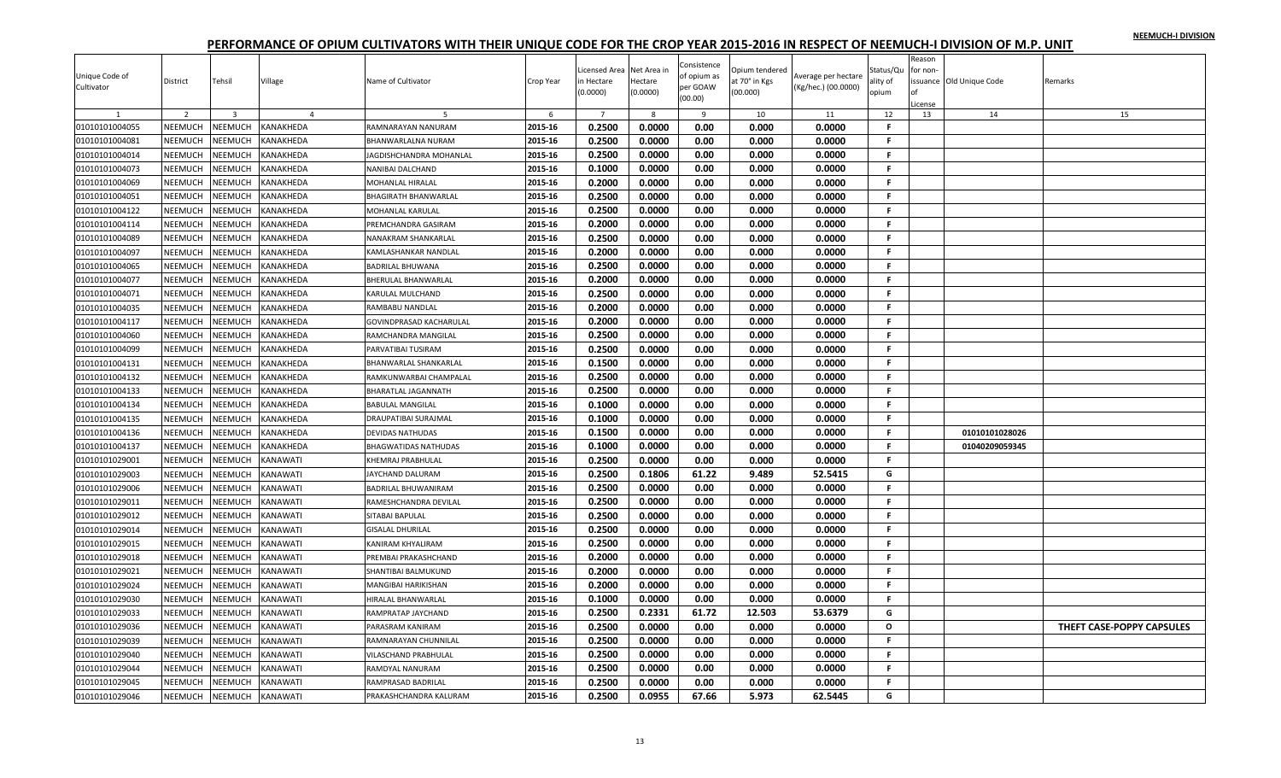|                |                |                |                  |                                |           | icensed Area     | Net Area in  | Consistence  | Opium tendered |                     | Status/Qu    | Reason<br>for non- |                          |                           |
|----------------|----------------|----------------|------------------|--------------------------------|-----------|------------------|--------------|--------------|----------------|---------------------|--------------|--------------------|--------------------------|---------------------------|
| Unique Code of | District       | Tehsil         | Village          | Name of Cultivator             | Crop Year | ነ Hectare        | Hectare      | of opium as  | it 70° in Kgs  | Average per hectare | ılity of     |                    | issuance Old Unique Code | Remarks                   |
| Cultivator     |                |                |                  |                                |           | 0.0000)          | (0.0000)     | per GOAW     | 00.000)        | (Kg/hec.) (00.0000) | opium        |                    |                          |                           |
|                |                |                |                  |                                |           |                  |              | (00.00)      |                |                     |              | License            |                          |                           |
|                | $\overline{2}$ | $\overline{3}$ |                  |                                | 6         | $\overline{7}$   | $\mathbf{R}$ | $\mathbf{q}$ | 10             | 11                  | 12           | 13                 | 14                       | 15                        |
| 01010101004055 | NEEMUCH        | NEEMUCH        | KANAKHEDA        | RAMNARAYAN NANURAM             | 2015-16   | 0.2500           | 0.0000       | 0.00         | 0.000          | 0.0000              | F.           |                    |                          |                           |
| 01010101004081 | NEEMUCH        | NEEMUCH        | KANAKHEDA        | BHANWARLALNA NURAM             | 2015-16   | 0.2500           | 0.0000       | 0.00         | 0.000          | 0.0000              | F.           |                    |                          |                           |
| 01010101004014 | NEEMUCH        | NEEMUCH        | KANAKHEDA        | JAGDISHCHANDRA MOHANLAL        | 2015-16   | 0.2500           | 0.0000       | 0.00         | 0.000          | 0.0000              | F.           |                    |                          |                           |
| 01010101004073 | NEEMUCH        | NEEMUCH        | KANAKHEDA        | NANIBAI DALCHAND               | 2015-16   | 0.1000           | 0.0000       | 0.00         | 0.000          | 0.0000              | F.           |                    |                          |                           |
| 01010101004069 | NEEMUCH        | NEEMUCH        | KANAKHEDA        | MOHANLAL HIRALAL               | 2015-16   | 0.2000           | 0.0000       | 0.00         | 0.000          | 0.0000              | F.           |                    |                          |                           |
| 01010101004051 | <b>NEEMUCH</b> | NEEMUCH        | KANAKHEDA        | <b>BHAGIRATH BHANWARLAL</b>    | 2015-16   | 0.2500           | 0.0000       | 0.00         | 0.000          | 0.0000              | F.           |                    |                          |                           |
| 01010101004122 | NEEMUCH        | NEEMUCH        | KANAKHEDA        | <b>MOHANLAL KARULAL</b>        | 2015-16   | 0.2500           | 0.0000       | 0.00         | 0.000          | 0.0000              | F            |                    |                          |                           |
| 01010101004114 | NEEMUCH        | NEEMUCH        | KANAKHEDA        | PREMCHANDRA GASIRAM            | 2015-16   | 0.2000           | 0.0000       | 0.00         | 0.000          | 0.0000              | Е            |                    |                          |                           |
| 01010101004089 | NEEMUCH        | NEEMUCH        | KANAKHEDA        | NANAKRAM SHANKARLAL            | 2015-16   | 0.2500           | 0.0000       | 0.00         | 0.000          | 0.0000              | F.           |                    |                          |                           |
| 01010101004097 | NEEMUCH        | NEEMUCH        | KANAKHEDA        | KAMLASHANKAR NANDLAL           | 2015-16   | 0.2000           | 0.0000       | 0.00         | 0.000          | 0.0000              | F.           |                    |                          |                           |
| 01010101004065 | NEEMUCH        | NEEMUCH        | KANAKHEDA        | <b>BADRILAL BHUWANA</b>        | 2015-16   | 0.2500           | 0.0000       | 0.00         | 0.000          | 0.0000              | F.           |                    |                          |                           |
| 01010101004077 | <b>NEEMUCH</b> | NEEMUCH        | KANAKHEDA        | <b>BHERULAL BHANWARLAL</b>     | 2015-16   | 0.2000           | 0.0000       | 0.00         | 0.000          | 0.0000              | F.           |                    |                          |                           |
| 01010101004071 | NEEMUCH        | NEEMUCH        | KANAKHEDA        | KARULAL MULCHAND               | 2015-16   | 0.2500           | 0.0000       | 0.00         | 0.000          | 0.0000              | F            |                    |                          |                           |
| 01010101004035 | NEEMUCH        | NEEMUCH        | KANAKHEDA        | RAMBABU NANDLAL                | 2015-16   | 0.2000           | 0.0000       | 0.00         | 0.000          | 0.0000              | F.           |                    |                          |                           |
| 01010101004117 | NEEMUCH        | NEEMUCH        | KANAKHEDA        | <b>GOVINDPRASAD KACHARULAL</b> | 2015-16   | 0.2000           | 0.0000       | 0.00         | 0.000          | 0.0000              | F.           |                    |                          |                           |
| 01010101004060 | NEEMUCH        | NEEMUCH        | KANAKHEDA        | RAMCHANDRA MANGILAL            | 2015-16   | 0.2500           | 0.0000       | 0.00         | 0.000          | 0.0000              | F.           |                    |                          |                           |
| 01010101004099 | NEEMUCH        | NEEMUCH        | KANAKHEDA        | PARVATIBAI TUSIRAM             | 2015-16   | 0.2500           | 0.0000       | 0.00         | 0.000          | 0.0000              | F.           |                    |                          |                           |
| 01010101004131 | NEEMUCH        | NEEMUCH        | <b>KANAKHEDA</b> | <b>BHANWARLAL SHANKARLAL</b>   | 2015-16   | 0.1500           | 0.0000       | 0.00         | 0.000          | 0.0000              | F.           |                    |                          |                           |
| 01010101004132 | NEEMUCH        | NEEMUCH        | KANAKHEDA        | RAMKUNWARBAI CHAMPALAL         | 2015-16   | 0.2500           | 0.0000       | 0.00         | 0.000          | 0.0000              | F            |                    |                          |                           |
| 01010101004133 | NEEMUCH        | NEEMUCH        | KANAKHEDA        | BHARATLAL JAGANNATH            | 2015-16   | 0.2500           | 0.0000       | 0.00         | 0.000          | 0.0000              | F.           |                    |                          |                           |
| 01010101004134 | NEEMUCH        | <b>NEEMUCH</b> | KANAKHEDA        | <b>BABULAL MANGILAL</b>        | 2015-16   | 0.1000           | 0.0000       | 0.00         | 0.000          | 0.0000              | F.           |                    |                          |                           |
| 01010101004135 | NEEMUCH        | NEEMUCH        | KANAKHEDA        | <b>DRAUPATIBAI SURAJMAI</b>    | 2015-16   | 0.1000           | 0.0000       | 0.00         | 0.000          | 0.0000              | F.           |                    |                          |                           |
| 01010101004136 | <b>NEEMUCH</b> | NEEMUCH        | KANAKHEDA        | <b>DEVIDAS NATHUDAS</b>        | 2015-16   | 0.1500           | 0.0000       | 0.00         | 0.000          | 0.0000              | F.           |                    | 01010101028026           |                           |
| 01010101004137 | NEEMUCH        | <b>NEEMUCH</b> | KANAKHEDA        | <b>BHAGWATIDAS NATHUDAS</b>    | 2015-16   | 0.1000           | 0.0000       | 0.00         | 0.000          | 0.0000              | F.           |                    | 01040209059345           |                           |
| 01010101029001 | NEEMUCH        | NEEMUCH        | KANAWATI         | KHEMRAJ PRABHULAL              | 2015-16   | 0.2500           | 0.0000       | 0.00         | 0.000          | 0.0000              | F            |                    |                          |                           |
| 01010101029003 | NEEMUCH        | <b>NEEMUCH</b> | KANAWATI         | JAYCHAND DALURAM               | 2015-16   | 0.2500           | 0.1806       | 61.22        | 9.489          | 52.5415             | G            |                    |                          |                           |
| 01010101029006 | NEEMUCH        | NEEMUCH        | KANAWATI         | <b>BADRILAL BHUWANIRAM</b>     | 2015-16   | 0.2500           | 0.0000       | 0.00         | 0.000          | 0.0000              | F.           |                    |                          |                           |
| 01010101029011 | NEEMUCH        | NEEMUCH        | KANAWATI         | RAMESHCHANDRA DEVILAL          | 2015-16   | 0.2500           | 0.0000       | 0.00         | 0.000          | 0.0000              | F.           |                    |                          |                           |
| 01010101029012 | NEEMUCH        | NEEMUCH        | KANAWATI         |                                | 2015-16   | 0.2500           | 0.0000       | 0.00         | 0.000          | 0.0000              | F            |                    |                          |                           |
|                |                |                |                  | SITABAI BAPULAL                |           |                  |              |              |                |                     | Е            |                    |                          |                           |
| 01010101029014 | NEEMUCH        | NEEMUCH        | KANAWATI         | <b>GISALAL DHURILAL</b>        | 2015-16   | 0.2500<br>0.2500 | 0.0000       | 0.00         | 0.000          | 0.0000              | F            |                    |                          |                           |
| 01010101029015 | NEEMUCH        | NEEMUCH        | KANAWATI         | <b>KANIRAM KHYALIRAM</b>       | 2015-16   |                  | 0.0000       | 0.00         | 0.000          | 0.0000              |              |                    |                          |                           |
| 01010101029018 | NEEMUCH        | NEEMUCH        | KANAWATI         | PREMBAI PRAKASHCHAND           | 2015-16   | 0.2000           | 0.0000       | 0.00         | 0.000          | 0.0000              | F.           |                    |                          |                           |
| 01010101029021 | NEEMUCH        | NEEMUCH        | KANAWATI         | SHANTIBAI BALMUKUND            | 2015-16   | 0.2000           | 0.0000       | 0.00         | 0.000          | 0.0000              | F.           |                    |                          |                           |
| 01010101029024 | <b>NEEMUCH</b> | NEEMUCH        | KANAWATI         | <b>MANGIBAI HARIKISHAN</b>     | 2015-16   | 0.2000           | 0.0000       | 0.00         | 0.000          | 0.0000              | F.           |                    |                          |                           |
| 01010101029030 | NEEMUCH        | NEEMUCH        | KANAWATI         | HIRALAL BHANWARLAL             | 2015-16   | 0.1000           | 0.0000       | 0.00         | 0.000          | 0.0000              | Е            |                    |                          |                           |
| 01010101029033 | NEEMUCH        | NEEMUCH        | KANAWATI         | RAMPRATAP JAYCHAND             | 2015-16   | 0.2500           | 0.2331       | 61.72        | 12.503         | 53.6379             | G            |                    |                          |                           |
| 01010101029036 | NEEMUCH        | NEEMUCH        | KANAWATI         | PARASRAM KANIRAM               | 2015-16   | 0.2500           | 0.0000       | 0.00         | 0.000          | 0.0000              | $\mathbf{o}$ |                    |                          | THEFT CASE-POPPY CAPSULES |
| 01010101029039 | NEEMUCH        | NEEMUCH        | KANAWATI         | RAMNARAYAN CHUNNILAL           | 2015-16   | 0.2500           | 0.0000       | 0.00         | 0.000          | 0.0000              | F.           |                    |                          |                           |
| 01010101029040 | NEEMUCH        | NEEMUCH        | KANAWATI         | VILASCHAND PRABHULAL           | 2015-16   | 0.2500           | 0.0000       | 0.00         | 0.000          | 0.0000              | F.           |                    |                          |                           |
| 01010101029044 | NEEMUCH        | <b>NEEMUCH</b> | KANAWATI         | RAMDYAL NANURAM                | 2015-16   | 0.2500           | 0.0000       | 0.00         | 0.000          | 0.0000              | F            |                    |                          |                           |
| 01010101029045 | NEEMUCH        | NEEMUCH        | KANAWATI         | RAMPRASAD BADRILAL             | 2015-16   | 0.2500           | 0.0000       | 0.00         | 0.000          | 0.0000              | Е            |                    |                          |                           |
| 01010101029046 | NEEMUCH        | <b>NEEMUCH</b> | <b>KANAWATI</b>  | PRAKASHCHANDRA KALURAM         | 2015-16   | 0.2500           | 0.0955       | 67.66        | 5.973          | 62.5445             | G            |                    |                          |                           |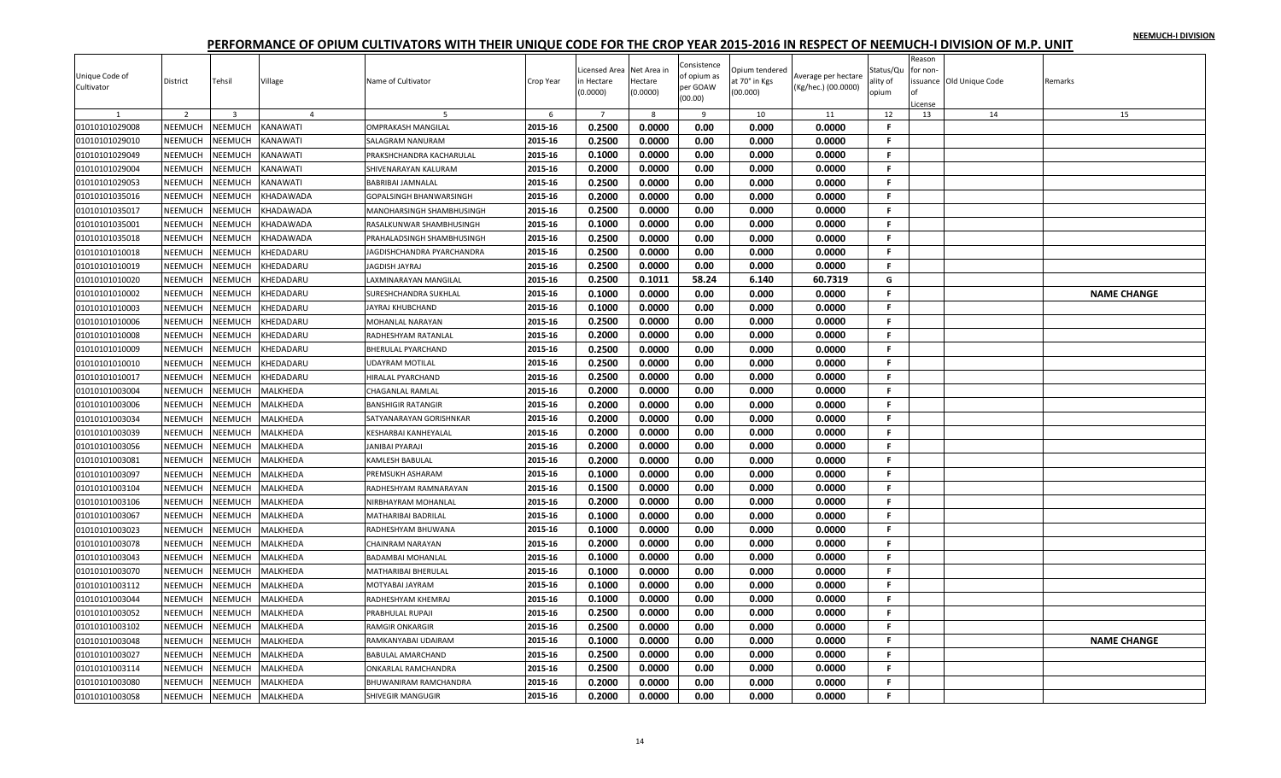|                |                |                |                 |                                |           |                           |                        | Consistence |                                 |                     |                       | Reason   |                          |         |                    |
|----------------|----------------|----------------|-----------------|--------------------------------|-----------|---------------------------|------------------------|-------------|---------------------------------|---------------------|-----------------------|----------|--------------------------|---------|--------------------|
| Unique Code of | District       | Tehsil         | Village         | Name of Cultivator             | Crop Year | icensed Area<br>n Hectare | Net Area ir<br>Hectare | of opium as | Opium tendered<br>at 70° in Kgs | Average per hectare | Status/Qu<br>ılity of | for non- | issuance Old Unique Code | Remarks |                    |
| Cultivator     |                |                |                 |                                |           | (0.0000)                  | (0.0000)               | per GOAW    | (00.000)                        | (Kg/hec.) (00.0000) | opium                 |          |                          |         |                    |
|                |                |                |                 |                                |           |                           |                        | (00.00)     |                                 |                     |                       | License  |                          |         |                    |
|                | 2              | $\overline{3}$ | $\overline{4}$  | -5                             | 6         | $\overline{7}$            | 8                      | 9           | 10                              | 11                  | 12<br>F               | 13       | 14                       |         | 15                 |
| 01010101029008 | NEEMUCH        | <b>NEEMUCH</b> | KANAWATI        | <b>OMPRAKASH MANGILAL</b>      | 2015-16   | 0.2500                    | 0.0000                 | 0.00        | 0.000                           | 0.0000              |                       |          |                          |         |                    |
| 01010101029010 | NEEMUCH        | <b>NEEMUCH</b> | KANAWATI        | SALAGRAM NANURAM               | 2015-16   | 0.2500                    | 0.0000                 | 0.00        | 0.000                           | 0.0000              | F                     |          |                          |         |                    |
| 01010101029049 | NEEMUCH        | <b>NEEMUCH</b> | KANAWATI        | PRAKSHCHANDRA KACHARULAL       | 2015-16   | 0.1000                    | 0.0000                 | 0.00        | 0.000                           | 0.0000              | .F                    |          |                          |         |                    |
| 01010101029004 | NEEMUCH        | <b>NEEMUCH</b> | KANAWATI        | SHIVENARAYAN KALURAM           | 2015-16   | 0.2000                    | 0.0000                 | 0.00        | 0.000                           | 0.0000              | F.                    |          |                          |         |                    |
| 01010101029053 | NEEMUCH        | <b>NEEMUCH</b> | KANAWATI        | <b>BABRIBAI JAMNALAL</b>       | 2015-16   | 0.2500                    | 0.0000                 | 0.00        | 0.000                           | 0.0000              | F.                    |          |                          |         |                    |
| 01010101035016 | NEEMUCH        | <b>NEEMUCH</b> | KHADAWADA       | <b>GOPALSINGH BHANWARSINGH</b> | 2015-16   | 0.2000                    | 0.0000                 | 0.00        | 0.000                           | 0.0000              | F                     |          |                          |         |                    |
| 01010101035017 | NEEMUCH        | <b>NEEMUCH</b> | KHADAWADA       | MANOHARSINGH SHAMBHUSINGH      | 2015-16   | 0.2500                    | 0.0000                 | 0.00        | 0.000                           | 0.0000              | F.                    |          |                          |         |                    |
| 01010101035001 | NEEMUCH        | <b>NEEMUCH</b> | KHADAWADA       | RASALKUNWAR SHAMBHUSINGH       | 2015-16   | 0.1000                    | 0.0000                 | 0.00        | 0.000                           | 0.0000              | -F                    |          |                          |         |                    |
| 01010101035018 | NEEMUCH        | <b>NEEMUCH</b> | KHADAWADA       | PRAHALADSINGH SHAMBHUSINGH     | 2015-16   | 0.2500                    | 0.0000                 | 0.00        | 0.000                           | 0.0000              | F.                    |          |                          |         |                    |
| 01010101010018 | NEEMUCH        | <b>NEEMUCH</b> | KHEDADARU       | JAGDISHCHANDRA PYARCHANDRA     | 2015-16   | 0.2500                    | 0.0000                 | 0.00        | 0.000                           | 0.0000              | F.                    |          |                          |         |                    |
| 01010101010019 | NEEMUCH        | <b>NEEMUCH</b> | KHEDADARU       | JAGDISH JAYRAJ                 | 2015-16   | 0.2500                    | 0.0000                 | 0.00        | 0.000                           | 0.0000              | F.                    |          |                          |         |                    |
| 01010101010020 | NEEMUCH        | <b>NEEMUCH</b> | KHEDADARU       | LAXMINARAYAN MANGILAL          | 2015-16   | 0.2500                    | 0.1011                 | 58.24       | 6.140                           | 60.7319             | G                     |          |                          |         |                    |
| 01010101010002 | NEEMUCH        | <b>JEEMUCH</b> | KHEDADARU       | SURESHCHANDRA SUKHLAL          | 2015-16   | 0.1000                    | 0.0000                 | 0.00        | 0.000                           | 0.0000              | F.                    |          |                          |         | <b>NAME CHANGE</b> |
| 01010101010003 | NEEMUCH        | <b>NEEMUCH</b> | KHEDADARU       | JAYRAJ KHUBCHAND               | 2015-16   | 0.1000                    | 0.0000                 | 0.00        | 0.000                           | 0.0000              | F.                    |          |                          |         |                    |
| 01010101010006 | NEEMUCH        | <b>NEEMUCH</b> | KHEDADARU       | <b>MOHANLAL NARAYAN</b>        | 2015-16   | 0.2500                    | 0.0000                 | 0.00        | 0.000                           | 0.0000              | F.                    |          |                          |         |                    |
| 01010101010008 | NEEMUCH        | <b>NEEMUCH</b> | <b>HEDADARU</b> | RADHESHYAM RATANLAI            | 2015-16   | 0.2000                    | 0.0000                 | 0.00        | 0.000                           | 0.0000              | F.                    |          |                          |         |                    |
| 01010101010009 | NEEMUCH        | <b>NEEMUCH</b> | KHEDADARU       | BHERULAL PYARCHAND             | 2015-16   | 0.2500                    | 0.0000                 | 0.00        | 0.000                           | 0.0000              | F.                    |          |                          |         |                    |
| 01010101010010 | NEEMUCH        | <b>NEEMUCH</b> | <b>HEDADARU</b> | <b>JDAYRAM MOTILAL</b>         | 2015-16   | 0.2500                    | 0.0000                 | 0.00        | 0.000                           | 0.0000              | F                     |          |                          |         |                    |
| 01010101010017 | NEEMUCH        | <b>NEEMUCH</b> | KHEDADARU       | HIRALAL PYARCHAND              | 2015-16   | 0.2500                    | 0.0000                 | 0.00        | 0.000                           | 0.0000              | F.                    |          |                          |         |                    |
| 01010101003004 | NEEMUCH        | <b>NEEMUCH</b> | MALKHEDA        | <b>CHAGANLAL RAMLAL</b>        | 2015-16   | 0.2000                    | 0.0000                 | 0.00        | 0.000                           | 0.0000              | F.                    |          |                          |         |                    |
| 01010101003006 | NEEMUCH        | <b>NEEMUCH</b> | MALKHEDA        | <b>BANSHIGIR RATANGIR</b>      | 2015-16   | 0.2000                    | 0.0000                 | 0.00        | 0.000                           | 0.0000              | F.                    |          |                          |         |                    |
| 01010101003034 | NEEMUCH        | <b>NEEMUCH</b> | MALKHEDA        | SATYANARAYAN GORISHNKAR        | 2015-16   | 0.2000                    | 0.0000                 | 0.00        | 0.000                           | 0.0000              | F.                    |          |                          |         |                    |
| 01010101003039 | NEEMUCH        | <b>JEEMUCH</b> | MALKHEDA        | <b>KESHARBAI KANHEYALAL</b>    | 2015-16   | 0.2000                    | 0.0000                 | 0.00        | 0.000                           | 0.0000              | F                     |          |                          |         |                    |
| 01010101003056 | NEEMUCH        | <b>JEEMUCH</b> | MALKHEDA        | JANIBAI PYARAJI                | 2015-16   | 0.2000                    | 0.0000                 | 0.00        | 0.000                           | 0.0000              | F                     |          |                          |         |                    |
| 01010101003081 | NEEMUCH        | <b>NEEMUCH</b> | MALKHEDA        | <b>KAMLESH BABULAL</b>         | 2015-16   | 0.2000                    | 0.0000                 | 0.00        | 0.000                           | 0.0000              | F.                    |          |                          |         |                    |
| 01010101003097 | NEEMUCH        | <b>NEEMUCH</b> | MALKHEDA        | PREMSUKH ASHARAM               | 2015-16   | 0.1000                    | 0.0000                 | 0.00        | 0.000                           | 0.0000              | F.                    |          |                          |         |                    |
| 01010101003104 | NEEMUCH        | <b>NEEMUCH</b> | MALKHEDA        | RADHESHYAM RAMNARAYAN          | 2015-16   | 0.1500                    | 0.0000                 | 0.00        | 0.000                           | 0.0000              | F.                    |          |                          |         |                    |
| 01010101003106 | NEEMUCH        | <b>NEEMUCH</b> | MALKHEDA        | NIRBHAYRAM MOHANLAL            | 2015-16   | 0.2000                    | 0.0000                 | 0.00        | 0.000                           | 0.0000              | F                     |          |                          |         |                    |
| 01010101003067 | NEEMUCH        | <b>JEEMUCH</b> | MALKHEDA        | <b>MATHARIBAI BADRILAL</b>     | 2015-16   | 0.1000                    | 0.0000                 | 0.00        | 0.000                           | 0.0000              | F.                    |          |                          |         |                    |
| 01010101003023 | NEEMUCH        | <b>JEEMUCH</b> | MALKHEDA        | RADHESHYAM BHUWANA             | 2015-16   | 0.1000                    | 0.0000                 | 0.00        | 0.000                           | 0.0000              | F.                    |          |                          |         |                    |
| 01010101003078 | NEEMUCH        | <b>NEEMUCH</b> | MALKHEDA        | CHAINRAM NARAYAN               | 2015-16   | 0.2000                    | 0.0000                 | 0.00        | 0.000                           | 0.0000              | F.                    |          |                          |         |                    |
| 01010101003043 | NEEMUCH        | <b>NEEMUCH</b> | MALKHEDA        | <b>BADAMBAI MOHANLAL</b>       | 2015-16   | 0.1000                    | 0.0000                 | 0.00        | 0.000                           | 0.0000              | F.                    |          |                          |         |                    |
| 01010101003070 | NEEMUCH        | <b>NEEMUCH</b> | MALKHEDA        | MATHARIBAI BHERULAL            | 2015-16   | 0.1000                    | 0.0000                 | 0.00        | 0.000                           | 0.0000              | F.                    |          |                          |         |                    |
| 01010101003112 | NEEMUCH        | <b>NEEMUCH</b> | MALKHEDA        | MOTYABAI JAYRAM                | 2015-16   | 0.1000                    | 0.0000                 | 0.00        | 0.000                           | 0.0000              | F                     |          |                          |         |                    |
| 01010101003044 | NEEMUCH        | <b>JEEMUCH</b> | MALKHEDA        | RADHESHYAM KHEMRAJ             | 2015-16   | 0.1000                    | 0.0000                 | 0.00        | 0.000                           | 0.0000              | F                     |          |                          |         |                    |
| 01010101003052 | NEEMUCH        | <b>NEEMUCH</b> | MALKHEDA        |                                | 2015-16   | 0.2500                    | 0.0000                 | 0.00        | 0.000                           | 0.0000              | F.                    |          |                          |         |                    |
|                | NEEMUCH        | <b>NEEMUCH</b> | MALKHEDA        | PRABHULAL RUPAJI               | 2015-16   | 0.2500                    | 0.0000                 | 0.00        | 0.000                           | 0.0000              | F.                    |          |                          |         |                    |
| 01010101003102 |                |                |                 | <b>RAMGIR ONKARGIR</b>         |           |                           |                        |             |                                 |                     |                       |          |                          |         |                    |
| 01010101003048 | NEEMUCH        | <b>NEEMUCH</b> | MALKHEDA        | RAMKANYABAI UDAIRAM            | 2015-16   | 0.1000                    | 0.0000                 | 0.00        | 0.000                           | 0.0000              | F.<br>F.              |          |                          |         | <b>NAME CHANGE</b> |
| 01010101003027 | NEEMUCH        | <b>NEEMUCH</b> | MALKHEDA        | <b>BABULAL AMARCHAND</b>       | 2015-16   | 0.2500                    | 0.0000                 | 0.00        | 0.000                           | 0.0000              |                       |          |                          |         |                    |
| 01010101003114 | <b>NEEMUCH</b> | <b>JEEMUCH</b> | MALKHEDA        | ONKARLAL RAMCHANDRA            | 2015-16   | 0.2500                    | 0.0000                 | 0.00        | 0.000                           | 0.0000              | F                     |          |                          |         |                    |
| 01010101003080 | NEEMUCH        | <b>JEEMUCH</b> | MALKHEDA        | BHUWANIRAM RAMCHANDRA          | 2015-16   | 0.2000                    | 0.0000                 | 0.00        | 0.000                           | 0.0000              | Е                     |          |                          |         |                    |
| 01010101003058 | NEEMUCH        | <b>NEEMUCH</b> | MALKHEDA        | SHIVEGIR MANGUGIR              | 2015-16   | 0.2000                    | 0.0000                 | 0.00        | 0.000                           | 0.0000              | F.                    |          |                          |         |                    |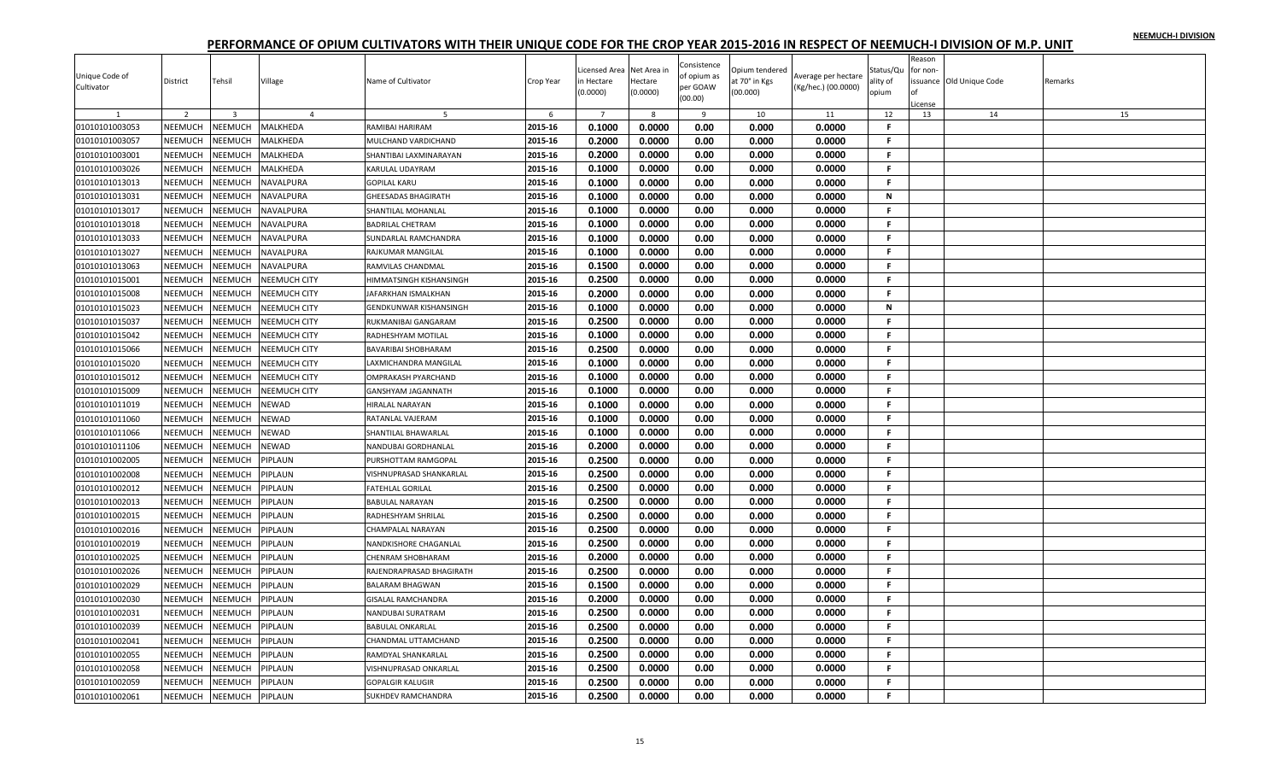|                |                |                |                |                               |           |                |             | Consistence |                |                     |              | Reason<br>for non- |                         |         |
|----------------|----------------|----------------|----------------|-------------------------------|-----------|----------------|-------------|-------------|----------------|---------------------|--------------|--------------------|-------------------------|---------|
| Unique Code of |                |                |                |                               |           | icensed Area   | Net Area in | of opium as | Opium tendered | Average per hectare | Status/Qu    |                    |                         |         |
| Cultivator     | District       | Tehsil         | Village        | Name of Cultivator            | Crop Year | n Hectare      | Hectare     | per GOAW    | at 70° in Kgs  | (Kg/hec.) (00.0000) | ality of     |                    | ssuance Old Unique Code | Remarks |
|                |                |                |                |                               |           | (0.0000)       | (0.0000)    | (00.00)     | (00.000)       |                     | opium        |                    |                         |         |
|                |                |                | $\overline{a}$ |                               |           |                |             |             |                |                     |              | License            |                         |         |
|                | 2              | $\overline{3}$ |                |                               | 6         | $\overline{7}$ | 8           | 9           | 10             | 11                  | 12<br>F.     | 13                 | 14                      | 15      |
| 01010101003053 | NEEMUCH        | NEEMUCH        | MALKHEDA       | RAMIBAI HARIRAM               | 2015-16   | 0.1000         | 0.0000      | 0.00        | 0.000          | 0.0000              |              |                    |                         |         |
| 01010101003057 | NEEMUCH        | NEEMUCH        | MALKHEDA       | MULCHAND VARDICHAND           | 2015-16   | 0.2000         | 0.0000      | 0.00        | 0.000          | 0.0000              | F.           |                    |                         |         |
| 01010101003001 | NEEMUCH        | NEEMUCH        | MALKHEDA       | SHANTIBAI LAXMINARAYAN        | 2015-16   | 0.2000         | 0.0000      | 0.00        | 0.000          | 0.0000              | F.           |                    |                         |         |
| 01010101003026 | NEEMUCH        | NEEMUCH        | MALKHEDA       | <b>KARULAL UDAYRAM</b>        | 2015-16   | 0.1000         | 0.0000      | 0.00        | 0.000          | 0.0000              | F.           |                    |                         |         |
| 01010101013013 | NEEMUCH        | NEEMUCH        | NAVALPURA      | <b>GOPILAL KARU</b>           | 2015-16   | 0.1000         | 0.0000      | 0.00        | 0.000          | 0.0000              | F.           |                    |                         |         |
| 01010101013031 | NEEMUCH        | NEEMUCH        | NAVALPURA      | <b>GHEESADAS BHAGIRATH</b>    | 2015-16   | 0.1000         | 0.0000      | 0.00        | 0.000          | 0.0000              | ${\sf N}$    |                    |                         |         |
| 01010101013017 | NEEMUCH        | NEEMUCH        | NAVALPURA      | SHANTILAL MOHANLAL            | 2015-16   | 0.1000         | 0.0000      | 0.00        | 0.000          | 0.0000              | F            |                    |                         |         |
| 01010101013018 | NEEMUCH        | NEEMUCH        | NAVALPURA      | <b>BADRILAL CHETRAM</b>       | 2015-16   | 0.1000         | 0.0000      | 0.00        | 0.000          | 0.0000              | F.           |                    |                         |         |
| 01010101013033 | NEEMUCH        | NEEMUCH        | NAVALPURA      | SUNDARLAL RAMCHANDRA          | 2015-16   | 0.1000         | 0.0000      | 0.00        | 0.000          | 0.0000              | F.           |                    |                         |         |
| 01010101013027 | NEEMUCH        | NEEMUCH        | NAVALPURA      | RAJKUMAR MANGILAL             | 2015-16   | 0.1000         | 0.0000      | 0.00        | 0.000          | 0.0000              | F.           |                    |                         |         |
| 01010101013063 | NEEMUCH        | NEEMUCH        | NAVALPURA      | RAMVILAS CHANDMAL             | 2015-16   | 0.1500         | 0.0000      | 0.00        | 0.000          | 0.0000              | F.           |                    |                         |         |
| 01010101015001 | <b>NEEMUCH</b> | NEEMUCH        | NEEMUCH CITY   | HIMMATSINGH KISHANSINGH       | 2015-16   | 0.2500         | 0.0000      | 0.00        | 0.000          | 0.0000              | F.           |                    |                         |         |
| 01010101015008 | NEEMUCH        | NEEMUCH        | NEEMUCH CITY   | JAFARKHAN ISMALKHAN           | 2015-16   | 0.2000         | 0.0000      | 0.00        | 0.000          | 0.0000              | F.           |                    |                         |         |
| 01010101015023 | NEEMUCH        | NEEMUCH        | NEEMUCH CITY   | <b>GENDKUNWAR KISHANSINGH</b> | 2015-16   | 0.1000         | 0.0000      | 0.00        | 0.000          | 0.0000              | N            |                    |                         |         |
| 01010101015037 | NEEMUCH        | NEEMUCH        | NEEMUCH CITY   | RUKMANIBAI GANGARAM           | 2015-16   | 0.2500         | 0.0000      | 0.00        | 0.000          | 0.0000              | F.           |                    |                         |         |
| 01010101015042 | NEEMUCH        | NEEMUCH        | NEEMUCH CITY   | RADHESHYAM MOTILAL            | 2015-16   | 0.1000         | 0.0000      | 0.00        | 0.000          | 0.0000              | F.           |                    |                         |         |
| 01010101015066 | <b>NEEMUCH</b> |                |                | <b>BAVARIBAI SHOBHARAM</b>    | 2015-16   | 0.2500         | 0.0000      | 0.00        | 0.000          | 0.0000              | F.           |                    |                         |         |
|                |                | NEEMUCH        | NEEMUCH CITY   |                               | 2015-16   | 0.1000         | 0.0000      | 0.00        | 0.000          | 0.0000              | F.           |                    |                         |         |
| 01010101015020 | <b>NEEMUCH</b> | NEEMUCH        | NEEMUCH CITY   | LAXMICHANDRA MANGILAL         |           |                |             |             |                |                     |              |                    |                         |         |
| 01010101015012 | NEEMUCH        | NEEMUCH        | NEEMUCH CITY   | OMPRAKASH PYARCHAND           | 2015-16   | 0.1000         | 0.0000      | 0.00        | 0.000          | 0.0000              | F.           |                    |                         |         |
| 01010101015009 | NEEMUCH        | NEEMUCH        | NEEMUCH CITY   | <b>GANSHYAM JAGANNATH</b>     | 2015-16   | 0.1000         | 0.0000      | 0.00        | 0.000          | 0.0000              | F.           |                    |                         |         |
| 01010101011019 | NEEMUCH        | <b>NEEMUCH</b> | <b>NEWAD</b>   | HIRALAL NARAYAN               | 2015-16   | 0.1000         | 0.0000      | 0.00        | 0.000          | 0.0000              | $\mathbf{F}$ |                    |                         |         |
| 01010101011060 | NEEMUCH        | NEEMUCH        | NEWAD          | RATANLAL VAJERAM              | 2015-16   | 0.1000         | 0.0000      | 0.00        | 0.000          | 0.0000              | F.           |                    |                         |         |
| 01010101011066 | <b>NEEMUCH</b> | NEEMUCH        | NEWAD          | SHANTILAL BHAWARLAL           | 2015-16   | 0.1000         | 0.0000      | 0.00        | 0.000          | 0.0000              | F.           |                    |                         |         |
| 01010101011106 | <b>NEEMUCH</b> | NEEMUCH        | NEWAD          | NANDUBAI GORDHANLAL           | 2015-16   | 0.2000         | 0.0000      | 0.00        | 0.000          | 0.0000              | F.           |                    |                         |         |
| 01010101002005 | NEEMUCH        | NEEMUCH        | PIPLAUN        | PURSHOTTAM RAMGOPAL           | 2015-16   | 0.2500         | 0.0000      | 0.00        | 0.000          | 0.0000              | F.           |                    |                         |         |
| 01010101002008 | NEEMUCH        | NEEMUCH        | PIPLAUN        | VISHNUPRASAD SHANKARLAL       | 2015-16   | 0.2500         | 0.0000      | 0.00        | 0.000          | 0.0000              | F.           |                    |                         |         |
| 01010101002012 | <b>NEEMUCH</b> | NEEMUCH        | PIPLAUN        | <b>FATEHLAL GORILAL</b>       | 2015-16   | 0.2500         | 0.0000      | 0.00        | 0.000          | 0.0000              | F.           |                    |                         |         |
| 01010101002013 | NEEMUCH        | NEEMUCH        | PIPLAUN        | <b>BABULAL NARAYAN</b>        | 2015-16   | 0.2500         | 0.0000      | 0.00        | 0.000          | 0.0000              | F.           |                    |                         |         |
| 01010101002015 | NEEMUCH        | NEEMUCH        | PIPLAUN        | RADHESHYAM SHRILAL            | 2015-16   | 0.2500         | 0.0000      | 0.00        | 0.000          | 0.0000              | F.           |                    |                         |         |
| 01010101002016 | NEEMUCH        | <b>NEEMUCH</b> | PIPLAUN        | CHAMPALAL NARAYAN             | 2015-16   | 0.2500         | 0.0000      | 0.00        | 0.000          | 0.0000              | F.           |                    |                         |         |
| 01010101002019 | NEEMUCH        | NEEMUCH        | PIPLAUN        | NANDKISHORE CHAGANLAL         | 2015-16   | 0.2500         | 0.0000      | 0.00        | 0.000          | 0.0000              | F.           |                    |                         |         |
| 01010101002025 | NEEMUCH        | NEEMUCH        | PIPLAUN        | <b>CHENRAM SHOBHARAM</b>      | 2015-16   | 0.2000         | 0.0000      | 0.00        | 0.000          | 0.0000              | F.           |                    |                         |         |
| 01010101002026 | <b>NEEMUCH</b> | NEEMUCH        | PIPLAUN        | RAJENDRAPRASAD BHAGIRATH      | 2015-16   | 0.2500         | 0.0000      | 0.00        | 0.000          | 0.0000              | F.           |                    |                         |         |
| 01010101002029 | <b>NEEMUCH</b> | NEEMUCH        | PIPLAUN        | <b>BALARAM BHAGWAN</b>        | 2015-16   | 0.1500         | 0.0000      | 0.00        | 0.000          | 0.0000              | F.           |                    |                         |         |
| 01010101002030 | NEEMUCH        | NEEMUCH        | PIPLAUN        | <b>GISALAL RAMCHANDRA</b>     | 2015-16   | 0.2000         | 0.0000      | 0.00        | 0.000          | 0.0000              | F.           |                    |                         |         |
|                |                |                |                |                               |           | 0.2500         |             |             | 0.000          |                     | F.           |                    |                         |         |
| 01010101002031 | <b>NEEMUCH</b> | NEEMUCH        | PIPLAUN        | NANDUBAI SURATRAM             | 2015-16   | 0.2500         | 0.0000      | 0.00        |                | 0.0000              | F.           |                    |                         |         |
| 01010101002039 | NEEMUCH        | NEEMUCH        | PIPLAUN        | <b>BABULAL ONKARLAL</b>       | 2015-16   |                | 0.0000      | 0.00        | 0.000          | 0.0000              |              |                    |                         |         |
| 01010101002041 | NEEMUCH        | NEEMUCH        | PIPLAUN        | CHANDMAL UTTAMCHAND           | 2015-16   | 0.2500         | 0.0000      | 0.00        | 0.000          | 0.0000              | F.           |                    |                         |         |
| 01010101002055 | <b>NEEMUCH</b> | NEEMUCH        | PIPLAUN        | RAMDYAL SHANKARLAI            | 2015-16   | 0.2500         | 0.0000      | 0.00        | 0.000          | 0.0000              | F.           |                    |                         |         |
| 01010101002058 | NEEMUCH        | <b>NEEMUCH</b> | PIPLAUN        | VISHNUPRASAD ONKARLAL         | 2015-16   | 0.2500         | 0.0000      | 0.00        | 0.000          | 0.0000              | F            |                    |                         |         |
| 01010101002059 | NEEMUCH        | NEEMUCH        | PIPLAUN        | <b>GOPALGIR KALUGIR</b>       | 2015-16   | 0.2500         | 0.0000      | 0.00        | 0.000          | 0.0000              | F.           |                    |                         |         |
| 01010101002061 | NEEMUCH        | NEEMUCH        | PIPLAUN        | <b>SUKHDEV RAMCHANDRA</b>     | 2015-16   | 0.2500         | 0.0000      | 0.00        | 0.000          | 0.0000              | F.           |                    |                         |         |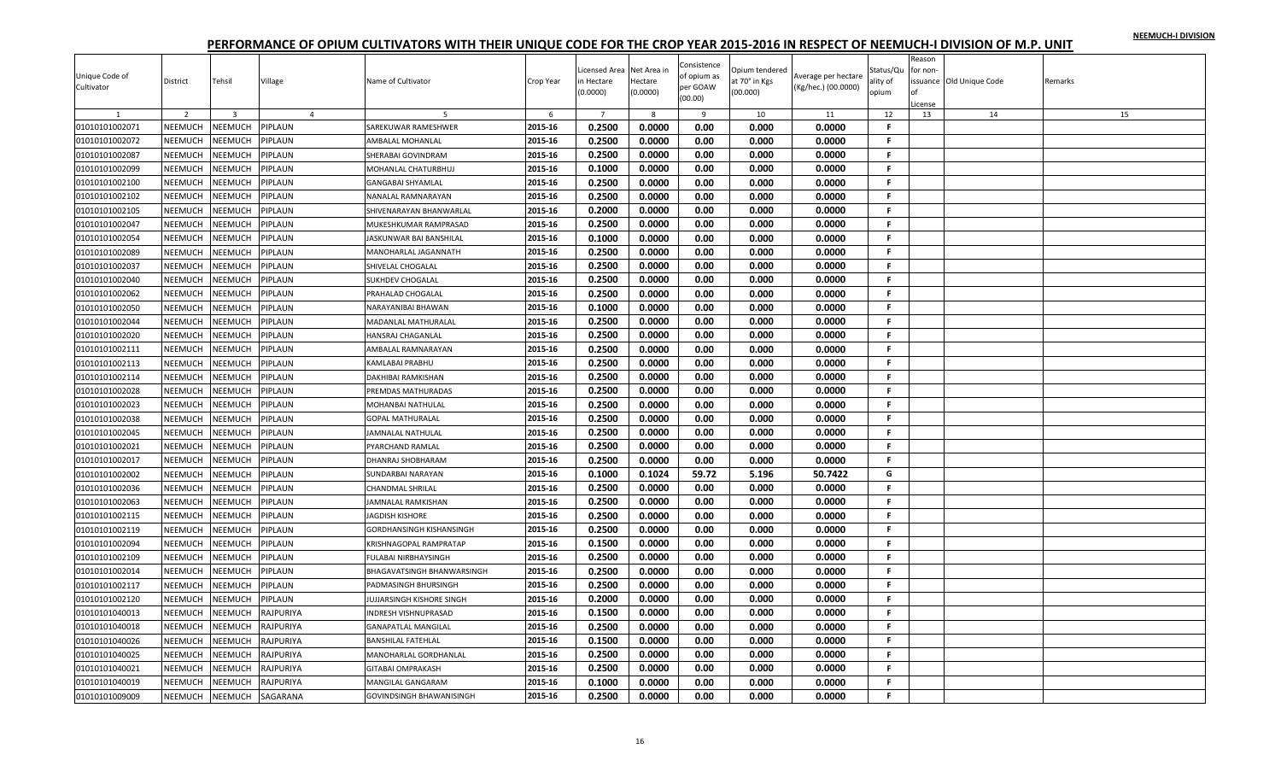|                |                |                         |                |                                   |           |                |             |                     |                |                     |           | Reason   |                          |         |
|----------------|----------------|-------------------------|----------------|-----------------------------------|-----------|----------------|-------------|---------------------|----------------|---------------------|-----------|----------|--------------------------|---------|
|                |                |                         |                |                                   |           | icensed Area   | Net Area ir | Consistence         | Opium tendered |                     | Status/Qu | for non- |                          |         |
| Unique Code of | District       | Tehsil                  | Village        | Name of Cultivator                | Crop Year | ነ Hectare      | Hectare     | of opium as         | it 70° in Kgs  | Average per hectare | ality of  |          | issuance Old Unique Code | Remarks |
| Cultivator     |                |                         |                |                                   |           | 0.0000         | (0.0000)    | per GOAW<br>(00.00) | (00.000)       | (Kg/hec.) (00.0000) | opium     | Ωf       |                          |         |
|                |                |                         |                |                                   |           |                |             |                     |                |                     |           | License  |                          |         |
|                | $\overline{2}$ | $\overline{\mathbf{3}}$ | $\overline{4}$ |                                   | 6         | $\overline{7}$ | 8           | 9                   | 10             | 11                  | 12        | 13       | 14                       | 15      |
| 01010101002071 | NEEMUCH        | NEEMUCH                 | PIPLAUN        | SAREKUWAR RAMESHWER               | 2015-16   | 0.2500         | 0.0000      | 0.00                | 0.000          | 0.0000              | F.        |          |                          |         |
| 01010101002072 | NEEMUCH        | NEEMUCH                 | PIPLAUN        | AMBALAL MOHANLAL                  | 2015-16   | 0.2500         | 0.0000      | 0.00                | 0.000          | 0.0000              | F         |          |                          |         |
| 01010101002087 | NEEMUCH        | NEEMUCH                 | PIPLAUN        | SHERABAI GOVINDRAM                | 2015-16   | 0.2500         | 0.0000      | 0.00                | 0.000          | 0.0000              | F.        |          |                          |         |
| 01010101002099 | NEEMUCH        | NEEMUCH                 | PIPLAUN        | MOHANLAL CHATURBHUJ               | 2015-16   | 0.1000         | 0.0000      | 0.00                | 0.000          | 0.0000              | F.        |          |                          |         |
| 01010101002100 | NEEMUCH        | NEEMUCH                 | PIPLAUN        | <b>GANGABAI SHYAMLAL</b>          | 2015-16   | 0.2500         | 0.0000      | 0.00                | 0.000          | 0.0000              | F.        |          |                          |         |
| 01010101002102 | NEEMUCH        | NEEMUCH                 | PIPLAUN        | NANALAL RAMNARAYAN                | 2015-16   | 0.2500         | 0.0000      | 0.00                | 0.000          | 0.0000              | F.        |          |                          |         |
| 01010101002105 | <b>NEEMUCH</b> | NEEMUCH                 | PIPLAUN        | SHIVENARAYAN BHANWARLAL           | 2015-16   | 0.2000         | 0.0000      | 0.00                | 0.000          | 0.0000              | F.        |          |                          |         |
| 01010101002047 | NEEMUCH        | NEEMUCH                 | PIPLAUN        | MUKESHKUMAR RAMPRASAD             | 2015-16   | 0.2500         | 0.0000      | 0.00                | 0.000          | 0.0000              | F.        |          |                          |         |
| 01010101002054 | NEEMUCH        | NEEMUCH                 | PIPLAUN        | JASKUNWAR BAI BANSHILAL           | 2015-16   | 0.1000         | 0.0000      | 0.00                | 0.000          | 0.0000              | F.        |          |                          |         |
| 01010101002089 | NEEMUCH        | NEEMUCH                 | PIPLAUN        | MANOHARLAL JAGANNATH              | 2015-16   | 0.2500         | 0.0000      | 0.00                | 0.000          | 0.0000              | F.        |          |                          |         |
| 01010101002037 | NEEMUCH        | NEEMUCH                 | PIPLAUN        | SHIVELAL CHOGALAL                 | 2015-16   | 0.2500         | 0.0000      | 0.00                | 0.000          | 0.0000              | F.        |          |                          |         |
| 01010101002040 | NEEMUCH        | NEEMUCH                 | PIPLAUN        | <b>SUKHDEV CHOGALAL</b>           | 2015-16   | 0.2500         | 0.0000      | 0.00                | 0.000          | 0.0000              | F.        |          |                          |         |
| 01010101002062 | NEEMUCH        | NEEMUCH                 | PIPLAUN        | PRAHALAD CHOGALAL                 | 2015-16   | 0.2500         | 0.0000      | 0.00                | 0.000          | 0.0000              | F.        |          |                          |         |
| 01010101002050 | NEEMUCH        | NEEMUCH                 | PIPLAUN        | NARAYANIBAI BHAWAN                | 2015-16   | 0.1000         | 0.0000      | 0.00                | 0.000          | 0.0000              | F         |          |                          |         |
| 01010101002044 | NEEMUCH        | NEEMUCH                 | PIPLAUN        | MADANLAL MATHURALAL               | 2015-16   | 0.2500         | 0.0000      | 0.00                | 0.000          | 0.0000              | F.        |          |                          |         |
| 01010101002020 | NEEMUCH        | NEEMUCH                 | PIPLAUN        | HANSRAJ CHAGANLAL                 | 2015-16   | 0.2500         | 0.0000      | 0.00                | 0.000          | 0.0000              | F.        |          |                          |         |
| 01010101002111 | NEEMUCH        | NEEMUCH                 | PIPLAUN        | AMBALAL RAMNARAYAN                | 2015-16   | 0.2500         | 0.0000      | 0.00                | 0.000          | 0.0000              | F.        |          |                          |         |
| 01010101002113 | NEEMUCH        | NEEMUCH                 | PIPLAUN        | KAMLABAI PRABHU                   | 2015-16   | 0.2500         | 0.0000      | 0.00                | 0.000          | 0.0000              | F         |          |                          |         |
| 01010101002114 | NEEMUCH        | NEEMUCH                 | PIPLAUN        |                                   | 2015-16   | 0.2500         | 0.0000      | 0.00                | 0.000          | 0.0000              | F.        |          |                          |         |
|                |                |                         |                | DAKHIBAI RAMKISHAN                |           |                |             |                     |                |                     |           |          |                          |         |
| 01010101002028 | NEEMUCH        | NEEMUCH                 | PIPLAUN        | PREMDAS MATHURADAS                | 2015-16   | 0.2500         | 0.0000      | 0.00                | 0.000          | 0.0000              | F.        |          |                          |         |
| 01010101002023 | <b>NEEMUCH</b> | NEEMUCH                 | PIPLAUN        | MOHANBAI NATHULAL                 | 2015-16   | 0.2500         | 0.0000      | 0.00                | 0.000          | 0.0000              | F.        |          |                          |         |
| 01010101002038 | NEEMUCH        | NEEMUCH                 | PIPLAUN        | <b>GOPAL MATHURALAL</b>           | 2015-16   | 0.2500         | 0.0000      | 0.00                | 0.000          | 0.0000              | F.        |          |                          |         |
| 01010101002045 | NEEMUCH        | NEEMUCH                 | PIPLAUN        | JAMNALAL NATHULAL                 | 2015-16   | 0.2500         | 0.0000      | 0.00                | 0.000          | 0.0000              | F.        |          |                          |         |
| 01010101002021 | NEEMUCH        | NEEMUCH                 | PIPLAUN        | PYARCHAND RAMLAL                  | 2015-16   | 0.2500         | 0.0000      | 0.00                | 0.000          | 0.0000              | F.        |          |                          |         |
| 01010101002017 | NEEMUCH        | NEEMUCH                 | PIPLAUN        | DHANRAJ SHOBHARAM                 | 2015-16   | 0.2500         | 0.0000      | 0.00                | 0.000          | 0.0000              | F.        |          |                          |         |
| 01010101002002 | NEEMUCH        | NEEMUCH                 | PIPLAUN        | SUNDARBAI NARAYAN                 | 2015-16   | 0.1000         | 0.1024      | 59.72               | 5.196          | 50.7422             | G         |          |                          |         |
| 01010101002036 | NEEMUCH        | NEEMUCH                 | PIPLAUN        | <b>CHANDMAL SHRILAL</b>           | 2015-16   | 0.2500         | 0.0000      | 0.00                | 0.000          | 0.0000              | F.        |          |                          |         |
| 01010101002063 | NEEMUCH        | NEEMUCH                 | PIPLAUN        | JAMNALAL RAMKISHAN                | 2015-16   | 0.2500         | 0.0000      | 0.00                | 0.000          | 0.0000              | F.        |          |                          |         |
| 01010101002115 | NEEMUCH        | NEEMUCH                 | PIPLAUN        | <b>JAGDISH KISHORE</b>            | 2015-16   | 0.2500         | 0.0000      | 0.00                | 0.000          | 0.0000              | F.        |          |                          |         |
| 01010101002119 | NEEMUCH        | NEEMUCH                 | PIPLAUN        | <b>GORDHANSINGH KISHANSINGH</b>   | 2015-16   | 0.2500         | 0.0000      | 0.00                | 0.000          | 0.0000              | F.        |          |                          |         |
| 01010101002094 | NEEMUCH        | NEEMUCH                 | PIPLAUN        | KRISHNAGOPAL RAMPRATAP            | 2015-16   | 0.1500         | 0.0000      | 0.00                | 0.000          | 0.0000              | F.        |          |                          |         |
| 01010101002109 | NEEMUCH        | NEEMUCH                 | PIPLAUN        | <b>FULABAI NIRBHAYSINGH</b>       | 2015-16   | 0.2500         | 0.0000      | 0.00                | 0.000          | 0.0000              | F.        |          |                          |         |
| 01010101002014 | NEEMUCH        | NEEMUCH                 | PIPLAUN        | <b>BHAGAVATSINGH BHANWARSINGH</b> | 2015-16   | 0.2500         | 0.0000      | 0.00                | 0.000          | 0.0000              | F.        |          |                          |         |
| 01010101002117 | NEEMUCH        | NEEMUCH                 | PIPLAUN        | PADMASINGH BHURSINGH              | 2015-16   | 0.2500         | 0.0000      | 0.00                | 0.000          | 0.0000              | Е         |          |                          |         |
| 01010101002120 | NEEMUCH        | NEEMUCH                 | PIPLAUN        | JUJJARSINGH KISHORE SINGH         | 2015-16   | 0.2000         | 0.0000      | 0.00                | 0.000          | 0.0000              | F.        |          |                          |         |
| 01010101040013 | NEEMUCH        | NEEMUCH                 | RAJPURIYA      | <b>INDRESH VISHNUPRASAD</b>       | 2015-16   | 0.1500         | 0.0000      | 0.00                | 0.000          | 0.0000              | F.        |          |                          |         |
| 01010101040018 | <b>NEEMUCH</b> | NEEMUCH                 | RAJPURIYA      | <b>GANAPATLAL MANGILAL</b>        | 2015-16   | 0.2500         | 0.0000      | 0.00                | 0.000          | 0.0000              | F.        |          |                          |         |
| 01010101040026 | NEEMUCH        | NEEMUCH                 | RAJPURIYA      | <b>BANSHILAL FATEHLAL</b>         | 2015-16   | 0.1500         | 0.0000      | 0.00                | 0.000          | 0.0000              | F.        |          |                          |         |
| 01010101040025 | <b>NEEMUCH</b> | NEEMUCH                 | RAJPURIYA      | MANOHARLAL GORDHANLAL             | 2015-16   | 0.2500         | 0.0000      | 0.00                | 0.000          | 0.0000              | F.        |          |                          |         |
| 01010101040021 | NEEMUCH        | NEEMUCH                 | RAJPURIYA      | <b>GITABAI OMPRAKASH</b>          | 2015-16   | 0.2500         | 0.0000      | 0.00                | 0.000          | 0.0000              | F         |          |                          |         |
| 01010101040019 | NEEMUCH        | NEEMUCH                 | RAJPURIYA      | MANGILAL GANGARAM                 | 2015-16   | 0.1000         | 0.0000      | 0.00                | 0.000          | 0.0000              | F.        |          |                          |         |
|                |                |                         |                |                                   |           |                |             |                     |                |                     | F.        |          |                          |         |
| 01010101009009 | NEEMUCH        | <b>NEEMUCH</b>          | SAGARANA       | <b>GOVINDSINGH BHAWANISINGH</b>   | 2015-16   | 0.2500         | 0.0000      | 0.00                | 0.000          | 0.0000              |           |          |                          |         |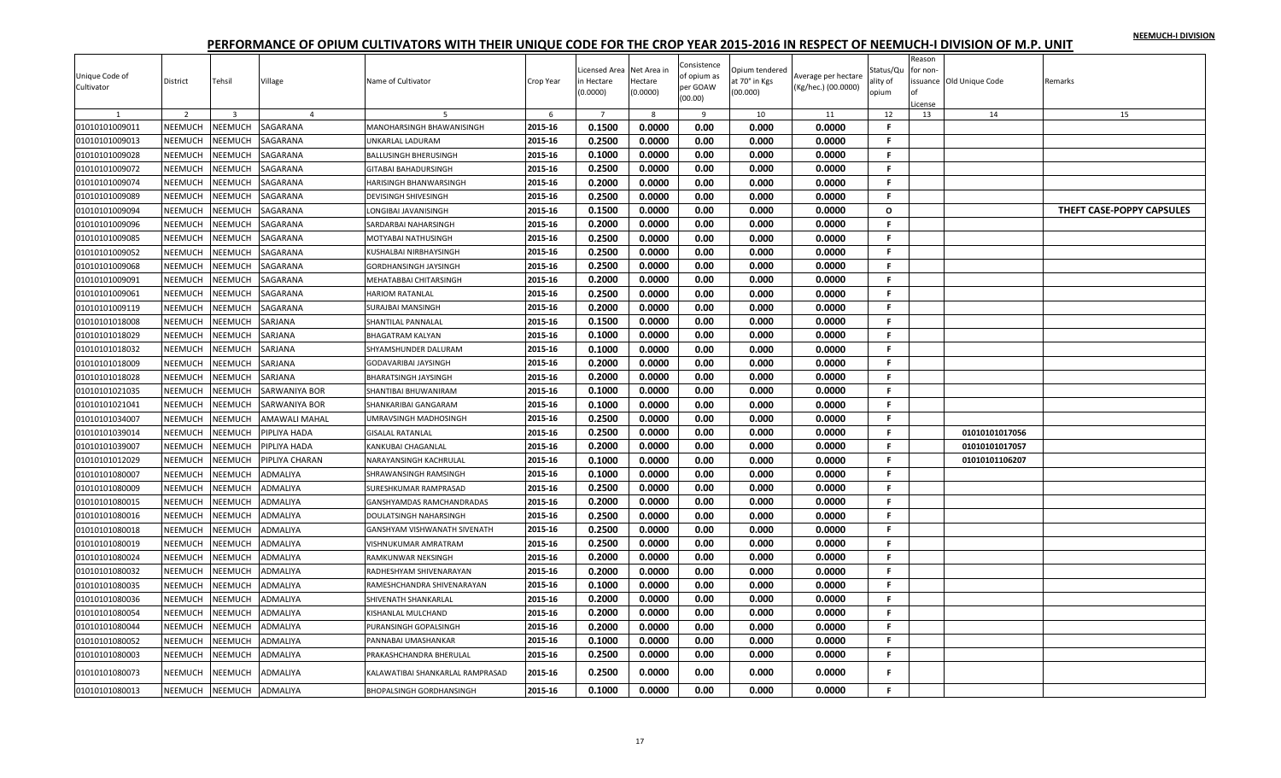|                |                |                         |                 |                                  |           |                |             |                            |                |                     |           | Reason        |                          |                           |
|----------------|----------------|-------------------------|-----------------|----------------------------------|-----------|----------------|-------------|----------------------------|----------------|---------------------|-----------|---------------|--------------------------|---------------------------|
| Unique Code of |                |                         |                 |                                  |           | icensed Area.  | Net Area in | Consistence<br>of opium as | Opium tendered | Average per hectare | Status/Qu | for non       |                          |                           |
| Cultivator     | District       | Tehsil                  | Village         | Name of Cultivator               | Crop Year | n Hectare      | Hectare     | per GOAW                   | at 70° in Kgs  | (Kg/hec.) (00.0000) | ality of  |               | issuance Old Unique Code | Remarks                   |
|                |                |                         |                 |                                  |           | (0.0000)       | (0.0000)    | (00.00)                    | (00.000)       |                     | opium     |               |                          |                           |
| $\mathbf{1}$   | 2              | $\overline{\mathbf{3}}$ | $\overline{4}$  |                                  | 6         | $\overline{7}$ | 8           | 9                          | 10             | 11                  | 12        | License<br>13 | 14                       | 15                        |
| 01010101009011 | NEEMUCH        | NEEMUCH                 | SAGARANA        | MANOHARSINGH BHAWANISINGH        | 2015-16   | 0.1500         | 0.0000      | 0.00                       | 0.000          | 0.0000              | -F        |               |                          |                           |
| 01010101009013 | NEEMUCH        | NEEMUCH                 | SAGARANA        | UNKARLAL LADURAM                 | 2015-16   | 0.2500         | 0.0000      | 0.00                       | 0.000          | 0.0000              | F.        |               |                          |                           |
| 01010101009028 | <b>NEEMUCH</b> | NEEMUCH                 | SAGARANA        | <b>BALLUSINGH BHERUSINGH</b>     | 2015-16   | 0.1000         | 0.0000      | 0.00                       | 0.000          | 0.0000              | F.        |               |                          |                           |
| 01010101009072 | NEEMUCH        | NEEMUCH                 | SAGARANA        | <b>GITABAI BAHADURSINGH</b>      | 2015-16   | 0.2500         | 0.0000      | 0.00                       | 0.000          | 0.0000              | F.        |               |                          |                           |
| 01010101009074 | NEEMUCH        | <b>NEEMUCH</b>          | SAGARANA        | <b>HARISINGH BHANWARSINGH</b>    | 2015-16   | 0.2000         | 0.0000      | 0.00                       | 0.000          | 0.0000              | F.        |               |                          |                           |
| 01010101009089 | NEEMUCH        | NEEMUCH                 | SAGARANA        | <b>DEVISINGH SHIVESINGH</b>      | 2015-16   | 0.2500         | 0.0000      | 0.00                       | 0.000          | 0.0000              | F         |               |                          |                           |
| 01010101009094 | NEEMUCH        | NEEMUCH                 | SAGARANA        | LONGIBAI JAVANISINGH             | 2015-16   | 0.1500         | 0.0000      | 0.00                       | 0.000          | 0.0000              | $\circ$   |               |                          | THEFT CASE-POPPY CAPSULES |
| 01010101009096 | NEEMUCH        | NEEMUCH                 | SAGARANA        |                                  | 2015-16   | 0.2000         | 0.0000      | 0.00                       | 0.000          | 0.0000              | F.        |               |                          |                           |
|                |                |                         |                 | SARDARBAI NAHARSINGH             | 2015-16   | 0.2500         | 0.0000      | 0.00                       | 0.000          | 0.0000              | F.        |               |                          |                           |
| 01010101009085 | NEEMUCH        | NEEMUCH                 | SAGARANA        | MOTYABAI NATHUSINGH              |           | 0.2500         | 0.0000      | 0.00                       | 0.000          |                     | F.        |               |                          |                           |
| 01010101009052 | <b>NEEMUCH</b> | NEEMUCH                 | SAGARANA        | KUSHALBAI NIRBHAYSINGH           | 2015-16   |                |             |                            |                | 0.0000              |           |               |                          |                           |
| 01010101009068 | NEEMUCH        | NEEMUCH                 | SAGARANA        | GORDHANSINGH JAYSINGH            | 2015-16   | 0.2500         | 0.0000      | 0.00                       | 0.000          | 0.0000              | F.        |               |                          |                           |
| 01010101009091 | NEEMUCH        | <b>NEEMUCH</b>          | SAGARANA        | MEHATABBAI CHITARSINGH           | 2015-16   | 0.2000         | 0.0000      | 0.00                       | 0.000          | 0.0000              | F.        |               |                          |                           |
| 01010101009061 | NEEMUCH        | NEEMUCH                 | SAGARANA        | <b>HARIOM RATANLAL</b>           | 2015-16   | 0.2500         | 0.0000      | 0.00                       | 0.000          | 0.0000              | F.        |               |                          |                           |
| 01010101009119 | NEEMUCH        | NEEMUCH                 | SAGARANA        | <b>SURAJBAI MANSINGH</b>         | 2015-16   | 0.2000         | 0.0000      | 0.00                       | 0.000          | 0.0000              | F.        |               |                          |                           |
| 01010101018008 | NEEMUCH        | NEEMUCH                 | SARJANA         | SHANTILAL PANNALAL               | 2015-16   | 0.1500         | 0.0000      | 0.00                       | 0.000          | 0.0000              | -F        |               |                          |                           |
| 01010101018029 | NEEMUCH        | <b>NEEMUCH</b>          | SARJANA         | <b>BHAGATRAM KALYAN</b>          | 2015-16   | 0.1000         | 0.0000      | 0.00                       | 0.000          | 0.0000              | F.        |               |                          |                           |
| 01010101018032 | NEEMUCH        | NEEMUCH                 | SARJANA         | SHYAMSHUNDER DALURAM             | 2015-16   | 0.1000         | 0.0000      | 0.00                       | 0.000          | 0.0000              | F.        |               |                          |                           |
| 01010101018009 | NEEMUCH        | NEEMUCH                 | SARJANA         | <b>GODAVARIBAI JAYSINGH</b>      | 2015-16   | 0.2000         | 0.0000      | 0.00                       | 0.000          | 0.0000              | F.        |               |                          |                           |
| 01010101018028 | NEEMUCH        | <b>NEEMUCH</b>          | SARJANA         | <b>BHARATSINGH JAYSINGH</b>      | 2015-16   | 0.2000         | 0.0000      | 0.00                       | 0.000          | 0.0000              | F.        |               |                          |                           |
| 01010101021035 | NEEMUCH        | NEEMUCH                 | SARWANIYA BOR   | SHANTIBAI BHUWANIRAM             | 2015-16   | 0.1000         | 0.0000      | 0.00                       | 0.000          | 0.0000              | F         |               |                          |                           |
| 01010101021041 | NEEMUCH        | NEEMUCH                 | SARWANIYA BOR   | SHANKARIBAI GANGARAM             | 2015-16   | 0.1000         | 0.0000      | 0.00                       | 0.000          | 0.0000              | F.        |               |                          |                           |
| 01010101034007 | NEEMUCH        | NEEMUCH                 | AMAWALI MAHAL   | <b>UMRAVSINGH MADHOSINGH</b>     | 2015-16   | 0.2500         | 0.0000      | 0.00                       | 0.000          | 0.0000              | F.        |               |                          |                           |
| 01010101039014 | NEEMUCH        | NEEMUCH                 | PIPLIYA HADA    | <b>GISALAL RATANLAL</b>          | 2015-16   | 0.2500         | 0.0000      | 0.00                       | 0.000          | 0.0000              | F.        |               | 01010101017056           |                           |
| 01010101039007 | <b>NEEMUCH</b> | NEEMUCH                 | PIPLIYA HADA    | KANKUBAI CHAGANLAL               | 2015-16   | 0.2000         | 0.0000      | 0.00                       | 0.000          | 0.0000              | F.        |               | 01010101017057           |                           |
| 01010101012029 | NEEMUCH        | <b>NEEMUCH</b>          | PIPLIYA CHARAN  | NARAYANSINGH KACHRULAL           | 2015-16   | 0.1000         | 0.0000      | 0.00                       | 0.000          | 0.0000              | F         |               | 01010101106207           |                           |
| 01010101080007 | NEEMUCH        | NEEMUCH                 | ADMALIYA        | SHRAWANSINGH RAMSINGH            | 2015-16   | 0.1000         | 0.0000      | 0.00                       | 0.000          | 0.0000              | F.        |               |                          |                           |
| 01010101080009 | NEEMUCH        | <b>NEEMUCH</b>          | ADMALIYA        | SURESHKUMAR RAMPRASAD            | 2015-16   | 0.2500         | 0.0000      | 0.00                       | 0.000          | 0.0000              | F.        |               |                          |                           |
| 01010101080015 | NEEMUCH        | NEEMUCH                 | ADMALIYA        | <b>GANSHYAMDAS RAMCHANDRADAS</b> | 2015-16   | 0.2000         | 0.0000      | 0.00                       | 0.000          | 0.0000              | F.        |               |                          |                           |
| 01010101080016 | NEEMUCH        | NEEMUCH                 | ADMALIYA        | DOULATSINGH NAHARSINGH           | 2015-16   | 0.2500         | 0.0000      | 0.00                       | 0.000          | 0.0000              | F         |               |                          |                           |
| 01010101080018 | NEEMUCH        | NEEMUCH                 | ADMALIYA        | GANSHYAM VISHWANATH SIVENATH     | 2015-16   | 0.2500         | 0.0000      | 0.00                       | 0.000          | 0.0000              | F.        |               |                          |                           |
| 01010101080019 | NEEMUCH        | NEEMUCH                 | ADMALIYA        | VISHNUKUMAR AMRATRAM             | 2015-16   | 0.2500         | 0.0000      | 0.00                       | 0.000          | 0.0000              | F.        |               |                          |                           |
| 01010101080024 | NEEMUCH        | NEEMUCH                 | ADMALIYA        | <b>RAMKUNWAR NEKSINGH</b>        | 2015-16   | 0.2000         | 0.0000      | 0.00                       | 0.000          | 0.0000              | F.        |               |                          |                           |
| 01010101080032 | <b>NEEMUCH</b> | NEEMUCH                 | ADMALIYA        | RADHESHYAM SHIVENARAYAN          | 2015-16   | 0.2000         | 0.0000      | 0.00                       | 0.000          | 0.0000              | F.        |               |                          |                           |
| 01010101080035 | NEEMUCH        | NEEMUCH                 | ADMALIYA        | RAMESHCHANDRA SHIVENARAYAN       | 2015-16   | 0.1000         | 0.0000      | 0.00                       | 0.000          | 0.0000              | F.        |               |                          |                           |
| 01010101080036 | NEEMUCH        | NEEMUCH                 | ADMALIYA        | SHIVENATH SHANKARLAL             | 2015-16   | 0.2000         | 0.0000      | 0.00                       | 0.000          | 0.0000              | F         |               |                          |                           |
| 01010101080054 | NEEMUCH        | NEEMUCH                 | ADMALIYA        | KISHANLAL MULCHAND               | 2015-16   | 0.2000         | 0.0000      | 0.00                       | 0.000          | 0.0000              | F.        |               |                          |                           |
| 01010101080044 | NEEMUCH        | NEEMUCH                 | ADMALIYA        | PURANSINGH GOPALSINGH            | 2015-16   | 0.2000         | 0.0000      | 0.00                       | 0.000          | 0.0000              | F.        |               |                          |                           |
| 01010101080052 | NEEMUCH        | NEEMUCH                 | ADMALIYA        | PANNABAI UMASHANKAR              | 2015-16   | 0.1000         | 0.0000      | 0.00                       | 0.000          | 0.0000              | F.        |               |                          |                           |
| 01010101080003 | NEEMUCH        | NEEMUCH                 | ADMALIYA        | PRAKASHCHANDRA BHERULAL          | 2015-16   | 0.2500         | 0.0000      | 0.00                       | 0.000          | 0.0000              | F         |               |                          |                           |
|                |                |                         |                 |                                  |           |                |             |                            |                |                     |           |               |                          |                           |
| 01010101080073 | NEEMUCH        | <b>JEEMUCH</b>          | ADMALIYA        | KALAWATIBAI SHANKARLAL RAMPRASAD | 2015-16   | 0.2500         | 0.0000      | 0.00                       | 0.000          | 0.0000              |           |               |                          |                           |
| 01010101080013 | NEEMUCH        | <b>NEEMUCH</b>          | <b>ADMALIYA</b> | <b>BHOPALSINGH GORDHANSINGH</b>  | 2015-16   | 0.1000         | 0.0000      | 0.00                       | 0.000          | 0.0000              | F.        |               |                          |                           |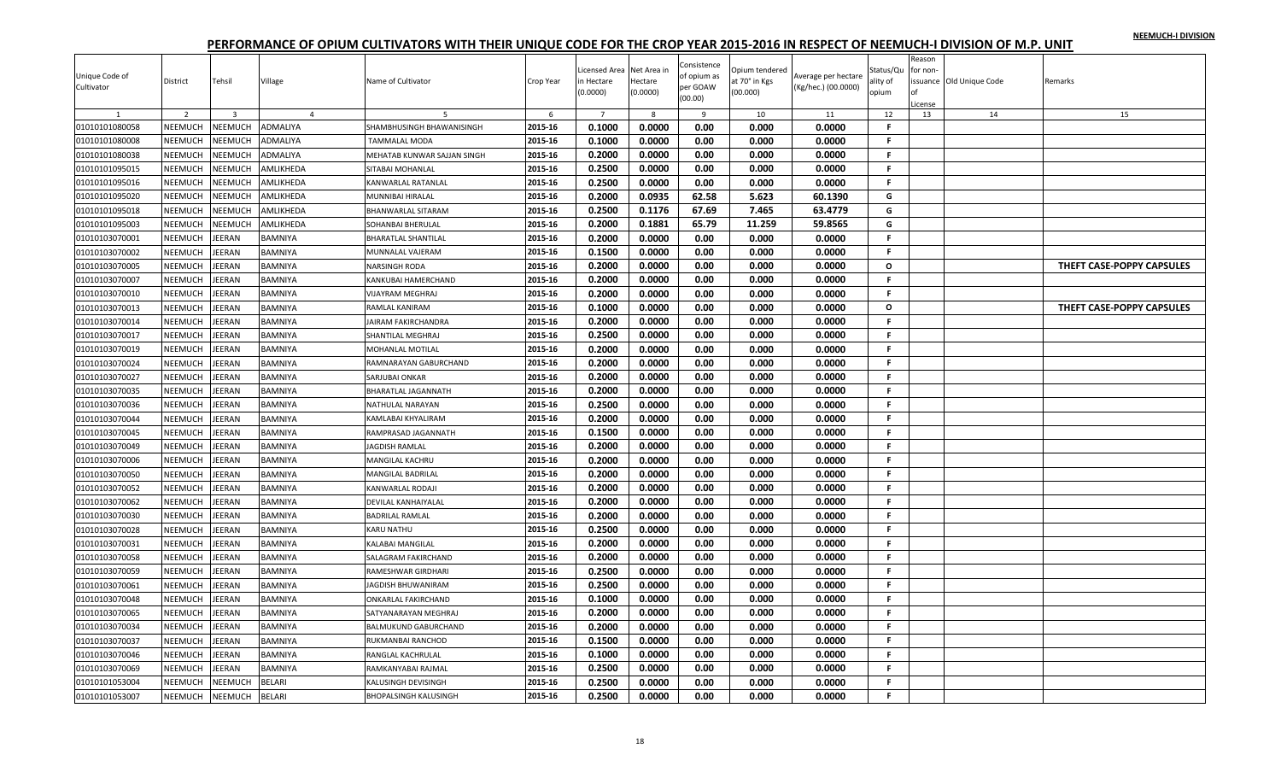| Unique Code of<br>Cultivator     | District           | Tehsil                         | Village                          | Name of Cultivator                          | Crop Year          | Licensed Area<br>n Hectare<br>(0.0000) | Net Area in<br>Hectare<br>(0.0000) | Consistence<br>of opium as<br>per GOAW<br>(00.00) | Opium tendered<br>at 70° in Kgs<br>(00.000) | Werage per hectare<br>(Kg/hec.) (00.0000) | Status/Qu<br>ality of<br>opium | Reason<br>for non-<br>icense | issuance Old Unique Code | Remarks                   |
|----------------------------------|--------------------|--------------------------------|----------------------------------|---------------------------------------------|--------------------|----------------------------------------|------------------------------------|---------------------------------------------------|---------------------------------------------|-------------------------------------------|--------------------------------|------------------------------|--------------------------|---------------------------|
|                                  | $\overline{2}$     | $\overline{3}$                 | $\overline{4}$                   | 5                                           | 6                  | $\overline{7}$<br>0.1000               | $\mathbf{g}$                       | 9                                                 | 10                                          | 11                                        | 12<br>F.                       | 13                           | 14                       | 15                        |
| 01010101080058                   | NEEMUCH            | NEEMUCH                        | ADMALIYA                         | SHAMBHUSINGH BHAWANISINGH                   | 2015-16<br>2015-16 | 0.1000                                 | 0.0000<br>0.0000                   | 0.00<br>0.00                                      | 0.000<br>0.000                              | 0.0000<br>0.0000                          | F.                             |                              |                          |                           |
| 01010101080008                   | NEEMUCH            | <b>NEEMUCH</b>                 | ADMALIYA                         | TAMMALAL MODA                               |                    |                                        |                                    |                                                   |                                             |                                           | F.                             |                              |                          |                           |
| 01010101080038                   | NEEMUCH<br>NEEMUCH | NEEMUCH                        | ADMALIYA                         | MEHATAB KUNWAR SAJJAN SINGH                 | 2015-16<br>2015-16 | 0.2000<br>0.2500                       | 0.0000<br>0.0000                   | 0.00                                              | 0.000                                       | 0.0000                                    | F.                             |                              |                          |                           |
| 01010101095015                   |                    | NEEMUCH                        | AMLIKHEDA                        | SITABAI MOHANLAL                            |                    |                                        |                                    | 0.00<br>0.00                                      | 0.000                                       | 0.0000<br>0.0000                          |                                |                              |                          |                           |
| 01010101095016                   | NEEMUCH            | <b>NEEMUCH</b>                 | AMLIKHEDA                        | KANWARLAL RATANLAL                          | 2015-16            | 0.2500                                 | 0.0000                             |                                                   | 0.000                                       |                                           | F.                             |                              |                          |                           |
| 01010101095020<br>01010101095018 | NEEMUCH<br>NEEMUCH | NEEMUCH<br>NEEMUCH             | AMLIKHEDA<br>AMLIKHEDA           | MUNNIBAI HIRALAL                            | 2015-16<br>2015-16 | 0.2000<br>0.2500                       | 0.0935                             | 62.58                                             | 5.623                                       | 60.1390                                   | G<br>G                         |                              |                          |                           |
|                                  | NEEMUCH            | <b>NEEMUCH</b>                 | AMLIKHEDA                        | BHANWARLAL SITARAM                          | 2015-16            | 0.2000                                 | 0.1176<br>0.1881                   | 67.69<br>65.79                                    | 7.465<br>11.259                             | 63.4779<br>59.8565                        | G                              |                              |                          |                           |
| 01010101095003                   |                    |                                |                                  | SOHANBAI BHERULAL                           |                    |                                        |                                    |                                                   |                                             |                                           | F.                             |                              |                          |                           |
| 01010103070001                   | NEEMUCH            | <b>IEERAN</b>                  | BAMNIYA                          | BHARATLAL SHANTILAL                         | 2015-16<br>2015-16 | 0.2000<br>0.1500                       | 0.0000<br>0.0000                   | 0.00<br>0.00                                      | 0.000<br>0.000                              | 0.0000<br>0.0000                          | F.                             |                              |                          |                           |
| 01010103070002                   | NEEMUCH<br>NEEMUCH | <b>IEERAN</b>                  | <b>BAMNIYA</b>                   | MUNNALAL VAJERAM                            |                    |                                        |                                    |                                                   |                                             |                                           |                                |                              |                          |                           |
| 01010103070005                   |                    | <b>EERAN</b>                   | BAMNIYA                          | NARSINGH RODA                               | 2015-16            | 0.2000                                 | 0.0000                             | 0.00                                              | 0.000                                       | 0.0000                                    | $\mathbf{o}$                   |                              |                          | THEFT CASE-POPPY CAPSULES |
| 01010103070007                   | NEEMUCH            | <b>IEERAN</b>                  | <b>BAMNIYA</b>                   | KANKUBAI HAMERCHAND                         | 2015-16            | 0.2000                                 | 0.0000                             | 0.00                                              | 0.000                                       | 0.0000                                    | F.<br>F                        |                              |                          |                           |
| 01010103070010                   | NEEMUCH            | <b>IEERAN</b>                  | <b>BAMNIYA</b>                   | VIJAYRAM MEGHRAJ                            | 2015-16            | 0.2000                                 | 0.0000                             | 0.00                                              | 0.000                                       | 0.0000                                    | $\Omega$                       |                              |                          |                           |
| 01010103070013<br>01010103070014 | NEEMUCH<br>NEEMUCH | <b>IEERAN</b><br>JEERAN        | <b>BAMNIYA</b><br><b>BAMNIYA</b> | RAMLAL KANIRAM                              | 2015-16<br>2015-16 | 0.1000<br>0.2000                       | 0.0000<br>0.0000                   | 0.00<br>0.00                                      | 0.000<br>0.000                              | 0.0000<br>0.0000                          | F.                             |                              |                          | THEFT CASE-POPPY CAPSULES |
|                                  |                    |                                |                                  | AIRAM FAKIRCHANDRA                          | 2015-16            | 0.2500                                 | 0.0000                             | 0.00                                              | 0.000                                       | 0.0000                                    | F.                             |                              |                          |                           |
| 01010103070017                   | NEEMUCH            | <b>EERAN</b>                   | <b>BAMNIYA</b>                   | SHANTILAL MEGHRAJ                           | 2015-16            | 0.2000                                 |                                    | 0.00                                              | 0.000                                       |                                           | F.                             |                              |                          |                           |
| 01010103070019                   | NEEMUCH<br>NEEMUCH | <b>IEERAN</b><br><b>IEERAN</b> | <b>BAMNIYA</b><br><b>BAMNIYA</b> | MOHANLAL MOTILAL<br>RAMNARAYAN GABURCHAND   | 2015-16            | 0.2000                                 | 0.0000<br>0.0000                   | 0.00                                              | 0.000                                       | 0.0000<br>0.0000                          | F.                             |                              |                          |                           |
| 01010103070024                   | <b>NEEMUCH</b>     | <b>IEERAN</b>                  |                                  |                                             | 2015-16            |                                        |                                    |                                                   |                                             |                                           | F.                             |                              |                          |                           |
| 01010103070027                   |                    |                                | <b>BAMNIYA</b>                   | SARJUBAI ONKAR                              |                    | 0.2000                                 | 0.0000                             | 0.00                                              | 0.000                                       | 0.0000                                    | F.                             |                              |                          |                           |
| 01010103070035<br>01010103070036 | NEEMUCH<br>NEEMUCH | <b>IEERAN</b><br><b>IEERAN</b> | BAMNIYA<br><b>BAMNIYA</b>        | BHARATLAL JAGANNATH                         | 2015-16<br>2015-16 | 0.2000<br>0.2500                       | 0.0000<br>0.0000                   | 0.00<br>0.00                                      | 0.000<br>0.000                              | 0.0000<br>0.0000                          | F.                             |                              |                          |                           |
| 01010103070044                   | NEEMUCH            | <b>EERAN</b>                   | <b>BAMNIYA</b>                   | NATHULAL NARAYAN<br>KAMLABAI KHYALIRAM      | 2015-16            | 0.2000                                 | 0.0000                             | 0.00                                              | 0.000                                       | 0.0000                                    | F.                             |                              |                          |                           |
|                                  | NEEMUCH            | <b>IEERAN</b>                  | <b>BAMNIYA</b>                   | RAMPRASAD JAGANNATH                         | 2015-16            | 0.1500                                 | 0.0000                             | 0.00                                              | 0.000                                       | 0.0000                                    | F.                             |                              |                          |                           |
| 01010103070045                   | <b>NEEMUCH</b>     | EERAN                          | <b>BAMNIYA</b>                   | <b>JAGDISH RAMLAL</b>                       | 2015-16            | 0.2000                                 | 0.0000                             | 0.00                                              | 0.000                                       | 0.0000                                    | F                              |                              |                          |                           |
| 01010103070049                   |                    |                                |                                  |                                             | 2015-16            | 0.2000                                 | 0.0000                             | 0.00                                              | 0.000                                       | 0.0000                                    | F.                             |                              |                          |                           |
| 01010103070006                   | NEEMUCH<br>NEEMUCH | <b>IEERAN</b><br><b>IEERAN</b> | <b>BAMNIYA</b>                   | MANGILAL KACHRU<br>MANGILAL BADRILAL        | 2015-16            | 0.2000                                 | 0.0000                             | 0.00                                              | 0.000                                       | 0.0000                                    | F.                             |                              |                          |                           |
| 01010103070050<br>01010103070052 | NEEMUCH            | <b>EERAN</b>                   | <b>BAMNIYA</b><br><b>BAMNIYA</b> | KANWARLAL RODAJI                            | 2015-16            | 0.2000                                 | 0.0000                             | 0.00                                              | 0.000                                       | 0.0000                                    | F.                             |                              |                          |                           |
|                                  | NEEMUCH            |                                | <b>BAMNIYA</b>                   |                                             | 2015-16            | 0.2000                                 | 0.0000                             |                                                   |                                             | 0.0000                                    | F.                             |                              |                          |                           |
| 01010103070062<br>01010103070030 | <b>NEEMUCH</b>     | <b>IEERAN</b><br><b>EERAN</b>  | BAMNIYA                          | DEVILAL KANHAIYALAL<br>BADRILAL RAMLAL      | 2015-16            | 0.2000                                 | 0.0000                             | 0.00<br>0.00                                      | 0.000<br>0.000                              | 0.0000                                    | F.                             |                              |                          |                           |
| 01010103070028                   | NEEMUCH            | <b>EERAN</b>                   | <b>BAMNIYA</b>                   | KARU NATHU                                  | 2015-16            | 0.2500                                 | 0.0000                             | 0.00                                              | 0.000                                       | 0.0000                                    | F.                             |                              |                          |                           |
| 01010103070031                   | NEEMUCH            | JEERAN                         | <b>BAMNIYA</b>                   |                                             | 2015-16            | 0.2000                                 | 0.0000                             | 0.00                                              | 0.000                                       | 0.0000                                    | F.                             |                              |                          |                           |
| 01010103070058                   | NEEMUCH            | <b>EERAN</b>                   | <b>BAMNIYA</b>                   | KALABAI MANGILAL<br>SALAGRAM FAKIRCHAND     | 2015-16            | 0.2000                                 | 0.0000                             | 0.00                                              | 0.000                                       | 0.0000                                    | F.                             |                              |                          |                           |
| 01010103070059                   | NEEMUCH            | <b>IEERAN</b>                  | <b>BAMNIYA</b>                   | RAMESHWAR GIRDHARI                          | 2015-16            | 0.2500                                 | 0.0000                             | 0.00                                              | 0.000                                       | 0.0000                                    | F.                             |                              |                          |                           |
| 01010103070061                   | NEEMUCH            | <b>IEERAN</b>                  | <b>BAMNIYA</b>                   | JAGDISH BHUWANIRAM                          | 2015-16            | 0.2500                                 | 0.0000                             | 0.00                                              | 0.000                                       | 0.0000                                    | F.                             |                              |                          |                           |
| 01010103070048                   | NEEMUCH            | <b>IEERAN</b>                  | <b>BAMNIYA</b>                   |                                             | 2015-16            | 0.1000                                 |                                    | 0.00                                              | 0.000                                       | 0.0000                                    | F                              |                              |                          |                           |
| 01010103070065                   | NEEMUCH            | <b>IEERAN</b>                  | <b>BAMNIYA</b>                   | ONKARLAL FAKIRCHAND<br>SATYANARAYAN MEGHRAJ | 2015-16            | 0.2000                                 | 0.0000<br>0.0000                   | 0.00                                              | 0.000                                       | 0.0000                                    | F.                             |                              |                          |                           |
|                                  | NEEMUCH            | <b>IEERAN</b>                  | <b>BAMNIYA</b>                   |                                             | 2015-16            | 0.2000                                 | 0.0000                             | 0.00                                              | 0.000                                       | 0.0000                                    | F.                             |                              |                          |                           |
| 01010103070034<br>01010103070037 | NEEMUCH            | <b>EERAN</b>                   | <b>BAMNIYA</b>                   | BALMUKUND GABURCHAND<br>RUKMANBAI RANCHOD   | 2015-16            | 0.1500                                 | 0.0000                             | 0.00                                              | 0.000                                       | 0.0000                                    | F.                             |                              |                          |                           |
|                                  |                    |                                |                                  |                                             |                    |                                        |                                    |                                                   |                                             |                                           | F.                             |                              |                          |                           |
| 01010103070046                   | NEEMUCH<br>NEEMUCH | <b>IEERAN</b><br>EERAN         | <b>BAMNIYA</b><br><b>BAMNIYA</b> | RANGLAL KACHRULAL                           | 2015-16<br>2015-16 | 0.1000<br>0.2500                       | 0.0000<br>0.0000                   | 0.00<br>0.00                                      | 0.000<br>0.000                              | 0.0000<br>0.0000                          | F                              |                              |                          |                           |
| 01010103070069                   |                    |                                |                                  | RAMKANYABAI RAJMAL                          | 2015-16            | 0.2500                                 |                                    |                                                   | 0.000                                       |                                           | F.                             |                              |                          |                           |
| 01010101053004                   | NEEMUCH            | NEEMUCH                        | <b>BELARI</b>                    | KALUSINGH DEVISINGH                         |                    | 0.2500                                 | 0.0000<br>0.0000                   | 0.00<br>0.00                                      | 0.000                                       | 0.0000                                    | F.                             |                              |                          |                           |
| 01010101053007                   | NEEMUCH            | NEEMUCH                        | <b>BELARI</b>                    | BHOPALSINGH KALUSINGH                       | 2015-16            |                                        |                                    |                                                   |                                             | 0.0000                                    |                                |                              |                          |                           |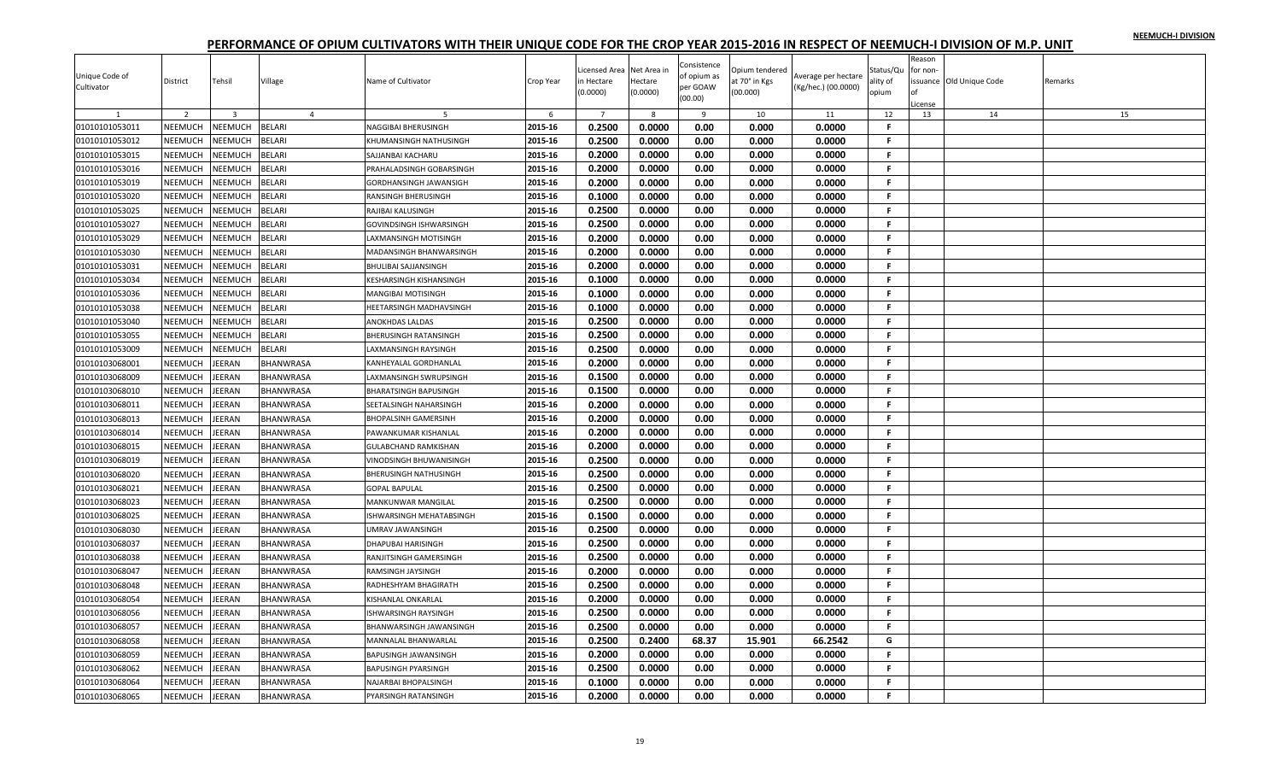| Unique Code of | District       | Tehsil         | Village          | Name of Cultivator             | Crop Year | icensed Area<br>n Hectare | Net Area in<br>Hectare | Consistence<br>of opium as | Opium tendered<br>it 70° in Kgs | Average per hectare | Status/Qu<br>ality of | Reason<br>for non- | ssuance Old Unique Code | Remarks |
|----------------|----------------|----------------|------------------|--------------------------------|-----------|---------------------------|------------------------|----------------------------|---------------------------------|---------------------|-----------------------|--------------------|-------------------------|---------|
| Cultivator     |                |                |                  |                                |           | (0.0000)                  | (0.0000)               | per GOAW<br>(00.00)        | (00.000)                        | (Kg/hec.) (00.0000) | opium                 | License            |                         |         |
|                | 2              | $\overline{3}$ | $\overline{4}$   |                                | 6         | $\overline{7}$            | 8                      | 9                          | 10                              | 11                  | 12                    | 13                 | 14                      | 15      |
| 01010101053011 | NEEMUCH        | NEEMUCH        | <b>BELARI</b>    | NAGGIBAI BHERUSINGH            | 2015-16   | 0.2500                    | 0.0000                 | 0.00                       | 0.000                           | 0.0000              | F.                    |                    |                         |         |
| 01010101053012 | NEEMUCH        | NEEMUCH        | BELARI           | KHUMANSINGH NATHUSINGH         | 2015-16   | 0.2500                    | 0.0000                 | 0.00                       | 0.000                           | 0.0000              | F.                    |                    |                         |         |
| 01010101053015 | NEEMUCH        | NEEMUCH        | BELARI           | SAJJANBAI KACHARU              | 2015-16   | 0.2000                    | 0.0000                 | 0.00                       | 0.000                           | 0.0000              | F.                    |                    |                         |         |
| 01010101053016 | NEEMUCH        | <b>NEEMUCH</b> | BELARI           | PRAHALADSINGH GOBARSINGH       | 2015-16   | 0.2000                    | 0.0000                 | 0.00                       | 0.000                           | 0.0000              | F.                    |                    |                         |         |
| 01010101053019 | NEEMUCH        | NEEMUCH        | BELARI           | <b>GORDHANSINGH JAWANSIGH</b>  | 2015-16   | 0.2000                    | 0.0000                 | 0.00                       | 0.000                           | 0.0000              | F.                    |                    |                         |         |
| 01010101053020 | NEEMUCH        | <b>NEEMUCH</b> | BELARI           | <b>RANSINGH BHERUSINGH</b>     | 2015-16   | 0.1000                    | 0.0000                 | 0.00                       | 0.000                           | 0.0000              | F.                    |                    |                         |         |
| 01010101053025 | NEEMUCH        | NEEMUCH        | BELARI           | RAJIBAI KALUSINGH              | 2015-16   | 0.2500                    | 0.0000                 | 0.00                       | 0.000                           | 0.0000              | F                     |                    |                         |         |
| 01010101053027 | NEEMUCH        | NEEMUCH        | BELARI           | <b>GOVINDSINGH ISHWARSINGH</b> | 2015-16   | 0.2500                    | 0.0000                 | 0.00                       | 0.000                           | 0.0000              | F.                    |                    |                         |         |
| 01010101053029 | <b>NEEMUCH</b> | NEEMUCH        | BELARI           | LAXMANSINGH MOTISINGH          | 2015-16   | 0.2000                    | 0.0000                 | 0.00                       | 0.000                           | 0.0000              | F.                    |                    |                         |         |
| 01010101053030 | NEEMUCH        | NEEMUCH        | BELARI           | MADANSINGH BHANWARSINGH        | 2015-16   | 0.2000                    | 0.0000                 | 0.00                       | 0.000                           | 0.0000              | F.                    |                    |                         |         |
| 01010101053031 | NEEMUCH        | NEEMUCH        | BELARI           | <b>BHULIBAI SAJJANSINGH</b>    | 2015-16   | 0.2000                    | 0.0000                 | 0.00                       | 0.000                           | 0.0000              | F.                    |                    |                         |         |
| 01010101053034 | <b>NEEMUCH</b> | NEEMUCH        | BELARI           | <b>KESHARSINGH KISHANSINGH</b> | 2015-16   | 0.1000                    | 0.0000                 | 0.00                       | 0.000                           | 0.0000              | F                     |                    |                         |         |
| 01010101053036 | NEEMUCH        | NEEMUCH        | BELARI           | <b>MANGIBAI MOTISINGH</b>      | 2015-16   | 0.1000                    | 0.0000                 | 0.00                       | 0.000                           | 0.0000              | F.                    |                    |                         |         |
| 01010101053038 | NEEMUCH        | NEEMUCH        | BELARI           | HEETARSINGH MADHAVSINGH        | 2015-16   | 0.1000                    | 0.0000                 | 0.00                       | 0.000                           | 0.0000              | F.                    |                    |                         |         |
| 01010101053040 | NEEMUCH        | NEEMUCH        | BELARI           | <b>ANOKHDAS LALDAS</b>         | 2015-16   | 0.2500                    | 0.0000                 | 0.00                       | 0.000                           | 0.0000              | F.                    |                    |                         |         |
| 01010101053055 | NEEMUCH        | NEEMUCH        | BELARI           | <b>BHERUSINGH RATANSINGH</b>   | 2015-16   | 0.2500                    | 0.0000                 | 0.00                       | 0.000                           | 0.0000              | F.                    |                    |                         |         |
| 01010101053009 | <b>NEEMUCH</b> | <b>NEEMUCH</b> | BELARI           | LAXMANSINGH RAYSINGH           | 2015-16   | 0.2500                    | 0.0000                 | 0.00                       | 0.000                           | 0.0000              | F.                    |                    |                         |         |
| 01010103068001 | <b>NEEMUCH</b> | EERAN          | BHANWRASA        | KANHEYALAL GORDHANLAL          | 2015-16   | 0.2000                    | 0.0000                 | 0.00                       | 0.000                           | 0.0000              | F.                    |                    |                         |         |
| 01010103068009 | NEEMUCH        | <b>JEERAN</b>  | BHANWRASA        | LAXMANSINGH SWRUPSINGH         | 2015-16   | 0.1500                    | 0.0000                 | 0.00                       | 0.000                           | 0.0000              | F.                    |                    |                         |         |
| 01010103068010 | NEEMUCH        | <b>JEERAN</b>  | BHANWRASA        | <b>BHARATSINGH BAPUSINGH</b>   | 2015-16   | 0.1500                    | 0.0000                 | 0.00                       | 0.000                           | 0.0000              | F.                    |                    |                         |         |
| 01010103068011 | <b>NEEMUCH</b> | <b>JEERAN</b>  | BHANWRASA        | <b>SEETALSINGH NAHARSINGH</b>  | 2015-16   | 0.2000                    | 0.0000                 | 0.00                       | 0.000                           | 0.0000              | $\mathbf{F}$          |                    |                         |         |
| 01010103068013 | NEEMUCH        | <b>JEERAN</b>  | BHANWRASA        | <b>BHOPALSINH GAMERSINH</b>    | 2015-16   | 0.2000                    | 0.0000                 | 0.00                       | 0.000                           | 0.0000              | F.                    |                    |                         |         |
| 01010103068014 | NEEMUCH        | JEERAN         | BHANWRASA        | PAWANKUMAR KISHANLAL           | 2015-16   | 0.2000                    | 0.0000                 | 0.00                       | 0.000                           | 0.0000              | F.                    |                    |                         |         |
| 01010103068015 | NEEMUCH        | <b>JEERAN</b>  | BHANWRASA        | <b>GULABCHAND RAMKISHAN</b>    | 2015-16   | 0.2000                    | 0.0000                 | 0.00                       | 0.000                           | 0.0000              | F.                    |                    |                         |         |
| 01010103068019 | NEEMUCH        | <b>JEERAN</b>  | BHANWRASA        | <b>VINODSINGH BHUWANISINGH</b> | 2015-16   | 0.2500                    | 0.0000                 | 0.00                       | 0.000                           | 0.0000              | F.                    |                    |                         |         |
| 01010103068020 | NEEMUCH        | JEERAN         | BHANWRASA        | <b>BHERUSINGH NATHUSINGH</b>   | 2015-16   | 0.2500                    | 0.0000                 | 0.00                       | 0.000                           | 0.0000              | F.                    |                    |                         |         |
| 01010103068021 | <b>NEEMUCH</b> | <b>JEERAN</b>  | BHANWRASA        | <b>GOPAL BAPULAL</b>           | 2015-16   | 0.2500                    | 0.0000                 | 0.00                       | 0.000                           | 0.0000              | -F.                   |                    |                         |         |
| 01010103068023 | NEEMUCH        | <b>JEERAN</b>  | <b>BHANWRASA</b> | MANKUNWAR MANGILAL             | 2015-16   | 0.2500                    | 0.0000                 | 0.00                       | 0.000                           | 0.0000              | F.                    |                    |                         |         |
| 01010103068025 | NEEMUCH        | <b>JEERAN</b>  | BHANWRASA        | ISHWARSINGH MEHATABSINGH       | 2015-16   | 0.1500                    | 0.0000                 | 0.00                       | 0.000                           | 0.0000              | F.                    |                    |                         |         |
| 01010103068030 | NEEMUCH        | EERAN          | BHANWRASA        | UMRAV JAWANSINGH               | 2015-16   | 0.2500                    | 0.0000                 | 0.00                       | 0.000                           | 0.0000              | F.                    |                    |                         |         |
| 01010103068037 | NEEMUCH        | <b>JEERAN</b>  | <b>BHANWRASA</b> | <b>DHAPUBAI HARISINGH</b>      | 2015-16   | 0.2500                    | 0.0000                 | 0.00                       | 0.000                           | 0.0000              | F.                    |                    |                         |         |
| 01010103068038 | NEEMUCH        | <b>JEERAN</b>  | BHANWRASA        | RANJITSINGH GAMERSINGH         | 2015-16   | 0.2500                    | 0.0000                 | 0.00                       | 0.000                           | 0.0000              | F.                    |                    |                         |         |
| 01010103068047 | <b>NEEMUCH</b> | <b>JEERAN</b>  | BHANWRASA        | RAMSINGH JAYSINGH              | 2015-16   | 0.2000                    | 0.0000                 | 0.00                       | 0.000                           | 0.0000              | F.                    |                    |                         |         |
| 01010103068048 | <b>NEEMUCH</b> | <b>JEERAN</b>  | BHANWRASA        | RADHESHYAM BHAGIRATH           | 2015-16   | 0.2500                    | 0.0000                 | 0.00                       | 0.000                           | 0.0000              | F.                    |                    |                         |         |
| 01010103068054 | NEEMUCH        | EERAN          | BHANWRASA        | KISHANLAL ONKARLAL             | 2015-16   | 0.2000                    | 0.0000                 | 0.00                       | 0.000                           | 0.0000              | F.                    |                    |                         |         |
| 01010103068056 | <b>NEEMUCH</b> | JEERAN         | BHANWRASA        | <b>ISHWARSINGH RAYSINGH</b>    | 2015-16   | 0.2500                    | 0.0000                 | 0.00                       | 0.000                           | 0.0000              | F.                    |                    |                         |         |
| 01010103068057 | NEEMUCH        | <b>JEERAN</b>  | BHANWRASA        | BHANWARSINGH JAWANSINGH        | 2015-16   | 0.2500                    | 0.0000                 | 0.00                       | 0.000                           | 0.0000              | F.                    |                    |                         |         |
| 01010103068058 | NEEMUCH        | <b>JEERAN</b>  | BHANWRASA        | MANNALAL BHANWARLAL            | 2015-16   | 0.2500                    | 0.2400                 | 68.37                      | 15.901                          | 66.2542             | G                     |                    |                         |         |
| 01010103068059 | <b>NEEMUCH</b> | <b>JEERAN</b>  | BHANWRASA        | <b>BAPUSINGH JAWANSINGH</b>    | 2015-16   | 0.2000                    | 0.0000                 | 0.00                       | 0.000                           | 0.0000              | F.                    |                    |                         |         |
| 01010103068062 | NEEMUCH        | EERAN          | BHANWRASA        | <b>BAPUSINGH PYARSINGH</b>     | 2015-16   | 0.2500                    | 0.0000                 | 0.00                       | 0.000                           | 0.0000              | F                     |                    |                         |         |
| 01010103068064 | NEEMUCH        | EERAN          | BHANWRASA        | NAJARBAI BHOPALSINGH           | 2015-16   | 0.1000                    | 0.0000                 | 0.00                       | 0.000                           | 0.0000              | F.                    |                    |                         |         |
| 01010103068065 | NEEMUCH        | <b>JEERAN</b>  | BHANWRASA        | PYARSINGH RATANSINGH           | 2015-16   | 0.2000                    | 0.0000                 | 0.00                       | 0.000                           | 0.0000              | F.                    |                    |                         |         |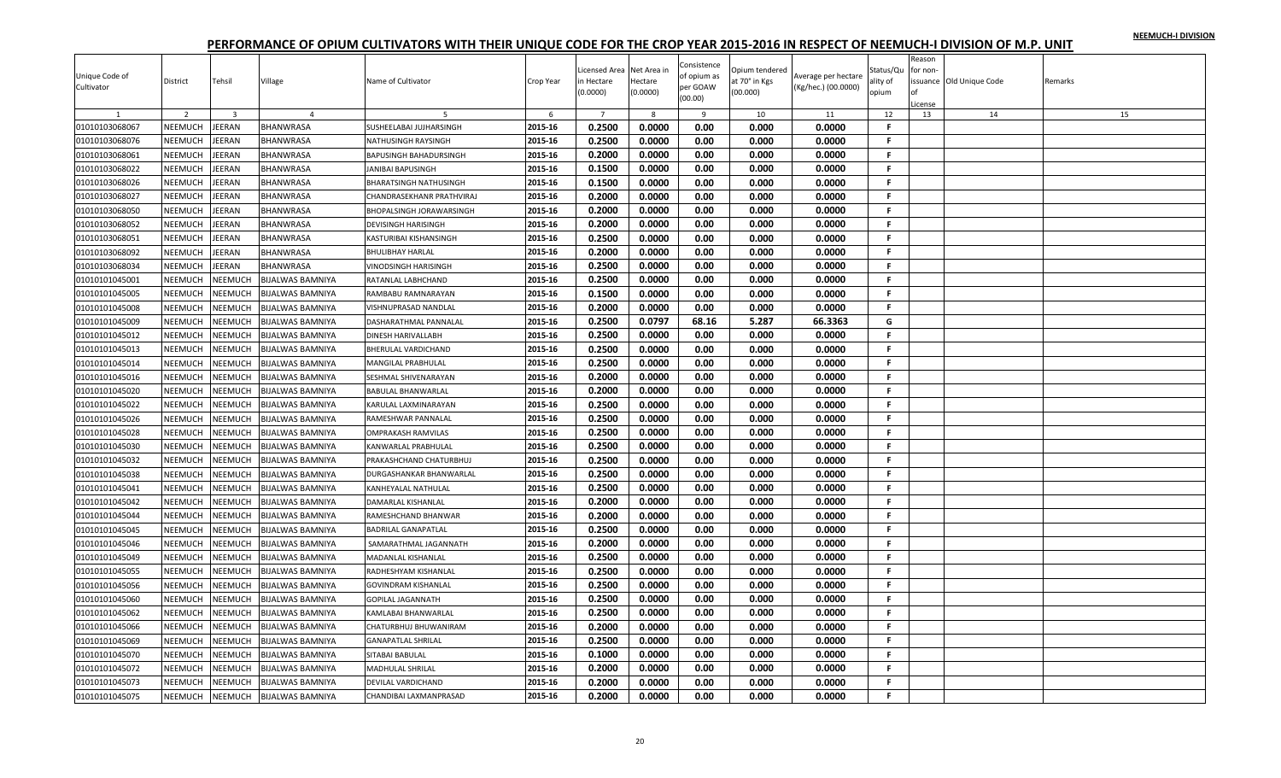|                |                |                |                         |                                 |           |                |              | Consistence  |                |                     |           | Reason   |                          |         |
|----------------|----------------|----------------|-------------------------|---------------------------------|-----------|----------------|--------------|--------------|----------------|---------------------|-----------|----------|--------------------------|---------|
| Unique Code of |                |                |                         |                                 |           | icensed Area   | Net Area in  | of opium as  | Opium tendered | Average per hectare | Status/Qu | for non- |                          |         |
| Cultivator     | District       | Tehsil         | Village                 | Name of Cultivator              | Crop Year | ነ Hectare      | Hectare      | per GOAW     | it 70° in Kgs  | (Kg/hec.) (00.0000) | ılity of  |          | issuance Old Unique Code | Remarks |
|                |                |                |                         |                                 |           | 0.0000         | (0.0000)     | (00.00)      | 00.000)        |                     | opium     | License  |                          |         |
|                | $\overline{2}$ | $\overline{3}$ | $\overline{a}$          |                                 | 6         | $\overline{7}$ | $\mathbf{g}$ | $\mathbf{q}$ | 10             | 11                  | 12        | 13       | 14                       | 15      |
| 01010103068067 | NEEMUCH        | JEERAN         | <b>BHANWRASA</b>        | SUSHEELABAI JUJHARSINGH         | 2015-16   | 0.2500         | 0.0000       | 0.00         | 0.000          | 0.0000              | F         |          |                          |         |
| 01010103068076 | NEEMUCH        | JEERAN         | BHANWRASA               | NATHUSINGH RAYSINGH             | 2015-16   | 0.2500         | 0.0000       | 0.00         | 0.000          | 0.0000              | F.        |          |                          |         |
| 01010103068061 | NEEMUCH        | <b>JEERAN</b>  | <b>BHANWRASA</b>        | <b>BAPUSINGH BAHADURSINGH</b>   | 2015-16   | 0.2000         | 0.0000       | 0.00         | 0.000          | 0.0000              | F.        |          |                          |         |
| 01010103068022 | NEEMUCH        | <b>JEERAN</b>  | <b>BHANWRASA</b>        | <b>JANIBAI BAPUSINGH</b>        | 2015-16   | 0.1500         | 0.0000       | 0.00         | 0.000          | 0.0000              | F         |          |                          |         |
| 01010103068026 | NEEMUCH        | JEERAN         | BHANWRASA               | <b>BHARATSINGH NATHUSINGH</b>   | 2015-16   | 0.1500         | 0.0000       | 0.00         | 0.000          | 0.0000              | F.        |          |                          |         |
| 01010103068027 | NEEMUCH        | <b>JEERAN</b>  | <b>BHANWRASA</b>        | CHANDRASEKHANR PRATHVIRAJ       | 2015-16   | 0.2000         | 0.0000       | 0.00         | 0.000          | 0.0000              | F.        |          |                          |         |
|                | NEEMUCH        | JEERAN         | BHANWRASA               |                                 | 2015-16   | 0.2000         | 0.0000       | 0.00         | 0.000          | 0.0000              | F         |          |                          |         |
| 01010103068050 |                |                |                         | <b>BHOPALSINGH JORAWARSINGH</b> |           |                |              |              |                |                     |           |          |                          |         |
| 01010103068052 | NEEMUCH        | JEERAN         | BHANWRASA               | <b>DEVISINGH HARISINGH</b>      | 2015-16   | 0.2000         | 0.0000       | 0.00         | 0.000          | 0.0000              | Е         |          |                          |         |
| 01010103068051 | NEEMUCH        | JEERAN         | BHANWRASA               | KASTURIBAI KISHANSINGH          | 2015-16   | 0.2500         | 0.0000       | 0.00         | 0.000          | 0.0000              | F.        |          |                          |         |
| 01010103068092 | NEEMUCH        | JEERAN         | BHANWRASA               | <b>BHULIBHAY HARLAL</b>         | 2015-16   | 0.2000         | 0.0000       | 0.00         | 0.000          | 0.0000              | F.        |          |                          |         |
| 01010103068034 | NEEMUCH        | JEERAN         | <b>BHANWRASA</b>        | <b>VINODSINGH HARISINGH</b>     | 2015-16   | 0.2500         | 0.0000       | 0.00         | 0.000          | 0.0000              | F.        |          |                          |         |
| 01010101045001 | NEEMUCH        | NEEMUCH        | <b>BIJALWAS BAMNIYA</b> | RATANLAL LABHCHAND              | 2015-16   | 0.2500         | 0.0000       | 0.00         | 0.000          | 0.0000              | F.        |          |                          |         |
| 01010101045005 | NEEMUCH        | NEEMUCH        | <b>BIJALWAS BAMNIYA</b> | RAMBABU RAMNARAYAN              | 2015-16   | 0.1500         | 0.0000       | 0.00         | 0.000          | 0.0000              | F         |          |                          |         |
| 01010101045008 | NEEMUCH        | NEEMUCH        | <b>BIJALWAS BAMNIYA</b> | VISHNUPRASAD NANDLAL            | 2015-16   | 0.2000         | 0.0000       | 0.00         | 0.000          | 0.0000              | F.        |          |                          |         |
| 01010101045009 | NEEMUCH        | NEEMUCH        | <b>BIJALWAS BAMNIYA</b> | DASHARATHMAL PANNALAL           | 2015-16   | 0.2500         | 0.0797       | 68.16        | 5.287          | 66.3363             | G         |          |                          |         |
| 01010101045012 | NEEMUCH        | NEEMUCH        | BIJALWAS BAMNIYA        | <b>DINESH HARIVALLABH</b>       | 2015-16   | 0.2500         | 0.0000       | 0.00         | 0.000          | 0.0000              | F.        |          |                          |         |
| 01010101045013 | NEEMUCH        | NEEMUCH        | BIJALWAS BAMNIYA        | <b>BHERULAL VARDICHAND</b>      | 2015-16   | 0.2500         | 0.0000       | 0.00         | 0.000          | 0.0000              | F.        |          |                          |         |
| 01010101045014 | NEEMUCH        | NEEMUCH        | BIJALWAS BAMNIYA        | <b>MANGILAL PRABHULAL</b>       | 2015-16   | 0.2500         | 0.0000       | 0.00         | 0.000          | 0.0000              | F.        |          |                          |         |
| 01010101045016 | NEEMUCH        | NEEMUCH        | <b>BIJALWAS BAMNIYA</b> | SESHMAL SHIVENARAYAN            | 2015-16   | 0.2000         | 0.0000       | 0.00         | 0.000          | 0.0000              | F         |          |                          |         |
| 01010101045020 | NEEMUCH        | NEEMUCH        | <b>BIJALWAS BAMNIYA</b> | <b>BABULAL BHANWARLAL</b>       | 2015-16   | 0.2000         | 0.0000       | 0.00         | 0.000          | 0.0000              | F.        |          |                          |         |
| 01010101045022 | NEEMUCH        | <b>NEEMUCH</b> | BIJALWAS BAMNIYA        | KARULAL LAXMINARAYAN            | 2015-16   | 0.2500         | 0.0000       | 0.00         | 0.000          | 0.0000              | F.        |          |                          |         |
| 01010101045026 | NEEMUCH        | NEEMUCH        | BIJALWAS BAMNIYA        | RAMESHWAR PANNALAI              | 2015-16   | 0.2500         | 0.0000       | 0.00         | 0.000          | 0.0000              | F.        |          |                          |         |
| 01010101045028 | NEEMUCH        | NEEMUCH        | <b>BIJALWAS BAMNIYA</b> | <b>OMPRAKASH RAMVILAS</b>       | 2015-16   | 0.2500         | 0.0000       | 0.00         | 0.000          | 0.0000              | F.        |          |                          |         |
| 01010101045030 | NEEMUCH        | <b>NEEMUCH</b> | <b>BIJALWAS BAMNIYA</b> | <b>KANWARLAL PRABHULAL</b>      | 2015-16   | 0.2500         | 0.0000       | 0.00         | 0.000          | 0.0000              | F.        |          |                          |         |
|                |                |                |                         |                                 |           | 0.2500         | 0.0000       | 0.00         | 0.000          | 0.0000              | F.        |          |                          |         |
| 01010101045032 | NEEMUCH        | NEEMUCH        | <b>BIJALWAS BAMNIYA</b> | PRAKASHCHAND CHATURBHUJ         | 2015-16   |                |              |              |                |                     |           |          |                          |         |
| 01010101045038 | NEEMUCH        | NEEMUCH        | <b>BIJALWAS BAMNIYA</b> | DURGASHANKAR BHANWARLAL         | 2015-16   | 0.2500         | 0.0000       | 0.00         | 0.000          | 0.0000              | F.        |          |                          |         |
| 01010101045041 | NEEMUCH        | NEEMUCH        | <b>BIJALWAS BAMNIYA</b> | KANHEYALAL NATHULAL             | 2015-16   | 0.2500         | 0.0000       | 0.00         | 0.000          | 0.0000              | F.        |          |                          |         |
| 01010101045042 | NEEMUCH        | NEEMUCH        | <b>BIJALWAS BAMNIYA</b> | <b>DAMARLAL KISHANLAL</b>       | 2015-16   | 0.2000         | 0.0000       | 0.00         | 0.000          | 0.0000              | F.        |          |                          |         |
| 01010101045044 | NEEMUCH        | NEEMUCH        | BIJALWAS BAMNIYA        | RAMESHCHAND BHANWAR             | 2015-16   | 0.2000         | 0.0000       | 0.00         | 0.000          | 0.0000              | F.        |          |                          |         |
| 01010101045045 | NEEMUCH        | NEEMUCH        | BIJALWAS BAMNIYA        | <b>BADRILAL GANAPATLAL</b>      | 2015-16   | 0.2500         | 0.0000       | 0.00         | 0.000          | 0.0000              | Е         |          |                          |         |
| 01010101045046 | NEEMUCH        | NEEMUCH        | <b>BIJALWAS BAMNIYA</b> | SAMARATHMAL JAGANNATH           | 2015-16   | 0.2000         | 0.0000       | 0.00         | 0.000          | 0.0000              | F         |          |                          |         |
| 01010101045049 | NEEMUCH        | NEEMUCH        | <b>BIJALWAS BAMNIYA</b> | <b>MADANLAL KISHANLAL</b>       | 2015-16   | 0.2500         | 0.0000       | 0.00         | 0.000          | 0.0000              | F.        |          |                          |         |
| 01010101045055 | NEEMUCH        | NEEMUCH        | <b>BIJALWAS BAMNIYA</b> | RADHESHYAM KISHANLAL            | 2015-16   | 0.2500         | 0.0000       | 0.00         | 0.000          | 0.0000              | F.        |          |                          |         |
| 01010101045056 | <b>NEEMUCH</b> | NEEMUCH        | BIJALWAS BAMNIYA        | <b>GOVINDRAM KISHANLAL</b>      | 2015-16   | 0.2500         | 0.0000       | 0.00         | 0.000          | 0.0000              | F.        |          |                          |         |
| 01010101045060 | NEEMUCH        | NEEMUCH        | <b>BIJALWAS BAMNIYA</b> | <b>GOPILAL JAGANNATH</b>        | 2015-16   | 0.2500         | 0.0000       | 0.00         | 0.000          | 0.0000              | Е         |          |                          |         |
| 01010101045062 | NEEMUCH        | NEEMUCH        | <b>BIJALWAS BAMNIYA</b> | KAMLABAI BHANWARLAL             | 2015-16   | 0.2500         | 0.0000       | 0.00         | 0.000          | 0.0000              | F.        |          |                          |         |
| 01010101045066 | NEEMUCH        | NEEMUCH        | <b>BIJALWAS BAMNIYA</b> | CHATURBHUJ BHUWANIRAM           | 2015-16   | 0.2000         | 0.0000       | 0.00         | 0.000          | 0.0000              | F.        |          |                          |         |
| 01010101045069 | NEEMUCH        | NEEMUCH        | BIJALWAS BAMNIYA        | <b>GANAPATLAL SHRILAL</b>       | 2015-16   | 0.2500         | 0.0000       | 0.00         | 0.000          | 0.0000              | F.        |          |                          |         |
| 01010101045070 | NEEMUCH        | NEEMUCH        | <b>BIJALWAS BAMNIYA</b> | SITABAI BABULAL                 | 2015-16   | 0.1000         | 0.0000       | 0.00         | 0.000          | 0.0000              | F.        |          |                          |         |
| 01010101045072 | NEEMUCH        | <b>NEEMUCH</b> | BIJALWAS BAMNIYA        | <b>MADHULAL SHRILAL</b>         | 2015-16   | 0.2000         | 0.0000       | 0.00         | 0.000          | 0.0000              | F         |          |                          |         |
| 01010101045073 | NEEMUCH        | NEEMUCH        | <b>BIJALWAS BAMNIYA</b> | DEVILAL VARDICHAND              | 2015-16   | 0.2000         | 0.0000       | 0.00         | 0.000          | 0.0000              | F.        |          |                          |         |
|                |                | <b>NEEMUCH</b> |                         |                                 | 2015-16   | 0.2000         | 0.0000       | 0.00         | 0.000          | 0.0000              | F.        |          |                          |         |
| 01010101045075 | NEEMUCH        |                | <b>BIJALWAS BAMNIYA</b> | CHANDIBAI LAXMANPRASAD          |           |                |              |              |                |                     |           |          |                          |         |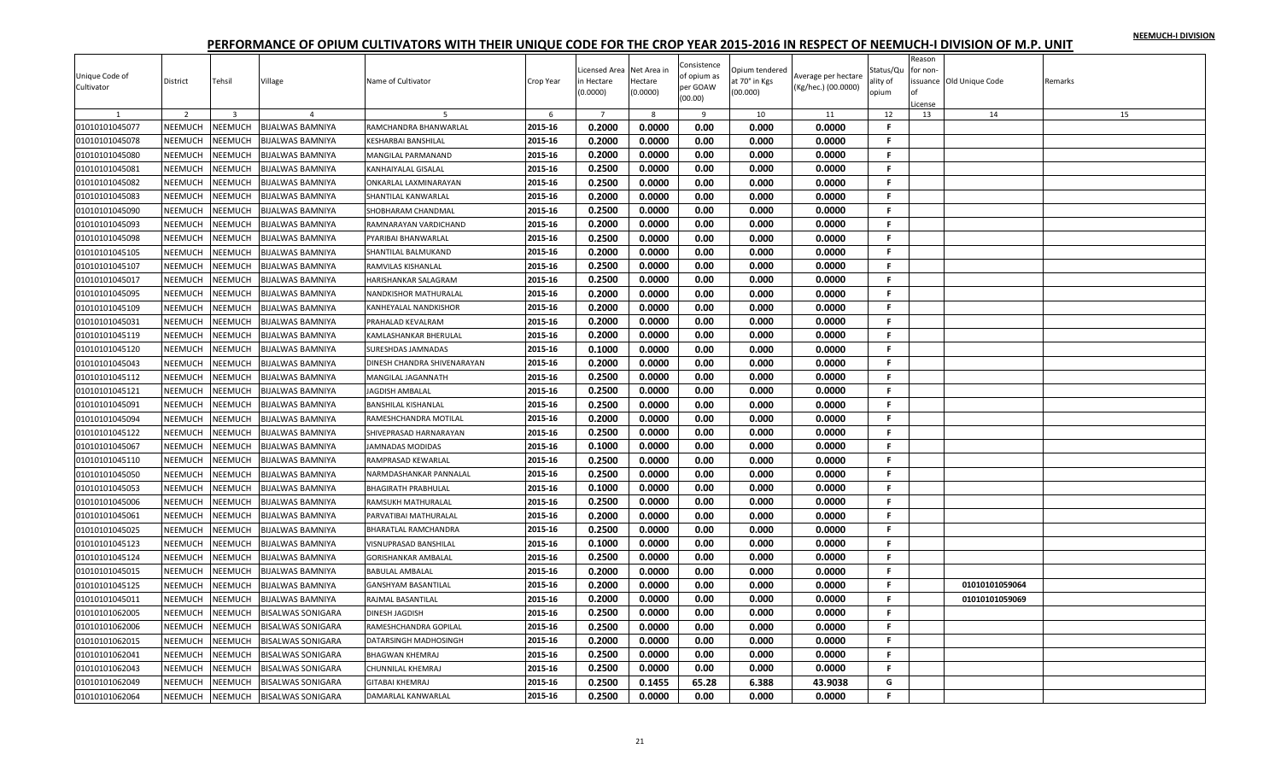|                |                |                         |                          |                             |           |                  |             |                     |                |                     |              | Reason   |                         |         |
|----------------|----------------|-------------------------|--------------------------|-----------------------------|-----------|------------------|-------------|---------------------|----------------|---------------------|--------------|----------|-------------------------|---------|
|                |                |                         |                          |                             |           | Licensed Area    | Net Area in | Consistence         | Opium tendered |                     | Status/Qu    | for non- |                         |         |
| Unique Code of | District       | Tehsil                  | Village                  | Name of Cultivator          | Crop Year | n Hectare        | Hectare     | of opium as         | at 70° in Kgs  | Average per hectare | ality of     |          | ssuance Old Unique Code | Remarks |
| Cultivator     |                |                         |                          |                             |           | (0.0000)         | (0.0000)    | per GOAW<br>(00.00) | (00.000)       | (Kg/hec.) (00.0000) | opium        |          |                         |         |
|                | $\overline{2}$ |                         |                          |                             |           |                  |             |                     |                |                     |              | .icense  |                         |         |
|                |                | $\overline{\mathbf{3}}$ | $\overline{4}$           |                             | 6         | $\overline{7}$   | -8          | 9                   | 10             | 11                  | 12<br>F.     | 13       | 14                      | 15      |
| 01010101045077 | NEEMUCH        | NEEMUCH                 | <b>BIJALWAS BAMNIYA</b>  | RAMCHANDRA BHANWARLAL       | 2015-16   | 0.2000           | 0.0000      | 0.00                | 0.000          | 0.0000              |              |          |                         |         |
| 01010101045078 | NEEMUCH        | NEEMUCH                 | BIJALWAS BAMNIYA         | <b>KESHARBAI BANSHILAL</b>  | 2015-16   | 0.2000           | 0.0000      | 0.00                | 0.000          | 0.0000              | F.           |          |                         |         |
| 01010101045080 | NEEMUCH        | NEEMUCH                 | BIJALWAS BAMNIYA         | MANGILAL PARMANAND          | 2015-16   | 0.2000           | 0.0000      | 0.00                | 0.000          | 0.0000              | .F           |          |                         |         |
| 01010101045081 | NEEMUCH        | NEEMUCH                 | <b>BIJALWAS BAMNIYA</b>  | <b>KANHAIYALAL GISALAL</b>  | 2015-16   | 0.2500           | 0.0000      | 0.00                | 0.000          | 0.0000              | F.           |          |                         |         |
| 01010101045082 | NEEMUCH        | NEEMUCH                 | BIJALWAS BAMNIYA         | ONKARLAL LAXMINARAYAN       | 2015-16   | 0.2500           | 0.0000      | 0.00                | 0.000          | 0.0000              | F.           |          |                         |         |
| 01010101045083 | NEEMUCH        | NEEMUCH                 | BIJALWAS BAMNIYA         | SHANTILAL KANWARLAL         | 2015-16   | 0.2000           | 0.0000      | 0.00                | 0.000          | 0.0000              | F.           |          |                         |         |
| 01010101045090 | NEEMUCH        | NEEMUCH                 | <b>BIJALWAS BAMNIYA</b>  | SHOBHARAM CHANDMAI          | 2015-16   | 0.2500           | 0.0000      | 0.00                | 0.000          | 0.0000              | F.           |          |                         |         |
| 01010101045093 | NEEMUCH        | NEEMUCH                 | BIJALWAS BAMNIYA         | RAMNARAYAN VARDICHAND       | 2015-16   | 0.2000           | 0.0000      | 0.00                | 0.000          | 0.0000              | F.           |          |                         |         |
| 01010101045098 | NEEMUCH        | NEEMUCH                 | <b>BIJALWAS BAMNIYA</b>  | PYARIBAI BHANWARLAL         | 2015-16   | 0.2500           | 0.0000      | 0.00                | 0.000          | 0.0000              | F.           |          |                         |         |
| 01010101045105 | NEEMUCH        | NEEMUCH                 | <b>BIJALWAS BAMNIYA</b>  | SHANTILAL BALMUKAND         | 2015-16   | 0.2000           | 0.0000      | 0.00                | 0.000          | 0.0000              | F.           |          |                         |         |
| 01010101045107 | NEEMUCH        | NEEMUCH                 | BIJALWAS BAMNIYA         | RAMVILAS KISHANLAL          | 2015-16   | 0.2500           | 0.0000      | 0.00                | 0.000          | 0.0000              | F.           |          |                         |         |
| 01010101045017 | NEEMUCH        | NEEMUCH                 | BIJALWAS BAMNIYA         | HARISHANKAR SALAGRAM        | 2015-16   | 0.2500           | 0.0000      | 0.00                | 0.000          | 0.0000              | F.           |          |                         |         |
| 01010101045095 | NEEMUCH        | NEEMUCH                 | <b>BIJALWAS BAMNIYA</b>  | NANDKISHOR MATHURALAL       | 2015-16   | 0.2000           | 0.0000      | 0.00                | 0.000          | 0.0000              | F            |          |                         |         |
| 01010101045109 | NEEMUCH        | NEEMUCH                 | BIJALWAS BAMNIYA         | KANHEYALAL NANDKISHOR       | 2015-16   | 0.2000           | 0.0000      | 0.00                | 0.000          | 0.0000              | F.           |          |                         |         |
| 01010101045031 | NEEMUCH        | NEEMUCH                 | BIJALWAS BAMNIYA         | PRAHALAD KEVALRAM           | 2015-16   | 0.2000           | 0.0000      | 0.00                | 0.000          | 0.0000              | F.           |          |                         |         |
| 01010101045119 | NEEMUCH        | NEEMUCH                 | BIJALWAS BAMNIYA         | KAMLASHANKAR BHERULAL       | 2015-16   | 0.2000           | 0.0000      | 0.00                | 0.000          | 0.0000              | F.           |          |                         |         |
| 01010101045120 | NEEMUCH        | NEEMUCH                 | <b>BIJALWAS BAMNIYA</b>  | SURESHDAS JAMNADAS          | 2015-16   | 0.1000           | 0.0000      | 0.00                | 0.000          | 0.0000              | F.           |          |                         |         |
|                |                |                         |                          |                             |           |                  |             |                     |                |                     | F.           |          |                         |         |
| 01010101045043 | NEEMUCH        | NEEMUCH                 | BIJALWAS BAMNIYA         | DINESH CHANDRA SHIVENARAYAN | 2015-16   | 0.2000           | 0.0000      | 0.00                | 0.000          | 0.0000              |              |          |                         |         |
| 01010101045112 | <b>NEEMUCH</b> | NEEMUCH                 | BIJALWAS BAMNIYA         | <b>MANGILAL JAGANNATH</b>   | 2015-16   | 0.2500           | 0.0000      | 0.00                | 0.000          | 0.0000              | F.           |          |                         |         |
| 01010101045121 | NEEMUCH        | <b>NEEMUCH</b>          | BIJALWAS BAMNIYA         | <b>JAGDISH AMBALAL</b>      | 2015-16   | 0.2500           | 0.0000      | 0.00                | 0.000          | 0.0000              | F.           |          |                         |         |
| 01010101045091 | NEEMUCH        | NEEMUCH                 | BIJALWAS BAMNIYA         | <b>BANSHILAL KISHANLAL</b>  | 2015-16   | 0.2500           | 0.0000      | 0.00                | 0.000          | 0.0000              | F.           |          |                         |         |
| 01010101045094 | NEEMUCH        | NEEMUCH                 | BIJALWAS BAMNIYA         | RAMESHCHANDRA MOTILAL       | 2015-16   | 0.2000           | 0.0000      | 0.00                | 0.000          | 0.0000              | F.           |          |                         |         |
| 01010101045122 | NEEMUCH        | NEEMUCH                 | BIJALWAS BAMNIYA         | SHIVEPRASAD HARNARAYAN      | 2015-16   | 0.2500           | 0.0000      | 0.00                | 0.000          | 0.0000              | F.           |          |                         |         |
| 01010101045067 | NEEMUCH        | NEEMUCH                 | <b>BIJALWAS BAMNIYA</b>  | <b>JAMNADAS MODIDAS</b>     | 2015-16   | 0.1000           | 0.0000      | 0.00                | 0.000          | 0.0000              | F.           |          |                         |         |
| 01010101045110 | NEEMUCH        | NEEMUCH                 | BIJALWAS BAMNIYA         | RAMPRASAD KEWARLAL          | 2015-16   | 0.2500           | 0.0000      | 0.00                | 0.000          | 0.0000              | $\mathbf{F}$ |          |                         |         |
| 01010101045050 | NEEMUCH        | NEEMUCH                 | <b>BIJALWAS BAMNIYA</b>  | NARMDASHANKAR PANNALAL      | 2015-16   | 0.2500           | 0.0000      | 0.00                | 0.000          | 0.0000              | F.           |          |                         |         |
| 01010101045053 | NEEMUCH        | NEEMUCH                 | BIJALWAS BAMNIYA         | <b>BHAGIRATH PRABHULAL</b>  | 2015-16   | 0.1000           | 0.0000      | 0.00                | 0.000          | 0.0000              | F.           |          |                         |         |
| 01010101045006 | <b>NEEMUCH</b> | NEEMUCH                 | BIJALWAS BAMNIYA         | RAMSUKH MATHURALAL          | 2015-16   | 0.2500           | 0.0000      | 0.00                | 0.000          | 0.0000              | F.           |          |                         |         |
| 01010101045061 | NEEMUCH        | NEEMUCH                 | <b>BIJALWAS BAMNIYA</b>  | PARVATIBAI MATHURALAL       | 2015-16   | 0.2000           | 0.0000      | 0.00                | 0.000          | 0.0000              | F.           |          |                         |         |
| 01010101045025 | NEEMUCH        | NEEMUCH                 | BIJALWAS BAMNIYA         | <b>BHARATLAL RAMCHANDRA</b> | 2015-16   | 0.2500           | 0.0000      | 0.00                | 0.000          | 0.0000              | F            |          |                         |         |
| 01010101045123 | NEEMUCH        | NEEMUCH                 | BIJALWAS BAMNIYA         | VISNUPRASAD BANSHILAL       | 2015-16   | 0.1000           | 0.0000      | 0.00                | 0.000          | 0.0000              | F.           |          |                         |         |
| 01010101045124 | NEEMUCH        | NEEMUCH                 | BIJALWAS BAMNIYA         | <b>GORISHANKAR AMBALAL</b>  | 2015-16   | 0.2500           | 0.0000      | 0.00                | 0.000          | 0.0000              | F.           |          |                         |         |
| 01010101045015 | NEEMUCH        | <b>NEEMUCH</b>          | BIJALWAS BAMNIYA         | <b>BABULAL AMBALAL</b>      | 2015-16   | 0.2000           | 0.0000      | 0.00                | 0.000          | 0.0000              | F.           |          |                         |         |
| 01010101045125 | <b>NEEMUCH</b> | NEEMUCH                 | BIJALWAS BAMNIYA         | <b>GANSHYAM BASANTILAL</b>  | 2015-16   | 0.2000           | 0.0000      | 0.00                | 0.000          | 0.0000              | F.           |          | 01010101059064          |         |
| 01010101045011 | <b>NEEMUCH</b> | <b>NEEMUCH</b>          | BIJALWAS BAMNIYA         | RAJMAL BASANTILAL           | 2015-16   | 0.2000           | 0.0000      | 0.00                | 0.000          | 0.0000              | -F           |          | 01010101059069          |         |
|                | NEEMUCH        | NEEMUCH                 |                          |                             |           |                  |             |                     |                | 0.0000              | F.           |          |                         |         |
| 01010101062005 |                |                         | <b>BISALWAS SONIGARA</b> | <b>DINESH JAGDISH</b>       | 2015-16   | 0.2500<br>0.2500 | 0.0000      | 0.00                | 0.000          |                     | F.           |          |                         |         |
| 01010101062006 | NEEMUCH        | NEEMUCH                 | <b>BISALWAS SONIGARA</b> | RAMESHCHANDRA GOPILAL       | 2015-16   |                  | 0.0000      | 0.00                | 0.000          | 0.0000              |              |          |                         |         |
| 01010101062015 | NEEMUCH        | NEEMUCH                 | BISALWAS SONIGARA        | DATARSINGH MADHOSINGH       | 2015-16   | 0.2000           | 0.0000      | 0.00                | 0.000          | 0.0000              | F.           |          |                         |         |
| 01010101062041 | NEEMUCH        | NEEMUCH                 | BISALWAS SONIGARA        | <b>BHAGWAN KHEMRAJ</b>      | 2015-16   | 0.2500           | 0.0000      | 0.00                | 0.000          | 0.0000              | F.           |          |                         |         |
| 01010101062043 | NEEMUCH        | NEEMUCH                 | <b>BISALWAS SONIGARA</b> | <b>CHUNNILAL KHEMRAJ</b>    | 2015-16   | 0.2500           | 0.0000      | 0.00                | 0.000          | 0.0000              | F.           |          |                         |         |
| 01010101062049 | NEEMUCH        | NEEMUCH                 | BISALWAS SONIGARA        | <b>GITABAI KHEMRAJ</b>      | 2015-16   | 0.2500           | 0.1455      | 65.28               | 6.388          | 43.9038             | G            |          |                         |         |
| 01010101062064 | NEEMUCH        | <b>NEEMUCH</b>          | <b>BISALWAS SONIGARA</b> | DAMARLAL KANWARLAL          | 2015-16   | 0.2500           | 0.0000      | 0.00                | 0.000          | 0.0000              | F.           |          |                         |         |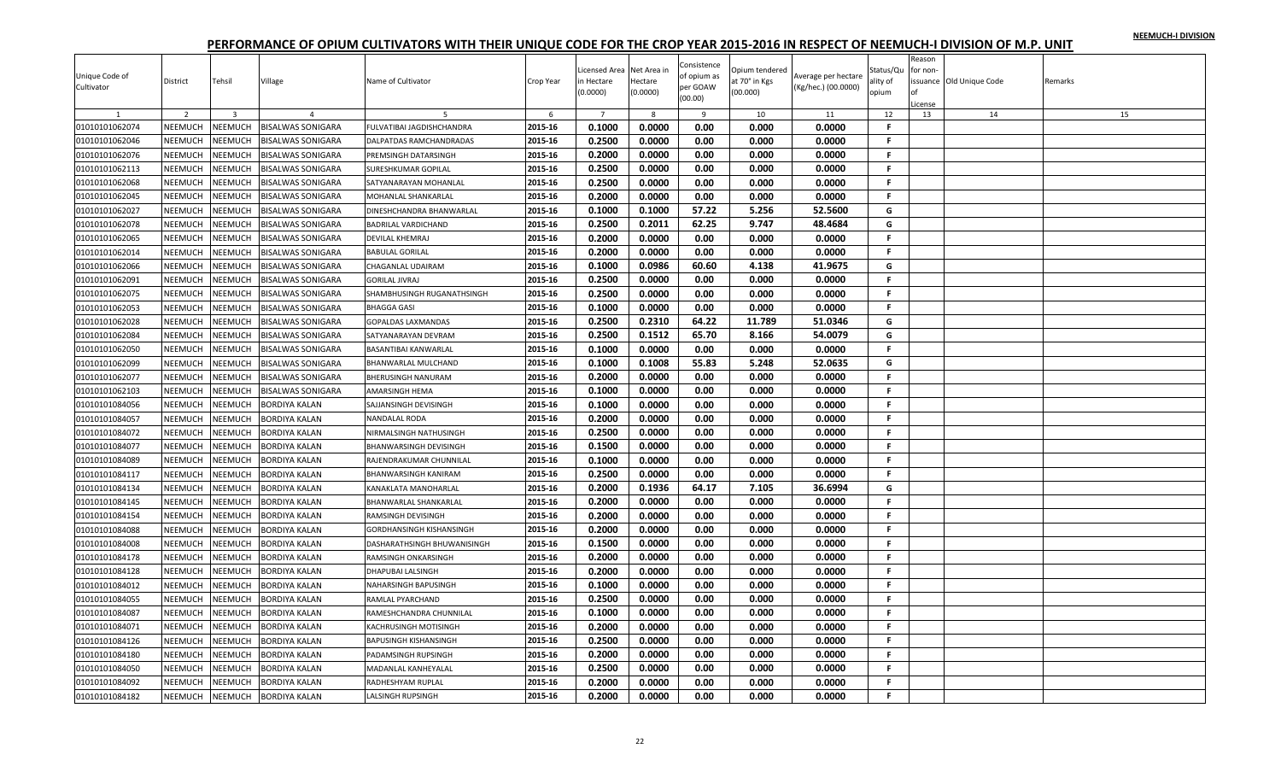|                              |                |                                    |                                            |                               |           |                |             |                         |                |                                            |              | Reason   |                         |         |
|------------------------------|----------------|------------------------------------|--------------------------------------------|-------------------------------|-----------|----------------|-------------|-------------------------|----------------|--------------------------------------------|--------------|----------|-------------------------|---------|
|                              |                |                                    |                                            |                               |           | Licensed Area  | Net Area in | Consistence             | Opium tendered |                                            | Status/Qu    | for non- |                         |         |
| Unique Code of<br>Cultivator | District       | Tehsil                             | Village                                    | Name of Cultivator            | Crop Year | n Hectare      | Hectare     | of opium as<br>per GOAW | at 70° in Kgs  | Average per hectare<br>(Kg/hec.) (00.0000) | ality of     |          | ssuance Old Unique Code | Remarks |
|                              |                |                                    |                                            |                               |           | (0.0000)       | (0.0000)    | (00.00)                 | (00.000)       |                                            | opium        |          |                         |         |
|                              | $\overline{2}$ |                                    |                                            |                               | 6         | $\overline{7}$ | -8          |                         |                |                                            |              | .icense  |                         | 15      |
| 01010101062074               | NEEMUCH        | $\overline{\mathbf{3}}$<br>NEEMUCH | $\overline{4}$<br><b>BISALWAS SONIGARA</b> | FULVATIBAI JAGDISHCHANDRA     | 2015-16   | 0.1000         | 0.0000      | 9<br>0.00               | 10<br>0.000    | 11<br>0.0000                               | 12<br>F.     | 13       | 14                      |         |
| 01010101062046               | NEEMUCH        | NEEMUCH                            |                                            | DALPATDAS RAMCHANDRADAS       | 2015-16   | 0.2500         | 0.0000      | 0.00                    | 0.000          | 0.0000                                     | F.           |          |                         |         |
|                              |                |                                    | BISALWAS SONIGARA                          |                               |           |                |             |                         |                |                                            |              |          |                         |         |
| 01010101062076               | NEEMUCH        | NEEMUCH                            | BISALWAS SONIGARA                          | PREMSINGH DATARSINGH          | 2015-16   | 0.2000         | 0.0000      | 0.00                    | 0.000          | 0.0000                                     | .F           |          |                         |         |
| 01010101062113               | <b>NEEMUCH</b> | NEEMUCH                            | <b>BISALWAS SONIGARA</b>                   | <b>SURESHKUMAR GOPILAL</b>    | 2015-16   | 0.2500         | 0.0000      | 0.00                    | 0.000          | 0.0000                                     | F.           |          |                         |         |
| 01010101062068               | NEEMUCH        | <b>NEEMUCH</b>                     | BISALWAS SONIGARA                          | SATYANARAYAN MOHANLAL         | 2015-16   | 0.2500         | 0.0000      | 0.00                    | 0.000          | 0.0000                                     | F.           |          |                         |         |
| 01010101062045               | NEEMUCH        | NEEMUCH                            | BISALWAS SONIGARA                          | MOHANLAL SHANKARLAL           | 2015-16   | 0.2000         | 0.0000      | 0.00                    | 0.000          | 0.0000                                     | F.           |          |                         |         |
| 01010101062027               | NEEMUCH        | NEEMUCH                            | <b>BISALWAS SONIGARA</b>                   | DINESHCHANDRA BHANWARLAL      | 2015-16   | 0.1000         | 0.1000      | 57.22                   | 5.256          | 52.5600                                    | G            |          |                         |         |
| 01010101062078               | NEEMUCH        | NEEMUCH                            | BISALWAS SONIGARA                          | <b>BADRILAL VARDICHAND</b>    | 2015-16   | 0.2500         | 0.2011      | 62.25                   | 9.747          | 48.4684                                    | G            |          |                         |         |
| 01010101062065               | NEEMUCH        | NEEMUCH                            | <b>BISALWAS SONIGARA</b>                   | <b>DEVILAL KHEMRAJ</b>        | 2015-16   | 0.2000         | 0.0000      | 0.00                    | 0.000          | 0.0000                                     | F.           |          |                         |         |
| 01010101062014               | NEEMUCH        | NEEMUCH                            | <b>BISALWAS SONIGARA</b>                   | <b>BABULAL GORILAL</b>        | 2015-16   | 0.2000         | 0.0000      | 0.00                    | 0.000          | 0.0000                                     | F.           |          |                         |         |
| 01010101062066               | NEEMUCH        | NEEMUCH                            | <b>BISALWAS SONIGARA</b>                   | <b>CHAGANLAL UDAIRAM</b>      | 2015-16   | 0.1000         | 0.0986      | 60.60                   | 4.138          | 41.9675                                    | G            |          |                         |         |
| 01010101062091               | NEEMUCH        | NEEMUCH                            | BISALWAS SONIGARA                          | <b>GORILAL JIVRAJ</b>         | 2015-16   | 0.2500         | 0.0000      | 0.00                    | 0.000          | 0.0000                                     | F.           |          |                         |         |
| 01010101062075               | NEEMUCH        | NEEMUCH                            | <b>BISALWAS SONIGARA</b>                   | SHAMBHUSINGH RUGANATHSINGH    | 2015-16   | 0.2500         | 0.0000      | 0.00                    | 0.000          | 0.0000                                     | F            |          |                         |         |
| 01010101062053               | NEEMUCH        | NEEMUCH                            | <b>BISALWAS SONIGARA</b>                   | <b>BHAGGA GASI</b>            | 2015-16   | 0.1000         | 0.0000      | 0.00                    | 0.000          | 0.0000                                     | F.           |          |                         |         |
| 01010101062028               | NEEMUCH        | NEEMUCH                            | BISALWAS SONIGARA                          | <b>GOPALDAS LAXMANDAS</b>     | 2015-16   | 0.2500         | 0.2310      | 64.22                   | 11.789         | 51.0346                                    | G            |          |                         |         |
| 01010101062084               | NEEMUCH        | NEEMUCH                            | BISALWAS SONIGARA                          | SATYANARAYAN DEVRAM           | 2015-16   | 0.2500         | 0.1512      | 65.70                   | 8.166          | 54.0079                                    | G            |          |                         |         |
| 01010101062050               | NEEMUCH        | NEEMUCH                            | <b>BISALWAS SONIGARA</b>                   | <b>BASANTIBAI KANWARLAL</b>   | 2015-16   | 0.1000         | 0.0000      | 0.00                    | 0.000          | 0.0000                                     | F.           |          |                         |         |
| 01010101062099               | NEEMUCH        | NEEMUCH                            | BISALWAS SONIGARA                          | BHANWARLAL MULCHAND           | 2015-16   | 0.1000         | 0.1008      | 55.83                   | 5.248          | 52.0635                                    | G            |          |                         |         |
| 01010101062077               | <b>NEEMUCH</b> | NEEMUCH                            | BISALWAS SONIGARA                          | <b>BHERUSINGH NANURAM</b>     | 2015-16   | 0.2000         | 0.0000      | 0.00                    | 0.000          | 0.0000                                     | $\mathbf{F}$ |          |                         |         |
| 01010101062103               | NEEMUCH        | NEEMUCH                            | BISALWAS SONIGARA                          | <b>AMARSINGH HEMA</b>         | 2015-16   | 0.1000         | 0.0000      | 0.00                    | 0.000          | 0.0000                                     | F.           |          |                         |         |
| 01010101084056               | NEEMUCH        | NEEMUCH                            | BORDIYA KALAN                              | SAJJANSINGH DEVISINGH         | 2015-16   | 0.1000         | 0.0000      | 0.00                    | 0.000          | 0.0000                                     | F.           |          |                         |         |
| 01010101084057               | NEEMUCH        | NEEMUCH                            | BORDIYA KALAN                              | <b>NANDALAL RODA</b>          | 2015-16   | 0.2000         | 0.0000      | 0.00                    | 0.000          | 0.0000                                     | F.           |          |                         |         |
| 01010101084072               | NEEMUCH        | NEEMUCH                            | BORDIYA KALAN                              | NIRMALSINGH NATHUSINGH        | 2015-16   | 0.2500         | 0.0000      | 0.00                    | 0.000          | 0.0000                                     | F.           |          |                         |         |
| 01010101084077               | NEEMUCH        | NEEMUCH                            | <b>BORDIYA KALAN</b>                       | <b>BHANWARSINGH DEVISINGH</b> | 2015-16   | 0.1500         | 0.0000      | 0.00                    | 0.000          | 0.0000                                     | F.           |          |                         |         |
| 01010101084089               | NEEMUCH        | NEEMUCH                            | BORDIYA KALAN                              | RAJENDRAKUMAR CHUNNILAL       | 2015-16   | 0.1000         | 0.0000      | 0.00                    | 0.000          | 0.0000                                     | F.           |          |                         |         |
| 01010101084117               | NEEMUCH        | NEEMUCH                            | <b>BORDIYA KALAN</b>                       | <b>BHANWARSINGH KANIRAM</b>   | 2015-16   | 0.2500         | 0.0000      | 0.00                    | 0.000          | 0.0000                                     | F.           |          |                         |         |
| 01010101084134               | NEEMUCH        | NEEMUCH                            | BORDIYA KALAN                              | KANAKLATA MANOHARLAL          | 2015-16   | 0.2000         | 0.1936      | 64.17                   | 7.105          | 36.6994                                    | G            |          |                         |         |
| 01010101084145               | <b>NEEMUCH</b> | NEEMUCH                            | BORDIYA KALAN                              | BHANWARLAL SHANKARLAL         | 2015-16   | 0.2000         | 0.0000      | 0.00                    | 0.000          | 0.0000                                     | F.           |          |                         |         |
| 01010101084154               | NEEMUCH        | NEEMUCH                            | <b>BORDIYA KALAN</b>                       | <b>RAMSINGH DEVISINGH</b>     | 2015-16   | 0.2000         | 0.0000      | 0.00                    | 0.000          | 0.0000                                     | F.           |          |                         |         |
| 01010101084088               | NEEMUCH        | NEEMUCH                            | BORDIYA KALAN                              | GORDHANSINGH KISHANSINGH      | 2015-16   | 0.2000         | 0.0000      | 0.00                    | 0.000          | 0.0000                                     | F            |          |                         |         |
| 01010101084008               | NEEMUCH        | NEEMUCH                            | BORDIYA KALAN                              | DASHARATHSINGH BHUWANISINGH   | 2015-16   | 0.1500         | 0.0000      | 0.00                    | 0.000          | 0.0000                                     | F.           |          |                         |         |
| 01010101084178               | NEEMUCH        | NEEMUCH                            | BORDIYA KALAN                              | <b>RAMSINGH ONKARSINGH</b>    | 2015-16   | 0.2000         | 0.0000      | 0.00                    | 0.000          | 0.0000                                     | F.           |          |                         |         |
| 01010101084128               | <b>NEEMUCH</b> | <b>NEEMUCH</b>                     | BORDIYA KALAN                              | <b>DHAPUBAI LALSINGH</b>      | 2015-16   | 0.2000         | 0.0000      | 0.00                    | 0.000          | 0.0000                                     | F.           |          |                         |         |
| 01010101084012               | <b>NEEMUCH</b> | NEEMUCH                            | BORDIYA KALAN                              | NAHARSINGH BAPUSINGH          | 2015-16   | 0.1000         | 0.0000      | 0.00                    | 0.000          | 0.0000                                     | F.           |          |                         |         |
| 01010101084055               | <b>NEEMUCH</b> | NEEMUCH                            | BORDIYA KALAN                              | RAMLAL PYARCHAND              | 2015-16   | 0.2500         | 0.0000      | 0.00                    | 0.000          | 0.0000                                     | F.           |          |                         |         |
| 01010101084087               | NEEMUCH        | NEEMUCH                            | BORDIYA KALAN                              | RAMESHCHANDRA CHUNNILAL       | 2015-16   | 0.1000         | 0.0000      | 0.00                    | 0.000          | 0.0000                                     | F.           |          |                         |         |
| 01010101084071               | NEEMUCH        | NEEMUCH                            | BORDIYA KALAN                              |                               | 2015-16   | 0.2000         | 0.0000      | 0.00                    | 0.000          | 0.0000                                     | F.           |          |                         |         |
|                              |                | NEEMUCH                            |                                            | KACHRUSINGH MOTISINGH         |           | 0.2500         | 0.0000      |                         |                |                                            | F.           |          |                         |         |
| 01010101084126               | NEEMUCH        |                                    | BORDIYA KALAN                              | <b>BAPUSINGH KISHANSINGH</b>  | 2015-16   |                |             | 0.00                    | 0.000          | 0.0000                                     | F.           |          |                         |         |
| 01010101084180               | NEEMUCH        | NEEMUCH                            | BORDIYA KALAN                              | PADAMSINGH RUPSINGH           | 2015-16   | 0.2000         | 0.0000      | 0.00                    | 0.000          | 0.0000                                     |              |          |                         |         |
| 01010101084050               | NEEMUCH        | NEEMUCH                            | BORDIYA KALAN                              | MADANLAL KANHEYALAL           | 2015-16   | 0.2500         | 0.0000      | 0.00                    | 0.000          | 0.0000                                     | F.           |          |                         |         |
| 01010101084092               | NEEMUCH        | NEEMUCH                            | BORDIYA KALAN                              | RADHESHYAM RUPLAL             | 2015-16   | 0.2000         | 0.0000      | 0.00                    | 0.000          | 0.0000                                     | F.           |          |                         |         |
| 01010101084182               | NEEMUCH        | NEEMUCH                            | <b>BORDIYA KALAN</b>                       | <b>LALSINGH RUPSINGH</b>      | 2015-16   | 0.2000         | 0.0000      | 0.00                    | 0.000          | 0.0000                                     | F.           |          |                         |         |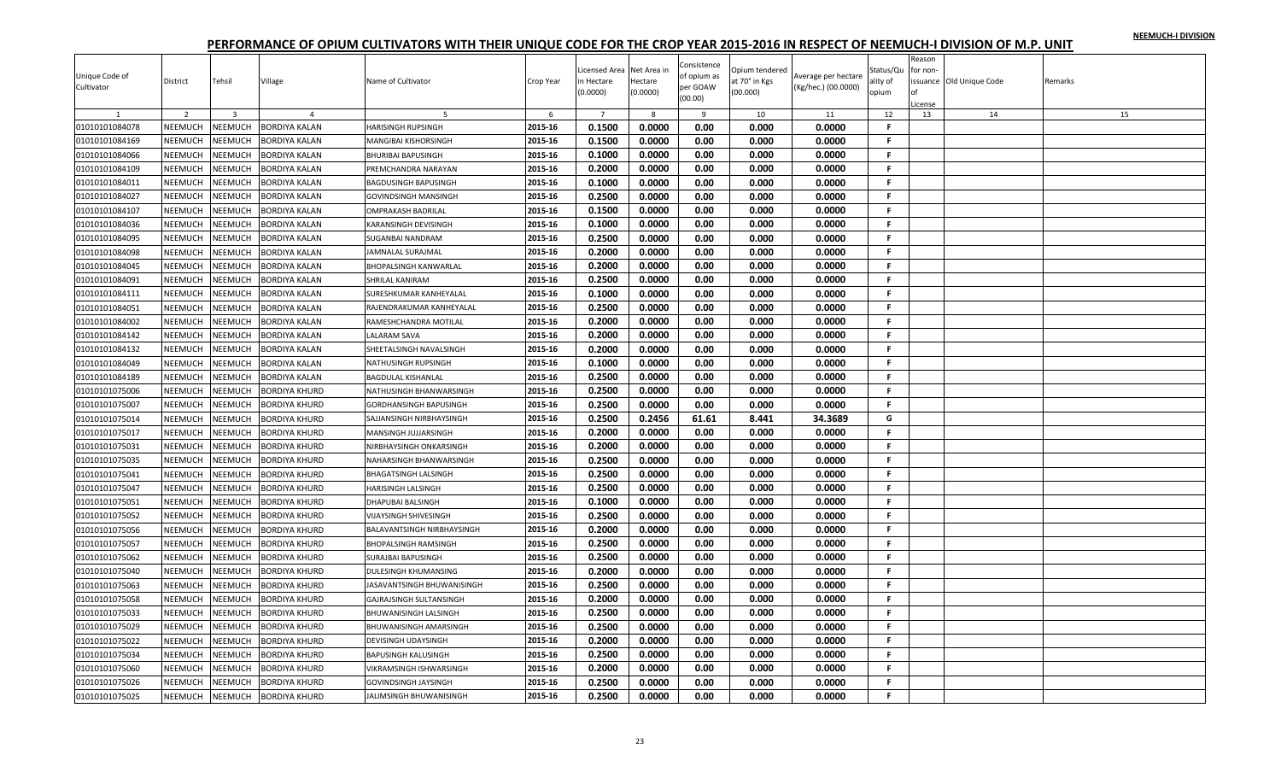| Unique Code of | District       | Tehsil         | Village              | Name of Cultivator             | Crop Year | Licensed Area<br>n Hectare | Net Area in<br>Hectare | Consistence<br>of opium as | Opium tendered<br>at 70° in Kgs | Average per hectare | Status/Qu<br>ality of | Reason<br>or non- | issuance Old Unique Code | Remarks |
|----------------|----------------|----------------|----------------------|--------------------------------|-----------|----------------------------|------------------------|----------------------------|---------------------------------|---------------------|-----------------------|-------------------|--------------------------|---------|
| Cultivator     |                |                |                      |                                |           | (0.0000)                   | (0.0000)               | per GOAW<br>(00.00)        | (00.000)                        | (Kg/hec.) (00.0000) | opium                 | License           |                          |         |
|                | $\overline{2}$ | $\overline{3}$ | $\overline{4}$       |                                | 6         | $\overline{7}$             | 8                      | 9                          | 10                              | 11                  | 12                    | 13                | 14                       | 15      |
| 01010101084078 | NEEMUCH        | NEEMUCH        | <b>BORDIYA KALAN</b> | <b>HARISINGH RUPSINGH</b>      | 2015-16   | 0.1500                     | 0.0000                 | 0.00                       | 0.000                           | 0.0000              | F                     |                   |                          |         |
| 01010101084169 | NEEMUCH        | NEEMUCH        | BORDIYA KALAN        | <b>MANGIBAI KISHORSINGH</b>    | 2015-16   | 0.1500                     | 0.0000                 | 0.00                       | 0.000                           | 0.0000              | F.                    |                   |                          |         |
| 01010101084066 | NEEMUCH        | NEEMUCH        | BORDIYA KALAN        | <b>BHURIBAI BAPUSINGH</b>      | 2015-16   | 0.1000                     | 0.0000                 | 0.00                       | 0.000                           | 0.0000              | F.                    |                   |                          |         |
| 01010101084109 | <b>NEEMUCH</b> | <b>NEEMUCH</b> | <b>BORDIYA KALAN</b> | PREMCHANDRA NARAYAN            | 2015-16   | 0.2000                     | 0.0000                 | 0.00                       | 0.000                           | 0.0000              | F.                    |                   |                          |         |
| 01010101084011 | NEEMUCH        | NEEMUCH        | BORDIYA KALAN        | <b>BAGDUSINGH BAPUSINGH</b>    | 2015-16   | 0.1000                     | 0.0000                 | 0.00                       | 0.000                           | 0.0000              | F.                    |                   |                          |         |
| 01010101084027 | NEEMUCH        | NEEMUCH        | BORDIYA KALAN        | <b>GOVINDSINGH MANSINGH</b>    | 2015-16   | 0.2500                     | 0.0000                 | 0.00                       | 0.000                           | 0.0000              | F.                    |                   |                          |         |
| 01010101084107 | NEEMUCH        | NEEMUCH        | BORDIYA KALAN        | <b>OMPRAKASH BADRILAL</b>      | 2015-16   | 0.1500                     | 0.0000                 | 0.00                       | 0.000                           | 0.0000              | F.                    |                   |                          |         |
| 01010101084036 | NEEMUCH        | NEEMUCH        | BORDIYA KALAN        | <b>KARANSINGH DEVISINGH</b>    | 2015-16   | 0.1000                     | 0.0000                 | 0.00                       | 0.000                           | 0.0000              | F.                    |                   |                          |         |
| 01010101084095 | NEEMUCH        | NEEMUCH        | BORDIYA KALAN        | <b>SUGANBAI NANDRAM</b>        | 2015-16   | 0.2500                     | 0.0000                 | 0.00                       | 0.000                           | 0.0000              | F.                    |                   |                          |         |
| 01010101084098 | NEEMUCH        | NEEMUCH        | BORDIYA KALAN        | <b>JAMNALAL SURAJMAL</b>       | 2015-16   | 0.2000                     | 0.0000                 | 0.00                       | 0.000                           | 0.0000              | .F                    |                   |                          |         |
| 01010101084045 | NEEMUCH        | NEEMUCH        | <b>BORDIYA KALAN</b> | <b>BHOPALSINGH KANWARLAL</b>   | 2015-16   | 0.2000                     | 0.0000                 | 0.00                       | 0.000                           | 0.0000              | F.                    |                   |                          |         |
| 01010101084091 | NEEMUCH        | NEEMUCH        | BORDIYA KALAN        | <b>SHRILAL KANIRAM</b>         | 2015-16   | 0.2500                     | 0.0000                 | 0.00                       | 0.000                           | 0.0000              | F.                    |                   |                          |         |
| 01010101084111 | NEEMUCH        | NEEMUCH        | <b>BORDIYA KALAN</b> | SURESHKUMAR KANHEYALAL         | 2015-16   | 0.1000                     | 0.0000                 | 0.00                       | 0.000                           | 0.0000              | F.                    |                   |                          |         |
| 01010101084051 | NEEMUCH        | NEEMUCH        | <b>BORDIYA KALAN</b> | RAJENDRAKUMAR KANHEYALAL       | 2015-16   | 0.2500                     | 0.0000                 | 0.00                       | 0.000                           | 0.0000              | F.                    |                   |                          |         |
| 01010101084002 | NEEMUCH        | <b>NEEMUCH</b> | BORDIYA KALAN        | RAMESHCHANDRA MOTILAL          | 2015-16   | 0.2000                     | 0.0000                 | 0.00                       | 0.000                           | 0.0000              | F.                    |                   |                          |         |
| 01010101084142 | NEEMUCH        | NEEMUCH        | BORDIYA KALAN        | <b>LALARAM SAVA</b>            | 2015-16   | 0.2000                     | 0.0000                 | 0.00                       | 0.000                           | 0.0000              | F.                    |                   |                          |         |
| 01010101084132 | NEEMUCH        | NEEMUCH        | BORDIYA KALAN        | SHEETALSINGH NAVALSINGH        | 2015-16   | 0.2000                     | 0.0000                 | 0.00                       | 0.000                           | 0.0000              | F.                    |                   |                          |         |
| 01010101084049 | NEEMUCH        | NEEMUCH        | BORDIYA KALAN        | NATHUSINGH RUPSINGH            | 2015-16   | 0.1000                     | 0.0000                 | 0.00                       | 0.000                           | 0.0000              | F                     |                   |                          |         |
| 01010101084189 | NEEMUCH        | NEEMUCH        | BORDIYA KALAN        | <b>BAGDULAL KISHANLAL</b>      | 2015-16   | 0.2500                     | 0.0000                 | 0.00                       | 0.000                           | 0.0000              | F.                    |                   |                          |         |
| 01010101075006 | NEEMUCH        | NEEMUCH        | BORDIYA KHURD        | NATHUSINGH BHANWARSINGH        | 2015-16   | 0.2500                     | 0.0000                 | 0.00                       | 0.000                           | 0.0000              | F.                    |                   |                          |         |
| 01010101075007 | NEEMUCH        | NEEMUCH        | BORDIYA KHURD        | <b>GORDHANSINGH BAPUSINGH</b>  | 2015-16   | 0.2500                     | 0.0000                 | 0.00                       | 0.000                           | 0.0000              | F.                    |                   |                          |         |
| 01010101075014 | <b>NEEMUCH</b> | NEEMUCH        | BORDIYA KHURD        | SAJJANSINGH NIRBHAYSINGH       | 2015-16   | 0.2500                     | 0.2456                 | 61.61                      | 8.441                           | 34.3689             | G                     |                   |                          |         |
| 01010101075017 | NEEMUCH        | NEEMUCH        | BORDIYA KHURD        | MANSINGH JUJJARSINGH           | 2015-16   | 0.2000                     | 0.0000                 | 0.00                       | 0.000                           | 0.0000              | F.                    |                   |                          |         |
| 01010101075031 | NEEMUCH        | NEEMUCH        | BORDIYA KHURD        | NIRBHAYSINGH ONKARSINGH        | 2015-16   | 0.2000                     | 0.0000                 | 0.00                       | 0.000                           | 0.0000              | F.                    |                   |                          |         |
| 01010101075035 | <b>NEEMUCH</b> | NEEMUCH        | BORDIYA KHURD        | NAHARSINGH BHANWARSINGH        | 2015-16   | 0.2500                     | 0.0000                 | 0.00                       | 0.000                           | 0.0000              | F.                    |                   |                          |         |
| 01010101075041 | <b>NEEMUCH</b> | <b>NEEMUCH</b> | BORDIYA KHURD        | <b>BHAGATSINGH LALSINGH</b>    | 2015-16   | 0.2500                     | 0.0000                 | 0.00                       | 0.000                           | 0.0000              | F.                    |                   |                          |         |
| 01010101075047 | NEEMUCH        | NEEMUCH        | BORDIYA KHURD        | <b>HARISINGH LALSINGH</b>      | 2015-16   | 0.2500                     | 0.0000                 | 0.00                       | 0.000                           | 0.0000              | F.                    |                   |                          |         |
| 01010101075051 | NEEMUCH        | NEEMUCH        | BORDIYA KHURD        | <b>DHAPUBAI BALSINGH</b>       | 2015-16   | 0.1000                     | 0.0000                 | 0.00                       | 0.000                           | 0.0000              | F.                    |                   |                          |         |
| 01010101075052 | NEEMUCH        | NEEMUCH        | BORDIYA KHURD        | <b>VIJAYSINGH SHIVESINGH</b>   | 2015-16   | 0.2500                     | 0.0000                 | 0.00                       | 0.000                           | 0.0000              | F.                    |                   |                          |         |
| 01010101075056 | NEEMUCH        | NEEMUCH        | BORDIYA KHURD        | BALAVANTSINGH NIRBHAYSINGH     | 2015-16   | 0.2000                     | 0.0000                 | 0.00                       | 0.000                           | 0.0000              | F.                    |                   |                          |         |
| 01010101075057 | NEEMUCH        | <b>NEEMUCH</b> | BORDIYA KHURD        | <b>BHOPALSINGH RAMSINGH</b>    | 2015-16   | 0.2500                     | 0.0000                 | 0.00                       | 0.000                           | 0.0000              | F.                    |                   |                          |         |
| 01010101075062 | <b>NEEMUCH</b> | NEEMUCH        | BORDIYA KHURD        | <b>SURAJBAI BAPUSINGH</b>      | 2015-16   | 0.2500                     | 0.0000                 | 0.00                       | 0.000                           | 0.0000              | F.                    |                   |                          |         |
| 01010101075040 | NEEMUCH        | NEEMUCH        | <b>BORDIYA KHURD</b> | DULESINGH KHUMANSING           | 2015-16   | 0.2000                     | 0.0000                 | 0.00                       | 0.000                           | 0.0000              | F.                    |                   |                          |         |
| 01010101075063 | NEEMUCH        | NEEMUCH        | BORDIYA KHURD        | JASAVANTSINGH BHUWANISINGH     | 2015-16   | 0.2500                     | 0.0000                 | 0.00                       | 0.000                           | 0.0000              | F.                    |                   |                          |         |
| 01010101075058 | NEEMUCH        | NEEMUCH        | BORDIYA KHURD        | <b>GAJRAJSINGH SULTANSINGH</b> | 2015-16   | 0.2000                     | 0.0000                 | 0.00                       | 0.000                           | 0.0000              | F.                    |                   |                          |         |
| 01010101075033 | NEEMUCH        | NEEMUCH        | <b>BORDIYA KHURD</b> | <b>BHUWANISINGH LALSINGH</b>   | 2015-16   | 0.2500                     | 0.0000                 | 0.00                       | 0.000                           | 0.0000              | F.                    |                   |                          |         |
| 01010101075029 | NEEMUCH        | NEEMUCH        | BORDIYA KHURD        | <b>BHUWANISINGH AMARSINGH</b>  | 2015-16   | 0.2500                     | 0.0000                 | 0.00                       | 0.000                           | 0.0000              | F.                    |                   |                          |         |
| 01010101075022 | <b>NEEMUCH</b> | NEEMUCH        | BORDIYA KHURD        | DEVISINGH UDAYSINGH            | 2015-16   | 0.2000                     | 0.0000                 | 0.00                       | 0.000                           | 0.0000              | F.                    |                   |                          |         |
| 01010101075034 | <b>NEEMUCH</b> | NEEMUCH        | <b>BORDIYA KHURD</b> | <b>BAPUSINGH KALUSINGH</b>     | 2015-16   | 0.2500                     | 0.0000                 | 0.00                       | 0.000                           | 0.0000              | F.                    |                   |                          |         |
| 01010101075060 | NEEMUCH        | <b>NEEMUCH</b> | BORDIYA KHURD        | <b>VIKRAMSINGH ISHWARSINGH</b> | 2015-16   | 0.2000                     | 0.0000                 | 0.00                       | 0.000                           | 0.0000              | F                     |                   |                          |         |
| 01010101075026 | NEEMUCH        | NEEMUCH        | BORDIYA KHURD        | <b>GOVINDSINGH JAYSINGH</b>    | 2015-16   | 0.2500                     | 0.0000                 | 0.00                       | 0.000                           | 0.0000              | F.                    |                   |                          |         |
| 01010101075025 | NEEMUCH        | <b>NEEMUCH</b> | <b>BORDIYA KHURD</b> | JALIMSINGH BHUWANISINGH        | 2015-16   | 0.2500                     | 0.0000                 | 0.00                       | 0.000                           | 0.0000              | F.                    |                   |                          |         |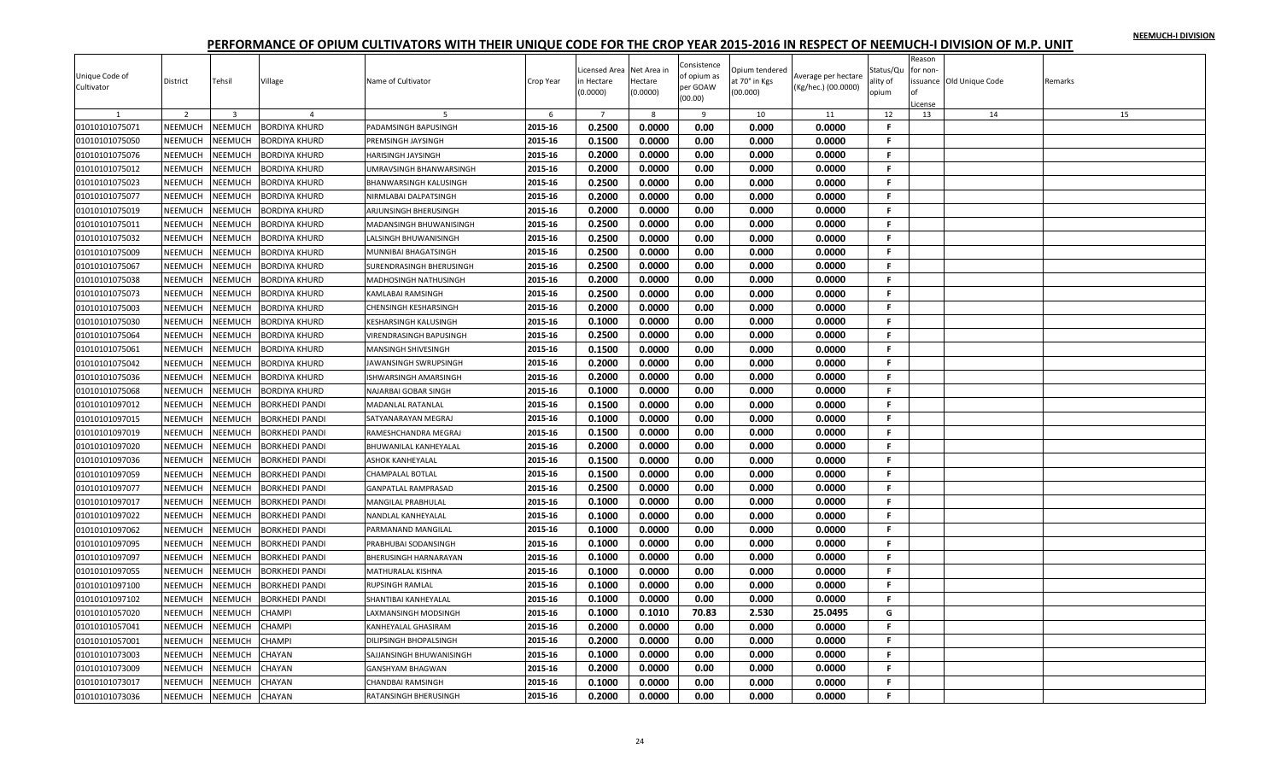|                |                |                |                       |                                |           |                |             | Consistence |                |                     |              | Reason   |                         |         |
|----------------|----------------|----------------|-----------------------|--------------------------------|-----------|----------------|-------------|-------------|----------------|---------------------|--------------|----------|-------------------------|---------|
| Unique Code of |                |                |                       |                                |           | icensed Area   | Net Area in | of opium as | Opium tendered | Average per hectare | Status/Qu    | for non- |                         |         |
| Cultivator     | District       | Tehsil         | Village               | Name of Cultivator             | Crop Year | n Hectare      | Hectare     | per GOAW    | at 70° in Kgs  | (Kg/hec.) (00.0000) | ality of     |          | ssuance Old Unique Code | Remarks |
|                |                |                |                       |                                |           | (0.0000)       | (0.0000)    | (00.00)     | (00.000)       |                     | opium        |          |                         |         |
|                |                |                |                       |                                |           |                |             |             |                |                     |              | License  |                         |         |
|                | 2              | $\overline{3}$ | $\overline{a}$        |                                | 6         | $\overline{7}$ | 8           | 9           | 10             | 11                  | 12           | 13       | 14                      | 15      |
| 01010101075071 | NEEMUCH        | NEEMUCH        | <b>BORDIYA KHURD</b>  | PADAMSINGH BAPUSINGH           | 2015-16   | 0.2500         | 0.0000      | 0.00        | 0.000          | 0.0000              | F.           |          |                         |         |
| 01010101075050 | NEEMUCH        | NEEMUCH        | BORDIYA KHURD         | PREMSINGH JAYSINGH             | 2015-16   | 0.1500         | 0.0000      | 0.00        | 0.000          | 0.0000              | F.           |          |                         |         |
| 01010101075076 | NEEMUCH        | NEEMUCH        | BORDIYA KHURD         | HARISINGH JAYSINGH             | 2015-16   | 0.2000         | 0.0000      | 0.00        | 0.000          | 0.0000              | F.           |          |                         |         |
| 01010101075012 | NEEMUCH        | NEEMUCH        | BORDIYA KHURD         | UMRAVSINGH BHANWARSINGH        | 2015-16   | 0.2000         | 0.0000      | 0.00        | 0.000          | 0.0000              | F.           |          |                         |         |
| 01010101075023 | NEEMUCH        | NEEMUCH        | BORDIYA KHURD         | <b>BHANWARSINGH KALUSINGH</b>  | 2015-16   | 0.2500         | 0.0000      | 0.00        | 0.000          | 0.0000              | F.           |          |                         |         |
| 01010101075077 | NEEMUCH        | NEEMUCH        | <b>BORDIYA KHURD</b>  | NIRMLABAI DALPATSINGH          | 2015-16   | 0.2000         | 0.0000      | 0.00        | 0.000          | 0.0000              | F.           |          |                         |         |
| 01010101075019 | NEEMUCH        | NEEMUCH        | BORDIYA KHURD         | ARJUNSINGH BHERUSINGH          | 2015-16   | 0.2000         | 0.0000      | 0.00        | 0.000          | 0.0000              | F            |          |                         |         |
| 01010101075011 | NEEMUCH        | NEEMUCH        | BORDIYA KHURD         | MADANSINGH BHUWANISINGH        | 2015-16   | 0.2500         | 0.0000      | 0.00        | 0.000          | 0.0000              | F.           |          |                         |         |
| 01010101075032 | NEEMUCH        | NEEMUCH        | <b>BORDIYA KHURD</b>  | <b>LALSINGH BHUWANISINGH</b>   | 2015-16   | 0.2500         | 0.0000      | 0.00        | 0.000          | 0.0000              | F.           |          |                         |         |
| 01010101075009 | NEEMUCH        | NEEMUCH        | BORDIYA KHURD         | MUNNIBAI BHAGATSINGH           | 2015-16   | 0.2500         | 0.0000      | 0.00        | 0.000          | 0.0000              | F.           |          |                         |         |
| 01010101075067 | <b>NEEMUCH</b> | NEEMUCH        | BORDIYA KHURD         | SURENDRASINGH BHERUSINGH       | 2015-16   | 0.2500         | 0.0000      | 0.00        | 0.000          | 0.0000              | F.           |          |                         |         |
| 01010101075038 | <b>NEEMUCH</b> | NEEMUCH        | BORDIYA KHURD         | <b>MADHOSINGH NATHUSINGH</b>   | 2015-16   | 0.2000         | 0.0000      | 0.00        | 0.000          | 0.0000              | F.           |          |                         |         |
| 01010101075073 | NEEMUCH        | NEEMUCH        | BORDIYA KHURD         | <b>KAMLABAI RAMSINGH</b>       | 2015-16   | 0.2500         | 0.0000      | 0.00        | 0.000          | 0.0000              | F.           |          |                         |         |
| 01010101075003 | NEEMUCH        | NEEMUCH        | BORDIYA KHURD         |                                | 2015-16   | 0.2000         | 0.0000      | 0.00        | 0.000          | 0.0000              | F.           |          |                         |         |
|                |                |                |                       | <b>CHENSINGH KESHARSINGH</b>   |           |                |             |             |                |                     |              |          |                         |         |
| 01010101075030 | NEEMUCH        | NEEMUCH        | BORDIYA KHURD         | <b>KESHARSINGH KALUSINGH</b>   | 2015-16   | 0.1000         | 0.0000      | 0.00        | 0.000          | 0.0000              | F.           |          |                         |         |
| 01010101075064 | NEEMUCH        | NEEMUCH        | <b>BORDIYA KHURD</b>  | <b>VIRENDRASINGH BAPUSINGH</b> | 2015-16   | 0.2500         | 0.0000      | 0.00        | 0.000          | 0.0000              | F.           |          |                         |         |
| 01010101075061 | <b>NEEMUCH</b> | <b>NEEMUCH</b> | BORDIYA KHURD         | MANSINGH SHIVESINGH            | 2015-16   | 0.1500         | 0.0000      | 0.00        | 0.000          | 0.0000              | F.           |          |                         |         |
| 01010101075042 | <b>NEEMUCH</b> | NEEMUCH        | BORDIYA KHURD         | JAWANSINGH SWRUPSINGH          | 2015-16   | 0.2000         | 0.0000      | 0.00        | 0.000          | 0.0000              | F.           |          |                         |         |
| 01010101075036 | NEEMUCH        | NEEMUCH        | BORDIYA KHURD         | ISHWARSINGH AMARSINGH          | 2015-16   | 0.2000         | 0.0000      | 0.00        | 0.000          | 0.0000              | F.           |          |                         |         |
| 01010101075068 | NEEMUCH        | NEEMUCH        | BORDIYA KHURD         | NAJARBAI GOBAR SINGH           | 2015-16   | 0.1000         | 0.0000      | 0.00        | 0.000          | 0.0000              | F.           |          |                         |         |
| 01010101097012 | NEEMUCH        | <b>NEEMUCH</b> | BORKHEDI PANDI        | MADANLAL RATANLAL              | 2015-16   | 0.1500         | 0.0000      | 0.00        | 0.000          | 0.0000              | $\mathbf{F}$ |          |                         |         |
| 01010101097015 | NEEMUCH        | NEEMUCH        | BORKHEDI PANDI        | SATYANARAYAN MEGRAJ            | 2015-16   | 0.1000         | 0.0000      | 0.00        | 0.000          | 0.0000              | F.           |          |                         |         |
| 01010101097019 | <b>NEEMUCH</b> | NEEMUCH        | BORKHEDI PANDI        | RAMESHCHANDRA MEGRAJ           | 2015-16   | 0.1500         | 0.0000      | 0.00        | 0.000          | 0.0000              | F.           |          |                         |         |
| 01010101097020 | <b>NEEMUCH</b> | NEEMUCH        | <b>BORKHEDI PANDI</b> | <b>BHUWANILAL KANHEYALAL</b>   | 2015-16   | 0.2000         | 0.0000      | 0.00        | 0.000          | 0.0000              | F.           |          |                         |         |
| 01010101097036 | NEEMUCH        | NEEMUCH        | BORKHEDI PANDI        | <b>ASHOK KANHEYALAL</b>        | 2015-16   | 0.1500         | 0.0000      | 0.00        | 0.000          | 0.0000              | F.           |          |                         |         |
| 01010101097059 | NEEMUCH        | <b>NEEMUCH</b> | BORKHEDI PANDI        | <b>CHAMPALAL BOTLAL</b>        | 2015-16   | 0.1500         | 0.0000      | 0.00        | 0.000          | 0.0000              | F.           |          |                         |         |
| 01010101097077 | <b>NEEMUCH</b> | NEEMUCH        | BORKHEDI PANDI        | <b>GANPATLAL RAMPRASAD</b>     | 2015-16   | 0.2500         | 0.0000      | 0.00        | 0.000          | 0.0000              | -F.          |          |                         |         |
| 01010101097017 | NEEMUCH        | NEEMUCH        | <b>BORKHEDI PANDI</b> | <b>MANGILAL PRABHULAL</b>      | 2015-16   | 0.1000         | 0.0000      | 0.00        | 0.000          | 0.0000              | F.           |          |                         |         |
| 01010101097022 | NEEMUCH        | NEEMUCH        | BORKHEDI PANDI        | NANDLAL KANHEYALAL             | 2015-16   | 0.1000         | 0.0000      | 0.00        | 0.000          | 0.0000              | F.           |          |                         |         |
| 01010101097062 | <b>NEEMUCH</b> | NEEMUCH        | BORKHEDI PANDI        | PARMANAND MANGILAL             | 2015-16   | 0.1000         | 0.0000      | 0.00        | 0.000          | 0.0000              | F.           |          |                         |         |
| 01010101097095 | NEEMUCH        | NEEMUCH        | BORKHEDI PANDI        |                                | 2015-16   | 0.1000         | 0.0000      | 0.00        | 0.000          | 0.0000              | F.           |          |                         |         |
|                |                |                |                       | PRABHUBAI SODANSINGH           |           |                |             |             |                |                     |              |          |                         |         |
| 01010101097097 | NEEMUCH        | NEEMUCH        | BORKHEDI PANDI        | BHERUSINGH HARNARAYAN          | 2015-16   | 0.1000         | 0.0000      | 0.00        | 0.000          | 0.0000              | F.           |          |                         |         |
| 01010101097055 | <b>NEEMUCH</b> | NEEMUCH        | <b>BORKHEDI PANDI</b> | <b>MATHURALAL KISHNA</b>       | 2015-16   | 0.1000         | 0.0000      | 0.00        | 0.000          | 0.0000              | F.           |          |                         |         |
| 01010101097100 | NEEMUCH        | NEEMUCH        | <b>BORKHEDI PANDI</b> | <b>RUPSINGH RAMLAL</b>         | 2015-16   | 0.1000         | 0.0000      | 0.00        | 0.000          | 0.0000              | F.           |          |                         |         |
| 01010101097102 | NEEMUCH        | NEEMUCH        | BORKHEDI PANDI        | SHANTIBAI KANHEYALAL           | 2015-16   | 0.1000         | 0.0000      | 0.00        | 0.000          | 0.0000              | F.           |          |                         |         |
| 01010101057020 | <b>NEEMUCH</b> | NEEMUCH        | CHAMPI                | LAXMANSINGH MODSINGH           | 2015-16   | 0.1000         | 0.1010      | 70.83       | 2.530          | 25.0495             | G            |          |                         |         |
| 01010101057041 | NEEMUCH        | NEEMUCH        | CHAMPI                | KANHEYALAL GHASIRAM            | 2015-16   | 0.2000         | 0.0000      | 0.00        | 0.000          | 0.0000              | F.           |          |                         |         |
| 01010101057001 | NEEMUCH        | NEEMUCH        | CHAMPI                | DILIPSINGH BHOPALSINGH         | 2015-16   | 0.2000         | 0.0000      | 0.00        | 0.000          | 0.0000              | F.           |          |                         |         |
| 01010101073003 | <b>NEEMUCH</b> | NEEMUCH        | CHAYAN                | SAJJANSINGH BHUWANISINGH       | 2015-16   | 0.1000         | 0.0000      | 0.00        | 0.000          | 0.0000              | F.           |          |                         |         |
| 01010101073009 | NEEMUCH        | <b>NEEMUCH</b> | CHAYAN                | <b>GANSHYAM BHAGWAN</b>        | 2015-16   | 0.2000         | 0.0000      | 0.00        | 0.000          | 0.0000              | F            |          |                         |         |
| 01010101073017 | NEEMUCH        | NEEMUCH        | CHAYAN                | <b>CHANDBAI RAMSINGH</b>       | 2015-16   | 0.1000         | 0.0000      | 0.00        | 0.000          | 0.0000              | F.           |          |                         |         |
| 01010101073036 | NEEMUCH        | <b>NEEMUCH</b> | CHAYAN                | RATANSINGH BHERUSINGH          | 2015-16   | 0.2000         | 0.0000      | 0.00        | 0.000          | 0.0000              | F.           |          |                         |         |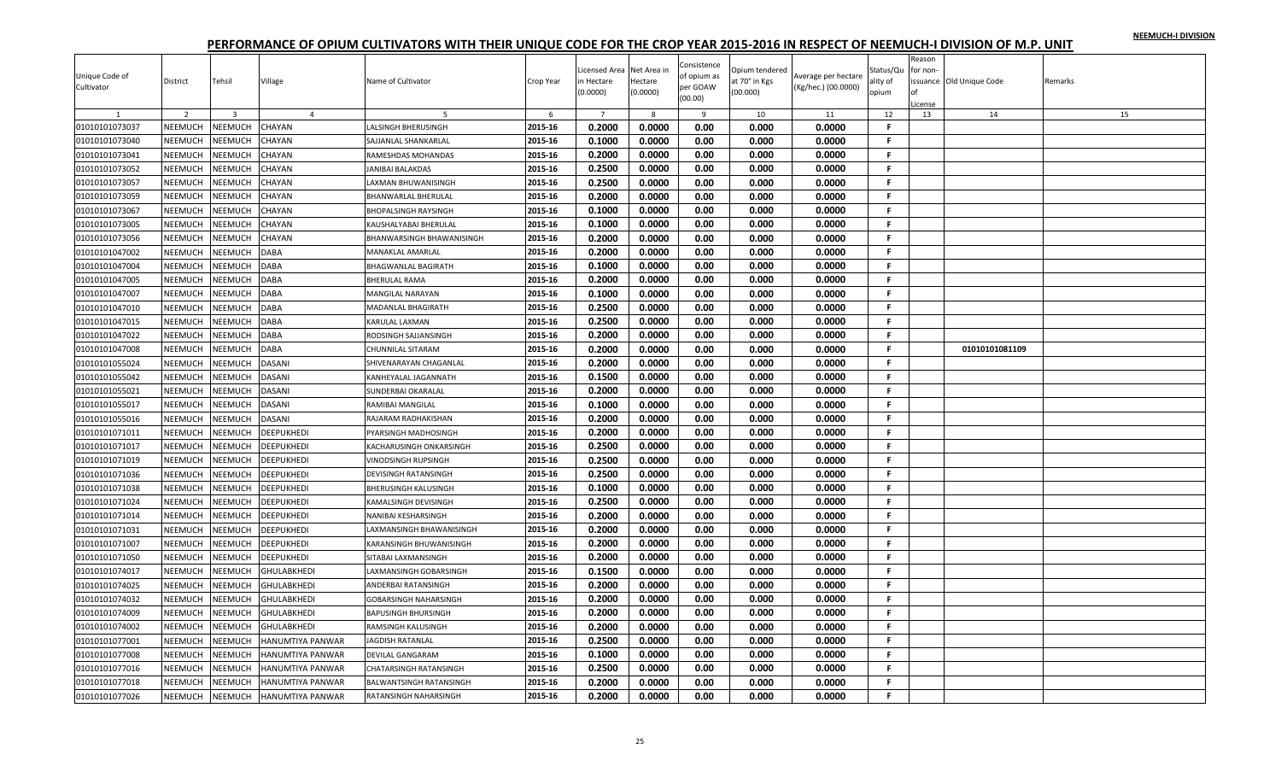| Unique Code of |                |                |                         |                              |           | icensed Area   | Net Area in | Consistence<br>of opium as | <b>Jpium tendered</b> | Average per hectare | Status/Qu    | Reason<br>for non- |                         |         |
|----------------|----------------|----------------|-------------------------|------------------------------|-----------|----------------|-------------|----------------------------|-----------------------|---------------------|--------------|--------------------|-------------------------|---------|
| Cultivator     | District       | Tehsil         | Village                 | Name of Cultivator           | Crop Year | n Hectare      | Hectare     | per GOAW                   | at 70° in Kgs         | (Kg/hec.) (00.0000) | ality of     |                    | ssuance Old Unique Code | Remarks |
|                |                |                |                         |                              |           | (0.0000)       | (0.0000)    | (00.00)                    | (00.000)              |                     | opium        | icense             |                         |         |
|                | 2              | $\overline{3}$ | $\overline{4}$          |                              | 6         | $\overline{7}$ | 8           | 9                          | 10                    | 11                  | 12           | 13                 | 14                      | 15      |
| 01010101073037 | NEEMUCH        | NEEMUCH        | CHAYAN                  | <b>LALSINGH BHERUSINGH</b>   | 2015-16   | 0.2000         | 0.0000      | 0.00                       | 0.000                 | 0.0000              | $\mathbf{F}$ |                    |                         |         |
| 01010101073040 | NEEMUCH        | NEEMUCH        | CHAYAN                  | SAJJANLAL SHANKARLAL         | 2015-16   | 0.1000         | 0.0000      | 0.00                       | 0.000                 | 0.0000              | F.           |                    |                         |         |
| 01010101073041 | NEEMUCH        | NEEMUCH        | CHAYAN                  | RAMESHDAS MOHANDAS           | 2015-16   | 0.2000         | 0.0000      | 0.00                       | 0.000                 | 0.0000              | F.           |                    |                         |         |
| 01010101073052 | NEEMUCH        | NEEMUCH        | CHAYAN                  | <b>JANIBAI BALAKDAS</b>      | 2015-16   | 0.2500         | 0.0000      | 0.00                       | 0.000                 | 0.0000              | .F.          |                    |                         |         |
| 01010101073057 | NEEMUCH        | NEEMUCH        | CHAYAN                  | LAXMAN BHUWANISINGH          | 2015-16   | 0.2500         | 0.0000      | 0.00                       | 0.000                 | 0.0000              | F.           |                    |                         |         |
| 01010101073059 | NEEMUCH        | NEEMUCH        | CHAYAN                  | BHANWARLAL BHERULAL          | 2015-16   | 0.2000         | 0.0000      | 0.00                       | 0.000                 | 0.0000              | F            |                    |                         |         |
| 01010101073067 | NEEMUCH        | NEEMUCH        | CHAYAN                  | <b>BHOPALSINGH RAYSINGH</b>  | 2015-16   | 0.1000         | 0.0000      | 0.00                       | 0.000                 | 0.0000              | F.           |                    |                         |         |
| 01010101073005 | NEEMUCH        | NEEMUCH        | CHAYAN                  | KAUSHALYABAI BHERULAL        | 2015-16   | 0.1000         | 0.0000      | 0.00                       | 0.000                 | 0.0000              | F.           |                    |                         |         |
| 01010101073056 | NEEMUCH        | NEEMUCH        | CHAYAN                  | BHANWARSINGH BHAWANISINGH    | 2015-16   | 0.2000         | 0.0000      | 0.00                       | 0.000                 | 0.0000              | F.           |                    |                         |         |
| 01010101047002 | NEEMUCH        | NEEMUCH        | DABA                    | <b>MANAKLAL AMARLAL</b>      | 2015-16   | 0.2000         | 0.0000      | 0.00                       | 0.000                 | 0.0000              | -F.          |                    |                         |         |
| 01010101047004 | NEEMUCH        | NEEMUCH        | <b>DABA</b>             | <b>BHAGWANLAL BAGIRATH</b>   | 2015-16   | 0.1000         | 0.0000      | 0.00                       | 0.000                 | 0.0000              | -F.          |                    |                         |         |
| 01010101047005 | NEEMUCH        | NEEMUCH        | <b>DABA</b>             | <b>BHERULAL RAMA</b>         | 2015-16   | 0.2000         | 0.0000      | 0.00                       | 0.000                 | 0.0000              | F.           |                    |                         |         |
| 01010101047007 | NEEMUCH        | NEEMUCH        | DABA                    | MANGILAL NARAYAN             | 2015-16   | 0.1000         | 0.0000      | 0.00                       | 0.000                 | 0.0000              | -F.          |                    |                         |         |
| 01010101047010 | NEEMUCH        | NEEMUCH        | <b>DABA</b>             | MADANLAL BHAGIRATH           | 2015-16   | 0.2500         | 0.0000      | 0.00                       | 0.000                 | 0.0000              | -F.          |                    |                         |         |
| 01010101047015 | NEEMUCH        | NEEMUCH        | <b>DABA</b>             | KARULAL LAXMAN               | 2015-16   | 0.2500         | 0.0000      | 0.00                       | 0.000                 | 0.0000              | -F.          |                    |                         |         |
| 01010101047022 | NEEMUCH        | NEEMUCH        | <b>DABA</b>             | RODSINGH SAJJANSINGH         | 2015-16   | 0.2000         | 0.0000      | 0.00                       | 0.000                 | 0.0000              | F.           |                    |                         |         |
| 01010101047008 | NEEMUCH        | NEEMUCH        | <b>DABA</b>             | <b>CHUNNILAL SITARAM</b>     | 2015-16   | 0.2000         | 0.0000      | 0.00                       | 0.000                 | 0.0000              | F.           |                    | 01010101081109          |         |
| 01010101055024 | NEEMUCH        | NEEMUCH        | DASANI                  | SHIVENARAYAN CHAGANLAL       | 2015-16   | 0.2000         | 0.0000      | 0.00                       | 0.000                 | 0.0000              | F.           |                    |                         |         |
| 01010101055042 | NEEMUCH        | NEEMUCH        | <b>DASANI</b>           | KANHEYALAL JAGANNATH         | 2015-16   | 0.1500         | 0.0000      | 0.00                       | 0.000                 | 0.0000              | -F.          |                    |                         |         |
| 01010101055021 | NEEMUCH        | NEEMUCH        | <b>DASANI</b>           | <b>SUNDERBAI OKARALAL</b>    | 2015-16   | 0.2000         | 0.0000      | 0.00                       | 0.000                 | 0.0000              | F.           |                    |                         |         |
| 01010101055017 | NEEMUCH        | <b>NEEMUCH</b> | DASANI                  | RAMIBAI MANGILAL             | 2015-16   | 0.1000         | 0.0000      | 0.00                       | 0.000                 | 0.0000              | .F.          |                    |                         |         |
| 01010101055016 | NEEMUCH        | NEEMUCH        | <b>DASANI</b>           | RAJARAM RADHAKISHAN          | 2015-16   | 0.2000         | 0.0000      | 0.00                       | 0.000                 | 0.0000              | -F.          |                    |                         |         |
| 01010101071011 | NEEMUCH        | NEEMUCH        | <b>DEEPUKHEDI</b>       | PYARSINGH MADHOSINGH         | 2015-16   | 0.2000         | 0.0000      | 0.00                       | 0.000                 | 0.0000              | F.           |                    |                         |         |
| 01010101071017 | NEEMUCH        | NEEMUCH        | DEEPUKHEDI              | KACHARUSINGH ONKARSINGH      | 2015-16   | 0.2500         | 0.0000      | 0.00                       | 0.000                 | 0.0000              | F.           |                    |                         |         |
| 01010101071019 | NEEMUCH        | NEEMUCH        | <b>DEEPUKHEDI</b>       | <b>VINODSINGH RUPSINGH</b>   | 2015-16   | 0.2500         | 0.0000      | 0.00                       | 0.000                 | 0.0000              | F.           |                    |                         |         |
| 01010101071036 | NEEMUCH        | NEEMUCH        | <b>DEEPUKHEDI</b>       | DEVISINGH RATANSINGH         | 2015-16   | 0.2500         | 0.0000      | 0.00                       | 0.000                 | 0.0000              | F.           |                    |                         |         |
| 01010101071038 | NEEMUCH        | <b>NEEMUCH</b> | DEEPUKHEDI              | <b>BHERUSINGH KALUSINGH</b>  | 2015-16   | 0.1000         | 0.0000      | 0.00                       | 0.000                 | 0.0000              | -F.          |                    |                         |         |
| 01010101071024 | <b>NEEMUCH</b> | NEEMUCH        | <b>DEEPUKHEDI</b>       | <b>KAMALSINGH DEVISINGH</b>  | 2015-16   | 0.2500         | 0.0000      | 0.00                       | 0.000                 | 0.0000              | -F           |                    |                         |         |
| 01010101071014 | NEEMUCH        | NEEMUCH        | DEEPUKHEDI              | NANIBAI KESHARSINGH          | 2015-16   | 0.2000         | 0.0000      | 0.00                       | 0.000                 | 0.0000              | F.           |                    |                         |         |
| 01010101071031 | NEEMUCH        | NEEMUCH        | <b>DEEPUKHEDI</b>       | LAXMANSINGH BHAWANISINGH     | 2015-16   | 0.2000         | 0.0000      | 0.00                       | 0.000                 | 0.0000              | F.           |                    |                         |         |
| 01010101071007 | NEEMUCH        | NEEMUCH        | <b>DEEPUKHEDI</b>       | KARANSINGH BHUWANISINGH      | 2015-16   | 0.2000         | 0.0000      | 0.00                       | 0.000                 | 0.0000              | -F.          |                    |                         |         |
| 01010101071050 | NEEMUCH        | NEEMUCH        | DEEPUKHEDI              | SITABAI LAXMANSINGH          | 2015-16   | 0.2000         | 0.0000      | 0.00                       | 0.000                 | 0.0000              | -F.          |                    |                         |         |
| 01010101074017 | NEEMUCH        | NEEMUCH        | <b>GHULABKHEDI</b>      | LAXMANSINGH GOBARSINGH       | 2015-16   | 0.1500         | 0.0000      | 0.00                       | 0.000                 | 0.0000              | -F.          |                    |                         |         |
| 01010101074025 | NEEMUCH        | NEEMUCH        | <b>GHULABKHEDI</b>      | <b>ANDERBAI RATANSINGH</b>   | 2015-16   | 0.2000         | 0.0000      | 0.00                       | 0.000                 | 0.0000              | F.           |                    |                         |         |
| 01010101074032 | NEEMUCH        | NEEMUCH        | <b>GHULABKHEDI</b>      | <b>GOBARSINGH NAHARSINGH</b> | 2015-16   | 0.2000         | 0.0000      | 0.00                       | 0.000                 | 0.0000              | F.           |                    |                         |         |
| 01010101074009 | NEEMUCH        | NEEMUCH        | <b>GHULABKHEDI</b>      | <b>BAPUSINGH BHURSINGH</b>   | 2015-16   | 0.2000         | 0.0000      | 0.00                       | 0.000                 | 0.0000              | $\mathsf F$  |                    |                         |         |
| 01010101074002 | NEEMUCH        | NEEMUCH        | <b>GHULABKHEDI</b>      | <b>RAMSINGH KALUSINGH</b>    | 2015-16   | 0.2000         | 0.0000      | 0.00                       | 0.000                 | 0.0000              | -F.          |                    |                         |         |
| 01010101077001 | NEEMUCH        | NEEMUCH        | HANUMTIYA PANWAR        | <b>JAGDISH RATANLAL</b>      | 2015-16   | 0.2500         | 0.0000      | 0.00                       | 0.000                 | 0.0000              | F.           |                    |                         |         |
| 01010101077008 | <b>NEEMUCH</b> | <b>NEEMUCH</b> | HANUMTIYA PANWAR        | <b>DEVILAL GANGARAM</b>      | 2015-16   | 0.1000         | 0.0000      | 0.00                       | 0.000                 | 0.0000              | -F           |                    |                         |         |
| 01010101077016 | NEEMUCH        | NEEMUCH        | HANUMTIYA PANWAR        | CHATARSINGH RATANSINGH       | 2015-16   | 0.2500         | 0.0000      | 0.00                       | 0.000                 | 0.0000              | F            |                    |                         |         |
| 01010101077018 | NEEMUCH        | NEEMUCH        | HANUMTIYA PANWAR        | BALWANTSINGH RATANSINGH      | 2015-16   | 0.2000         | 0.0000      | 0.00                       | 0.000                 | 0.0000              | F.           |                    |                         |         |
| 01010101077026 | NEEMUCH        | <b>NEEMUCH</b> | <b>HANUMTIYA PANWAR</b> | RATANSINGH NAHARSINGH        | 2015-16   | 0.2000         | 0.0000      | 0.00                       | 0.000                 | 0.0000              | F.           |                    |                         |         |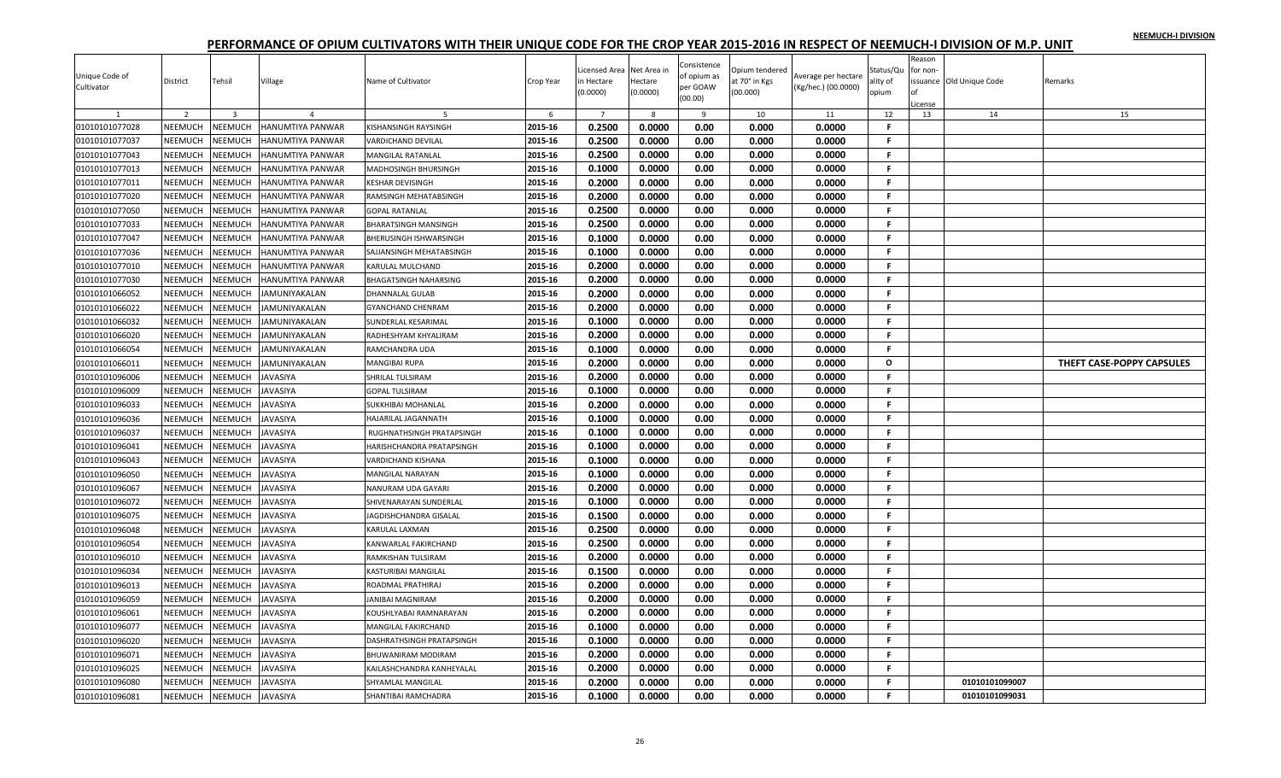|                |                |                         |                         |                              |           |                |             |                            |                |                     |                | Reason              |                          |                           |
|----------------|----------------|-------------------------|-------------------------|------------------------------|-----------|----------------|-------------|----------------------------|----------------|---------------------|----------------|---------------------|--------------------------|---------------------------|
| Unique Code of |                |                         |                         |                              |           | icensed Area   | Net Area ir | Consistence<br>of opium as | Opium tendered | Average per hectare | Status/Qu      | for non-            |                          |                           |
| Cultivator     | District       | Tehsil                  | Village                 | Name of Cultivator           | Crop Year | n Hectare      | Hectare     | per GOAW                   | it 70° in Kgs  | (Kg/hec.) (00.0000) | ality of       |                     | issuance Old Unique Code | Remarks                   |
|                |                |                         |                         |                              |           | (0.0000)       | (0.0000)    | (00.00)                    | (00.000)       |                     | opium          | $\cap$ f<br>.icense |                          |                           |
|                | $\overline{2}$ | $\overline{\mathbf{3}}$ | $\Delta$                | 5                            | 6         | $\overline{7}$ | -8          | $\mathbf{q}$               | 10             | 11                  | 12             | 13                  | 14                       | 15                        |
| 01010101077028 | NEEMUCH        | <b>NEEMUCH</b>          | HANUMTIYA PANWAR        | <b>KISHANSINGH RAYSINGH</b>  | 2015-16   | 0.2500         | 0.0000      | 0.00                       | 0.000          | 0.0000              | F.             |                     |                          |                           |
| 01010101077037 | NEEMUCH        | <b>NEEMUCH</b>          | HANUMTIYA PANWAR        | VARDICHAND DEVILAL           | 2015-16   | 0.2500         | 0.0000      | 0.00                       | 0.000          | 0.0000              | F.             |                     |                          |                           |
| 01010101077043 | NEEMUCH        | <b>NEEMUCH</b>          | HANUMTIYA PANWAR        | <b>MANGILAL RATANLAL</b>     | 2015-16   | 0.2500         | 0.0000      | 0.00                       | 0.000          | 0.0000              | F.             |                     |                          |                           |
| 01010101077013 | NEEMUCH        | <b>NEEMUCH</b>          | HANUMTIYA PANWAR        | MADHOSINGH BHURSINGH         | 2015-16   | 0.1000         | 0.0000      | 0.00                       | 0.000          | 0.0000              | -F.            |                     |                          |                           |
| 01010101077011 | NEEMUCH        | <b>NEEMUCH</b>          | HANUMTIYA PANWAR        | <b>KESHAR DEVISINGH</b>      | 2015-16   | 0.2000         | 0.0000      | 0.00                       | 0.000          | 0.0000              | -F.            |                     |                          |                           |
| 01010101077020 | NEEMUCH        | <b>NEEMUCH</b>          | HANUMTIYA PANWAR        | RAMSINGH MEHATABSINGH        | 2015-16   | 0.2000         | 0.0000      | 0.00                       | 0.000          | 0.0000              | F.             |                     |                          |                           |
| 01010101077050 | NEEMUCH        | <b>NEEMUCH</b>          | HANUMTIYA PANWAR        | <b>GOPAL RATANLAL</b>        | 2015-16   | 0.2500         | 0.0000      | 0.00                       | 0.000          | 0.0000              | -F.            |                     |                          |                           |
| 01010101077033 | NEEMUCH        | <b>NEEMUCH</b>          | HANUMTIYA PANWAR        | <b>BHARATSINGH MANSINGH</b>  | 2015-16   | 0.2500         | 0.0000      | 0.00                       | 0.000          | 0.0000              | F.             |                     |                          |                           |
| 01010101077047 | NEEMUCH        | <b>NEEMUCH</b>          | HANUMTIYA PANWAR        | BHERUSINGH ISHWARSINGH       | 2015-16   | 0.1000         | 0.0000      | 0.00                       | 0.000          | 0.0000              | F              |                     |                          |                           |
| 01010101077036 | NEEMUCH        | <b>NEEMUCH</b>          | HANUMTIYA PANWAR        | SAJJANSINGH MEHATABSINGH     | 2015-16   | 0.1000         | 0.0000      | 0.00                       | 0.000          | 0.0000              | $\mathbf{F}$ . |                     |                          |                           |
| 01010101077010 | <b>NEEMUCH</b> | <b>NEEMUCH</b>          | HANUMTIYA PANWAR        | KARULAL MULCHAND             | 2015-16   | 0.2000         | 0.0000      | 0.00                       | 0.000          | 0.0000              | F.             |                     |                          |                           |
| 01010101077030 | NEEMUCH        | <b>NEEMUCH</b>          | <b>HANUMTIYA PANWAR</b> | <b>BHAGATSINGH NAHARSING</b> | 2015-16   | 0.2000         | 0.0000      | 0.00                       | 0.000          | 0.0000              | F.             |                     |                          |                           |
| 01010101066052 | NEEMUCH        | <b>VEEMUCH</b>          | <b>JAMUNIYAKALAN</b>    | <b>DHANNALAL GULAB</b>       | 2015-16   | 0.2000         | 0.0000      | 0.00                       | 0.000          | 0.0000              | F.             |                     |                          |                           |
| 01010101066022 | NEEMUCH        | <b>NEEMUCH</b>          | IAMUNIYAKALAN           | <b>GYANCHAND CHENRAM</b>     | 2015-16   | 0.2000         | 0.0000      | 0.00                       | 0.000          | 0.0000              | F              |                     |                          |                           |
| 01010101066032 | NEEMUCH        | <b>NEEMUCH</b>          | IAMUNIYAKALAN           | SUNDERLAL KESARIMAL          | 2015-16   | 0.1000         | 0.0000      | 0.00                       | 0.000          | 0.0000              | F.             |                     |                          |                           |
| 01010101066020 | <b>NEEMUCH</b> | <b>NEEMUCH</b>          | IAMUNIYAKALAN           | RADHESHYAM KHYALIRAM         | 2015-16   | 0.2000         | 0.0000      | 0.00                       | 0.000          | 0.0000              | -F.            |                     |                          |                           |
| 01010101066054 | NEEMUCH        | <b>JEEMUCH</b>          | AMUNIYAKALAN            | RAMCHANDRA UDA               | 2015-16   | 0.1000         | 0.0000      | 0.00                       | 0.000          | 0.0000              | F.             |                     |                          |                           |
| 01010101066011 | NEEMUCH        | <b>NEEMUCH</b>          | JAMUNIYAKALAN           | <b>MANGIBAI RUPA</b>         | 2015-16   | 0.2000         | 0.0000      | 0.00                       | 0.000          | 0.0000              | $\Omega$       |                     |                          | THEFT CASE-POPPY CAPSULES |
| 01010101096006 | NEEMUCH        | <b>NEEMUCH</b>          | <b>IAVASIYA</b>         | SHRILAL TULSIRAM             | 2015-16   | 0.2000         | 0.0000      | 0.00                       | 0.000          | 0.0000              | F              |                     |                          |                           |
| 01010101096009 | NEEMUCH        | <b>NEEMUCH</b>          | AVASIYA                 | <b>GOPAL TULSIRAM</b>        | 2015-16   | 0.1000         | 0.0000      | 0.00                       | 0.000          | 0.0000              | F.             |                     |                          |                           |
| 01010101096033 | NEEMUCH        | <b>NEEMUCH</b>          | JAVASIYA                | SUKKHIBAI MOHANLAL           | 2015-16   | 0.2000         | 0.0000      | 0.00                       | 0.000          | 0.0000              | F.             |                     |                          |                           |
| 01010101096036 | <b>NEEMUCH</b> | <b>NEEMUCH</b>          | <b>AVASIYA</b>          | <b>HAJARILAL JAGANNATH</b>   | 2015-16   | 0.1000         | 0.0000      | 0.00                       | 0.000          | 0.0000              | -F.            |                     |                          |                           |
| 01010101096037 | NEEMUCH        | <b>NEEMUCH</b>          | <b>IAVASIYA</b>         | RUGHNATHSINGH PRATAPSINGH    | 2015-16   | 0.1000         | 0.0000      | 0.00                       | 0.000          | 0.0000              | F.             |                     |                          |                           |
| 01010101096041 | NEEMUCH        | <b>NEEMUCH</b>          | IAVASIYA                | HARISHCHANDRA PRATAPSINGH    | 2015-16   | 0.1000         | 0.0000      | 0.00                       | 0.000          | 0.0000              | F.             |                     |                          |                           |
| 01010101096043 | NEEMUCH        | <b>NEEMUCH</b>          | AVASIYA                 | VARDICHAND KISHANA           | 2015-16   | 0.1000         | 0.0000      | 0.00                       | 0.000          | 0.0000              | F              |                     |                          |                           |
| 01010101096050 | NEEMUCH        | <b>NEEMUCH</b>          | JAVASIYA                | <b>MANGILAL NARAYAN</b>      | 2015-16   | 0.1000         | 0.0000      | 0.00                       | 0.000          | 0.0000              | F.             |                     |                          |                           |
| 01010101096067 | NEEMUCH        | <b>NEEMUCH</b>          | IAVASIYA                | NANURAM UDA GAYARI           | 2015-16   | 0.2000         | 0.0000      | 0.00                       | 0.000          | 0.0000              | .F.            |                     |                          |                           |
| 01010101096072 | NEEMUCH        | <b>NEEMUCH</b>          | <b>JAVASIYA</b>         | SHIVENARAYAN SUNDERLAL       | 2015-16   | 0.1000         | 0.0000      | 0.00                       | 0.000          | 0.0000              | -F.            |                     |                          |                           |
| 01010101096075 | NEEMUCH        | <b>NEEMUCH</b>          | JAVASIYA                | JAGDISHCHANDRA GISALAL       | 2015-16   | 0.1500         | 0.0000      | 0.00                       | 0.000          | 0.0000              | F.             |                     |                          |                           |
| 01010101096048 | <b>NEEMUCH</b> | <b>VEEMUCH</b>          | <b>JAVASIYA</b>         | <b>KARULAL LAXMAN</b>        | 2015-16   | 0.2500         | 0.0000      | 0.00                       | 0.000          | 0.0000              | F.             |                     |                          |                           |
| 01010101096054 | NEEMUCH        | <b>NEEMUCH</b>          | <b>IAVASIYA</b>         | KANWARLAL FAKIRCHAND         | 2015-16   | 0.2500         | 0.0000      | 0.00                       | 0.000          | 0.0000              | F.             |                     |                          |                           |
| 01010101096010 | NEEMUCH        | <b>JEEMUCH</b>          | AVASIYA                 | RAMKISHAN TULSIRAM           | 2015-16   | 0.2000         | 0.0000      | 0.00                       | 0.000          | 0.0000              | F.             |                     |                          |                           |
| 01010101096034 | NEEMUCH        | <b>NEEMUCH</b>          | AVASIYA                 | <b>KASTURIBAI MANGILAL</b>   | 2015-16   | 0.1500         | 0.0000      | 0.00                       | 0.000          | 0.0000              | .F.            |                     |                          |                           |
| 01010101096013 | NEEMUCH        | <b>NEEMUCH</b>          | <b>JAVASIYA</b>         | ROADMAL PRATHIRAJ            | 2015-16   | 0.2000         | 0.0000      | 0.00                       | 0.000          | 0.0000              | F.             |                     |                          |                           |
| 01010101096059 | NEEMUCH        | <b>NEEMUCH</b>          | <b>JAVASIYA</b>         | <b>JANIBAI MAGNIRAM</b>      | 2015-16   | 0.2000         | 0.0000      | 0.00                       | 0.000          | 0.0000              | F.             |                     |                          |                           |
| 01010101096061 | NEEMUCH        | <b>JEEMUCH</b>          | IAVASIYA                | KOUSHLYABAI RAMNARAYAN       | 2015-16   | 0.2000         | 0.0000      | 0.00                       | 0.000          | 0.0000              | F.             |                     |                          |                           |
| 01010101096077 | NEEMUCH        | <b>NEEMUCH</b>          | JAVASIYA                | MANGILAL FAKIRCHAND          | 2015-16   | 0.1000         | 0.0000      | 0.00                       | 0.000          | 0.0000              | F.             |                     |                          |                           |
| 01010101096020 | NEEMUCH        | <b>NEEMUCH</b>          | JAVASIYA                | DASHRATHSINGH PRATAPSINGH    | 2015-16   | 0.1000         | 0.0000      | 0.00                       | 0.000          | 0.0000              | F.             |                     |                          |                           |
| 01010101096071 | NEEMUCH        | <b>NEEMUCH</b>          | AVASIYA                 | <b>BHUWANIRAM MODIRAM</b>    | 2015-16   | 0.2000         | 0.0000      | 0.00                       | 0.000          | 0.0000              | .F.            |                     |                          |                           |
| 01010101096025 | NEEMUCH        | <b>NEEMUCH</b>          | <b>JAVASIYA</b>         | KAILASHCHANDRA KANHEYALAL    | 2015-16   | 0.2000         | 0.0000      | 0.00                       | 0.000          | 0.0000              | F.             |                     |                          |                           |
| 01010101096080 | <b>NEEMUCH</b> | <b>JEEMUCH</b>          | AVASIYA                 | SHYAMLAL MANGILAL            | 2015-16   | 0.2000         | 0.0000      | 0.00                       | 0.000          | 0.0000              | F.             |                     | 01010101099007           |                           |
| 01010101096081 | NEEMUCH        | NEEMUCH                 | JAVASIYA                | SHANTIBAI RAMCHADRA          | 2015-16   | 0.1000         | 0.0000      | 0.00                       | 0.000          | 0.0000              | F.             |                     | 01010101099031           |                           |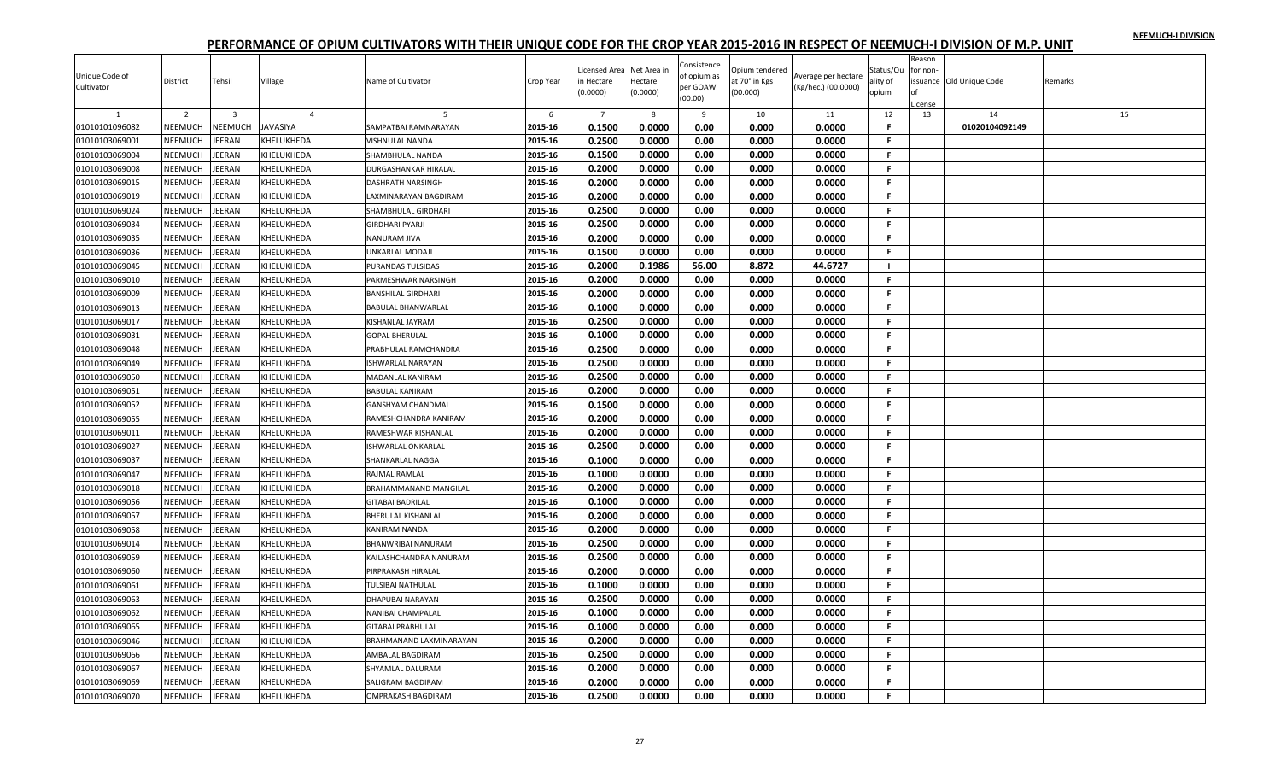|                              |                |                         |                   |                              |           |                |             |                         |                |                     |              | Reason   |                         |         |
|------------------------------|----------------|-------------------------|-------------------|------------------------------|-----------|----------------|-------------|-------------------------|----------------|---------------------|--------------|----------|-------------------------|---------|
|                              |                |                         |                   |                              |           | icensed Area.  | Net Area ir | Consistence             | Opium tendered |                     | Status/Qu    | for non- |                         |         |
| Unique Code of<br>Cultivator | District       | Tehsil                  | Village           | Name of Cultivator           | Crop Year | n Hectare      | Hectare     | of opium as<br>per GOAW | at 70° in Kgs  | Average per hectare | ality of     |          | ssuance Old Unique Code | Remarks |
|                              |                |                         |                   |                              |           | (0.0000)       | (0.0000)    | (00.00)                 | (00.000)       | (Kg/hec.) (00.0000) | opium        | of       |                         |         |
|                              |                |                         |                   |                              |           |                |             |                         |                |                     |              | icense   |                         |         |
|                              | $\overline{2}$ | $\overline{\mathbf{3}}$ | $\overline{4}$    |                              | 6         | $\overline{7}$ | 8           | 9                       | 10             | 11                  | 12           | 13       | 14                      | 15      |
| 01010101096082               | NEEMUCH        | NEEMUCH                 | <b>JAVASIYA</b>   | SAMPATBAI RAMNARAYAN         | 2015-16   | 0.1500         | 0.0000      | 0.00                    | 0.000          | 0.0000              | F.           |          | 01020104092149          |         |
| 01010103069001               | <b>NEEMUCH</b> | <b>JEERAN</b>           | KHELUKHEDA        | VISHNULAL NANDA              | 2015-16   | 0.2500         | 0.0000      | 0.00                    | 0.000          | 0.0000              | F.           |          |                         |         |
| 01010103069004               | NEEMUCH        | <b>JEERAN</b>           | KHELUKHEDA        | SHAMBHULAL NANDA             | 2015-16   | 0.1500         | 0.0000      | 0.00                    | 0.000          | 0.0000              | -F.          |          |                         |         |
| 01010103069008               | NEEMUCH        | JEERAN                  | KHELUKHEDA        | DURGASHANKAR HIRALAL         | 2015-16   | 0.2000         | 0.0000      | 0.00                    | 0.000          | 0.0000              | F.           |          |                         |         |
| 01010103069015               | NEEMUCH        | JEERAN                  | <b>KHELUKHEDA</b> | <b>DASHRATH NARSINGH</b>     | 2015-16   | 0.2000         | 0.0000      | 0.00                    | 0.000          | 0.0000              | -F.          |          |                         |         |
| 01010103069019               | NEEMUCH        | JEERAN                  | KHELUKHEDA        | LAXMINARAYAN BAGDIRAM        | 2015-16   | 0.2000         | 0.0000      | 0.00                    | 0.000          | 0.0000              | F.           |          |                         |         |
| 01010103069024               | NEEMUCH        | JEERAN                  | KHELUKHEDA        | SHAMBHULAL GIRDHARI          | 2015-16   | 0.2500         | 0.0000      | 0.00                    | 0.000          | 0.0000              | -F.          |          |                         |         |
| 01010103069034               | <b>NEEMUCH</b> | <b>JEERAN</b>           | KHELUKHEDA        | GIRDHARI PYARJI              | 2015-16   | 0.2500         | 0.0000      | 0.00                    | 0.000          | 0.0000              | F.           |          |                         |         |
| 01010103069035               | NEEMUCH        | JEERAN                  | KHELUKHEDA        | <b>NANURAM JIVA</b>          | 2015-16   | 0.2000         | 0.0000      | 0.00                    | 0.000          | 0.0000              | F.           |          |                         |         |
| 01010103069036               | NEEMUCH        | JEERAN                  | KHELUKHEDA        | UNKARLAL MODAJI              | 2015-16   | 0.1500         | 0.0000      | 0.00                    | 0.000          | 0.0000              | F.           |          |                         |         |
| 01010103069045               | NEEMUCH        | JEERAN                  | <b>KHELUKHEDA</b> | PURANDAS TULSIDAS            | 2015-16   | 0.2000         | 0.1986      | 56.00                   | 8.872          | 44.6727             | - 1          |          |                         |         |
| 01010103069010               | NEEMUCH        | <b>JEERAN</b>           | KHELUKHEDA        | PARMESHWAR NARSINGH          | 2015-16   | 0.2000         | 0.0000      | 0.00                    | 0.000          | 0.0000              | -F.          |          |                         |         |
| 01010103069009               | <b>NEEMUCH</b> | JEERAN                  | KHELUKHEDA        | <b>BANSHILAL GIRDHARI</b>    | 2015-16   | 0.2000         | 0.0000      | 0.00                    | 0.000          | 0.0000              | F.           |          |                         |         |
| 01010103069013               | NEEMUCH        | <b>JEERAN</b>           | KHELUKHEDA        | <b>BABULAL BHANWARLAL</b>    | 2015-16   | 0.1000         | 0.0000      | 0.00                    | 0.000          | 0.0000              | -F.          |          |                         |         |
| 01010103069017               | NEEMUCH        | JEERAN                  | KHELUKHEDA        | KISHANLAL JAYRAM             | 2015-16   | 0.2500         | 0.0000      | 0.00                    | 0.000          | 0.0000              | -F           |          |                         |         |
| 01010103069031               | NEEMUCH        | JEERAN                  | KHELUKHEDA        | <b>GOPAL BHERULAL</b>        | 2015-16   | 0.1000         | 0.0000      | 0.00                    | 0.000          | 0.0000              | -F.          |          |                         |         |
| 01010103069048               | NEEMUCH        | <b>JEERAN</b>           | KHELUKHEDA        | PRABHULAL RAMCHANDRA         | 2015-16   | 0.2500         | 0.0000      | 0.00                    | 0.000          | 0.0000              | -F.          |          |                         |         |
| 01010103069049               | NEEMUCH        | JEERAN                  | KHELUKHEDA        | ISHWARLAL NARAYAN            | 2015-16   | 0.2500         | 0.0000      | 0.00                    | 0.000          | 0.0000              | F.           |          |                         |         |
| 01010103069050               | NEEMUCH        | JEERAN                  | KHELUKHEDA        | MADANLAL KANIRAM             | 2015-16   | 0.2500         | 0.0000      | 0.00                    | 0.000          | 0.0000              | F.           |          |                         |         |
| 01010103069051               | NEEMUCH        | JEERAN                  | KHELUKHEDA        | <b>BABULAL KANIRAM</b>       | 2015-16   | 0.2000         | 0.0000      | 0.00                    | 0.000          | 0.0000              | $\mathbf{F}$ |          |                         |         |
| 01010103069052               | NEEMUCH        | JEERAN                  | KHELUKHEDA        | <b>GANSHYAM CHANDMAL</b>     | 2015-16   | 0.1500         | 0.0000      | 0.00                    | 0.000          | 0.0000              | F.           |          |                         |         |
| 01010103069055               | NEEMUCH        | JEERAN                  | KHELUKHEDA        | RAMESHCHANDRA KANIRAM        | 2015-16   | 0.2000         | 0.0000      | 0.00                    | 0.000          | 0.0000              | -F.          |          |                         |         |
| 01010103069011               | NEEMUCH        | JEERAN                  | KHELUKHEDA        | RAMESHWAR KISHANLAI          | 2015-16   | 0.2000         | 0.0000      | 0.00                    | 0.000          | 0.0000              | -F.          |          |                         |         |
| 01010103069027               | NEEMUCH        | JEERAN                  | KHELUKHEDA        | ISHWARLAL ONKARLAL           | 2015-16   | 0.2500         | 0.0000      | 0.00                    | 0.000          | 0.0000              | F.           |          |                         |         |
| 01010103069037               | NEEMUCH        | JEERAN                  | KHELUKHEDA        | SHANKARLAL NAGGA             | 2015-16   | 0.1000         | 0.0000      | 0.00                    | 0.000          | 0.0000              | -F.          |          |                         |         |
| 01010103069047               | NEEMUCH        | JEERAN                  | KHELUKHEDA        | RAJMAL RAMLAL                | 2015-16   | 0.1000         | 0.0000      | 0.00                    | 0.000          | 0.0000              | $\mathbf{F}$ |          |                         |         |
|                              | NEEMUCH        |                         |                   |                              |           |                |             |                         |                |                     | -F.          |          |                         |         |
| 01010103069018               |                | JEERAN                  | KHELUKHEDA        | <b>BRAHAMMANAND MANGILAL</b> | 2015-16   | 0.2000         | 0.0000      | 0.00                    | 0.000          | 0.0000              | -F.          |          |                         |         |
| 01010103069056               | NEEMUCH        | JEERAN                  | KHELUKHEDA        | <b>GITABAI BADRILAL</b>      | 2015-16   | 0.1000         | 0.0000      | 0.00                    | 0.000          | 0.0000              |              |          |                         |         |
| 01010103069057               | <b>NEEMUCH</b> | JEERAN                  | KHELUKHEDA        | <b>BHERULAL KISHANLAL</b>    | 2015-16   | 0.2000         | 0.0000      | 0.00                    | 0.000          | 0.0000              | F.           |          |                         |         |
| 01010103069058               | NEEMUCH        | JEERAN                  | KHELUKHEDA        | KANIRAM NANDA                | 2015-16   | 0.2000         | 0.0000      | 0.00                    | 0.000          | 0.0000              | F.           |          |                         |         |
| 01010103069014               | NEEMUCH        | JEERAN                  | KHELUKHEDA        | <b>BHANWRIBAI NANURAM</b>    | 2015-16   | 0.2500         | 0.0000      | 0.00                    | 0.000          | 0.0000              | -F.          |          |                         |         |
| 01010103069059               | NEEMUCH        | JEERAN                  | KHELUKHEDA        | KAILASHCHANDRA NANURAM       | 2015-16   | 0.2500         | 0.0000      | 0.00                    | 0.000          | 0.0000              | F.           |          |                         |         |
| 01010103069060               | NEEMUCH        | JEERAN                  | KHELUKHEDA        | PIRPRAKASH HIRALAL           | 2015-16   | 0.2000         | 0.0000      | 0.00                    | 0.000          | 0.0000              | -F.          |          |                         |         |
| 01010103069061               | NEEMUCH        | <b>JEERAN</b>           | KHELUKHEDA        | <b>TULSIBAI NATHULAI</b>     | 2015-16   | 0.1000         | 0.0000      | 0.00                    | 0.000          | 0.0000              | -F.          |          |                         |         |
| 01010103069063               | NEEMUCH        | JEERAN                  | KHELUKHEDA        | DHAPUBAI NARAYAN             | 2015-16   | 0.2500         | 0.0000      | 0.00                    | 0.000          | 0.0000              | F.           |          |                         |         |
| 01010103069062               | NEEMUCH        | JEERAN                  | KHELUKHEDA        | NANIBAI CHAMPALAL            | 2015-16   | 0.1000         | 0.0000      | 0.00                    | 0.000          | 0.0000              | .F.          |          |                         |         |
| 01010103069065               | NEEMUCH        | JEERAN                  | KHELUKHEDA        | <b>GITABAI PRABHULAL</b>     | 2015-16   | 0.1000         | 0.0000      | 0.00                    | 0.000          | 0.0000              | F.           |          |                         |         |
| 01010103069046               | NEEMUCH        | JEERAN                  | KHELUKHEDA        | BRAHMANAND LAXMINARAYAN      | 2015-16   | 0.2000         | 0.0000      | 0.00                    | 0.000          | 0.0000              | -F.          |          |                         |         |
| 01010103069066               | NEEMUCH        | JEERAN                  | KHELUKHEDA        | AMBALAL BAGDIRAM             | 2015-16   | 0.2500         | 0.0000      | 0.00                    | 0.000          | 0.0000              | -F.          |          |                         |         |
| 01010103069067               | <b>NEEMUCH</b> | JEERAN                  | KHELUKHEDA        | SHYAMLAL DALURAM             | 2015-16   | 0.2000         | 0.0000      | 0.00                    | 0.000          | 0.0000              | F.           |          |                         |         |
| 01010103069069               | NEEMUCH        | JEERAN                  | KHELUKHEDA        | SALIGRAM BAGDIRAM            | 2015-16   | 0.2000         | 0.0000      | 0.00                    | 0.000          | 0.0000              | F.           |          |                         |         |
| 01010103069070               | NEEMUCH        | JEERAN                  | <b>KHELUKHEDA</b> | <b>OMPRAKASH BAGDIRAM</b>    | 2015-16   | 0.2500         | 0.0000      | 0.00                    | 0.000          | 0.0000              | F.           |          |                         |         |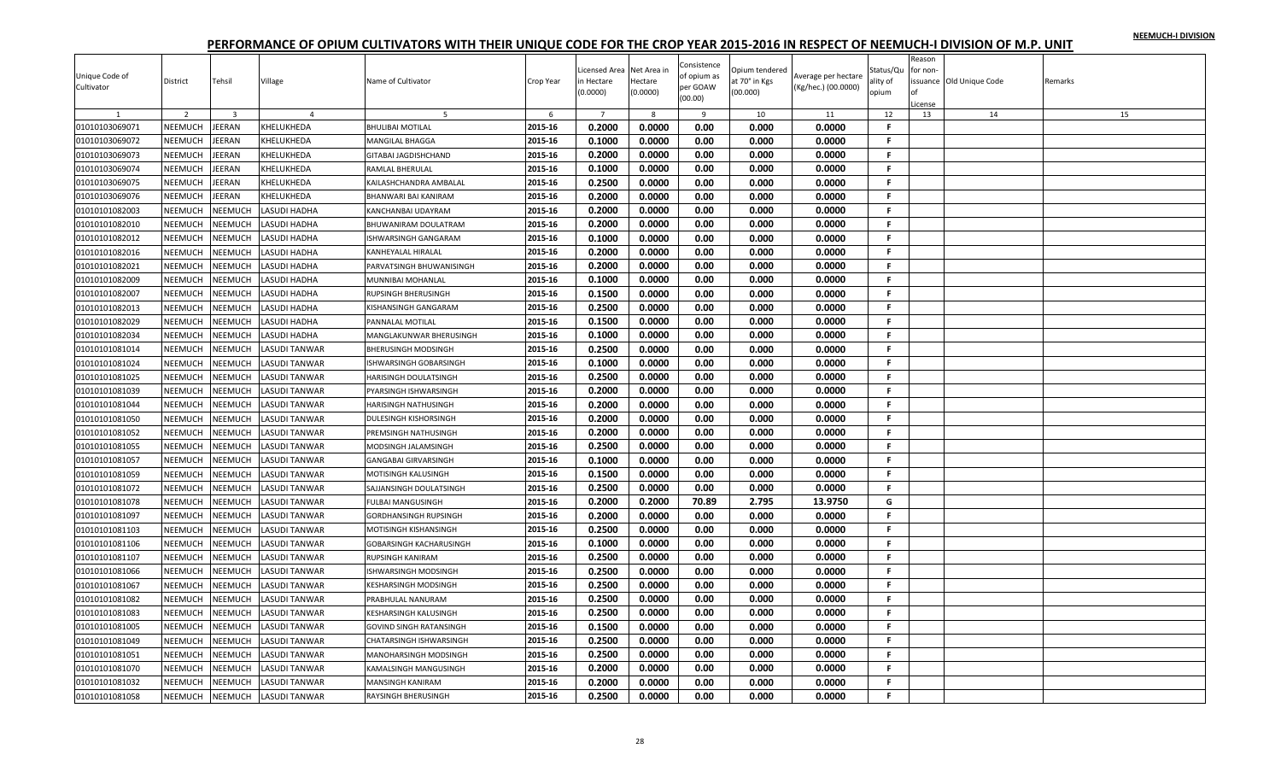| Reason<br>Consistence<br>icensed Area<br>Net Area in<br>Opium tendered<br>Status/Qu<br>for non-<br>Unique Code of<br>of opium as<br>Average per hectare<br>Tehsil<br>Village<br>Name of Cultivator<br>ssuance Old Unique Code<br>District<br>Crop Year<br>n Hectare<br>Hectare<br>it 70° in Kgs<br>ality of<br>Remarks<br>per GOAW<br>(Kg/hec.) (00.0000)<br>Cultivator<br>(0.0000)<br>(0.0000)<br>(00.000)<br>opium<br>(00.00)<br>License<br>2<br>$\overline{\mathbf{3}}$<br>6<br>$\overline{7}$<br>8<br>9<br>10<br>11<br>12<br>13<br>14<br>15<br>$\overline{a}$<br>-5 |  |
|-------------------------------------------------------------------------------------------------------------------------------------------------------------------------------------------------------------------------------------------------------------------------------------------------------------------------------------------------------------------------------------------------------------------------------------------------------------------------------------------------------------------------------------------------------------------------|--|
|                                                                                                                                                                                                                                                                                                                                                                                                                                                                                                                                                                         |  |
|                                                                                                                                                                                                                                                                                                                                                                                                                                                                                                                                                                         |  |
|                                                                                                                                                                                                                                                                                                                                                                                                                                                                                                                                                                         |  |
|                                                                                                                                                                                                                                                                                                                                                                                                                                                                                                                                                                         |  |
|                                                                                                                                                                                                                                                                                                                                                                                                                                                                                                                                                                         |  |
|                                                                                                                                                                                                                                                                                                                                                                                                                                                                                                                                                                         |  |
| 2015-16<br>0.2000<br>0.0000<br>0.00<br>0.000<br>0.0000<br>F.<br>01010103069071<br>NEEMUCH<br>JEERAN<br>KHELUKHEDA<br><b>BHULIBAI MOTILAL</b>                                                                                                                                                                                                                                                                                                                                                                                                                            |  |
| 0.000<br>F.<br>2015-16<br>0.1000<br>0.0000<br>0.00<br>0.0000<br>01010103069072<br>NEEMUCH<br><b>JEERAN</b><br>KHELUKHEDA<br><b>MANGILAL BHAGGA</b>                                                                                                                                                                                                                                                                                                                                                                                                                      |  |
| 01010103069073<br>NEEMUCH<br><b>JEERAN</b><br>2015-16<br>0.2000<br>0.0000<br>0.00<br>0.000<br>0.0000<br>F.<br>KHELUKHEDA<br>GITABAI JAGDISHCHAND                                                                                                                                                                                                                                                                                                                                                                                                                        |  |
| 01010103069074<br>NEEMUCH<br>JEERAN<br>2015-16<br>0.1000<br>0.0000<br>0.00<br>0.000<br>0.0000<br>F.<br>KHELUKHEDA<br>RAMLAL BHERULAL                                                                                                                                                                                                                                                                                                                                                                                                                                    |  |
| 0.2500<br>01010103069075<br>NEEMUCH<br><b>JEERAN</b><br>KHELUKHEDA<br>2015-16<br>0.0000<br>0.00<br>0.000<br>0.0000<br>F.<br>KAILASHCHANDRA AMBALAL                                                                                                                                                                                                                                                                                                                                                                                                                      |  |
| 01010103069076<br>NEEMUCH<br>JEERAN<br>KHELUKHEDA<br>2015-16<br>0.2000<br>0.0000<br>0.00<br>0.000<br>0.0000<br>F.<br><b>BHANWARI BAI KANIRAM</b>                                                                                                                                                                                                                                                                                                                                                                                                                        |  |
| NEEMUCH<br>NEEMUCH<br>0.2000<br>0.0000<br>0.00<br>0.000<br>0.0000<br>F<br>01010101082003<br>LASUDI HADHA<br>2015-16<br>KANCHANBAI UDAYRAM                                                                                                                                                                                                                                                                                                                                                                                                                               |  |
| NEEMUCH<br>01010101082010<br>NEEMUCH<br>ASUDI HADHA<br>2015-16<br>0.2000<br>0.0000<br>0.00<br>0.000<br>0.0000<br>F.<br>BHUWANIRAM DOULATRAM                                                                                                                                                                                                                                                                                                                                                                                                                             |  |
| 0.1000<br>0.0000<br>NEEMUCH<br>2015-16<br>0.00<br>0.000<br>0.0000<br>F.<br>01010101082012<br>NEEMUCH<br>LASUDI HADHA<br>ISHWARSINGH GANGARAM                                                                                                                                                                                                                                                                                                                                                                                                                            |  |
| 0.2000<br>0.0000<br>0.00<br>0.000<br>0.0000<br>F.<br>01010101082016<br>NEEMUCH<br>NEEMUCH<br>2015-16<br>LASUDI HADHA<br>KANHEYALAL HIRALAL                                                                                                                                                                                                                                                                                                                                                                                                                              |  |
| NEEMUCH<br>0.2000<br>0.0000<br>01010101082021<br>NEEMUCH<br>LASUDI HADHA<br>2015-16<br>0.00<br>0.000<br>0.0000<br>F.<br>PARVATSINGH BHUWANISINGH                                                                                                                                                                                                                                                                                                                                                                                                                        |  |
| <b>NEEMUCH</b><br>0.1000<br>0.0000<br>0.000<br>01010101082009<br><b>NEEMUCH</b><br>LASUDI HADHA<br>2015-16<br>0.00<br>0.0000<br>F<br>MUNNIBAI MOHANLAL                                                                                                                                                                                                                                                                                                                                                                                                                  |  |
| NEEMUCH<br>NEEMUCH<br>2015-16<br>0.1500<br>0.0000<br>0.00<br>0.000<br>0.0000<br>01010101082007<br>LASUDI HADHA<br>F.<br><b>RUPSINGH BHERUSINGH</b>                                                                                                                                                                                                                                                                                                                                                                                                                      |  |
| NEEMUCH<br>0.2500<br>0.0000<br>0.000<br>01010101082013<br>NEEMUCH<br>LASUDI HADHA<br>2015-16<br>0.00<br>0.0000<br>F.                                                                                                                                                                                                                                                                                                                                                                                                                                                    |  |
| KISHANSINGH GANGARAM                                                                                                                                                                                                                                                                                                                                                                                                                                                                                                                                                    |  |
| 0.1500<br>01010101082029<br>NEEMUCH<br><b>NEEMUCH</b><br>2015-16<br>0.0000<br>0.00<br>0.000<br>0.0000<br>F.<br>LASUDI HADHA<br>PANNALAL MOTILAL                                                                                                                                                                                                                                                                                                                                                                                                                         |  |
| 0.1000<br>0.0000<br>0.00<br>0.000<br>F.<br>01010101082034<br>NEEMUCH<br>NEEMUCH<br>LASUDI HADHA<br>2015-16<br>0.0000<br>MANGLAKUNWAR BHERUSINGH                                                                                                                                                                                                                                                                                                                                                                                                                         |  |
| 0.2500<br><b>NEEMUCH</b><br>2015-16<br>0.0000<br>0.00<br>0.000<br>0.0000<br>F.<br>01010101081014<br><b>NEEMUCH</b><br>LASUDI TANWAR<br><b>BHERUSINGH MODSINGH</b>                                                                                                                                                                                                                                                                                                                                                                                                       |  |
| 0.1000<br>0.0000<br>0.00<br>0.000<br><b>NEEMUCH</b><br>2015-16<br>0.0000<br>F.<br>01010101081024<br>NEEMUCH<br>LASUDI TANWAR<br>ISHWARSINGH GOBARSINGH                                                                                                                                                                                                                                                                                                                                                                                                                  |  |
| 01010101081025<br>NEEMUCH<br>0.2500<br>0.0000<br>0.00<br>0.000<br>0.0000<br>NEEMUCH<br>LASUDI TANWAR<br>2015-16<br>F.<br>HARISINGH DOULATSINGH                                                                                                                                                                                                                                                                                                                                                                                                                          |  |
| 2015-16<br>0.2000<br>0.0000<br>0.00<br>0.000<br>0.0000<br>01010101081039<br>NEEMUCH<br>NEEMUCH<br>LASUDI TANWAR<br>F.<br>PYARSINGH ISHWARSINGH                                                                                                                                                                                                                                                                                                                                                                                                                          |  |
| <b>NEEMUCH</b><br>0.2000<br>01010101081044<br><b>NEEMUCH</b><br>2015-16<br>0.0000<br>0.00<br>0.000<br>0.0000<br>F.<br>LASUDI TANWAR<br><b>HARISINGH NATHUSINGH</b>                                                                                                                                                                                                                                                                                                                                                                                                      |  |
| 01010101081050<br>NEEMUCH<br>2015-16<br>0.2000<br>0.0000<br>0.00<br>0.000<br>0.0000<br>NEEMUCH<br>LASUDI TANWAR<br>F.<br>DULESINGH KISHORSINGH                                                                                                                                                                                                                                                                                                                                                                                                                          |  |
| 01010101081052<br><b>NEEMUCH</b><br>NEEMUCH<br>2015-16<br>0.2000<br>0.0000<br>0.00<br>0.000<br>0.0000<br>F.<br>LASUDI TANWAR<br>PREMSINGH NATHUSINGH                                                                                                                                                                                                                                                                                                                                                                                                                    |  |
| 0.2500<br>2015-16<br>0.0000<br>0.00<br>0.000<br>0.0000<br>F.<br>01010101081055<br>NEEMUCH<br>NEEMUCH<br>LASUDI TANWAR<br>MODSINGH JALAMSINGH                                                                                                                                                                                                                                                                                                                                                                                                                            |  |
| 0.1000<br>0.0000<br>0.000<br>01010101081057<br>NEEMUCH<br><b>NEEMUCH</b><br>2015-16<br>0.00<br>0.0000<br>F.<br>LASUDI TANWAR<br><b>GANGABAI GIRVARSINGH</b>                                                                                                                                                                                                                                                                                                                                                                                                             |  |
| 0.1500<br>0.0000<br>0.00<br>0.000<br>0.0000<br>F.<br>01010101081059<br>NEEMUCH<br>2015-16<br><b>NEEMUCH</b><br>LASUDI TANWAR<br>MOTISINGH KALUSINGH                                                                                                                                                                                                                                                                                                                                                                                                                     |  |
| 0.2500<br>01010101081072<br>NEEMUCH<br>NEEMUCH<br>LASUDI TANWAR<br>2015-16<br>0.0000<br>0.00<br>0.000<br>0.0000<br>SAJJANSINGH DOULATSINGH<br>-F.                                                                                                                                                                                                                                                                                                                                                                                                                       |  |
| 01010101081078<br>NEEMUCH<br><b>NEEMUCH</b><br>LASUDI TANWAR<br>2015-16<br>0.2000<br>0.2000<br>70.89<br>2.795<br>13.9750<br>G<br><b>FULBAI MANGUSINGH</b>                                                                                                                                                                                                                                                                                                                                                                                                               |  |
| NEEMUCH<br>0.2000<br>0.0000<br>0.00<br>0.000<br>01010101081097<br>NEEMUCH<br>LASUDI TANWAR<br>2015-16<br>0.0000<br>F.<br><b>GORDHANSINGH RUPSINGH</b>                                                                                                                                                                                                                                                                                                                                                                                                                   |  |
| .F                                                                                                                                                                                                                                                                                                                                                                                                                                                                                                                                                                      |  |
| 0.2500<br>01010101081103<br>NEEMUCH<br>NEEMUCH<br>2015-16<br>0.0000<br>0.00<br>0.000<br>0.0000<br>LASUDI TANWAR<br>MOTISINGH KISHANSINGH                                                                                                                                                                                                                                                                                                                                                                                                                                |  |
| 01010101081106<br>NEEMUCH<br><b>NEEMUCH</b><br>2015-16<br>0.1000<br>0.0000<br>0.00<br>0.000<br>0.0000<br>F.<br>LASUDI TANWAR<br><b>GOBARSINGH KACHARUSINGH</b>                                                                                                                                                                                                                                                                                                                                                                                                          |  |
| 0.2500<br>F.<br>01010101081107<br>2015-16<br>0.0000<br>0.00<br>0.000<br>0.0000<br><b>NEEMUCH</b><br>NEEMUCH<br>LASUDI TANWAR<br><b>RUPSINGH KANIRAM</b>                                                                                                                                                                                                                                                                                                                                                                                                                 |  |
| 2015-16<br>0.2500<br>0.0000<br>0.00<br>0.000<br>0.0000<br>F.<br>01010101081066<br>NEEMUCH<br>NEEMUCH<br>LASUDI TANWAR<br>ISHWARSINGH MODSINGH                                                                                                                                                                                                                                                                                                                                                                                                                           |  |
| 2015-16<br>0.2500<br>0.0000<br>0.00<br>0.000<br>0.0000<br>F.<br>01010101081067<br>NEEMUCH<br><b>NEEMUCH</b><br>LASUDI TANWAR<br><b>KESHARSINGH MODSINGH</b>                                                                                                                                                                                                                                                                                                                                                                                                             |  |
| NEEMUCH<br>NEEMUCH<br>0.2500<br>0.0000<br>0.000<br>01010101081082<br>LASUDI TANWAR<br>2015-16<br>0.00<br>0.0000<br>F.<br>PRABHULAL NANURAM                                                                                                                                                                                                                                                                                                                                                                                                                              |  |
| 0.2500<br>01010101081083<br>NEEMUCH<br>NEEMUCH<br>LASUDI TANWAR<br>2015-16<br>0.0000<br>0.00<br>0.000<br>0.0000<br>F.<br><b>KESHARSINGH KALUSINGH</b>                                                                                                                                                                                                                                                                                                                                                                                                                   |  |
| 01010101081005<br>NEEMUCH<br>2015-16<br>0.1500<br>0.0000<br>0.00<br>0.000<br>0.0000<br>F.<br>NEEMUCH<br>LASUDI TANWAR<br><b>GOVIND SINGH RATANSINGH</b>                                                                                                                                                                                                                                                                                                                                                                                                                 |  |
| NEEMUCH<br>0.2500<br>0.0000<br>0.00<br>01010101081049<br>NEEMUCH<br>LASUDI TANWAR<br>2015-16<br>0.000<br>0.0000<br>F.<br>CHATARSINGH ISHWARSINGH                                                                                                                                                                                                                                                                                                                                                                                                                        |  |
| 01010101081051<br><b>NEEMUCH</b><br>NEEMUCH<br>LASUDI TANWAR<br>2015-16<br>0.2500<br>0.0000<br>0.00<br>0.000<br>0.0000<br>F.<br>MANOHARSINGH MODSINGH                                                                                                                                                                                                                                                                                                                                                                                                                   |  |
| 0.2000<br>2015-16<br>0.0000<br>0.00<br>0.000<br>0.0000<br>F<br>01010101081070<br>NEEMUCH<br>NEEMUCH<br><b>ASUDI TANWAR</b><br>KAMALSINGH MANGUSINGH                                                                                                                                                                                                                                                                                                                                                                                                                     |  |
| 2015-16<br>0.2000<br>0.0000<br>0.00<br>0.000<br>0.0000<br>F.<br>01010101081032<br>NEEMUCH<br>NEEMUCH<br>LASUDI TANWAR<br><b>MANSINGH KANIRAM</b>                                                                                                                                                                                                                                                                                                                                                                                                                        |  |
| 0.2500<br>01010101081058<br>NEEMUCH<br>2015-16<br>0.0000<br>0.00<br>0.000<br>0.0000<br>F.<br><b>NEEMUCH</b><br><b>LASUDI TANWAR</b><br><b>RAYSINGH BHERUSINGH</b>                                                                                                                                                                                                                                                                                                                                                                                                       |  |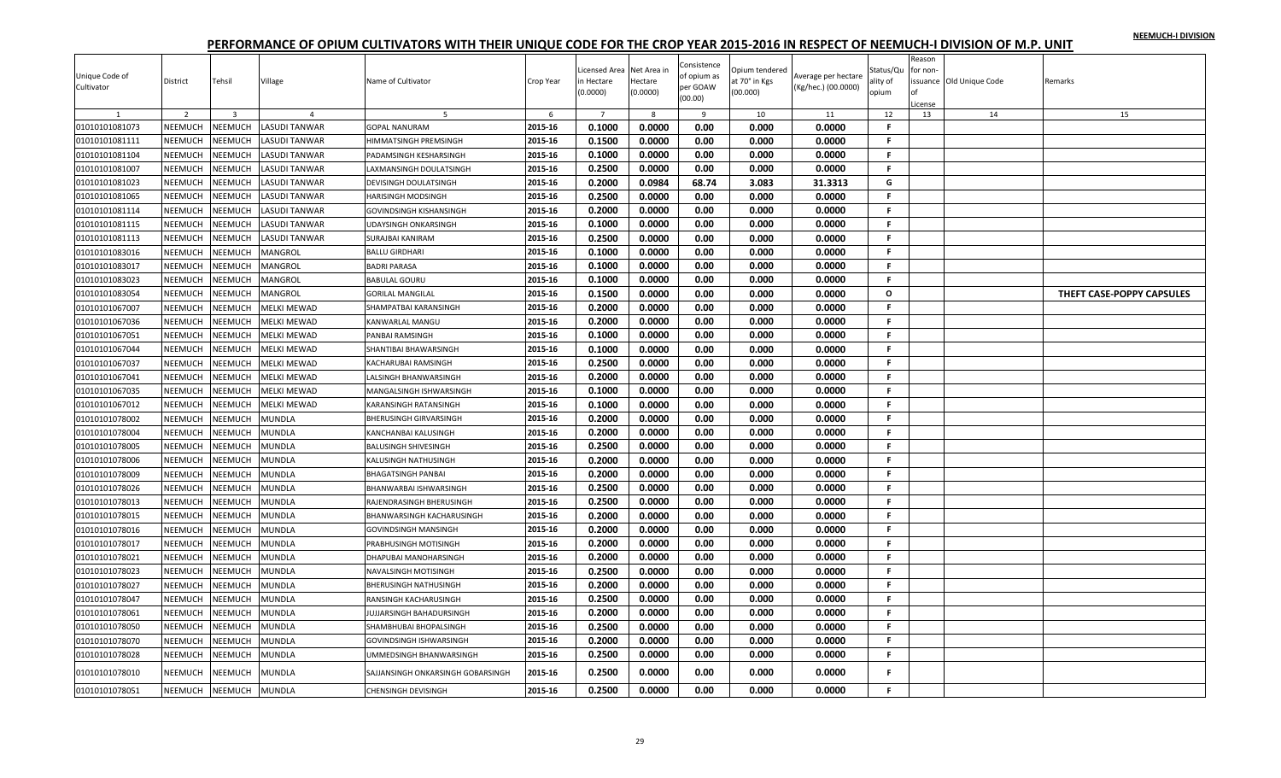|                |                |                                    |                                        |                                   |              |                            |                        | Consistence         |                                 |                     |                       | Reason  |                          |                           |
|----------------|----------------|------------------------------------|----------------------------------------|-----------------------------------|--------------|----------------------------|------------------------|---------------------|---------------------------------|---------------------|-----------------------|---------|--------------------------|---------------------------|
| Unique Code of | District       | Tehsil                             | Village                                | Name of Cultivator                | Crop Year    | icensed Area.<br>n Hectare | Net Area in<br>Hectare | of opium as         | Opium tendered<br>at 70° in Kgs | Average per hectare | Status/Qu<br>ality of | for non | issuance Old Unique Code | Remarks                   |
| Cultivator     |                |                                    |                                        |                                   |              | (0.0000)                   | (0.0000)               | per GOAW<br>(00.00) | (00.000)                        | (Kg/hec.) (00.0000) | opium                 |         |                          |                           |
|                |                |                                    |                                        |                                   |              |                            |                        |                     |                                 |                     |                       | License |                          |                           |
| 01010101081073 | 2<br>NEEMUCH   | $\overline{\mathbf{3}}$<br>NEEMUCH | $\overline{4}$<br><b>LASUDI TANWAR</b> | -5<br><b>GOPAL NANURAM</b>        | 6<br>2015-16 | $\overline{7}$<br>0.1000   | 8<br>0.0000            | 9<br>0.00           | 10<br>0.000                     | 11<br>0.0000        | 12<br>-F              | 13      | 14                       | 15                        |
| 01010101081111 | NEEMUCH        | NEEMUCH                            | LASUDI TANWAR                          | HIMMATSINGH PREMSINGH             | 2015-16      | 0.1500                     | 0.0000                 | 0.00                | 0.000                           | 0.0000              | F.                    |         |                          |                           |
| 01010101081104 | NEEMUCH        | NEEMUCH                            | LASUDI TANWAR                          | PADAMSINGH KESHARSINGH            | 2015-16      | 0.1000                     | 0.0000                 | 0.00                | 0.000                           | 0.0000              | F.                    |         |                          |                           |
| 01010101081007 | NEEMUCH        | NEEMUCH                            | LASUDI TANWAR                          | LAXMANSINGH DOULATSINGH           | 2015-16      | 0.2500                     | 0.0000                 | 0.00                | 0.000                           | 0.0000              | F.                    |         |                          |                           |
| 01010101081023 | <b>NEEMUCH</b> | <b>NEEMUCH</b>                     | LASUDI TANWAR                          | <b>DEVISINGH DOULATSINGH</b>      | 2015-16      | 0.2000                     | 0.0984                 | 68.74               | 3.083                           | 31.3313             | G                     |         |                          |                           |
| 01010101081065 | NEEMUCH        | NEEMUCH                            | LASUDI TANWAR                          | HARISINGH MODSINGH                | 2015-16      | 0.2500                     | 0.0000                 | 0.00                | 0.000                           | 0.0000              | F.                    |         |                          |                           |
| 01010101081114 | NEEMUCH        | NEEMUCH                            | LASUDI TANWAR                          | <b>GOVINDSINGH KISHANSINGH</b>    | 2015-16      | 0.2000                     | 0.0000                 | 0.00                | 0.000                           | 0.0000              | F.                    |         |                          |                           |
| 01010101081115 | NEEMUCH        | NEEMUCH                            | <b>LASUDI TANWAR</b>                   | <b>UDAYSINGH ONKARSINGH</b>       | 2015-16      | 0.1000                     | 0.0000                 | 0.00                | 0.000                           | 0.0000              | F.                    |         |                          |                           |
| 01010101081113 | NEEMUCH        | NEEMUCH                            | LASUDI TANWAR                          | <b>SURAJBAI KANIRAM</b>           | 2015-16      | 0.2500                     | 0.0000                 | 0.00                | 0.000                           | 0.0000              | F.                    |         |                          |                           |
|                | <b>NEEMUCH</b> |                                    |                                        | <b>BALLU GIRDHARI</b>             | 2015-16      | 0.1000                     | 0.0000                 | 0.00                | 0.000                           | 0.0000              | F.                    |         |                          |                           |
| 01010101083016 |                | <b>NEEMUCH</b><br>NEEMUCH          | MANGROL                                |                                   | 2015-16      |                            |                        |                     |                                 |                     | F.                    |         |                          |                           |
| 01010101083017 | NEEMUCH        |                                    | MANGROL                                | <b>BADRI PARASA</b>               |              | 0.1000                     | 0.0000                 | 0.00                | 0.000                           | 0.0000              | F.                    |         |                          |                           |
| 01010101083023 | NEEMUCH        | <b>NEEMUCH</b>                     | MANGROL                                | <b>BABULAL GOURU</b>              | 2015-16      | 0.1000                     | 0.0000                 | 0.00                | 0.000                           | 0.0000              | $\Omega$              |         |                          |                           |
| 01010101083054 | NEEMUCH        | NEEMUCH                            | MANGROL                                | <b>GORILAL MANGILAL</b>           | 2015-16      | 0.1500                     | 0.0000                 | 0.00                | 0.000                           | 0.0000              |                       |         |                          | THEFT CASE-POPPY CAPSULES |
| 01010101067007 | NEEMUCH        | NEEMUCH                            | <b>MELKI MEWAD</b>                     | SHAMPATBAI KARANSINGH             | 2015-16      | 0.2000                     | 0.0000                 | 0.00                | 0.000                           | 0.0000              | F.                    |         |                          |                           |
| 01010101067036 | NEEMUCH        | NEEMUCH                            | MELKI MEWAD                            | KANWARLAL MANGU                   | 2015-16      | 0.2000                     | 0.0000                 | 0.00                | 0.000                           | 0.0000              | F                     |         |                          |                           |
| 01010101067051 | NEEMUCH        | NEEMUCH                            | MELKI MEWAD                            | PANBAI RAMSINGH                   | 2015-16      | 0.1000                     | 0.0000                 | 0.00                | 0.000                           | 0.0000              | F.                    |         |                          |                           |
| 01010101067044 | NEEMUCH        | <b>NEEMUCH</b>                     | MELKI MEWAD                            | SHANTIBAI BHAWARSINGH             | 2015-16      | 0.1000                     | 0.0000                 | 0.00                | 0.000                           | 0.0000              | F.                    |         |                          |                           |
| 01010101067037 | NEEMUCH        | NEEMUCH                            | MELKI MEWAD                            | <b>KACHARUBAI RAMSINGH</b>        | 2015-16      | 0.2500                     | 0.0000                 | 0.00                | 0.000                           | 0.0000              | F.                    |         |                          |                           |
| 01010101067041 | NEEMUCH        | NEEMUCH                            | <b>MELKI MEWAD</b>                     | LALSINGH BHANWARSINGH             | 2015-16      | 0.2000                     | 0.0000                 | 0.00                | 0.000                           | 0.0000              | F.                    |         |                          |                           |
| 01010101067035 | NEEMUCH        | NEEMUCH                            | MELKI MEWAD                            | MANGALSINGH ISHWARSINGH           | 2015-16      | 0.1000                     | 0.0000                 | 0.00                | 0.000                           | 0.0000              | F                     |         |                          |                           |
| 01010101067012 | NEEMUCH        | NEEMUCH                            | MELKI MEWAD                            | KARANSINGH RATANSINGH             | 2015-16      | 0.1000                     | 0.0000                 | 0.00                | 0.000                           | 0.0000              | F.                    |         |                          |                           |
| 01010101078002 | NEEMUCH        | NEEMUCH                            | MUNDLA                                 | <b>BHERUSINGH GIRVARSINGH</b>     | 2015-16      | 0.2000                     | 0.0000                 | 0.00                | 0.000                           | 0.0000              | F.                    |         |                          |                           |
| 01010101078004 | NEEMUCH        | NEEMUCH                            | MUNDLA                                 | <b>KANCHANBAI KALUSINGH</b>       | 2015-16      | 0.2000                     | 0.0000                 | 0.00                | 0.000                           | 0.0000              | F.                    |         |                          |                           |
| 01010101078005 | <b>NEEMUCH</b> | NEEMUCH                            | MUNDLA                                 | <b>BALUSINGH SHIVESINGH</b>       | 2015-16      | 0.2500                     | 0.0000                 | 0.00                | 0.000                           | 0.0000              | F.                    |         |                          |                           |
| 01010101078006 | NEEMUCH        | <b>NEEMUCH</b>                     | MUNDLA                                 | KALUSINGH NATHUSINGH              | 2015-16      | 0.2000                     | 0.0000                 | 0.00                | 0.000                           | 0.0000              | F                     |         |                          |                           |
| 01010101078009 | <b>NEEMUCH</b> | NEEMUCH                            | MUNDLA                                 | <b>BHAGATSINGH PANBAI</b>         | 2015-16      | 0.2000                     | 0.0000                 | 0.00                | 0.000                           | 0.0000              | F.                    |         |                          |                           |
| 01010101078026 | NEEMUCH        | <b>NEEMUCH</b>                     | MUNDLA                                 | BHANWARBAI ISHWARSINGH            | 2015-16      | 0.2500                     | 0.0000                 | 0.00                | 0.000                           | 0.0000              | F.                    |         |                          |                           |
| 01010101078013 | NEEMUCH        | NEEMUCH                            | MUNDLA                                 | RAJENDRASINGH BHERUSINGH          | 2015-16      | 0.2500                     | 0.0000                 | 0.00                | 0.000                           | 0.0000              | F.                    |         |                          |                           |
| 01010101078015 | NEEMUCH        | NEEMUCH                            | MUNDLA                                 | <b>BHANWARSINGH KACHARUSINGH</b>  | 2015-16      | 0.2000                     | 0.0000                 | 0.00                | 0.000                           | 0.0000              | F.                    |         |                          |                           |
| 01010101078016 | NEEMUCH        | NEEMUCH                            | MUNDLA                                 | <b>GOVINDSINGH MANSINGH</b>       | 2015-16      | 0.2000                     | 0.0000                 | 0.00                | 0.000                           | 0.0000              | F.                    |         |                          |                           |
| 01010101078017 | NEEMUCH        | NEEMUCH                            | MUNDLA                                 | PRABHUSINGH MOTISINGH             | 2015-16      | 0.2000                     | 0.0000                 | 0.00                | 0.000                           | 0.0000              | F.                    |         |                          |                           |
| 01010101078021 | NEEMUCH        | NEEMUCH                            | MUNDLA                                 | DHAPUBAI MANOHARSINGH             | 2015-16      | 0.2000                     | 0.0000                 | 0.00                | 0.000                           | 0.0000              | F.                    |         |                          |                           |
| 01010101078023 | <b>NEEMUCH</b> | NEEMUCH                            | MUNDLA                                 | <b>NAVALSINGH MOTISINGH</b>       | 2015-16      | 0.2500                     | 0.0000                 | 0.00                | 0.000                           | 0.0000              | F.                    |         |                          |                           |
| 01010101078027 | NEEMUCH        | NEEMUCH                            | MUNDLA                                 | <b>BHERUSINGH NATHUSINGH</b>      | 2015-16      | 0.2000                     | 0.0000                 | 0.00                | 0.000                           | 0.0000              | F.                    |         |                          |                           |
| 01010101078047 | NEEMUCH        | NEEMUCH                            | MUNDLA                                 | RANSINGH KACHARUSINGH             | 2015-16      | 0.2500                     | 0.0000                 | 0.00                | 0.000                           | 0.0000              | F.                    |         |                          |                           |
| 01010101078061 | NEEMUCH        | NEEMUCH                            | MUNDLA                                 | JUJJARSINGH BAHADURSINGH          | 2015-16      | 0.2000                     | 0.0000                 | 0.00                | 0.000                           | 0.0000              | F.                    |         |                          |                           |
| 01010101078050 | NEEMUCH        | NEEMUCH                            | MUNDLA                                 | SHAMBHUBAI BHOPALSINGH            | 2015-16      | 0.2500                     | 0.0000                 | 0.00                | 0.000                           | 0.0000              | F.                    |         |                          |                           |
| 01010101078070 | <b>NEEMUCH</b> | NEEMUCH                            | MUNDLA                                 | <b>GOVINDSINGH ISHWARSINGH</b>    | 2015-16      | 0.2000                     | 0.0000                 | 0.00                | 0.000                           | 0.0000              | F.                    |         |                          |                           |
| 01010101078028 | NEEMUCH        | NEEMUCH                            | MUNDLA                                 | UMMEDSINGH BHANWARSINGH           | 2015-16      | 0.2500                     | 0.0000                 | 0.00                | 0.000                           | 0.0000              | F                     |         |                          |                           |
| 01010101078010 | NEEMUCH        | <b>JEEMUCH</b>                     | MUNDLA                                 | SAJJANSINGH ONKARSINGH GOBARSINGH | 2015-16      | 0.2500                     | 0.0000                 | 0.00                | 0.000                           | 0.0000              |                       |         |                          |                           |
| 01010101078051 | NEEMUCH        | <b>NEEMUCH</b>                     | <b>MUNDLA</b>                          | <b>CHENSINGH DEVISINGH</b>        | 2015-16      | 0.2500                     | 0.0000                 | 0.00                | 0.000                           | 0.0000              | F.                    |         |                          |                           |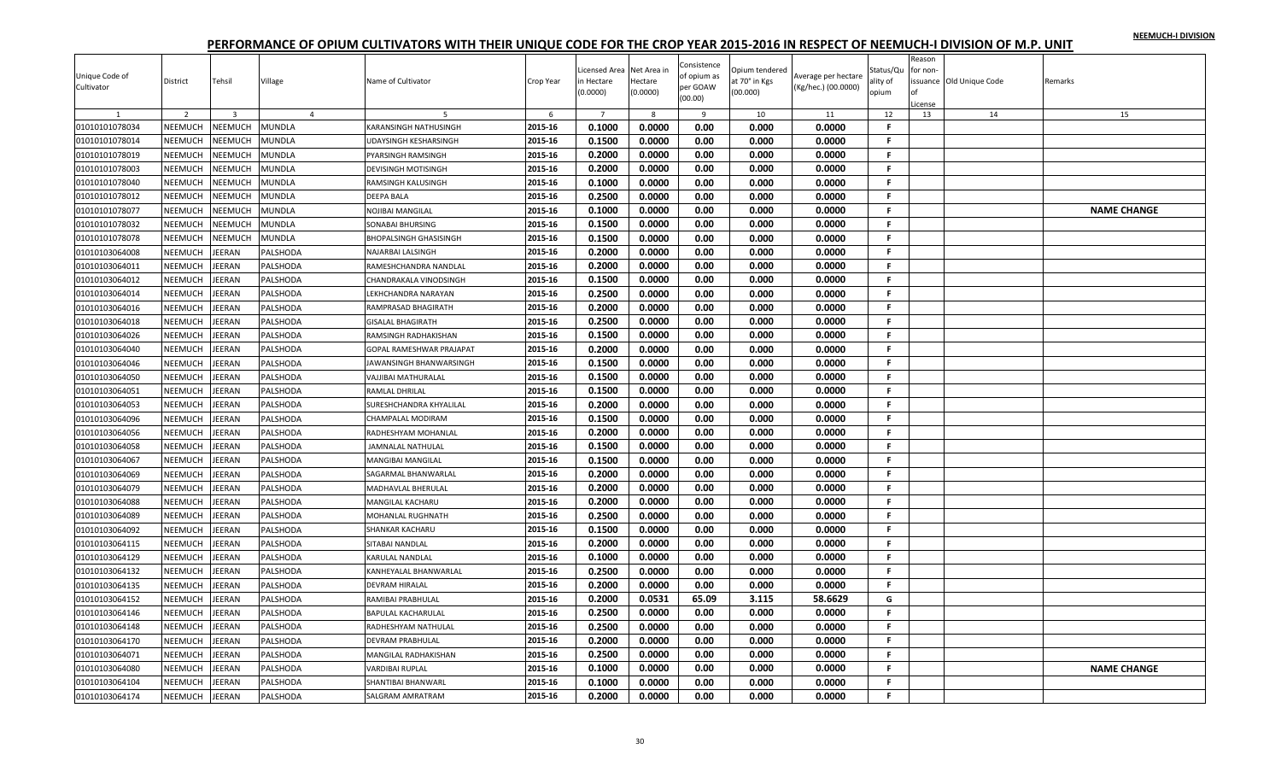|                              |                |                |                |                                 |           | Licensed Area  | Net Area in | Consistence             | Opium tendered |                                            | Status/Qu    | Reason<br>or non- |                 |                    |
|------------------------------|----------------|----------------|----------------|---------------------------------|-----------|----------------|-------------|-------------------------|----------------|--------------------------------------------|--------------|-------------------|-----------------|--------------------|
| Unique Code of<br>Cultivator | District       | Tehsil         | Village        | Name of Cultivator              | Crop Year | n Hectare      | Hectare     | of opium as<br>per GOAW | at 70° in Kgs  | Average per hectare<br>(Kg/hec.) (00.0000) | ality of     | issuance          | Old Unique Code | Remarks            |
|                              |                |                |                |                                 |           | (0.0000)       | (0.0000)    | (00.00)                 | (00.000)       |                                            | opium        |                   |                 |                    |
| $\overline{1}$               | $\overline{2}$ | $\overline{3}$ | $\overline{4}$ | -5                              | 6         | $\overline{7}$ | 8           | 9                       | 10             | 11                                         | 12           | License<br>13     | 14              | 15                 |
| 01010101078034               | NEEMUCH        | NEEMUCH        | MUNDLA         | <b>KARANSINGH NATHUSINGH</b>    | 2015-16   | 0.1000         | 0.0000      | 0.00                    | 0.000          | 0.0000                                     | $\mathbf{F}$ |                   |                 |                    |
| 01010101078014               | NEEMUCH        | NEEMUCH        | MUNDLA         | <b>UDAYSINGH KESHARSINGH</b>    | 2015-16   | 0.1500         | 0.0000      | 0.00                    | 0.000          | 0.0000                                     | F.           |                   |                 |                    |
| 01010101078019               | <b>NEEMUCH</b> | NEEMUCH        | MUNDLA         | PYARSINGH RAMSINGH              | 2015-16   | 0.2000         | 0.0000      | 0.00                    | 0.000          | 0.0000                                     | F.           |                   |                 |                    |
| 01010101078003               | NEEMUCH        | NEEMUCH        | MUNDLA         | <b>DEVISINGH MOTISINGH</b>      | 2015-16   | 0.2000         | 0.0000      | 0.00                    | 0.000          | 0.0000                                     | F.           |                   |                 |                    |
| 01010101078040               | <b>NEEMUCH</b> | NEEMUCH        | MUNDLA         | <b>RAMSINGH KALUSINGH</b>       | 2015-16   | 0.1000         | 0.0000      | 0.00                    | 0.000          | 0.0000                                     | F.           |                   |                 |                    |
| 01010101078012               | NEEMUCH        | NEEMUCH        | MUNDLA         | <b>DEEPA BALA</b>               | 2015-16   | 0.2500         | 0.0000      | 0.00                    | 0.000          | 0.0000                                     | -F           |                   |                 |                    |
| 01010101078077               | NEEMUCH        | <b>NEEMUCH</b> | MUNDLA         | <b>NOJIBAI MANGILAL</b>         | 2015-16   | 0.1000         | 0.0000      | 0.00                    | 0.000          | 0.0000                                     | F.           |                   |                 | <b>NAME CHANGE</b> |
| 01010101078032               | NEEMUCH        | NEEMUCH        | MUNDLA         | SONABAI BHURSING                | 2015-16   | 0.1500         | 0.0000      | 0.00                    | 0.000          | 0.0000                                     | F.           |                   |                 |                    |
| 01010101078078               | NEEMUCH        | NEEMUCH        | MUNDLA         | <b>BHOPALSINGH GHASISINGH</b>   | 2015-16   | 0.1500         | 0.0000      | 0.00                    | 0.000          | 0.0000                                     | F.           |                   |                 |                    |
| 01010103064008               | NEEMUCH        | JEERAN         | PALSHODA       | <b>NAJARBAI LALSINGH</b>        | 2015-16   | 0.2000         | 0.0000      | 0.00                    | 0.000          | 0.0000                                     | F.           |                   |                 |                    |
| 01010103064011               | NEEMUCH        | <b>JEERAN</b>  | PALSHODA       | RAMESHCHANDRA NANDLAL           | 2015-16   | 0.2000         | 0.0000      | 0.00                    | 0.000          | 0.0000                                     | -F           |                   |                 |                    |
| 01010103064012               | NEEMUCH        | <b>JEERAN</b>  | PALSHODA       | <b>CHANDRAKALA VINODSINGH</b>   | 2015-16   | 0.1500         | 0.0000      | 0.00                    | 0.000          | 0.0000                                     | F.           |                   |                 |                    |
| 01010103064014               | NEEMUCH        | EERAN          | PALSHODA       | LEKHCHANDRA NARAYAN             | 2015-16   | 0.2500         | 0.0000      | 0.00                    | 0.000          | 0.0000                                     | F.           |                   |                 |                    |
| 01010103064016               | NEEMUCH        | <b>JEERAN</b>  | PALSHODA       | RAMPRASAD BHAGIRATH             | 2015-16   | 0.2000         | 0.0000      | 0.00                    | 0.000          | 0.0000                                     | F.           |                   |                 |                    |
| 01010103064018               | NEEMUCH        | JEERAN         | PALSHODA       | <b>GISALAL BHAGIRATH</b>        | 2015-16   | 0.2500         | 0.0000      | 0.00                    | 0.000          | 0.0000                                     | F.           |                   |                 |                    |
| 01010103064026               | NEEMUCH        | <b>JEERAN</b>  | PALSHODA       | RAMSINGH RADHAKISHAN            | 2015-16   | 0.1500         | 0.0000      | 0.00                    | 0.000          | 0.0000                                     | F.           |                   |                 |                    |
| 01010103064040               | NEEMUCH        | <b>JEERAN</b>  | PALSHODA       | <b>GOPAL RAMESHWAR PRAJAPAT</b> | 2015-16   | 0.2000         | 0.0000      | 0.00                    | 0.000          | 0.0000                                     | F.           |                   |                 |                    |
| 01010103064046               | NEEMUCH        | EERAN          | PALSHODA       | JAWANSINGH BHANWARSINGH         | 2015-16   | 0.1500         | 0.0000      | 0.00                    | 0.000          | 0.0000                                     | F.           |                   |                 |                    |
| 01010103064050               | NEEMUCH        | <b>JEERAN</b>  | PALSHODA       | VAJJIBAI MATHURALAL             | 2015-16   | 0.1500         | 0.0000      | 0.00                    | 0.000          | 0.0000                                     | F.           |                   |                 |                    |
| 01010103064051               | <b>NEEMUCH</b> | <b>JEERAN</b>  | PALSHODA       | RAMLAL DHRILAL                  | 2015-16   | 0.1500         | 0.0000      | 0.00                    | 0.000          | 0.0000                                     | F.           |                   |                 |                    |
| 01010103064053               | NEEMUCH        | <b>JEERAN</b>  | PALSHODA       | SURESHCHANDRA KHYALILAL         | 2015-16   | 0.2000         | 0.0000      | 0.00                    | 0.000          | 0.0000                                     | F.           |                   |                 |                    |
| 01010103064096               | NEEMUCH        | <b>JEERAN</b>  | PALSHODA       | <b>CHAMPALAL MODIRAM</b>        | 2015-16   | 0.1500         | 0.0000      | 0.00                    | 0.000          | 0.0000                                     | F.           |                   |                 |                    |
| 01010103064056               | NEEMUCH        | EERAN          | PALSHODA       | RADHESHYAM MOHANLAL             | 2015-16   | 0.2000         | 0.0000      | 0.00                    | 0.000          | 0.0000                                     | F            |                   |                 |                    |
| 01010103064058               | NEEMUCH        | EERAN          | PALSHODA       | <b>JAMNALAL NATHULAL</b>        | 2015-16   | 0.1500         | 0.0000      | 0.00                    | 0.000          | 0.0000                                     | F.           |                   |                 |                    |
| 01010103064067               | NEEMUCH        | EERAN          | PALSHODA       | <b>MANGIBAI MANGILAL</b>        | 2015-16   | 0.1500         | 0.0000      | 0.00                    | 0.000          | 0.0000                                     | F.           |                   |                 |                    |
| 01010103064069               | NEEMUCH        | <b>JEERAN</b>  | PALSHODA       | SAGARMAL BHANWARLAL             | 2015-16   | 0.2000         | 0.0000      | 0.00                    | 0.000          | 0.0000                                     | F.           |                   |                 |                    |
| 01010103064079               | NEEMUCH        | <b>JEERAN</b>  | PALSHODA       | MADHAVLAL BHERULAL              | 2015-16   | 0.2000         | 0.0000      | 0.00                    | 0.000          | 0.0000                                     | F.           |                   |                 |                    |
| 01010103064088               | NEEMUCH        | <b>JEERAN</b>  | PALSHODA       | MANGILAL KACHARU                | 2015-16   | 0.2000         | 0.0000      | 0.00                    | 0.000          | 0.0000                                     | F.           |                   |                 |                    |
| 01010103064089               | NEEMUCH        | <b>JEERAN</b>  | PALSHODA       | <b>MOHANLAL RUGHNATH</b>        | 2015-16   | 0.2500         | 0.0000      | 0.00                    | 0.000          | 0.0000                                     | F.           |                   |                 |                    |
| 01010103064092               | NEEMUCH        | EERAN          | PALSHODA       | <b>SHANKAR KACHARU</b>          | 2015-16   | 0.1500         | 0.0000      | 0.00                    | 0.000          | 0.0000                                     | F.           |                   |                 |                    |
| 01010103064115               | NEEMUCH        | <b>JEERAN</b>  | PALSHODA       | SITABAI NANDLAL                 | 2015-16   | 0.2000         | 0.0000      | 0.00                    | 0.000          | 0.0000                                     | F.           |                   |                 |                    |
| 01010103064129               | NEEMUCH        | <b>JEERAN</b>  | PALSHODA       | <b>KARULAL NANDLAL</b>          | 2015-16   | 0.1000         | 0.0000      | 0.00                    | 0.000          | 0.0000                                     | F.           |                   |                 |                    |
| 01010103064132               | NEEMUCH        | <b>JEERAN</b>  | PALSHODA       | KANHEYALAL BHANWARLAL           | 2015-16   | 0.2500         | 0.0000      | 0.00                    | 0.000          | 0.0000                                     | F.<br>-F     |                   |                 |                    |
| 01010103064135               | NEEMUCH        | <b>JEERAN</b>  | PALSHODA       | <b>DEVRAM HIRALAL</b>           | 2015-16   | 0.2000         | 0.0000      | 0.00                    | 0.000          | 0.0000                                     |              |                   |                 |                    |
| 01010103064152               | NEEMUCH        | EERAN          | PALSHODA       | RAMIBAI PRABHULAL               | 2015-16   | 0.2000         | 0.0531      | 65.09                   | 3.115          | 58.6629                                    | G            |                   |                 |                    |
| 01010103064146               | NEEMUCH        | <b>JEERAN</b>  | PALSHODA       | <b>BAPULAL KACHARULAL</b>       | 2015-16   | 0.2500         | 0.0000      | 0.00                    | 0.000          | 0.0000                                     | F.           |                   |                 |                    |
| 01010103064148               | NEEMUCH        | <b>JEERAN</b>  | PALSHODA       | RADHESHYAM NATHULAL             | 2015-16   | 0.2500         | 0.0000      | 0.00                    | 0.000          | 0.0000                                     | F.           |                   |                 |                    |
| 01010103064170               | <b>NEEMUCH</b> | <b>JEERAN</b>  | PALSHODA       | <b>DEVRAM PRABHULAL</b>         | 2015-16   | 0.2000         | 0.0000      | 0.00                    | 0.000          | 0.0000                                     | F.           |                   |                 |                    |
| 01010103064071               | NEEMUCH        | <b>JEERAN</b>  | PALSHODA       | MANGILAL RADHAKISHAN            | 2015-16   | 0.2500         | 0.0000      | 0.00                    | 0.000          | 0.0000                                     | F.           |                   |                 |                    |
| 01010103064080               | NEEMUCH        | EERAN          | PALSHODA       | VARDIBAI RUPLAL                 | 2015-16   | 0.1000         | 0.0000      | 0.00                    | 0.000          | 0.0000                                     | F            |                   |                 | <b>NAME CHANGE</b> |
| 01010103064104               | NEEMUCH        | EERAN          | PALSHODA       | SHANTIBAI BHANWARL              | 2015-16   | 0.1000         | 0.0000      | 0.00                    | 0.000          | 0.0000                                     | F.           |                   |                 |                    |
| 01010103064174               | NEEMUCH        | JEERAN         | PALSHODA       | <b>SALGRAM AMRATRAM</b>         | 2015-16   | 0.2000         | 0.0000      | 0.00                    | 0.000          | 0.0000                                     | F.           |                   |                 |                    |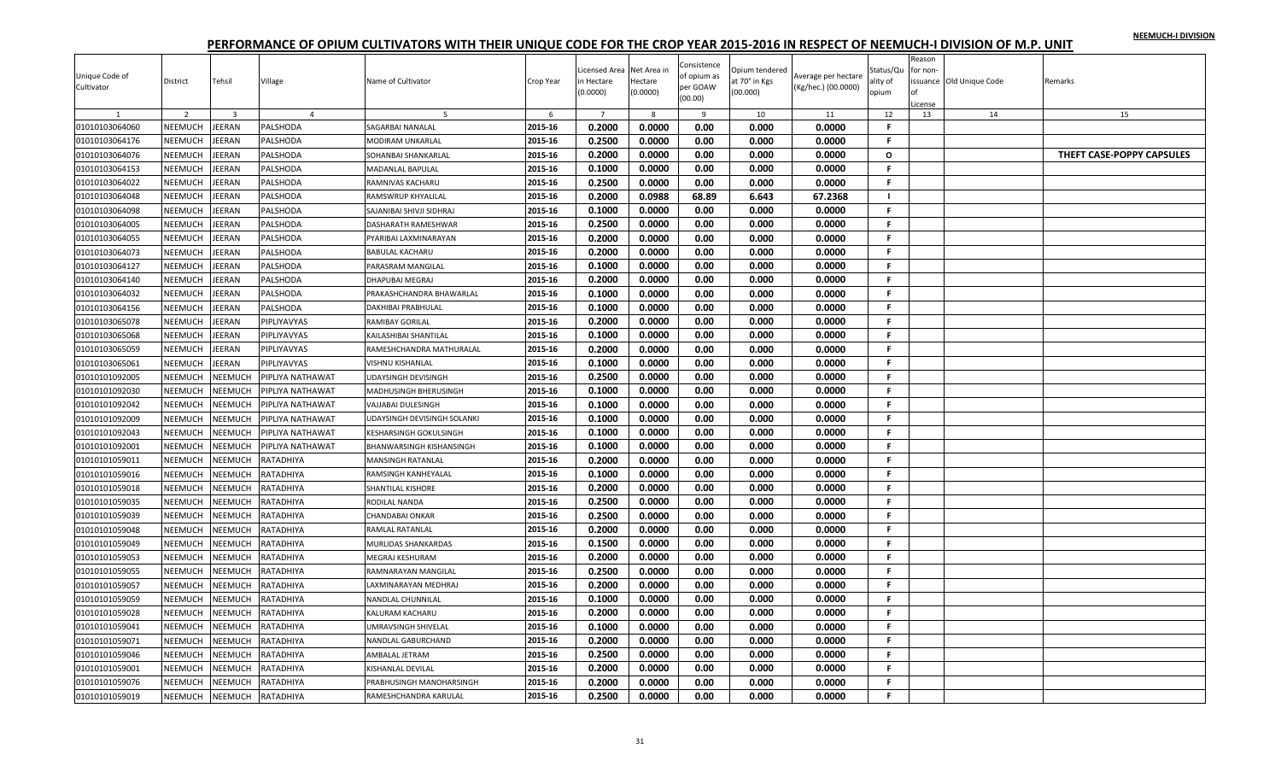|                              |                |                         |                            |                                 |           |                |             |                         |                |                     |              | Reason       |                          |                           |
|------------------------------|----------------|-------------------------|----------------------------|---------------------------------|-----------|----------------|-------------|-------------------------|----------------|---------------------|--------------|--------------|--------------------------|---------------------------|
|                              |                |                         |                            |                                 |           | Licensed Area  | Net Area in | Consistence             | Opium tendered |                     | Status/Qu    | for non-     |                          |                           |
| Unique Code of<br>Cultivator | District       | Tehsil                  | Village                    | Name of Cultivator              | Crop Year | n Hectare      | Hectare     | of opium as<br>per GOAW | at 70° in Kgs  | Average per hectare | ality of     |              | issuance Old Unique Code | Remarks                   |
|                              |                |                         |                            |                                 |           | (0.0000)       | (0.0000)    | (00.00)                 | (00.000)       | (Kg/hec.) (00.0000) | opium        |              |                          |                           |
|                              | $\overline{2}$ | $\overline{\mathbf{3}}$ |                            | -5                              | 6         | $\overline{7}$ | -8          | 9                       | 10             | 11                  | 12           | icense<br>13 | 14                       |                           |
| 01010103064060               | NEEMUCH        | JEERAN                  | $\overline{4}$<br>PALSHODA | SAGARBAI NANALAL                | 2015-16   | 0.2000         | 0.0000      | 0.00                    | 0.000          | 0.0000              | F.           |              |                          | 15                        |
| 01010103064176               | <b>NEEMUCH</b> | JEERAN                  | PALSHODA                   | <b>MODIRAM UNKARLAL</b>         | 2015-16   | 0.2500         | 0.0000      | 0.00                    | 0.000          | 0.0000              | F            |              |                          |                           |
| 01010103064076               | NEEMUCH        | EERAN                   | PALSHODA                   | SOHANBAI SHANKARLAL             | 2015-16   | 0.2000         | 0.0000      | 0.00                    | 0.000          | 0.0000              | $\circ$      |              |                          | THEFT CASE-POPPY CAPSULES |
| 01010103064153               | NEEMUCH        | <b>JEERAN</b>           | PALSHODA                   | MADANLAL BAPULAL                | 2015-16   | 0.1000         | 0.0000      | 0.00                    | 0.000          | 0.0000              | F.           |              |                          |                           |
| 01010103064022               | NEEMUCH        | JEERAN                  | PALSHODA                   | RAMNIVAS KACHARU                | 2015-16   | 0.2500         | 0.0000      | 0.00                    | 0.000          | 0.0000              | F.           |              |                          |                           |
| 01010103064048               | NEEMUCH        | JEERAN                  | PALSHODA                   | RAMSWRUP KHYALILAL              | 2015-16   | 0.2000         | 0.0988      | 68.89                   | 6.643          | 67.2368             | - 1          |              |                          |                           |
| 01010103064098               | NEEMUCH        | JEERAN                  | PALSHODA                   |                                 | 2015-16   | 0.1000         | 0.0000      | 0.00                    | 0.000          | 0.0000              | F.           |              |                          |                           |
| 01010103064005               | NEEMUCH        | EERAN                   | PALSHODA                   | SAJANIBAI SHIVJI SIDHRAJ        | 2015-16   | 0.2500         | 0.0000      | 0.00                    | 0.000          | 0.0000              | F.           |              |                          |                           |
|                              |                |                         |                            | DASHARATH RAMESHWAR             |           | 0.2000         | 0.0000      | 0.00                    | 0.000          |                     | F.           |              |                          |                           |
| 01010103064055               | NEEMUCH        | <b>JEERAN</b>           | PALSHODA                   | PYARIBAI LAXMINARAYAN           | 2015-16   |                |             |                         |                | 0.0000              | F.           |              |                          |                           |
| 01010103064073               | NEEMUCH        | <b>JEERAN</b>           | PALSHODA                   | <b>BABULAL KACHARU</b>          | 2015-16   | 0.2000         | 0.0000      | 0.00                    | 0.000          | 0.0000              |              |              |                          |                           |
| 01010103064127               | NEEMUCH        | JEERAN                  | PALSHODA                   | PARASRAM MANGILAL               | 2015-16   | 0.1000         | 0.0000      | 0.00                    | 0.000          | 0.0000              | .F           |              |                          |                           |
| 01010103064140               | NEEMUCH        | JEERAN                  | PALSHODA                   | <b>DHAPUBAI MEGRAJ</b>          | 2015-16   | 0.2000         | 0.0000      | 0.00                    | 0.000          | 0.0000              | F.           |              |                          |                           |
| 01010103064032               | NEEMUCH        | EERAN                   | PALSHODA                   | PRAKASHCHANDRA BHAWARLAL        | 2015-16   | 0.1000         | 0.0000      | 0.00                    | 0.000          | 0.0000              | F            |              |                          |                           |
| 01010103064156               | NEEMUCH        | <b>JEERAN</b>           | PALSHODA                   | <b>DAKHIBAI PRABHULAL</b>       | 2015-16   | 0.1000         | 0.0000      | 0.00                    | 0.000          | 0.0000              | F.           |              |                          |                           |
| 01010103065078               | NEEMUCH        | <b>JEERAN</b>           | PIPLIYAVYAS                | RAMIBAY GORILAL                 | 2015-16   | 0.2000         | 0.0000      | 0.00                    | 0.000          | 0.0000              | F.           |              |                          |                           |
| 01010103065068               | NEEMUCH        | JEERAN                  | PIPLIYAVYAS                | KAILASHIBAI SHANTILAL           | 2015-16   | 0.1000         | 0.0000      | 0.00                    | 0.000          | 0.0000              | $\mathbf{F}$ |              |                          |                           |
| 01010103065059               | NEEMUCH        | JEERAN                  | PIPLIYAVYAS                | RAMESHCHANDRA MATHURALAL        | 2015-16   | 0.2000         | 0.0000      | 0.00                    | 0.000          | 0.0000              | F.           |              |                          |                           |
| 01010103065061               | <b>NEEMUCH</b> | EERAN                   | PIPLIYAVYAS                | <b>VISHNU KISHANLAL</b>         | 2015-16   | 0.1000         | 0.0000      | 0.00                    | 0.000          | 0.0000              | F.           |              |                          |                           |
| 01010101092005               | NEEMUCH        | NEEMUCH                 | PIPLIYA NATHAWAT           | <b>UDAYSINGH DEVISINGH</b>      | 2015-16   | 0.2500         | 0.0000      | 0.00                    | 0.000          | 0.0000              | F.           |              |                          |                           |
| 01010101092030               | NEEMUCH        | NEEMUCH                 | PIPLIYA NATHAWAT           | MADHUSINGH BHERUSINGH           | 2015-16   | 0.1000         | 0.0000      | 0.00                    | 0.000          | 0.0000              | F.           |              |                          |                           |
| 01010101092042               | NEEMUCH        | <b>NEEMUCH</b>          | PIPLIYA NATHAWAT           | VAJJABAI DULESINGH              | 2015-16   | 0.1000         | 0.0000      | 0.00                    | 0.000          | 0.0000              | F.           |              |                          |                           |
| 01010101092009               | NEEMUCH        | NEEMUCH                 | PIPLIYA NATHAWAT           | UDAYSINGH DEVISINGH SOLANKI     | 2015-16   | 0.1000         | 0.0000      | 0.00                    | 0.000          | 0.0000              | -F.          |              |                          |                           |
| 01010101092043               | <b>NEEMUCH</b> | NEEMUCH                 | PIPLIYA NATHAWAT           | <b>KESHARSINGH GOKULSINGH</b>   | 2015-16   | 0.1000         | 0.0000      | 0.00                    | 0.000          | 0.0000              | F.           |              |                          |                           |
| 01010101092001               | NEEMUCH        | NEEMUCH                 | PIPLIYA NATHAWAT           | <b>BHANWARSINGH KISHANSINGH</b> | 2015-16   | 0.1000         | 0.0000      | 0.00                    | 0.000          | 0.0000              | F.           |              |                          |                           |
| 01010101059011               | NEEMUCH        | NEEMUCH                 | RATADHIYA                  | <b>MANSINGH RATANLAL</b>        | 2015-16   | 0.2000         | 0.0000      | 0.00                    | 0.000          | 0.0000              | .F           |              |                          |                           |
| 01010101059016               | <b>NEEMUCH</b> | NEEMUCH                 | RATADHIYA                  | RAMSINGH KANHEYALAL             | 2015-16   | 0.1000         | 0.0000      | 0.00                    | 0.000          | 0.0000              | F.           |              |                          |                           |
| 01010101059018               | NEEMUCH        | NEEMUCH                 | RATADHIYA                  | <b>SHANTILAL KISHORE</b>        | 2015-16   | 0.2000         | 0.0000      | 0.00                    | 0.000          | 0.0000              | F.           |              |                          |                           |
| 01010101059035               | <b>NEEMUCH</b> | NEEMUCH                 | RATADHIYA                  | RODILAL NANDA                   | 2015-16   | 0.2500         | 0.0000      | 0.00                    | 0.000          | 0.0000              | F.           |              |                          |                           |
| 01010101059039               | NEEMUCH        | NEEMUCH                 | RATADHIYA                  | <b>CHANDABAI ONKAR</b>          | 2015-16   | 0.2500         | 0.0000      | 0.00                    | 0.000          | 0.0000              | F            |              |                          |                           |
| 01010101059048               | NEEMUCH        | NEEMUCH                 | RATADHIYA                  | RAMLAL RATANLAL                 | 2015-16   | 0.2000         | 0.0000      | 0.00                    | 0.000          | 0.0000              | F.           |              |                          |                           |
| 01010101059049               | NEEMUCH        | NEEMUCH                 | RATADHIYA                  | <b>MURLIDAS SHANKARDAS</b>      | 2015-16   | 0.1500         | 0.0000      | 0.00                    | 0.000          | 0.0000              | F.           |              |                          |                           |
| 01010101059053               | NEEMUCH        | NEEMUCH                 | RATADHIYA                  | <b>MEGRAJ KESHURAM</b>          | 2015-16   | 0.2000         | 0.0000      | 0.00                    | 0.000          | 0.0000              | F.           |              |                          |                           |
| 01010101059055               | <b>NEEMUCH</b> | NEEMUCH                 | RATADHIYA                  | RAMNARAYAN MANGILAL             | 2015-16   | 0.2500         | 0.0000      | 0.00                    | 0.000          | 0.0000              | F.           |              |                          |                           |
| 01010101059057               | <b>NEEMUCH</b> | NEEMUCH                 | RATADHIYA                  | LAXMINARAYAN MEDHRAJ            | 2015-16   | 0.2000         | 0.0000      | 0.00                    | 0.000          | 0.0000              | F.           |              |                          |                           |
| 01010101059059               | NEEMUCH        | NEEMUCH                 | RATADHIYA                  | <b>NANDLAL CHUNNILAL</b>        | 2015-16   | 0.1000         | 0.0000      | 0.00                    | 0.000          | 0.0000              | F.           |              |                          |                           |
| 01010101059028               | NEEMUCH        | NEEMUCH                 | RATADHIYA                  | KALURAM KACHARU                 | 2015-16   | 0.2000         | 0.0000      | 0.00                    | 0.000          | 0.0000              | F.           |              |                          |                           |
| 01010101059041               | NEEMUCH        | NEEMUCH                 | RATADHIYA                  | UMRAVSINGH SHIVELAL             | 2015-16   | 0.1000         | 0.0000      | 0.00                    | 0.000          | 0.0000              | F.           |              |                          |                           |
| 01010101059071               | NEEMUCH        | NEEMUCH                 | RATADHIYA                  | NANDLAL GABURCHAND              | 2015-16   | 0.2000         | 0.0000      | 0.00                    | 0.000          | 0.0000              | F.           |              |                          |                           |
| 01010101059046               | NEEMUCH        | NEEMUCH                 | RATADHIYA                  | AMBALAL JETRAM                  | 2015-16   | 0.2500         | 0.0000      | 0.00                    | 0.000          | 0.0000              | F.           |              |                          |                           |
| 01010101059001               | NEEMUCH        | <b>NEEMUCH</b>          | RATADHIYA                  | KISHANLAL DEVILAL               | 2015-16   | 0.2000         | 0.0000      | 0.00                    | 0.000          | 0.0000              | F            |              |                          |                           |
| 01010101059076               | NEEMUCH        | NEEMUCH                 | RATADHIYA                  | PRABHUSINGH MANOHARSINGH        | 2015-16   | 0.2000         | 0.0000      | 0.00                    | 0.000          | 0.0000              | F.           |              |                          |                           |
| 01010101059019               | NEEMUCH        | <b>NEEMUCH</b>          | RATADHIYA                  | RAMESHCHANDRA KARULAL           | 2015-16   | 0.2500         | 0.0000      | 0.00                    | 0.000          | 0.0000              | F.           |              |                          |                           |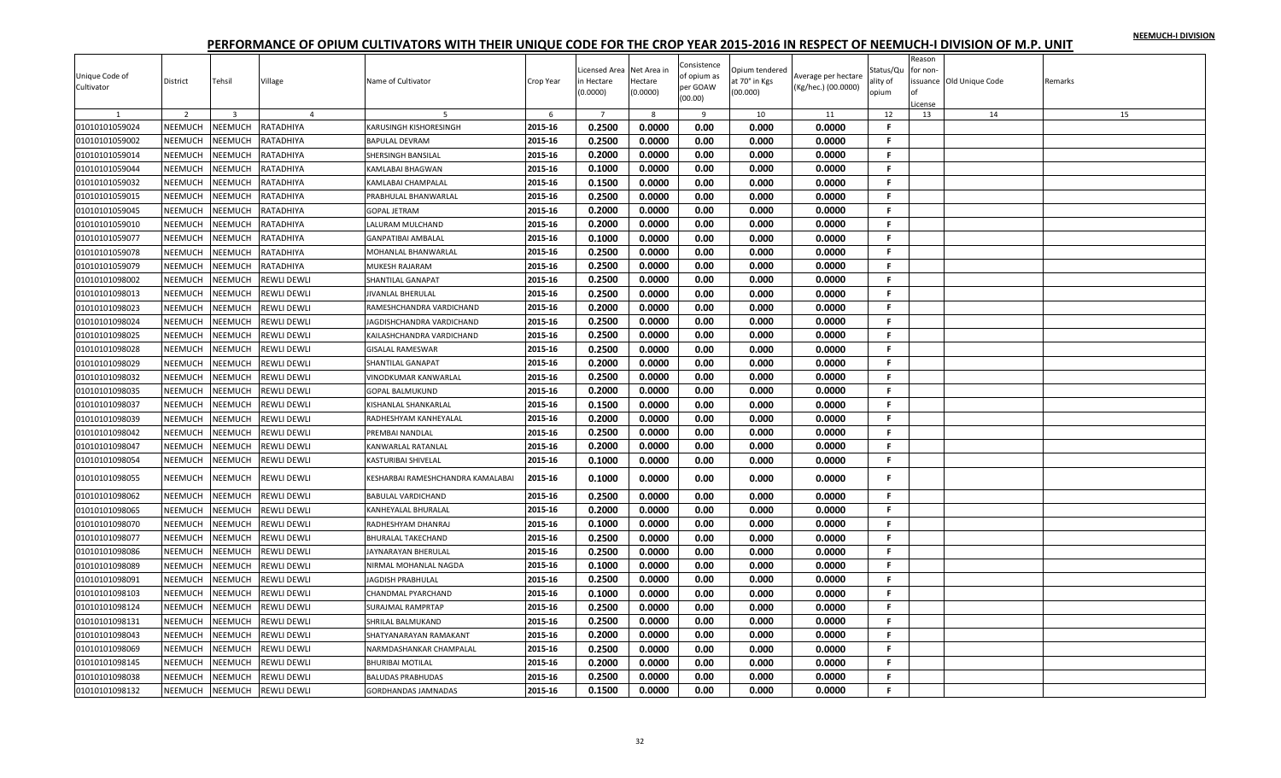|                |                |                |                    |                                   |           | icensed Area   | Net Area ir | Consistence | Opium tendered |                     | Status/Qu | Reason<br>for non- |                          |         |
|----------------|----------------|----------------|--------------------|-----------------------------------|-----------|----------------|-------------|-------------|----------------|---------------------|-----------|--------------------|--------------------------|---------|
| Unique Code of | District       | Tehsil         | Village            | Name of Cultivator                | Crop Year | n Hectare      | Hectare     | of opium as | at 70° in Kgs  | Average per hectare | ality of  |                    | issuance Old Unique Code | Remarks |
| Cultivator     |                |                |                    |                                   |           | (0.0000)       | (0.0000)    | per GOAW    | 00.000)        | (Kg/hec.) (00.0000) | opium     | ∩f                 |                          |         |
|                |                |                |                    |                                   |           |                |             | (00.00)     |                |                     |           | License            |                          |         |
| 1              | $\overline{2}$ | $\overline{3}$ | $\overline{4}$     | $\overline{5}$                    | 6         | $\overline{7}$ | 8           | 9           | 10             | 11                  | 12        | 13                 | 14                       | 15      |
| 01010101059024 | NEEMUCH        | NEEMUCH        | RATADHIYA          | KARUSINGH KISHORESINGH            | 2015-16   | 0.2500         | 0.0000      | 0.00        | 0.000          | 0.0000              | F         |                    |                          |         |
| 01010101059002 | NEEMUCH        | <b>NEEMUCH</b> | RATADHIYA          | <b>BAPULAL DEVRAM</b>             | 2015-16   | 0.2500         | 0.0000      | 0.00        | 0.000          | 0.0000              | F         |                    |                          |         |
| 01010101059014 | NEEMUCH        | NEEMUCH        | RATADHIYA          | SHERSINGH BANSILAL                | 2015-16   | 0.2000         | 0.0000      | 0.00        | 0.000          | 0.0000              | F.        |                    |                          |         |
| 01010101059044 | NEEMUCH        | <b>NEEMUCH</b> | RATADHIYA          | KAMLABAI BHAGWAN                  | 2015-16   | 0.1000         | 0.0000      | 0.00        | 0.000          | 0.0000              | F.        |                    |                          |         |
| 01010101059032 | NEEMUCH        | NEEMUCH        | RATADHIYA          | KAMLABAI CHAMPALAL                | 2015-16   | 0.1500         | 0.0000      | 0.00        | 0.000          | 0.0000              | F.        |                    |                          |         |
| 01010101059015 | NEEMUCH        | NEEMUCH        | RATADHIYA          | PRABHULAL BHANWARLAL              | 2015-16   | 0.2500         | 0.0000      | 0.00        | 0.000          | 0.0000              | F.        |                    |                          |         |
| 01010101059045 | NEEMUCH        | NEEMUCH        | RATADHIYA          | <b>GOPAL JETRAM</b>               | 2015-16   | 0.2000         | 0.0000      | 0.00        | 0.000          | 0.0000              | F.        |                    |                          |         |
| 01010101059010 | NEEMUCH        | NEEMUCH        | RATADHIYA          | LALURAM MULCHAND                  | 2015-16   | 0.2000         | 0.0000      | 0.00        | 0.000          | 0.0000              | F.        |                    |                          |         |
| 01010101059077 | NEEMUCH        | NEEMUCH        | RATADHIYA          | <b>GANPATIBAI AMBALAL</b>         | 2015-16   | 0.1000         | 0.0000      | 0.00        | 0.000          | 0.0000              | F.        |                    |                          |         |
| 01010101059078 | NEEMUCH        | NEEMUCH        | RATADHIYA          | MOHANLAL BHANWARLAL               | 2015-16   | 0.2500         | 0.0000      | 0.00        | 0.000          | 0.0000              | F.        |                    |                          |         |
| 01010101059079 | NEEMUCH        | NEEMUCH        | RATADHIYA          | MUKESH RAJARAM                    | 2015-16   | 0.2500         | 0.0000      | 0.00        | 0.000          | 0.0000              | F.        |                    |                          |         |
| 01010101098002 | NEEMUCH        | NEEMUCH        | REWLI DEWLI        | SHANTILAL GANAPAT                 | 2015-16   | 0.2500         | 0.0000      | 0.00        | 0.000          | 0.0000              | F.        |                    |                          |         |
| 01010101098013 | NEEMUCH        | NEEMUCH        | REWLI DEWLI        | JIVANLAL BHERULAL                 | 2015-16   | 0.2500         | 0.0000      | 0.00        | 0.000          | 0.0000              | F.        |                    |                          |         |
| 01010101098023 | NEEMUCH        | NEEMUCH        | <b>REWLI DEWLI</b> | RAMESHCHANDRA VARDICHAND          | 2015-16   | 0.2000         | 0.0000      | 0.00        | 0.000          | 0.0000              | F.        |                    |                          |         |
| 01010101098024 | <b>NEEMUCH</b> | NEEMUCH        | REWLI DEWLI        | JAGDISHCHANDRA VARDICHAND         | 2015-16   | 0.2500         | 0.0000      | 0.00        | 0.000          | 0.0000              | F.        |                    |                          |         |
| 01010101098025 | NEEMUCH        | NEEMUCH        | <b>REWLI DEWLI</b> | KAILASHCHANDRA VARDICHAND         | 2015-16   | 0.2500         | 0.0000      | 0.00        | 0.000          | 0.0000              | F         |                    |                          |         |
| 01010101098028 | NEEMUCH        | NEEMUCH        | REWLI DEWLI        | <b>GISALAL RAMESWAR</b>           | 2015-16   | 0.2500         | 0.0000      | 0.00        | 0.000          | 0.0000              | F.        |                    |                          |         |
| 01010101098029 | NEEMUCH        | NEEMUCH        | REWLI DEWLI        | <b>SHANTILAL GANAPAT</b>          | 2015-16   | 0.2000         | 0.0000      | 0.00        | 0.000          | 0.0000              | F.        |                    |                          |         |
| 01010101098032 | <b>NEEMUCH</b> | NEEMUCH        | REWLI DEWLI        | VINODKUMAR KANWARLAL              | 2015-16   | 0.2500         | 0.0000      | 0.00        | 0.000          | 0.0000              | F.        |                    |                          |         |
| 01010101098035 | NEEMUCH        | NEEMUCH        | REWLI DEWLI        | <b>GOPAL BALMUKUND</b>            | 2015-16   | 0.2000         | 0.0000      | 0.00        | 0.000          | 0.0000              | F.        |                    |                          |         |
| 01010101098037 | NEEMUCH        | NEEMUCH        | REWLI DEWLI        | KISHANLAL SHANKARLAL              | 2015-16   | 0.1500         | 0.0000      | 0.00        | 0.000          | 0.0000              | F.        |                    |                          |         |
|                | NEEMUCH        | NEEMUCH        | REWLI DEWLI        |                                   | 2015-16   | 0.2000         | 0.0000      | 0.00        | 0.000          | 0.0000              | F.        |                    |                          |         |
| 01010101098039 |                |                |                    | RADHESHYAM KANHEYALAL             |           |                |             |             |                |                     | F.        |                    |                          |         |
| 01010101098042 | NEEMUCH        | NEEMUCH        | REWLI DEWLI        | PREMBAI NANDLAL                   | 2015-16   | 0.2500         | 0.0000      | 0.00        | 0.000          | 0.0000              |           |                    |                          |         |
| 01010101098047 | NEEMUCH        | NEEMUCH        | REWLI DEWLI        | KANWARLAL RATANLAL                | 2015-16   | 0.2000         | 0.0000      | 0.00        | 0.000          | 0.0000              | F.        |                    |                          |         |
| 01010101098054 | NEEMUCH        | NEEMUCH        | REWLI DEWLI        | KASTURIBAI SHIVELAL               | 2015-16   | 0.1000         | 0.0000      | 0.00        | 0.000          | 0.0000              | F.        |                    |                          |         |
| 01010101098055 | NEEMUCH        | <b>NEEMUCH</b> | REWLI DEWLI        | KESHARBAI RAMESHCHANDRA KAMALABAI | 2015-16   | 0.1000         | 0.0000      | 0.00        | 0.000          | 0.0000              | F         |                    |                          |         |
| 01010101098062 | NEEMUCH        | NEEMUCH        | <b>REWLI DEWLI</b> | <b>BABULAL VARDICHAND</b>         | 2015-16   | 0.2500         | 0.0000      | 0.00        | 0.000          | 0.0000              | F.        |                    |                          |         |
| 01010101098065 | NEEMUCH        | NEEMUCH        | <b>REWLI DEWLI</b> | KANHEYALAL BHURALAL               | 2015-16   | 0.2000         | 0.0000      | 0.00        | 0.000          | 0.0000              | F.        |                    |                          |         |
| 01010101098070 | NEEMUCH        | NEEMUCH        | <b>REWLI DEWLI</b> | RADHESHYAM DHANRAJ                | 2015-16   | 0.1000         | 0.0000      | 0.00        | 0.000          | 0.0000              | F.        |                    |                          |         |
| 01010101098077 | NEEMUCH        | <b>NEEMUCH</b> | REWLI DEWLI        | <b>BHURALAL TAKECHAND</b>         | 2015-16   | 0.2500         | 0.0000      | 0.00        | 0.000          | 0.0000              | F.        |                    |                          |         |
| 01010101098086 | NEEMUCH        | NEEMUCH        | <b>REWLI DEWLI</b> | JAYNARAYAN BHERULAL               | 2015-16   | 0.2500         | 0.0000      | 0.00        | 0.000          | 0.0000              | F         |                    |                          |         |
| 01010101098089 | NEEMUCH        | <b>NEEMUCH</b> | REWLI DEWLI        | NIRMAL MOHANLAL NAGDA             | 2015-16   | 0.1000         | 0.0000      | 0.00        | 0.000          | 0.0000              | F.        |                    |                          |         |
| 01010101098091 | NEEMUCH        | NEEMUCH        | REWLI DEWLI        | <b>JAGDISH PRABHULAL</b>          | 2015-16   | 0.2500         | 0.0000      | 0.00        | 0.000          | 0.0000              | F.        |                    |                          |         |
| 01010101098103 | <b>NEEMUCH</b> | NEEMUCH        | REWLI DEWLI        | <b>CHANDMAL PYARCHAND</b>         | 2015-16   | 0.1000         | 0.0000      | 0.00        | 0.000          | 0.0000              | F         |                    |                          |         |
| 01010101098124 | NEEMUCH        | NEEMUCH        | REWLI DEWLI        | <b>SURAJMAL RAMPRTAP</b>          | 2015-16   | 0.2500         | 0.0000      | 0.00        | 0.000          | 0.0000              | F.        |                    |                          |         |
| 01010101098131 | NEEMUCH        | NEEMUCH        | REWLI DEWLI        | SHRILAL BALMUKAND                 | 2015-16   | 0.2500         | 0.0000      | 0.00        | 0.000          | 0.0000              | F.        |                    |                          |         |
| 01010101098043 | NEEMUCH        | NEEMUCH        | REWLI DEWLI        | SHATYANARAYAN RAMAKANT            | 2015-16   | 0.2000         | 0.0000      | 0.00        | 0.000          | 0.0000              | F.        |                    |                          |         |
| 01010101098069 | NEEMUCH        | NEEMUCH        | <b>REWLI DEWLI</b> | NARMDASHANKAR CHAMPALAL           | 2015-16   | 0.2500         | 0.0000      | 0.00        | 0.000          | 0.0000              | F.        |                    |                          |         |
| 01010101098145 | NEEMUCH        | NEEMUCH        | REWLI DEWLI        | <b>BHURIBAI MOTILAL</b>           | 2015-16   | 0.2000         | 0.0000      | 0.00        | 0.000          | 0.0000              | F.        |                    |                          |         |
| 01010101098038 | NEEMUCH        | NEEMUCH        | REWLI DEWLI        | <b>BALUDAS PRABHUDAS</b>          | 2015-16   | 0.2500         | 0.0000      | 0.00        | 0.000          | 0.0000              | F.        |                    |                          |         |
| 01010101098132 | NEEMUCH        | NEEMUCH        | <b>REWLI DEWLI</b> | <b>GORDHANDAS JAMNADAS</b>        | 2015-16   | 0.1500         | 0.0000      | 0.00        | 0.000          | 0.0000              | F.        |                    |                          |         |
|                |                |                |                    |                                   |           |                |             |             |                |                     |           |                    |                          |         |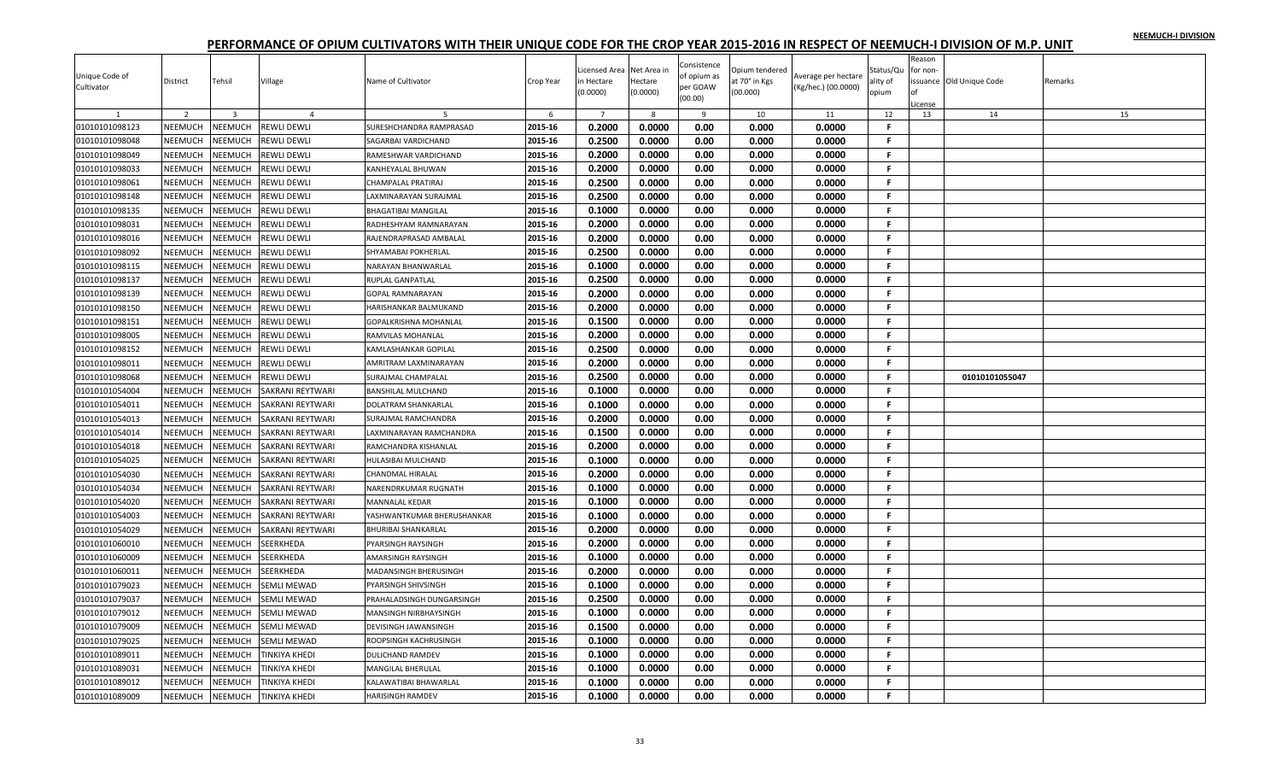| Unique Code of<br>Cultivator | District       | Tehsil         | Village              | Name of Cultivator           | Crop Year | icensed Area<br>n Hectare<br>(0.0000) | Net Area in<br>Hectare<br>(0.0000) | Consistence<br>of opium as<br>per GOAW | Opium tendered<br>at 70° in Kgs<br>(00.000) | Average per hectare<br>(Kg/hec.) (00.0000) | Status/Qu<br>ality of<br>opium | Reason<br>or non- | issuance Old Unique Code | Remarks |
|------------------------------|----------------|----------------|----------------------|------------------------------|-----------|---------------------------------------|------------------------------------|----------------------------------------|---------------------------------------------|--------------------------------------------|--------------------------------|-------------------|--------------------------|---------|
|                              |                |                |                      |                              |           |                                       |                                    | (00.00)                                |                                             |                                            |                                | License           |                          |         |
|                              | $\overline{2}$ | $\overline{3}$ | $\overline{4}$       |                              | 6         | $\overline{7}$                        | 8                                  | 9                                      | 10                                          | 11                                         | 12                             | 13                | 14                       | 15      |
| 01010101098123               | NEEMUCH        | NEEMUCH        | REWLI DEWLI          | SURESHCHANDRA RAMPRASAD      | 2015-16   | 0.2000                                | 0.0000                             | 0.00                                   | 0.000                                       | 0.0000                                     | F                              |                   |                          |         |
| 01010101098048               | NEEMUCH        | NEEMUCH        | REWLI DEWLI          | SAGARBAI VARDICHAND          | 2015-16   | 0.2500                                | 0.0000                             | 0.00                                   | 0.000                                       | 0.0000                                     | F.                             |                   |                          |         |
| 01010101098049               | NEEMUCH        | NEEMUCH        | REWLI DEWLI          | RAMESHWAR VARDICHAND         | 2015-16   | 0.2000                                | 0.0000                             | 0.00                                   | 0.000                                       | 0.0000                                     | F.                             |                   |                          |         |
| 01010101098033               | <b>NEEMUCH</b> | <b>NEEMUCH</b> | REWLI DEWLI          | KANHEYALAL BHUWAN            | 2015-16   | 0.2000                                | 0.0000                             | 0.00                                   | 0.000                                       | 0.0000                                     | F.                             |                   |                          |         |
| 01010101098061               | NEEMUCH        | NEEMUCH        | REWLI DEWLI          | <b>CHAMPALAL PRATIRAJ</b>    | 2015-16   | 0.2500                                | 0.0000                             | 0.00                                   | 0.000                                       | 0.0000                                     | F.                             |                   |                          |         |
| 01010101098148               | <b>NEEMUCH</b> | NEEMUCH        | REWLI DEWLI          | LAXMINARAYAN SURAJMAL        | 2015-16   | 0.2500                                | 0.0000                             | 0.00                                   | 0.000                                       | 0.0000                                     | F.                             |                   |                          |         |
| 01010101098135               | NEEMUCH        | NEEMUCH        | REWLI DEWLI          | <b>BHAGATIBAI MANGILAL</b>   | 2015-16   | 0.1000                                | 0.0000                             | 0.00                                   | 0.000                                       | 0.0000                                     | F.                             |                   |                          |         |
| 01010101098031               | NEEMUCH        | NEEMUCH        | REWLI DEWLI          | RADHESHYAM RAMNARAYAN        | 2015-16   | 0.2000                                | 0.0000                             | 0.00                                   | 0.000                                       | 0.0000                                     | F.                             |                   |                          |         |
| 01010101098016               | NEEMUCH        | NEEMUCH        | REWLI DEWLI          | RAJENDRAPRASAD AMBALAL       | 2015-16   | 0.2000                                | 0.0000                             | 0.00                                   | 0.000                                       | 0.0000                                     | F.                             |                   |                          |         |
| 01010101098092               | NEEMUCH        | NEEMUCH        | REWLI DEWLI          | SHYAMABAI POKHERLAL          | 2015-16   | 0.2500                                | 0.0000                             | 0.00                                   | 0.000                                       | 0.0000                                     | .F                             |                   |                          |         |
| 01010101098115               | NEEMUCH        | <b>NEEMUCH</b> | REWLI DEWLI          | NARAYAN BHANWARLAI           | 2015-16   | 0.1000                                | 0.0000                             | 0.00                                   | 0.000                                       | 0.0000                                     | F.                             |                   |                          |         |
| 01010101098137               | NEEMUCH        | NEEMUCH        | REWLI DEWLI          | <b>RUPLAL GANPATLAL</b>      | 2015-16   | 0.2500                                | 0.0000                             | 0.00                                   | 0.000                                       | 0.0000                                     | F.                             |                   |                          |         |
| 01010101098139               | NEEMUCH        | NEEMUCH        | REWLI DEWLI          | <b>GOPAL RAMNARAYAN</b>      | 2015-16   | 0.2000                                | 0.0000                             | 0.00                                   | 0.000                                       | 0.0000                                     | F.                             |                   |                          |         |
| 01010101098150               | NEEMUCH        | <b>NEEMUCH</b> | REWLI DEWLI          | HARISHANKAR BALMUKAND        | 2015-16   | 0.2000                                | 0.0000                             | 0.00                                   | 0.000                                       | 0.0000                                     | F.                             |                   |                          |         |
| 01010101098151               | NEEMUCH        | <b>NEEMUCH</b> | REWLI DEWLI          | <b>GOPALKRISHNA MOHANLAL</b> | 2015-16   | 0.1500                                | 0.0000                             | 0.00                                   | 0.000                                       | 0.0000                                     | F.                             |                   |                          |         |
| 01010101098005               | NEEMUCH        | NEEMUCH        | REWLI DEWLI          | RAMVILAS MOHANLAL            | 2015-16   | 0.2000                                | 0.0000                             | 0.00                                   | 0.000                                       | 0.0000                                     | F.                             |                   |                          |         |
| 01010101098152               | <b>NEEMUCH</b> | NEEMUCH        | REWLI DEWLI          | KAMLASHANKAR GOPILAL         | 2015-16   | 0.2500                                | 0.0000                             | 0.00                                   | 0.000                                       | 0.0000                                     | F.                             |                   |                          |         |
| 01010101098011               | NEEMUCH        | <b>NEEMUCH</b> | REWLI DEWLI          | AMRITRAM LAXMINARAYAN        | 2015-16   | 0.2000                                | 0.0000                             | 0.00                                   | 0.000                                       | 0.0000                                     | F                              |                   |                          |         |
| 01010101098068               | NEEMUCH        | NEEMUCH        | REWLI DEWLI          | SURAJMAL CHAMPALAL           | 2015-16   | 0.2500                                | 0.0000                             | 0.00                                   | 0.000                                       | 0.0000                                     | F.                             |                   | 01010101055047           |         |
| 01010101054004               | NEEMUCH        | NEEMUCH        | SAKRANI REYTWARI     | <b>BANSHILAL MULCHAND</b>    | 2015-16   | 0.1000                                | 0.0000                             | 0.00                                   | 0.000                                       | 0.0000                                     | F.                             |                   |                          |         |
| 01010101054011               | NEEMUCH        | NEEMUCH        | SAKRANI REYTWARI     | DOLATRAM SHANKARLAL          | 2015-16   | 0.1000                                | 0.0000                             | 0.00                                   | 0.000                                       | 0.0000                                     | F.                             |                   |                          |         |
| 01010101054013               | NEEMUCH        | NEEMUCH        | SAKRANI REYTWARI     | SURAJMAL RAMCHANDRA          | 2015-16   | 0.2000                                | 0.0000                             | 0.00                                   | 0.000                                       | 0.0000                                     | F.                             |                   |                          |         |
| 01010101054014               | <b>NEEMUCH</b> | NEEMUCH        | SAKRANI REYTWARI     | LAXMINARAYAN RAMCHANDRA      | 2015-16   | 0.1500                                | 0.0000                             | 0.00                                   | 0.000                                       | 0.0000                                     | F                              |                   |                          |         |
| 01010101054018               | NEEMUCH        | NEEMUCH        | SAKRANI REYTWARI     | RAMCHANDRA KISHANLAL         | 2015-16   | 0.2000                                | 0.0000                             | 0.00                                   | 0.000                                       | 0.0000                                     | F.                             |                   |                          |         |
| 01010101054025               | NEEMUCH        | NEEMUCH        | SAKRANI REYTWARI     | HULASIBAI MULCHAND           | 2015-16   | 0.1000                                | 0.0000                             | 0.00                                   | 0.000                                       | 0.0000                                     | F.                             |                   |                          |         |
| 01010101054030               | <b>NEEMUCH</b> | <b>NEEMUCH</b> | SAKRANI REYTWARI     | <b>CHANDMAL HIRALAL</b>      | 2015-16   | 0.2000                                | 0.0000                             | 0.00                                   | 0.000                                       | 0.0000                                     | F.                             |                   |                          |         |
| 01010101054034               | NEEMUCH        | NEEMUCH        | SAKRANI REYTWARI     | NARENDRKUMAR RUGNATH         | 2015-16   | 0.1000                                | 0.0000                             | 0.00                                   | 0.000                                       | 0.0000                                     | F.                             |                   |                          |         |
| 01010101054020               | NEEMUCH        | <b>NEEMUCH</b> | SAKRANI REYTWARI     | <b>MANNALAL KEDAR</b>        | 2015-16   | 0.1000                                | 0.0000                             | 0.00                                   | 0.000                                       | 0.0000                                     | F.                             |                   |                          |         |
| 01010101054003               | NEEMUCH        | NEEMUCH        | SAKRANI REYTWARI     | YASHWANTKUMAR BHERUSHANKAR   | 2015-16   | 0.1000                                | 0.0000                             | 0.00                                   | 0.000                                       | 0.0000                                     | F.                             |                   |                          |         |
| 01010101054029               | NEEMUCH        | NEEMUCH        | SAKRANI REYTWARI     | <b>BHURIBAI SHANKARLAL</b>   | 2015-16   | 0.2000                                | 0.0000                             | 0.00                                   | 0.000                                       | 0.0000                                     | F.                             |                   |                          |         |
| 01010101060010               | NEEMUCH        | <b>NEEMUCH</b> | SEERKHEDA            | PYARSINGH RAYSINGH           | 2015-16   | 0.2000                                | 0.0000                             | 0.00                                   | 0.000                                       | 0.0000                                     | F.                             |                   |                          |         |
| 01010101060009               | NEEMUCH        | NEEMUCH        | SEERKHEDA            | <b>AMARSINGH RAYSINGH</b>    | 2015-16   | 0.1000                                | 0.0000                             | 0.00                                   | 0.000                                       | 0.0000                                     | F.                             |                   |                          |         |
| 01010101060011               | NEEMUCH        | NEEMUCH        | SEERKHEDA            | MADANSINGH BHERUSINGH        | 2015-16   | 0.2000                                | 0.0000                             | 0.00                                   | 0.000                                       | 0.0000                                     | F.                             |                   |                          |         |
| 01010101079023               | NEEMUCH        | NEEMUCH        | SEMLI MEWAD          | PYARSINGH SHIVSINGH          | 2015-16   | 0.1000                                | 0.0000                             | 0.00                                   | 0.000                                       | 0.0000                                     | F.                             |                   |                          |         |
| 01010101079037               | NEEMUCH        | NEEMUCH        | SEMLI MEWAD          | PRAHALADSINGH DUNGARSINGH    | 2015-16   | 0.2500                                | 0.0000                             | 0.00                                   | 0.000                                       | 0.0000                                     | F.                             |                   |                          |         |
| 01010101079012               | NEEMUCH        | NEEMUCH        | SEMLI MEWAD          | MANSINGH NIRBHAYSINGH        | 2015-16   | 0.1000                                | 0.0000                             | 0.00                                   | 0.000                                       | 0.0000                                     | F.                             |                   |                          |         |
| 01010101079009               | NEEMUCH        | NEEMUCH        | SEMLI MEWAD          | <b>DEVISINGH JAWANSINGH</b>  | 2015-16   | 0.1500                                | 0.0000                             | 0.00                                   | 0.000                                       | 0.0000                                     | F.                             |                   |                          |         |
| 01010101079025               | NEEMUCH        | NEEMUCH        | SEMLI MEWAD          | ROOPSINGH KACHRUSINGH        | 2015-16   | 0.1000                                | 0.0000                             | 0.00                                   | 0.000                                       | 0.0000                                     | F.                             |                   |                          |         |
| 01010101089011               | <b>NEEMUCH</b> | NEEMUCH        | TINKIYA KHEDI        | <b>DULICHAND RAMDEV</b>      | 2015-16   | 0.1000                                | 0.0000                             | 0.00                                   | 0.000                                       | 0.0000                                     | F.                             |                   |                          |         |
| 01010101089031               | NEEMUCH        | <b>NEEMUCH</b> | TINKIYA KHEDI        | <b>MANGILAL BHERULAL</b>     | 2015-16   | 0.1000                                | 0.0000                             | 0.00                                   | 0.000                                       | 0.0000                                     | F                              |                   |                          |         |
| 01010101089012               | NEEMUCH        | NEEMUCH        | TINKIYA KHEDI        | KALAWATIBAI BHAWARLAL        | 2015-16   | 0.1000                                | 0.0000                             | 0.00                                   | 0.000                                       | 0.0000                                     | F.                             |                   |                          |         |
| 01010101089009               | NEEMUCH        | <b>NEEMUCH</b> | <b>TINKIYA KHEDI</b> | <b>HARISINGH RAMDEV</b>      | 2015-16   | 0.1000                                | 0.0000                             | 0.00                                   | 0.000                                       | 0.0000                                     | F.                             |                   |                          |         |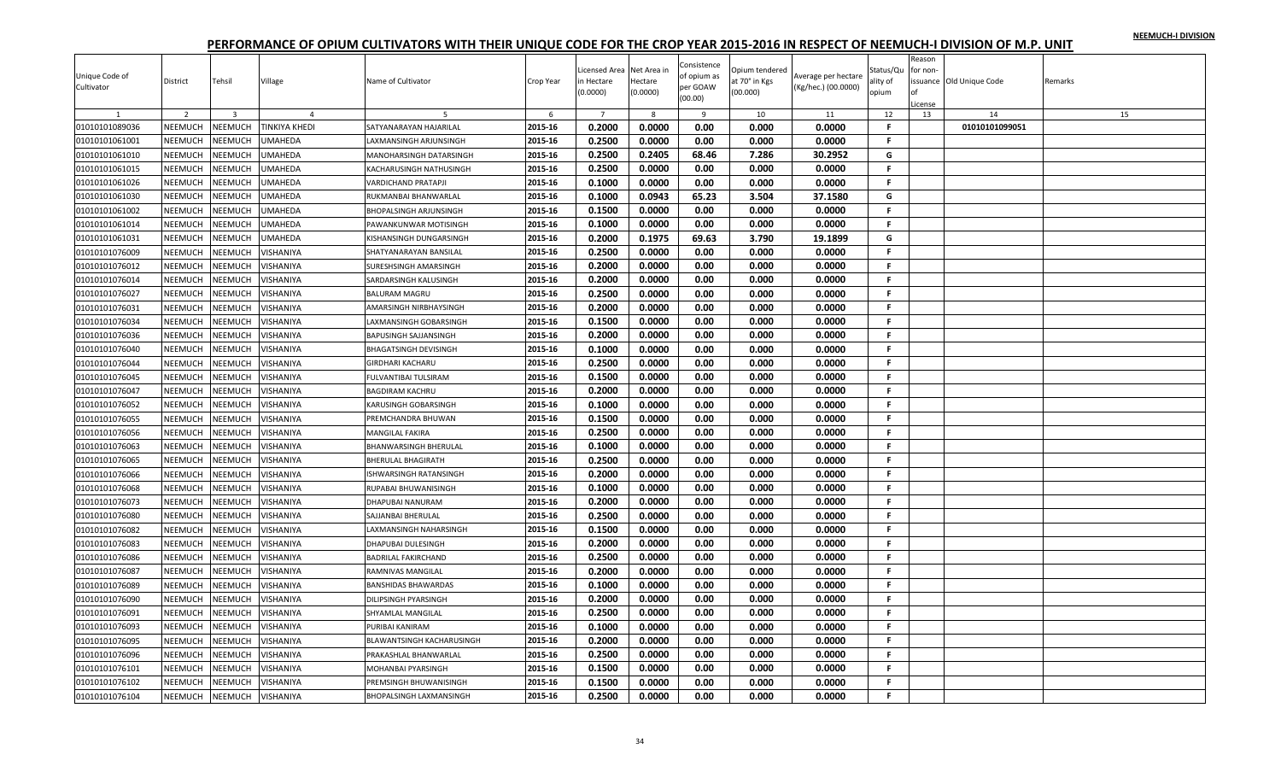|                |                |                         |                      |                                |           |                |             |                         |                |                     |              | Reason   |                          |         |
|----------------|----------------|-------------------------|----------------------|--------------------------------|-----------|----------------|-------------|-------------------------|----------------|---------------------|--------------|----------|--------------------------|---------|
|                |                |                         |                      |                                |           | icensed Area.  | Net Area ir | Consistence             | Opium tendered |                     | Status/Qu    | for non- |                          |         |
| Unique Code of | District       | Tehsil                  | Village              | Name of Cultivator             | Crop Year | n Hectare      | Hectare     | of opium as<br>per GOAW | at 70° in Kgs  | Average per hectare | ality of     |          | issuance Old Unique Code | Remarks |
| Cultivator     |                |                         |                      |                                |           | (0.0000)       | (0.0000)    | (00.00)                 | (00.000)       | (Kg/hec.) (00.0000) | opium        | Ωf       |                          |         |
|                |                |                         |                      |                                |           |                |             |                         |                |                     |              | icense   |                          |         |
|                | $\overline{2}$ | $\overline{\mathbf{3}}$ | $\overline{4}$       |                                | 6         | $\overline{7}$ | 8           | 9                       | 10             | 11                  | 12           | 13       | 14                       | 15      |
| 01010101089036 | NEEMUCH        | NEEMUCH                 | <b>TINKIYA KHEDI</b> | SATYANARAYAN HAJARILAL         | 2015-16   | 0.2000         | 0.0000      | 0.00                    | 0.000          | 0.0000              | F.           |          | 01010101099051           |         |
| 01010101061001 | <b>NEEMUCH</b> | NEEMUCH                 | UMAHEDA              | LAXMANSINGH ARJUNSINGH         | 2015-16   | 0.2500         | 0.0000      | 0.00                    | 0.000          | 0.0000              | F.           |          |                          |         |
| 01010101061010 | NEEMUCH        | NEEMUCH                 | UMAHEDA              | MANOHARSINGH DATARSINGH        | 2015-16   | 0.2500         | 0.2405      | 68.46                   | 7.286          | 30.2952             | G            |          |                          |         |
| 01010101061015 | NEEMUCH        | NEEMUCH                 | <b>UMAHEDA</b>       | KACHARUSINGH NATHUSINGH        | 2015-16   | 0.2500         | 0.0000      | 0.00                    | 0.000          | 0.0000              | -F.          |          |                          |         |
| 01010101061026 | NEEMUCH        | NEEMUCH                 | UMAHEDA              | <b>VARDICHAND PRATAPJI</b>     | 2015-16   | 0.1000         | 0.0000      | 0.00                    | 0.000          | 0.0000              | -F.          |          |                          |         |
| 01010101061030 | NEEMUCH        | NEEMUCH                 | <b>UMAHEDA</b>       | RUKMANBAI BHANWARLAL           | 2015-16   | 0.1000         | 0.0943      | 65.23                   | 3.504          | 37.1580             | G            |          |                          |         |
| 01010101061002 | NEEMUCH        | NEEMUCH                 | <b>UMAHEDA</b>       | BHOPALSINGH ARJUNSINGH         | 2015-16   | 0.1500         | 0.0000      | 0.00                    | 0.000          | 0.0000              | -F.          |          |                          |         |
| 01010101061014 | NEEMUCH        | NEEMUCH                 | UMAHEDA              | PAWANKUNWAR MOTISINGH          | 2015-16   | 0.1000         | 0.0000      | 0.00                    | 0.000          | 0.0000              | F.           |          |                          |         |
| 01010101061031 | NEEMUCH        | NEEMUCH                 | <b>UMAHEDA</b>       | KISHANSINGH DUNGARSINGH        | 2015-16   | 0.2000         | 0.1975      | 69.63                   | 3.790          | 19.1899             | G            |          |                          |         |
| 01010101076009 | NEEMUCH        | <b>NEEMUCH</b>          | VISHANIYA            | SHATYANARAYAN BANSILAL         | 2015-16   | 0.2500         | 0.0000      | 0.00                    | 0.000          | 0.0000              | F.           |          |                          |         |
| 01010101076012 | NEEMUCH        | NEEMUCH                 | VISHANIYA            | SURESHSINGH AMARSINGH          | 2015-16   | 0.2000         | 0.0000      | 0.00                    | 0.000          | 0.0000              | .F.          |          |                          |         |
| 01010101076014 | NEEMUCH        | NEEMUCH                 | VISHANIYA            | SARDARSINGH KALUSINGH          | 2015-16   | 0.2000         | 0.0000      | 0.00                    | 0.000          | 0.0000              | -F.          |          |                          |         |
| 01010101076027 | NEEMUCH        | NEEMUCH                 | VISHANIYA            | <b>BALURAM MAGRU</b>           | 2015-16   | 0.2500         | 0.0000      | 0.00                    | 0.000          | 0.0000              | F.           |          |                          |         |
| 01010101076031 | NEEMUCH        | NEEMUCH                 | VISHANIYA            | AMARSINGH NIRBHAYSINGH         | 2015-16   | 0.2000         | 0.0000      | 0.00                    | 0.000          | 0.0000              | -F.          |          |                          |         |
| 01010101076034 | NEEMUCH        | <b>NEEMUCH</b>          | VISHANIYA            | LAXMANSINGH GOBARSINGH         | 2015-16   | 0.1500         | 0.0000      | 0.00                    | 0.000          | 0.0000              | -F           |          |                          |         |
| 01010101076036 | NEEMUCH        | NEEMUCH                 | VISHANIYA            | <b>BAPUSINGH SAJJANSINGH</b>   | 2015-16   | 0.2000         | 0.0000      | 0.00                    | 0.000          | 0.0000              | -F.          |          |                          |         |
| 01010101076040 | NEEMUCH        | NEEMUCH                 | VISHANIYA            | <b>BHAGATSINGH DEVISINGH</b>   | 2015-16   | 0.1000         | 0.0000      | 0.00                    | 0.000          | 0.0000              | -F.          |          |                          |         |
| 01010101076044 | NEEMUCH        | NEEMUCH                 | VISHANIYA            | <b>GIRDHARI KACHARU</b>        | 2015-16   | 0.2500         | 0.0000      | 0.00                    | 0.000          | 0.0000              | F.           |          |                          |         |
| 01010101076045 | NEEMUCH        | NEEMUCH                 | VISHANIYA            | FULVANTIBAI TULSIRAM           | 2015-16   | 0.1500         | 0.0000      | 0.00                    | 0.000          | 0.0000              | F.           |          |                          |         |
| 01010101076047 | NEEMUCH        | NEEMUCH                 | VISHANIYA            | <b>BAGDIRAM KACHRU</b>         | 2015-16   | 0.2000         | 0.0000      | 0.00                    | 0.000          | 0.0000              | $\mathbf{F}$ |          |                          |         |
| 01010101076052 | NEEMUCH        | NEEMUCH                 | VISHANIYA            | <b>KARUSINGH GOBARSINGH</b>    | 2015-16   | 0.1000         | 0.0000      | 0.00                    | 0.000          | 0.0000              | F.           |          |                          |         |
| 01010101076055 | NEEMUCH        | <b>NEEMUCH</b>          | VISHANIYA            | PREMCHANDRA BHUWAN             | 2015-16   | 0.1500         | 0.0000      | 0.00                    | 0.000          | 0.0000              | -F.          |          |                          |         |
| 01010101076056 | NEEMUCH        | NEEMUCH                 | VISHANIYA            | <b>MANGILAL FAKIRA</b>         | 2015-16   | 0.2500         | 0.0000      | 0.00                    | 0.000          | 0.0000              | -F.          |          |                          |         |
| 01010101076063 | <b>NEEMUCH</b> | NEEMUCH                 | VISHANIYA            | <b>BHANWARSINGH BHERULAL</b>   | 2015-16   | 0.1000         | 0.0000      | 0.00                    | 0.000          | 0.0000              | F.           |          |                          |         |
| 01010101076065 | NEEMUCH        | <b>NEEMUCH</b>          | VISHANIYA            | <b>BHERULAL BHAGIRATH</b>      | 2015-16   | 0.2500         | 0.0000      | 0.00                    | 0.000          | 0.0000              | -F.          |          |                          |         |
| 01010101076066 | NEEMUCH        | NEEMUCH                 | VISHANIYA            | ISHWARSINGH RATANSINGH         | 2015-16   | 0.2000         | 0.0000      | 0.00                    | 0.000          | 0.0000              | $\mathbf{F}$ |          |                          |         |
| 01010101076068 | NEEMUCH        | NEEMUCH                 | VISHANIYA            | RUPABAI BHUWANISINGH           | 2015-16   | 0.1000         | 0.0000      | 0.00                    | 0.000          | 0.0000              | .F.          |          |                          |         |
| 01010101076073 | NEEMUCH        | NEEMUCH                 | VISHANIYA            | <b>DHAPUBAI NANURAM</b>        | 2015-16   | 0.2000         | 0.0000      | 0.00                    | 0.000          | 0.0000              | -F.          |          |                          |         |
| 01010101076080 | <b>NEEMUCH</b> | NEEMUCH                 | VISHANIYA            | SAJJANBAI BHERULAL             | 2015-16   | 0.2500         | 0.0000      | 0.00                    | 0.000          | 0.0000              | -F           |          |                          |         |
| 01010101076082 | NEEMUCH        | NEEMUCH                 | VISHANIYA            | LAXMANSINGH NAHARSINGH         | 2015-16   | 0.1500         | 0.0000      | 0.00                    | 0.000          | 0.0000              | F.           |          |                          |         |
| 01010101076083 | NEEMUCH        | NEEMUCH                 | VISHANIYA            | <b>DHAPUBAI DULESINGH</b>      | 2015-16   | 0.2000         | 0.0000      | 0.00                    | 0.000          | 0.0000              | -F.          |          |                          |         |
| 01010101076086 | NEEMUCH        | NEEMUCH                 | VISHANIYA            | <b>BADRILAL FAKIRCHAND</b>     | 2015-16   | 0.2500         | 0.0000      | 0.00                    | 0.000          | 0.0000              | F.           |          |                          |         |
| 01010101076087 | NEEMUCH        | <b>NEEMUCH</b>          | VISHANIYA            | RAMNIVAS MANGILAL              | 2015-16   | 0.2000         | 0.0000      | 0.00                    | 0.000          | 0.0000              | -F.          |          |                          |         |
| 01010101076089 | <b>NEEMUCH</b> | NEEMUCH                 | VISHANIYA            | <b>BANSHIDAS BHAWARDAS</b>     | 2015-16   | 0.1000         | 0.0000      | 0.00                    | 0.000          | 0.0000              | -F.          |          |                          |         |
| 01010101076090 | NEEMUCH        | NEEMUCH                 | VISHANIYA            | DILIPSINGH PYARSINGH           | 2015-16   | 0.2000         | 0.0000      | 0.00                    | 0.000          | 0.0000              | F.           |          |                          |         |
| 01010101076091 | NEEMUCH        | <b>NEEMUCH</b>          | VISHANIYA            |                                | 2015-16   | 0.2500         | 0.0000      | 0.00                    | 0.000          | 0.0000              | .F.          |          |                          |         |
|                | NEEMUCH        | NEEMUCH                 | VISHANIYA            | SHYAMLAL MANGILAL              | 2015-16   | 0.1000         | 0.0000      | 0.00                    | 0.000          | 0.0000              | F.           |          |                          |         |
| 01010101076093 |                |                         |                      | PURIBAI KANIRAM                |           |                |             |                         |                |                     |              |          |                          |         |
| 01010101076095 | NEEMUCH        | NEEMUCH                 | VISHANIYA            | BLAWANTSINGH KACHARUSINGH      | 2015-16   | 0.2000         | 0.0000      | 0.00                    | 0.000          | 0.0000              | -F.          |          |                          |         |
| 01010101076096 | NEEMUCH        | NEEMUCH                 | VISHANIYA            | PRAKASHLAL BHANWARLAL          | 2015-16   | 0.2500         | 0.0000      | 0.00                    | 0.000          | 0.0000              | -F.          |          |                          |         |
| 01010101076101 | <b>NEEMUCH</b> | <b>NEEMUCH</b>          | VISHANIYA            | MOHANBAI PYARSINGH             | 2015-16   | 0.1500         | 0.0000      | 0.00                    | 0.000          | 0.0000              | F.           |          |                          |         |
| 01010101076102 | NEEMUCH        | NEEMUCH                 | VISHANIYA            | PREMSINGH BHUWANISINGH         | 2015-16   | 0.1500         | 0.0000      | 0.00                    | 0.000          | 0.0000              | F.           |          |                          |         |
| 01010101076104 | NEEMUCH        | NEEMUCH                 | VISHANIYA            | <b>BHOPALSINGH LAXMANSINGH</b> | 2015-16   | 0.2500         | 0.0000      | 0.00                    | 0.000          | 0.0000              | F.           |          |                          |         |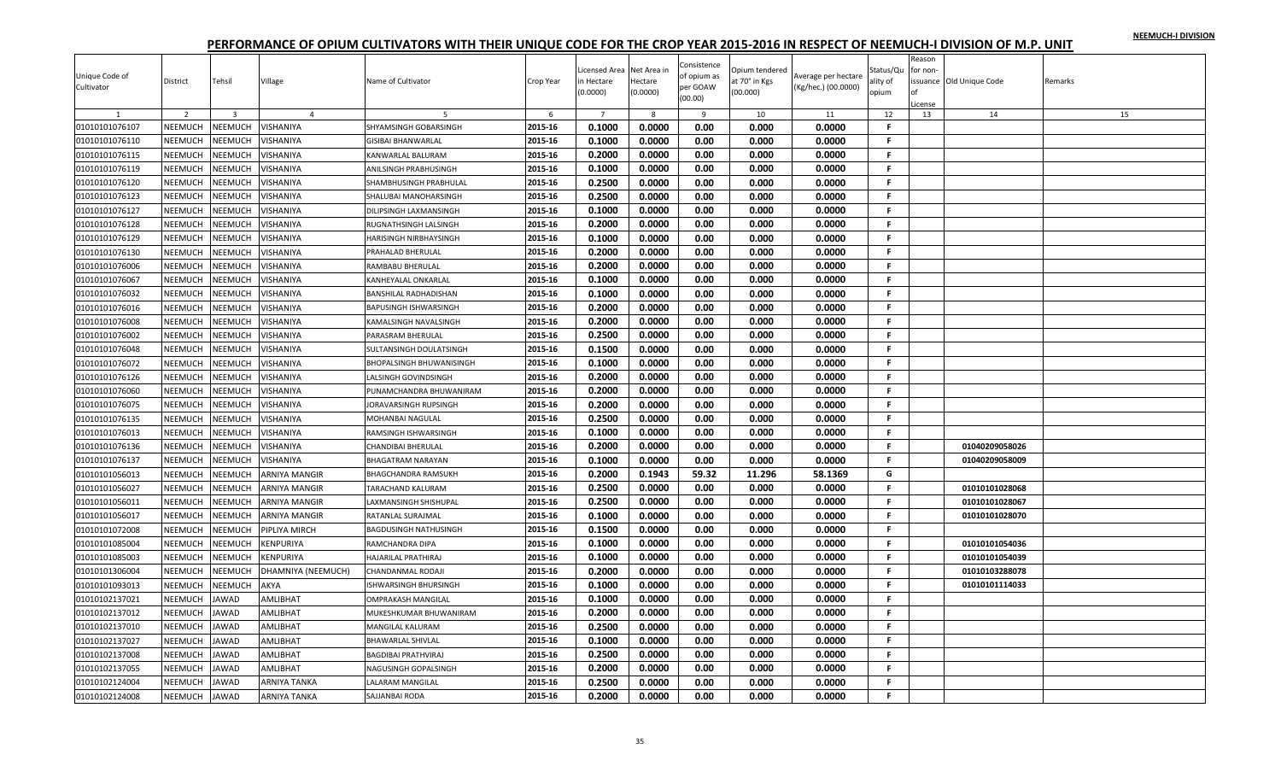|                |                |                |                     |                                 |           |                           |                        | Consistence  |                                 |                     |                       | Reason   |                          |         |
|----------------|----------------|----------------|---------------------|---------------------------------|-----------|---------------------------|------------------------|--------------|---------------------------------|---------------------|-----------------------|----------|--------------------------|---------|
| Unique Code of | District       | Tehsil         | Village             | Name of Cultivator              | Crop Year | icensed Area<br>ነ Hectare | Net Area in<br>Hectare | of opium as  | Opium tendered<br>it 70° in Kgs | Average per hectare | Status/Qu<br>ılity of | for non- | issuance Old Unique Code | Remarks |
| Cultivator     |                |                |                     |                                 |           | 0.0000)                   | (0.0000)               | per GOAW     | 00.000)                         | (Kg/hec.) (00.0000) | opium                 |          |                          |         |
|                |                |                |                     |                                 |           |                           |                        | (00.00)      |                                 |                     |                       | License  |                          |         |
|                | $\overline{2}$ | $\overline{3}$ | $\overline{a}$      |                                 | 6         | $\overline{7}$            | $\mathbf{R}$           | $\mathbf{q}$ | 10                              | 11                  | 12                    | 13       | 14                       | 15      |
| 01010101076107 | NEEMUCH        | NEEMUCH        | VISHANIYA           | SHYAMSINGH GOBARSINGH           | 2015-16   | 0.1000                    | 0.0000                 | 0.00         | 0.000                           | 0.0000              | F.                    |          |                          |         |
| 01010101076110 | NEEMUCH        | NEEMUCH        | VISHANIYA           | <b>GISIBAI BHANWARLAL</b>       | 2015-16   | 0.1000                    | 0.0000                 | 0.00         | 0.000                           | 0.0000              | F                     |          |                          |         |
| 01010101076115 | NEEMUCH        | NEEMUCH        | VISHANIYA           | KANWARLAL BALURAM               | 2015-16   | 0.2000                    | 0.0000                 | 0.00         | 0.000                           | 0.0000              | F.                    |          |                          |         |
| 01010101076119 | NEEMUCH        | NEEMUCH        | VISHANIYA           | <b>ANILSINGH PRABHUSINGH</b>    | 2015-16   | 0.1000                    | 0.0000                 | 0.00         | 0.000                           | 0.0000              | F.                    |          |                          |         |
| 01010101076120 | NEEMUCH        | NEEMUCH        | VISHANIYA           | SHAMBHUSINGH PRABHULAL          | 2015-16   | 0.2500                    | 0.0000                 | 0.00         | 0.000                           | 0.0000              | F.                    |          |                          |         |
| 01010101076123 | NEEMUCH        | NEEMUCH        | VISHANIYA           | SHALUBAI MANOHARSINGH           | 2015-16   | 0.2500                    | 0.0000                 | 0.00         | 0.000                           | 0.0000              | F.                    |          |                          |         |
| 01010101076127 | NEEMUCH        | NEEMUCH        | VISHANIYA           | DILIPSINGH LAXMANSINGH          | 2015-16   | 0.1000                    | 0.0000                 | 0.00         | 0.000                           | 0.0000              | F                     |          |                          |         |
| 01010101076128 | NEEMUCH        | NEEMUCH        | VISHANIYA           | RUGNATHSINGH LALSINGH           | 2015-16   | 0.2000                    | 0.0000                 | 0.00         | 0.000                           | 0.0000              | Е                     |          |                          |         |
| 01010101076129 | NEEMUCH        | NEEMUCH        | VISHANIYA           | HARISINGH NIRBHAYSINGH          | 2015-16   | 0.1000                    | 0.0000                 | 0.00         | 0.000                           | 0.0000              | F.                    |          |                          |         |
| 01010101076130 | NEEMUCH        | NEEMUCH        | VISHANIYA           | PRAHALAD BHERULAL               | 2015-16   | 0.2000                    | 0.0000                 | 0.00         | 0.000                           | 0.0000              | F.                    |          |                          |         |
| 01010101076006 | NEEMUCH        | NEEMUCH        | VISHANIYA           | RAMBABU BHERULAL                | 2015-16   | 0.2000                    | 0.0000                 | 0.00         | 0.000                           | 0.0000              | F.                    |          |                          |         |
| 01010101076067 | <b>NEEMUCH</b> | NEEMUCH        | VISHANIYA           | KANHEYALAL ONKARLAL             | 2015-16   | 0.1000                    | 0.0000                 | 0.00         | 0.000                           | 0.0000              | F.                    |          |                          |         |
| 01010101076032 | <b>NEEMUCH</b> | NEEMUCH        | VISHANIYA           | <b>BANSHILAL RADHADISHAN</b>    | 2015-16   | 0.1000                    | 0.0000                 | 0.00         | 0.000                           | 0.0000              | F                     |          |                          |         |
| 01010101076016 | NEEMUCH        | NEEMUCH        | VISHANIYA           | BAPUSINGH ISHWARSINGH           | 2015-16   | 0.2000                    | 0.0000                 | 0.00         | 0.000                           | 0.0000              | F.                    |          |                          |         |
| 01010101076008 | NEEMUCH        | NEEMUCH        | VISHANIYA           | KAMALSINGH NAVALSINGH           | 2015-16   | 0.2000                    | 0.0000                 | 0.00         | 0.000                           | 0.0000              | F.                    |          |                          |         |
| 01010101076002 | NEEMUCH        | NEEMUCH        | VISHANIYA           | PARASRAM BHERULAL               | 2015-16   | 0.2500                    | 0.0000                 | 0.00         | 0.000                           | 0.0000              | F.                    |          |                          |         |
| 01010101076048 | NEEMUCH        | NEEMUCH        | VISHANIYA           | SULTANSINGH DOULATSINGH         | 2015-16   | 0.1500                    | 0.0000                 | 0.00         | 0.000                           | 0.0000              | F.                    |          |                          |         |
| 01010101076072 | NEEMUCH        | NEEMUCH        | VISHANIYA           | <b>BHOPALSINGH BHUWANISINGH</b> | 2015-16   | 0.1000                    | 0.0000                 | 0.00         | 0.000                           | 0.0000              | F.                    |          |                          |         |
| 01010101076126 | NEEMUCH        | NEEMUCH        | VISHANIYA           | LALSINGH GOVINDSINGH            | 2015-16   | 0.2000                    | 0.0000                 | 0.00         | 0.000                           | 0.0000              | Е                     |          |                          |         |
| 01010101076060 | NEEMUCH        | NEEMUCH        | VISHANIYA           | PUNAMCHANDRA BHUWANIRAM         | 2015-16   | 0.2000                    | 0.0000                 | 0.00         | 0.000                           | 0.0000              | F.                    |          |                          |         |
| 01010101076075 | NEEMUCH        | NEEMUCH        | VISHANIYA           | JORAVARSINGH RUPSINGH           | 2015-16   | 0.2000                    | 0.0000                 | 0.00         | 0.000                           | 0.0000              | F.                    |          |                          |         |
| 01010101076135 | NEEMUCH        | NEEMUCH        | VISHANIYA           | MOHANBAI NAGULAL                | 2015-16   | 0.2500                    | 0.0000                 | 0.00         | 0.000                           | 0.0000              | F.                    |          |                          |         |
| 01010101076013 | <b>NEEMUCH</b> | NEEMUCH        | VISHANIYA           | RAMSINGH ISHWARSINGH            | 2015-16   | 0.1000                    | 0.0000                 | 0.00         | 0.000                           | 0.0000              | F.                    |          |                          |         |
| 01010101076136 | NEEMUCH        | NEEMUCH        | VISHANIYA           | <b>CHANDIBAI BHERULAL</b>       | 2015-16   | 0.2000                    | 0.0000                 | 0.00         | 0.000                           | 0.0000              | F                     |          | 01040209058026           |         |
| 01010101076137 | NEEMUCH        | NEEMUCH        | VISHANIYA           | <b>BHAGATRAM NARAYAN</b>        | 2015-16   | 0.1000                    | 0.0000                 | 0.00         | 0.000                           | 0.0000              | F.                    |          | 01040209058009           |         |
| 01010101056013 | NEEMUCH        | NEEMUCH        | ARNIYA MANGIR       | <b>BHAGCHANDRA RAMSUKH</b>      | 2015-16   | 0.2000                    | 0.1943                 | 59.32        | 11.296                          | 58.1369             | G                     |          |                          |         |
| 01010101056027 | NEEMUCH        | NEEMUCH        | ARNIYA MANGIR       | <b>TARACHAND KALURAM</b>        | 2015-16   | 0.2500                    | 0.0000                 | 0.00         | 0.000                           | 0.0000              | F.                    |          | 01010101028068           |         |
| 01010101056011 | NEEMUCH        | NEEMUCH        | ARNIYA MANGIR       | LAXMANSINGH SHISHUPAL           | 2015-16   | 0.2500                    | 0.0000                 | 0.00         | 0.000                           | 0.0000              | F.                    |          | 01010101028067           |         |
| 01010101056017 | <b>NEEMUCH</b> | NEEMUCH        | ARNIYA MANGIR       | RATANLAL SURAJMAL               | 2015-16   | 0.1000                    | 0.0000                 | 0.00         | 0.000                           | 0.0000              | F                     |          | 01010101028070           |         |
| 01010101072008 | NEEMUCH        | NEEMUCH        | PIPLIYA MIRCH       | <b>BAGDUSINGH NATHUSINGH</b>    | 2015-16   | 0.1500                    | 0.0000                 | 0.00         | 0.000                           | 0.0000              | F.                    |          |                          |         |
| 01010101085004 | NEEMUCH        | NEEMUCH        | KENPURIYA           | RAMCHANDRA DIPA                 | 2015-16   | 0.1000                    | 0.0000                 | 0.00         | 0.000                           | 0.0000              | F.                    |          | 01010101054036           |         |
| 01010101085003 | NEEMUCH        | NEEMUCH        | KENPURIYA           | HAJARILAL PRATHIRAJ             | 2015-16   | 0.1000                    | 0.0000                 | 0.00         | 0.000                           | 0.0000              | F.                    |          | 01010101054039           |         |
| 01010101306004 | NEEMUCH        | NEEMUCH        | DHAMNIYA (NEEMUCH)  | CHANDANMAL RODAJI               | 2015-16   | 0.2000                    | 0.0000                 | 0.00         | 0.000                           | 0.0000              | F.                    |          | 01010103288078           |         |
| 01010101093013 | NEEMUCH        | NEEMUCH        | AKYA                | ISHWARSINGH BHURSINGH           | 2015-16   | 0.1000                    | 0.0000                 | 0.00         | 0.000                           | 0.0000              | F.                    |          | 01010101114033           |         |
| 01010102137021 | NEEMUCH        | <b>JAWAD</b>   | AMLIBHAT            | <b>OMPRAKASH MANGILAL</b>       | 2015-16   | 0.1000                    | 0.0000                 | 0.00         | 0.000                           | 0.0000              | F.                    |          |                          |         |
| 01010102137012 | NEEMUCH        | <b>JAWAD</b>   | AMLIBHAT            | MUKESHKUMAR BHUWANIRAM          | 2015-16   | 0.2000                    | 0.0000                 | 0.00         | 0.000                           | 0.0000              | F.                    |          |                          |         |
| 01010102137010 | NEEMUCH        | <b>JAWAD</b>   | AMLIBHAT            | <b>MANGILAL KALURAM</b>         | 2015-16   | 0.2500                    | 0.0000                 | 0.00         | 0.000                           | 0.0000              | F.                    |          |                          |         |
| 01010102137027 | NEEMUCH        | <b>JAWAD</b>   | AMLIBHAT            | <b>BHAWARLAL SHIVLAL</b>        | 2015-16   | 0.1000                    | 0.0000                 | 0.00         | 0.000                           | 0.0000              | F.                    |          |                          |         |
| 01010102137008 | NEEMUCH        | <b>JAWAD</b>   | AMLIBHAT            | <b>BAGDIBAI PRATHVIRAJ</b>      | 2015-16   | 0.2500                    | 0.0000                 | 0.00         | 0.000                           | 0.0000              | F.                    |          |                          |         |
| 01010102137055 | NEEMUCH        | <b>JAWAD</b>   | AMLIBHAT            | NAGUSINGH GOPALSINGH            | 2015-16   | 0.2000                    | 0.0000                 | 0.00         | 0.000                           | 0.0000              | F.                    |          |                          |         |
| 01010102124004 | NEEMUCH        | <b>JAWAD</b>   | ARNIYA TANKA        | <b>LALARAM MANGILAL</b>         | 2015-16   | 0.2500                    | 0.0000                 | 0.00         | 0.000                           | 0.0000              | F.                    |          |                          |         |
| 01010102124008 | NEEMUCH        | <b>JAWAD</b>   | <b>ARNIYA TANKA</b> | SAJJANBAI RODA                  | 2015-16   | 0.2000                    | 0.0000                 | 0.00         | 0.000                           | 0.0000              | F.                    |          |                          |         |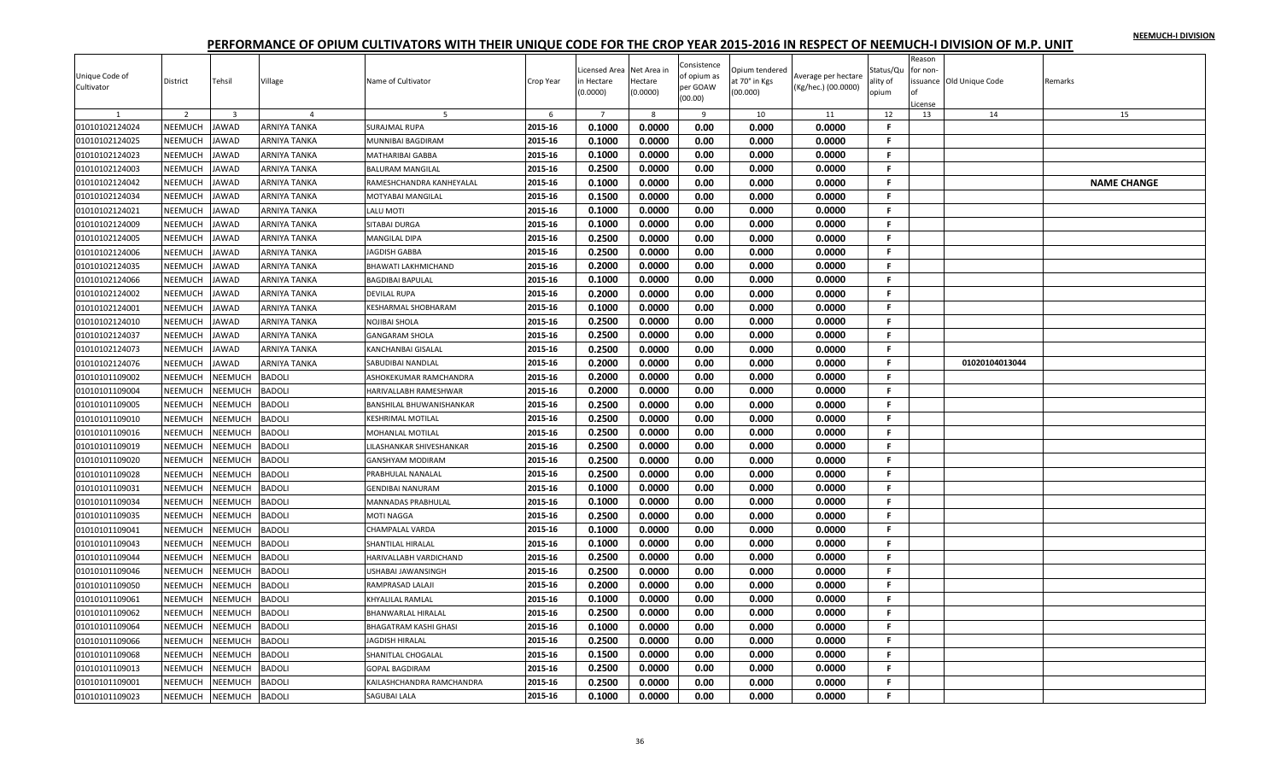|                |                |                         |                |                                 |           |                |             |                            |                |                     |              | Reason       |                          |                    |
|----------------|----------------|-------------------------|----------------|---------------------------------|-----------|----------------|-------------|----------------------------|----------------|---------------------|--------------|--------------|--------------------------|--------------------|
| Unique Code of |                |                         |                |                                 |           | icensed Area   | Net Area ir | Consistence<br>of opium as | Opium tendered | Average per hectare | Status/Qu    | for non-     |                          |                    |
| Cultivator     | District       | Tehsil                  | Village        | Name of Cultivator              | Crop Year | n Hectare      | Hectare     | per GOAW                   | it 70° in Kgs  | (Kg/hec.) (00.0000) | ality of     |              | issuance Old Unique Code | Remarks            |
|                |                |                         |                |                                 |           | 0.0000         | (0.0000)    | (00.00)                    | (00.000)       |                     | opium        | of           |                          |                    |
|                | $\overline{2}$ | $\overline{\mathbf{3}}$ | $\overline{4}$ | -5                              | 6         | $\overline{7}$ | 8           | 9                          | 10             | 11                  | 12           | icense<br>13 | 14                       | 15                 |
| 01010102124024 | NEEMUCH        | <b>JAWAD</b>            | ARNIYA TANKA   | <b>SURAJMAL RUPA</b>            | 2015-16   | 0.1000         | 0.0000      | 0.00                       | 0.000          | 0.0000              | F.           |              |                          |                    |
| 01010102124025 | NEEMUCH        | <b>AWAD</b>             | ARNIYA TANKA   | MUNNIBAI BAGDIRAM               | 2015-16   | 0.1000         | 0.0000      | 0.00                       | 0.000          | 0.0000              | F.           |              |                          |                    |
| 01010102124023 | NEEMUCH        | AWAD                    | ARNIYA TANKA   | <b>MATHARIBAI GABBA</b>         | 2015-16   | 0.1000         | 0.0000      | 0.00                       | 0.000          | 0.0000              | F.           |              |                          |                    |
| 01010102124003 | NEEMUCH        | <b>AWAD</b>             | ARNIYA TANKA   | <b>BALURAM MANGILAL</b>         | 2015-16   | 0.2500         | 0.0000      | 0.00                       | 0.000          | 0.0000              | $\mathbf{F}$ |              |                          |                    |
| 01010102124042 | NEEMUCH        | AWAD                    | ARNIYA TANKA   | RAMESHCHANDRA KANHEYALAL        | 2015-16   | 0.1000         | 0.0000      | 0.00                       | 0.000          | 0.0000              | F.           |              |                          | <b>NAME CHANGE</b> |
| 01010102124034 | NEEMUCH        | <b>AWAD</b>             | ARNIYA TANKA   | <b>MOTYABAI MANGILAL</b>        | 2015-16   | 0.1500         | 0.0000      | 0.00                       | 0.000          | 0.0000              | F.           |              |                          |                    |
| 01010102124021 | NEEMUCH        | <b>AWAD</b>             | ARNIYA TANKA   | <b>LALU MOTI</b>                | 2015-16   | 0.1000         | 0.0000      | 0.00                       | 0.000          | 0.0000              | F.           |              |                          |                    |
| 01010102124009 | NEEMUCH        | AWAD                    | ARNIYA TANKA   | <b>SITABAI DURGA</b>            | 2015-16   | 0.1000         | 0.0000      | 0.00                       | 0.000          | 0.0000              | F.           |              |                          |                    |
| 01010102124005 | NEEMUCH        | <b>AWAD</b>             | ARNIYA TANKA   | <b>MANGILAL DIPA</b>            | 2015-16   | 0.2500         | 0.0000      | 0.00                       | 0.000          | 0.0000              | -F.          |              |                          |                    |
| 01010102124006 | NEEMUCH        | <b>AWAD</b>             | ARNIYA TANKA   | <b>JAGDISH GABBA</b>            | 2015-16   | 0.2500         | 0.0000      | 0.00                       | 0.000          | 0.0000              | -F.          |              |                          |                    |
| 01010102124035 | NEEMUCH        | <b>AWAD</b>             | ARNIYA TANKA   | BHAWATI LAKHMICHAND             | 2015-16   | 0.2000         | 0.0000      | 0.00                       | 0.000          | 0.0000              | F.           |              |                          |                    |
| 01010102124066 | <b>NEEMUCH</b> | <b>AWAD</b>             | ARNIYA TANKA   | <b>BAGDIBAI BAPULAL</b>         | 2015-16   | 0.1000         | 0.0000      | 0.00                       | 0.000          | 0.0000              | F.           |              |                          |                    |
| 01010102124002 | NEEMUCH        | <b>AWAD</b>             | ARNIYA TANKA   | <b>DEVILAL RUPA</b>             | 2015-16   | 0.2000         | 0.0000      | 0.00                       | 0.000          | 0.0000              | F.           |              |                          |                    |
| 01010102124001 | NEEMUCH        | <b>AWAD</b>             | ARNIYA TANKA   | KESHARMAL SHOBHARAM             | 2015-16   | 0.1000         | 0.0000      | 0.00                       | 0.000          | 0.0000              | F.           |              |                          |                    |
| 01010102124010 | NEEMUCH        | <b>AWAD</b>             | ARNIYA TANKA   | <b>NOJIBAI SHOLA</b>            | 2015-16   | 0.2500         | 0.0000      | 0.00                       | 0.000          | 0.0000              | -F.          |              |                          |                    |
| 01010102124037 | NEEMUCH        | <b>AWAD</b>             | ARNIYA TANKA   | <b>GANGARAM SHOLA</b>           | 2015-16   | 0.2500         | 0.0000      | 0.00                       | 0.000          | 0.0000              | F.           |              |                          |                    |
| 01010102124073 | NEEMUCH        | AWAD                    | ARNIYA TANKA   | KANCHANBAI GISALAL              | 2015-16   | 0.2500         | 0.0000      | 0.00                       | 0.000          | 0.0000              | F.           |              |                          |                    |
| 01010102124076 | NEEMUCH        | <b>AWAD</b>             | ARNIYA TANKA   | SABUDIBAI NANDLAL               | 2015-16   | 0.2000         | 0.0000      | 0.00                       | 0.000          | 0.0000              | F.           |              | 01020104013044           |                    |
| 01010101109002 | NEEMUCH        | <b>NEEMUCH</b>          | <b>BADOLI</b>  | ASHOKEKUMAR RAMCHANDRA          | 2015-16   | 0.2000         | 0.0000      | 0.00                       | 0.000          | 0.0000              | F.           |              |                          |                    |
| 01010101109004 | NEEMUCH        | <b>NEEMUCH</b>          | BADOLI         | HARIVALLABH RAMESHWAR           | 2015-16   | 0.2000         | 0.0000      | 0.00                       | 0.000          | 0.0000              | F.           |              |                          |                    |
| 01010101109005 | <b>NEEMUCH</b> | <b>NEEMUCH</b>          | <b>BADOLI</b>  | <b>BANSHILAL BHUWANISHANKAR</b> | 2015-16   | 0.2500         | 0.0000      | 0.00                       | 0.000          | 0.0000              | -F.          |              |                          |                    |
| 01010101109010 | NEEMUCH        | <b>NEEMUCH</b>          | BADOLI         | <b>KESHRIMAL MOTILAL</b>        | 2015-16   | 0.2500         | 0.0000      | 0.00                       | 0.000          | 0.0000              | F.           |              |                          |                    |
| 01010101109016 | NEEMUCH        | <b>NEEMUCH</b>          | <b>BADOLI</b>  | MOHANLAL MOTILAL                | 2015-16   | 0.2500         | 0.0000      | 0.00                       | 0.000          | 0.0000              | F.           |              |                          |                    |
| 01010101109019 | NEEMUCH        | <b>NEEMUCH</b>          | BADOLI         | LILASHANKAR SHIVESHANKAR        | 2015-16   | 0.2500         | 0.0000      | 0.00                       | 0.000          | 0.0000              | F.           |              |                          |                    |
| 01010101109020 | NEEMUCH        | <b>NEEMUCH</b>          | BADOLI         | <b>GANSHYAM MODIRAM</b>         | 2015-16   | 0.2500         | 0.0000      | 0.00                       | 0.000          | 0.0000              | F.           |              |                          |                    |
| 01010101109028 | NEEMUCH        | <b>NEEMUCH</b>          | <b>BADOLI</b>  | PRABHULAL NANALAL               | 2015-16   | 0.2500         | 0.0000      | 0.00                       | 0.000          | 0.0000              | -F.          |              |                          |                    |
| 01010101109031 | NEEMUCH        | <b>NEEMUCH</b>          | BADOLI         | <b>GENDIBAI NANURAM</b>         | 2015-16   | 0.1000         | 0.0000      | 0.00                       | 0.000          | 0.0000              | -F.          |              |                          |                    |
| 01010101109034 | NEEMUCH        | <b>NEEMUCH</b>          | BADOLI         | <b>MANNADAS PRABHULAL</b>       | 2015-16   | 0.1000         | 0.0000      | 0.00                       | 0.000          | 0.0000              | F.           |              |                          |                    |
| 01010101109035 | NEEMUCH        | <b>NEEMUCH</b>          | BADOLI         | MOTI NAGGA                      | 2015-16   | 0.2500         | 0.0000      | 0.00                       | 0.000          | 0.0000              | F.           |              |                          |                    |
| 01010101109041 | NEEMUCH        | <b>NEEMUCH</b>          | BADOLI         | <b>CHAMPALAL VARDA</b>          | 2015-16   | 0.1000         | 0.0000      | 0.00                       | 0.000          | 0.0000              | F.           |              |                          |                    |
| 01010101109043 | NEEMUCH        | <b>NEEMUCH</b>          | BADOLI         | SHANTILAL HIRALAL               | 2015-16   | 0.1000         | 0.0000      | 0.00                       | 0.000          | 0.0000              | F.           |              |                          |                    |
| 01010101109044 | NEEMUCH        | <b>JEEMUCH</b>          | BADOLI         | HARIVALLABH VARDICHAND          | 2015-16   | 0.2500         | 0.0000      | 0.00                       | 0.000          | 0.0000              | -F.          |              |                          |                    |
| 01010101109046 | NEEMUCH        | <b>NEEMUCH</b>          | BADOLI         | <b>USHABAI JAWANSINGH</b>       | 2015-16   | 0.2500         | 0.0000      | 0.00                       | 0.000          | 0.0000              | F.           |              |                          |                    |
| 01010101109050 | NEEMUCH        | <b>NEEMUCH</b>          | BADOLI         | RAMPRASAD LALAJI                | 2015-16   | 0.2000         | 0.0000      | 0.00                       | 0.000          | 0.0000              | F.           |              |                          |                    |
| 01010101109061 | NEEMUCH        | <b>NEEMUCH</b>          | BADOLI         | KHYALILAL RAMLAL                | 2015-16   | 0.1000         | 0.0000      | 0.00                       | 0.000          | 0.0000              | F.           |              |                          |                    |
| 01010101109062 | NEEMUCH        | <b>NEEMUCH</b>          | BADOLI         | <b>BHANWARLAL HIRALAL</b>       | 2015-16   | 0.2500         | 0.0000      | 0.00                       | 0.000          | 0.0000              | F.           |              |                          |                    |
| 01010101109064 | NEEMUCH        | <b>NEEMUCH</b>          | BADOLI         | <b>BHAGATRAM KASHI GHASI</b>    | 2015-16   | 0.1000         | 0.0000      | 0.00                       | 0.000          | 0.0000              | F.           |              |                          |                    |
| 01010101109066 | NEEMUCH        | NEEMUCH                 | <b>BADOLI</b>  | JAGDISH HIRALAL                 | 2015-16   | 0.2500         | 0.0000      | 0.00                       | 0.000          | 0.0000              | .F.          |              |                          |                    |
| 01010101109068 | NEEMUCH        | <b>NEEMUCH</b>          | <b>BADOLI</b>  | SHANITLAL CHOGALAL              | 2015-16   | 0.1500         | 0.0000      | 0.00                       | 0.000          | 0.0000              | .F.          |              |                          |                    |
| 01010101109013 | NEEMUCH        | <b>NEEMUCH</b>          | BADOLI         | <b>GOPAL BAGDIRAM</b>           | 2015-16   | 0.2500         | 0.0000      | 0.00                       | 0.000          | 0.0000              | F.           |              |                          |                    |
| 01010101109001 | NEEMUCH        | <b>JEEMUCH</b>          | <b>BADOLI</b>  | KAILASHCHANDRA RAMCHANDRA       | 2015-16   | 0.2500         | 0.0000      | 0.00                       | 0.000          | 0.0000              | F.           |              |                          |                    |
| 01010101109023 | NEEMUCH        | NEEMUCH                 | BADOLI         | <b>SAGUBAI LALA</b>             | 2015-16   | 0.1000         | 0.0000      | 0.00                       | 0.000          | 0.0000              | F.           |              |                          |                    |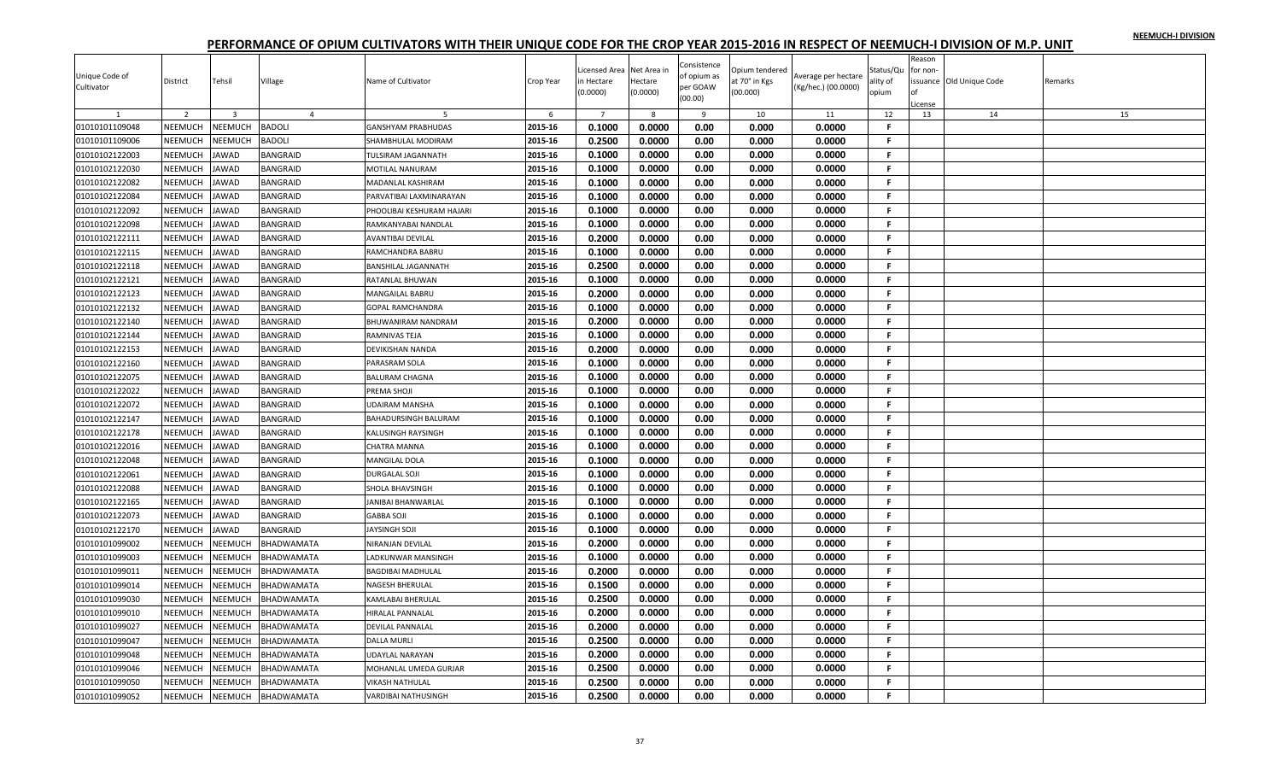|                                  |                |                |                 |                            |           | icensed Area   | Net Area in | Consistence             | Dpium tendered |                     | Status/Qu    | Reason<br>for non- |                         |         |
|----------------------------------|----------------|----------------|-----------------|----------------------------|-----------|----------------|-------------|-------------------------|----------------|---------------------|--------------|--------------------|-------------------------|---------|
| Unique Code of<br>Cultivator     | District       | Tehsil         | Village         | Name of Cultivator         | Crop Year | n Hectare      | Hectare     | of opium as<br>per GOAW | at 70° in Kgs  | Average per hectare | ality of     |                    | ssuance Old Unique Code | Remarks |
|                                  |                |                |                 |                            |           | (0.0000)       | (0.0000)    | (00.00)                 | (00.000)       | (Kg/hec.) (00.0000) | opium        | of                 |                         |         |
|                                  | 2              | $\overline{3}$ | $\overline{4}$  |                            | 6         | $\overline{7}$ | 8           | 9                       | 10             | 11                  | 12           | icense<br>13       | 14                      | 15      |
| 01010101109048                   | NEEMUCH        | NEEMUCH        | <b>BADOLI</b>   | <b>GANSHYAM PRABHUDAS</b>  | 2015-16   | 0.1000         | 0.0000      | 0.00                    | 0.000          | 0.0000              | $\mathsf{F}$ |                    |                         |         |
| 01010101109006                   | NEEMUCH        | <b>NEEMUCH</b> | <b>BADOLI</b>   | SHAMBHULAL MODIRAM         | 2015-16   | 0.2500         | 0.0000      | 0.00                    | 0.000          | 0.0000              | F.           |                    |                         |         |
| 01010102122003                   | NEEMUCH        | <b>JAWAD</b>   | BANGRAID        | <b>TULSIRAM JAGANNATH</b>  | 2015-16   | 0.1000         | 0.0000      | 0.00                    | 0.000          | 0.0000              | F.           |                    |                         |         |
| 01010102122030                   | NEEMUCH        | <b>JAWAD</b>   | <b>BANGRAID</b> | <b>MOTILAL NANURAM</b>     | 2015-16   | 0.1000         | 0.0000      | 0.00                    | 0.000          | 0.0000              | .F.          |                    |                         |         |
| 01010102122082                   | NEEMUCH        | <b>JAWAD</b>   | <b>BANGRAID</b> | MADANLAL KASHIRAM          | 2015-16   | 0.1000         | 0.0000      | 0.00                    | 0.000          | 0.0000              | F.           |                    |                         |         |
| 01010102122084                   | NEEMUCH        | <b>JAWAD</b>   | <b>BANGRAID</b> | PARVATIBAI LAXMINARAYAN    | 2015-16   | 0.1000         | 0.0000      | 0.00                    | 0.000          | 0.0000              | -F.          |                    |                         |         |
| 01010102122092                   | NEEMUCH        | <b>JAWAD</b>   | BANGRAID        | PHOOLIBAI KESHURAM HAJARI  | 2015-16   | 0.1000         | 0.0000      | 0.00                    | 0.000          | 0.0000              | F.           |                    |                         |         |
| 01010102122098                   | NEEMUCH        | <b>JAWAD</b>   | BANGRAID        | RAMKANYABAI NANDLAL        | 2015-16   | 0.1000         | 0.0000      | 0.00                    | 0.000          | 0.0000              | F.           |                    |                         |         |
| 01010102122111                   | NEEMUCH        | <b>JAWAD</b>   | <b>BANGRAID</b> | <b>AVANTIBAI DEVILAL</b>   | 2015-16   | 0.2000         | 0.0000      | 0.00                    | 0.000          | 0.0000              | F.           |                    |                         |         |
|                                  | NEEMUCH        | <b>JAWAD</b>   | <b>BANGRAID</b> | <b>RAMCHANDRA BABRU</b>    | 2015-16   | 0.1000         | 0.0000      | 0.00                    | 0.000          | 0.0000              | .F.          |                    |                         |         |
| 01010102122115<br>01010102122118 | NEEMUCH        | <b>JAWAD</b>   | <b>BANGRAID</b> | <b>BANSHILAL JAGANNATH</b> | 2015-16   | 0.2500         | 0.0000      | 0.00                    | 0.000          | 0.0000              | F.           |                    |                         |         |
|                                  |                |                |                 |                            |           |                |             |                         |                |                     |              |                    |                         |         |
| 01010102122121                   | NEEMUCH        | <b>JAWAD</b>   | BANGRAID        | <b>RATANLAL BHUWAN</b>     | 2015-16   | 0.1000         | 0.0000      | 0.00                    | 0.000          | 0.0000              | F.           |                    |                         |         |
| 01010102122123                   | NEEMUCH        | <b>JAWAD</b>   | BANGRAID        | MANGAILAL BABRU            | 2015-16   | 0.2000         | 0.0000      | 0.00                    | 0.000          | 0.0000              | F.           |                    |                         |         |
| 01010102122132                   | NEEMUCH        | <b>JAWAD</b>   | <b>BANGRAID</b> | <b>GOPAL RAMCHANDRA</b>    | 2015-16   | 0.1000         | 0.0000      | 0.00                    | 0.000          | 0.0000              | -F.          |                    |                         |         |
| 01010102122140                   | NEEMUCH        | <b>JAWAD</b>   | <b>BANGRAID</b> | BHUWANIRAM NANDRAM         | 2015-16   | 0.2000         | 0.0000      | 0.00                    | 0.000          | 0.0000              | F.           |                    |                         |         |
| 01010102122144                   | NEEMUCH        | <b>JAWAD</b>   | <b>BANGRAID</b> | RAMNIVAS TEJA              | 2015-16   | 0.1000         | 0.0000      | 0.00                    | 0.000          | 0.0000              | -F.          |                    |                         |         |
| 01010102122153                   | <b>NEEMUCH</b> | <b>JAWAD</b>   | BANGRAID        | <b>DEVIKISHAN NANDA</b>    | 2015-16   | 0.2000         | 0.0000      | 0.00                    | 0.000          | 0.0000              | F.           |                    |                         |         |
| 01010102122160                   | NEEMUCH        | <b>JAWAD</b>   | BANGRAID        | PARASRAM SOLA              | 2015-16   | 0.1000         | 0.0000      | 0.00                    | 0.000          | 0.0000              | F.           |                    |                         |         |
| 01010102122075                   | NEEMUCH        | <b>JAWAD</b>   | <b>BANGRAID</b> | <b>BALURAM CHAGNA</b>      | 2015-16   | 0.1000         | 0.0000      | 0.00                    | 0.000          | 0.0000              | F.           |                    |                         |         |
| 01010102122022                   | NEEMUCH        | <b>JAWAD</b>   | BANGRAID        | PREMA SHOJI                | 2015-16   | 0.1000         | 0.0000      | 0.00                    | 0.000          | 0.0000              | -F.          |                    |                         |         |
| 01010102122072                   | NEEMUCH        | <b>JAWAD</b>   | <b>BANGRAID</b> | <b>UDAIRAM MANSHA</b>      | 2015-16   | 0.1000         | 0.0000      | 0.00                    | 0.000          | 0.0000              | -F.          |                    |                         |         |
| 01010102122147                   | NEEMUCH        | <b>JAWAD</b>   | <b>BANGRAID</b> | BAHADURSINGH BALURAM       | 2015-16   | 0.1000         | 0.0000      | 0.00                    | 0.000          | 0.0000              | F.           |                    |                         |         |
| 01010102122178                   | <b>NEEMUCH</b> | <b>JAWAD</b>   | <b>BANGRAID</b> | <b>KALUSINGH RAYSINGH</b>  | 2015-16   | 0.1000         | 0.0000      | 0.00                    | 0.000          | 0.0000              | F.           |                    |                         |         |
| 01010102122016                   | NEEMUCH        | <b>JAWAD</b>   | BANGRAID        | CHATRA MANNA               | 2015-16   | 0.1000         | 0.0000      | 0.00                    | 0.000          | 0.0000              | F.           |                    |                         |         |
| 01010102122048                   | NEEMUCH        | <b>JAWAD</b>   | <b>BANGRAID</b> | MANGILAL DOLA              | 2015-16   | 0.1000         | 0.0000      | 0.00                    | 0.000          | 0.0000              | F.           |                    |                         |         |
| 01010102122061                   | NEEMUCH        | <b>JAWAD</b>   | <b>BANGRAID</b> | <b>DURGALAL SOJI</b>       | 2015-16   | 0.1000         | 0.0000      | 0.00                    | 0.000          | 0.0000              | F.           |                    |                         |         |
| 01010102122088                   | NEEMUCH        | <b>JAWAD</b>   | <b>BANGRAID</b> | <b>SHOLA BHAVSINGH</b>     | 2015-16   | 0.1000         | 0.0000      | 0.00                    | 0.000          | 0.0000              | -F.          |                    |                         |         |
| 01010102122165                   | NEEMUCH        | <b>JAWAD</b>   | <b>BANGRAID</b> | JANIBAI BHANWARLAL         | 2015-16   | 0.1000         | 0.0000      | 0.00                    | 0.000          | 0.0000              | -F.          |                    |                         |         |
| 01010102122073                   | NEEMUCH        | <b>JAWAD</b>   | <b>BANGRAID</b> | <b>GABBA SOJI</b>          | 2015-16   | 0.1000         | 0.0000      | 0.00                    | 0.000          | 0.0000              | F.           |                    |                         |         |
| 01010102122170                   | NEEMUCH        | <b>JAWAD</b>   | BANGRAID        | JAYSINGH SOJI              | 2015-16   | 0.1000         | 0.0000      | 0.00                    | 0.000          | 0.0000              | F.           |                    |                         |         |
| 01010101099002                   | NEEMUCH        | NEEMUCH        | BHADWAMATA      | NIRANJAN DEVILAL           | 2015-16   | 0.2000         | 0.0000      | 0.00                    | 0.000          | 0.0000              | -F.          |                    |                         |         |
| 01010101099003                   | NEEMUCH        | <b>NEEMUCH</b> | BHADWAMATA      | LADKUNWAR MANSINGH         | 2015-16   | 0.1000         | 0.0000      | 0.00                    | 0.000          | 0.0000              | -F.          |                    |                         |         |
| 01010101099011                   | NEEMUCH        | NEEMUCH        | BHADWAMATA      | <b>BAGDIBAI MADHULAL</b>   | 2015-16   | 0.2000         | 0.0000      | 0.00                    | 0.000          | 0.0000              | .F.          |                    |                         |         |
| 01010101099014                   | NEEMUCH        | NEEMUCH        | BHADWAMATA      | <b>NAGESH BHERULAL</b>     | 2015-16   | 0.1500         | 0.0000      | 0.00                    | 0.000          | 0.0000              | F.           |                    |                         |         |
| 01010101099030                   | NEEMUCH        | NEEMUCH        | BHADWAMATA      | KAMLABAI BHERULAL          | 2015-16   | 0.2500         | 0.0000      | 0.00                    | 0.000          | 0.0000              | F.           |                    |                         |         |
| 01010101099010                   | NEEMUCH        | NEEMUCH        | BHADWAMATA      | HIRALAL PANNALAL           | 2015-16   | 0.2000         | 0.0000      | 0.00                    | 0.000          | 0.0000              | F.           |                    |                         |         |
| 01010101099027                   | NEEMUCH        | NEEMUCH        | BHADWAMATA      | <b>DEVILAL PANNALAL</b>    | 2015-16   | 0.2000         | 0.0000      | 0.00                    | 0.000          | 0.0000              | F.           |                    |                         |         |
| 01010101099047                   | NEEMUCH        | NEEMUCH        | BHADWAMATA      | <b>DALLA MURLI</b>         | 2015-16   | 0.2500         | 0.0000      | 0.00                    | 0.000          | 0.0000              | F.           |                    |                         |         |
| 01010101099048                   | NEEMUCH        | NEEMUCH        | BHADWAMATA      | <b>UDAYLAL NARAYAN</b>     | 2015-16   | 0.2000         | 0.0000      | 0.00                    | 0.000          | 0.0000              | -F.          |                    |                         |         |
| 01010101099046                   | <b>NEEMUCH</b> | <b>NEEMUCH</b> | BHADWAMATA      | MOHANLAL UMEDA GURJAR      | 2015-16   | 0.2500         | 0.0000      | 0.00                    | 0.000          | 0.0000              | F.           |                    |                         |         |
| 01010101099050                   | NEEMUCH        | NEEMUCH        | BHADWAMATA      | <b>VIKASH NATHULAL</b>     | 2015-16   | 0.2500         | 0.0000      | 0.00                    | 0.000          | 0.0000              | F.           |                    |                         |         |
| 01010101099052                   | NEEMUCH        | NEEMUCH        |                 | <b>VARDIBAI NATHUSINGH</b> | 2015-16   | 0.2500         | 0.0000      | 0.00                    | 0.000          | 0.0000              | F.           |                    |                         |         |
|                                  |                |                | BHADWAMATA      |                            |           |                |             |                         |                |                     |              |                    |                         |         |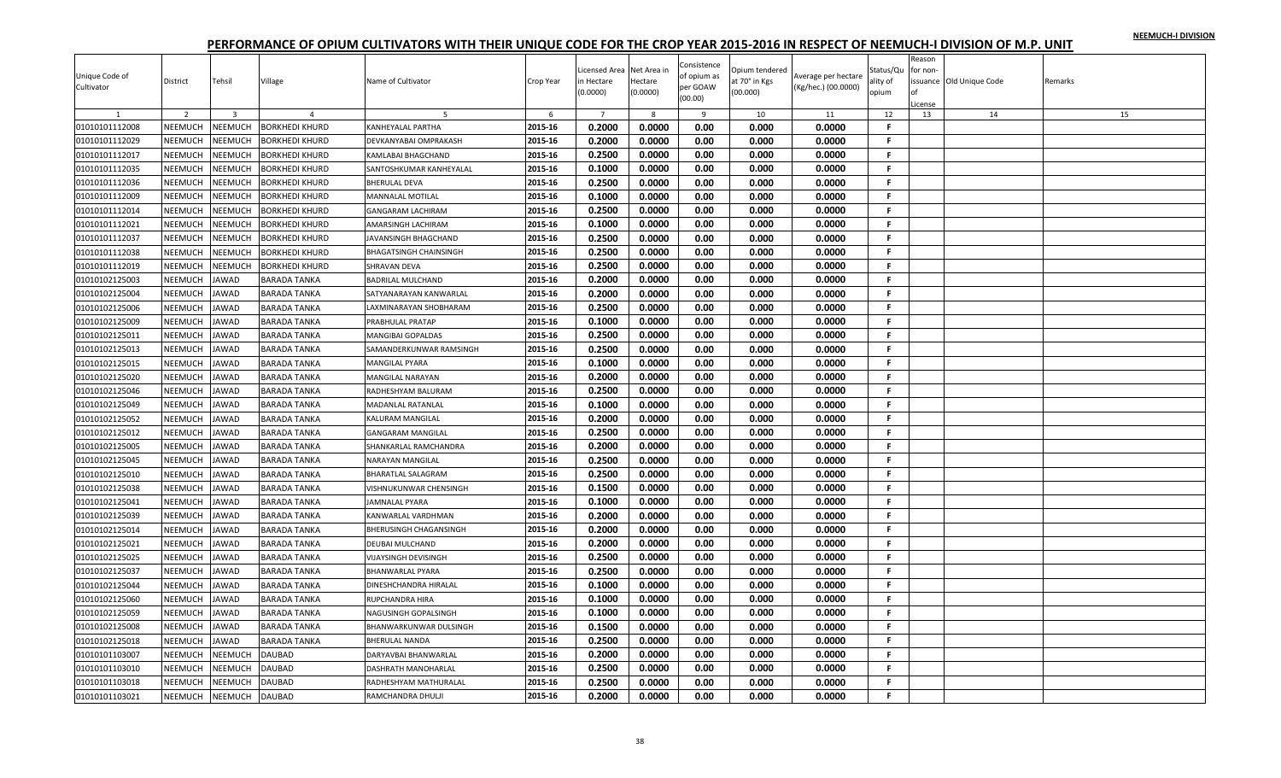|                |                |                |                       |                               |           |                |             |             |                |                     |              | Reason   |                         |         |
|----------------|----------------|----------------|-----------------------|-------------------------------|-----------|----------------|-------------|-------------|----------------|---------------------|--------------|----------|-------------------------|---------|
|                |                |                |                       |                               |           | icensed Area   | Net Area in | Consistence | Opium tendered |                     | Status/Qu    | for non- |                         |         |
| Unique Code of | District       | Tehsil         | Village               | Name of Cultivator            | Crop Year | n Hectare      | Hectare     | of opium as | at 70° in Kgs  | Average per hectare | ality of     |          | ssuance Old Unique Code | Remarks |
| Cultivator     |                |                |                       |                               |           | (0.0000)       | (0.0000)    | per GOAW    | (00.000)       | (Kg/hec.) (00.0000) | opium        |          |                         |         |
|                |                |                |                       |                               |           |                |             | (00.00)     |                |                     |              | License  |                         |         |
|                | 2              | $\overline{3}$ | $\mathbf{A}$          |                               | 6         | $\overline{7}$ | 8           | 9           | 10             | 11                  | 12           | 13       | 14                      | 15      |
| 01010101112008 | NEEMUCH        | NEEMUCH        | <b>BORKHEDI KHURD</b> | KANHEYALAL PARTHA             | 2015-16   | 0.2000         | 0.0000      | 0.00        | 0.000          | 0.0000              | F.           |          |                         |         |
| 01010101112029 | NEEMUCH        | NEEMUCH        | BORKHEDI KHURD        | DEVKANYABAI OMPRAKASH         | 2015-16   | 0.2000         | 0.0000      | 0.00        | 0.000          | 0.0000              | F.           |          |                         |         |
| 01010101112017 | NEEMUCH        | NEEMUCH        | <b>BORKHEDI KHURD</b> | <b>KAMLABAI BHAGCHAND</b>     | 2015-16   | 0.2500         | 0.0000      | 0.00        | 0.000          | 0.0000              | F.           |          |                         |         |
| 01010101112035 | NEEMUCH        | NEEMUCH        | <b>BORKHEDI KHURD</b> | SANTOSHKUMAR KANHEYALAL       | 2015-16   | 0.1000         | 0.0000      | 0.00        | 0.000          | 0.0000              | F.           |          |                         |         |
| 01010101112036 | NEEMUCH        | NEEMUCH        | <b>BORKHEDI KHURD</b> | <b>BHERULAL DEVA</b>          | 2015-16   | 0.2500         | 0.0000      | 0.00        | 0.000          | 0.0000              | F.           |          |                         |         |
| 01010101112009 | NEEMUCH        | <b>NEEMUCH</b> | <b>BORKHEDI KHURD</b> | <b>MANNALAL MOTILAL</b>       | 2015-16   | 0.1000         | 0.0000      | 0.00        | 0.000          | 0.0000              | F.           |          |                         |         |
| 01010101112014 | NEEMUCH        | NEEMUCH        | BORKHEDI KHURD        | <b>GANGARAM LACHIRAM</b>      | 2015-16   | 0.2500         | 0.0000      | 0.00        | 0.000          | 0.0000              | F.           |          |                         |         |
| 01010101112021 | NEEMUCH        | NEEMUCH        | BORKHEDI KHURD        | AMARSINGH LACHIRAM            | 2015-16   | 0.1000         | 0.0000      | 0.00        | 0.000          | 0.0000              | F.           |          |                         |         |
| 01010101112037 | NEEMUCH        | NEEMUCH        | BORKHEDI KHURD        | JAVANSINGH BHAGCHAND          | 2015-16   | 0.2500         | 0.0000      | 0.00        | 0.000          | 0.0000              | F.           |          |                         |         |
| 01010101112038 | NEEMUCH        | <b>NEEMUCH</b> | <b>BORKHEDI KHURD</b> | <b>BHAGATSINGH CHAINSINGH</b> | 2015-16   | 0.2500         | 0.0000      | 0.00        | 0.000          | 0.0000              | F.           |          |                         |         |
| 01010101112019 | NEEMUCH        | NEEMUCH        | BORKHEDI KHURD        | SHRAVAN DEVA                  | 2015-16   | 0.2500         | 0.0000      | 0.00        | 0.000          | 0.0000              | F.           |          |                         |         |
| 01010102125003 | <b>NEEMUCH</b> | <b>JAWAD</b>   | BARADA TANKA          | <b>BADRILAL MULCHAND</b>      | 2015-16   | 0.2000         | 0.0000      | 0.00        | 0.000          | 0.0000              | F.           |          |                         |         |
| 01010102125004 | NEEMUCH        | JAWAD          | <b>BARADA TANKA</b>   | SATYANARAYAN KANWARLAL        | 2015-16   | 0.2000         | 0.0000      | 0.00        | 0.000          | 0.0000              | F.           |          |                         |         |
| 01010102125006 | NEEMUCH        | <b>JAWAD</b>   | BARADA TANKA          | LAXMINARAYAN SHOBHARAM        | 2015-16   | 0.2500         | 0.0000      | 0.00        | 0.000          | 0.0000              | F.           |          |                         |         |
| 01010102125009 | NEEMUCH        | <b>JAWAD</b>   | <b>BARADA TANKA</b>   | PRABHULAL PRATAP              | 2015-16   | 0.1000         | 0.0000      | 0.00        | 0.000          | 0.0000              | F.           |          |                         |         |
| 01010102125011 | NEEMUCH        | <b>JAWAD</b>   | <b>BARADA TANKA</b>   | <b>MANGIBAI GOPALDAS</b>      | 2015-16   | 0.2500         | 0.0000      | 0.00        | 0.000          | 0.0000              | F.           |          |                         |         |
| 01010102125013 | <b>NEEMUCH</b> | <b>JAWAD</b>   | BARADA TANKA          | SAMANDERKUNWAR RAMSINGH       | 2015-16   | 0.2500         | 0.0000      | 0.00        | 0.000          | 0.0000              | F.           |          |                         |         |
| 01010102125015 | <b>NEEMUCH</b> | JAWAD          | BARADA TANKA          | <b>MANGILAL PYARA</b>         | 2015-16   | 0.1000         | 0.0000      | 0.00        | 0.000          | 0.0000              | F.           |          |                         |         |
| 01010102125020 | NEEMUCH        | <b>JAWAD</b>   | <b>BARADA TANKA</b>   | <b>MANGILAL NARAYAN</b>       | 2015-16   | 0.2000         | 0.0000      | 0.00        | 0.000          | 0.0000              | F.           |          |                         |         |
| 01010102125046 | NEEMUCH        | <b>JAWAD</b>   | <b>BARADA TANKA</b>   | RADHESHYAM BALURAM            | 2015-16   | 0.2500         | 0.0000      | 0.00        | 0.000          | 0.0000              | F.           |          |                         |         |
| 01010102125049 | <b>NEEMUCH</b> | <b>JAWAD</b>   | BARADA TANKA          | MADANLAL RATANLAI             | 2015-16   | 0.1000         | 0.0000      | 0.00        | 0.000          | 0.0000              | $\mathbf{F}$ |          |                         |         |
| 01010102125052 | NEEMUCH        | <b>JAWAD</b>   | <b>BARADA TANKA</b>   | <b>KALURAM MANGILAL</b>       | 2015-16   | 0.2000         | 0.0000      | 0.00        | 0.000          | 0.0000              | F.           |          |                         |         |
| 01010102125012 | NEEMUCH        | <b>JAWAD</b>   | BARADA TANKA          | <b>GANGARAM MANGILAL</b>      | 2015-16   | 0.2500         | 0.0000      | 0.00        | 0.000          | 0.0000              | F.           |          |                         |         |
| 01010102125005 | NEEMUCH        | JAWAD          | <b>BARADA TANKA</b>   | SHANKARLAL RAMCHANDRA         | 2015-16   | 0.2000         | 0.0000      | 0.00        | 0.000          | 0.0000              | F.           |          |                         |         |
| 01010102125045 | NEEMUCH        | JAWAD          | <b>BARADA TANKA</b>   | <b>NARAYAN MANGILAL</b>       | 2015-16   | 0.2500         | 0.0000      | 0.00        | 0.000          | 0.0000              | F.           |          |                         |         |
| 01010102125010 | NEEMUCH        | <b>JAWAD</b>   | <b>BARADA TANKA</b>   | BHARATLAL SALAGRAM            | 2015-16   | 0.2500         | 0.0000      | 0.00        | 0.000          | 0.0000              | F.           |          |                         |         |
| 01010102125038 | NEEMUCH        | <b>JAWAD</b>   | BARADA TANKA          | VISHNUKUNWAR CHENSINGH        | 2015-16   | 0.1500         | 0.0000      | 0.00        | 0.000          | 0.0000              | -F.          |          |                         |         |
| 01010102125041 | NEEMUCH        | <b>JAWAD</b>   | <b>BARADA TANKA</b>   | <b>JAMNALAL PYARA</b>         | 2015-16   | 0.1000         | 0.0000      | 0.00        | 0.000          | 0.0000              | F.           |          |                         |         |
| 01010102125039 | NEEMUCH        | <b>JAWAD</b>   | BARADA TANKA          | KANWARLAL VARDHMAN            | 2015-16   | 0.2000         | 0.0000      | 0.00        | 0.000          | 0.0000              | F.           |          |                         |         |
| 01010102125014 | NEEMUCH        | JAWAD          | BARADA TANKA          | BHERUSINGH CHAGANSINGH        | 2015-16   | 0.2000         | 0.0000      | 0.00        | 0.000          | 0.0000              | F.           |          |                         |         |
| 01010102125021 | NEEMUCH        | <b>JAWAD</b>   | <b>BARADA TANKA</b>   | <b>DEUBAI MULCHAND</b>        | 2015-16   | 0.2000         | 0.0000      | 0.00        | 0.000          | 0.0000              | F.           |          |                         |         |
| 01010102125025 | NEEMUCH        | <b>JAWAD</b>   | <b>BARADA TANKA</b>   | <b>VIJAYSINGH DEVISINGH</b>   | 2015-16   | 0.2500         | 0.0000      | 0.00        | 0.000          | 0.0000              | F.           |          |                         |         |
| 01010102125037 | <b>NEEMUCH</b> | <b>JAWAD</b>   | BARADA TANKA          | <b>BHANWARLAL PYARA</b>       | 2015-16   | 0.2500         | 0.0000      | 0.00        | 0.000          | 0.0000              | F.           |          |                         |         |
| 01010102125044 | <b>NEEMUCH</b> | <b>JAWAD</b>   | <b>BARADA TANKA</b>   | DINESHCHANDRA HIRALAL         | 2015-16   | 0.1000         | 0.0000      | 0.00        | 0.000          | 0.0000              | F.           |          |                         |         |
| 01010102125060 | NEEMUCH        | JAWAD          | <b>BARADA TANKA</b>   | RUPCHANDRA HIRA               | 2015-16   | 0.1000         | 0.0000      | 0.00        | 0.000          | 0.0000              | F.           |          |                         |         |
| 01010102125059 | <b>NEEMUCH</b> | <b>JAWAD</b>   | BARADA TANKA          | NAGUSINGH GOPALSINGH          | 2015-16   | 0.1000         | 0.0000      | 0.00        | 0.000          | 0.0000              | F.           |          |                         |         |
| 01010102125008 | NEEMUCH        | <b>JAWAD</b>   | <b>BARADA TANKA</b>   | <b>BHANWARKUNWAR DULSINGH</b> | 2015-16   | 0.1500         | 0.0000      | 0.00        | 0.000          | 0.0000              | F.           |          |                         |         |
| 01010102125018 | NEEMUCH        | JAWAD          | <b>BARADA TANKA</b>   | <b>BHERULAL NANDA</b>         | 2015-16   | 0.2500         | 0.0000      | 0.00        | 0.000          | 0.0000              | F.           |          |                         |         |
| 01010101103007 | <b>NEEMUCH</b> | NEEMUCH        | DAUBAD                | DARYAVBAI BHANWARLAL          | 2015-16   | 0.2000         | 0.0000      | 0.00        | 0.000          | 0.0000              | F.           |          |                         |         |
| 01010101103010 | NEEMUCH        | NEEMUCH        | DAUBAD                | DASHRATH MANOHARLAL           | 2015-16   | 0.2500         | 0.0000      | 0.00        | 0.000          | 0.0000              | F            |          |                         |         |
|                |                |                |                       |                               | 2015-16   | 0.2500         |             |             |                |                     | F.           |          |                         |         |
| 01010101103018 | NEEMUCH        | NEEMUCH        | DAUBAD                | RADHESHYAM MATHURALAL         |           |                | 0.0000      | 0.00        | 0.000          | 0.0000              | F.           |          |                         |         |
| 01010101103021 | NEEMUCH        | <b>NEEMUCH</b> | <b>DAUBAD</b>         | RAMCHANDRA DHULJI             | 2015-16   | 0.2000         | 0.0000      | 0.00        | 0.000          | 0.0000              |              |          |                         |         |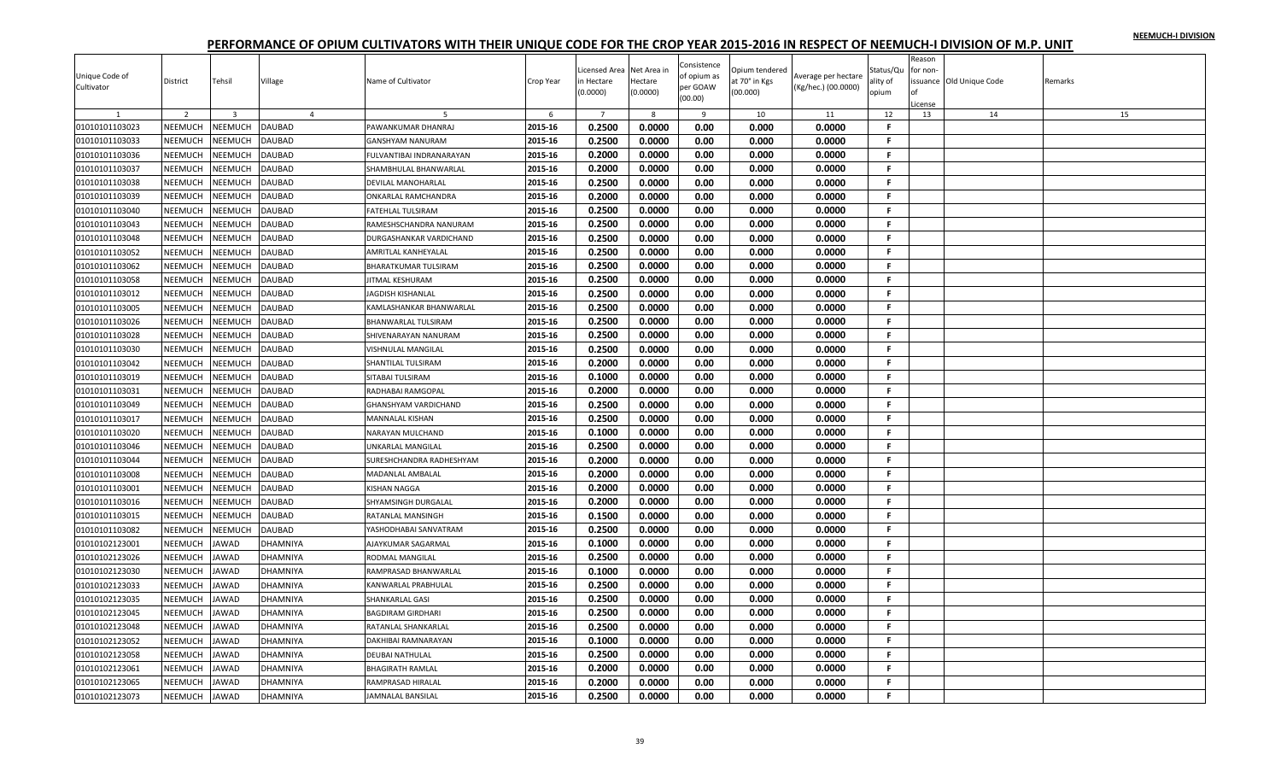|                |                           |                |                 |                             |           | icensed Area     | Net Area ir      | Consistence  | Opium tendered |                     | Status/Qu | Reason<br>for non- |                          |         |
|----------------|---------------------------|----------------|-----------------|-----------------------------|-----------|------------------|------------------|--------------|----------------|---------------------|-----------|--------------------|--------------------------|---------|
| Unique Code of | District                  | Tehsil         | Village         | Name of Cultivator          | Crop Year | h Hectare        | Hectare          | of opium as  | t 70° in Kgs   | Average per hectare | ility of  |                    | issuance Old Unique Code | Remarks |
| Cultivator     |                           |                |                 |                             |           | 0.0000)          | (0.0000)         | per GOAW     | (00.000)       | (Kg/hec.) (00.0000) | opium     |                    |                          |         |
|                |                           |                |                 |                             |           |                  |                  | (00.00)      |                |                     |           | License            |                          |         |
|                | $\overline{2}$            | $\overline{3}$ | $\overline{4}$  |                             | 6         | $\overline{7}$   | 8                | 9            | 10             | 11                  | 12        | 13                 | 14                       | 15      |
| 01010101103023 | NEEMUCH                   | NEEMUCH        | <b>DAUBAD</b>   | PAWANKUMAR DHANRAJ          | 2015-16   | 0.2500           | 0.0000           | 0.00         | 0.000          | 0.0000              | F         |                    |                          |         |
| 01010101103033 | NEEMUCH                   | NEEMUCH        | <b>DAUBAD</b>   | <b>GANSHYAM NANURAM</b>     | 2015-16   | 0.2500           | 0.0000           | 0.00         | 0.000          | 0.0000              | Е         |                    |                          |         |
| 01010101103036 | NEEMUCH                   | NEEMUCH        | DAUBAD          | FULVANTIBAI INDRANARAYAN    | 2015-16   | 0.2000           | 0.0000           | 0.00         | 0.000          | 0.0000              | F.        |                    |                          |         |
| 01010101103037 | <b>NEEMUCH</b>            | <b>NEEMUCH</b> | DAUBAD          | SHAMBHULAL BHANWARLAL       | 2015-16   | 0.2000           | 0.0000           | 0.00         | 0.000          | 0.0000              | F.        |                    |                          |         |
| 01010101103038 | NEEMUCH                   | NEEMUCH        | DAUBAD          | <b>DEVILAL MANOHARLAI</b>   | 2015-16   | 0.2500           | 0.0000           | 0.00         | 0.000          | 0.0000              | F.        |                    |                          |         |
| 01010101103039 | NEEMUCH                   | NEEMUCH        | <b>DAUBAD</b>   | ONKARLAL RAMCHANDRA         | 2015-16   | 0.2000           | 0.0000           | 0.00         | 0.000          | 0.0000              | F.        |                    |                          |         |
| 01010101103040 | <b>NEEMUCH</b>            | NEEMUCH        | DAUBAD          | <b>FATEHLAL TULSIRAM</b>    | 2015-16   | 0.2500           | 0.0000           | 0.00         | 0.000          | 0.0000              | F.        |                    |                          |         |
| 01010101103043 | NEEMUCH                   | NEEMUCH        | DAUBAD          | RAMESHSCHANDRA NANURAM      | 2015-16   | 0.2500           | 0.0000           | 0.00         | 0.000          | 0.0000              | F.        |                    |                          |         |
| 01010101103048 | NEEMUCH                   | NEEMUCH        | DAUBAD          | DURGASHANKAR VARDICHAND     | 2015-16   | 0.2500           | 0.0000           | 0.00         | 0.000          | 0.0000              | F.        |                    |                          |         |
| 01010101103052 | NEEMUCH                   | NEEMUCH        | DAUBAD          | <b>AMRITLAL KANHEYALAL</b>  | 2015-16   | 0.2500           | 0.0000           | 0.00         | 0.000          | 0.0000              | F.        |                    |                          |         |
| 01010101103062 | <b>NEEMUCH</b>            | NEEMUCH        | <b>DAUBAD</b>   | <b>BHARATKUMAR TULSIRAM</b> | 2015-16   | 0.2500           | 0.0000           | 0.00         | 0.000          | 0.0000              | F.        |                    |                          |         |
| 01010101103058 | NEEMUCH                   | NEEMUCH        | DAUBAD          | JITMAL KESHURAM             | 2015-16   | 0.2500           | 0.0000           | 0.00         | 0.000          | 0.0000              | F.        |                    |                          |         |
| 01010101103012 | NEEMUCH                   | NEEMUCH        | DAUBAD          | JAGDISH KISHANLAL           | 2015-16   | 0.2500           | 0.0000           | 0.00         | 0.000          | 0.0000              | F.        |                    |                          |         |
| 01010101103005 | NEEMUCH                   | NEEMUCH        | <b>DAUBAD</b>   | KAMLASHANKAR BHANWARLAL     | 2015-16   | 0.2500           | 0.0000           | 0.00         | 0.000          | 0.0000              | F.        |                    |                          |         |
| 01010101103026 | NEEMUCH                   | NEEMUCH        | DAUBAD          | <b>BHANWARLAL TULSIRAM</b>  | 2015-16   | 0.2500           | 0.0000           | 0.00         | 0.000          | 0.0000              | F.        |                    |                          |         |
| 01010101103028 | NEEMUCH                   | NEEMUCH        | DAUBAD          | SHIVENARAYAN NANURAM        | 2015-16   | 0.2500           | 0.0000           | 0.00         | 0.000          | 0.0000              | F.        |                    |                          |         |
| 01010101103030 | <b>NEEMUCH</b>            | NEEMUCH        | <b>DAUBAD</b>   | <b>VISHNULAL MANGILAL</b>   | 2015-16   | 0.2500           | 0.0000           | 0.00         | 0.000          | 0.0000              | F.        |                    |                          |         |
| 01010101103042 | NEEMUCH                   | NEEMUCH        | <b>DAUBAD</b>   | SHANTILAL TULSIRAM          | 2015-16   | 0.2000           | 0.0000           | 0.00         | 0.000          | 0.0000              | F.        |                    |                          |         |
| 01010101103019 | NEEMUCH                   | NEEMUCH        | DAUBAD          | SITABAI TULSIRAM            | 2015-16   | 0.1000           | 0.0000           | 0.00         | 0.000          | 0.0000              | F.        |                    |                          |         |
| 01010101103031 | NEEMUCH                   | NEEMUCH        | DAUBAD          | RADHABAI RAMGOPAL           | 2015-16   | 0.2000           | 0.0000           | 0.00         | 0.000          | 0.0000              | F.        |                    |                          |         |
| 01010101103049 | NEEMUCH                   | NEEMUCH        | DAUBAD          | <b>GHANSHYAM VARDICHAND</b> | 2015-16   | 0.2500           | 0.0000           | 0.00         | 0.000          | 0.0000              | F.        |                    |                          |         |
| 01010101103017 | NEEMUCH                   | NEEMUCH        | DAUBAD          | MANNALAL KISHAN             | 2015-16   | 0.2500           | 0.0000           | 0.00         | 0.000          | 0.0000              | F.        |                    |                          |         |
| 01010101103020 | <b>NEEMUCH</b>            | NEEMUCH        | <b>DAUBAD</b>   | NARAYAN MULCHAND            | 2015-16   | 0.1000           | 0.0000           | 0.00         | 0.000          | 0.0000              | F         |                    |                          |         |
| 01010101103046 | NEEMUCH                   | <b>NEEMUCH</b> | DAUBAD          | UNKARLAL MANGILAL           | 2015-16   | 0.2500           | 0.0000           | 0.00         | 0.000          | 0.0000              | F.        |                    |                          |         |
| 01010101103044 | NEEMUCH                   | NEEMUCH        | DAUBAD          | SURESHCHANDRA RADHESHYAM    | 2015-16   | 0.2000           | 0.0000           | 0.00         | 0.000          | 0.0000              | F.        |                    |                          |         |
| 01010101103008 | NEEMUCH                   | <b>NEEMUCH</b> | DAUBAD          | MADANLAL AMBALAL            | 2015-16   | 0.2000           | 0.0000           | 0.00         | 0.000          | 0.0000              | F.        |                    |                          |         |
| 01010101103001 | NEEMUCH                   | NEEMUCH        | DAUBAD          | <b>KISHAN NAGGA</b>         | 2015-16   | 0.2000           | 0.0000           | 0.00         | 0.000          | 0.0000              | F.        |                    |                          |         |
|                |                           | NEEMUCH        | <b>DAUBAD</b>   |                             | 2015-16   |                  |                  |              |                | 0.0000              | F.        |                    |                          |         |
| 01010101103016 | NEEMUCH<br><b>NEEMUCH</b> | NEEMUCH        | DAUBAD          | SHYAMSINGH DURGALAL         | 2015-16   | 0.2000<br>0.1500 | 0.0000<br>0.0000 | 0.00<br>0.00 | 0.000<br>0.000 |                     | F.        |                    |                          |         |
| 01010101103015 |                           |                |                 | <b>RATANLAL MANSINGH</b>    |           |                  |                  |              |                | 0.0000              | F.        |                    |                          |         |
| 01010101103082 | NEEMUCH                   | NEEMUCH        | DAUBAD          | YASHODHABAI SANVATRAM       | 2015-16   | 0.2500           | 0.0000           | 0.00         | 0.000          | 0.0000              |           |                    |                          |         |
| 01010102123001 | NEEMUCH                   | <b>JAWAD</b>   | DHAMNIYA        | AJAYKUMAR SAGARMAL          | 2015-16   | 0.1000           | 0.0000           | 0.00         | 0.000          | 0.0000              | F.        |                    |                          |         |
| 01010102123026 | NEEMUCH                   | <b>JAWAD</b>   | DHAMNIYA        | RODMAL MANGILAL             | 2015-16   | 0.2500           | 0.0000           | 0.00         | 0.000          | 0.0000              | F.        |                    |                          |         |
| 01010102123030 | NEEMUCH                   | <b>JAWAD</b>   | DHAMNIYA        | RAMPRASAD BHANWARLAL        | 2015-16   | 0.1000           | 0.0000           | 0.00         | 0.000          | 0.0000              | F.        |                    |                          |         |
| 01010102123033 | <b>NEEMUCH</b>            | <b>JAWAD</b>   | DHAMNIYA        | KANWARLAL PRABHULAL         | 2015-16   | 0.2500           | 0.0000           | 0.00         | 0.000          | 0.0000              | F.        |                    |                          |         |
| 01010102123035 | NEEMUCH                   | JAWAD          | DHAMNIYA        | <b>SHANKARLAL GASI</b>      | 2015-16   | 0.2500           | 0.0000           | 0.00         | 0.000          | 0.0000              | Е         |                    |                          |         |
| 01010102123045 | NEEMUCH                   | <b>JAWAD</b>   | <b>DHAMNIYA</b> | <b>BAGDIRAM GIRDHARI</b>    | 2015-16   | 0.2500           | 0.0000           | 0.00         | 0.000          | 0.0000              | F.        |                    |                          |         |
| 01010102123048 | NEEMUCH                   | <b>JAWAD</b>   | DHAMNIYA        | RATANLAL SHANKARLAL         | 2015-16   | 0.2500           | 0.0000           | 0.00         | 0.000          | 0.0000              | F.        |                    |                          |         |
| 01010102123052 | NEEMUCH                   | <b>JAWAD</b>   | DHAMNIYA        | DAKHIBAI RAMNARAYAN         | 2015-16   | 0.1000           | 0.0000           | 0.00         | 0.000          | 0.0000              | F.        |                    |                          |         |
| 01010102123058 | NEEMUCH                   | <b>JAWAD</b>   | DHAMNIYA        | <b>DEUBAI NATHULAI</b>      | 2015-16   | 0.2500           | 0.0000           | 0.00         | 0.000          | 0.0000              | F.        |                    |                          |         |
| 01010102123061 | NEEMUCH                   | JAWAD          | DHAMNIYA        | <b>BHAGIRATH RAMLAL</b>     | 2015-16   | 0.2000           | 0.0000           | 0.00         | 0.000          | 0.0000              | F         |                    |                          |         |
| 01010102123065 | NEEMUCH                   | <b>JAWAD</b>   | DHAMNIYA        | RAMPRASAD HIRALAL           | 2015-16   | 0.2000           | 0.0000           | 0.00         | 0.000          | 0.0000              | F         |                    |                          |         |
| 01010102123073 | NEEMUCH                   | <b>JAWAD</b>   | <b>DHAMNIYA</b> | <b>JAMNALAL BANSILAL</b>    | 2015-16   | 0.2500           | 0.0000           | 0.00         | 0.000          | 0.0000              | F.        |                    |                          |         |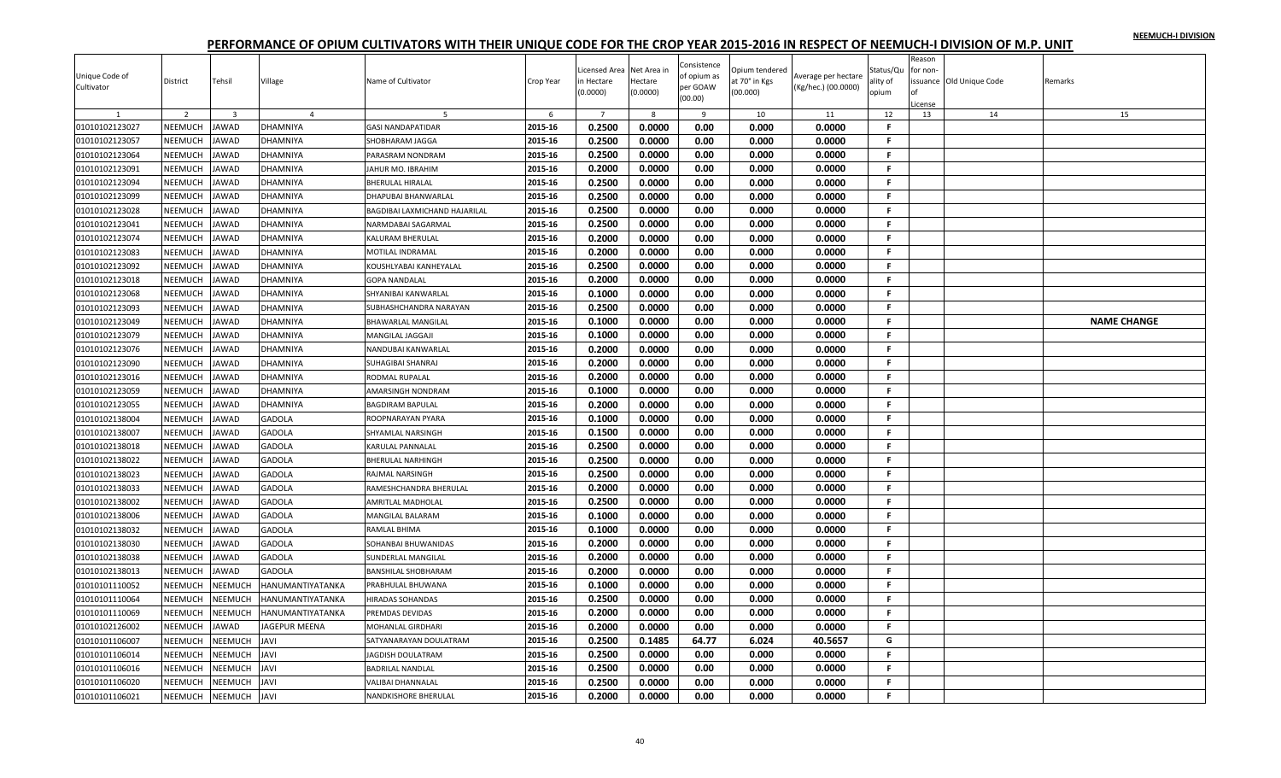| Reason<br>Consistence<br>icensed Area<br>Net Area in<br><b>Jpium tendered</b><br>Status/Qu<br>for non-<br>Unique Code of<br>of opium as<br>Average per hectare<br>District<br>Tehsil<br>Village<br>Name of Cultivator<br>Crop Year<br>n Hectare<br>Hectare<br>at 70° in Kgs<br>ssuance Old Unique Code<br>Remarks<br>ality of<br>per GOAW<br>Cultivator<br>(Kg/hec.) (00.0000)<br>(0.0000)<br>(00.000)<br>(0.0000)<br>opium<br>(00.00)<br>icense<br>2<br>$\overline{7}$<br>12<br>14<br>15<br>$\overline{\mathbf{3}}$<br>$\overline{4}$<br>6<br>8<br>9<br>10<br>11<br>13<br>0.2500<br>0.0000<br>2015-16<br>0.00<br>0.000<br>0.0000<br>$\mathsf{F}$<br>01010102123027<br><b>NEEMUCH</b><br><b>JAWAD</b><br><b>GASI NANDAPATIDAR</b><br><b>DHAMNIYA</b><br>2015-16<br>0.2500<br>0.0000<br>0.00<br>0.0000<br>F.<br>01010102123057<br>NEEMUCH<br>0.000<br><b>JAWAD</b><br>DHAMNIYA<br>SHOBHARAM JAGGA<br>01010102123064<br>NEEMUCH<br>2015-16<br>0.2500<br>0.0000<br>0.00<br>0.000<br>0.0000<br><b>JAWAD</b><br>DHAMNIYA<br>F.<br>PARASRAM NONDRAM<br><b>NEEMUCH</b><br>2015-16<br>0.2000<br>0.0000<br>0.00<br>01010102123091<br><b>JAWAD</b><br><b>DHAMNIYA</b><br>0.000<br>0.0000<br>.F.<br>JAHUR MO. IBRAHIM<br>01010102123094<br>NEEMUCH<br><b>JAWAD</b><br>2015-16<br>0.2500<br>0.0000<br>0.00<br>0.000<br>0.0000<br>DHAMNIYA<br><b>BHERULAL HIRALAL</b><br>F.<br>01010102123099<br>NEEMUCH<br><b>JAWAD</b><br>2015-16<br>0.2500<br>0.0000<br>0.00<br>0.000<br>0.0000<br>-F.<br>DHAMNIYA<br>DHAPUBAI BHANWARLAL<br>NEEMUCH<br>0.2500<br>01010102123028<br><b>JAWAD</b><br>2015-16<br>0.0000<br>0.00<br>0.000<br>0.0000<br>F.<br>DHAMNIYA<br>BAGDIBAI LAXMICHAND HAJARILAL<br>NEEMUCH<br>0.2500<br>0.0000<br>0.00<br>0.000<br>0.0000<br>01010102123041<br><b>JAWAD</b><br>DHAMNIYA<br>2015-16<br>-F.<br>NARMDABAI SAGARMAL<br>2015-16<br>0.2000<br>0.0000<br>0.00<br>0.000<br>0.0000<br>F.<br>01010102123074<br>NEEMUCH<br><b>JAWAD</b><br><b>DHAMNIYA</b><br>KALURAM BHERULAL<br>2015-16<br>0.2000<br>0.0000<br>0.00<br>0.000<br>0.0000<br>01010102123083<br>NEEMUCH<br><b>JAWAD</b><br>DHAMNIYA<br><b>MOTILAL INDRAMAL</b><br>-F.<br>NEEMUCH<br>0.2500<br>01010102123092<br><b>JAWAD</b><br><b>DHAMNIYA</b><br>2015-16<br>0.0000<br>0.00<br>0.000<br>0.0000<br>F.<br>KOUSHLYABAI KANHEYALAL<br>01010102123018<br>NEEMUCH<br>2015-16<br>0.2000<br>0.0000<br>0.00<br>0.000<br><b>JAWAD</b><br>DHAMNIYA<br>0.0000<br>F.<br><b>GOPA NANDALAL</b><br>01010102123068<br>NEEMUCH<br><b>JAWAD</b><br>DHAMNIYA<br>2015-16<br>0.1000<br>0.0000<br>0.00<br>0.000<br>0.0000<br>F.<br>SHYANIBAI KANWARLAL<br>NEEMUCH<br>0.2500<br>01010102123093<br><b>JAWAD</b><br><b>DHAMNIYA</b><br>2015-16<br>0.0000<br>0.00<br>0.000<br>0.0000<br>-F.<br>SUBHASHCHANDRA NARAYAN<br>01010102123049<br>NEEMUCH<br>0.1000<br>0.0000<br>0.00<br>0.000<br>0.0000<br><b>JAWAD</b><br>DHAMNIYA<br>2015-16<br>F.<br><b>BHAWARLAL MANGILAL</b><br><b>NAME CHANGE</b><br>2015-16<br>0.1000<br>01010102123079<br>NEEMUCH<br>0.0000<br>0.00<br>0.000<br>0.0000<br>-F.<br><b>JAWAD</b><br>DHAMNIYA<br>MANGILAL JAGGAJI<br>0.2000<br>01010102123076<br><b>NEEMUCH</b><br>2015-16<br>0.0000<br>0.00<br>0.000<br>0.0000<br>F.<br><b>JAWAD</b><br>DHAMNIYA<br>NANDUBAI KANWARLAL<br>2015-16<br>0.2000<br>0.0000<br>0.00<br>0.000<br>0.0000<br>01010102123090<br>NEEMUCH<br>F.<br><b>JAWAD</b><br>DHAMNIYA<br><b>SUHAGIBAI SHANRAJ</b><br>01010102123016<br>NEEMUCH<br>2015-16<br>0.2000<br>0.0000<br>0.00<br><b>JAWAD</b><br>DHAMNIYA<br>0.000<br>0.0000<br>F.<br>RODMAL RUPALAL<br>01010102123059<br>0.1000<br>0.0000<br>NEEMUCH<br><b>JAWAD</b><br>DHAMNIYA<br>2015-16<br>0.0000<br>0.00<br>0.000<br>-F.<br><b>AMARSINGH NONDRAM</b><br>NEEMUCH<br>01010102123055<br><b>JAWAD</b><br>2015-16<br>0.2000<br>0.0000<br>0.00<br>0.0000<br>-F.<br>DHAMNIYA<br><b>BAGDIRAM BAPULAL</b><br>0.000<br>NEEMUCH<br>0.1000<br>0.0000<br>0.000<br>0.0000<br>01010102138004<br><b>JAWAD</b><br><b>GADOLA</b><br>2015-16<br>0.00<br>F.<br>ROOPNARAYAN PYARA<br><b>NEEMUCH</b><br><b>GADOLA</b><br>2015-16<br>0.1500<br>0.0000<br>0.00<br>0.0000<br>01010102138007<br><b>JAWAD</b><br>0.000<br>F.<br>SHYAMLAL NARSINGH<br>0.2500<br>2015-16<br>0.0000<br>0.00<br>0.000<br>0.0000<br>F.<br>01010102138018<br>NEEMUCH<br><b>JAWAD</b><br>GADOLA<br>KARULAL PANNALAL<br>0.2500<br>0.0000<br>01010102138022<br>NEEMUCH<br>2015-16<br>0.00<br>0.000<br>0.0000<br>F.<br><b>JAWAD</b><br><b>GADOLA</b><br><b>BHERULAL NARHINGH</b><br>0.2500<br>0.0000<br>0.0000<br>01010102138023<br><b>NEEMUCH</b><br>2015-16<br>0.00<br>0.000<br>-F.<br><b>JAWAD</b><br><b>GADOLA</b><br>RAJMAL NARSINGH<br>01010102138033<br>NEEMUCH<br><b>JAWAD</b><br><b>GADOLA</b><br>2015-16<br>0.2000<br>0.0000<br>0.00<br>0.000<br>0.0000<br>RAMESHCHANDRA BHERULAL<br>-F.<br>0.2500<br>01010102138002<br>NEEMUCH<br><b>JAWAD</b><br><b>GADOLA</b><br>2015-16<br>0.0000<br>0.00<br>0.000<br>0.0000<br>-F.<br><b>AMRITLAL MADHOLAL</b><br><b>NEEMUCH</b><br>0.1000<br>0.0000<br>0.00<br>0.000<br>01010102138006<br><b>JAWAD</b><br><b>GADOLA</b><br>2015-16<br>0.0000<br>F.<br><b>MANGILAL BALARAM</b><br>01010102138032<br>NEEMUCH<br><b>JAWAD</b><br>GADOLA<br>2015-16<br>0.1000<br>0.0000<br>0.00<br>0.000<br>0.0000<br>F.<br>RAMLAL BHIMA<br>01010102138030<br>NEEMUCH<br><b>JAWAD</b><br><b>GADOLA</b><br>2015-16<br>0.2000<br>0.0000<br>0.00<br>0.000<br>0.0000<br>-F.<br>SOHANBAI BHUWANIDAS<br>0.2000<br>NEEMUCH<br>2015-16<br>0.0000<br>0.00<br>0.000<br>0.0000<br>-F.<br>01010102138038<br><b>JAWAD</b><br><b>GADOLA</b><br>SUNDERLAL MANGILAL<br>2015-16<br>0.2000<br>0.0000<br>0.00<br>0.000<br>0.0000<br>01010102138013<br>NEEMUCH<br><b>JAWAD</b><br><b>GADOLA</b><br><b>BANSHILAL SHOBHARAM</b><br>.F.<br>NEEMUCH<br>2015-16<br>0.1000<br>0.0000<br>0.00<br>0.000<br>0.0000<br>-F.<br>01010101110052<br>NEEMUCH<br>HANUMANTIYATANKA<br>PRABHULAL BHUWANA<br>NEEMUCH<br>NEEMUCH<br>2015-16<br>0.2500<br>0.0000<br>0.00<br>0.0000<br>01010101110064<br>HANUMANTIYATANKA<br>HIRADAS SOHANDAS<br>0.000<br>F.<br>NEEMUCH<br>0.2000<br>0.0000<br>0.00<br>01010101110069<br>NEEMUCH<br>HANUMANTIYATANKA<br>2015-16<br>0.000<br>0.0000<br>F.<br>PREMDAS DEVIDAS<br>01010102126002<br>NEEMUCH<br><b>JAWAD</b><br>2015-16<br>0.2000<br>0.0000<br>0.00<br>0.000<br>0.0000<br>JAGEPUR MEENA<br>F.<br><b>MOHANLAL GIRDHARI</b><br>NEEMUCH<br>NEEMUCH<br>0.2500<br>0.1485<br>64.77<br>40.5657<br>G<br>01010101106007<br><b>JAVI</b><br>2015-16<br>6.024<br>SATYANARAYAN DOULATRAM<br>0.2500<br>01010101106014<br>NEEMUCH<br>NEEMUCH<br><b>JAVI</b><br>2015-16<br>0.0000<br>0.00<br>0.000<br>0.0000<br>-F.<br><b>JAGDISH DOULATRAM</b><br>0.2500<br>2015-16<br>0.0000<br>0.00<br>0.000<br>0.0000<br>F.<br>01010101106016<br><b>NEEMUCH</b><br><b>NEEMUCH</b><br><b>AVI</b><br><b>BADRILAL NANDLAL</b><br>0.2500<br>NEEMUCH<br>2015-16<br>0.0000<br>0.00<br>0.000<br>0.0000<br>F.<br>01010101106020<br>NEEMUCH<br><b>AVI</b><br>VALIBAI DHANNALAL<br>0.2000<br>0.0000<br>0.00<br>01010101106021<br>NEEMUCH<br><b>NEEMUCH</b><br><b>AVI</b><br>NANDKISHORE BHERULAL<br>2015-16<br>0.000<br>0.0000<br>F. |  |  |  |  |  |  |  |  |
|-------------------------------------------------------------------------------------------------------------------------------------------------------------------------------------------------------------------------------------------------------------------------------------------------------------------------------------------------------------------------------------------------------------------------------------------------------------------------------------------------------------------------------------------------------------------------------------------------------------------------------------------------------------------------------------------------------------------------------------------------------------------------------------------------------------------------------------------------------------------------------------------------------------------------------------------------------------------------------------------------------------------------------------------------------------------------------------------------------------------------------------------------------------------------------------------------------------------------------------------------------------------------------------------------------------------------------------------------------------------------------------------------------------------------------------------------------------------------------------------------------------------------------------------------------------------------------------------------------------------------------------------------------------------------------------------------------------------------------------------------------------------------------------------------------------------------------------------------------------------------------------------------------------------------------------------------------------------------------------------------------------------------------------------------------------------------------------------------------------------------------------------------------------------------------------------------------------------------------------------------------------------------------------------------------------------------------------------------------------------------------------------------------------------------------------------------------------------------------------------------------------------------------------------------------------------------------------------------------------------------------------------------------------------------------------------------------------------------------------------------------------------------------------------------------------------------------------------------------------------------------------------------------------------------------------------------------------------------------------------------------------------------------------------------------------------------------------------------------------------------------------------------------------------------------------------------------------------------------------------------------------------------------------------------------------------------------------------------------------------------------------------------------------------------------------------------------------------------------------------------------------------------------------------------------------------------------------------------------------------------------------------------------------------------------------------------------------------------------------------------------------------------------------------------------------------------------------------------------------------------------------------------------------------------------------------------------------------------------------------------------------------------------------------------------------------------------------------------------------------------------------------------------------------------------------------------------------------------------------------------------------------------------------------------------------------------------------------------------------------------------------------------------------------------------------------------------------------------------------------------------------------------------------------------------------------------------------------------------------------------------------------------------------------------------------------------------------------------------------------------------------------------------------------------------------------------------------------------------------------------------------------------------------------------------------------------------------------------------------------------------------------------------------------------------------------------------------------------------------------------------------------------------------------------------------------------------------------------------------------------------------------------------------------------------------------------------------------------------------------------------------------------------------------------------------------------------------------------------------------------------------------------------------------------------------------------------------------------------------------------------------------------------------------------------------------------------------------------------------------------------------------------------------------------------------------------------------------------------------------------------------------------------------------------------------------------------------------------------------------------------------------------------------------------------------------------------------------------------------------------------------------------------------------------------------------------------------------------------------------------------------------------------------------------------------------------------------------------------------------------------------------------------------------------------------------------------------------------------------------------------------------------------------------------------------------------------------------------------------------------------------------------------------------------------------------------------------------------------------------------------------------------------------------------------------------------------------------------------------------------------------------------------------------------------------------------------------------------------------------------------------------------------------------------------------------------------------------------------------------|--|--|--|--|--|--|--|--|
|                                                                                                                                                                                                                                                                                                                                                                                                                                                                                                                                                                                                                                                                                                                                                                                                                                                                                                                                                                                                                                                                                                                                                                                                                                                                                                                                                                                                                                                                                                                                                                                                                                                                                                                                                                                                                                                                                                                                                                                                                                                                                                                                                                                                                                                                                                                                                                                                                                                                                                                                                                                                                                                                                                                                                                                                                                                                                                                                                                                                                                                                                                                                                                                                                                                                                                                                                                                                                                                                                                                                                                                                                                                                                                                                                                                                                                                                                                                                                                                                                                                                                                                                                                                                                                                                                                                                                                                                                                                                                                                                                                                                                                                                                                                                                                                                                                                                                                                                                                                                                                                                                                                                                                                                                                                                                                                                                                                                                                                                                                                                                                                                                                                                                                                                                                                                                                                                                                                                                                                                                                                                                                                                                                                                                                                                                                                                                                                                                                                                                                                                                                                                                                                                                                                                                                                                                                                                                                                                                                                                                                                                                                                   |  |  |  |  |  |  |  |  |
|                                                                                                                                                                                                                                                                                                                                                                                                                                                                                                                                                                                                                                                                                                                                                                                                                                                                                                                                                                                                                                                                                                                                                                                                                                                                                                                                                                                                                                                                                                                                                                                                                                                                                                                                                                                                                                                                                                                                                                                                                                                                                                                                                                                                                                                                                                                                                                                                                                                                                                                                                                                                                                                                                                                                                                                                                                                                                                                                                                                                                                                                                                                                                                                                                                                                                                                                                                                                                                                                                                                                                                                                                                                                                                                                                                                                                                                                                                                                                                                                                                                                                                                                                                                                                                                                                                                                                                                                                                                                                                                                                                                                                                                                                                                                                                                                                                                                                                                                                                                                                                                                                                                                                                                                                                                                                                                                                                                                                                                                                                                                                                                                                                                                                                                                                                                                                                                                                                                                                                                                                                                                                                                                                                                                                                                                                                                                                                                                                                                                                                                                                                                                                                                                                                                                                                                                                                                                                                                                                                                                                                                                                                                   |  |  |  |  |  |  |  |  |
|                                                                                                                                                                                                                                                                                                                                                                                                                                                                                                                                                                                                                                                                                                                                                                                                                                                                                                                                                                                                                                                                                                                                                                                                                                                                                                                                                                                                                                                                                                                                                                                                                                                                                                                                                                                                                                                                                                                                                                                                                                                                                                                                                                                                                                                                                                                                                                                                                                                                                                                                                                                                                                                                                                                                                                                                                                                                                                                                                                                                                                                                                                                                                                                                                                                                                                                                                                                                                                                                                                                                                                                                                                                                                                                                                                                                                                                                                                                                                                                                                                                                                                                                                                                                                                                                                                                                                                                                                                                                                                                                                                                                                                                                                                                                                                                                                                                                                                                                                                                                                                                                                                                                                                                                                                                                                                                                                                                                                                                                                                                                                                                                                                                                                                                                                                                                                                                                                                                                                                                                                                                                                                                                                                                                                                                                                                                                                                                                                                                                                                                                                                                                                                                                                                                                                                                                                                                                                                                                                                                                                                                                                                                   |  |  |  |  |  |  |  |  |
|                                                                                                                                                                                                                                                                                                                                                                                                                                                                                                                                                                                                                                                                                                                                                                                                                                                                                                                                                                                                                                                                                                                                                                                                                                                                                                                                                                                                                                                                                                                                                                                                                                                                                                                                                                                                                                                                                                                                                                                                                                                                                                                                                                                                                                                                                                                                                                                                                                                                                                                                                                                                                                                                                                                                                                                                                                                                                                                                                                                                                                                                                                                                                                                                                                                                                                                                                                                                                                                                                                                                                                                                                                                                                                                                                                                                                                                                                                                                                                                                                                                                                                                                                                                                                                                                                                                                                                                                                                                                                                                                                                                                                                                                                                                                                                                                                                                                                                                                                                                                                                                                                                                                                                                                                                                                                                                                                                                                                                                                                                                                                                                                                                                                                                                                                                                                                                                                                                                                                                                                                                                                                                                                                                                                                                                                                                                                                                                                                                                                                                                                                                                                                                                                                                                                                                                                                                                                                                                                                                                                                                                                                                                   |  |  |  |  |  |  |  |  |
|                                                                                                                                                                                                                                                                                                                                                                                                                                                                                                                                                                                                                                                                                                                                                                                                                                                                                                                                                                                                                                                                                                                                                                                                                                                                                                                                                                                                                                                                                                                                                                                                                                                                                                                                                                                                                                                                                                                                                                                                                                                                                                                                                                                                                                                                                                                                                                                                                                                                                                                                                                                                                                                                                                                                                                                                                                                                                                                                                                                                                                                                                                                                                                                                                                                                                                                                                                                                                                                                                                                                                                                                                                                                                                                                                                                                                                                                                                                                                                                                                                                                                                                                                                                                                                                                                                                                                                                                                                                                                                                                                                                                                                                                                                                                                                                                                                                                                                                                                                                                                                                                                                                                                                                                                                                                                                                                                                                                                                                                                                                                                                                                                                                                                                                                                                                                                                                                                                                                                                                                                                                                                                                                                                                                                                                                                                                                                                                                                                                                                                                                                                                                                                                                                                                                                                                                                                                                                                                                                                                                                                                                                                                   |  |  |  |  |  |  |  |  |
|                                                                                                                                                                                                                                                                                                                                                                                                                                                                                                                                                                                                                                                                                                                                                                                                                                                                                                                                                                                                                                                                                                                                                                                                                                                                                                                                                                                                                                                                                                                                                                                                                                                                                                                                                                                                                                                                                                                                                                                                                                                                                                                                                                                                                                                                                                                                                                                                                                                                                                                                                                                                                                                                                                                                                                                                                                                                                                                                                                                                                                                                                                                                                                                                                                                                                                                                                                                                                                                                                                                                                                                                                                                                                                                                                                                                                                                                                                                                                                                                                                                                                                                                                                                                                                                                                                                                                                                                                                                                                                                                                                                                                                                                                                                                                                                                                                                                                                                                                                                                                                                                                                                                                                                                                                                                                                                                                                                                                                                                                                                                                                                                                                                                                                                                                                                                                                                                                                                                                                                                                                                                                                                                                                                                                                                                                                                                                                                                                                                                                                                                                                                                                                                                                                                                                                                                                                                                                                                                                                                                                                                                                                                   |  |  |  |  |  |  |  |  |
|                                                                                                                                                                                                                                                                                                                                                                                                                                                                                                                                                                                                                                                                                                                                                                                                                                                                                                                                                                                                                                                                                                                                                                                                                                                                                                                                                                                                                                                                                                                                                                                                                                                                                                                                                                                                                                                                                                                                                                                                                                                                                                                                                                                                                                                                                                                                                                                                                                                                                                                                                                                                                                                                                                                                                                                                                                                                                                                                                                                                                                                                                                                                                                                                                                                                                                                                                                                                                                                                                                                                                                                                                                                                                                                                                                                                                                                                                                                                                                                                                                                                                                                                                                                                                                                                                                                                                                                                                                                                                                                                                                                                                                                                                                                                                                                                                                                                                                                                                                                                                                                                                                                                                                                                                                                                                                                                                                                                                                                                                                                                                                                                                                                                                                                                                                                                                                                                                                                                                                                                                                                                                                                                                                                                                                                                                                                                                                                                                                                                                                                                                                                                                                                                                                                                                                                                                                                                                                                                                                                                                                                                                                                   |  |  |  |  |  |  |  |  |
|                                                                                                                                                                                                                                                                                                                                                                                                                                                                                                                                                                                                                                                                                                                                                                                                                                                                                                                                                                                                                                                                                                                                                                                                                                                                                                                                                                                                                                                                                                                                                                                                                                                                                                                                                                                                                                                                                                                                                                                                                                                                                                                                                                                                                                                                                                                                                                                                                                                                                                                                                                                                                                                                                                                                                                                                                                                                                                                                                                                                                                                                                                                                                                                                                                                                                                                                                                                                                                                                                                                                                                                                                                                                                                                                                                                                                                                                                                                                                                                                                                                                                                                                                                                                                                                                                                                                                                                                                                                                                                                                                                                                                                                                                                                                                                                                                                                                                                                                                                                                                                                                                                                                                                                                                                                                                                                                                                                                                                                                                                                                                                                                                                                                                                                                                                                                                                                                                                                                                                                                                                                                                                                                                                                                                                                                                                                                                                                                                                                                                                                                                                                                                                                                                                                                                                                                                                                                                                                                                                                                                                                                                                                   |  |  |  |  |  |  |  |  |
|                                                                                                                                                                                                                                                                                                                                                                                                                                                                                                                                                                                                                                                                                                                                                                                                                                                                                                                                                                                                                                                                                                                                                                                                                                                                                                                                                                                                                                                                                                                                                                                                                                                                                                                                                                                                                                                                                                                                                                                                                                                                                                                                                                                                                                                                                                                                                                                                                                                                                                                                                                                                                                                                                                                                                                                                                                                                                                                                                                                                                                                                                                                                                                                                                                                                                                                                                                                                                                                                                                                                                                                                                                                                                                                                                                                                                                                                                                                                                                                                                                                                                                                                                                                                                                                                                                                                                                                                                                                                                                                                                                                                                                                                                                                                                                                                                                                                                                                                                                                                                                                                                                                                                                                                                                                                                                                                                                                                                                                                                                                                                                                                                                                                                                                                                                                                                                                                                                                                                                                                                                                                                                                                                                                                                                                                                                                                                                                                                                                                                                                                                                                                                                                                                                                                                                                                                                                                                                                                                                                                                                                                                                                   |  |  |  |  |  |  |  |  |
|                                                                                                                                                                                                                                                                                                                                                                                                                                                                                                                                                                                                                                                                                                                                                                                                                                                                                                                                                                                                                                                                                                                                                                                                                                                                                                                                                                                                                                                                                                                                                                                                                                                                                                                                                                                                                                                                                                                                                                                                                                                                                                                                                                                                                                                                                                                                                                                                                                                                                                                                                                                                                                                                                                                                                                                                                                                                                                                                                                                                                                                                                                                                                                                                                                                                                                                                                                                                                                                                                                                                                                                                                                                                                                                                                                                                                                                                                                                                                                                                                                                                                                                                                                                                                                                                                                                                                                                                                                                                                                                                                                                                                                                                                                                                                                                                                                                                                                                                                                                                                                                                                                                                                                                                                                                                                                                                                                                                                                                                                                                                                                                                                                                                                                                                                                                                                                                                                                                                                                                                                                                                                                                                                                                                                                                                                                                                                                                                                                                                                                                                                                                                                                                                                                                                                                                                                                                                                                                                                                                                                                                                                                                   |  |  |  |  |  |  |  |  |
|                                                                                                                                                                                                                                                                                                                                                                                                                                                                                                                                                                                                                                                                                                                                                                                                                                                                                                                                                                                                                                                                                                                                                                                                                                                                                                                                                                                                                                                                                                                                                                                                                                                                                                                                                                                                                                                                                                                                                                                                                                                                                                                                                                                                                                                                                                                                                                                                                                                                                                                                                                                                                                                                                                                                                                                                                                                                                                                                                                                                                                                                                                                                                                                                                                                                                                                                                                                                                                                                                                                                                                                                                                                                                                                                                                                                                                                                                                                                                                                                                                                                                                                                                                                                                                                                                                                                                                                                                                                                                                                                                                                                                                                                                                                                                                                                                                                                                                                                                                                                                                                                                                                                                                                                                                                                                                                                                                                                                                                                                                                                                                                                                                                                                                                                                                                                                                                                                                                                                                                                                                                                                                                                                                                                                                                                                                                                                                                                                                                                                                                                                                                                                                                                                                                                                                                                                                                                                                                                                                                                                                                                                                                   |  |  |  |  |  |  |  |  |
|                                                                                                                                                                                                                                                                                                                                                                                                                                                                                                                                                                                                                                                                                                                                                                                                                                                                                                                                                                                                                                                                                                                                                                                                                                                                                                                                                                                                                                                                                                                                                                                                                                                                                                                                                                                                                                                                                                                                                                                                                                                                                                                                                                                                                                                                                                                                                                                                                                                                                                                                                                                                                                                                                                                                                                                                                                                                                                                                                                                                                                                                                                                                                                                                                                                                                                                                                                                                                                                                                                                                                                                                                                                                                                                                                                                                                                                                                                                                                                                                                                                                                                                                                                                                                                                                                                                                                                                                                                                                                                                                                                                                                                                                                                                                                                                                                                                                                                                                                                                                                                                                                                                                                                                                                                                                                                                                                                                                                                                                                                                                                                                                                                                                                                                                                                                                                                                                                                                                                                                                                                                                                                                                                                                                                                                                                                                                                                                                                                                                                                                                                                                                                                                                                                                                                                                                                                                                                                                                                                                                                                                                                                                   |  |  |  |  |  |  |  |  |
|                                                                                                                                                                                                                                                                                                                                                                                                                                                                                                                                                                                                                                                                                                                                                                                                                                                                                                                                                                                                                                                                                                                                                                                                                                                                                                                                                                                                                                                                                                                                                                                                                                                                                                                                                                                                                                                                                                                                                                                                                                                                                                                                                                                                                                                                                                                                                                                                                                                                                                                                                                                                                                                                                                                                                                                                                                                                                                                                                                                                                                                                                                                                                                                                                                                                                                                                                                                                                                                                                                                                                                                                                                                                                                                                                                                                                                                                                                                                                                                                                                                                                                                                                                                                                                                                                                                                                                                                                                                                                                                                                                                                                                                                                                                                                                                                                                                                                                                                                                                                                                                                                                                                                                                                                                                                                                                                                                                                                                                                                                                                                                                                                                                                                                                                                                                                                                                                                                                                                                                                                                                                                                                                                                                                                                                                                                                                                                                                                                                                                                                                                                                                                                                                                                                                                                                                                                                                                                                                                                                                                                                                                                                   |  |  |  |  |  |  |  |  |
|                                                                                                                                                                                                                                                                                                                                                                                                                                                                                                                                                                                                                                                                                                                                                                                                                                                                                                                                                                                                                                                                                                                                                                                                                                                                                                                                                                                                                                                                                                                                                                                                                                                                                                                                                                                                                                                                                                                                                                                                                                                                                                                                                                                                                                                                                                                                                                                                                                                                                                                                                                                                                                                                                                                                                                                                                                                                                                                                                                                                                                                                                                                                                                                                                                                                                                                                                                                                                                                                                                                                                                                                                                                                                                                                                                                                                                                                                                                                                                                                                                                                                                                                                                                                                                                                                                                                                                                                                                                                                                                                                                                                                                                                                                                                                                                                                                                                                                                                                                                                                                                                                                                                                                                                                                                                                                                                                                                                                                                                                                                                                                                                                                                                                                                                                                                                                                                                                                                                                                                                                                                                                                                                                                                                                                                                                                                                                                                                                                                                                                                                                                                                                                                                                                                                                                                                                                                                                                                                                                                                                                                                                                                   |  |  |  |  |  |  |  |  |
|                                                                                                                                                                                                                                                                                                                                                                                                                                                                                                                                                                                                                                                                                                                                                                                                                                                                                                                                                                                                                                                                                                                                                                                                                                                                                                                                                                                                                                                                                                                                                                                                                                                                                                                                                                                                                                                                                                                                                                                                                                                                                                                                                                                                                                                                                                                                                                                                                                                                                                                                                                                                                                                                                                                                                                                                                                                                                                                                                                                                                                                                                                                                                                                                                                                                                                                                                                                                                                                                                                                                                                                                                                                                                                                                                                                                                                                                                                                                                                                                                                                                                                                                                                                                                                                                                                                                                                                                                                                                                                                                                                                                                                                                                                                                                                                                                                                                                                                                                                                                                                                                                                                                                                                                                                                                                                                                                                                                                                                                                                                                                                                                                                                                                                                                                                                                                                                                                                                                                                                                                                                                                                                                                                                                                                                                                                                                                                                                                                                                                                                                                                                                                                                                                                                                                                                                                                                                                                                                                                                                                                                                                                                   |  |  |  |  |  |  |  |  |
|                                                                                                                                                                                                                                                                                                                                                                                                                                                                                                                                                                                                                                                                                                                                                                                                                                                                                                                                                                                                                                                                                                                                                                                                                                                                                                                                                                                                                                                                                                                                                                                                                                                                                                                                                                                                                                                                                                                                                                                                                                                                                                                                                                                                                                                                                                                                                                                                                                                                                                                                                                                                                                                                                                                                                                                                                                                                                                                                                                                                                                                                                                                                                                                                                                                                                                                                                                                                                                                                                                                                                                                                                                                                                                                                                                                                                                                                                                                                                                                                                                                                                                                                                                                                                                                                                                                                                                                                                                                                                                                                                                                                                                                                                                                                                                                                                                                                                                                                                                                                                                                                                                                                                                                                                                                                                                                                                                                                                                                                                                                                                                                                                                                                                                                                                                                                                                                                                                                                                                                                                                                                                                                                                                                                                                                                                                                                                                                                                                                                                                                                                                                                                                                                                                                                                                                                                                                                                                                                                                                                                                                                                                                   |  |  |  |  |  |  |  |  |
|                                                                                                                                                                                                                                                                                                                                                                                                                                                                                                                                                                                                                                                                                                                                                                                                                                                                                                                                                                                                                                                                                                                                                                                                                                                                                                                                                                                                                                                                                                                                                                                                                                                                                                                                                                                                                                                                                                                                                                                                                                                                                                                                                                                                                                                                                                                                                                                                                                                                                                                                                                                                                                                                                                                                                                                                                                                                                                                                                                                                                                                                                                                                                                                                                                                                                                                                                                                                                                                                                                                                                                                                                                                                                                                                                                                                                                                                                                                                                                                                                                                                                                                                                                                                                                                                                                                                                                                                                                                                                                                                                                                                                                                                                                                                                                                                                                                                                                                                                                                                                                                                                                                                                                                                                                                                                                                                                                                                                                                                                                                                                                                                                                                                                                                                                                                                                                                                                                                                                                                                                                                                                                                                                                                                                                                                                                                                                                                                                                                                                                                                                                                                                                                                                                                                                                                                                                                                                                                                                                                                                                                                                                                   |  |  |  |  |  |  |  |  |
|                                                                                                                                                                                                                                                                                                                                                                                                                                                                                                                                                                                                                                                                                                                                                                                                                                                                                                                                                                                                                                                                                                                                                                                                                                                                                                                                                                                                                                                                                                                                                                                                                                                                                                                                                                                                                                                                                                                                                                                                                                                                                                                                                                                                                                                                                                                                                                                                                                                                                                                                                                                                                                                                                                                                                                                                                                                                                                                                                                                                                                                                                                                                                                                                                                                                                                                                                                                                                                                                                                                                                                                                                                                                                                                                                                                                                                                                                                                                                                                                                                                                                                                                                                                                                                                                                                                                                                                                                                                                                                                                                                                                                                                                                                                                                                                                                                                                                                                                                                                                                                                                                                                                                                                                                                                                                                                                                                                                                                                                                                                                                                                                                                                                                                                                                                                                                                                                                                                                                                                                                                                                                                                                                                                                                                                                                                                                                                                                                                                                                                                                                                                                                                                                                                                                                                                                                                                                                                                                                                                                                                                                                                                   |  |  |  |  |  |  |  |  |
|                                                                                                                                                                                                                                                                                                                                                                                                                                                                                                                                                                                                                                                                                                                                                                                                                                                                                                                                                                                                                                                                                                                                                                                                                                                                                                                                                                                                                                                                                                                                                                                                                                                                                                                                                                                                                                                                                                                                                                                                                                                                                                                                                                                                                                                                                                                                                                                                                                                                                                                                                                                                                                                                                                                                                                                                                                                                                                                                                                                                                                                                                                                                                                                                                                                                                                                                                                                                                                                                                                                                                                                                                                                                                                                                                                                                                                                                                                                                                                                                                                                                                                                                                                                                                                                                                                                                                                                                                                                                                                                                                                                                                                                                                                                                                                                                                                                                                                                                                                                                                                                                                                                                                                                                                                                                                                                                                                                                                                                                                                                                                                                                                                                                                                                                                                                                                                                                                                                                                                                                                                                                                                                                                                                                                                                                                                                                                                                                                                                                                                                                                                                                                                                                                                                                                                                                                                                                                                                                                                                                                                                                                                                   |  |  |  |  |  |  |  |  |
|                                                                                                                                                                                                                                                                                                                                                                                                                                                                                                                                                                                                                                                                                                                                                                                                                                                                                                                                                                                                                                                                                                                                                                                                                                                                                                                                                                                                                                                                                                                                                                                                                                                                                                                                                                                                                                                                                                                                                                                                                                                                                                                                                                                                                                                                                                                                                                                                                                                                                                                                                                                                                                                                                                                                                                                                                                                                                                                                                                                                                                                                                                                                                                                                                                                                                                                                                                                                                                                                                                                                                                                                                                                                                                                                                                                                                                                                                                                                                                                                                                                                                                                                                                                                                                                                                                                                                                                                                                                                                                                                                                                                                                                                                                                                                                                                                                                                                                                                                                                                                                                                                                                                                                                                                                                                                                                                                                                                                                                                                                                                                                                                                                                                                                                                                                                                                                                                                                                                                                                                                                                                                                                                                                                                                                                                                                                                                                                                                                                                                                                                                                                                                                                                                                                                                                                                                                                                                                                                                                                                                                                                                                                   |  |  |  |  |  |  |  |  |
|                                                                                                                                                                                                                                                                                                                                                                                                                                                                                                                                                                                                                                                                                                                                                                                                                                                                                                                                                                                                                                                                                                                                                                                                                                                                                                                                                                                                                                                                                                                                                                                                                                                                                                                                                                                                                                                                                                                                                                                                                                                                                                                                                                                                                                                                                                                                                                                                                                                                                                                                                                                                                                                                                                                                                                                                                                                                                                                                                                                                                                                                                                                                                                                                                                                                                                                                                                                                                                                                                                                                                                                                                                                                                                                                                                                                                                                                                                                                                                                                                                                                                                                                                                                                                                                                                                                                                                                                                                                                                                                                                                                                                                                                                                                                                                                                                                                                                                                                                                                                                                                                                                                                                                                                                                                                                                                                                                                                                                                                                                                                                                                                                                                                                                                                                                                                                                                                                                                                                                                                                                                                                                                                                                                                                                                                                                                                                                                                                                                                                                                                                                                                                                                                                                                                                                                                                                                                                                                                                                                                                                                                                                                   |  |  |  |  |  |  |  |  |
|                                                                                                                                                                                                                                                                                                                                                                                                                                                                                                                                                                                                                                                                                                                                                                                                                                                                                                                                                                                                                                                                                                                                                                                                                                                                                                                                                                                                                                                                                                                                                                                                                                                                                                                                                                                                                                                                                                                                                                                                                                                                                                                                                                                                                                                                                                                                                                                                                                                                                                                                                                                                                                                                                                                                                                                                                                                                                                                                                                                                                                                                                                                                                                                                                                                                                                                                                                                                                                                                                                                                                                                                                                                                                                                                                                                                                                                                                                                                                                                                                                                                                                                                                                                                                                                                                                                                                                                                                                                                                                                                                                                                                                                                                                                                                                                                                                                                                                                                                                                                                                                                                                                                                                                                                                                                                                                                                                                                                                                                                                                                                                                                                                                                                                                                                                                                                                                                                                                                                                                                                                                                                                                                                                                                                                                                                                                                                                                                                                                                                                                                                                                                                                                                                                                                                                                                                                                                                                                                                                                                                                                                                                                   |  |  |  |  |  |  |  |  |
|                                                                                                                                                                                                                                                                                                                                                                                                                                                                                                                                                                                                                                                                                                                                                                                                                                                                                                                                                                                                                                                                                                                                                                                                                                                                                                                                                                                                                                                                                                                                                                                                                                                                                                                                                                                                                                                                                                                                                                                                                                                                                                                                                                                                                                                                                                                                                                                                                                                                                                                                                                                                                                                                                                                                                                                                                                                                                                                                                                                                                                                                                                                                                                                                                                                                                                                                                                                                                                                                                                                                                                                                                                                                                                                                                                                                                                                                                                                                                                                                                                                                                                                                                                                                                                                                                                                                                                                                                                                                                                                                                                                                                                                                                                                                                                                                                                                                                                                                                                                                                                                                                                                                                                                                                                                                                                                                                                                                                                                                                                                                                                                                                                                                                                                                                                                                                                                                                                                                                                                                                                                                                                                                                                                                                                                                                                                                                                                                                                                                                                                                                                                                                                                                                                                                                                                                                                                                                                                                                                                                                                                                                                                   |  |  |  |  |  |  |  |  |
|                                                                                                                                                                                                                                                                                                                                                                                                                                                                                                                                                                                                                                                                                                                                                                                                                                                                                                                                                                                                                                                                                                                                                                                                                                                                                                                                                                                                                                                                                                                                                                                                                                                                                                                                                                                                                                                                                                                                                                                                                                                                                                                                                                                                                                                                                                                                                                                                                                                                                                                                                                                                                                                                                                                                                                                                                                                                                                                                                                                                                                                                                                                                                                                                                                                                                                                                                                                                                                                                                                                                                                                                                                                                                                                                                                                                                                                                                                                                                                                                                                                                                                                                                                                                                                                                                                                                                                                                                                                                                                                                                                                                                                                                                                                                                                                                                                                                                                                                                                                                                                                                                                                                                                                                                                                                                                                                                                                                                                                                                                                                                                                                                                                                                                                                                                                                                                                                                                                                                                                                                                                                                                                                                                                                                                                                                                                                                                                                                                                                                                                                                                                                                                                                                                                                                                                                                                                                                                                                                                                                                                                                                                                   |  |  |  |  |  |  |  |  |
|                                                                                                                                                                                                                                                                                                                                                                                                                                                                                                                                                                                                                                                                                                                                                                                                                                                                                                                                                                                                                                                                                                                                                                                                                                                                                                                                                                                                                                                                                                                                                                                                                                                                                                                                                                                                                                                                                                                                                                                                                                                                                                                                                                                                                                                                                                                                                                                                                                                                                                                                                                                                                                                                                                                                                                                                                                                                                                                                                                                                                                                                                                                                                                                                                                                                                                                                                                                                                                                                                                                                                                                                                                                                                                                                                                                                                                                                                                                                                                                                                                                                                                                                                                                                                                                                                                                                                                                                                                                                                                                                                                                                                                                                                                                                                                                                                                                                                                                                                                                                                                                                                                                                                                                                                                                                                                                                                                                                                                                                                                                                                                                                                                                                                                                                                                                                                                                                                                                                                                                                                                                                                                                                                                                                                                                                                                                                                                                                                                                                                                                                                                                                                                                                                                                                                                                                                                                                                                                                                                                                                                                                                                                   |  |  |  |  |  |  |  |  |
|                                                                                                                                                                                                                                                                                                                                                                                                                                                                                                                                                                                                                                                                                                                                                                                                                                                                                                                                                                                                                                                                                                                                                                                                                                                                                                                                                                                                                                                                                                                                                                                                                                                                                                                                                                                                                                                                                                                                                                                                                                                                                                                                                                                                                                                                                                                                                                                                                                                                                                                                                                                                                                                                                                                                                                                                                                                                                                                                                                                                                                                                                                                                                                                                                                                                                                                                                                                                                                                                                                                                                                                                                                                                                                                                                                                                                                                                                                                                                                                                                                                                                                                                                                                                                                                                                                                                                                                                                                                                                                                                                                                                                                                                                                                                                                                                                                                                                                                                                                                                                                                                                                                                                                                                                                                                                                                                                                                                                                                                                                                                                                                                                                                                                                                                                                                                                                                                                                                                                                                                                                                                                                                                                                                                                                                                                                                                                                                                                                                                                                                                                                                                                                                                                                                                                                                                                                                                                                                                                                                                                                                                                                                   |  |  |  |  |  |  |  |  |
|                                                                                                                                                                                                                                                                                                                                                                                                                                                                                                                                                                                                                                                                                                                                                                                                                                                                                                                                                                                                                                                                                                                                                                                                                                                                                                                                                                                                                                                                                                                                                                                                                                                                                                                                                                                                                                                                                                                                                                                                                                                                                                                                                                                                                                                                                                                                                                                                                                                                                                                                                                                                                                                                                                                                                                                                                                                                                                                                                                                                                                                                                                                                                                                                                                                                                                                                                                                                                                                                                                                                                                                                                                                                                                                                                                                                                                                                                                                                                                                                                                                                                                                                                                                                                                                                                                                                                                                                                                                                                                                                                                                                                                                                                                                                                                                                                                                                                                                                                                                                                                                                                                                                                                                                                                                                                                                                                                                                                                                                                                                                                                                                                                                                                                                                                                                                                                                                                                                                                                                                                                                                                                                                                                                                                                                                                                                                                                                                                                                                                                                                                                                                                                                                                                                                                                                                                                                                                                                                                                                                                                                                                                                   |  |  |  |  |  |  |  |  |
|                                                                                                                                                                                                                                                                                                                                                                                                                                                                                                                                                                                                                                                                                                                                                                                                                                                                                                                                                                                                                                                                                                                                                                                                                                                                                                                                                                                                                                                                                                                                                                                                                                                                                                                                                                                                                                                                                                                                                                                                                                                                                                                                                                                                                                                                                                                                                                                                                                                                                                                                                                                                                                                                                                                                                                                                                                                                                                                                                                                                                                                                                                                                                                                                                                                                                                                                                                                                                                                                                                                                                                                                                                                                                                                                                                                                                                                                                                                                                                                                                                                                                                                                                                                                                                                                                                                                                                                                                                                                                                                                                                                                                                                                                                                                                                                                                                                                                                                                                                                                                                                                                                                                                                                                                                                                                                                                                                                                                                                                                                                                                                                                                                                                                                                                                                                                                                                                                                                                                                                                                                                                                                                                                                                                                                                                                                                                                                                                                                                                                                                                                                                                                                                                                                                                                                                                                                                                                                                                                                                                                                                                                                                   |  |  |  |  |  |  |  |  |
|                                                                                                                                                                                                                                                                                                                                                                                                                                                                                                                                                                                                                                                                                                                                                                                                                                                                                                                                                                                                                                                                                                                                                                                                                                                                                                                                                                                                                                                                                                                                                                                                                                                                                                                                                                                                                                                                                                                                                                                                                                                                                                                                                                                                                                                                                                                                                                                                                                                                                                                                                                                                                                                                                                                                                                                                                                                                                                                                                                                                                                                                                                                                                                                                                                                                                                                                                                                                                                                                                                                                                                                                                                                                                                                                                                                                                                                                                                                                                                                                                                                                                                                                                                                                                                                                                                                                                                                                                                                                                                                                                                                                                                                                                                                                                                                                                                                                                                                                                                                                                                                                                                                                                                                                                                                                                                                                                                                                                                                                                                                                                                                                                                                                                                                                                                                                                                                                                                                                                                                                                                                                                                                                                                                                                                                                                                                                                                                                                                                                                                                                                                                                                                                                                                                                                                                                                                                                                                                                                                                                                                                                                                                   |  |  |  |  |  |  |  |  |
|                                                                                                                                                                                                                                                                                                                                                                                                                                                                                                                                                                                                                                                                                                                                                                                                                                                                                                                                                                                                                                                                                                                                                                                                                                                                                                                                                                                                                                                                                                                                                                                                                                                                                                                                                                                                                                                                                                                                                                                                                                                                                                                                                                                                                                                                                                                                                                                                                                                                                                                                                                                                                                                                                                                                                                                                                                                                                                                                                                                                                                                                                                                                                                                                                                                                                                                                                                                                                                                                                                                                                                                                                                                                                                                                                                                                                                                                                                                                                                                                                                                                                                                                                                                                                                                                                                                                                                                                                                                                                                                                                                                                                                                                                                                                                                                                                                                                                                                                                                                                                                                                                                                                                                                                                                                                                                                                                                                                                                                                                                                                                                                                                                                                                                                                                                                                                                                                                                                                                                                                                                                                                                                                                                                                                                                                                                                                                                                                                                                                                                                                                                                                                                                                                                                                                                                                                                                                                                                                                                                                                                                                                                                   |  |  |  |  |  |  |  |  |
|                                                                                                                                                                                                                                                                                                                                                                                                                                                                                                                                                                                                                                                                                                                                                                                                                                                                                                                                                                                                                                                                                                                                                                                                                                                                                                                                                                                                                                                                                                                                                                                                                                                                                                                                                                                                                                                                                                                                                                                                                                                                                                                                                                                                                                                                                                                                                                                                                                                                                                                                                                                                                                                                                                                                                                                                                                                                                                                                                                                                                                                                                                                                                                                                                                                                                                                                                                                                                                                                                                                                                                                                                                                                                                                                                                                                                                                                                                                                                                                                                                                                                                                                                                                                                                                                                                                                                                                                                                                                                                                                                                                                                                                                                                                                                                                                                                                                                                                                                                                                                                                                                                                                                                                                                                                                                                                                                                                                                                                                                                                                                                                                                                                                                                                                                                                                                                                                                                                                                                                                                                                                                                                                                                                                                                                                                                                                                                                                                                                                                                                                                                                                                                                                                                                                                                                                                                                                                                                                                                                                                                                                                                                   |  |  |  |  |  |  |  |  |
|                                                                                                                                                                                                                                                                                                                                                                                                                                                                                                                                                                                                                                                                                                                                                                                                                                                                                                                                                                                                                                                                                                                                                                                                                                                                                                                                                                                                                                                                                                                                                                                                                                                                                                                                                                                                                                                                                                                                                                                                                                                                                                                                                                                                                                                                                                                                                                                                                                                                                                                                                                                                                                                                                                                                                                                                                                                                                                                                                                                                                                                                                                                                                                                                                                                                                                                                                                                                                                                                                                                                                                                                                                                                                                                                                                                                                                                                                                                                                                                                                                                                                                                                                                                                                                                                                                                                                                                                                                                                                                                                                                                                                                                                                                                                                                                                                                                                                                                                                                                                                                                                                                                                                                                                                                                                                                                                                                                                                                                                                                                                                                                                                                                                                                                                                                                                                                                                                                                                                                                                                                                                                                                                                                                                                                                                                                                                                                                                                                                                                                                                                                                                                                                                                                                                                                                                                                                                                                                                                                                                                                                                                                                   |  |  |  |  |  |  |  |  |
|                                                                                                                                                                                                                                                                                                                                                                                                                                                                                                                                                                                                                                                                                                                                                                                                                                                                                                                                                                                                                                                                                                                                                                                                                                                                                                                                                                                                                                                                                                                                                                                                                                                                                                                                                                                                                                                                                                                                                                                                                                                                                                                                                                                                                                                                                                                                                                                                                                                                                                                                                                                                                                                                                                                                                                                                                                                                                                                                                                                                                                                                                                                                                                                                                                                                                                                                                                                                                                                                                                                                                                                                                                                                                                                                                                                                                                                                                                                                                                                                                                                                                                                                                                                                                                                                                                                                                                                                                                                                                                                                                                                                                                                                                                                                                                                                                                                                                                                                                                                                                                                                                                                                                                                                                                                                                                                                                                                                                                                                                                                                                                                                                                                                                                                                                                                                                                                                                                                                                                                                                                                                                                                                                                                                                                                                                                                                                                                                                                                                                                                                                                                                                                                                                                                                                                                                                                                                                                                                                                                                                                                                                                                   |  |  |  |  |  |  |  |  |
|                                                                                                                                                                                                                                                                                                                                                                                                                                                                                                                                                                                                                                                                                                                                                                                                                                                                                                                                                                                                                                                                                                                                                                                                                                                                                                                                                                                                                                                                                                                                                                                                                                                                                                                                                                                                                                                                                                                                                                                                                                                                                                                                                                                                                                                                                                                                                                                                                                                                                                                                                                                                                                                                                                                                                                                                                                                                                                                                                                                                                                                                                                                                                                                                                                                                                                                                                                                                                                                                                                                                                                                                                                                                                                                                                                                                                                                                                                                                                                                                                                                                                                                                                                                                                                                                                                                                                                                                                                                                                                                                                                                                                                                                                                                                                                                                                                                                                                                                                                                                                                                                                                                                                                                                                                                                                                                                                                                                                                                                                                                                                                                                                                                                                                                                                                                                                                                                                                                                                                                                                                                                                                                                                                                                                                                                                                                                                                                                                                                                                                                                                                                                                                                                                                                                                                                                                                                                                                                                                                                                                                                                                                                   |  |  |  |  |  |  |  |  |
|                                                                                                                                                                                                                                                                                                                                                                                                                                                                                                                                                                                                                                                                                                                                                                                                                                                                                                                                                                                                                                                                                                                                                                                                                                                                                                                                                                                                                                                                                                                                                                                                                                                                                                                                                                                                                                                                                                                                                                                                                                                                                                                                                                                                                                                                                                                                                                                                                                                                                                                                                                                                                                                                                                                                                                                                                                                                                                                                                                                                                                                                                                                                                                                                                                                                                                                                                                                                                                                                                                                                                                                                                                                                                                                                                                                                                                                                                                                                                                                                                                                                                                                                                                                                                                                                                                                                                                                                                                                                                                                                                                                                                                                                                                                                                                                                                                                                                                                                                                                                                                                                                                                                                                                                                                                                                                                                                                                                                                                                                                                                                                                                                                                                                                                                                                                                                                                                                                                                                                                                                                                                                                                                                                                                                                                                                                                                                                                                                                                                                                                                                                                                                                                                                                                                                                                                                                                                                                                                                                                                                                                                                                                   |  |  |  |  |  |  |  |  |
|                                                                                                                                                                                                                                                                                                                                                                                                                                                                                                                                                                                                                                                                                                                                                                                                                                                                                                                                                                                                                                                                                                                                                                                                                                                                                                                                                                                                                                                                                                                                                                                                                                                                                                                                                                                                                                                                                                                                                                                                                                                                                                                                                                                                                                                                                                                                                                                                                                                                                                                                                                                                                                                                                                                                                                                                                                                                                                                                                                                                                                                                                                                                                                                                                                                                                                                                                                                                                                                                                                                                                                                                                                                                                                                                                                                                                                                                                                                                                                                                                                                                                                                                                                                                                                                                                                                                                                                                                                                                                                                                                                                                                                                                                                                                                                                                                                                                                                                                                                                                                                                                                                                                                                                                                                                                                                                                                                                                                                                                                                                                                                                                                                                                                                                                                                                                                                                                                                                                                                                                                                                                                                                                                                                                                                                                                                                                                                                                                                                                                                                                                                                                                                                                                                                                                                                                                                                                                                                                                                                                                                                                                                                   |  |  |  |  |  |  |  |  |
|                                                                                                                                                                                                                                                                                                                                                                                                                                                                                                                                                                                                                                                                                                                                                                                                                                                                                                                                                                                                                                                                                                                                                                                                                                                                                                                                                                                                                                                                                                                                                                                                                                                                                                                                                                                                                                                                                                                                                                                                                                                                                                                                                                                                                                                                                                                                                                                                                                                                                                                                                                                                                                                                                                                                                                                                                                                                                                                                                                                                                                                                                                                                                                                                                                                                                                                                                                                                                                                                                                                                                                                                                                                                                                                                                                                                                                                                                                                                                                                                                                                                                                                                                                                                                                                                                                                                                                                                                                                                                                                                                                                                                                                                                                                                                                                                                                                                                                                                                                                                                                                                                                                                                                                                                                                                                                                                                                                                                                                                                                                                                                                                                                                                                                                                                                                                                                                                                                                                                                                                                                                                                                                                                                                                                                                                                                                                                                                                                                                                                                                                                                                                                                                                                                                                                                                                                                                                                                                                                                                                                                                                                                                   |  |  |  |  |  |  |  |  |
|                                                                                                                                                                                                                                                                                                                                                                                                                                                                                                                                                                                                                                                                                                                                                                                                                                                                                                                                                                                                                                                                                                                                                                                                                                                                                                                                                                                                                                                                                                                                                                                                                                                                                                                                                                                                                                                                                                                                                                                                                                                                                                                                                                                                                                                                                                                                                                                                                                                                                                                                                                                                                                                                                                                                                                                                                                                                                                                                                                                                                                                                                                                                                                                                                                                                                                                                                                                                                                                                                                                                                                                                                                                                                                                                                                                                                                                                                                                                                                                                                                                                                                                                                                                                                                                                                                                                                                                                                                                                                                                                                                                                                                                                                                                                                                                                                                                                                                                                                                                                                                                                                                                                                                                                                                                                                                                                                                                                                                                                                                                                                                                                                                                                                                                                                                                                                                                                                                                                                                                                                                                                                                                                                                                                                                                                                                                                                                                                                                                                                                                                                                                                                                                                                                                                                                                                                                                                                                                                                                                                                                                                                                                   |  |  |  |  |  |  |  |  |
|                                                                                                                                                                                                                                                                                                                                                                                                                                                                                                                                                                                                                                                                                                                                                                                                                                                                                                                                                                                                                                                                                                                                                                                                                                                                                                                                                                                                                                                                                                                                                                                                                                                                                                                                                                                                                                                                                                                                                                                                                                                                                                                                                                                                                                                                                                                                                                                                                                                                                                                                                                                                                                                                                                                                                                                                                                                                                                                                                                                                                                                                                                                                                                                                                                                                                                                                                                                                                                                                                                                                                                                                                                                                                                                                                                                                                                                                                                                                                                                                                                                                                                                                                                                                                                                                                                                                                                                                                                                                                                                                                                                                                                                                                                                                                                                                                                                                                                                                                                                                                                                                                                                                                                                                                                                                                                                                                                                                                                                                                                                                                                                                                                                                                                                                                                                                                                                                                                                                                                                                                                                                                                                                                                                                                                                                                                                                                                                                                                                                                                                                                                                                                                                                                                                                                                                                                                                                                                                                                                                                                                                                                                                   |  |  |  |  |  |  |  |  |
|                                                                                                                                                                                                                                                                                                                                                                                                                                                                                                                                                                                                                                                                                                                                                                                                                                                                                                                                                                                                                                                                                                                                                                                                                                                                                                                                                                                                                                                                                                                                                                                                                                                                                                                                                                                                                                                                                                                                                                                                                                                                                                                                                                                                                                                                                                                                                                                                                                                                                                                                                                                                                                                                                                                                                                                                                                                                                                                                                                                                                                                                                                                                                                                                                                                                                                                                                                                                                                                                                                                                                                                                                                                                                                                                                                                                                                                                                                                                                                                                                                                                                                                                                                                                                                                                                                                                                                                                                                                                                                                                                                                                                                                                                                                                                                                                                                                                                                                                                                                                                                                                                                                                                                                                                                                                                                                                                                                                                                                                                                                                                                                                                                                                                                                                                                                                                                                                                                                                                                                                                                                                                                                                                                                                                                                                                                                                                                                                                                                                                                                                                                                                                                                                                                                                                                                                                                                                                                                                                                                                                                                                                                                   |  |  |  |  |  |  |  |  |
|                                                                                                                                                                                                                                                                                                                                                                                                                                                                                                                                                                                                                                                                                                                                                                                                                                                                                                                                                                                                                                                                                                                                                                                                                                                                                                                                                                                                                                                                                                                                                                                                                                                                                                                                                                                                                                                                                                                                                                                                                                                                                                                                                                                                                                                                                                                                                                                                                                                                                                                                                                                                                                                                                                                                                                                                                                                                                                                                                                                                                                                                                                                                                                                                                                                                                                                                                                                                                                                                                                                                                                                                                                                                                                                                                                                                                                                                                                                                                                                                                                                                                                                                                                                                                                                                                                                                                                                                                                                                                                                                                                                                                                                                                                                                                                                                                                                                                                                                                                                                                                                                                                                                                                                                                                                                                                                                                                                                                                                                                                                                                                                                                                                                                                                                                                                                                                                                                                                                                                                                                                                                                                                                                                                                                                                                                                                                                                                                                                                                                                                                                                                                                                                                                                                                                                                                                                                                                                                                                                                                                                                                                                                   |  |  |  |  |  |  |  |  |
|                                                                                                                                                                                                                                                                                                                                                                                                                                                                                                                                                                                                                                                                                                                                                                                                                                                                                                                                                                                                                                                                                                                                                                                                                                                                                                                                                                                                                                                                                                                                                                                                                                                                                                                                                                                                                                                                                                                                                                                                                                                                                                                                                                                                                                                                                                                                                                                                                                                                                                                                                                                                                                                                                                                                                                                                                                                                                                                                                                                                                                                                                                                                                                                                                                                                                                                                                                                                                                                                                                                                                                                                                                                                                                                                                                                                                                                                                                                                                                                                                                                                                                                                                                                                                                                                                                                                                                                                                                                                                                                                                                                                                                                                                                                                                                                                                                                                                                                                                                                                                                                                                                                                                                                                                                                                                                                                                                                                                                                                                                                                                                                                                                                                                                                                                                                                                                                                                                                                                                                                                                                                                                                                                                                                                                                                                                                                                                                                                                                                                                                                                                                                                                                                                                                                                                                                                                                                                                                                                                                                                                                                                                                   |  |  |  |  |  |  |  |  |
|                                                                                                                                                                                                                                                                                                                                                                                                                                                                                                                                                                                                                                                                                                                                                                                                                                                                                                                                                                                                                                                                                                                                                                                                                                                                                                                                                                                                                                                                                                                                                                                                                                                                                                                                                                                                                                                                                                                                                                                                                                                                                                                                                                                                                                                                                                                                                                                                                                                                                                                                                                                                                                                                                                                                                                                                                                                                                                                                                                                                                                                                                                                                                                                                                                                                                                                                                                                                                                                                                                                                                                                                                                                                                                                                                                                                                                                                                                                                                                                                                                                                                                                                                                                                                                                                                                                                                                                                                                                                                                                                                                                                                                                                                                                                                                                                                                                                                                                                                                                                                                                                                                                                                                                                                                                                                                                                                                                                                                                                                                                                                                                                                                                                                                                                                                                                                                                                                                                                                                                                                                                                                                                                                                                                                                                                                                                                                                                                                                                                                                                                                                                                                                                                                                                                                                                                                                                                                                                                                                                                                                                                                                                   |  |  |  |  |  |  |  |  |
|                                                                                                                                                                                                                                                                                                                                                                                                                                                                                                                                                                                                                                                                                                                                                                                                                                                                                                                                                                                                                                                                                                                                                                                                                                                                                                                                                                                                                                                                                                                                                                                                                                                                                                                                                                                                                                                                                                                                                                                                                                                                                                                                                                                                                                                                                                                                                                                                                                                                                                                                                                                                                                                                                                                                                                                                                                                                                                                                                                                                                                                                                                                                                                                                                                                                                                                                                                                                                                                                                                                                                                                                                                                                                                                                                                                                                                                                                                                                                                                                                                                                                                                                                                                                                                                                                                                                                                                                                                                                                                                                                                                                                                                                                                                                                                                                                                                                                                                                                                                                                                                                                                                                                                                                                                                                                                                                                                                                                                                                                                                                                                                                                                                                                                                                                                                                                                                                                                                                                                                                                                                                                                                                                                                                                                                                                                                                                                                                                                                                                                                                                                                                                                                                                                                                                                                                                                                                                                                                                                                                                                                                                                                   |  |  |  |  |  |  |  |  |
|                                                                                                                                                                                                                                                                                                                                                                                                                                                                                                                                                                                                                                                                                                                                                                                                                                                                                                                                                                                                                                                                                                                                                                                                                                                                                                                                                                                                                                                                                                                                                                                                                                                                                                                                                                                                                                                                                                                                                                                                                                                                                                                                                                                                                                                                                                                                                                                                                                                                                                                                                                                                                                                                                                                                                                                                                                                                                                                                                                                                                                                                                                                                                                                                                                                                                                                                                                                                                                                                                                                                                                                                                                                                                                                                                                                                                                                                                                                                                                                                                                                                                                                                                                                                                                                                                                                                                                                                                                                                                                                                                                                                                                                                                                                                                                                                                                                                                                                                                                                                                                                                                                                                                                                                                                                                                                                                                                                                                                                                                                                                                                                                                                                                                                                                                                                                                                                                                                                                                                                                                                                                                                                                                                                                                                                                                                                                                                                                                                                                                                                                                                                                                                                                                                                                                                                                                                                                                                                                                                                                                                                                                                                   |  |  |  |  |  |  |  |  |
|                                                                                                                                                                                                                                                                                                                                                                                                                                                                                                                                                                                                                                                                                                                                                                                                                                                                                                                                                                                                                                                                                                                                                                                                                                                                                                                                                                                                                                                                                                                                                                                                                                                                                                                                                                                                                                                                                                                                                                                                                                                                                                                                                                                                                                                                                                                                                                                                                                                                                                                                                                                                                                                                                                                                                                                                                                                                                                                                                                                                                                                                                                                                                                                                                                                                                                                                                                                                                                                                                                                                                                                                                                                                                                                                                                                                                                                                                                                                                                                                                                                                                                                                                                                                                                                                                                                                                                                                                                                                                                                                                                                                                                                                                                                                                                                                                                                                                                                                                                                                                                                                                                                                                                                                                                                                                                                                                                                                                                                                                                                                                                                                                                                                                                                                                                                                                                                                                                                                                                                                                                                                                                                                                                                                                                                                                                                                                                                                                                                                                                                                                                                                                                                                                                                                                                                                                                                                                                                                                                                                                                                                                                                   |  |  |  |  |  |  |  |  |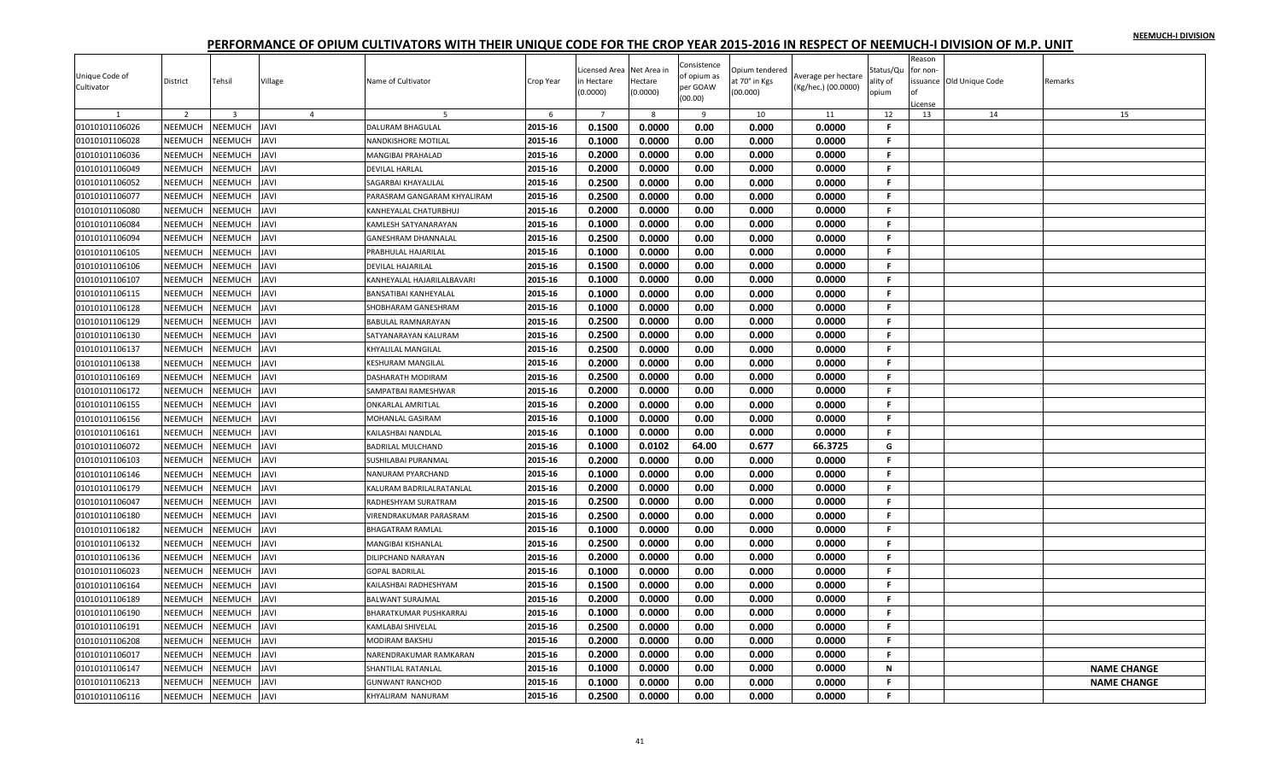|                              |                |                |                |                               |           | icensed Area   | Net Area in | Consistence             | Opium tendered |                     | Status/Qu    | Reason<br>for non- |                         |                    |
|------------------------------|----------------|----------------|----------------|-------------------------------|-----------|----------------|-------------|-------------------------|----------------|---------------------|--------------|--------------------|-------------------------|--------------------|
| Unique Code of<br>Cultivator | District       | Tehsil         | Village        | Name of Cultivator            | Crop Year | n Hectare      | Hectare     | of opium as<br>per GOAW | at 70° in Kgs  | Average per hectare | ality of     |                    | ssuance Old Unique Code | Remarks            |
|                              |                |                |                |                               |           | (0.0000)       | (0.0000)    | (00.00)                 | (00.000)       | (Kg/hec.) (00.0000) | opium        |                    |                         |                    |
|                              | 2              | $\overline{3}$ | $\overline{4}$ |                               | 6         | $\overline{7}$ | 8           | 9                       | 10             | 11                  | 12           | icense<br>13       | 14                      | 15                 |
| 01010101106026               | <b>NEEMUCH</b> | NEEMUCH        | <b>JAVI</b>    | <b>DALURAM BHAGULAL</b>       | 2015-16   | 0.1500         | 0.0000      | 0.00                    | 0.000          | 0.0000              | $\mathsf{F}$ |                    |                         |                    |
| 01010101106028               | NEEMUCH        | NEEMUCH        | <b>JAVI</b>    | NANDKISHORE MOTILAL           | 2015-16   | 0.1000         | 0.0000      | 0.00                    | 0.000          | 0.0000              | F.           |                    |                         |                    |
| 01010101106036               | NEEMUCH        | NEEMUCH        | <b>JAVI</b>    | <b>MANGIBAI PRAHALAD</b>      | 2015-16   | 0.2000         | 0.0000      | 0.00                    | 0.000          | 0.0000              | F.           |                    |                         |                    |
| 01010101106049               | <b>NEEMUCH</b> | <b>NEEMUCH</b> | <b>IVAL</b>    | <b>DEVILAL HARLAL</b>         | 2015-16   | 0.2000         | 0.0000      | 0.00                    | 0.000          | 0.0000              | -F.          |                    |                         |                    |
| 01010101106052               | NEEMUCH        | NEEMUCH        | <b>IVAL</b>    | SAGARBAI KHAYALILAL           | 2015-16   | 0.2500         | 0.0000      | 0.00                    | 0.000          | 0.0000              | -F.          |                    |                         |                    |
| 01010101106077               | NEEMUCH        | NEEMUCH        | <b>JAVI</b>    | PARASRAM GANGARAM KHYALIRAM   | 2015-16   | 0.2500         | 0.0000      | 0.00                    | 0.000          | 0.0000              | $\mathsf F$  |                    |                         |                    |
| 01010101106080               | <b>NEEMUCH</b> | NEEMUCH        | <b>IVAL</b>    | KANHEYALAL CHATURBHUJ         | 2015-16   | 0.2000         | 0.0000      | 0.00                    | 0.000          | 0.0000              | F.           |                    |                         |                    |
| 01010101106084               | NEEMUCH        | NEEMUCH        | <b>JAVI</b>    | KAMLESH SATYANARAYAN          | 2015-16   | 0.1000         | 0.0000      | 0.00                    | 0.000          | 0.0000              | -F.          |                    |                         |                    |
| 01010101106094               | NEEMUCH        | NEEMUCH        | <b>JAVI</b>    | <b>GANESHRAM DHANNALAL</b>    | 2015-16   | 0.2500         | 0.0000      | 0.00                    | 0.000          | 0.0000              | -F.          |                    |                         |                    |
| 01010101106105               | NEEMUCH        | NEEMUCH        | <b>IVAL</b>    | PRABHULAL HAJARILAL           | 2015-16   | 0.1000         | 0.0000      | 0.00                    | 0.000          | 0.0000              | -F.          |                    |                         |                    |
| 01010101106106               | NEEMUCH        | NEEMUCH        | <b>JAVI</b>    | <b>DEVILAL HAJARILAL</b>      | 2015-16   | 0.1500         | 0.0000      | 0.00                    | 0.000          | 0.0000              | F.           |                    |                         |                    |
| 01010101106107               | NEEMUCH        | NEEMUCH        | <b>JAVI</b>    | KANHEYALAL HAJARILALBAVARI    | 2015-16   | 0.1000         | 0.0000      | 0.00                    | 0.000          | 0.0000              | F.           |                    |                         |                    |
| 01010101106115               | NEEMUCH        | NEEMUCH        | <b>AVI</b>     | BANSATIBAI KANHEYALAL         | 2015-16   | 0.1000         | 0.0000      | 0.00                    | 0.000          | 0.0000              | F.           |                    |                         |                    |
| 01010101106128               | NEEMUCH        | NEEMUCH        | <b>JAVI</b>    | SHOBHARAM GANESHRAM           | 2015-16   | 0.1000         | 0.0000      | 0.00                    | 0.000          | 0.0000              | -F.          |                    |                         |                    |
| 01010101106129               | NEEMUCH        | NEEMUCH        | <b>JAVI</b>    | <b>BABULAL RAMNARAYAN</b>     | 2015-16   | 0.2500         | 0.0000      | 0.00                    | 0.000          | 0.0000              | F.           |                    |                         |                    |
| 01010101106130               | NEEMUCH        | NEEMUCH        | <b>IVAL</b>    | SATYANARAYAN KALURAM          | 2015-16   | 0.2500         | 0.0000      | 0.00                    | 0.000          | 0.0000              | -F.          |                    |                         |                    |
| 01010101106137               | NEEMUCH        | NEEMUCH        | <b>IVAL</b>    | <b>KHYALILAL MANGILAL</b>     | 2015-16   | 0.2500         | 0.0000      | 0.00                    | 0.000          | 0.0000              | -F.          |                    |                         |                    |
| 01010101106138               | NEEMUCH        | NEEMUCH        | <b>IVAL</b>    | <b>KESHURAM MANGILAL</b>      | 2015-16   | 0.2000         | 0.0000      | 0.00                    | 0.000          | 0.0000              | F.           |                    |                         |                    |
| 01010101106169               | NEEMUCH        | NEEMUCH        | IAVI           | DASHARATH MODIRAM             | 2015-16   | 0.2500         | 0.0000      | 0.00                    | 0.000          | 0.0000              | F.           |                    |                         |                    |
| 01010101106172               | NEEMUCH        | NEEMUCH        | <b>IVAL</b>    | SAMPATBAI RAMESHWAR           | 2015-16   | 0.2000         | 0.0000      | 0.00                    | 0.000          | 0.0000              | -F.          |                    |                         |                    |
| 01010101106155               | NEEMUCH        | NEEMUCH        | <b>JAVI</b>    | <b>ONKARLAL AMRITLAL</b>      | 2015-16   | 0.2000         | 0.0000      | 0.00                    | 0.000          | 0.0000              | -F.          |                    |                         |                    |
| 01010101106156               | NEEMUCH        | <b>NEEMUCH</b> | <b>IVAL</b>    | MOHANLAL GASIRAM              | 2015-16   | 0.1000         | 0.0000      | 0.00                    | 0.000          | 0.0000              | F.           |                    |                         |                    |
| 01010101106161               | NEEMUCH        | NEEMUCH        | <b>JAVI</b>    | KAILASHBAI NANDLAL            | 2015-16   | 0.1000         | 0.0000      | 0.00                    | 0.000          | 0.0000              | F.           |                    |                         |                    |
| 01010101106072               | <b>NEEMUCH</b> | <b>NEEMUCH</b> | <b>JAVI</b>    | <b>BADRILAL MULCHAND</b>      | 2015-16   | 0.1000         | 0.0102      | 64.00                   | 0.677          | 66.3725             | G            |                    |                         |                    |
| 01010101106103               | NEEMUCH        | NEEMUCH        | <b>JAVI</b>    | SUSHILABAI PURANMAL           | 2015-16   | 0.2000         | 0.0000      | 0.00                    | 0.000          | 0.0000              | F.           |                    |                         |                    |
| 01010101106146               | <b>NEEMUCH</b> | NEEMUCH        | <b>IVAL</b>    | NANURAM PYARCHAND             | 2015-16   | 0.1000         | 0.0000      | 0.00                    | 0.000          | 0.0000              | -F.          |                    |                         |                    |
| 01010101106179               | NEEMUCH        | NEEMUCH        | <b>JAVI</b>    | KALURAM BADRILALRATANLAL      | 2015-16   | 0.2000         | 0.0000      | 0.00                    | 0.000          | 0.0000              | -F.          |                    |                         |                    |
| 01010101106047               | NEEMUCH        | NEEMUCH        | <b>JAVI</b>    | RADHESHYAM SURATRAM           | 2015-16   | 0.2500         | 0.0000      | 0.00                    | 0.000          | 0.0000              | -F.          |                    |                         |                    |
| 01010101106180               | <b>NEEMUCH</b> | NEEMUCH        | <b>IVAL</b>    | <b>VIRENDRAKUMAR PARASRAM</b> | 2015-16   | 0.2500         | 0.0000      | 0.00                    | 0.000          | 0.0000              | -F.          |                    |                         |                    |
| 01010101106182               | NEEMUCH        | NEEMUCH        | <b>AVI</b>     | <b>BHAGATRAM RAMLAL</b>       | 2015-16   | 0.1000         | 0.0000      | 0.00                    | 0.000          | 0.0000              | -F.          |                    |                         |                    |
| 01010101106132               | NEEMUCH        | NEEMUCH        | <b>JAVI</b>    | <b>MANGIBAI KISHANLAL</b>     | 2015-16   | 0.2500         | 0.0000      | 0.00                    | 0.000          | 0.0000              | $\mathbf{F}$ |                    |                         |                    |
| 01010101106136               | NEEMUCH        | NEEMUCH        | <b>JAVI</b>    | <b>DILIPCHAND NARAYAN</b>     | 2015-16   | 0.2000         | 0.0000      | 0.00                    | 0.000          | 0.0000              | -F.          |                    |                         |                    |
| 01010101106023               | NEEMUCH        | NEEMUCH        | <b>JAVI</b>    | <b>GOPAL BADRILAL</b>         | 2015-16   | 0.1000         | 0.0000      | 0.00                    | 0.000          | 0.0000              | .F.          |                    |                         |                    |
| 01010101106164               | NEEMUCH        | NEEMUCH        | <b>JAVI</b>    | KAILASHBAI RADHESHYAM         | 2015-16   | 0.1500         | 0.0000      | 0.00                    | 0.000          | 0.0000              | -F.          |                    |                         |                    |
| 01010101106189               | NEEMUCH        | NEEMUCH        | <b>AVI</b>     | <b>BALWANT SURAJMAL</b>       | 2015-16   | 0.2000         | 0.0000      | 0.00                    | 0.000          | 0.0000              | F.           |                    |                         |                    |
| 01010101106190               | NEEMUCH        | <b>NEEMUCH</b> | <b>JAVI</b>    | <b>BHARATKUMAR PUSHKARRAJ</b> | 2015-16   | 0.1000         | 0.0000      | 0.00                    | 0.000          | 0.0000              | -F.          |                    |                         |                    |
| 01010101106191               | NEEMUCH        | NEEMUCH        | <b>JAVI</b>    | <b>KAMLABAI SHIVELAL</b>      | 2015-16   | 0.2500         | 0.0000      | 0.00                    | 0.000          | 0.0000              | F.           |                    |                         |                    |
| 01010101106208               | NEEMUCH        | NEEMUCH        | <b>JAVI</b>    | MODIRAM BAKSHU                | 2015-16   | 0.2000         | 0.0000      | 0.00                    | 0.000          | 0.0000              | F.           |                    |                         |                    |
| 01010101106017               | NEEMUCH        | NEEMUCH        | <b>JAVI</b>    | NARENDRAKUMAR RAMKARAN        | 2015-16   | 0.2000         | 0.0000      | 0.00                    | 0.000          | 0.0000              | -F.          |                    |                         |                    |
| 01010101106147               | <b>NEEMUCH</b> | <b>NEEMUCH</b> | <b>AVI</b>     | SHANTILAL RATANLAL            | 2015-16   | 0.1000         | 0.0000      | 0.00                    | 0.000          | 0.0000              | N            |                    |                         | <b>NAME CHANGE</b> |
| 01010101106213               | <b>NEEMUCH</b> | NEEMUCH        | <b>AVI</b>     | <b>GUNWANT RANCHOD</b>        | 2015-16   | 0.1000         | 0.0000      | 0.00                    | 0.000          | 0.0000              | F.           |                    |                         | <b>NAME CHANGE</b> |
| 01010101106116               | <b>NEEMUCH</b> | NEEMUCH        | <b>AVI</b>     | KHYALIRAM NANURAM             | 2015-16   | 0.2500         | 0.0000      | 0.00                    | 0.000          | 0.0000              | F.           |                    |                         |                    |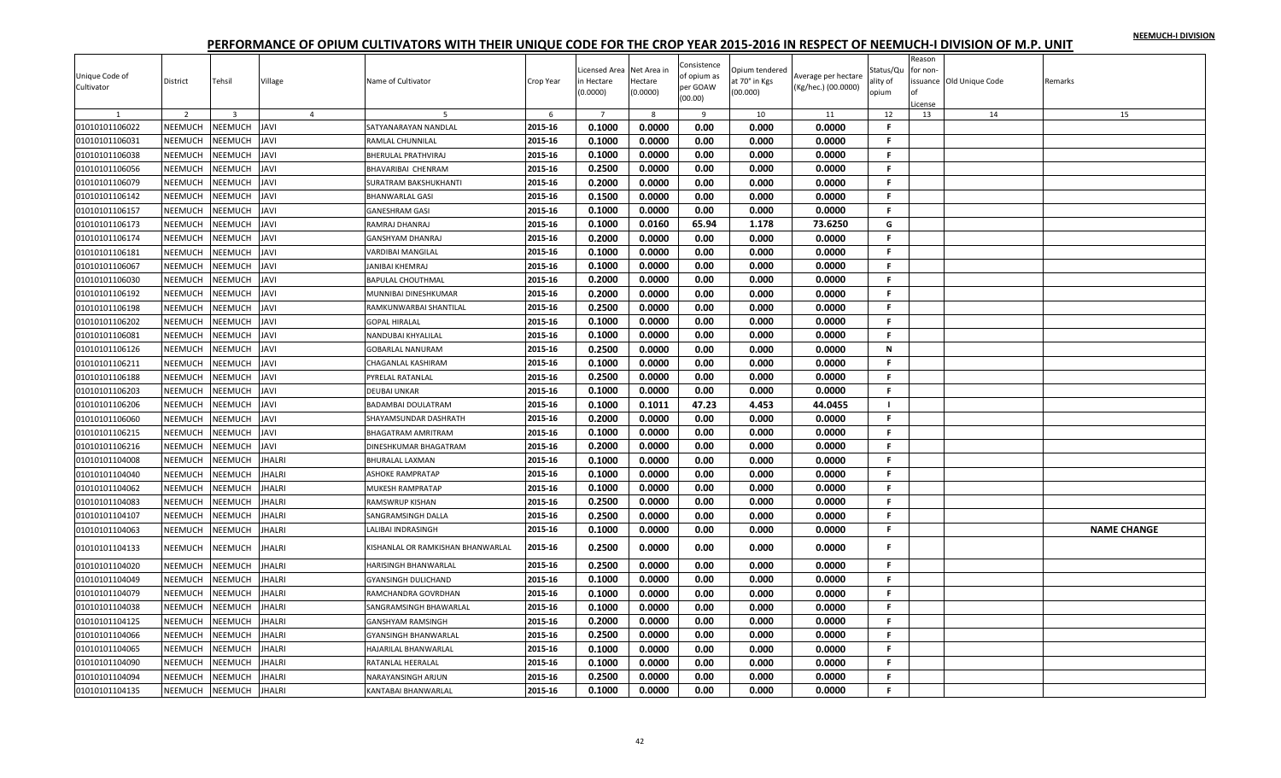|                |                |                |                |                                   |           |                           |                        | Consistence |                                 |                     |                   | Reason   |                          |                    |
|----------------|----------------|----------------|----------------|-----------------------------------|-----------|---------------------------|------------------------|-------------|---------------------------------|---------------------|-------------------|----------|--------------------------|--------------------|
| Unique Code of | District       | Tehsil         | Village        | Name of Cultivator                | Crop Year | icensed Area<br>n Hectare | Net Area ir<br>Hectare | of opium as | Opium tendered<br>at 70° in Kgs | Average per hectare | Status/Qu         | for non- | issuance Old Unique Code | Remarks            |
| Cultivator     |                |                |                |                                   |           | (0.0000)                  | (0.0000)               | per GOAW    | (00.000)                        | (Kg/hec.) (00.0000) | ality of<br>opium |          |                          |                    |
|                |                |                |                |                                   |           |                           |                        | (00.00)     |                                 |                     |                   | .icense  |                          |                    |
| $\overline{1}$ | $\overline{2}$ | $\overline{3}$ | $\overline{4}$ | -5                                | 6         | $\overline{7}$            | 8                      | -9          | 10                              | 11                  | 12                | 13       | 14                       | 15                 |
| 01010101106022 | NEEMUCH        | NEEMUCH        | <b>JAVI</b>    | SATYANARAYAN NANDLAL              | 2015-16   | 0.1000                    | 0.0000                 | 0.00        | 0.000                           | 0.0000              | -F                |          |                          |                    |
| 01010101106031 | NEEMUCH        | NEEMUCH        | <b>JAVI</b>    | RAMLAL CHUNNILAL                  | 2015-16   | 0.1000                    | 0.0000                 | 0.00        | 0.000                           | 0.0000              | F.                |          |                          |                    |
| 01010101106038 | NEEMUCH        | NEEMUCH        | <b>JAVI</b>    | BHERULAL PRATHVIRAJ               | 2015-16   | 0.1000                    | 0.0000                 | 0.00        | 0.000                           | 0.0000              | -F.               |          |                          |                    |
| 01010101106056 | NEEMUCH        | NEEMUCH        | <b>JAVI</b>    | BHAVARIBAI CHENRAM                | 2015-16   | 0.2500                    | 0.0000                 | 0.00        | 0.000                           | 0.0000              | -F.               |          |                          |                    |
| 01010101106079 | NEEMUCH        | NEEMUCH        | <b>IVAL</b>    | SURATRAM BAKSHUKHANTI             | 2015-16   | 0.2000                    | 0.0000                 | 0.00        | 0.000                           | 0.0000              | -F.               |          |                          |                    |
| 01010101106142 | NEEMUCH        | NEEMUCH        | <b>JAVI</b>    | <b>BHANWARLAL GASI</b>            | 2015-16   | 0.1500                    | 0.0000                 | 0.00        | 0.000                           | 0.0000              | F.                |          |                          |                    |
| 01010101106157 | NEEMUCH        | NEEMUCH        | <b>IVAL</b>    | <b>GANESHRAM GASI</b>             | 2015-16   | 0.1000                    | 0.0000                 | 0.00        | 0.000                           | 0.0000              | F.                |          |                          |                    |
| 01010101106173 | NEEMUCH        | NEEMUCH        | <b>JAVI</b>    | RAMRAJ DHANRAJ                    | 2015-16   | 0.1000                    | 0.0160                 | 65.94       | 1.178                           | 73.6250             | G                 |          |                          |                    |
| 01010101106174 | NEEMUCH        | <b>NEEMUCH</b> | <b>IVAL</b>    | <b>GANSHYAM DHANRAJ</b>           | 2015-16   | 0.2000                    | 0.0000                 | 0.00        | 0.000                           | 0.0000              | -F.               |          |                          |                    |
| 01010101106181 | <b>NEEMUCH</b> | NEEMUCH        | <b>IVAL</b>    | VARDIBAI MANGILAL                 | 2015-16   | 0.1000                    | 0.0000                 | 0.00        | 0.000                           | 0.0000              | F.                |          |                          |                    |
| 01010101106067 | NEEMUCH        | NEEMUCH        | <b>JAVI</b>    | <b>JANIBAI KHEMRAJ</b>            | 2015-16   | 0.1000                    | 0.0000                 | 0.00        | 0.000                           | 0.0000              | -F.               |          |                          |                    |
| 01010101106030 | NEEMUCH        | NEEMUCH        | <b>IVAL</b>    | <b>BAPULAL CHOUTHMAL</b>          | 2015-16   | 0.2000                    | 0.0000                 | 0.00        | 0.000                           | 0.0000              | $\mathsf F$       |          |                          |                    |
| 01010101106192 | NEEMUCH        | NEEMUCH        | <b>JAVI</b>    | MUNNIBAI DINESHKUMAR              | 2015-16   | 0.2000                    | 0.0000                 | 0.00        | 0.000                           | 0.0000              | -F.               |          |                          |                    |
| 01010101106198 | NEEMUCH        | <b>NEEMUCH</b> | <b>IVAL</b>    | RAMKUNWARBAI SHANTILAL            | 2015-16   | 0.2500                    | 0.0000                 | 0.00        | 0.000                           | 0.0000              | F.                |          |                          |                    |
| 01010101106202 | <b>NEEMUCH</b> | NEEMUCH        | <b>IVAL</b>    | <b>GOPAL HIRALAL</b>              | 2015-16   | 0.1000                    | 0.0000                 | 0.00        | 0.000                           | 0.0000              | F.                |          |                          |                    |
| 01010101106081 | NEEMUCH        | NEEMUCH        | IAVI           | NANDUBAI KHYALILAL                | 2015-16   | 0.1000                    | 0.0000                 | 0.00        | 0.000                           | 0.0000              | F.                |          |                          |                    |
| 01010101106126 | <b>NEEMUCH</b> | NEEMUCH        | <b>JAVI</b>    | <b>GOBARLAL NANURAM</b>           | 2015-16   | 0.2500                    | 0.0000                 | 0.00        | 0.000                           | 0.0000              | N                 |          |                          |                    |
| 01010101106211 | NEEMUCH        | NEEMUCH        | <b>IVAL</b>    | CHAGANLAL KASHIRAM                | 2015-16   | 0.1000                    | 0.0000                 | 0.00        | 0.000                           | 0.0000              | -F.               |          |                          |                    |
| 01010101106188 | NEEMUCH        | NEEMUCH        | <b>JAVI</b>    | PYRELAL RATANLAL                  | 2015-16   | 0.2500                    | 0.0000                 | 0.00        | 0.000                           | 0.0000              | -F.               |          |                          |                    |
| 01010101106203 | <b>NEEMUCH</b> | NEEMUCH        | <b>IVAL</b>    | <b>DEUBAI UNKAR</b>               | 2015-16   | 0.1000                    | 0.0000                 | 0.00        | 0.000                           | 0.0000              | F.                |          |                          |                    |
| 01010101106206 | NEEMUCH        | <b>NEEMUCH</b> | <b>IVAL</b>    | BADAMBAI DOULATRAM                | 2015-16   | 0.1000                    | 0.1011                 | 47.23       | 4.453                           | 44.0455             | - 1               |          |                          |                    |
| 01010101106060 | NEEMUCH        | NEEMUCH        | <b>JAVI</b>    | SHAYAMSUNDAR DASHRATH             | 2015-16   | 0.2000                    | 0.0000                 | 0.00        | 0.000                           | 0.0000              | -F.               |          |                          |                    |
| 01010101106215 | NEEMUCH        | <b>NEEMUCH</b> | <b>IVAL</b>    | <b>BHAGATRAM AMRITRAM</b>         | 2015-16   | 0.1000                    | 0.0000                 | 0.00        | 0.000                           | 0.0000              | -F.               |          |                          |                    |
| 01010101106216 | <b>NEEMUCH</b> | <b>NEEMUCH</b> | <b>JAVI</b>    | <b>DINESHKUMAR BHAGATRAM</b>      | 2015-16   | 0.2000                    | 0.0000                 | 0.00        | 0.000                           | 0.0000              | -F.               |          |                          |                    |
| 01010101104008 | NEEMUCH        | NEEMUCH        | <b>JHALRI</b>  | <b>BHURALAL LAXMAN</b>            | 2015-16   | 0.1000                    | 0.0000                 | 0.00        | 0.000                           | 0.0000              | -F.               |          |                          |                    |
| 01010101104040 | NEEMUCH        | NEEMUCH        | <b>JHALRI</b>  | <b>ASHOKE RAMPRATAP</b>           | 2015-16   | 0.1000                    | 0.0000                 | 0.00        | 0.000                           | 0.0000              | F.                |          |                          |                    |
| 01010101104062 | <b>NEEMUCH</b> | <b>NEEMUCH</b> | <b>JHALRI</b>  | <b>MUKESH RAMPRATAP</b>           | 2015-16   | 0.1000                    | 0.0000                 | 0.00        | 0.000                           | 0.0000              | .F.               |          |                          |                    |
| 01010101104083 | NEEMUCH        | NEEMUCH        | JHALRI         |                                   | 2015-16   | 0.2500                    | 0.0000                 | 0.00        | 0.000                           | 0.0000              | F.                |          |                          |                    |
| 01010101104107 | NEEMUCH        | <b>NEEMUCH</b> | <b>JHALRI</b>  | RAMSWRUP KISHAN                   | 2015-16   | 0.2500                    | 0.0000                 | 0.00        | 0.000                           | 0.0000              | -F                |          |                          |                    |
|                | NEEMUCH        | NEEMUCH        |                | SANGRAMSINGH DALLA                |           | 0.1000                    |                        |             |                                 |                     | F.                |          |                          |                    |
| 01010101104063 |                |                | <b>HALRI</b>   | LALIBAI INDRASINGH                | 2015-16   |                           | 0.0000                 | 0.00        | 0.000                           | 0.0000              |                   |          |                          | <b>NAME CHANGE</b> |
| 01010101104133 | NEEMUCH        | NEEMUCH        | <b>JHALRI</b>  | KISHANLAL OR RAMKISHAN BHANWARLAL | 2015-16   | 0.2500                    | 0.0000                 | 0.00        | 0.000                           | 0.0000              | F.                |          |                          |                    |
| 01010101104020 | NEEMUCH        | <b>NEEMUCH</b> | <b>JHALRI</b>  | HARISINGH BHANWARLAL              | 2015-16   | 0.2500                    | 0.0000                 | 0.00        | 0.000                           | 0.0000              | F.                |          |                          |                    |
| 01010101104049 | NEEMUCH        | NEEMUCH        | <b>HALRI</b>   | <b>GYANSINGH DULICHAND</b>        | 2015-16   | 0.1000                    | 0.0000                 | 0.00        | 0.000                           | 0.0000              | F.                |          |                          |                    |
| 01010101104079 | NEEMUCH        | NEEMUCH        | <b>JHALRI</b>  | RAMCHANDRA GOVRDHAN               | 2015-16   | 0.1000                    | 0.0000                 | 0.00        | 0.000                           | 0.0000              | F.                |          |                          |                    |
| 01010101104038 | <b>NEEMUCH</b> | NEEMUCH        | <b>JHALRI</b>  | SANGRAMSINGH BHAWARLAI            | 2015-16   | 0.1000                    | 0.0000                 | 0.00        | 0.000                           | 0.0000              | F.                |          |                          |                    |
| 01010101104125 | NEEMUCH        | NEEMUCH        | JHALRI         | <b>GANSHYAM RAMSINGH</b>          | 2015-16   | 0.2000                    | 0.0000                 | 0.00        | 0.000                           | 0.0000              | F.                |          |                          |                    |
| 01010101104066 | NEEMUCH        | NEEMUCH        | <b>JHALRI</b>  | <b>GYANSINGH BHANWARLAL</b>       | 2015-16   | 0.2500                    | 0.0000                 | 0.00        | 0.000                           | 0.0000              | F.                |          |                          |                    |
| 01010101104065 | NEEMUCH        | NEEMUCH        | <b>JHALRI</b>  | HAJARILAL BHANWARLAL              | 2015-16   | 0.1000                    | 0.0000                 | 0.00        | 0.000                           | 0.0000              | -F.               |          |                          |                    |
| 01010101104090 | <b>NEEMUCH</b> | <b>NEEMUCH</b> | <b>JHALRI</b>  | RATANLAL HEERALAL                 | 2015-16   | 0.1000                    | 0.0000                 | 0.00        | 0.000                           | 0.0000              | F.                |          |                          |                    |
| 01010101104094 | <b>NEEMUCH</b> | NEEMUCH        | <b>HALRI</b>   | NARAYANSINGH ARJUN                | 2015-16   | 0.2500                    | 0.0000                 | 0.00        | 0.000                           | 0.0000              | F                 |          |                          |                    |
| 01010101104135 | NEEMUCH        | <b>NEEMUCH</b> | <b>JHALRI</b>  | <b>KANTABAI BHANWARLAL</b>        | 2015-16   | 0.1000                    | 0.0000                 | 0.00        | 0.000                           | 0.0000              | F.                |          |                          |                    |
|                |                |                |                |                                   |           |                           |                        |             |                                 |                     |                   |          |                          |                    |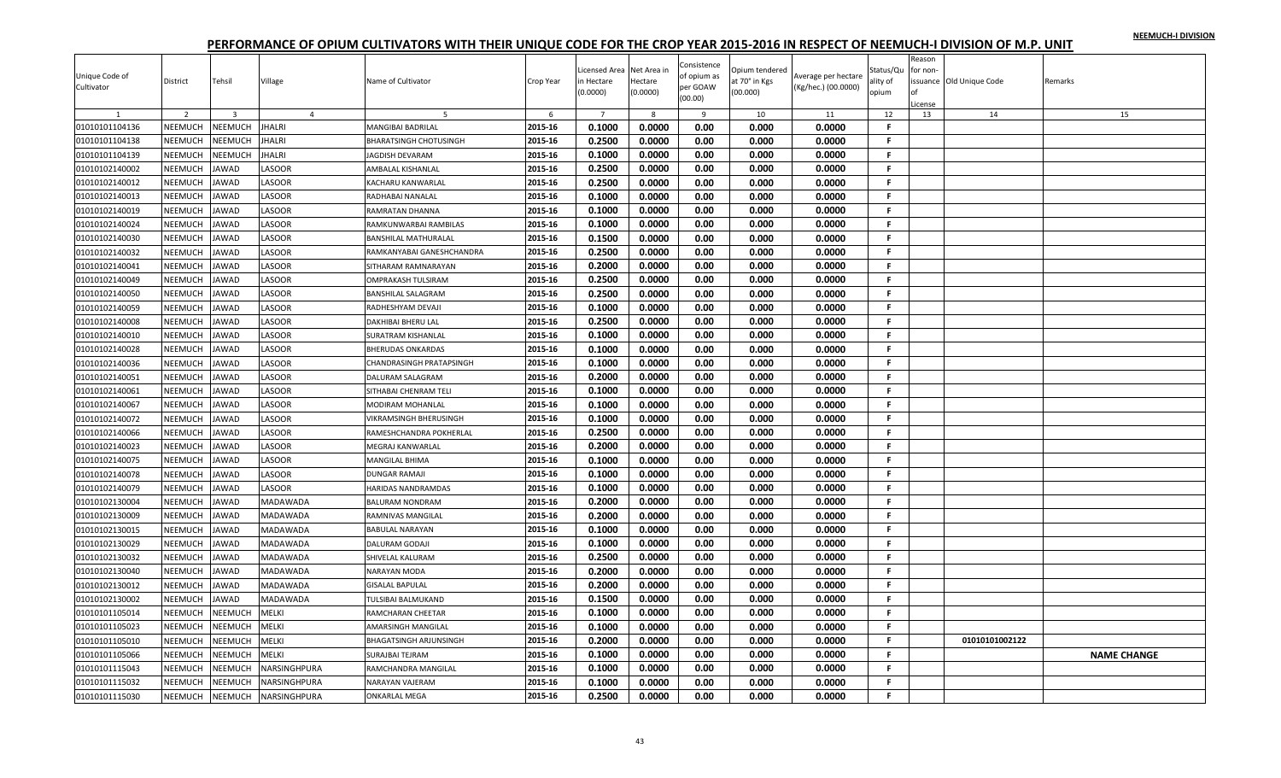| Unique Code of<br>Cultivator | District       | Tehsil         | Village         | Name of Cultivator        | Crop Year | icensed Area<br>ነ Hectare<br>0.0000 | Net Area in<br>Hectare<br>(0.0000) | Consistence<br>of opium as<br>per GOAW<br>(00.00) | Opium tendered<br>at 70° in Kgs<br>(00.000) | Verage per hectare<br>(Kg/hec.) (00.0000) | Status/Qu<br>ılity of<br>opium | Reason<br>for non-<br>∩f<br>icense | issuance Old Unique Code | Remarks            |
|------------------------------|----------------|----------------|-----------------|---------------------------|-----------|-------------------------------------|------------------------------------|---------------------------------------------------|---------------------------------------------|-------------------------------------------|--------------------------------|------------------------------------|--------------------------|--------------------|
|                              | $\overline{2}$ | $\overline{3}$ | $\overline{4}$  | -5                        | 6         | $\overline{7}$                      | $\mathbf{R}$                       | 9                                                 | 10                                          | 11                                        | 12                             | 13                                 | 14                       | 15                 |
| 01010101104136               | NEEMUCH        | <b>NEEMUCH</b> | <b>JHALRI</b>   | MANGIBAI BADRILAL         | 2015-16   | 0.1000                              | 0.0000                             | 0.00                                              | 0.000                                       | 0.0000                                    | F.                             |                                    |                          |                    |
| 01010101104138               | NEEMUCH        | NEEMUCH        | JHALRI          | BHARATSINGH CHOTUSINGH    | 2015-16   | 0.2500                              | 0.0000                             | 0.00                                              | 0.000                                       | 0.0000                                    | F.                             |                                    |                          |                    |
| 01010101104139               | NEEMUCH        | NEEMUCH        | <b>JHALRI</b>   | JAGDISH DEVARAM           | 2015-16   | 0.1000                              | 0.0000                             | 0.00                                              | 0.000                                       | 0.0000                                    | F.                             |                                    |                          |                    |
| 01010102140002               | NEEMUCH        | <b>JAWAD</b>   | LASOOR          | AMBALAL KISHANLAL         | 2015-16   | 0.2500                              | 0.0000                             | 0.00                                              | 0.000                                       | 0.0000                                    | F.                             |                                    |                          |                    |
| 01010102140012               | NEEMUCH        | <b>JAWAD</b>   | LASOOR          | KACHARU KANWARLAL         | 2015-16   | 0.2500                              | 0.0000                             | 0.00                                              | 0.000                                       | 0.0000                                    | F.                             |                                    |                          |                    |
| 01010102140013               | NEEMUCH        | <b>JAWAD</b>   | LASOOR          | RADHABAI NANALAL          | 2015-16   | 0.1000                              | 0.0000                             | 0.00                                              | 0.000                                       | 0.0000                                    | F.                             |                                    |                          |                    |
| 01010102140019               | NEEMUCH        | <b>JAWAD</b>   | LASOOR          | RAMRATAN DHANNA           | 2015-16   | 0.1000                              | 0.0000                             | 0.00                                              | 0.000                                       | 0.0000                                    | F.                             |                                    |                          |                    |
| 01010102140024               | NEEMUCH        | <b>JAWAD</b>   | LASOOR          | RAMKUNWARBAI RAMBILAS     | 2015-16   | 0.1000                              | 0.0000                             | 0.00                                              | 0.000                                       | 0.0000                                    | F.                             |                                    |                          |                    |
| 01010102140030               | NEEMUCH        | <b>JAWAD</b>   | LASOOR          | BANSHILAL MATHURALAL      | 2015-16   | 0.1500                              | 0.0000                             | 0.00                                              | 0.000                                       | 0.0000                                    | F.                             |                                    |                          |                    |
| 01010102140032               | NEEMUCH        | <b>JAWAD</b>   | LASOOR          | RAMKANYABAI GANESHCHANDRA | 2015-16   | 0.2500                              | 0.0000                             | 0.00                                              | 0.000                                       | 0.0000                                    | F.                             |                                    |                          |                    |
| 01010102140041               | NEEMUCH        | <b>JAWAD</b>   | LASOOR          | SITHARAM RAMNARAYAN       | 2015-16   | 0.2000                              | 0.0000                             | 0.00                                              | 0.000                                       | 0.0000                                    | F.                             |                                    |                          |                    |
| 01010102140049               | NEEMUCH        | <b>JAWAD</b>   | LASOOR          | OMPRAKASH TULSIRAM        | 2015-16   | 0.2500                              | 0.0000                             | 0.00                                              | 0.000                                       | 0.0000                                    | F.                             |                                    |                          |                    |
| 01010102140050               | NEEMUCH        | <b>JAWAD</b>   | LASOOR          | BANSHILAL SALAGRAM        | 2015-16   | 0.2500                              | 0.0000                             | 0.00                                              | 0.000                                       | 0.0000                                    | F.                             |                                    |                          |                    |
| 01010102140059               | NEEMUCH        | <b>JAWAD</b>   | LASOOR          | RADHESHYAM DEVAJI         | 2015-16   | 0.1000                              | 0.0000                             | 0.00                                              | 0.000                                       | 0.0000                                    | F.                             |                                    |                          |                    |
| 01010102140008               | NEEMUCH        | <b>JAWAD</b>   | LASOOR          | DAKHIBAI BHERU LAL        | 2015-16   | 0.2500                              | 0.0000                             | 0.00                                              | 0.000                                       | 0.0000                                    | F.                             |                                    |                          |                    |
| 01010102140010               | NEEMUCH        | <b>JAWAD</b>   | <b>LASOOR</b>   | SURATRAM KISHANLAL        | 2015-16   | 0.1000                              | 0.0000                             | 0.00                                              | 0.000                                       | 0.0000                                    | F.                             |                                    |                          |                    |
| 01010102140028               | NEEMUCH        | JAWAD          | LASOOR          | <b>BHERUDAS ONKARDAS</b>  | 2015-16   | 0.1000                              | 0.0000                             | 0.00                                              | 0.000                                       | 0.0000                                    | F.                             |                                    |                          |                    |
| 01010102140036               | NEEMUCH        | <b>JAWAD</b>   | LASOOR          | CHANDRASINGH PRATAPSINGH  | 2015-16   | 0.1000                              | 0.0000                             | 0.00                                              | 0.000                                       | 0.0000                                    | F.                             |                                    |                          |                    |
| 01010102140051               | NEEMUCH        | <b>JAWAD</b>   | LASOOR          | DALURAM SALAGRAM          | 2015-16   | 0.2000                              | 0.0000                             | 0.00                                              | 0.000                                       | 0.0000                                    | F.                             |                                    |                          |                    |
| 01010102140061               | NEEMUCH        | <b>JAWAD</b>   | LASOOR          | SITHABAI CHENRAM TELI     | 2015-16   | 0.1000                              | 0.0000                             | 0.00                                              | 0.000                                       | 0.0000                                    | F.                             |                                    |                          |                    |
| 01010102140067               | NEEMUCH        | <b>JAWAD</b>   | LASOOR          | MODIRAM MOHANLAL          | 2015-16   | 0.1000                              | 0.0000                             | 0.00                                              | 0.000                                       | 0.0000                                    | F.                             |                                    |                          |                    |
| 01010102140072               | NEEMUCH        | <b>JAWAD</b>   | LASOOR          | VIKRAMSINGH BHERUSINGH    | 2015-16   | 0.1000                              | 0.0000                             | 0.00                                              | 0.000                                       | 0.0000                                    | F.                             |                                    |                          |                    |
| 01010102140066               | NEEMUCH        | <b>JAWAD</b>   | LASOOR          | RAMESHCHANDRA POKHERLAL   | 2015-16   | 0.2500                              | 0.0000                             | 0.00                                              | 0.000                                       | 0.0000                                    | F.                             |                                    |                          |                    |
| 01010102140023               | NEEMUCH        | <b>JAWAD</b>   | LASOOR          | MEGRAJ KANWARLAL          | 2015-16   | 0.2000                              | 0.0000                             | 0.00                                              | 0.000                                       | 0.0000                                    | F.                             |                                    |                          |                    |
| 01010102140075               | NEEMUCH        | <b>JAWAD</b>   | LASOOR          | MANGILAL BHIMA            | 2015-16   | 0.1000                              | 0.0000                             | 0.00                                              | 0.000                                       | 0.0000                                    | F.                             |                                    |                          |                    |
| 01010102140078               | NEEMUCH        | <b>JAWAD</b>   | LASOOR          | <b>DUNGAR RAMAJI</b>      | 2015-16   | 0.1000                              | 0.0000                             | 0.00                                              | 0.000                                       | 0.0000                                    | F.                             |                                    |                          |                    |
| 01010102140079               | NEEMUCH        | <b>JAWAD</b>   | <b>LASOOR</b>   | HARIDAS NANDRAMDAS        | 2015-16   | 0.1000                              | 0.0000                             | 0.00                                              | 0.000                                       | 0.0000                                    | F.                             |                                    |                          |                    |
| 01010102130004               | NEEMUCH        | <b>JAWAD</b>   | <b>MADAWADA</b> | <b>BALURAM NONDRAM</b>    | 2015-16   | 0.2000                              | 0.0000                             | 0.00                                              | 0.000                                       | 0.0000                                    | F.                             |                                    |                          |                    |
| 01010102130009               | NEEMUCH        | <b>JAWAD</b>   | MADAWADA        | RAMNIVAS MANGILAL         | 2015-16   | 0.2000                              | 0.0000                             | 0.00                                              | 0.000                                       | 0.0000                                    | F.                             |                                    |                          |                    |
| 01010102130015               | NEEMUCH        | <b>JAWAD</b>   | <b>MADAWADA</b> | <b>BABULAL NARAYAN</b>    | 2015-16   | 0.1000                              | 0.0000                             | 0.00                                              | 0.000                                       | 0.0000                                    | F.                             |                                    |                          |                    |
| 01010102130029               | NEEMUCH        | <b>JAWAD</b>   | MADAWADA        | DALURAM GODAJI            | 2015-16   | 0.1000                              | 0.0000                             | 0.00                                              | 0.000                                       | 0.0000                                    | F.                             |                                    |                          |                    |
| 01010102130032               | NEEMUCH        | <b>JAWAD</b>   | MADAWADA        | SHIVELAL KALURAM          | 2015-16   | 0.2500                              | 0.0000                             | 0.00                                              | 0.000                                       | 0.0000                                    | F.                             |                                    |                          |                    |
| 01010102130040               | NEEMUCH        | <b>JAWAD</b>   | <b>MADAWADA</b> | NARAYAN MODA              | 2015-16   | 0.2000                              | 0.0000                             | 0.00                                              | 0.000                                       | 0.0000                                    | F.                             |                                    |                          |                    |
| 01010102130012               | NEEMUCH        | <b>JAWAD</b>   | <b>MADAWADA</b> | <b>GISALAL BAPULAL</b>    | 2015-16   | 0.2000                              | 0.0000                             | 0.00                                              | 0.000                                       | 0.0000                                    | F.                             |                                    |                          |                    |
| 01010102130002               | NEEMUCH        | <b>JAWAD</b>   | MADAWADA        | <b>TULSIBAI BALMUKAND</b> | 2015-16   | 0.1500                              | 0.0000                             | 0.00                                              | 0.000                                       | 0.0000                                    | F.                             |                                    |                          |                    |
| 01010101105014               | NEEMUCH        | NEEMUCH        | <b>MELKI</b>    | RAMCHARAN CHEETAR         | 2015-16   | 0.1000                              | 0.0000                             | 0.00                                              | 0.000                                       | 0.0000                                    | F.                             |                                    |                          |                    |
| 01010101105023               | NEEMUCH        | NEEMUCH        | <b>MELKI</b>    | AMARSINGH MANGILAL        | 2015-16   | 0.1000                              | 0.0000                             | 0.00                                              | 0.000                                       | 0.0000                                    | F.                             |                                    |                          |                    |
| 01010101105010               | NEEMUCH        | NEEMUCH        | MELKI           | BHAGATSINGH ARJUNSINGH    | 2015-16   | 0.2000                              | 0.0000                             | 0.00                                              | 0.000                                       | 0.0000                                    | F.                             |                                    | 01010101002122           |                    |
| 01010101105066               | NEEMUCH        | NEEMUCH        | MELKI           | SURAJBAI TEJRAM           | 2015-16   | 0.1000                              | 0.0000                             | 0.00                                              | 0.000                                       | 0.0000                                    | F.                             |                                    |                          | <b>NAME CHANGE</b> |
| 01010101115043               | NEEMUCH        | NEEMUCH        | NARSINGHPURA    | RAMCHANDRA MANGILAL       | 2015-16   | 0.1000                              | 0.0000                             | 0.00                                              | 0.000                                       | 0.0000                                    | F.                             |                                    |                          |                    |
| 01010101115032               | NEEMUCH        | NEEMUCH        | NARSINGHPURA    | <b>NARAYAN VAJERAM</b>    | 2015-16   | 0.1000                              | 0.0000                             | 0.00                                              | 0.000                                       | 0.0000                                    | F.                             |                                    |                          |                    |
| 01010101115030               | NEEMUCH        | NEEMUCH        | NARSINGHPURA    | <b>ONKARLAL MEGA</b>      | 2015-16   | 0.2500                              | 0.0000                             | 0.00                                              | 0.000                                       | 0.0000                                    | F.                             |                                    |                          |                    |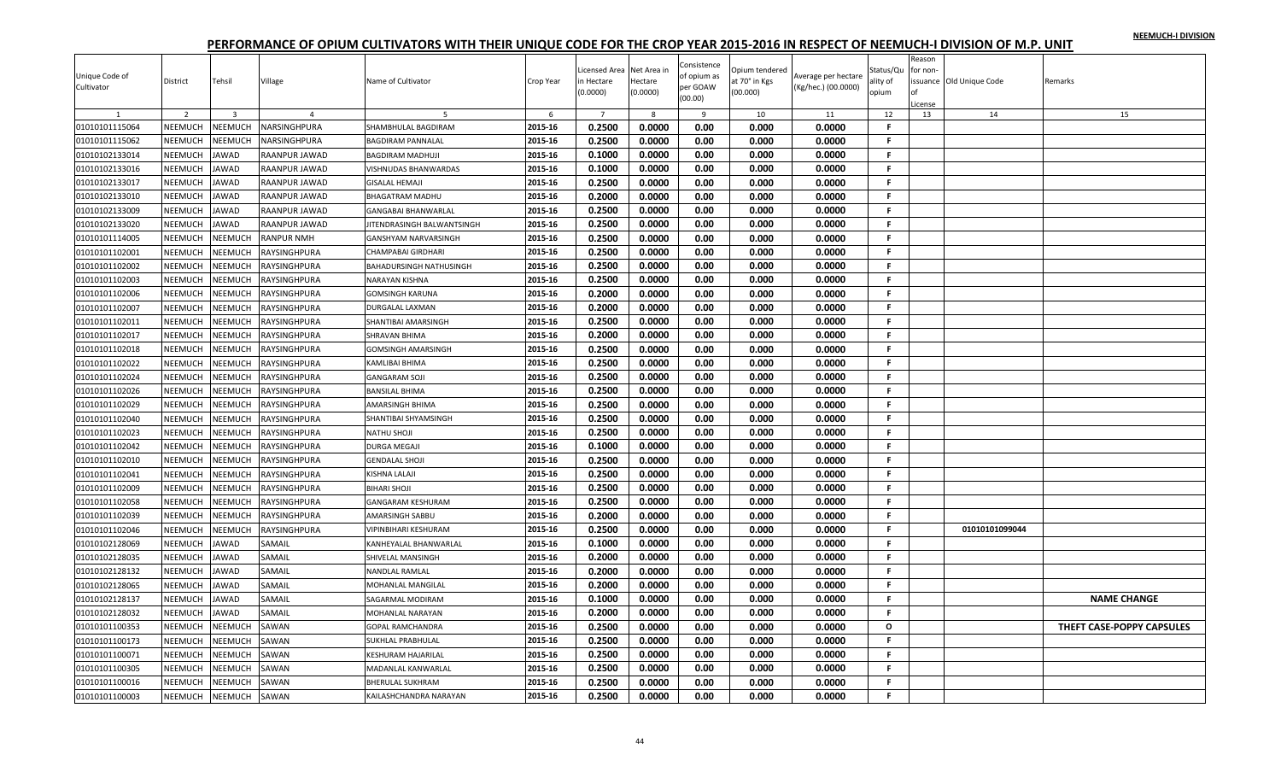| Unique Code of<br>Cultivator | District       | Tehsil         | Village           | Name of Cultivator             | Crop Year | icensed Area<br>n Hectare | Net Area in<br>Hectare | Consistence<br>of opium as<br>per GOAW | Opium tendered<br>at 70° in Kgs | Average per hectare<br>(Kg/hec.) (00.0000) | Status/Qu<br>ality of | Reason<br>for non- | ssuance Old Unique Code | Remarks                   |
|------------------------------|----------------|----------------|-------------------|--------------------------------|-----------|---------------------------|------------------------|----------------------------------------|---------------------------------|--------------------------------------------|-----------------------|--------------------|-------------------------|---------------------------|
|                              |                |                |                   |                                |           | (0.0000)                  | (0.0000)               | (00.00)                                | (00.000)                        |                                            | opium                 |                    |                         |                           |
|                              | 2              | $\overline{3}$ |                   |                                | 6         | $\overline{7}$            | 8                      | 9                                      | 10                              | 11                                         | 12                    | License<br>13      | 14                      | 15                        |
| 01010101115064               | NEEMUCH        | NEEMUCH        | NARSINGHPURA      | SHAMBHULAL BAGDIRAM            | 2015-16   | 0.2500                    | 0.0000                 | 0.00                                   | 0.000                           | 0.0000                                     | F.                    |                    |                         |                           |
| 01010101115062               | NEEMUCH        | NEEMUCH        | NARSINGHPURA      | <b>BAGDIRAM PANNALAL</b>       | 2015-16   | 0.2500                    | 0.0000                 | 0.00                                   | 0.000                           | 0.0000                                     | F.                    |                    |                         |                           |
| 01010102133014               | NEEMUCH        | <b>JAWAD</b>   | RAANPUR JAWAD     | <b>BAGDIRAM MADHUJI</b>        | 2015-16   | 0.1000                    | 0.0000                 | 0.00                                   | 0.000                           | 0.0000                                     | F.                    |                    |                         |                           |
| 01010102133016               | NEEMUCH        | <b>JAWAD</b>   | RAANPUR JAWAD     | VISHNUDAS BHANWARDAS           | 2015-16   | 0.1000                    | 0.0000                 | 0.00                                   | 0.000                           | 0.0000                                     | F.                    |                    |                         |                           |
| 01010102133017               | NEEMUCH        | <b>JAWAD</b>   | RAANPUR JAWAD     | <b>GISALAL HEMAJI</b>          | 2015-16   | 0.2500                    | 0.0000                 | 0.00                                   | 0.000                           | 0.0000                                     | F.                    |                    |                         |                           |
| 01010102133010               | NEEMUCH        | <b>JAWAD</b>   | RAANPUR JAWAD     | <b>BHAGATRAM MADHU</b>         | 2015-16   | 0.2000                    | 0.0000                 | 0.00                                   | 0.000                           | 0.0000                                     | F.                    |                    |                         |                           |
| 01010102133009               | NEEMUCH        | <b>JAWAD</b>   | RAANPUR JAWAD     | <b>GANGABAI BHANWARLAL</b>     | 2015-16   | 0.2500                    | 0.0000                 | 0.00                                   | 0.000                           | 0.0000                                     | F.                    |                    |                         |                           |
| 01010102133020               | NEEMUCH        | JAWAD          | RAANPUR JAWAD     | JITENDRASINGH BALWANTSINGH     | 2015-16   | 0.2500                    | 0.0000                 | 0.00                                   | 0.000                           | 0.0000                                     | F.                    |                    |                         |                           |
| 01010101114005               | NEEMUCH        | NEEMUCH        | <b>RANPUR NMH</b> | <b>GANSHYAM NARVARSINGH</b>    | 2015-16   | 0.2500                    | 0.0000                 | 0.00                                   | 0.000                           | 0.0000                                     | F.                    |                    |                         |                           |
| 01010101102001               | NEEMUCH        | <b>NEEMUCH</b> | RAYSINGHPURA      | <b>CHAMPABAI GIRDHARI</b>      | 2015-16   | 0.2500                    | 0.0000                 | 0.00                                   | 0.000                           | 0.0000                                     | F.                    |                    |                         |                           |
| 01010101102002               | NEEMUCH        | NEEMUCH        | RAYSINGHPURA      | <b>BAHADURSINGH NATHUSINGH</b> | 2015-16   | 0.2500                    | 0.0000                 | 0.00                                   | 0.000                           | 0.0000                                     | F.                    |                    |                         |                           |
| 01010101102003               | <b>NEEMUCH</b> | NEEMUCH        | RAYSINGHPURA      | <b>NARAYAN KISHNA</b>          | 2015-16   | 0.2500                    | 0.0000                 | 0.00                                   | 0.000                           | 0.0000                                     | F.                    |                    |                         |                           |
| 01010101102006               | NEEMUCH        | NEEMUCH        | RAYSINGHPURA      | <b>GOMSINGH KARUNA</b>         | 2015-16   | 0.2000                    | 0.0000                 | 0.00                                   | 0.000                           | 0.0000                                     | F.                    |                    |                         |                           |
| 01010101102007               | NEEMUCH        | NEEMUCH        | RAYSINGHPURA      | DURGALAL LAXMAN                | 2015-16   | 0.2000                    | 0.0000                 | 0.00                                   | 0.000                           | 0.0000                                     | F.                    |                    |                         |                           |
| 01010101102011               | NEEMUCH        | NEEMUCH        | RAYSINGHPURA      | SHANTIBAI AMARSINGH            | 2015-16   | 0.2500                    | 0.0000                 | 0.00                                   | 0.000                           | 0.0000                                     | F.                    |                    |                         |                           |
| 01010101102017               | NEEMUCH        | NEEMUCH        | RAYSINGHPURA      | SHRAVAN BHIMA                  | 2015-16   | 0.2000                    | 0.0000                 | 0.00                                   | 0.000                           | 0.0000                                     | F.                    |                    |                         |                           |
| 01010101102018               | <b>NEEMUCH</b> | <b>NEEMUCH</b> | RAYSINGHPURA      | <b>GOMSINGH AMARSINGH</b>      | 2015-16   | 0.2500                    | 0.0000                 | 0.00                                   | 0.000                           | 0.0000                                     | F.                    |                    |                         |                           |
| 01010101102022               | <b>NEEMUCH</b> | NEEMUCH        | RAYSINGHPURA      | <b>KAMLIBAI BHIMA</b>          | 2015-16   | 0.2500                    | 0.0000                 | 0.00                                   | 0.000                           | 0.0000                                     | F.                    |                    |                         |                           |
| 01010101102024               | NEEMUCH        | NEEMUCH        | RAYSINGHPURA      | <b>GANGARAM SOJI</b>           | 2015-16   | 0.2500                    | 0.0000                 | 0.00                                   | 0.000                           | 0.0000                                     | F.                    |                    |                         |                           |
| 01010101102026               | NEEMUCH        | NEEMUCH        | RAYSINGHPURA      | <b>BANSILAL BHIMA</b>          | 2015-16   | 0.2500                    | 0.0000                 | 0.00                                   | 0.000                           | 0.0000                                     | F.                    |                    |                         |                           |
| 01010101102029               | NEEMUCH        | <b>NEEMUCH</b> | RAYSINGHPURA      | <b>AMARSINGH BHIMA</b>         | 2015-16   | 0.2500                    | 0.0000                 | 0.00                                   | 0.000                           | 0.0000                                     | F.                    |                    |                         |                           |
| 01010101102040               | NEEMUCH        | NEEMUCH        | RAYSINGHPURA      | SHANTIBAI SHYAMSINGH           | 2015-16   | 0.2500                    | 0.0000                 | 0.00                                   | 0.000                           | 0.0000                                     | F.                    |                    |                         |                           |
| 01010101102023               | <b>NEEMUCH</b> | NEEMUCH        | RAYSINGHPURA      | <b>NATHU SHOJI</b>             | 2015-16   | 0.2500                    | 0.0000                 | 0.00                                   | 0.000                           | 0.0000                                     | F.                    |                    |                         |                           |
| 01010101102042               | NEEMUCH        | NEEMUCH        | RAYSINGHPURA      | <b>DURGA MEGAJI</b>            | 2015-16   | 0.1000                    | 0.0000                 | 0.00                                   | 0.000                           | 0.0000                                     | F.                    |                    |                         |                           |
| 01010101102010               | NEEMUCH        | <b>NEEMUCH</b> | RAYSINGHPURA      | <b>GENDALAL SHOJI</b>          | 2015-16   | 0.2500                    | 0.0000                 | 0.00                                   | 0.000                           | 0.0000                                     | F.                    |                    |                         |                           |
| 01010101102041               | NEEMUCH        | <b>NEEMUCH</b> | RAYSINGHPURA      | <b>KISHNA LALAJI</b>           | 2015-16   | 0.2500                    | 0.0000                 | 0.00                                   | 0.000                           | 0.0000                                     | F.                    |                    |                         |                           |
| 01010101102009               | NEEMUCH        | NEEMUCH        | RAYSINGHPURA      | <b>BIHARI SHOJI</b>            | 2015-16   | 0.2500                    | 0.0000                 | 0.00                                   | 0.000                           | 0.0000                                     | -F.                   |                    |                         |                           |
| 01010101102058               | <b>NEEMUCH</b> | NEEMUCH        | RAYSINGHPURA      | <b>GANGARAM KESHURAM</b>       | 2015-16   | 0.2500                    | 0.0000                 | 0.00                                   | 0.000                           | 0.0000                                     | F.                    |                    |                         |                           |
| 01010101102039               | NEEMUCH        | NEEMUCH        | RAYSINGHPURA      | <b>AMARSINGH SABBU</b>         | 2015-16   | 0.2000                    | 0.0000                 | 0.00                                   | 0.000                           | 0.0000                                     | F.                    |                    |                         |                           |
| 01010101102046               | NEEMUCH        | NEEMUCH        | RAYSINGHPURA      | VIPINBIHARI KESHURAM           | 2015-16   | 0.2500                    | 0.0000                 | 0.00                                   | 0.000                           | 0.0000                                     | F.                    |                    | 01010101099044          |                           |
| 01010102128069               | NEEMUCH        | <b>JAWAD</b>   | SAMAIL            | KANHEYALAL BHANWARLAL          | 2015-16   | 0.1000                    | 0.0000                 | 0.00                                   | 0.000                           | 0.0000                                     | F.                    |                    |                         |                           |
| 01010102128035               | NEEMUCH        | <b>JAWAD</b>   | SAMAIL            | SHIVELAL MANSINGH              | 2015-16   | 0.2000                    | 0.0000                 | 0.00                                   | 0.000                           | 0.0000                                     | F.                    |                    |                         |                           |
| 01010102128132               | NEEMUCH        | JAWAD          | SAMAIL            | <b>NANDLAL RAMLAL</b>          | 2015-16   | 0.2000                    | 0.0000                 | 0.00                                   | 0.000                           | 0.0000                                     | F.                    |                    |                         |                           |
| 01010102128065               | <b>NEEMUCH</b> | <b>JAWAD</b>   | SAMAIL            | <b>MOHANLAL MANGILAL</b>       | 2015-16   | 0.2000                    | 0.0000                 | 0.00                                   | 0.000                           | 0.0000                                     | F.                    |                    |                         |                           |
| 01010102128137               | NEEMUCH        | JAWAD          | SAMAIL            | SAGARMAL MODIRAM               | 2015-16   | 0.1000                    | 0.0000                 | 0.00                                   | 0.000                           | 0.0000                                     | F.                    |                    |                         | <b>NAME CHANGE</b>        |
| 01010102128032               | NEEMUCH        | <b>JAWAD</b>   | SAMAIL            | <b>MOHANLAL NARAYAN</b>        | 2015-16   | 0.2000                    | 0.0000                 | 0.00                                   | 0.000                           | 0.0000                                     | F.                    |                    |                         |                           |
| 01010101100353               | NEEMUCH        | NEEMUCH        | SAWAN             | <b>GOPAL RAMCHANDRA</b>        | 2015-16   | 0.2500                    | 0.0000                 | 0.00                                   | 0.000                           | 0.0000                                     | $\circ$               |                    |                         | THEFT CASE-POPPY CAPSULES |
| 01010101100173               | NEEMUCH        | NEEMUCH        | SAWAN             | <b>SUKHLAL PRABHULAL</b>       | 2015-16   | 0.2500                    | 0.0000                 | 0.00                                   | 0.000                           | 0.0000                                     | F.                    |                    |                         |                           |
| 01010101100071               | <b>NEEMUCH</b> | NEEMUCH        | SAWAN             | <b>KESHURAM HAJARILAL</b>      | 2015-16   | 0.2500                    | 0.0000                 | 0.00                                   | 0.000                           | 0.0000                                     | F.                    |                    |                         |                           |
| 01010101100305               | NEEMUCH        | <b>NEEMUCH</b> | SAWAN             | MADANLAL KANWARLAI             | 2015-16   | 0.2500                    | 0.0000                 | 0.00                                   | 0.000                           | 0.0000                                     | F                     |                    |                         |                           |
| 01010101100016               | NEEMUCH        | NEEMUCH        | SAWAN             | <b>BHERULAL SUKHRAM</b>        | 2015-16   | 0.2500                    | 0.0000                 | 0.00                                   | 0.000                           | 0.0000                                     | F.                    |                    |                         |                           |
| 01010101100003               | NEEMUCH        | <b>NEEMUCH</b> | SAWAN             | KAILASHCHANDRA NARAYAN         | 2015-16   | 0.2500                    | 0.0000                 | 0.00                                   | 0.000                           | 0.0000                                     | F.                    |                    |                         |                           |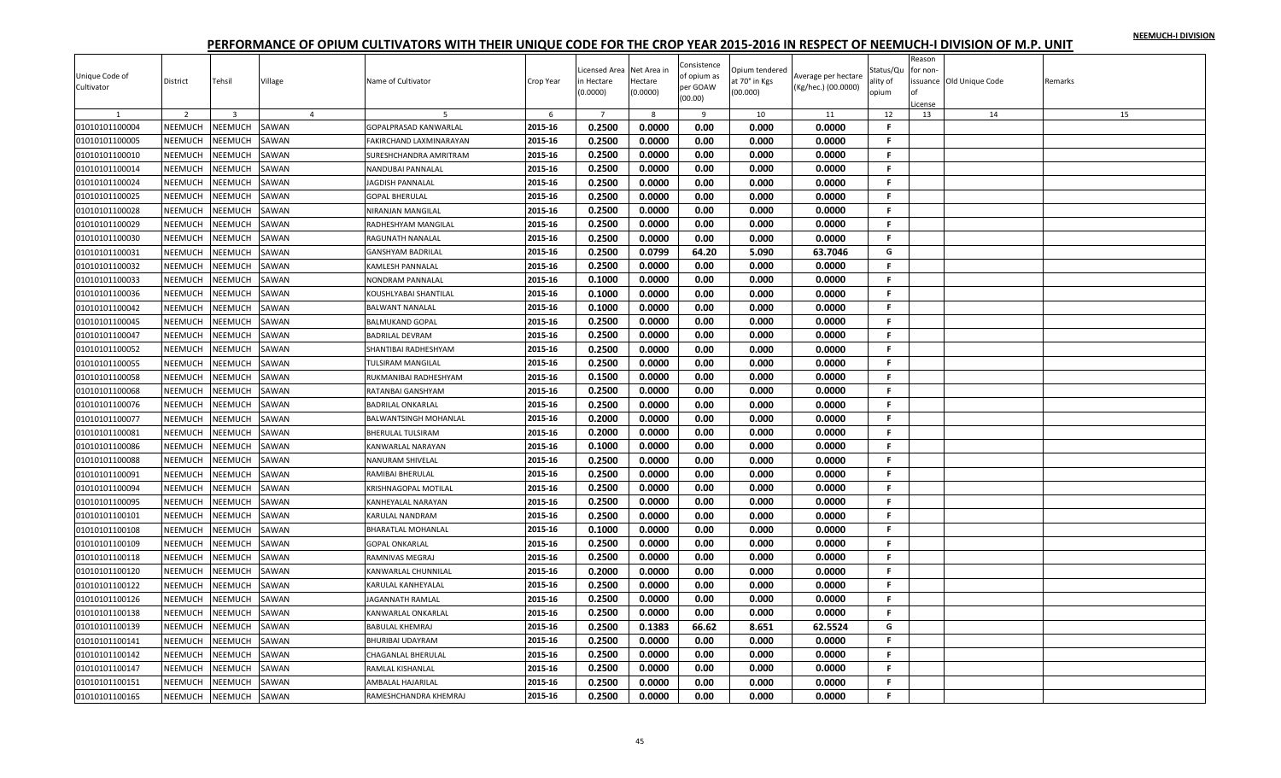|                |                    |                    |                |                              |                    | icensed Area | Net Area ir | Consistence  | Opium tendered |                     | Status/Qu | Reason<br>for non- |                          |         |
|----------------|--------------------|--------------------|----------------|------------------------------|--------------------|--------------|-------------|--------------|----------------|---------------------|-----------|--------------------|--------------------------|---------|
| Unique Code of | District           | Tehsil             | Village        | Name of Cultivator           | Crop Year          | h Hectare    | Hectare     | of opium as  | t 70° in Kgs   | werage per hectare  | ility of  |                    | issuance Old Unique Code | Remarks |
| Cultivator     |                    |                    |                |                              |                    | 0.0000)      | (0.0000)    | per GOAW     | (00.000)       | (Kg/hec.) (00.0000) | opium     |                    |                          |         |
|                |                    |                    |                |                              |                    |              |             | (00.00)      |                |                     |           | License            |                          |         |
|                | $\overline{2}$     | $\overline{3}$     | $\overline{4}$ |                              | 6                  | $7^{\circ}$  | 8           | 9            | 10             | 11                  | 12        | 13                 | 14                       | 15      |
| 01010101100004 | NEEMUCH            | NEEMUCH            | SAWAN          | <b>GOPALPRASAD KANWARLAL</b> | 2015-16            | 0.2500       | 0.0000      | 0.00         | 0.000          | 0.0000              | F         |                    |                          |         |
| 01010101100005 | NEEMUCH            | NEEMUCH            | SAWAN          | FAKIRCHAND LAXMINARAYAN      | 2015-16            | 0.2500       | 0.0000      | 0.00         | 0.000          | 0.0000              | F         |                    |                          |         |
| 01010101100010 | NEEMUCH            | NEEMUCH            | SAWAN          | SURESHCHANDRA AMRITRAM       | 2015-16            | 0.2500       | 0.0000      | 0.00         | 0.000          | 0.0000              | F.        |                    |                          |         |
| 01010101100014 | NEEMUCH            | NEEMUCH            | SAWAN          | NANDUBAI PANNALAL            | 2015-16            | 0.2500       | 0.0000      | 0.00         | 0.000          | 0.0000              | F.        |                    |                          |         |
| 01010101100024 | NEEMUCH            | NEEMUCH            | SAWAN          | <b>JAGDISH PANNALAL</b>      | 2015-16            | 0.2500       | 0.0000      | 0.00         | 0.000          | 0.0000              | F.        |                    |                          |         |
| 01010101100025 | <b>NEEMUCH</b>     | NEEMUCH            | SAWAN          | <b>GOPAL BHERULAL</b>        | 2015-16            | 0.2500       | 0.0000      | 0.00         | 0.000          | 0.0000              | F.        |                    |                          |         |
| 01010101100028 | NEEMUCH            | NEEMUCH            | SAWAN          | NIRANJAN MANGILAL            | 2015-16            | 0.2500       | 0.0000      | 0.00         | 0.000          | 0.0000              | F.        |                    |                          |         |
| 01010101100029 | NEEMUCH            | NEEMUCH            | SAWAN          | RADHESHYAM MANGILAL          | 2015-16            | 0.2500       | 0.0000      | 0.00         | 0.000          | 0.0000              | F.        |                    |                          |         |
| 01010101100030 | NEEMUCH            | NEEMUCH            | SAWAN          | RAGUNATH NANALAL             | 2015-16            | 0.2500       | 0.0000      | 0.00         | 0.000          | 0.0000              | F.        |                    |                          |         |
| 01010101100031 | NEEMUCH            | NEEMUCH            | SAWAN          | <b>GANSHYAM BADRILAL</b>     | 2015-16            | 0.2500       | 0.0799      | 64.20        | 5.090          | 63.7046             | G         |                    |                          |         |
| 01010101100032 | NEEMUCH            | NEEMUCH            | SAWAN          | <b>KAMLESH PANNALAL</b>      | 2015-16            | 0.2500       | 0.0000      | 0.00         | 0.000          | 0.0000              | F.        |                    |                          |         |
| 01010101100033 | <b>NEEMUCH</b>     | NEEMUCH            | SAWAN          | NONDRAM PANNALAL             | 2015-16            | 0.1000       | 0.0000      | 0.00         | 0.000          | 0.0000              | F.        |                    |                          |         |
| 01010101100036 | NEEMUCH            | NEEMUCH            | SAWAN          | KOUSHLYABAI SHANTILAL        | 2015-16            | 0.1000       | 0.0000      | 0.00         | 0.000          | 0.0000              | F.        |                    |                          |         |
| 01010101100042 | NEEMUCH            | NEEMUCH            | SAWAN          | <b>BALWANT NANALAL</b>       | 2015-16            | 0.1000       | 0.0000      | 0.00         | 0.000          | 0.0000              | F         |                    |                          |         |
| 01010101100045 | NEEMUCH            | NEEMUCH            | SAWAN          | <b>BALMUKAND GOPAL</b>       | 2015-16            | 0.2500       | 0.0000      | 0.00         | 0.000          | 0.0000              | F.        |                    |                          |         |
| 01010101100047 | NEEMUCH            | NEEMUCH            | SAWAN          | <b>BADRILAL DEVRAM</b>       | 2015-16            | 0.2500       | 0.0000      | 0.00         | 0.000          | 0.0000              | F.        |                    |                          |         |
| 01010101100052 | NEEMUCH            | NEEMUCH            | SAWAN          | SHANTIBAI RADHESHYAM         | 2015-16            | 0.2500       | 0.0000      | 0.00         | 0.000          | 0.0000              | F.        |                    |                          |         |
| 01010101100055 | NEEMUCH            | NEEMUCH            | SAWAN          | TULSIRAM MANGILAL            | 2015-16            | 0.2500       | 0.0000      | 0.00         | 0.000          | 0.0000              | F.        |                    |                          |         |
| 01010101100058 | NEEMUCH            | NEEMUCH            | SAWAN          | RUKMANIBAI RADHESHYAM        | 2015-16            | 0.1500       | 0.0000      | 0.00         | 0.000          | 0.0000              | F.        |                    |                          |         |
| 01010101100068 | NEEMUCH            | NEEMUCH            | SAWAN          | RATANBAI GANSHYAM            | 2015-16            | 0.2500       | 0.0000      | 0.00         | 0.000          | 0.0000              | F.        |                    |                          |         |
| 01010101100076 | NEEMUCH            | NEEMUCH            | SAWAN          | <b>BADRILAL ONKARLAL</b>     | 2015-16            | 0.2500       | 0.0000      | 0.00         | 0.000          | 0.0000              | F.        |                    |                          |         |
| 01010101100077 | NEEMUCH            | NEEMUCH            | SAWAN          | <b>BALWANTSINGH MOHANLAL</b> | 2015-16            | 0.2000       | 0.0000      | 0.00         | 0.000          | 0.0000              | F.        |                    |                          |         |
| 01010101100081 | NEEMUCH            | NEEMUCH            | SAWAN          | <b>BHERULAL TULSIRAM</b>     | 2015-16            | 0.2000       | 0.0000      | 0.00         | 0.000          | 0.0000              | F         |                    |                          |         |
| 01010101100086 | NEEMUCH            | NEEMUCH            | SAWAN          | KANWARLAL NARAYAN            | 2015-16            | 0.1000       | 0.0000      | 0.00         | 0.000          | 0.0000              | Е         |                    |                          |         |
| 01010101100088 | NEEMUCH            | NEEMUCH            | SAWAN          | <b>NANURAM SHIVELAL</b>      | 2015-16            | 0.2500       | 0.0000      | 0.00         | 0.000          | 0.0000              | F.        |                    |                          |         |
| 01010101100091 | NEEMUCH            | NEEMUCH            | SAWAN          | RAMIBAI BHERULAL             | 2015-16            | 0.2500       | 0.0000      | 0.00         | 0.000          | 0.0000              | F         |                    |                          |         |
| 01010101100094 | NEEMUCH            | NEEMUCH            | SAWAN          | KRISHNAGOPAL MOTILAL         | 2015-16            | 0.2500       | 0.0000      | 0.00         | 0.000          | 0.0000              | F.        |                    |                          |         |
| 01010101100095 | <b>NEEMUCH</b>     | NEEMUCH            | SAWAN          | <b>KANHEYALAL NARAYAN</b>    | 2015-16            | 0.2500       | 0.0000      | 0.00         | 0.000          | 0.0000              | F         |                    |                          |         |
| 01010101100101 | NEEMUCH            | NEEMUCH            | SAWAN          | KARULAL NANDRAM              | 2015-16            | 0.2500       | 0.0000      | 0.00         | 0.000          | 0.0000              | F.        |                    |                          |         |
|                |                    |                    |                |                              |                    | 0.1000       | 0.0000      |              |                | 0.0000              | F.        |                    |                          |         |
| 01010101100108 | NEEMUCH<br>NEEMUCH | NEEMUCH<br>NEEMUCH | SAWAN<br>SAWAN | <b>BHARATLAL MOHANLAL</b>    | 2015-16<br>2015-16 | 0.2500       | 0.0000      | 0.00<br>0.00 | 0.000<br>0.000 | 0.0000              | F.        |                    |                          |         |
| 01010101100109 |                    |                    |                | <b>GOPAL ONKARLAL</b>        |                    |              |             |              |                |                     |           |                    |                          |         |
| 01010101100118 | NEEMUCH            | NEEMUCH            | SAWAN          | RAMNIVAS MEGRAJ              | 2015-16            | 0.2500       | 0.0000      | 0.00         | 0.000          | 0.0000              | F.        |                    |                          |         |
| 01010101100120 | NEEMUCH            | NEEMUCH            | SAWAN          | KANWARLAL CHUNNILAL          | 2015-16            | 0.2000       | 0.0000      | 0.00         | 0.000          | 0.0000              | F.        |                    |                          |         |
| 01010101100122 | NEEMUCH            | NEEMUCH            | SAWAN          | KARULAL KANHEYALAL           | 2015-16            | 0.2500       | 0.0000      | 0.00         | 0.000          | 0.0000              | F         |                    |                          |         |
| 01010101100126 | NEEMUCH            | NEEMUCH            | SAWAN          | JAGANNATH RAMLAL             | 2015-16            | 0.2500       | 0.0000      | 0.00         | 0.000          | 0.0000              | F.        |                    |                          |         |
| 01010101100138 | NEEMUCH            | NEEMUCH            | SAWAN          | KANWARLAL ONKARLAL           | 2015-16            | 0.2500       | 0.0000      | 0.00         | 0.000          | 0.0000              | F.        |                    |                          |         |
| 01010101100139 | <b>NEEMUCH</b>     | NEEMUCH            | SAWAN          | <b>BABULAL KHEMRAJ</b>       | 2015-16            | 0.2500       | 0.1383      | 66.62        | 8.651          | 62.5524             | G         |                    |                          |         |
| 01010101100141 | NEEMUCH            | NEEMUCH            | SAWAN          | <b>BHURIBAI UDAYRAM</b>      | 2015-16            | 0.2500       | 0.0000      | 0.00         | 0.000          | 0.0000              | F.        |                    |                          |         |
| 01010101100142 | <b>NEEMUCH</b>     | NEEMUCH            | SAWAN          | CHAGANLAL BHERULAL           | 2015-16            | 0.2500       | 0.0000      | 0.00         | 0.000          | 0.0000              | F.        |                    |                          |         |
| 01010101100147 | NEEMUCH            | NEEMUCH            | SAWAN          | RAMLAL KISHANLAL             | 2015-16            | 0.2500       | 0.0000      | 0.00         | 0.000          | 0.0000              | F         |                    |                          |         |
| 01010101100151 | NEEMUCH            | NEEMUCH            | SAWAN          | AMBALAL HAJARILAL            | 2015-16            | 0.2500       | 0.0000      | 0.00         | 0.000          | 0.0000              | F.        |                    |                          |         |
| 01010101100165 | NEEMUCH            | <b>NEEMUCH</b>     | SAWAN          | RAMESHCHANDRA KHEMRAJ        | 2015-16            | 0.2500       | 0.0000      | 0.00         | 0.000          | 0.0000              | F.        |                    |                          |         |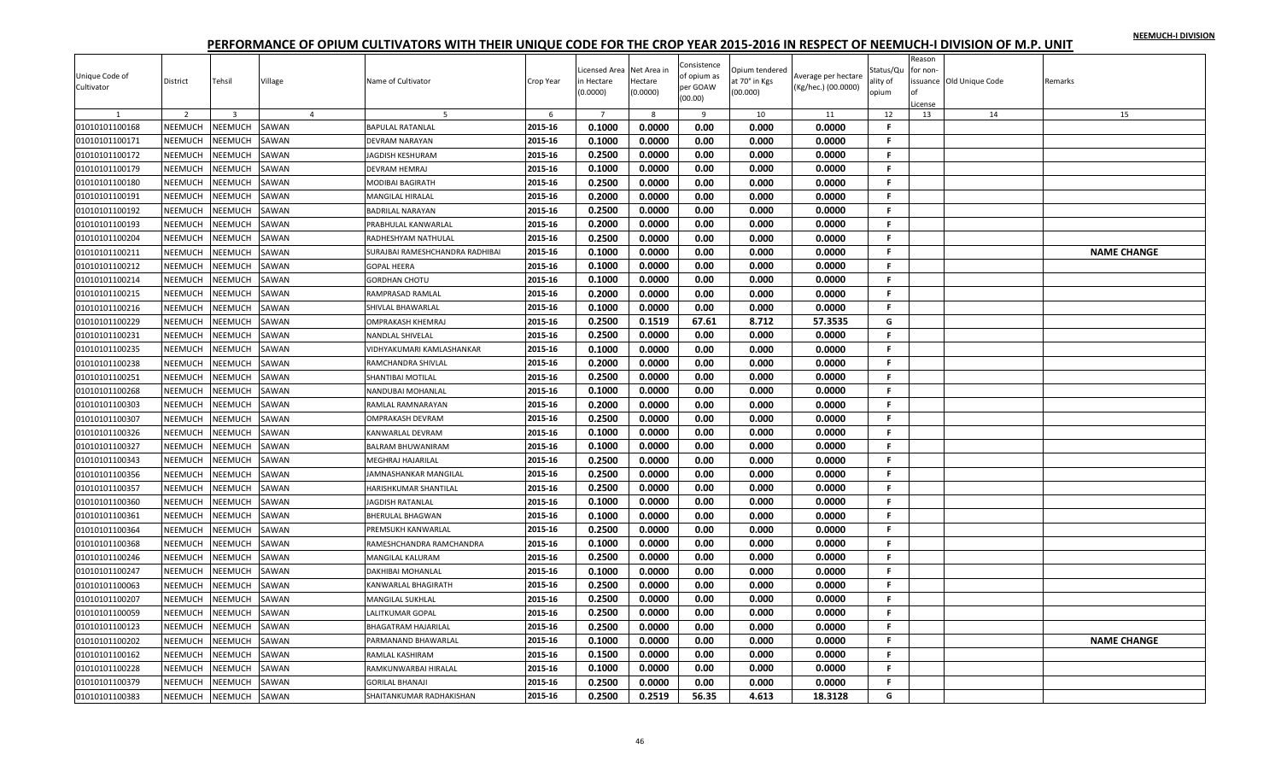| Unique Code of<br>Cultivator | District | Tehsil                  | Village        | Name of Cultivator              | Crop Year | icensed Area<br>n Hectare<br>(0.0000) | Net Area in<br>Hectare<br>(0.0000) | Consistence<br>of opium as<br>per GOAW<br>(00.00) | Opium tendered<br>it 70° in Kgs<br>(00.000) | Average per hectare<br>(Kg/hec.) (00.0000) | Status/Qu<br>ality of<br>opium | Reason<br>for non-<br>Ωf<br>License | ssuance Old Unique Code | Remarks |                    |
|------------------------------|----------|-------------------------|----------------|---------------------------------|-----------|---------------------------------------|------------------------------------|---------------------------------------------------|---------------------------------------------|--------------------------------------------|--------------------------------|-------------------------------------|-------------------------|---------|--------------------|
|                              | 2        | $\overline{\mathbf{3}}$ | $\overline{4}$ | 5                               | 6         | $\overline{7}$                        | 8                                  | 9                                                 | 10                                          | 11                                         | 12                             | 13                                  | 14                      |         | 15                 |
| 01010101100168               | NEEMUCH  | NEEMUCH                 | SAWAN          | <b>BAPULAL RATANLAL</b>         | 2015-16   | 0.1000                                | 0.0000                             | 0.00                                              | 0.000                                       | 0.0000                                     | F.                             |                                     |                         |         |                    |
| 01010101100171               | NEEMUCH  | <b>NEEMUCH</b>          | SAWAN          | <b>DEVRAM NARAYAN</b>           | 2015-16   | 0.1000                                | 0.0000                             | 0.00                                              | 0.000                                       | 0.0000                                     | F                              |                                     |                         |         |                    |
| 01010101100172               | NEEMUCH  | <b>SEEMUCH</b>          | SAWAN          | JAGDISH KESHURAM                | 2015-16   | 0.2500                                | 0.0000                             | 0.00                                              | 0.000                                       | 0.0000                                     | F.                             |                                     |                         |         |                    |
| 01010101100179               | NEEMUCH  | <b>NEEMUCH</b>          | SAWAN          | DEVRAM HEMRAJ                   | 2015-16   | 0.1000                                | 0.0000                             | 0.00                                              | 0.000                                       | 0.0000                                     | F.                             |                                     |                         |         |                    |
| 01010101100180               | NEEMUCH  | <b>NEEMUCH</b>          | SAWAN          | <b>MODIBAI BAGIRATH</b>         | 2015-16   | 0.2500                                | 0.0000                             | 0.00                                              | 0.000                                       | 0.0000                                     | F.                             |                                     |                         |         |                    |
| 01010101100191               | NEEMUCH  | <b>NEEMUCH</b>          | SAWAN          | <b>MANGILAL HIRALAL</b>         | 2015-16   | 0.2000                                | 0.0000                             | 0.00                                              | 0.000                                       | 0.0000                                     | F.                             |                                     |                         |         |                    |
| 01010101100192               | NEEMUCH  | <b>NEEMUCH</b>          | SAWAN          | <b>BADRILAL NARAYAN</b>         | 2015-16   | 0.2500                                | 0.0000                             | 0.00                                              | 0.000                                       | 0.0000                                     | F                              |                                     |                         |         |                    |
| 01010101100193               | NEEMUCH  | <b>NEEMUCH</b>          | SAWAN          | PRABHULAL KANWARLAL             | 2015-16   | 0.2000                                | 0.0000                             | 0.00                                              | 0.000                                       | 0.0000                                     | F.                             |                                     |                         |         |                    |
| 01010101100204               | NEEMUCH  | <b>NEEMUCH</b>          | SAWAN          | RADHESHYAM NATHULAL             | 2015-16   | 0.2500                                | 0.0000                             | 0.00                                              | 0.000                                       | 0.0000                                     | F.                             |                                     |                         |         |                    |
| 01010101100211               | NEEMUCH  | <b>NEEMUCH</b>          | SAWAN          | SURAJBAI RAMESHCHANDRA RADHIBAI | 2015-16   | 0.1000                                | 0.0000                             | 0.00                                              | 0.000                                       | 0.0000                                     | F.                             |                                     |                         |         | <b>NAME CHANGE</b> |
| 01010101100212               | NEEMUCH  | <b>NEEMUCH</b>          | SAWAN          | <b>GOPAL HEERA</b>              | 2015-16   | 0.1000                                | 0.0000                             | 0.00                                              | 0.000                                       | 0.0000                                     | F.                             |                                     |                         |         |                    |
| 01010101100214               | NEEMUCH  | <b>NEEMUCH</b>          | SAWAN          | <b>GORDHAN CHOTU</b>            | 2015-16   | 0.1000                                | 0.0000                             | 0.00                                              | 0.000                                       | 0.0000                                     | F.                             |                                     |                         |         |                    |
| 01010101100215               | NEEMUCH  | <b>JEEMUCH</b>          | SAWAN          | RAMPRASAD RAMLAL                | 2015-16   | 0.2000                                | 0.0000                             | 0.00                                              | 0.000                                       | 0.0000                                     | F                              |                                     |                         |         |                    |
| 01010101100216               | NEEMUCH  | <b>JEEMUCH</b>          | SAWAN          | SHIVLAL BHAWARLAL               | 2015-16   | 0.1000                                | 0.0000                             | 0.00                                              | 0.000                                       | 0.0000                                     | F.                             |                                     |                         |         |                    |
| 01010101100229               | NEEMUCH  | <b>NEEMUCH</b>          | SAWAN          | <b>OMPRAKASH KHEMRAJ</b>        | 2015-16   | 0.2500                                | 0.1519                             | 67.61                                             | 8.712                                       | 57.3535                                    | G                              |                                     |                         |         |                    |
| 01010101100231               | NEEMUCH  | <b>NEEMUCH</b>          | SAWAN          | NANDLAL SHIVELAL                | 2015-16   | 0.2500                                | 0.0000                             | 0.00                                              | 0.000                                       | 0.0000                                     | F.                             |                                     |                         |         |                    |
| 01010101100235               | NEEMUCH  | <b>NEEMUCH</b>          | <b>SAWAN</b>   | VIDHYAKUMARI KAMLASHANKAR       | 2015-16   | 0.1000                                | 0.0000                             | 0.00                                              | 0.000                                       | 0.0000                                     | F.                             |                                     |                         |         |                    |
| 01010101100238               | NEEMUCH  | <b>NEEMUCH</b>          | SAWAN          | RAMCHANDRA SHIVLAL              | 2015-16   | 0.2000                                | 0.0000                             | 0.00                                              | 0.000                                       | 0.0000                                     | F.                             |                                     |                         |         |                    |
| 01010101100251               | NEEMUCH  | <b>JEEMUCH</b>          | SAWAN          | SHANTIBAI MOTILAL               | 2015-16   | 0.2500                                | 0.0000                             | 0.00                                              | 0.000                                       | 0.0000                                     | F                              |                                     |                         |         |                    |
| 01010101100268               | NEEMUCH  | <b>NEEMUCH</b>          | SAWAN          | NANDUBAI MOHANLAL               | 2015-16   | 0.1000                                | 0.0000                             | 0.00                                              | 0.000                                       | 0.0000                                     | F.                             |                                     |                         |         |                    |
| 01010101100303               | NEEMUCH  | NEEMUCH                 | SAWAN          | RAMLAL RAMNARAYAN               | 2015-16   | 0.2000                                | 0.0000                             | 0.00                                              | 0.000                                       | 0.0000                                     | F.                             |                                     |                         |         |                    |
| 01010101100307               | NEEMUCH  | <b>NEEMUCH</b>          | SAWAN          | <b>OMPRAKASH DEVRAM</b>         | 2015-16   | 0.2500                                | 0.0000                             | 0.00                                              | 0.000                                       | 0.0000                                     | F.                             |                                     |                         |         |                    |
| 01010101100326               | NEEMUCH  | <b>NEEMUCH</b>          | SAWAN          | <b>KANWARLAL DEVRAM</b>         | 2015-16   | 0.1000                                | 0.0000                             | 0.00                                              | 0.000                                       | 0.0000                                     | F.                             |                                     |                         |         |                    |
| 01010101100327               | NEEMUCH  | <b>JEEMUCH</b>          | SAWAN          | <b>BALRAM BHUWANIRAM</b>        | 2015-16   | 0.1000                                | 0.0000                             | 0.00                                              | 0.000                                       | 0.0000                                     | F                              |                                     |                         |         |                    |
| 01010101100343               | NEEMUCH  | <b>NEEMUCH</b>          | SAWAN          | MEGHRAJ HAJARILAL               | 2015-16   | 0.2500                                | 0.0000                             | 0.00                                              | 0.000                                       | 0.0000                                     | -F                             |                                     |                         |         |                    |
| 01010101100356               | NEEMUCH  | <b>NEEMUCH</b>          | SAWAN          | JAMNASHANKAR MANGILAL           | 2015-16   | 0.2500                                | 0.0000                             | 0.00                                              | 0.000                                       | 0.0000                                     | F.                             |                                     |                         |         |                    |
| 01010101100357               | NEEMUCH  | <b>NEEMUCH</b>          | SAWAN          | HARISHKUMAR SHANTILAL           | 2015-16   | 0.2500                                | 0.0000                             | 0.00                                              | 0.000                                       | 0.0000                                     | .F.                            |                                     |                         |         |                    |
| 01010101100360               | NEEMUCH  | <b>NEEMUCH</b>          | SAWAN          | <b>JAGDISH RATANLAL</b>         | 2015-16   | 0.1000                                | 0.0000                             | 0.00                                              | 0.000                                       | 0.0000                                     | F.                             |                                     |                         |         |                    |
| 01010101100361               | NEEMUCH  | <b>NEEMUCH</b>          | SAWAN          | <b>BHERULAL BHAGWAN</b>         | 2015-16   | 0.1000                                | 0.0000                             | 0.00                                              | 0.000                                       | 0.0000                                     | F                              |                                     |                         |         |                    |
| 01010101100364               | NEEMUCH  | <b>NEEMUCH</b>          | <b>SAWAN</b>   | PREMSUKH KANWARLAL              | 2015-16   | 0.2500                                | 0.0000                             | 0.00                                              | 0.000                                       | 0.0000                                     | F                              |                                     |                         |         |                    |
| 01010101100368               | NEEMUCH  | <b>NEEMUCH</b>          | SAWAN          | RAMESHCHANDRA RAMCHANDRA        | 2015-16   | 0.1000                                | 0.0000                             | 0.00                                              | 0.000                                       | 0.0000                                     | F.                             |                                     |                         |         |                    |
| 01010101100246               | NEEMUCH  | <b>NEEMUCH</b>          | SAWAN          | <b>MANGILAL KALURAM</b>         | 2015-16   | 0.2500                                | 0.0000                             | 0.00                                              | 0.000                                       | 0.0000                                     | F.                             |                                     |                         |         |                    |
| 01010101100247               | NEEMUCH  | <b>NEEMUCH</b>          | SAWAN          | DAKHIBAI MOHANLAL               | 2015-16   | 0.1000                                | 0.0000                             | 0.00                                              | 0.000                                       | 0.0000                                     | F.                             |                                     |                         |         |                    |
| 01010101100063               | NEEMUCH  | <b>NEEMUCH</b>          | SAWAN          | KANWARLAL BHAGIRATH             | 2015-16   | 0.2500                                | 0.0000                             | 0.00                                              | 0.000                                       | 0.0000                                     | F.                             |                                     |                         |         |                    |
| 01010101100207               | NEEMUCH  | <b>NEEMUCH</b>          | <b>SAWAN</b>   | <b>MANGILAL SUKHLAL</b>         | 2015-16   | 0.2500                                | 0.0000                             | 0.00                                              | 0.000                                       | 0.0000                                     | F                              |                                     |                         |         |                    |
| 01010101100059               | NEEMUCH  | <b>NEEMUCH</b>          | SAWAN          | LALITKUMAR GOPAL                | 2015-16   | 0.2500                                | 0.0000                             | 0.00                                              | 0.000                                       | 0.0000                                     | F.                             |                                     |                         |         |                    |
| 01010101100123               | NEEMUCH  | <b>NEEMUCH</b>          | SAWAN          | <b>BHAGATRAM HAJARILAL</b>      | 2015-16   | 0.2500                                | 0.0000                             | 0.00                                              | 0.000                                       | 0.0000                                     | F.                             |                                     |                         |         |                    |
| 01010101100202               | NEEMUCH  | <b>NEEMUCH</b>          | SAWAN          | PARMANAND BHAWARLAL             | 2015-16   | 0.1000                                | 0.0000                             | 0.00                                              | 0.000                                       | 0.0000                                     | F.                             |                                     |                         |         | <b>NAME CHANGE</b> |
| 01010101100162               | NEEMUCH  | <b>NEEMUCH</b>          | SAWAN          | RAMLAL KASHIRAM                 | 2015-16   | 0.1500                                | 0.0000                             | 0.00                                              | 0.000                                       | 0.0000                                     | F.                             |                                     |                         |         |                    |
| 01010101100228               | NEEMUCH  | <b>JEEMUCH</b>          | <b>SAWAN</b>   | RAMKUNWARBAI HIRALAL            | 2015-16   | 0.1000                                | 0.0000                             | 0.00                                              | 0.000                                       | 0.0000                                     | F                              |                                     |                         |         |                    |
| 01010101100379               | NEEMUCH  | <b>NEEMUCH</b>          | <b>SAWAN</b>   | <b>GORILAL BHANAJI</b>          | 2015-16   | 0.2500                                | 0.0000                             | 0.00                                              | 0.000                                       | 0.0000                                     | Е                              |                                     |                         |         |                    |
| 01010101100383               | NEEMUCH  | <b>NEEMUCH</b>          | SAWAN          | SHAITANKUMAR RADHAKISHAN        | 2015-16   | 0.2500                                | 0.2519                             | 56.35                                             | 4.613                                       | 18.3128                                    | G                              |                                     |                         |         |                    |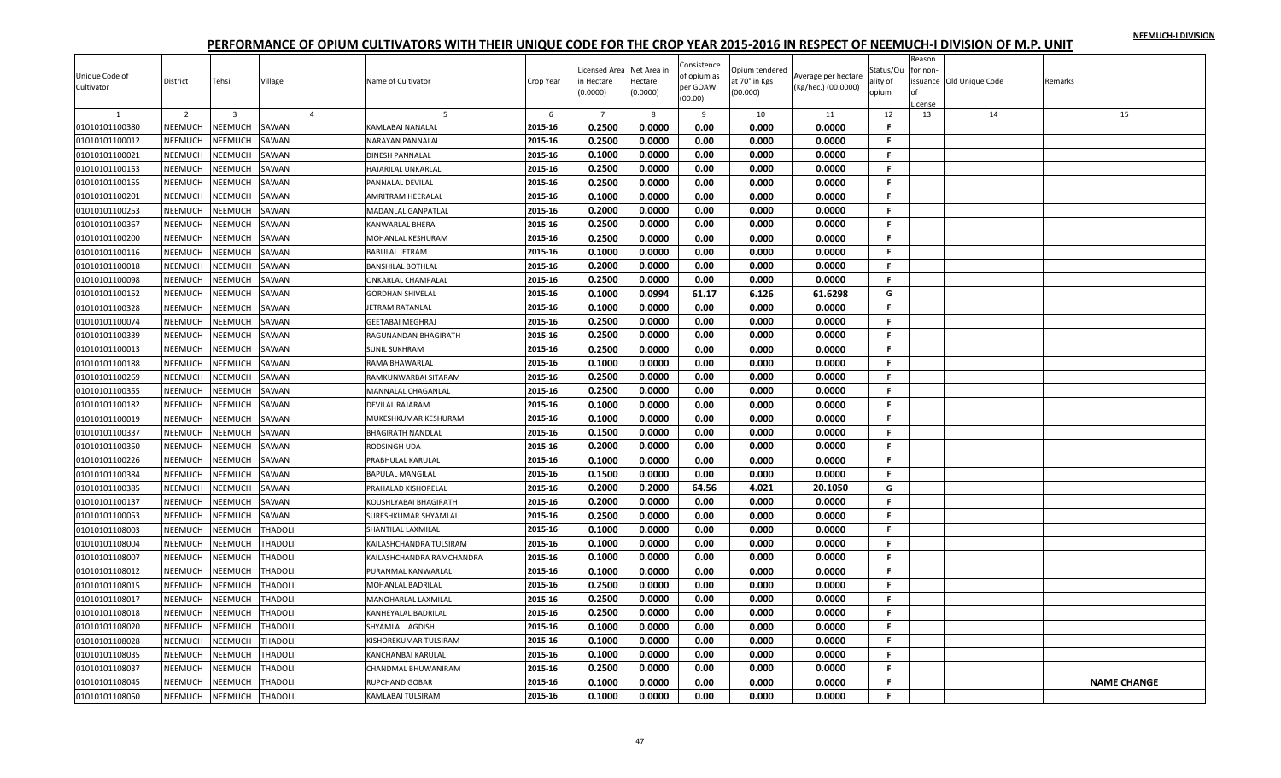|                |                |                |                |                             |           | icensed Area   | Net Area ir | Consistence |                                |                     |                       | Reason   |                          |                    |
|----------------|----------------|----------------|----------------|-----------------------------|-----------|----------------|-------------|-------------|--------------------------------|---------------------|-----------------------|----------|--------------------------|--------------------|
| Unique Code of | District       | Tehsil         | Village        | Name of Cultivator          | Crop Year | n Hectare      | Hectare     | of opium as | Opium tendered<br>t 70° in Kgs | werage per hectare  | Status/Qu<br>ility of | for non- | issuance Old Unique Code | Remarks            |
| Cultivator     |                |                |                |                             |           | 0.0000)        | (0.0000)    | per GOAW    | (00.000)                       | (Kg/hec.) (00.0000) | opium                 |          |                          |                    |
|                |                |                |                |                             |           |                |             | (00.00)     |                                |                     |                       | License  |                          |                    |
|                | $\overline{2}$ | $\overline{3}$ | $\overline{4}$ |                             | 6         | $\overline{7}$ | 8           | 9           | 10                             | 11                  | 12                    | 13       | 14                       | 15                 |
| 01010101100380 | NEEMUCH        | NEEMUCH        | SAWAN          | KAMLABAI NANALAL            | 2015-16   | 0.2500         | 0.0000      | 0.00        | 0.000                          | 0.0000              | F.                    |          |                          |                    |
| 01010101100012 | NEEMUCH        | NEEMUCH        | SAWAN          | NARAYAN PANNALAL            | 2015-16   | 0.2500         | 0.0000      | 0.00        | 0.000                          | 0.0000              | Е                     |          |                          |                    |
| 01010101100021 | NEEMUCH        | NEEMUCH        | SAWAN          | <b>DINESH PANNALAL</b>      | 2015-16   | 0.1000         | 0.0000      | 0.00        | 0.000                          | 0.0000              | F.                    |          |                          |                    |
| 01010101100153 | <b>NEEMUCH</b> | <b>NEEMUCH</b> | SAWAN          | <b>HAJARILAL UNKARLAL</b>   | 2015-16   | 0.2500         | 0.0000      | 0.00        | 0.000                          | 0.0000              | F.                    |          |                          |                    |
| 01010101100155 | NEEMUCH        | NEEMUCH        | SAWAN          | PANNALAL DEVILAL            | 2015-16   | 0.2500         | 0.0000      | 0.00        | 0.000                          | 0.0000              | F.                    |          |                          |                    |
| 01010101100201 | NEEMUCH        | NEEMUCH        | SAWAN          | <b>AMRITRAM HEERALAL</b>    | 2015-16   | 0.1000         | 0.0000      | 0.00        | 0.000                          | 0.0000              | F.                    |          |                          |                    |
| 01010101100253 | NEEMUCH        | NEEMUCH        | SAWAN          | <b>MADANLAL GANPATLAL</b>   | 2015-16   | 0.2000         | 0.0000      | 0.00        | 0.000                          | 0.0000              | F.                    |          |                          |                    |
| 01010101100367 | NEEMUCH        | NEEMUCH        | SAWAN          | KANWARLAL BHERA             | 2015-16   | 0.2500         | 0.0000      | 0.00        | 0.000                          | 0.0000              | F.                    |          |                          |                    |
| 01010101100200 | NEEMUCH        | NEEMUCH        | SAWAN          | MOHANLAL KESHURAM           | 2015-16   | 0.2500         | 0.0000      | 0.00        | 0.000                          | 0.0000              | F.                    |          |                          |                    |
| 01010101100116 | NEEMUCH        | NEEMUCH        | SAWAN          | <b>BABULAL JETRAM</b>       | 2015-16   | 0.1000         | 0.0000      | 0.00        | 0.000                          | 0.0000              | F.                    |          |                          |                    |
| 01010101100018 | NEEMUCH        | NEEMUCH        | SAWAN          | <b>BANSHILAL BOTHLAL</b>    | 2015-16   | 0.2000         | 0.0000      | 0.00        | 0.000                          | 0.0000              | F.                    |          |                          |                    |
| 01010101100098 | NEEMUCH        | NEEMUCH        | SAWAN          | <b>ONKARLAL CHAMPALAL</b>   | 2015-16   | 0.2500         | 0.0000      | 0.00        | 0.000                          | 0.0000              | F.                    |          |                          |                    |
| 01010101100152 | NEEMUCH        | NEEMUCH        | SAWAN          | <b>GORDHAN SHIVELAL</b>     | 2015-16   | 0.1000         | 0.0994      | 61.17       | 6.126                          | 61.6298             | G                     |          |                          |                    |
| 01010101100328 | NEEMUCH        | NEEMUCH        | SAWAN          | JETRAM RATANLAL             | 2015-16   | 0.1000         | 0.0000      | 0.00        | 0.000                          | 0.0000              | F.                    |          |                          |                    |
| 01010101100074 | NEEMUCH        | NEEMUCH        | SAWAN          | <b>GEETABAI MEGHRAJ</b>     | 2015-16   | 0.2500         | 0.0000      | 0.00        | 0.000                          | 0.0000              | F.                    |          |                          |                    |
| 01010101100339 | NEEMUCH        | NEEMUCH        | SAWAN          | RAGUNANDAN BHAGIRATH        | 2015-16   | 0.2500         | 0.0000      | 0.00        | 0.000                          | 0.0000              | F.                    |          |                          |                    |
| 01010101100013 | <b>NEEMUCH</b> | NEEMUCH        | SAWAN          | <b>SUNIL SUKHRAM</b>        | 2015-16   | 0.2500         | 0.0000      | 0.00        | 0.000                          | 0.0000              | F.                    |          |                          |                    |
| 01010101100188 | NEEMUCH        | NEEMUCH        | SAWAN          | RAMA BHAWARLAL              | 2015-16   | 0.1000         | 0.0000      | 0.00        | 0.000                          | 0.0000              | F                     |          |                          |                    |
| 01010101100269 | NEEMUCH        | NEEMUCH        | SAWAN          | RAMKUNWARBAI SITARAM        | 2015-16   | 0.2500         | 0.0000      | 0.00        | 0.000                          | 0.0000              | F.                    |          |                          |                    |
| 01010101100355 | NEEMUCH        | NEEMUCH        | SAWAN          | MANNALAL CHAGANLAL          | 2015-16   | 0.2500         | 0.0000      | 0.00        | 0.000                          | 0.0000              | F.                    |          |                          |                    |
| 01010101100182 | NEEMUCH        | NEEMUCH        | SAWAN          | <b>DEVILAL RAJARAM</b>      | 2015-16   | 0.1000         | 0.0000      | 0.00        | 0.000                          | 0.0000              | F.                    |          |                          |                    |
| 01010101100019 | NEEMUCH        | NEEMUCH        | SAWAN          | MUKESHKUMAR KESHURAM        | 2015-16   | 0.1000         | 0.0000      | 0.00        | 0.000                          | 0.0000              | F.                    |          |                          |                    |
| 01010101100337 | <b>NEEMUCH</b> | NEEMUCH        | SAWAN          | <b>BHAGIRATH NANDLAL</b>    | 2015-16   | 0.1500         | 0.0000      | 0.00        | 0.000                          | 0.0000              | F                     |          |                          |                    |
| 01010101100350 | NEEMUCH        | <b>NEEMUCH</b> | SAWAN          | RODSINGH UDA                | 2015-16   | 0.2000         | 0.0000      | 0.00        | 0.000                          | 0.0000              | F.                    |          |                          |                    |
| 01010101100226 | NEEMUCH        | NEEMUCH        | SAWAN          | PRABHULAL KARULAL           | 2015-16   | 0.1000         | 0.0000      | 0.00        | 0.000                          | 0.0000              | F.                    |          |                          |                    |
| 01010101100384 | <b>NEEMUCH</b> | <b>NEEMUCH</b> | SAWAN          | <b>BAPULAL MANGILAL</b>     | 2015-16   | 0.1500         | 0.0000      | 0.00        | 0.000                          | 0.0000              | F.                    |          |                          |                    |
| 01010101100385 | NEEMUCH        | NEEMUCH        | SAWAN          | PRAHALAD KISHORELAL         | 2015-16   | 0.2000         | 0.2000      | 64.56       | 4.021                          | 20.1050             | G                     |          |                          |                    |
| 01010101100137 | NEEMUCH        | NEEMUCH        | SAWAN          | KOUSHLYABAI BHAGIRATH       | 2015-16   | 0.2000         | 0.0000      | 0.00        | 0.000                          | 0.0000              | F.                    |          |                          |                    |
| 01010101100053 | <b>NEEMUCH</b> | NEEMUCH        | SAWAN          | <b>SURESHKUMAR SHYAMLAL</b> | 2015-16   | 0.2500         | 0.0000      | 0.00        | 0.000                          | 0.0000              | F.                    |          |                          |                    |
| 01010101108003 | NEEMUCH        | <b>NEEMUCH</b> | <b>THADOLI</b> | SHANTILAL LAXMILAL          | 2015-16   | 0.1000         | 0.0000      | 0.00        | 0.000                          | 0.0000              | F                     |          |                          |                    |
| 01010101108004 | NEEMUCH        | NEEMUCH        | <b>THADOLI</b> | KAILASHCHANDRA TULSIRAM     | 2015-16   | 0.1000         | 0.0000      | 0.00        | 0.000                          | 0.0000              | F.                    |          |                          |                    |
| 01010101108007 | NEEMUCH        | NEEMUCH        | THADOLI        | KAILASHCHANDRA RAMCHANDRA   | 2015-16   | 0.1000         | 0.0000      | 0.00        | 0.000                          | 0.0000              | F.                    |          |                          |                    |
| 01010101108012 | NEEMUCH        | NEEMUCH        | <b>THADOLI</b> | PURANMAL KANWARLAL          | 2015-16   | 0.1000         | 0.0000      | 0.00        | 0.000                          | 0.0000              | F.                    |          |                          |                    |
| 01010101108015 | <b>NEEMUCH</b> | NEEMUCH        | <b>THADOLI</b> | <b>MOHANLAL BADRILAL</b>    | 2015-16   | 0.2500         | 0.0000      | 0.00        | 0.000                          | 0.0000              | F.                    |          |                          |                    |
| 01010101108017 | NEEMUCH        | NEEMUCH        | THADOLI        | MANOHARLAL LAXMILAL         | 2015-16   | 0.2500         | 0.0000      | 0.00        | 0.000                          | 0.0000              | Е                     |          |                          |                    |
| 01010101108018 | NEEMUCH        | NEEMUCH        | <b>THADOLI</b> | KANHEYALAL BADRILAL         | 2015-16   | 0.2500         | 0.0000      | 0.00        | 0.000                          | 0.0000              | F.                    |          |                          |                    |
| 01010101108020 | NEEMUCH        | NEEMUCH        | THADOLI        | SHYAMLAL JAGDISH            | 2015-16   | 0.1000         | 0.0000      | 0.00        | 0.000                          | 0.0000              | F.                    |          |                          |                    |
| 01010101108028 | NEEMUCH        | NEEMUCH        | THADOLI        | KISHOREKUMAR TULSIRAM       | 2015-16   | 0.1000         | 0.0000      | 0.00        | 0.000                          | 0.0000              | F.                    |          |                          |                    |
| 01010101108035 | NEEMUCH        | NEEMUCH        | <b>THADOLI</b> | <b>KANCHANBAI KARULAL</b>   | 2015-16   | 0.1000         | 0.0000      | 0.00        | 0.000                          | 0.0000              | F.                    |          |                          |                    |
| 01010101108037 | NEEMUCH        | <b>NEEMUCH</b> | <b>THADOLI</b> | CHANDMAL BHUWANIRAM         | 2015-16   | 0.2500         | 0.0000      | 0.00        | 0.000                          | 0.0000              | F                     |          |                          |                    |
| 01010101108045 | NEEMUCH        | NEEMUCH        | THADOLI        | <b>RUPCHAND GOBAR</b>       | 2015-16   | 0.1000         | 0.0000      | 0.00        | 0.000                          | 0.0000              | Е                     |          |                          | <b>NAME CHANGE</b> |
|                | <b>NEEMUCH</b> | <b>NEEMUCH</b> | <b>THADOLI</b> | KAMLABAI TULSIRAM           | 2015-16   | 0.1000         | 0.0000      | 0.00        | 0.000                          | 0.0000              | F.                    |          |                          |                    |
| 01010101108050 |                |                |                |                             |           |                |             |             |                                |                     |                       |          |                          |                    |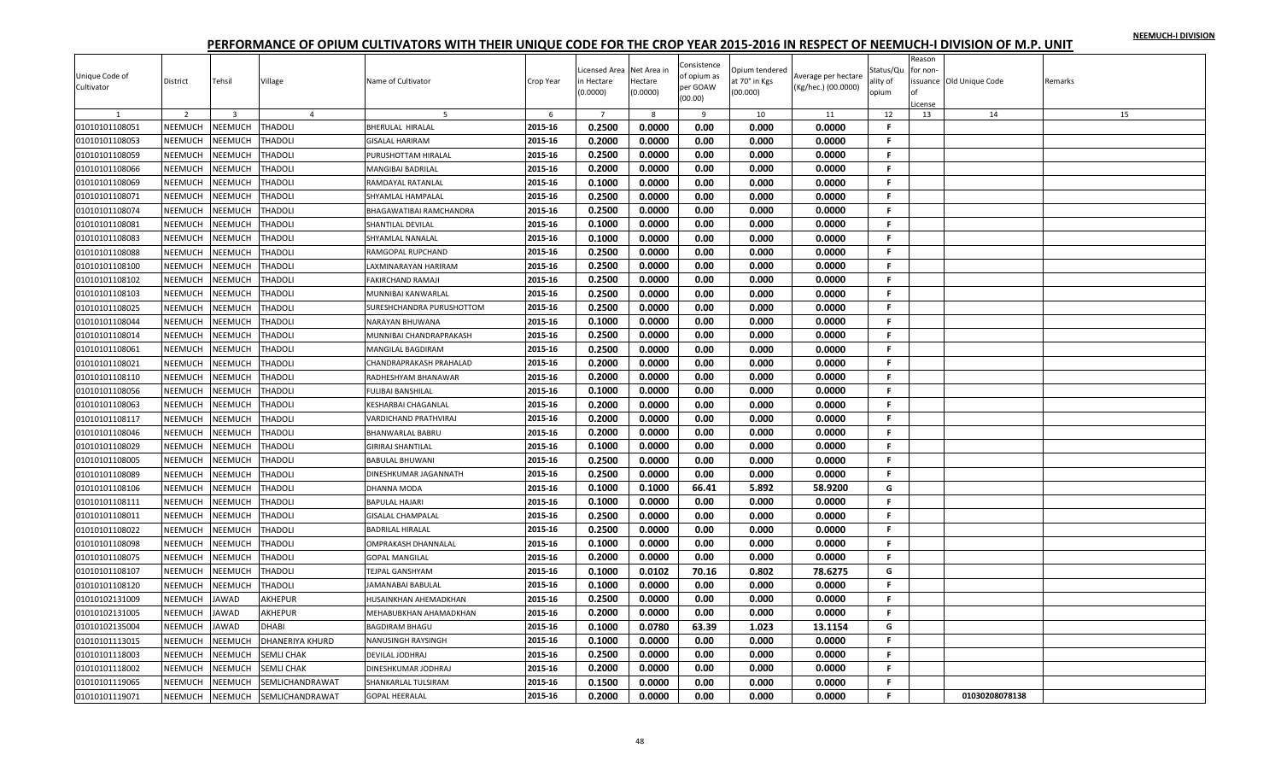|                |                |                |                   |                           |           | icensed Area   | Net Area ir | Consistence         | Opium tendered |                     | Status/Qu | Reason<br>for non- |                          |         |
|----------------|----------------|----------------|-------------------|---------------------------|-----------|----------------|-------------|---------------------|----------------|---------------------|-----------|--------------------|--------------------------|---------|
| Unique Code of | District       | Tehsil         | Village           | Name of Cultivator        | Crop Year | n Hectare      | Hectare     | of opium as         | it 70° in Kgs  | Average per hectare | ılity of  |                    | issuance Old Unique Code | Remarks |
| Cultivator     |                |                |                   |                           |           | (0.0000)       | (0.0000)    | per GOAW<br>(00.00) | (00.000)       | (Kg/hec.) (00.0000) | opium     |                    |                          |         |
| $\mathbf{1}$   | $\overline{2}$ | $\overline{3}$ | $\overline{4}$    | -5                        | 6         | $\overline{7}$ | 8           | 9                   | 10             | 11                  | 12        | License<br>13      | 14                       | 15      |
| 01010101108051 | NEEMUCH        | NEEMUCH        | <b>THADOLI</b>    | <b>BHERULAL HIRALAL</b>   | 2015-16   | 0.2500         | 0.0000      | 0.00                | 0.000          | 0.0000              | F         |                    |                          |         |
| 01010101108053 | NEEMUCH        | NEEMUCH        | THADOLI           | <b>GISALAL HARIRAM</b>    | 2015-16   | 0.2000         | 0.0000      | 0.00                | 0.000          | 0.0000              | F.        |                    |                          |         |
| 01010101108059 | NEEMUCH        | NEEMUCH        | THADOLI           | PURUSHOTTAM HIRALAL       | 2015-16   | 0.2500         | 0.0000      | 0.00                | 0.000          | 0.0000              | F.        |                    |                          |         |
| 01010101108066 | NEEMUCH        | NEEMUCH        | <b>THADOLI</b>    | <b>MANGIBAI BADRILAL</b>  | 2015-16   | 0.2000         | 0.0000      | 0.00                | 0.000          | 0.0000              | F.        |                    |                          |         |
| 01010101108069 | NEEMUCH        | NEEMUCH        | <b>THADOLI</b>    | RAMDAYAL RATANLAL         | 2015-16   | 0.1000         | 0.0000      | 0.00                | 0.000          | 0.0000              | F.        |                    |                          |         |
| 01010101108071 | NEEMUCH        | NEEMUCH        | <b>THADOLI</b>    | SHYAMLAL HAMPALAL         | 2015-16   | 0.2500         | 0.0000      | 0.00                | 0.000          | 0.0000              | F         |                    |                          |         |
| 01010101108074 | NEEMUCH        | NEEMUCH        | THADOLI           | BHAGAWATIBAI RAMCHANDRA   | 2015-16   | 0.2500         | 0.0000      | 0.00                | 0.000          | 0.0000              | F.        |                    |                          |         |
| 01010101108081 | NEEMUCH        | NEEMUCH        | <b>THADOLI</b>    | SHANTILAL DEVILAL         | 2015-16   | 0.1000         | 0.0000      | 0.00                | 0.000          | 0.0000              | F.        |                    |                          |         |
| 01010101108083 | NEEMUCH        | NEEMUCH        | THADOLI           | SHYAMLAL NANALAL          | 2015-16   | 0.1000         | 0.0000      | 0.00                | 0.000          | 0.0000              | F.        |                    |                          |         |
|                | NEEMUCH        |                |                   | RAMGOPAL RUPCHAND         | 2015-16   | 0.2500         | 0.0000      | 0.00                | 0.000          | 0.0000              | F.        |                    |                          |         |
| 01010101108088 |                | NEEMUCH        | THADOLI           |                           |           | 0.2500         |             |                     |                |                     | F.        |                    |                          |         |
| 01010101108100 | <b>NEEMUCH</b> | NEEMUCH        | <b>THADOLI</b>    | LAXMINARAYAN HARIRAM      | 2015-16   |                | 0.0000      | 0.00                | 0.000          | 0.0000              | F.        |                    |                          |         |
| 01010101108102 | NEEMUCH        | NEEMUCH        | <b>THADOLI</b>    | <b>FAKIRCHAND RAMAJI</b>  | 2015-16   | 0.2500         | 0.0000      | 0.00                | 0.000          | 0.0000              |           |                    |                          |         |
| 01010101108103 | NEEMUCH        | NEEMUCH        | THADOLI           | MUNNIBAI KANWARLAL        | 2015-16   | 0.2500         | 0.0000      | 0.00                | 0.000          | 0.0000              | F.        |                    |                          |         |
| 01010101108025 | NEEMUCH        | NEEMUCH        | <b>THADOLI</b>    | SURESHCHANDRA PURUSHOTTOM | 2015-16   | 0.2500         | 0.0000      | 0.00                | 0.000          | 0.0000              | F.        |                    |                          |         |
| 01010101108044 | NEEMUCH        | NEEMUCH        | <b>THADOLI</b>    | <b>NARAYAN BHUWANA</b>    | 2015-16   | 0.1000         | 0.0000      | 0.00                | 0.000          | 0.0000              | F.        |                    |                          |         |
| 01010101108014 | NEEMUCH        | NEEMUCH        | <b>THADOLI</b>    | MUNNIBAI CHANDRAPRAKASH   | 2015-16   | 0.2500         | 0.0000      | 0.00                | 0.000          | 0.0000              | F.        |                    |                          |         |
| 01010101108061 | NEEMUCH        | NEEMUCH        | <b>THADOLI</b>    | <b>MANGILAL BAGDIRAM</b>  | 2015-16   | 0.2500         | 0.0000      | 0.00                | 0.000          | 0.0000              | F.        |                    |                          |         |
| 01010101108021 | NEEMUCH        | NEEMUCH        | THADOLI           | CHANDRAPRAKASH PRAHALAD   | 2015-16   | 0.2000         | 0.0000      | 0.00                | 0.000          | 0.0000              | F.        |                    |                          |         |
| 01010101108110 | NEEMUCH        | <b>NEEMUCH</b> | <b>THADOLI</b>    | RADHESHYAM BHANAWAR       | 2015-16   | 0.2000         | 0.0000      | 0.00                | 0.000          | 0.0000              | F.        |                    |                          |         |
| 01010101108056 | NEEMUCH        | NEEMUCH        | THADOLI           | <b>FULIBAI BANSHILAL</b>  | 2015-16   | 0.1000         | 0.0000      | 0.00                | 0.000          | 0.0000              | F         |                    |                          |         |
| 01010101108063 | NEEMUCH        | NEEMUCH        | THADOLI           | KESHARBAI CHAGANLAL       | 2015-16   | 0.2000         | 0.0000      | 0.00                | 0.000          | 0.0000              | F.        |                    |                          |         |
| 01010101108117 | <b>NEEMUCH</b> | NEEMUCH        | <b>THADOLI</b>    | VARDICHAND PRATHVIRAJ     | 2015-16   | 0.2000         | 0.0000      | 0.00                | 0.000          | 0.0000              | F.        |                    |                          |         |
| 01010101108046 | NEEMUCH        | NEEMUCH        | <b>THADOLI</b>    | <b>BHANWARLAL BABRU</b>   | 2015-16   | 0.2000         | 0.0000      | 0.00                | 0.000          | 0.0000              | F.        |                    |                          |         |
| 01010101108029 | NEEMUCH        | <b>NEEMUCH</b> | THADOLI           | <b>GIRIRAJ SHANTILAL</b>  | 2015-16   | 0.1000         | 0.0000      | 0.00                | 0.000          | 0.0000              | F.        |                    |                          |         |
| 01010101108005 | NEEMUCH        | NEEMUCH        | THADOLI           | <b>BABULAL BHUWANI</b>    | 2015-16   | 0.2500         | 0.0000      | 0.00                | 0.000          | 0.0000              | F.        |                    |                          |         |
| 01010101108089 | NEEMUCH        | <b>NEEMUCH</b> | THADOLI           | DINESHKUMAR JAGANNATH     | 2015-16   | 0.2500         | 0.0000      | 0.00                | 0.000          | 0.0000              | F.        |                    |                          |         |
| 01010101108106 | NEEMUCH        | NEEMUCH        | <b>THADOLI</b>    | DHANNA MODA               | 2015-16   | 0.1000         | 0.1000      | 66.41               | 5.892          | 58.9200             | G         |                    |                          |         |
| 01010101108111 | NEEMUCH        | NEEMUCH        | <b>THADOLI</b>    | <b>BAPULAL HAJARI</b>     | 2015-16   | 0.1000         | 0.0000      | 0.00                | 0.000          | 0.0000              | F.        |                    |                          |         |
| 01010101108011 | <b>NEEMUCH</b> | NEEMUCH        | <b>THADOLI</b>    | <b>GISALAL CHAMPALAL</b>  | 2015-16   | 0.2500         | 0.0000      | 0.00                | 0.000          | 0.0000              | F.        |                    |                          |         |
| 01010101108022 | NEEMUCH        | NEEMUCH        | THADOLI           | <b>BADRILAL HIRALAL</b>   | 2015-16   | 0.2500         | 0.0000      | 0.00                | 0.000          | 0.0000              | F         |                    |                          |         |
| 01010101108098 | NEEMUCH        | NEEMUCH        | <b>THADOLI</b>    | OMPRAKASH DHANNALAL       | 2015-16   | 0.1000         | 0.0000      | 0.00                | 0.000          | 0.0000              | F.        |                    |                          |         |
| 01010101108075 | NEEMUCH        | NEEMUCH        | THADOLI           | <b>GOPAL MANGILAL</b>     | 2015-16   | 0.2000         | 0.0000      | 0.00                | 0.000          | 0.0000              | F.        |                    |                          |         |
| 01010101108107 | NEEMUCH        | NEEMUCH        | <b>THADOLI</b>    | <b>TEJPAL GANSHYAM</b>    | 2015-16   | 0.1000         | 0.0102      | 70.16               | 0.802          | 78.6275             | G         |                    |                          |         |
| 01010101108120 | NEEMUCH        | NEEMUCH        | THADOLI           | JAMANABAI BABULAL         | 2015-16   | 0.1000         | 0.0000      | 0.00                | 0.000          | 0.0000              | F.        |                    |                          |         |
| 01010102131009 | NEEMUCH        | JAWAD          | AKHEPUR           | HUSAINKHAN AHEMADKHAN     | 2015-16   | 0.2500         | 0.0000      | 0.00                | 0.000          | 0.0000              | Е         |                    |                          |         |
| 01010102131005 | NEEMUCH        | <b>JAWAD</b>   | AKHEPUR           | MEHABUBKHAN AHAMADKHAN    | 2015-16   | 0.2000         | 0.0000      | 0.00                | 0.000          | 0.0000              | F.        |                    |                          |         |
| 01010102135004 | NEEMUCH        | <b>JAWAD</b>   | DHABI             | <b>BAGDIRAM BHAGU</b>     | 2015-16   | 0.1000         | 0.0780      | 63.39               | 1.023          | 13.1154             | G         |                    |                          |         |
| 01010101113015 | NEEMUCH        | NEEMUCH        | DHANERIYA KHURD   | NANUSINGH RAYSINGH        | 2015-16   | 0.1000         | 0.0000      | 0.00                | 0.000          | 0.0000              | F.        |                    |                          |         |
| 01010101118003 | NEEMUCH        | NEEMUCH        | <b>SEMLI CHAK</b> | DEVILAL JODHRAJ           | 2015-16   | 0.2500         | 0.0000      | 0.00                | 0.000          | 0.0000              | F.        |                    |                          |         |
| 01010101118002 | NEEMUCH        | <b>NEEMUCH</b> | SEMLI CHAK        | DINESHKUMAR JODHRAJ       | 2015-16   | 0.2000         | 0.0000      | 0.00                | 0.000          | 0.0000              | F         |                    |                          |         |
| 01010101119065 | NEEMUCH        | NEEMUCH        | SEMLICHANDRAWAT   | SHANKARLAL TULSIRAM       | 2015-16   | 0.1500         | 0.0000      | 0.00                | 0.000          | 0.0000              | Е         |                    |                          |         |
|                | <b>NEEMUCH</b> | NEEMUCH        |                   | <b>GOPAL HEERALAL</b>     | 2015-16   | 0.2000         | 0.0000      | 0.00                | 0.000          | 0.0000              | F.        |                    | 01030208078138           |         |
| 01010101119071 |                |                | SEMLICHANDRAWAT   |                           |           |                |             |                     |                |                     |           |                    |                          |         |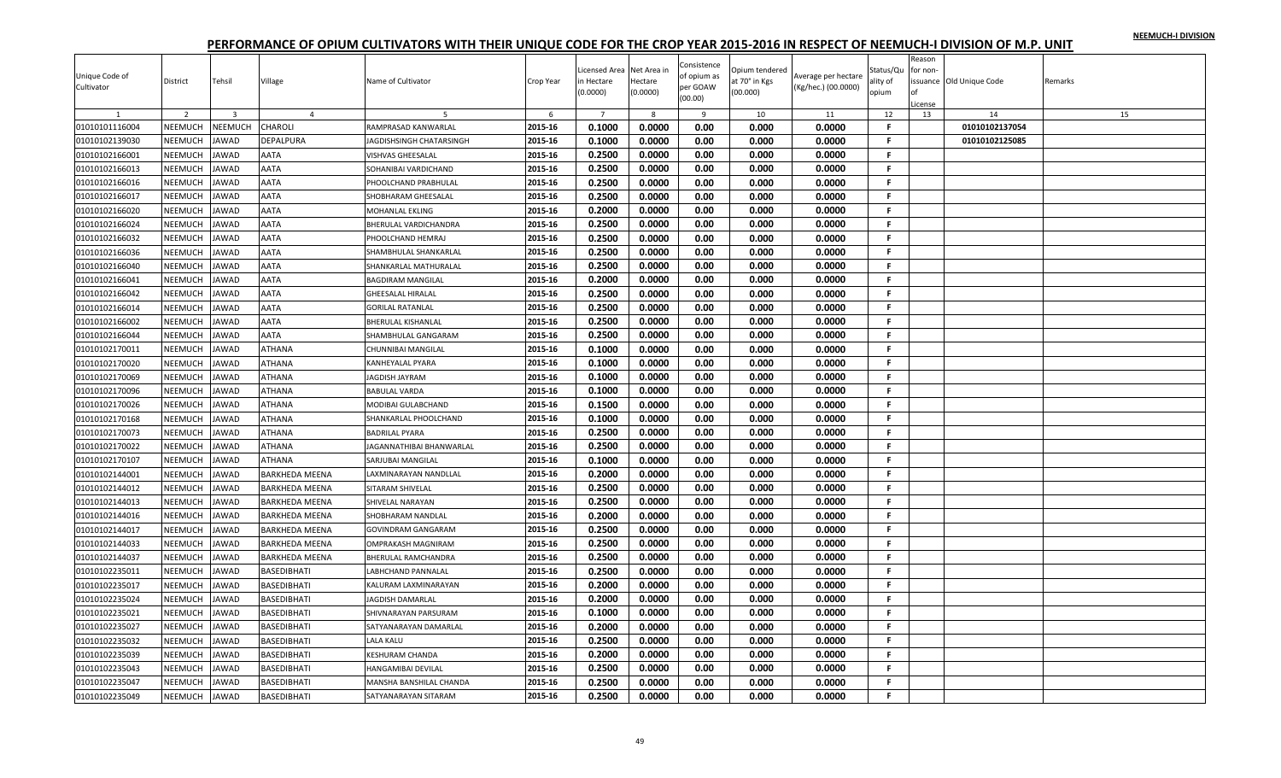| Jnique Code of<br>Cultivator | District       | Tehsil                  | Village               | Name of Cultivator              | Crop Year | Licensed Area<br>n Hectare<br>(0.0000) | Net Area in<br>Hectare<br>(0.0000) | Consistence<br>of opium as<br>per GOAW<br>(00.00) | Opium tendered<br>at 70° in Kgs<br>(00.000) | Average per hectare<br>(Kg/hec.) (00.0000) | Status/Qu<br>ality of<br>opium | Reason<br>for non-<br>Ωf<br>icense | ssuance Old Unique Code | Remarks |
|------------------------------|----------------|-------------------------|-----------------------|---------------------------------|-----------|----------------------------------------|------------------------------------|---------------------------------------------------|---------------------------------------------|--------------------------------------------|--------------------------------|------------------------------------|-------------------------|---------|
|                              | 2              | $\overline{\mathbf{3}}$ | $\overline{4}$        | 5                               | 6         | $\overline{7}$                         | 8                                  | 9                                                 | 10                                          | 11                                         | 12                             | 13                                 | 14                      | 15      |
| 01010101116004               | NEEMUCH        | NEEMUCH                 | CHAROLI               | RAMPRASAD KANWARLAL             | 2015-16   | 0.1000                                 | 0.0000                             | 0.00                                              | 0.000                                       | 0.0000                                     | F.                             |                                    | 01010102137054          |         |
| 01010102139030               | NEEMUCH        | <b>JAWAD</b>            | DEPALPURA             | IAGDISHSINGH CHATARSINGH        | 2015-16   | 0.1000                                 | 0.0000                             | 0.00                                              | 0.000                                       | 0.0000                                     | F.                             |                                    | 01010102125085          |         |
| 01010102166001               | <b>NEEMUCH</b> | <b>AWAD</b>             | AATA                  | /ISHVAS GHEESALAL               | 2015-16   | 0.2500                                 | 0.0000                             | 0.00                                              | 0.000                                       | 0.0000                                     | F.                             |                                    |                         |         |
| 01010102166013               | NEEMUCH        | <b>JAWAD</b>            | AATA                  | SOHANIBAI VARDICHAND            | 2015-16   | 0.2500                                 | 0.0000                             | 0.00                                              | 0.000                                       | 0.0000                                     | -F.                            |                                    |                         |         |
| 01010102166016               | NEEMUCH        | <b>JAWAD</b>            | AATA                  | PHOOLCHAND PRABHULAL            | 2015-16   | 0.2500                                 | 0.0000                             | 0.00                                              | 0.000                                       | 0.0000                                     | F.                             |                                    |                         |         |
| 01010102166017               | NEEMUCH        | <b>JAWAD</b>            | AATA                  | SHOBHARAM GHEESALAL             | 2015-16   | 0.2500                                 | 0.0000                             | 0.00                                              | 0.000                                       | 0.0000                                     | F.                             |                                    |                         |         |
| 01010102166020               | NEEMUCH        | <b>JAWAD</b>            | AATA                  | MOHANLAL EKLING                 | 2015-16   | 0.2000                                 | 0.0000                             | 0.00                                              | 0.000                                       | 0.0000                                     | F.                             |                                    |                         |         |
| 01010102166024               | NEEMUCH        | <b>JAWAD</b>            | AATA                  | <b>BHERULAL VARDICHANDRA</b>    | 2015-16   | 0.2500                                 | 0.0000                             | 0.00                                              | 0.000                                       | 0.0000                                     | F.                             |                                    |                         |         |
| 01010102166032               | NEEMUCH        | <b>JAWAD</b>            | AATA                  | PHOOLCHAND HEMRAJ               | 2015-16   | 0.2500                                 | 0.0000                             | 0.00                                              | 0.000                                       | 0.0000                                     | F.                             |                                    |                         |         |
| 01010102166036               | NEEMUCH        | <b>JAWAD</b>            | AATA                  | SHAMBHULAL SHANKARLAL           | 2015-16   | 0.2500                                 | 0.0000                             | 0.00                                              | 0.000                                       | 0.0000                                     | F.                             |                                    |                         |         |
| 01010102166040               | NEEMUCH        | <b>JAWAD</b>            | AATA                  | SHANKARLAL MATHURALAL           | 2015-16   | 0.2500                                 | 0.0000                             | 0.00                                              | 0.000                                       | 0.0000                                     | -F.                            |                                    |                         |         |
| 01010102166041               | NEEMUCH        | <b>JAWAD</b>            | AATA                  | BAGDIRAM MANGILAL               | 2015-16   | 0.2000                                 | 0.0000                             | 0.00                                              | 0.000                                       | 0.0000                                     | -F.                            |                                    |                         |         |
| 01010102166042               | NEEMUCH        | JAWAD                   | AATA                  | <b>GHEESALAL HIRALAL</b>        | 2015-16   | 0.2500                                 | 0.0000                             | 0.00                                              | 0.000                                       | 0.0000                                     | F.                             |                                    |                         |         |
| 01010102166014               | NEEMUCH        | <b>AWAD</b>             | AATA                  | <b>GORILAL RATANLAL</b>         | 2015-16   | 0.2500                                 | 0.0000                             | 0.00                                              | 0.000                                       | 0.0000                                     | F.                             |                                    |                         |         |
| 01010102166002               | NEEMUCH        | <b>AWAD</b>             | AATA                  | BHERULAL KISHANLAL              | 2015-16   | 0.2500                                 | 0.0000                             | 0.00                                              | 0.000                                       | 0.0000                                     | -F                             |                                    |                         |         |
| 01010102166044               | NEEMUCH        | JAWAD                   | AATA                  | SHAMBHULAL GANGARAM             | 2015-16   | 0.2500                                 | 0.0000                             | 0.00                                              | 0.000                                       | 0.0000                                     | F.                             |                                    |                         |         |
| 01010102170011               | NEEMUCH        | <b>AWAD</b>             | ATHANA                | CHUNNIBAI MANGILAL              | 2015-16   | 0.1000                                 | 0.0000                             | 0.00                                              | 0.000                                       | 0.0000                                     | -F.                            |                                    |                         |         |
| 01010102170020               | NEEMUCH        | <b>JAWAD</b>            | ATHANA                | KANHEYALAL PYARA                | 2015-16   | 0.1000                                 | 0.0000                             | 0.00                                              | 0.000                                       | 0.0000                                     | F.                             |                                    |                         |         |
| 01010102170069               | NEEMUCH        | <b>AWAD</b>             | ATHANA                | AGDISH JAYRAM                   | 2015-16   | 0.1000                                 | 0.0000                             | 0.00                                              | 0.000                                       | 0.0000                                     | F.                             |                                    |                         |         |
| 01010102170096               | NEEMUCH        | <b>JAWAD</b>            | ATHANA                | BABULAL VARDA                   | 2015-16   | 0.1000                                 | 0.0000                             | 0.00                                              | 0.000                                       | 0.0000                                     | $\mathbf{F}$                   |                                    |                         |         |
| 01010102170026               | NEEMUCH        | JAWAD                   | ATHANA                | MODIBAI GULABCHAND              | 2015-16   | 0.1500                                 | 0.0000                             | 0.00                                              | 0.000                                       | 0.0000                                     | -F.                            |                                    |                         |         |
| 01010102170168               | NEEMUCH        | JAWAD                   | ATHANA                | SHANKARLAL PHOOLCHAND           | 2015-16   | 0.1000                                 | 0.0000                             | 0.00                                              | 0.000                                       | 0.0000                                     | -F.                            |                                    |                         |         |
| 01010102170073               | NEEMUCH        | <b>AWAD</b>             | ATHANA                | BADRILAL PYARA                  | 2015-16   | 0.2500                                 | 0.0000                             | 0.00                                              | 0.000                                       | 0.0000                                     | -F.                            |                                    |                         |         |
| 01010102170022               | <b>NEEMUCH</b> | <b>AWAD</b>             | ATHANA                | <b>IAGANNATHIBAI BHANWARLAL</b> | 2015-16   | 0.2500                                 | 0.0000                             | 0.00                                              | 0.000                                       | 0.0000                                     | F.                             |                                    |                         |         |
| 01010102170107               | NEEMUCH        | JAWAD                   | ATHANA                | SARJUBAI MANGILAL               | 2015-16   | 0.1000                                 | 0.0000                             | 0.00                                              | 0.000                                       | 0.0000                                     | -F.                            |                                    |                         |         |
| 01010102144001               | NEEMUCH        | <b>JAWAD</b>            | BARKHEDA MEENA        | LAXMINARAYAN NANDLLAL           | 2015-16   | 0.2000                                 | 0.0000                             | 0.00                                              | 0.000                                       | 0.0000                                     | F.                             |                                    |                         |         |
| 01010102144012               | NEEMUCH        | JAWAD                   | BARKHEDA MEENA        | SITARAM SHIVELAL                | 2015-16   | 0.2500                                 | 0.0000                             | 0.00                                              | 0.000                                       | 0.0000                                     | -F.                            |                                    |                         |         |
| 01010102144013               | NEEMUCH        | <b>JAWAD</b>            | <b>BARKHEDA MEENA</b> | SHIVELAL NARAYAN                | 2015-16   | 0.2500                                 | 0.0000                             | 0.00                                              | 0.000                                       | 0.0000                                     | -F.                            |                                    |                         |         |
| 01010102144016               | NEEMUCH        | <b>JAWAD</b>            | <b>BARKHEDA MEENA</b> | <b>SHOBHARAM NANDLAL</b>        | 2015-16   | 0.2000                                 | 0.0000                             | 0.00                                              | 0.000                                       | 0.0000                                     | F.                             |                                    |                         |         |
| 01010102144017               | NEEMUCH        | <b>AWAD</b>             | BARKHEDA MEENA        | <b>GOVINDRAM GANGARAM</b>       | 2015-16   | 0.2500                                 | 0.0000                             | 0.00                                              | 0.000                                       | 0.0000                                     | F.                             |                                    |                         |         |
| 01010102144033               | NEEMUCH        | <b>JAWAD</b>            | BARKHEDA MEENA        | OMPRAKASH MAGNIRAM              | 2015-16   | 0.2500                                 | 0.0000                             | 0.00                                              | 0.000                                       | 0.0000                                     | -F.                            |                                    |                         |         |
| 01010102144037               | NEEMUCH        | JAWAD                   | BARKHEDA MEENA        | BHERULAL RAMCHANDRA             | 2015-16   | 0.2500                                 | 0.0000                             | 0.00                                              | 0.000                                       | 0.0000                                     | F.                             |                                    |                         |         |
| 01010102235011               | NEEMUCH        | <b>AWAD</b>             | BASEDIBHATI           | <b>LABHCHAND PANNALAL</b>       | 2015-16   | 0.2500                                 | 0.0000                             | 0.00                                              | 0.000                                       | 0.0000                                     | -F.                            |                                    |                         |         |
| 01010102235017               | NEEMUCH        | <b>JAWAD</b>            | <b>BASEDIBHATI</b>    | KALURAM LAXMINARAYAN            | 2015-16   | 0.2000                                 | 0.0000                             | 0.00                                              | 0.000                                       | 0.0000                                     | -F.                            |                                    |                         |         |
| 01010102235024               | <b>NEEMUCH</b> | <b>AWAD</b>             | BASEDIBHATI           | <b>AGDISH DAMARLAL</b>          | 2015-16   | 0.2000                                 | 0.0000                             | 0.00                                              | 0.000                                       | 0.0000                                     | F                              |                                    |                         |         |
| 01010102235021               | NEEMUCH        | JAWAD                   | BASEDIBHATI           | SHIVNARAYAN PARSURAM            | 2015-16   | 0.1000                                 | 0.0000                             | 0.00                                              | 0.000                                       | 0.0000                                     | .F.                            |                                    |                         |         |
| 01010102235027               | NEEMUCH        | <b>JAWAD</b>            | BASEDIBHATI           | SATYANARAYAN DAMARLAL           | 2015-16   | 0.2000                                 | 0.0000                             | 0.00                                              | 0.000                                       | 0.0000                                     | -F                             |                                    |                         |         |
| 01010102235032               | NEEMUCH        | JAWAD                   | BASEDIBHATI           | ALA KALU                        | 2015-16   | 0.2500                                 | 0.0000                             | 0.00                                              | 0.000                                       | 0.0000                                     | F.                             |                                    |                         |         |
| 01010102235039               | NEEMUCH        | JAWAD                   | BASEDIBHATI           | KESHURAM CHANDA                 | 2015-16   | 0.2000                                 | 0.0000                             | 0.00                                              | 0.000                                       | 0.0000                                     | -F.                            |                                    |                         |         |
| 01010102235043               | <b>NEEMUCH</b> | <b>AWAD</b>             | <b>BASEDIBHATI</b>    | <b>HANGAMIBAI DEVILAL</b>       | 2015-16   | 0.2500                                 | 0.0000                             | 0.00                                              | 0.000                                       | 0.0000                                     | F.                             |                                    |                         |         |
| 01010102235047               | <b>NEEMUCH</b> | <b>AWAD</b>             | <b>BASEDIBHATI</b>    | <b>MANSHA BANSHILAL CHANDA</b>  | 2015-16   | 0.2500                                 | 0.0000                             | 0.00                                              | 0.000                                       | 0.0000                                     | F.                             |                                    |                         |         |
| 01010102235049               | NEEMUCH        | JAWAD                   | BASEDIBHATI           | SATYANARAYAN SITARAM            | 2015-16   | 0.2500                                 | 0.0000                             | 0.00                                              | 0.000                                       | 0.0000                                     | F.                             |                                    |                         |         |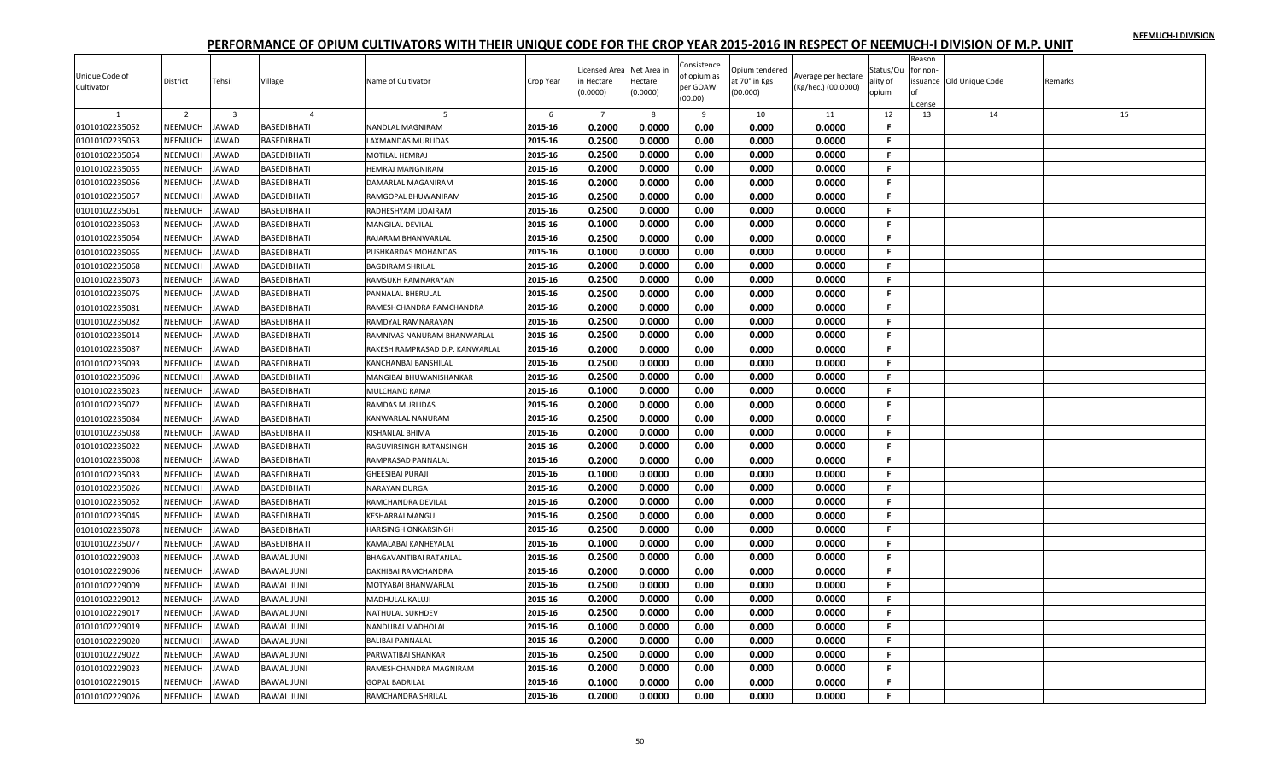| Unique Code of<br>Cultivator | District       | Tehsil                  | Village            | Name of Cultivator              | Crop Year | Licensed Area<br>n Hectare<br>(0.0000) | Net Area ir<br>Hectare<br>(0.0000) | Consistence<br>of opium as<br>per GOAW | Opium tendered<br>at 70° in Kgs<br>(00.000) | Average per hectare<br>(Kg/hec.) (00.0000) | Status/Qu<br>ality of<br>opium | Reason<br>for non- | ssuance Old Unique Code | Remarks |
|------------------------------|----------------|-------------------------|--------------------|---------------------------------|-----------|----------------------------------------|------------------------------------|----------------------------------------|---------------------------------------------|--------------------------------------------|--------------------------------|--------------------|-------------------------|---------|
|                              |                |                         |                    |                                 |           |                                        |                                    | (00.00)                                |                                             |                                            |                                | cense              |                         |         |
|                              | 2              | $\overline{\mathbf{3}}$ | $\overline{4}$     |                                 | 6         | $\overline{7}$                         | 8                                  | 9                                      | 10                                          | 11                                         | 12                             | 13                 | 14                      | 15      |
| 01010102235052               | <b>NEEMUCH</b> | <b>JAWAD</b>            | BASEDIBHATI        | NANDLAL MAGNIRAM                | 2015-16   | 0.2000                                 | 0.0000                             | 0.00                                   | 0.000                                       | 0.0000                                     | F                              |                    |                         |         |
| 01010102235053               | <b>NEEMUCH</b> | <b>JAWAD</b>            | BASEDIBHATI        | <b>LAXMANDAS MURLIDAS</b>       | 2015-16   | 0.2500                                 | 0.0000                             | 0.00                                   | 0.000                                       | 0.0000                                     | F.                             |                    |                         |         |
| 01010102235054               | NEEMUCH        | JAWAD                   | BASEDIBHATI        | MOTILAL HEMRAJ                  | 2015-16   | 0.2500                                 | 0.0000                             | 0.00                                   | 0.000                                       | 0.0000                                     | F.                             |                    |                         |         |
| 01010102235055               | NEEMUCH        | <b>JAWAD</b>            | BASEDIBHATI        | <b>IEMRAJ MANGNIRAM</b>         | 2015-16   | 0.2000                                 | 0.0000                             | 0.00                                   | 0.000                                       | 0.0000                                     | .F.                            |                    |                         |         |
| 01010102235056               | NEEMUCH        | JAWAD                   | BASEDIBHATI        | DAMARLAL MAGANIRAM              | 2015-16   | 0.2000                                 | 0.0000                             | 0.00                                   | 0.000                                       | 0.0000                                     | -F.                            |                    |                         |         |
| 01010102235057               | NEEMUCH        | <b>JAWAD</b>            | BASEDIBHATI        | RAMGOPAL BHUWANIRAM             | 2015-16   | 0.2500                                 | 0.0000                             | 0.00                                   | 0.000                                       | 0.0000                                     | F.                             |                    |                         |         |
| 01010102235061               | NEEMUCH        | <b>JAWAD</b>            | BASEDIBHATI        | RADHESHYAM UDAIRAM              | 2015-16   | 0.2500                                 | 0.0000                             | 0.00                                   | 0.000                                       | 0.0000                                     | F.                             |                    |                         |         |
| 01010102235063               | NEEMUCH        | JAWAD                   | BASEDIBHATI        | MANGILAL DEVILAL                | 2015-16   | 0.1000                                 | 0.0000                             | 0.00                                   | 0.000                                       | 0.0000                                     | -F.                            |                    |                         |         |
| 01010102235064               | NEEMUCH        | JAWAD                   | BASEDIBHATI        | RAJARAM BHANWARLAL              | 2015-16   | 0.2500                                 | 0.0000                             | 0.00                                   | 0.000                                       | 0.0000                                     | -F.                            |                    |                         |         |
| 01010102235065               | NEEMUCH        | JAWAD                   | BASEDIBHATI        | PUSHKARDAS MOHANDAS             | 2015-16   | 0.1000                                 | 0.0000                             | 0.00                                   | 0.000                                       | 0.0000                                     | .F.                            |                    |                         |         |
| 01010102235068               | NEEMUCH        | <b>JAWAD</b>            | BASEDIBHATI        | <b>BAGDIRAM SHRILAL</b>         | 2015-16   | 0.2000                                 | 0.0000                             | 0.00                                   | 0.000                                       | 0.0000                                     | F.                             |                    |                         |         |
| 01010102235073               | NEEMUCH        | JAWAD                   | BASEDIBHATI        | RAMSUKH RAMNARAYAN              | 2015-16   | 0.2500                                 | 0.0000                             | 0.00                                   | 0.000                                       | 0.0000                                     | F.                             |                    |                         |         |
| 01010102235075               | NEEMUCH        | JAWAD                   | BASEDIBHATI        | <b>PANNALAL BHERULAL</b>        | 2015-16   | 0.2500                                 | 0.0000                             | 0.00                                   | 0.000                                       | 0.0000                                     | F.                             |                    |                         |         |
| 01010102235081               | NEEMUCH        | <b>JAWAD</b>            | BASEDIBHATI        | RAMESHCHANDRA RAMCHANDRA        | 2015-16   | 0.2000                                 | 0.0000                             | 0.00                                   | 0.000                                       | 0.0000                                     | F.                             |                    |                         |         |
| 01010102235082               | NEEMUCH        | <b>JAWAD</b>            | BASEDIBHATI        | RAMDYAL RAMNARAYAN              | 2015-16   | 0.2500                                 | 0.0000                             | 0.00                                   | 0.000                                       | 0.0000                                     | -F.                            |                    |                         |         |
| 01010102235014               | NEEMUCH        | JAWAD                   | BASEDIBHATI        | RAMNIVAS NANURAM BHANWARLAL     | 2015-16   | 0.2500                                 | 0.0000                             | 0.00                                   | 0.000                                       | 0.0000                                     | F.                             |                    |                         |         |
| 01010102235087               | NEEMUCH        | <b>JAWAD</b>            | BASEDIBHATI        | RAKESH RAMPRASAD D.P. KANWARLAL | 2015-16   | 0.2000                                 | 0.0000                             | 0.00                                   | 0.000                                       | 0.0000                                     | F.                             |                    |                         |         |
| 01010102235093               | NEEMUCH        | JAWAD                   | BASEDIBHATI        | KANCHANBAI BANSHILAL            | 2015-16   | 0.2500                                 | 0.0000                             | 0.00                                   | 0.000                                       | 0.0000                                     | F.                             |                    |                         |         |
| 01010102235096               | NEEMUCH        | JAWAD                   | BASEDIBHATI        | MANGIBAI BHUWANISHANKAR         | 2015-16   | 0.2500                                 | 0.0000                             | 0.00                                   | 0.000                                       | 0.0000                                     | F.                             |                    |                         |         |
| 01010102235023               | NEEMUCH        | <b>JAWAD</b>            | BASEDIBHATI        | MULCHAND RAMA                   | 2015-16   | 0.1000                                 | 0.0000                             | 0.00                                   | 0.000                                       | 0.0000                                     | -F.                            |                    |                         |         |
| 01010102235072               | NEEMUCH        | JAWAD                   | BASEDIBHATI        | RAMDAS MURLIDAS                 | 2015-16   | 0.2000                                 | 0.0000                             | 0.00                                   | 0.000                                       | 0.0000                                     | F.                             |                    |                         |         |
| 01010102235084               | NEEMUCH        | <b>JAWAD</b>            | BASEDIBHATI        | KANWARLAL NANURAM               | 2015-16   | 0.2500                                 | 0.0000                             | 0.00                                   | 0.000                                       | 0.0000                                     | F.                             |                    |                         |         |
| 01010102235038               | NEEMUCH        | <b>JAWAD</b>            | <b>BASEDIBHATI</b> | KISHANLAL BHIMA                 | 2015-16   | 0.2000                                 | 0.0000                             | 0.00                                   | 0.000                                       | 0.0000                                     | F.                             |                    |                         |         |
| 01010102235022               | NEEMUCH        | <b>AWAD</b>             | BASEDIBHATI        | RAGUVIRSINGH RATANSINGH         | 2015-16   | 0.2000                                 | 0.0000                             | 0.00                                   | 0.000                                       | 0.0000                                     | F.                             |                    |                         |         |
| 01010102235008               | NEEMUCH        | JAWAD                   | BASEDIBHATI        | RAMPRASAD PANNALAL              | 2015-16   | 0.2000                                 | 0.0000                             | 0.00                                   | 0.000                                       | 0.0000                                     | F.                             |                    |                         |         |
| 01010102235033               | NEEMUCH        | JAWAD                   | BASEDIBHATI        | GHEESIBAI PURAJI                | 2015-16   | 0.1000                                 | 0.0000                             | 0.00                                   | 0.000                                       | 0.0000                                     | F.                             |                    |                         |         |
| 01010102235026               | NEEMUCH        | <b>JAWAD</b>            | BASEDIBHATI        | NARAYAN DURGA                   | 2015-16   | 0.2000                                 | 0.0000                             | 0.00                                   | 0.000                                       | 0.0000                                     | .F.                            |                    |                         |         |
| 01010102235062               | NEEMUCH        | <b>JAWAD</b>            | BASEDIBHATI        | RAMCHANDRA DEVILAL              | 2015-16   | 0.2000                                 | 0.0000                             | 0.00                                   | 0.000                                       | 0.0000                                     | F.                             |                    |                         |         |
| 01010102235045               | NEEMUCH        | <b>JAWAD</b>            | BASEDIBHATI        | KESHARBAI MANGU                 | 2015-16   | 0.2500                                 | 0.0000                             | 0.00                                   | 0.000                                       | 0.0000                                     | F.                             |                    |                         |         |
| 01010102235078               | NEEMUCH        | <b>AWAD</b>             | BASEDIBHATI        | HARISINGH ONKARSINGH            | 2015-16   | 0.2500                                 | 0.0000                             | 0.00                                   | 0.000                                       | 0.0000                                     | F.                             |                    |                         |         |
| 01010102235077               | NEEMUCH        | JAWAD                   | BASEDIBHATI        | KAMALABAI KANHEYALAL            | 2015-16   | 0.1000                                 | 0.0000                             | 0.00                                   | 0.000                                       | 0.0000                                     | -F.                            |                    |                         |         |
| 01010102229003               | NEEMUCH        | <b>JAWAD</b>            | <b>BAWAL JUNI</b>  | BHAGAVANTIBAI RATANLAL          | 2015-16   | 0.2500                                 | 0.0000                             | 0.00                                   | 0.000                                       | 0.0000                                     | .F.                            |                    |                         |         |
| 01010102229006               | NEEMUCH        | <b>AWAD</b>             | <b>BAWAL JUNI</b>  | DAKHIBAI RAMCHANDRA             | 2015-16   | 0.2000                                 | 0.0000                             | 0.00                                   | 0.000                                       | 0.0000                                     | .F.                            |                    |                         |         |
| 01010102229009               | NEEMUCH        | <b>JAWAD</b>            | <b>BAWAL JUNI</b>  | MOTYABAI BHANWARLAL             | 2015-16   | 0.2500                                 | 0.0000                             | 0.00                                   | 0.000                                       | 0.0000                                     | F.                             |                    |                         |         |
| 01010102229012               | NEEMUCH        | <b>AWAD</b>             | BAWAL JUNI         | <b>MADHULAL KALUJI</b>          | 2015-16   | 0.2000                                 | 0.0000                             | 0.00                                   | 0.000                                       | 0.0000                                     | F.                             |                    |                         |         |
| 01010102229017               | NEEMUCH        | <b>JAWAD</b>            | <b>BAWAL JUNI</b>  | NATHULAL SUKHDEV                | 2015-16   | 0.2500                                 | 0.0000                             | 0.00                                   | 0.000                                       | 0.0000                                     | F.                             |                    |                         |         |
| 01010102229019               | NEEMUCH        | <b>JAWAD</b>            | <b>BAWAL JUNI</b>  | NANDUBAI MADHOLAL               | 2015-16   | 0.1000                                 | 0.0000                             | 0.00                                   | 0.000                                       | 0.0000                                     | F.                             |                    |                         |         |
| 01010102229020               | NEEMUCH        | JAWAD                   | <b>BAWAL JUNI</b>  | BALIBAI PANNALAL                | 2015-16   | 0.2000                                 | 0.0000                             | 0.00                                   | 0.000                                       | 0.0000                                     | F.                             |                    |                         |         |
| 01010102229022               | NEEMUCH        | <b>JAWAD</b>            | <b>BAWAL JUNI</b>  | PARWATIBAI SHANKAR              | 2015-16   | 0.2500                                 | 0.0000                             | 0.00                                   | 0.000                                       | 0.0000                                     | -F.                            |                    |                         |         |
| 01010102229023               | <b>NEEMUCH</b> | <b>AWAD</b>             | <b>BAWAL JUNI</b>  | RAMESHCHANDRA MAGNIRAM          | 2015-16   | 0.2000                                 | 0.0000                             | 0.00                                   | 0.000                                       | 0.0000                                     | F.                             |                    |                         |         |
| 01010102229015               | NEEMUCH        | JAWAD                   | BAWAL JUNI         | <b>GOPAL BADRILAL</b>           | 2015-16   | 0.1000                                 | 0.0000                             | 0.00                                   | 0.000                                       | 0.0000                                     | F.                             |                    |                         |         |
| 01010102229026               | NEEMUCH        | JAWAD                   | BAWAL JUNI         | RAMCHANDRA SHRILAL              | 2015-16   | 0.2000                                 | 0.0000                             | 0.00                                   | 0.000                                       | 0.0000                                     | F.                             |                    |                         |         |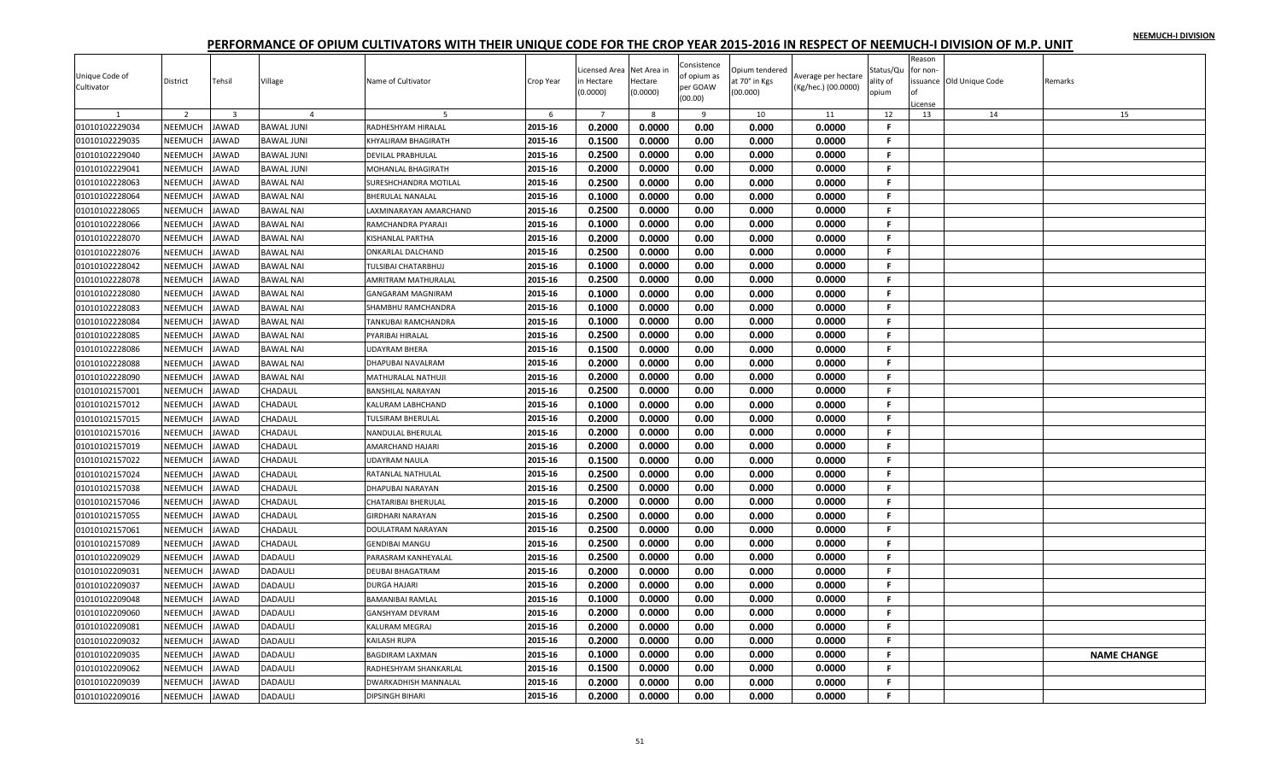| Reason<br>Consistence<br>Licensed Area<br>Net Area ir<br>Opium tendered<br>Status/Qu<br>for non-<br>Unique Code of<br>of opium as<br>Average per hectare<br>District<br>Tehsil<br>Village<br>Name of Cultivator<br>Crop Year<br>n Hectare<br>Hectare<br>at 70° in Kgs<br>ality of<br>ssuance Old Unique Code<br>Remarks<br>per GOAW<br>Cultivator<br>(Kg/hec.) (00.0000)<br>(0.0000)<br>(0.0000)<br>(00.000)<br>opium<br>(00.00)<br>icense<br>2<br>$\overline{7}$<br>10<br>12<br>14<br>15<br>$\overline{\mathbf{3}}$<br>$\overline{4}$<br>6<br>8<br>9<br>11<br>13<br>0.2000<br>0.0000<br>2015-16<br>0.00<br>0.000<br>0.0000<br>$\mathsf{F}$<br>01010102229034<br><b>NEEMUCH</b><br><b>JAWAD</b><br>BAWAL JUNI<br>RADHESHYAM HIRALAL<br>2015-16<br>0.1500<br>0.0000<br>0.00<br>F.<br>01010102229035<br><b>NEEMUCH</b><br><b>JAWAD</b><br>0.000<br>0.0000<br><b>BAWAL JUNI</b><br><b>CHYALIRAM BHAGIRATH</b><br>01010102229040<br>2015-16<br>0.2500<br>0.0000<br>0.00<br>0.0000<br>NEEMUCH<br>JAWAD<br>BAWAL JUNI<br>0.000<br>F.<br>DEVILAL PRABHULAL<br>01010102229041<br>2015-16<br>0.2000<br>0.0000<br>0.00<br>NEEMUCH<br><b>JAWAD</b><br>0.000<br>0.0000<br>.F.<br><b>BAWAL JUNI</b><br><b>MOHANLAL BHAGIRATH</b><br>01010102228063<br>NEEMUCH<br><b>JAWAD</b><br>2015-16<br>0.2500<br>0.0000<br>0.00<br>0.000<br>0.0000<br><b>BAWAL NAI</b><br>SURESHCHANDRA MOTILAL<br>-F.<br>01010102228064<br>NEEMUCH<br><b>JAWAD</b><br>2015-16<br>0.1000<br>0.0000<br>0.00<br>0.000<br>0.0000<br>F.<br><b>BAWAL NAI</b><br>BHERULAL NANALAL<br>0.2500<br>01010102228065<br>NEEMUCH<br><b>JAWAD</b><br>2015-16<br>0.0000<br>0.00<br>0.000<br>0.0000<br>F.<br>BAWAL NAI<br>AXMINARAYAN AMARCHAND<br>0.1000<br>0.0000<br>0.00<br>0.0000<br>01010102228066<br>NEEMUCH<br>JAWAD<br><b>BAWAL NAI</b><br>2015-16<br>0.000<br>-F.<br>RAMCHANDRA PYARAJI<br>2015-16<br>0.2000<br>0.0000<br>0.00<br>0.000<br>0.0000<br>-F.<br>01010102228070<br>NEEMUCH<br><b>JAWAD</b><br><b>BAWAL NAI</b><br>KISHANLAL PARTHA<br>0.2500<br>0.0000<br>0.00<br>2015-16<br>0.000<br>0.0000<br>01010102228076<br>NEEMUCH<br><b>JAWAD</b><br><b>BAWAL NAI</b><br>ONKARLAL DALCHAND<br>.F.<br>0.1000<br>01010102228042<br>NEEMUCH<br><b>JAWAD</b><br><b>BAWAL NAI</b><br>2015-16<br>0.0000<br>0.00<br>0.000<br>0.0000<br>F.<br>TULSIBAI CHATARBHUJ<br>01010102228078<br>NEEMUCH<br>2015-16<br>0.2500<br>0.0000<br>0.000<br>JAWAD<br><b>BAWAL NAI</b><br>0.00<br>0.0000<br>F.<br>AMRITRAM MATHURALAL<br>01010102228080<br>NEEMUCH<br>JAWAD<br>BAWAL NAI<br>2015-16<br>0.1000<br>0.0000<br>0.00<br>0.000<br>0.0000<br>F.<br>GANGARAM MAGNIRAM<br>01010102228083<br>NEEMUCH<br><b>JAWAD</b><br><b>BAWAL NAI</b><br>2015-16<br>0.1000<br>0.0000<br>0.00<br>0.000<br>0.0000<br>-F.<br>SHAMBHU RAMCHANDRA<br>01010102228084<br>0.1000<br>0.0000<br>0.00<br>0.000<br>0.0000<br>NEEMUCH<br><b>JAWAD</b><br><b>BAWAL NAI</b><br>2015-16<br>F.<br>TANKUBAI RAMCHANDRA<br>0.2500<br>0.0000<br>01010102228085<br>NEEMUCH<br>2015-16<br>0.00<br>0.000<br>0.0000<br>-F.<br>JAWAD<br><b>BAWAL NAI</b><br>PYARIBAI HIRALAL<br>0.1500<br>NEEMUCH<br>2015-16<br>0.0000<br>0.00<br>0.000<br>0.0000<br>F.<br>01010102228086<br><b>JAWAD</b><br><b>BAWAL NAI</b><br><b>UDAYRAM BHERA</b><br>2015-16<br>0.2000<br>0.0000<br>0.00<br>0.000<br>0.0000<br>F.<br>01010102228088<br>NEEMUCH<br>JAWAD<br><b>BAWAL NAI</b><br>DHAPUBAI NAVALRAM<br>NEEMUCH<br>2015-16<br>0.2000<br>0.0000<br>01010102228090<br>JAWAD<br><b>BAWAL NAI</b><br>0.00<br>0.000<br>0.0000<br>F.<br>MATHURALAL NATHUJI<br>0.2500<br>0.0000<br>0.0000<br>01010102157001<br>NEEMUCH<br><b>JAWAD</b><br>2015-16<br>0.00<br>0.000<br>-F.<br>CHADAUL<br>BANSHILAL NARAYAN<br>01010102157012<br>NEEMUCH<br><b>JAWAD</b><br>2015-16<br>0.1000<br>0.0000<br>0.00<br>0.0000<br>F.<br>CHADAUL<br>KALURAM LABHCHAND<br>0.000<br>01010102157015<br>NEEMUCH<br>0.2000<br>0.0000<br>0.0000<br><b>JAWAD</b><br>CHADAUL<br>TULSIRAM BHERULAL<br>2015-16<br>0.00<br>0.000<br>F.<br>NEEMUCH<br>2015-16<br>0.2000<br>0.0000<br>0.00<br>0.0000<br>01010102157016<br><b>JAWAD</b><br>CHADAUL<br>0.000<br>F.<br>NANDULAL BHERULAL<br>2015-16<br>0.2000<br>0.0000<br>0.00<br>0.000<br>0.0000<br>F.<br>01010102157019<br><b>NEEMUCH</b><br><b>AWAD</b><br>CHADAUL<br><b>MARCHAND HAJARI</b><br>0.1500<br>01010102157022<br>2015-16<br>0.0000<br>0.00<br>0.000<br>0.0000<br>F.<br>NEEMUCH<br><b>IAWAD</b><br>CHADAUL<br>UDAYRAM NAULA<br>0.2500<br>0.0000<br>01010102157024<br>NEEMUCH<br>2015-16<br>0.00<br>0.000<br>0.0000<br>-F.<br><b>JAWAD</b><br>CHADAUL<br>RATANLAL NATHULAL<br>01010102157038<br>NEEMUCH<br><b>JAWAD</b><br>2015-16<br>0.2500<br>0.0000<br>0.00<br>0.000<br>0.0000<br>CHADAUL<br>DHAPUBAI NARAYAN<br>-F.<br>01010102157046<br>NEEMUCH<br><b>JAWAD</b><br>CHADAUL<br>2015-16<br>0.2000<br>0.0000<br>0.00<br>0.000<br>0.0000<br>-F.<br>CHATARIBAI BHERULAL<br>2015-16<br>0.2500<br>0.0000<br>0.00<br>0.000<br>01010102157055<br>NEEMUCH<br><b>JAWAD</b><br>CHADAUL<br>0.0000<br>F.<br><b>GIRDHARI NARAYAN</b><br>01010102157061<br>NEEMUCH<br><b>AWAD</b><br>2015-16<br>0.2500<br>0.0000<br>0.00<br>0.0000<br>CHADAUL<br>0.000<br>F.<br>DOULATRAM NARAYAN<br>0.2500<br>01010102157089<br>NEEMUCH<br><b>JAWAD</b><br>CHADAUL<br>2015-16<br>0.0000<br>0.00<br>0.000<br>0.0000<br>-F.<br>GENDIBAI MANGU<br>0.2500<br>2015-16<br>0.0000<br>0.00<br>0.000<br>0.0000<br>F.<br>01010102209029<br>NEEMUCH<br>JAWAD<br>DADAULI<br>PARASRAM KANHEYALAL<br>2015-16<br>0.2000<br>0.0000<br>0.00<br>0.000<br>0.0000<br>01010102209031<br>NEEMUCH<br><b>AWAD</b><br>DADAULI<br>DEUBAI BHAGATRAM<br>.F.<br>2015-16<br>0.2000<br>0.0000<br>0.00<br>0.000<br>0.0000<br>F.<br>01010102209037<br>NEEMUCH<br><b>JAWAD</b><br>DADAULI<br>DURGA HAJARI<br>NEEMUCH<br>2015-16<br>0.1000<br>0.0000<br>0.00<br>01010102209048<br><b>IAWAD</b><br>DADAULI<br>0.000<br>0.0000<br>F.<br><b>BAMANIBAI RAMLAL</b><br>0.2000<br>0.0000<br>01010102209060<br>NEEMUCH<br><b>JAWAD</b><br>DADAULI<br>2015-16<br>0.00<br>0.000<br>0.0000<br>F.<br>GANSHYAM DEVRAM<br><b>JAWAD</b><br>2015-16<br>0.2000<br>0.0000<br>0.00<br>0.000<br>0.0000<br>01010102209081<br>NEEMUCH<br>DADAULI<br>F.<br>KALURAM MEGRAJ<br>NEEMUCH<br>0.2000<br>0.0000<br>0.00<br>01010102209032<br>JAWAD<br>DADAULI<br>KAILASH RUPA<br>2015-16<br>0.000<br>0.0000<br>F.<br>01010102209035<br>NEEMUCH<br><b>JAWAD</b><br>DADAULI<br>2015-16<br>0.1000<br>0.0000<br>0.00<br>0.000<br>0.0000<br>-F.<br>BAGDIRAM LAXMAN<br><b>NAME CHANGE</b><br>0.1500<br>2015-16<br>0.0000<br>0.00<br>0.000<br>0.0000<br>01010102209062<br><b>NEEMUCH</b><br>F<br><b>AWAD</b><br><b>DADAULI</b><br>RADHESHYAM SHANKARLAL<br>0.2000<br>0.0000<br>2015-16<br>0.00<br>0.000<br>0.0000<br>F.<br>01010102209039<br><b>NEEMUCH</b><br><b>AWAD</b><br>DADAULI<br>DWARKADHISH MANNALAL<br>0.2000<br>0.0000<br>0.00<br>01010102209016<br>NEEMUCH<br><b>JAWAD</b><br><b>DIPSINGH BIHARI</b><br>2015-16<br>0.000<br>0.0000<br>F.<br>DADAULI |  |  |  |  |  |  |  |  |
|-----------------------------------------------------------------------------------------------------------------------------------------------------------------------------------------------------------------------------------------------------------------------------------------------------------------------------------------------------------------------------------------------------------------------------------------------------------------------------------------------------------------------------------------------------------------------------------------------------------------------------------------------------------------------------------------------------------------------------------------------------------------------------------------------------------------------------------------------------------------------------------------------------------------------------------------------------------------------------------------------------------------------------------------------------------------------------------------------------------------------------------------------------------------------------------------------------------------------------------------------------------------------------------------------------------------------------------------------------------------------------------------------------------------------------------------------------------------------------------------------------------------------------------------------------------------------------------------------------------------------------------------------------------------------------------------------------------------------------------------------------------------------------------------------------------------------------------------------------------------------------------------------------------------------------------------------------------------------------------------------------------------------------------------------------------------------------------------------------------------------------------------------------------------------------------------------------------------------------------------------------------------------------------------------------------------------------------------------------------------------------------------------------------------------------------------------------------------------------------------------------------------------------------------------------------------------------------------------------------------------------------------------------------------------------------------------------------------------------------------------------------------------------------------------------------------------------------------------------------------------------------------------------------------------------------------------------------------------------------------------------------------------------------------------------------------------------------------------------------------------------------------------------------------------------------------------------------------------------------------------------------------------------------------------------------------------------------------------------------------------------------------------------------------------------------------------------------------------------------------------------------------------------------------------------------------------------------------------------------------------------------------------------------------------------------------------------------------------------------------------------------------------------------------------------------------------------------------------------------------------------------------------------------------------------------------------------------------------------------------------------------------------------------------------------------------------------------------------------------------------------------------------------------------------------------------------------------------------------------------------------------------------------------------------------------------------------------------------------------------------------------------------------------------------------------------------------------------------------------------------------------------------------------------------------------------------------------------------------------------------------------------------------------------------------------------------------------------------------------------------------------------------------------------------------------------------------------------------------------------------------------------------------------------------------------------------------------------------------------------------------------------------------------------------------------------------------------------------------------------------------------------------------------------------------------------------------------------------------------------------------------------------------------------------------------------------------------------------------------------------------------------------------------------------------------------------------------------------------------------------------------------------------------------------------------------------------------------------------------------------------------------------------------------------------------------------------------------------------------------------------------------------------------------------------------------------------------------------------------------------------------------------------------------------------------------------------------------------------------------------------------------------------------------------------------------------------------------------------------------------------------------------------------------------------------------------------------------------------------------------------------------------------------------------------------------------------------------------------------------------------------------------------------------------------------------------------------------------------------------------------------------------------------------------------------------------------------------------------------------------------------------------------------------------------------------------------------------------------------------------------------------------------------------------------------------------------------------------------------------------------------------------------------------------------------------------------|--|--|--|--|--|--|--|--|
|                                                                                                                                                                                                                                                                                                                                                                                                                                                                                                                                                                                                                                                                                                                                                                                                                                                                                                                                                                                                                                                                                                                                                                                                                                                                                                                                                                                                                                                                                                                                                                                                                                                                                                                                                                                                                                                                                                                                                                                                                                                                                                                                                                                                                                                                                                                                                                                                                                                                                                                                                                                                                                                                                                                                                                                                                                                                                                                                                                                                                                                                                                                                                                                                                                                                                                                                                                                                                                                                                                                                                                                                                                                                                                                                                                                                                                                                                                                                                                                                                                                                                                                                                                                                                                                                                                                                                                                                                                                                                                                                                                                                                                                                                                                                                                                                                                                                                                                                                                                                                                                                                                                                                                                                                                                                                                                                                                                                                                                                                                                                                                                                                                                                                                                                                                                                                                                                                                                                                                                                                                                                                                                                                                                                                                                                                                                                                                                                                                                                                                                                                                                                                                                                                                                                                                                                                                                                                                                                                     |  |  |  |  |  |  |  |  |
|                                                                                                                                                                                                                                                                                                                                                                                                                                                                                                                                                                                                                                                                                                                                                                                                                                                                                                                                                                                                                                                                                                                                                                                                                                                                                                                                                                                                                                                                                                                                                                                                                                                                                                                                                                                                                                                                                                                                                                                                                                                                                                                                                                                                                                                                                                                                                                                                                                                                                                                                                                                                                                                                                                                                                                                                                                                                                                                                                                                                                                                                                                                                                                                                                                                                                                                                                                                                                                                                                                                                                                                                                                                                                                                                                                                                                                                                                                                                                                                                                                                                                                                                                                                                                                                                                                                                                                                                                                                                                                                                                                                                                                                                                                                                                                                                                                                                                                                                                                                                                                                                                                                                                                                                                                                                                                                                                                                                                                                                                                                                                                                                                                                                                                                                                                                                                                                                                                                                                                                                                                                                                                                                                                                                                                                                                                                                                                                                                                                                                                                                                                                                                                                                                                                                                                                                                                                                                                                                                     |  |  |  |  |  |  |  |  |
|                                                                                                                                                                                                                                                                                                                                                                                                                                                                                                                                                                                                                                                                                                                                                                                                                                                                                                                                                                                                                                                                                                                                                                                                                                                                                                                                                                                                                                                                                                                                                                                                                                                                                                                                                                                                                                                                                                                                                                                                                                                                                                                                                                                                                                                                                                                                                                                                                                                                                                                                                                                                                                                                                                                                                                                                                                                                                                                                                                                                                                                                                                                                                                                                                                                                                                                                                                                                                                                                                                                                                                                                                                                                                                                                                                                                                                                                                                                                                                                                                                                                                                                                                                                                                                                                                                                                                                                                                                                                                                                                                                                                                                                                                                                                                                                                                                                                                                                                                                                                                                                                                                                                                                                                                                                                                                                                                                                                                                                                                                                                                                                                                                                                                                                                                                                                                                                                                                                                                                                                                                                                                                                                                                                                                                                                                                                                                                                                                                                                                                                                                                                                                                                                                                                                                                                                                                                                                                                                                     |  |  |  |  |  |  |  |  |
|                                                                                                                                                                                                                                                                                                                                                                                                                                                                                                                                                                                                                                                                                                                                                                                                                                                                                                                                                                                                                                                                                                                                                                                                                                                                                                                                                                                                                                                                                                                                                                                                                                                                                                                                                                                                                                                                                                                                                                                                                                                                                                                                                                                                                                                                                                                                                                                                                                                                                                                                                                                                                                                                                                                                                                                                                                                                                                                                                                                                                                                                                                                                                                                                                                                                                                                                                                                                                                                                                                                                                                                                                                                                                                                                                                                                                                                                                                                                                                                                                                                                                                                                                                                                                                                                                                                                                                                                                                                                                                                                                                                                                                                                                                                                                                                                                                                                                                                                                                                                                                                                                                                                                                                                                                                                                                                                                                                                                                                                                                                                                                                                                                                                                                                                                                                                                                                                                                                                                                                                                                                                                                                                                                                                                                                                                                                                                                                                                                                                                                                                                                                                                                                                                                                                                                                                                                                                                                                                                     |  |  |  |  |  |  |  |  |
|                                                                                                                                                                                                                                                                                                                                                                                                                                                                                                                                                                                                                                                                                                                                                                                                                                                                                                                                                                                                                                                                                                                                                                                                                                                                                                                                                                                                                                                                                                                                                                                                                                                                                                                                                                                                                                                                                                                                                                                                                                                                                                                                                                                                                                                                                                                                                                                                                                                                                                                                                                                                                                                                                                                                                                                                                                                                                                                                                                                                                                                                                                                                                                                                                                                                                                                                                                                                                                                                                                                                                                                                                                                                                                                                                                                                                                                                                                                                                                                                                                                                                                                                                                                                                                                                                                                                                                                                                                                                                                                                                                                                                                                                                                                                                                                                                                                                                                                                                                                                                                                                                                                                                                                                                                                                                                                                                                                                                                                                                                                                                                                                                                                                                                                                                                                                                                                                                                                                                                                                                                                                                                                                                                                                                                                                                                                                                                                                                                                                                                                                                                                                                                                                                                                                                                                                                                                                                                                                                     |  |  |  |  |  |  |  |  |
|                                                                                                                                                                                                                                                                                                                                                                                                                                                                                                                                                                                                                                                                                                                                                                                                                                                                                                                                                                                                                                                                                                                                                                                                                                                                                                                                                                                                                                                                                                                                                                                                                                                                                                                                                                                                                                                                                                                                                                                                                                                                                                                                                                                                                                                                                                                                                                                                                                                                                                                                                                                                                                                                                                                                                                                                                                                                                                                                                                                                                                                                                                                                                                                                                                                                                                                                                                                                                                                                                                                                                                                                                                                                                                                                                                                                                                                                                                                                                                                                                                                                                                                                                                                                                                                                                                                                                                                                                                                                                                                                                                                                                                                                                                                                                                                                                                                                                                                                                                                                                                                                                                                                                                                                                                                                                                                                                                                                                                                                                                                                                                                                                                                                                                                                                                                                                                                                                                                                                                                                                                                                                                                                                                                                                                                                                                                                                                                                                                                                                                                                                                                                                                                                                                                                                                                                                                                                                                                                                     |  |  |  |  |  |  |  |  |
|                                                                                                                                                                                                                                                                                                                                                                                                                                                                                                                                                                                                                                                                                                                                                                                                                                                                                                                                                                                                                                                                                                                                                                                                                                                                                                                                                                                                                                                                                                                                                                                                                                                                                                                                                                                                                                                                                                                                                                                                                                                                                                                                                                                                                                                                                                                                                                                                                                                                                                                                                                                                                                                                                                                                                                                                                                                                                                                                                                                                                                                                                                                                                                                                                                                                                                                                                                                                                                                                                                                                                                                                                                                                                                                                                                                                                                                                                                                                                                                                                                                                                                                                                                                                                                                                                                                                                                                                                                                                                                                                                                                                                                                                                                                                                                                                                                                                                                                                                                                                                                                                                                                                                                                                                                                                                                                                                                                                                                                                                                                                                                                                                                                                                                                                                                                                                                                                                                                                                                                                                                                                                                                                                                                                                                                                                                                                                                                                                                                                                                                                                                                                                                                                                                                                                                                                                                                                                                                                                     |  |  |  |  |  |  |  |  |
|                                                                                                                                                                                                                                                                                                                                                                                                                                                                                                                                                                                                                                                                                                                                                                                                                                                                                                                                                                                                                                                                                                                                                                                                                                                                                                                                                                                                                                                                                                                                                                                                                                                                                                                                                                                                                                                                                                                                                                                                                                                                                                                                                                                                                                                                                                                                                                                                                                                                                                                                                                                                                                                                                                                                                                                                                                                                                                                                                                                                                                                                                                                                                                                                                                                                                                                                                                                                                                                                                                                                                                                                                                                                                                                                                                                                                                                                                                                                                                                                                                                                                                                                                                                                                                                                                                                                                                                                                                                                                                                                                                                                                                                                                                                                                                                                                                                                                                                                                                                                                                                                                                                                                                                                                                                                                                                                                                                                                                                                                                                                                                                                                                                                                                                                                                                                                                                                                                                                                                                                                                                                                                                                                                                                                                                                                                                                                                                                                                                                                                                                                                                                                                                                                                                                                                                                                                                                                                                                                     |  |  |  |  |  |  |  |  |
|                                                                                                                                                                                                                                                                                                                                                                                                                                                                                                                                                                                                                                                                                                                                                                                                                                                                                                                                                                                                                                                                                                                                                                                                                                                                                                                                                                                                                                                                                                                                                                                                                                                                                                                                                                                                                                                                                                                                                                                                                                                                                                                                                                                                                                                                                                                                                                                                                                                                                                                                                                                                                                                                                                                                                                                                                                                                                                                                                                                                                                                                                                                                                                                                                                                                                                                                                                                                                                                                                                                                                                                                                                                                                                                                                                                                                                                                                                                                                                                                                                                                                                                                                                                                                                                                                                                                                                                                                                                                                                                                                                                                                                                                                                                                                                                                                                                                                                                                                                                                                                                                                                                                                                                                                                                                                                                                                                                                                                                                                                                                                                                                                                                                                                                                                                                                                                                                                                                                                                                                                                                                                                                                                                                                                                                                                                                                                                                                                                                                                                                                                                                                                                                                                                                                                                                                                                                                                                                                                     |  |  |  |  |  |  |  |  |
|                                                                                                                                                                                                                                                                                                                                                                                                                                                                                                                                                                                                                                                                                                                                                                                                                                                                                                                                                                                                                                                                                                                                                                                                                                                                                                                                                                                                                                                                                                                                                                                                                                                                                                                                                                                                                                                                                                                                                                                                                                                                                                                                                                                                                                                                                                                                                                                                                                                                                                                                                                                                                                                                                                                                                                                                                                                                                                                                                                                                                                                                                                                                                                                                                                                                                                                                                                                                                                                                                                                                                                                                                                                                                                                                                                                                                                                                                                                                                                                                                                                                                                                                                                                                                                                                                                                                                                                                                                                                                                                                                                                                                                                                                                                                                                                                                                                                                                                                                                                                                                                                                                                                                                                                                                                                                                                                                                                                                                                                                                                                                                                                                                                                                                                                                                                                                                                                                                                                                                                                                                                                                                                                                                                                                                                                                                                                                                                                                                                                                                                                                                                                                                                                                                                                                                                                                                                                                                                                                     |  |  |  |  |  |  |  |  |
|                                                                                                                                                                                                                                                                                                                                                                                                                                                                                                                                                                                                                                                                                                                                                                                                                                                                                                                                                                                                                                                                                                                                                                                                                                                                                                                                                                                                                                                                                                                                                                                                                                                                                                                                                                                                                                                                                                                                                                                                                                                                                                                                                                                                                                                                                                                                                                                                                                                                                                                                                                                                                                                                                                                                                                                                                                                                                                                                                                                                                                                                                                                                                                                                                                                                                                                                                                                                                                                                                                                                                                                                                                                                                                                                                                                                                                                                                                                                                                                                                                                                                                                                                                                                                                                                                                                                                                                                                                                                                                                                                                                                                                                                                                                                                                                                                                                                                                                                                                                                                                                                                                                                                                                                                                                                                                                                                                                                                                                                                                                                                                                                                                                                                                                                                                                                                                                                                                                                                                                                                                                                                                                                                                                                                                                                                                                                                                                                                                                                                                                                                                                                                                                                                                                                                                                                                                                                                                                                                     |  |  |  |  |  |  |  |  |
|                                                                                                                                                                                                                                                                                                                                                                                                                                                                                                                                                                                                                                                                                                                                                                                                                                                                                                                                                                                                                                                                                                                                                                                                                                                                                                                                                                                                                                                                                                                                                                                                                                                                                                                                                                                                                                                                                                                                                                                                                                                                                                                                                                                                                                                                                                                                                                                                                                                                                                                                                                                                                                                                                                                                                                                                                                                                                                                                                                                                                                                                                                                                                                                                                                                                                                                                                                                                                                                                                                                                                                                                                                                                                                                                                                                                                                                                                                                                                                                                                                                                                                                                                                                                                                                                                                                                                                                                                                                                                                                                                                                                                                                                                                                                                                                                                                                                                                                                                                                                                                                                                                                                                                                                                                                                                                                                                                                                                                                                                                                                                                                                                                                                                                                                                                                                                                                                                                                                                                                                                                                                                                                                                                                                                                                                                                                                                                                                                                                                                                                                                                                                                                                                                                                                                                                                                                                                                                                                                     |  |  |  |  |  |  |  |  |
|                                                                                                                                                                                                                                                                                                                                                                                                                                                                                                                                                                                                                                                                                                                                                                                                                                                                                                                                                                                                                                                                                                                                                                                                                                                                                                                                                                                                                                                                                                                                                                                                                                                                                                                                                                                                                                                                                                                                                                                                                                                                                                                                                                                                                                                                                                                                                                                                                                                                                                                                                                                                                                                                                                                                                                                                                                                                                                                                                                                                                                                                                                                                                                                                                                                                                                                                                                                                                                                                                                                                                                                                                                                                                                                                                                                                                                                                                                                                                                                                                                                                                                                                                                                                                                                                                                                                                                                                                                                                                                                                                                                                                                                                                                                                                                                                                                                                                                                                                                                                                                                                                                                                                                                                                                                                                                                                                                                                                                                                                                                                                                                                                                                                                                                                                                                                                                                                                                                                                                                                                                                                                                                                                                                                                                                                                                                                                                                                                                                                                                                                                                                                                                                                                                                                                                                                                                                                                                                                                     |  |  |  |  |  |  |  |  |
|                                                                                                                                                                                                                                                                                                                                                                                                                                                                                                                                                                                                                                                                                                                                                                                                                                                                                                                                                                                                                                                                                                                                                                                                                                                                                                                                                                                                                                                                                                                                                                                                                                                                                                                                                                                                                                                                                                                                                                                                                                                                                                                                                                                                                                                                                                                                                                                                                                                                                                                                                                                                                                                                                                                                                                                                                                                                                                                                                                                                                                                                                                                                                                                                                                                                                                                                                                                                                                                                                                                                                                                                                                                                                                                                                                                                                                                                                                                                                                                                                                                                                                                                                                                                                                                                                                                                                                                                                                                                                                                                                                                                                                                                                                                                                                                                                                                                                                                                                                                                                                                                                                                                                                                                                                                                                                                                                                                                                                                                                                                                                                                                                                                                                                                                                                                                                                                                                                                                                                                                                                                                                                                                                                                                                                                                                                                                                                                                                                                                                                                                                                                                                                                                                                                                                                                                                                                                                                                                                     |  |  |  |  |  |  |  |  |
|                                                                                                                                                                                                                                                                                                                                                                                                                                                                                                                                                                                                                                                                                                                                                                                                                                                                                                                                                                                                                                                                                                                                                                                                                                                                                                                                                                                                                                                                                                                                                                                                                                                                                                                                                                                                                                                                                                                                                                                                                                                                                                                                                                                                                                                                                                                                                                                                                                                                                                                                                                                                                                                                                                                                                                                                                                                                                                                                                                                                                                                                                                                                                                                                                                                                                                                                                                                                                                                                                                                                                                                                                                                                                                                                                                                                                                                                                                                                                                                                                                                                                                                                                                                                                                                                                                                                                                                                                                                                                                                                                                                                                                                                                                                                                                                                                                                                                                                                                                                                                                                                                                                                                                                                                                                                                                                                                                                                                                                                                                                                                                                                                                                                                                                                                                                                                                                                                                                                                                                                                                                                                                                                                                                                                                                                                                                                                                                                                                                                                                                                                                                                                                                                                                                                                                                                                                                                                                                                                     |  |  |  |  |  |  |  |  |
|                                                                                                                                                                                                                                                                                                                                                                                                                                                                                                                                                                                                                                                                                                                                                                                                                                                                                                                                                                                                                                                                                                                                                                                                                                                                                                                                                                                                                                                                                                                                                                                                                                                                                                                                                                                                                                                                                                                                                                                                                                                                                                                                                                                                                                                                                                                                                                                                                                                                                                                                                                                                                                                                                                                                                                                                                                                                                                                                                                                                                                                                                                                                                                                                                                                                                                                                                                                                                                                                                                                                                                                                                                                                                                                                                                                                                                                                                                                                                                                                                                                                                                                                                                                                                                                                                                                                                                                                                                                                                                                                                                                                                                                                                                                                                                                                                                                                                                                                                                                                                                                                                                                                                                                                                                                                                                                                                                                                                                                                                                                                                                                                                                                                                                                                                                                                                                                                                                                                                                                                                                                                                                                                                                                                                                                                                                                                                                                                                                                                                                                                                                                                                                                                                                                                                                                                                                                                                                                                                     |  |  |  |  |  |  |  |  |
|                                                                                                                                                                                                                                                                                                                                                                                                                                                                                                                                                                                                                                                                                                                                                                                                                                                                                                                                                                                                                                                                                                                                                                                                                                                                                                                                                                                                                                                                                                                                                                                                                                                                                                                                                                                                                                                                                                                                                                                                                                                                                                                                                                                                                                                                                                                                                                                                                                                                                                                                                                                                                                                                                                                                                                                                                                                                                                                                                                                                                                                                                                                                                                                                                                                                                                                                                                                                                                                                                                                                                                                                                                                                                                                                                                                                                                                                                                                                                                                                                                                                                                                                                                                                                                                                                                                                                                                                                                                                                                                                                                                                                                                                                                                                                                                                                                                                                                                                                                                                                                                                                                                                                                                                                                                                                                                                                                                                                                                                                                                                                                                                                                                                                                                                                                                                                                                                                                                                                                                                                                                                                                                                                                                                                                                                                                                                                                                                                                                                                                                                                                                                                                                                                                                                                                                                                                                                                                                                                     |  |  |  |  |  |  |  |  |
|                                                                                                                                                                                                                                                                                                                                                                                                                                                                                                                                                                                                                                                                                                                                                                                                                                                                                                                                                                                                                                                                                                                                                                                                                                                                                                                                                                                                                                                                                                                                                                                                                                                                                                                                                                                                                                                                                                                                                                                                                                                                                                                                                                                                                                                                                                                                                                                                                                                                                                                                                                                                                                                                                                                                                                                                                                                                                                                                                                                                                                                                                                                                                                                                                                                                                                                                                                                                                                                                                                                                                                                                                                                                                                                                                                                                                                                                                                                                                                                                                                                                                                                                                                                                                                                                                                                                                                                                                                                                                                                                                                                                                                                                                                                                                                                                                                                                                                                                                                                                                                                                                                                                                                                                                                                                                                                                                                                                                                                                                                                                                                                                                                                                                                                                                                                                                                                                                                                                                                                                                                                                                                                                                                                                                                                                                                                                                                                                                                                                                                                                                                                                                                                                                                                                                                                                                                                                                                                                                     |  |  |  |  |  |  |  |  |
|                                                                                                                                                                                                                                                                                                                                                                                                                                                                                                                                                                                                                                                                                                                                                                                                                                                                                                                                                                                                                                                                                                                                                                                                                                                                                                                                                                                                                                                                                                                                                                                                                                                                                                                                                                                                                                                                                                                                                                                                                                                                                                                                                                                                                                                                                                                                                                                                                                                                                                                                                                                                                                                                                                                                                                                                                                                                                                                                                                                                                                                                                                                                                                                                                                                                                                                                                                                                                                                                                                                                                                                                                                                                                                                                                                                                                                                                                                                                                                                                                                                                                                                                                                                                                                                                                                                                                                                                                                                                                                                                                                                                                                                                                                                                                                                                                                                                                                                                                                                                                                                                                                                                                                                                                                                                                                                                                                                                                                                                                                                                                                                                                                                                                                                                                                                                                                                                                                                                                                                                                                                                                                                                                                                                                                                                                                                                                                                                                                                                                                                                                                                                                                                                                                                                                                                                                                                                                                                                                     |  |  |  |  |  |  |  |  |
|                                                                                                                                                                                                                                                                                                                                                                                                                                                                                                                                                                                                                                                                                                                                                                                                                                                                                                                                                                                                                                                                                                                                                                                                                                                                                                                                                                                                                                                                                                                                                                                                                                                                                                                                                                                                                                                                                                                                                                                                                                                                                                                                                                                                                                                                                                                                                                                                                                                                                                                                                                                                                                                                                                                                                                                                                                                                                                                                                                                                                                                                                                                                                                                                                                                                                                                                                                                                                                                                                                                                                                                                                                                                                                                                                                                                                                                                                                                                                                                                                                                                                                                                                                                                                                                                                                                                                                                                                                                                                                                                                                                                                                                                                                                                                                                                                                                                                                                                                                                                                                                                                                                                                                                                                                                                                                                                                                                                                                                                                                                                                                                                                                                                                                                                                                                                                                                                                                                                                                                                                                                                                                                                                                                                                                                                                                                                                                                                                                                                                                                                                                                                                                                                                                                                                                                                                                                                                                                                                     |  |  |  |  |  |  |  |  |
|                                                                                                                                                                                                                                                                                                                                                                                                                                                                                                                                                                                                                                                                                                                                                                                                                                                                                                                                                                                                                                                                                                                                                                                                                                                                                                                                                                                                                                                                                                                                                                                                                                                                                                                                                                                                                                                                                                                                                                                                                                                                                                                                                                                                                                                                                                                                                                                                                                                                                                                                                                                                                                                                                                                                                                                                                                                                                                                                                                                                                                                                                                                                                                                                                                                                                                                                                                                                                                                                                                                                                                                                                                                                                                                                                                                                                                                                                                                                                                                                                                                                                                                                                                                                                                                                                                                                                                                                                                                                                                                                                                                                                                                                                                                                                                                                                                                                                                                                                                                                                                                                                                                                                                                                                                                                                                                                                                                                                                                                                                                                                                                                                                                                                                                                                                                                                                                                                                                                                                                                                                                                                                                                                                                                                                                                                                                                                                                                                                                                                                                                                                                                                                                                                                                                                                                                                                                                                                                                                     |  |  |  |  |  |  |  |  |
|                                                                                                                                                                                                                                                                                                                                                                                                                                                                                                                                                                                                                                                                                                                                                                                                                                                                                                                                                                                                                                                                                                                                                                                                                                                                                                                                                                                                                                                                                                                                                                                                                                                                                                                                                                                                                                                                                                                                                                                                                                                                                                                                                                                                                                                                                                                                                                                                                                                                                                                                                                                                                                                                                                                                                                                                                                                                                                                                                                                                                                                                                                                                                                                                                                                                                                                                                                                                                                                                                                                                                                                                                                                                                                                                                                                                                                                                                                                                                                                                                                                                                                                                                                                                                                                                                                                                                                                                                                                                                                                                                                                                                                                                                                                                                                                                                                                                                                                                                                                                                                                                                                                                                                                                                                                                                                                                                                                                                                                                                                                                                                                                                                                                                                                                                                                                                                                                                                                                                                                                                                                                                                                                                                                                                                                                                                                                                                                                                                                                                                                                                                                                                                                                                                                                                                                                                                                                                                                                                     |  |  |  |  |  |  |  |  |
|                                                                                                                                                                                                                                                                                                                                                                                                                                                                                                                                                                                                                                                                                                                                                                                                                                                                                                                                                                                                                                                                                                                                                                                                                                                                                                                                                                                                                                                                                                                                                                                                                                                                                                                                                                                                                                                                                                                                                                                                                                                                                                                                                                                                                                                                                                                                                                                                                                                                                                                                                                                                                                                                                                                                                                                                                                                                                                                                                                                                                                                                                                                                                                                                                                                                                                                                                                                                                                                                                                                                                                                                                                                                                                                                                                                                                                                                                                                                                                                                                                                                                                                                                                                                                                                                                                                                                                                                                                                                                                                                                                                                                                                                                                                                                                                                                                                                                                                                                                                                                                                                                                                                                                                                                                                                                                                                                                                                                                                                                                                                                                                                                                                                                                                                                                                                                                                                                                                                                                                                                                                                                                                                                                                                                                                                                                                                                                                                                                                                                                                                                                                                                                                                                                                                                                                                                                                                                                                                                     |  |  |  |  |  |  |  |  |
|                                                                                                                                                                                                                                                                                                                                                                                                                                                                                                                                                                                                                                                                                                                                                                                                                                                                                                                                                                                                                                                                                                                                                                                                                                                                                                                                                                                                                                                                                                                                                                                                                                                                                                                                                                                                                                                                                                                                                                                                                                                                                                                                                                                                                                                                                                                                                                                                                                                                                                                                                                                                                                                                                                                                                                                                                                                                                                                                                                                                                                                                                                                                                                                                                                                                                                                                                                                                                                                                                                                                                                                                                                                                                                                                                                                                                                                                                                                                                                                                                                                                                                                                                                                                                                                                                                                                                                                                                                                                                                                                                                                                                                                                                                                                                                                                                                                                                                                                                                                                                                                                                                                                                                                                                                                                                                                                                                                                                                                                                                                                                                                                                                                                                                                                                                                                                                                                                                                                                                                                                                                                                                                                                                                                                                                                                                                                                                                                                                                                                                                                                                                                                                                                                                                                                                                                                                                                                                                                                     |  |  |  |  |  |  |  |  |
|                                                                                                                                                                                                                                                                                                                                                                                                                                                                                                                                                                                                                                                                                                                                                                                                                                                                                                                                                                                                                                                                                                                                                                                                                                                                                                                                                                                                                                                                                                                                                                                                                                                                                                                                                                                                                                                                                                                                                                                                                                                                                                                                                                                                                                                                                                                                                                                                                                                                                                                                                                                                                                                                                                                                                                                                                                                                                                                                                                                                                                                                                                                                                                                                                                                                                                                                                                                                                                                                                                                                                                                                                                                                                                                                                                                                                                                                                                                                                                                                                                                                                                                                                                                                                                                                                                                                                                                                                                                                                                                                                                                                                                                                                                                                                                                                                                                                                                                                                                                                                                                                                                                                                                                                                                                                                                                                                                                                                                                                                                                                                                                                                                                                                                                                                                                                                                                                                                                                                                                                                                                                                                                                                                                                                                                                                                                                                                                                                                                                                                                                                                                                                                                                                                                                                                                                                                                                                                                                                     |  |  |  |  |  |  |  |  |
|                                                                                                                                                                                                                                                                                                                                                                                                                                                                                                                                                                                                                                                                                                                                                                                                                                                                                                                                                                                                                                                                                                                                                                                                                                                                                                                                                                                                                                                                                                                                                                                                                                                                                                                                                                                                                                                                                                                                                                                                                                                                                                                                                                                                                                                                                                                                                                                                                                                                                                                                                                                                                                                                                                                                                                                                                                                                                                                                                                                                                                                                                                                                                                                                                                                                                                                                                                                                                                                                                                                                                                                                                                                                                                                                                                                                                                                                                                                                                                                                                                                                                                                                                                                                                                                                                                                                                                                                                                                                                                                                                                                                                                                                                                                                                                                                                                                                                                                                                                                                                                                                                                                                                                                                                                                                                                                                                                                                                                                                                                                                                                                                                                                                                                                                                                                                                                                                                                                                                                                                                                                                                                                                                                                                                                                                                                                                                                                                                                                                                                                                                                                                                                                                                                                                                                                                                                                                                                                                                     |  |  |  |  |  |  |  |  |
|                                                                                                                                                                                                                                                                                                                                                                                                                                                                                                                                                                                                                                                                                                                                                                                                                                                                                                                                                                                                                                                                                                                                                                                                                                                                                                                                                                                                                                                                                                                                                                                                                                                                                                                                                                                                                                                                                                                                                                                                                                                                                                                                                                                                                                                                                                                                                                                                                                                                                                                                                                                                                                                                                                                                                                                                                                                                                                                                                                                                                                                                                                                                                                                                                                                                                                                                                                                                                                                                                                                                                                                                                                                                                                                                                                                                                                                                                                                                                                                                                                                                                                                                                                                                                                                                                                                                                                                                                                                                                                                                                                                                                                                                                                                                                                                                                                                                                                                                                                                                                                                                                                                                                                                                                                                                                                                                                                                                                                                                                                                                                                                                                                                                                                                                                                                                                                                                                                                                                                                                                                                                                                                                                                                                                                                                                                                                                                                                                                                                                                                                                                                                                                                                                                                                                                                                                                                                                                                                                     |  |  |  |  |  |  |  |  |
|                                                                                                                                                                                                                                                                                                                                                                                                                                                                                                                                                                                                                                                                                                                                                                                                                                                                                                                                                                                                                                                                                                                                                                                                                                                                                                                                                                                                                                                                                                                                                                                                                                                                                                                                                                                                                                                                                                                                                                                                                                                                                                                                                                                                                                                                                                                                                                                                                                                                                                                                                                                                                                                                                                                                                                                                                                                                                                                                                                                                                                                                                                                                                                                                                                                                                                                                                                                                                                                                                                                                                                                                                                                                                                                                                                                                                                                                                                                                                                                                                                                                                                                                                                                                                                                                                                                                                                                                                                                                                                                                                                                                                                                                                                                                                                                                                                                                                                                                                                                                                                                                                                                                                                                                                                                                                                                                                                                                                                                                                                                                                                                                                                                                                                                                                                                                                                                                                                                                                                                                                                                                                                                                                                                                                                                                                                                                                                                                                                                                                                                                                                                                                                                                                                                                                                                                                                                                                                                                                     |  |  |  |  |  |  |  |  |
|                                                                                                                                                                                                                                                                                                                                                                                                                                                                                                                                                                                                                                                                                                                                                                                                                                                                                                                                                                                                                                                                                                                                                                                                                                                                                                                                                                                                                                                                                                                                                                                                                                                                                                                                                                                                                                                                                                                                                                                                                                                                                                                                                                                                                                                                                                                                                                                                                                                                                                                                                                                                                                                                                                                                                                                                                                                                                                                                                                                                                                                                                                                                                                                                                                                                                                                                                                                                                                                                                                                                                                                                                                                                                                                                                                                                                                                                                                                                                                                                                                                                                                                                                                                                                                                                                                                                                                                                                                                                                                                                                                                                                                                                                                                                                                                                                                                                                                                                                                                                                                                                                                                                                                                                                                                                                                                                                                                                                                                                                                                                                                                                                                                                                                                                                                                                                                                                                                                                                                                                                                                                                                                                                                                                                                                                                                                                                                                                                                                                                                                                                                                                                                                                                                                                                                                                                                                                                                                                                     |  |  |  |  |  |  |  |  |
|                                                                                                                                                                                                                                                                                                                                                                                                                                                                                                                                                                                                                                                                                                                                                                                                                                                                                                                                                                                                                                                                                                                                                                                                                                                                                                                                                                                                                                                                                                                                                                                                                                                                                                                                                                                                                                                                                                                                                                                                                                                                                                                                                                                                                                                                                                                                                                                                                                                                                                                                                                                                                                                                                                                                                                                                                                                                                                                                                                                                                                                                                                                                                                                                                                                                                                                                                                                                                                                                                                                                                                                                                                                                                                                                                                                                                                                                                                                                                                                                                                                                                                                                                                                                                                                                                                                                                                                                                                                                                                                                                                                                                                                                                                                                                                                                                                                                                                                                                                                                                                                                                                                                                                                                                                                                                                                                                                                                                                                                                                                                                                                                                                                                                                                                                                                                                                                                                                                                                                                                                                                                                                                                                                                                                                                                                                                                                                                                                                                                                                                                                                                                                                                                                                                                                                                                                                                                                                                                                     |  |  |  |  |  |  |  |  |
|                                                                                                                                                                                                                                                                                                                                                                                                                                                                                                                                                                                                                                                                                                                                                                                                                                                                                                                                                                                                                                                                                                                                                                                                                                                                                                                                                                                                                                                                                                                                                                                                                                                                                                                                                                                                                                                                                                                                                                                                                                                                                                                                                                                                                                                                                                                                                                                                                                                                                                                                                                                                                                                                                                                                                                                                                                                                                                                                                                                                                                                                                                                                                                                                                                                                                                                                                                                                                                                                                                                                                                                                                                                                                                                                                                                                                                                                                                                                                                                                                                                                                                                                                                                                                                                                                                                                                                                                                                                                                                                                                                                                                                                                                                                                                                                                                                                                                                                                                                                                                                                                                                                                                                                                                                                                                                                                                                                                                                                                                                                                                                                                                                                                                                                                                                                                                                                                                                                                                                                                                                                                                                                                                                                                                                                                                                                                                                                                                                                                                                                                                                                                                                                                                                                                                                                                                                                                                                                                                     |  |  |  |  |  |  |  |  |
|                                                                                                                                                                                                                                                                                                                                                                                                                                                                                                                                                                                                                                                                                                                                                                                                                                                                                                                                                                                                                                                                                                                                                                                                                                                                                                                                                                                                                                                                                                                                                                                                                                                                                                                                                                                                                                                                                                                                                                                                                                                                                                                                                                                                                                                                                                                                                                                                                                                                                                                                                                                                                                                                                                                                                                                                                                                                                                                                                                                                                                                                                                                                                                                                                                                                                                                                                                                                                                                                                                                                                                                                                                                                                                                                                                                                                                                                                                                                                                                                                                                                                                                                                                                                                                                                                                                                                                                                                                                                                                                                                                                                                                                                                                                                                                                                                                                                                                                                                                                                                                                                                                                                                                                                                                                                                                                                                                                                                                                                                                                                                                                                                                                                                                                                                                                                                                                                                                                                                                                                                                                                                                                                                                                                                                                                                                                                                                                                                                                                                                                                                                                                                                                                                                                                                                                                                                                                                                                                                     |  |  |  |  |  |  |  |  |
|                                                                                                                                                                                                                                                                                                                                                                                                                                                                                                                                                                                                                                                                                                                                                                                                                                                                                                                                                                                                                                                                                                                                                                                                                                                                                                                                                                                                                                                                                                                                                                                                                                                                                                                                                                                                                                                                                                                                                                                                                                                                                                                                                                                                                                                                                                                                                                                                                                                                                                                                                                                                                                                                                                                                                                                                                                                                                                                                                                                                                                                                                                                                                                                                                                                                                                                                                                                                                                                                                                                                                                                                                                                                                                                                                                                                                                                                                                                                                                                                                                                                                                                                                                                                                                                                                                                                                                                                                                                                                                                                                                                                                                                                                                                                                                                                                                                                                                                                                                                                                                                                                                                                                                                                                                                                                                                                                                                                                                                                                                                                                                                                                                                                                                                                                                                                                                                                                                                                                                                                                                                                                                                                                                                                                                                                                                                                                                                                                                                                                                                                                                                                                                                                                                                                                                                                                                                                                                                                                     |  |  |  |  |  |  |  |  |
|                                                                                                                                                                                                                                                                                                                                                                                                                                                                                                                                                                                                                                                                                                                                                                                                                                                                                                                                                                                                                                                                                                                                                                                                                                                                                                                                                                                                                                                                                                                                                                                                                                                                                                                                                                                                                                                                                                                                                                                                                                                                                                                                                                                                                                                                                                                                                                                                                                                                                                                                                                                                                                                                                                                                                                                                                                                                                                                                                                                                                                                                                                                                                                                                                                                                                                                                                                                                                                                                                                                                                                                                                                                                                                                                                                                                                                                                                                                                                                                                                                                                                                                                                                                                                                                                                                                                                                                                                                                                                                                                                                                                                                                                                                                                                                                                                                                                                                                                                                                                                                                                                                                                                                                                                                                                                                                                                                                                                                                                                                                                                                                                                                                                                                                                                                                                                                                                                                                                                                                                                                                                                                                                                                                                                                                                                                                                                                                                                                                                                                                                                                                                                                                                                                                                                                                                                                                                                                                                                     |  |  |  |  |  |  |  |  |
|                                                                                                                                                                                                                                                                                                                                                                                                                                                                                                                                                                                                                                                                                                                                                                                                                                                                                                                                                                                                                                                                                                                                                                                                                                                                                                                                                                                                                                                                                                                                                                                                                                                                                                                                                                                                                                                                                                                                                                                                                                                                                                                                                                                                                                                                                                                                                                                                                                                                                                                                                                                                                                                                                                                                                                                                                                                                                                                                                                                                                                                                                                                                                                                                                                                                                                                                                                                                                                                                                                                                                                                                                                                                                                                                                                                                                                                                                                                                                                                                                                                                                                                                                                                                                                                                                                                                                                                                                                                                                                                                                                                                                                                                                                                                                                                                                                                                                                                                                                                                                                                                                                                                                                                                                                                                                                                                                                                                                                                                                                                                                                                                                                                                                                                                                                                                                                                                                                                                                                                                                                                                                                                                                                                                                                                                                                                                                                                                                                                                                                                                                                                                                                                                                                                                                                                                                                                                                                                                                     |  |  |  |  |  |  |  |  |
|                                                                                                                                                                                                                                                                                                                                                                                                                                                                                                                                                                                                                                                                                                                                                                                                                                                                                                                                                                                                                                                                                                                                                                                                                                                                                                                                                                                                                                                                                                                                                                                                                                                                                                                                                                                                                                                                                                                                                                                                                                                                                                                                                                                                                                                                                                                                                                                                                                                                                                                                                                                                                                                                                                                                                                                                                                                                                                                                                                                                                                                                                                                                                                                                                                                                                                                                                                                                                                                                                                                                                                                                                                                                                                                                                                                                                                                                                                                                                                                                                                                                                                                                                                                                                                                                                                                                                                                                                                                                                                                                                                                                                                                                                                                                                                                                                                                                                                                                                                                                                                                                                                                                                                                                                                                                                                                                                                                                                                                                                                                                                                                                                                                                                                                                                                                                                                                                                                                                                                                                                                                                                                                                                                                                                                                                                                                                                                                                                                                                                                                                                                                                                                                                                                                                                                                                                                                                                                                                                     |  |  |  |  |  |  |  |  |
|                                                                                                                                                                                                                                                                                                                                                                                                                                                                                                                                                                                                                                                                                                                                                                                                                                                                                                                                                                                                                                                                                                                                                                                                                                                                                                                                                                                                                                                                                                                                                                                                                                                                                                                                                                                                                                                                                                                                                                                                                                                                                                                                                                                                                                                                                                                                                                                                                                                                                                                                                                                                                                                                                                                                                                                                                                                                                                                                                                                                                                                                                                                                                                                                                                                                                                                                                                                                                                                                                                                                                                                                                                                                                                                                                                                                                                                                                                                                                                                                                                                                                                                                                                                                                                                                                                                                                                                                                                                                                                                                                                                                                                                                                                                                                                                                                                                                                                                                                                                                                                                                                                                                                                                                                                                                                                                                                                                                                                                                                                                                                                                                                                                                                                                                                                                                                                                                                                                                                                                                                                                                                                                                                                                                                                                                                                                                                                                                                                                                                                                                                                                                                                                                                                                                                                                                                                                                                                                                                     |  |  |  |  |  |  |  |  |
|                                                                                                                                                                                                                                                                                                                                                                                                                                                                                                                                                                                                                                                                                                                                                                                                                                                                                                                                                                                                                                                                                                                                                                                                                                                                                                                                                                                                                                                                                                                                                                                                                                                                                                                                                                                                                                                                                                                                                                                                                                                                                                                                                                                                                                                                                                                                                                                                                                                                                                                                                                                                                                                                                                                                                                                                                                                                                                                                                                                                                                                                                                                                                                                                                                                                                                                                                                                                                                                                                                                                                                                                                                                                                                                                                                                                                                                                                                                                                                                                                                                                                                                                                                                                                                                                                                                                                                                                                                                                                                                                                                                                                                                                                                                                                                                                                                                                                                                                                                                                                                                                                                                                                                                                                                                                                                                                                                                                                                                                                                                                                                                                                                                                                                                                                                                                                                                                                                                                                                                                                                                                                                                                                                                                                                                                                                                                                                                                                                                                                                                                                                                                                                                                                                                                                                                                                                                                                                                                                     |  |  |  |  |  |  |  |  |
|                                                                                                                                                                                                                                                                                                                                                                                                                                                                                                                                                                                                                                                                                                                                                                                                                                                                                                                                                                                                                                                                                                                                                                                                                                                                                                                                                                                                                                                                                                                                                                                                                                                                                                                                                                                                                                                                                                                                                                                                                                                                                                                                                                                                                                                                                                                                                                                                                                                                                                                                                                                                                                                                                                                                                                                                                                                                                                                                                                                                                                                                                                                                                                                                                                                                                                                                                                                                                                                                                                                                                                                                                                                                                                                                                                                                                                                                                                                                                                                                                                                                                                                                                                                                                                                                                                                                                                                                                                                                                                                                                                                                                                                                                                                                                                                                                                                                                                                                                                                                                                                                                                                                                                                                                                                                                                                                                                                                                                                                                                                                                                                                                                                                                                                                                                                                                                                                                                                                                                                                                                                                                                                                                                                                                                                                                                                                                                                                                                                                                                                                                                                                                                                                                                                                                                                                                                                                                                                                                     |  |  |  |  |  |  |  |  |
|                                                                                                                                                                                                                                                                                                                                                                                                                                                                                                                                                                                                                                                                                                                                                                                                                                                                                                                                                                                                                                                                                                                                                                                                                                                                                                                                                                                                                                                                                                                                                                                                                                                                                                                                                                                                                                                                                                                                                                                                                                                                                                                                                                                                                                                                                                                                                                                                                                                                                                                                                                                                                                                                                                                                                                                                                                                                                                                                                                                                                                                                                                                                                                                                                                                                                                                                                                                                                                                                                                                                                                                                                                                                                                                                                                                                                                                                                                                                                                                                                                                                                                                                                                                                                                                                                                                                                                                                                                                                                                                                                                                                                                                                                                                                                                                                                                                                                                                                                                                                                                                                                                                                                                                                                                                                                                                                                                                                                                                                                                                                                                                                                                                                                                                                                                                                                                                                                                                                                                                                                                                                                                                                                                                                                                                                                                                                                                                                                                                                                                                                                                                                                                                                                                                                                                                                                                                                                                                                                     |  |  |  |  |  |  |  |  |
|                                                                                                                                                                                                                                                                                                                                                                                                                                                                                                                                                                                                                                                                                                                                                                                                                                                                                                                                                                                                                                                                                                                                                                                                                                                                                                                                                                                                                                                                                                                                                                                                                                                                                                                                                                                                                                                                                                                                                                                                                                                                                                                                                                                                                                                                                                                                                                                                                                                                                                                                                                                                                                                                                                                                                                                                                                                                                                                                                                                                                                                                                                                                                                                                                                                                                                                                                                                                                                                                                                                                                                                                                                                                                                                                                                                                                                                                                                                                                                                                                                                                                                                                                                                                                                                                                                                                                                                                                                                                                                                                                                                                                                                                                                                                                                                                                                                                                                                                                                                                                                                                                                                                                                                                                                                                                                                                                                                                                                                                                                                                                                                                                                                                                                                                                                                                                                                                                                                                                                                                                                                                                                                                                                                                                                                                                                                                                                                                                                                                                                                                                                                                                                                                                                                                                                                                                                                                                                                                                     |  |  |  |  |  |  |  |  |
|                                                                                                                                                                                                                                                                                                                                                                                                                                                                                                                                                                                                                                                                                                                                                                                                                                                                                                                                                                                                                                                                                                                                                                                                                                                                                                                                                                                                                                                                                                                                                                                                                                                                                                                                                                                                                                                                                                                                                                                                                                                                                                                                                                                                                                                                                                                                                                                                                                                                                                                                                                                                                                                                                                                                                                                                                                                                                                                                                                                                                                                                                                                                                                                                                                                                                                                                                                                                                                                                                                                                                                                                                                                                                                                                                                                                                                                                                                                                                                                                                                                                                                                                                                                                                                                                                                                                                                                                                                                                                                                                                                                                                                                                                                                                                                                                                                                                                                                                                                                                                                                                                                                                                                                                                                                                                                                                                                                                                                                                                                                                                                                                                                                                                                                                                                                                                                                                                                                                                                                                                                                                                                                                                                                                                                                                                                                                                                                                                                                                                                                                                                                                                                                                                                                                                                                                                                                                                                                                                     |  |  |  |  |  |  |  |  |
|                                                                                                                                                                                                                                                                                                                                                                                                                                                                                                                                                                                                                                                                                                                                                                                                                                                                                                                                                                                                                                                                                                                                                                                                                                                                                                                                                                                                                                                                                                                                                                                                                                                                                                                                                                                                                                                                                                                                                                                                                                                                                                                                                                                                                                                                                                                                                                                                                                                                                                                                                                                                                                                                                                                                                                                                                                                                                                                                                                                                                                                                                                                                                                                                                                                                                                                                                                                                                                                                                                                                                                                                                                                                                                                                                                                                                                                                                                                                                                                                                                                                                                                                                                                                                                                                                                                                                                                                                                                                                                                                                                                                                                                                                                                                                                                                                                                                                                                                                                                                                                                                                                                                                                                                                                                                                                                                                                                                                                                                                                                                                                                                                                                                                                                                                                                                                                                                                                                                                                                                                                                                                                                                                                                                                                                                                                                                                                                                                                                                                                                                                                                                                                                                                                                                                                                                                                                                                                                                                     |  |  |  |  |  |  |  |  |
|                                                                                                                                                                                                                                                                                                                                                                                                                                                                                                                                                                                                                                                                                                                                                                                                                                                                                                                                                                                                                                                                                                                                                                                                                                                                                                                                                                                                                                                                                                                                                                                                                                                                                                                                                                                                                                                                                                                                                                                                                                                                                                                                                                                                                                                                                                                                                                                                                                                                                                                                                                                                                                                                                                                                                                                                                                                                                                                                                                                                                                                                                                                                                                                                                                                                                                                                                                                                                                                                                                                                                                                                                                                                                                                                                                                                                                                                                                                                                                                                                                                                                                                                                                                                                                                                                                                                                                                                                                                                                                                                                                                                                                                                                                                                                                                                                                                                                                                                                                                                                                                                                                                                                                                                                                                                                                                                                                                                                                                                                                                                                                                                                                                                                                                                                                                                                                                                                                                                                                                                                                                                                                                                                                                                                                                                                                                                                                                                                                                                                                                                                                                                                                                                                                                                                                                                                                                                                                                                                     |  |  |  |  |  |  |  |  |
|                                                                                                                                                                                                                                                                                                                                                                                                                                                                                                                                                                                                                                                                                                                                                                                                                                                                                                                                                                                                                                                                                                                                                                                                                                                                                                                                                                                                                                                                                                                                                                                                                                                                                                                                                                                                                                                                                                                                                                                                                                                                                                                                                                                                                                                                                                                                                                                                                                                                                                                                                                                                                                                                                                                                                                                                                                                                                                                                                                                                                                                                                                                                                                                                                                                                                                                                                                                                                                                                                                                                                                                                                                                                                                                                                                                                                                                                                                                                                                                                                                                                                                                                                                                                                                                                                                                                                                                                                                                                                                                                                                                                                                                                                                                                                                                                                                                                                                                                                                                                                                                                                                                                                                                                                                                                                                                                                                                                                                                                                                                                                                                                                                                                                                                                                                                                                                                                                                                                                                                                                                                                                                                                                                                                                                                                                                                                                                                                                                                                                                                                                                                                                                                                                                                                                                                                                                                                                                                                                     |  |  |  |  |  |  |  |  |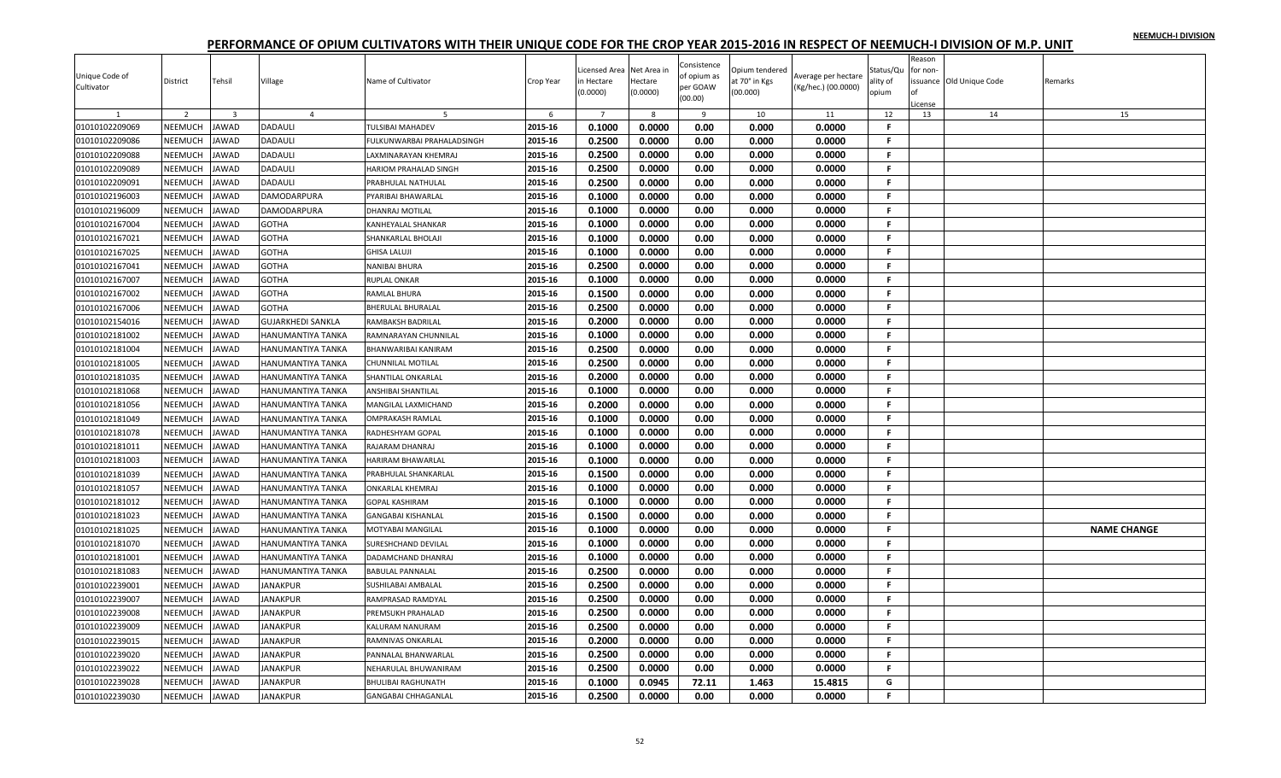| Unique Code of<br>Cultivator | District       | Tehsil                  | Village                  | Name of Cultivator        | Crop Year | Licensed Area<br>n Hectare<br>(0.0000) | Net Area ir<br>Hectare<br>(0.0000) | Consistence<br>of opium as<br>per GOAW<br>(00.00) | Opium tendered<br>at 70° in Kgs<br>(00.000) | Average per hectare<br>(Kg/hec.) (00.0000) | Status/Qu<br>ality of<br>opium | Reason<br>for non- | ssuance Old Unique Code | Remarks            |
|------------------------------|----------------|-------------------------|--------------------------|---------------------------|-----------|----------------------------------------|------------------------------------|---------------------------------------------------|---------------------------------------------|--------------------------------------------|--------------------------------|--------------------|-------------------------|--------------------|
|                              |                |                         |                          |                           |           |                                        |                                    |                                                   |                                             |                                            |                                | cense              |                         |                    |
|                              | 2              | $\overline{\mathbf{3}}$ | $\overline{4}$           |                           | 6         | $\overline{7}$                         | 8                                  | 9                                                 | 10                                          | 11                                         | 12                             | 13                 | 14                      | 15                 |
| 01010102209069               | <b>NEEMUCH</b> | <b>JAWAD</b>            | DADAULI                  | <b>TULSIBAI MAHADEV</b>   | 2015-16   | 0.1000                                 | 0.0000                             | 0.00                                              | 0.000                                       | 0.0000                                     | F                              |                    |                         |                    |
| 01010102209086               | <b>NEEMUCH</b> | <b>JAWAD</b>            | DADAULI                  | ULKUNWARBAI PRAHALADSINGH | 2015-16   | 0.2500                                 | 0.0000                             | 0.00                                              | 0.000                                       | 0.0000                                     | F.                             |                    |                         |                    |
| 01010102209088               | NEEMUCH        | JAWAD                   | DADAULI                  | LAXMINARAYAN KHEMRAJ      | 2015-16   | 0.2500                                 | 0.0000                             | 0.00                                              | 0.000                                       | 0.0000                                     | F.                             |                    |                         |                    |
| 01010102209089               | NEEMUCH        | <b>JAWAD</b>            | <b>DADAULI</b>           | HARIOM PRAHALAD SINGH     | 2015-16   | 0.2500                                 | 0.0000                             | 0.00                                              | 0.000                                       | 0.0000                                     | .F.                            |                    |                         |                    |
| 01010102209091               | NEEMUCH        | JAWAD                   | DADAULI                  | PRABHULAL NATHULAL        | 2015-16   | 0.2500                                 | 0.0000                             | 0.00                                              | 0.000                                       | 0.0000                                     | -F.                            |                    |                         |                    |
| 01010102196003               | NEEMUCH        | <b>JAWAD</b>            | DAMODARPURA              | PYARIBAI BHAWARLAL        | 2015-16   | 0.1000                                 | 0.0000                             | 0.00                                              | 0.000                                       | 0.0000                                     | F.                             |                    |                         |                    |
| 01010102196009               | NEEMUCH        | <b>JAWAD</b>            | DAMODARPURA              | DHANRAJ MOTILAL           | 2015-16   | 0.1000                                 | 0.0000                             | 0.00                                              | 0.000                                       | 0.0000                                     | F.                             |                    |                         |                    |
| 01010102167004               | NEEMUCH        | JAWAD                   | <b>GOTHA</b>             | KANHEYALAL SHANKAR        | 2015-16   | 0.1000                                 | 0.0000                             | 0.00                                              | 0.000                                       | 0.0000                                     | -F.                            |                    |                         |                    |
| 01010102167021               | NEEMUCH        | <b>JAWAD</b>            | <b>GOTHA</b>             | SHANKARLAL BHOLAJI        | 2015-16   | 0.1000                                 | 0.0000                             | 0.00                                              | 0.000                                       | 0.0000                                     | -F.                            |                    |                         |                    |
| 01010102167025               | NEEMUCH        | <b>JAWAD</b>            | <b>GOTHA</b>             | <b>GHISA LALUJI</b>       | 2015-16   | 0.1000                                 | 0.0000                             | 0.00                                              | 0.000                                       | 0.0000                                     | .F.                            |                    |                         |                    |
| 01010102167041               | NEEMUCH        | <b>JAWAD</b>            | <b>GOTHA</b>             | NANIBAI BHURA             | 2015-16   | 0.2500                                 | 0.0000                             | 0.00                                              | 0.000                                       | 0.0000                                     | F.                             |                    |                         |                    |
| 01010102167007               | NEEMUCH        | JAWAD                   | <b>GOTHA</b>             | RUPLAL ONKAR              | 2015-16   | 0.1000                                 | 0.0000                             | 0.00                                              | 0.000                                       | 0.0000                                     | F.                             |                    |                         |                    |
| 01010102167002               | NEEMUCH        | JAWAD                   | GOTHA                    | RAMLAL BHURA              | 2015-16   | 0.1500                                 | 0.0000                             | 0.00                                              | 0.000                                       | 0.0000                                     | F.                             |                    |                         |                    |
| 01010102167006               | NEEMUCH        | <b>JAWAD</b>            | <b>GOTHA</b>             | BHERULAL BHURALAL         | 2015-16   | 0.2500                                 | 0.0000                             | 0.00                                              | 0.000                                       | 0.0000                                     | F.                             |                    |                         |                    |
| 01010102154016               | NEEMUCH        | <b>JAWAD</b>            | <b>GUJARKHEDI SANKLA</b> | RAMBAKSH BADRILAL         | 2015-16   | 0.2000                                 | 0.0000                             | 0.00                                              | 0.000                                       | 0.0000                                     | F.                             |                    |                         |                    |
| 01010102181002               | NEEMUCH        | JAWAD                   | HANUMANTIYA TANKA        | RAMNARAYAN CHUNNILAL      | 2015-16   | 0.1000                                 | 0.0000                             | 0.00                                              | 0.000                                       | 0.0000                                     | F.                             |                    |                         |                    |
| 01010102181004               | NEEMUCH        | <b>JAWAD</b>            | HANUMANTIYA TANKA        | BHANWARIBAI KANIRAM       | 2015-16   | 0.2500                                 | 0.0000                             | 0.00                                              | 0.000                                       | 0.0000                                     | F.                             |                    |                         |                    |
| 01010102181005               | NEEMUCH        | JAWAD                   | HANUMANTIYA TANKA        | CHUNNILAL MOTILAL         | 2015-16   | 0.2500                                 | 0.0000                             | 0.00                                              | 0.000                                       | 0.0000                                     | F.                             |                    |                         |                    |
| 01010102181035               | NEEMUCH        | JAWAD                   | HANUMANTIYA TANKA        | SHANTILAL ONKARLAL        | 2015-16   | 0.2000                                 | 0.0000                             | 0.00                                              | 0.000                                       | 0.0000                                     | F.                             |                    |                         |                    |
| 01010102181068               | NEEMUCH        | <b>JAWAD</b>            | HANUMANTIYA TANKA        | ANSHIBAI SHANTILAL        | 2015-16   | 0.1000                                 | 0.0000                             | 0.00                                              | 0.000                                       | 0.0000                                     | -F.                            |                    |                         |                    |
| 01010102181056               | NEEMUCH        | <b>JAWAD</b>            | HANUMANTIYA TANKA        | MANGILAL LAXMICHAND       | 2015-16   | 0.2000                                 | 0.0000                             | 0.00                                              | 0.000                                       | 0.0000                                     | F.                             |                    |                         |                    |
| 01010102181049               | NEEMUCH        | <b>JAWAD</b>            | HANUMANTIYA TANKA        | OMPRAKASH RAMLAL          | 2015-16   | 0.1000                                 | 0.0000                             | 0.00                                              | 0.000                                       | 0.0000                                     | F.                             |                    |                         |                    |
| 01010102181078               | NEEMUCH        | <b>JAWAD</b>            | HANUMANTIYA TANKA        | RADHESHYAM GOPAL          | 2015-16   | 0.1000                                 | 0.0000                             | 0.00                                              | 0.000                                       | 0.0000                                     | F.                             |                    |                         |                    |
| 01010102181011               | NEEMUCH        | <b>AWAD</b>             | HANUMANTIYA TANKA        | RAJARAM DHANRAJ           | 2015-16   | 0.1000                                 | 0.0000                             | 0.00                                              | 0.000                                       | 0.0000                                     | F.                             |                    |                         |                    |
| 01010102181003               | NEEMUCH        | JAWAD                   | HANUMANTIYA TANKA        | HARIRAM BHAWARLAL         | 2015-16   | 0.1000                                 | 0.0000                             | 0.00                                              | 0.000                                       | 0.0000                                     | F.                             |                    |                         |                    |
| 01010102181039               | NEEMUCH        | JAWAD                   | HANUMANTIYA TANKA        | PRABHULAL SHANKARLAI      | 2015-16   | 0.1500                                 | 0.0000                             | 0.00                                              | 0.000                                       | 0.0000                                     | -F.                            |                    |                         |                    |
| 01010102181057               | NEEMUCH        | <b>JAWAD</b>            | HANUMANTIYA TANKA        | ONKARLAL KHEMRAJ          | 2015-16   | 0.1000                                 | 0.0000                             | 0.00                                              | 0.000                                       | 0.0000                                     | -F.                            |                    |                         |                    |
| 01010102181012               | NEEMUCH        | <b>JAWAD</b>            | HANUMANTIYA TANKA        | GOPAL KASHIRAM            | 2015-16   | 0.1000                                 | 0.0000                             | 0.00                                              | 0.000                                       | 0.0000                                     | F.                             |                    |                         |                    |
| 01010102181023               | NEEMUCH        | <b>JAWAD</b>            | HANUMANTIYA TANKA        | <b>GANGABAI KISHANLAL</b> | 2015-16   | 0.1500                                 | 0.0000                             | 0.00                                              | 0.000                                       | 0.0000                                     | F.                             |                    |                         |                    |
| 01010102181025               | NEEMUCH        | <b>AWAD</b>             | HANUMANTIYA TANKA        | <b>MOTYABAI MANGILAL</b>  | 2015-16   | 0.1000                                 | 0.0000                             | 0.00                                              | 0.000                                       | 0.0000                                     | F.                             |                    |                         | <b>NAME CHANGE</b> |
| 01010102181070               | NEEMUCH        | <b>JAWAD</b>            | HANUMANTIYA TANKA        | SURESHCHAND DEVILAL       | 2015-16   | 0.1000                                 | 0.0000                             | 0.00                                              | 0.000                                       | 0.0000                                     | $\mathbf{F}$                   |                    |                         |                    |
| 01010102181001               | NEEMUCH        | JAWAD                   | HANUMANTIYA TANKA        | DADAMCHAND DHANRAJ        | 2015-16   | 0.1000                                 | 0.0000                             | 0.00                                              | 0.000                                       | 0.0000                                     | F.                             |                    |                         |                    |
| 01010102181083               | NEEMUCH        | <b>AWAD</b>             | HANUMANTIYA TANKA        | BABULAL PANNALAL          | 2015-16   | 0.2500                                 | 0.0000                             | 0.00                                              | 0.000                                       | 0.0000                                     | .F.                            |                    |                         |                    |
| 01010102239001               | NEEMUCH        | <b>JAWAD</b>            | JANAKPUR                 | SUSHILABAI AMBALAL        | 2015-16   | 0.2500                                 | 0.0000                             | 0.00                                              | 0.000                                       | 0.0000                                     | F.                             |                    |                         |                    |
| 01010102239007               | NEEMUCH        | <b>IAWAD</b>            | <b>ANAKPUR</b>           | RAMPRASAD RAMDYAL         | 2015-16   | 0.2500                                 | 0.0000                             | 0.00                                              | 0.000                                       | 0.0000                                     | F.                             |                    |                         |                    |
| 01010102239008               | NEEMUCH        | <b>JAWAD</b>            | <b>JANAKPUR</b>          |                           | 2015-16   | 0.2500                                 | 0.0000                             |                                                   |                                             | 0.0000                                     | F.                             |                    |                         |                    |
|                              |                |                         |                          | PREMSUKH PRAHALAD         |           |                                        |                                    | 0.00                                              | 0.000                                       |                                            |                                |                    |                         |                    |
| 01010102239009               | NEEMUCH        | <b>JAWAD</b>            | JANAKPUR                 | KALURAM NANURAM           | 2015-16   | 0.2500                                 | 0.0000                             | 0.00                                              | 0.000                                       | 0.0000                                     | F.                             |                    |                         |                    |
| 01010102239015               | NEEMUCH        | JAWAD                   | <b>JANAKPUR</b>          | RAMNIVAS ONKARLAL         | 2015-16   | 0.2000                                 | 0.0000                             | 0.00                                              | 0.000                                       | 0.0000                                     | F.                             |                    |                         |                    |
| 01010102239020               | NEEMUCH        | <b>JAWAD</b>            | <b>JANAKPUR</b>          | PANNALAL BHANWARLAL       | 2015-16   | 0.2500                                 | 0.0000                             | 0.00                                              | 0.000                                       | 0.0000                                     | -F.                            |                    |                         |                    |
| 01010102239022               | <b>NEEMUCH</b> | <b>AWAD</b>             | <b>ANAKPUR</b>           | NEHARULAL BHUWANIRAM      | 2015-16   | 0.2500                                 | 0.0000                             | 0.00                                              | 0.000                                       | 0.0000                                     | F                              |                    |                         |                    |
| 01010102239028               | NEEMUCH        | JAWAD                   | <b>ANAKPUR</b>           | <b>BHULIBAI RAGHUNATH</b> | 2015-16   | 0.1000                                 | 0.0945                             | 72.11                                             | 1.463                                       | 15.4815                                    | G                              |                    |                         |                    |
| 01010102239030               | NEEMUCH        | JAWAD                   | <b>JANAKPUR</b>          | GANGABAI CHHAGANLAL       | 2015-16   | 0.2500                                 | 0.0000                             | 0.00                                              | 0.000                                       | 0.0000                                     | F.                             |                    |                         |                    |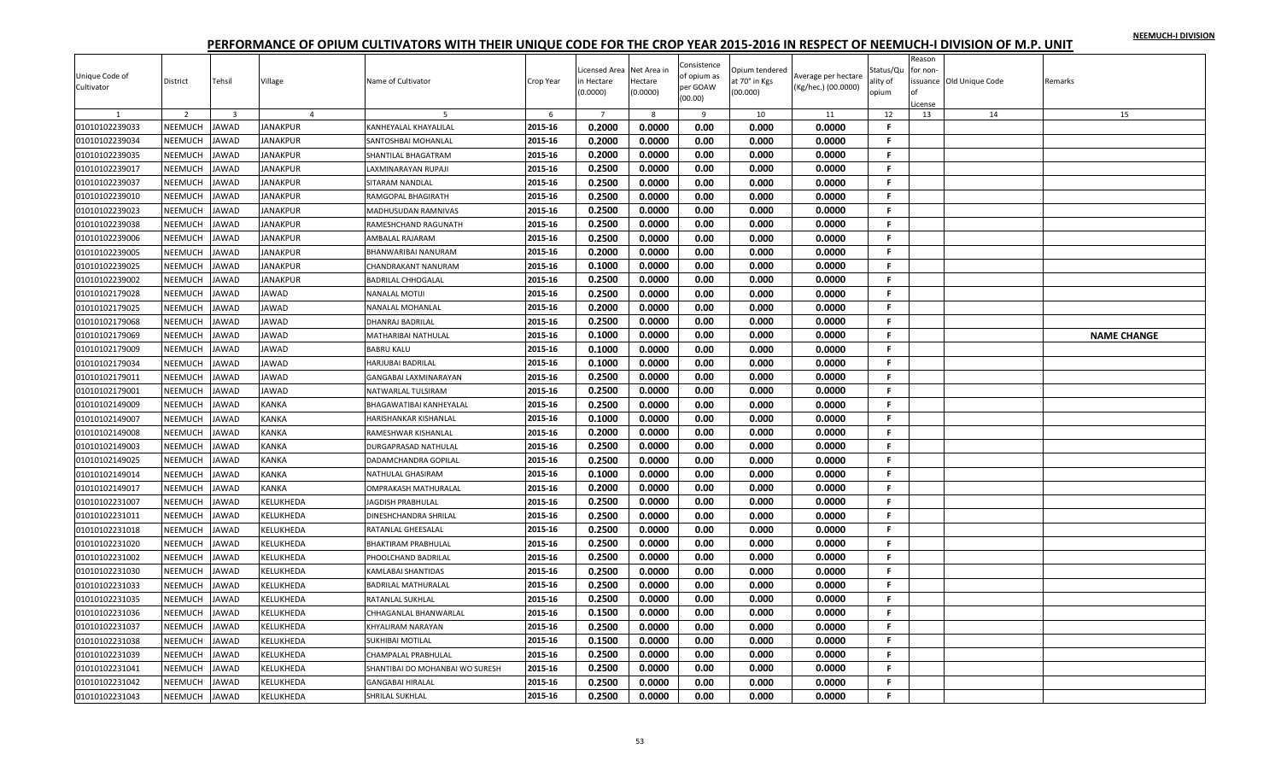| Unique Code of<br>Cultivator | District       | Tehsil                  | Village         | Name of Cultivator              | Crop Year | Licensed Area<br>n Hectare<br>(0.0000) | Net Area ir<br>Hectare<br>(0.0000) | Consistence<br>of opium as<br>per GOAW<br>(00.00) | Opium tendered<br>at 70° in Kgs<br>(00.000) | Average per hectare<br>(Kg/hec.) (00.0000) | Status/Qu<br>ality of<br>opium | Reason<br>for non- | ssuance Old Unique Code | Remarks            |
|------------------------------|----------------|-------------------------|-----------------|---------------------------------|-----------|----------------------------------------|------------------------------------|---------------------------------------------------|---------------------------------------------|--------------------------------------------|--------------------------------|--------------------|-------------------------|--------------------|
|                              |                |                         |                 |                                 |           |                                        |                                    |                                                   |                                             |                                            |                                | cense              |                         |                    |
|                              | 2              | $\overline{\mathbf{3}}$ | $\overline{4}$  |                                 | 6         | $\overline{7}$                         | 8                                  | 9                                                 | 10                                          | 11                                         | 12                             | 13                 | 14                      | 15                 |
| 01010102239033               | <b>NEEMUCH</b> | <b>JAWAD</b>            | <b>JANAKPUR</b> | KANHEYALAL KHAYALILAL           | 2015-16   | 0.2000                                 | 0.0000                             | 0.00                                              | 0.000                                       | 0.0000                                     | F                              |                    |                         |                    |
| 01010102239034               | <b>NEEMUCH</b> | <b>JAWAD</b>            | JANAKPUR        | SANTOSHBAI MOHANLAL             | 2015-16   | 0.2000                                 | 0.0000                             | 0.00                                              | 0.000                                       | 0.0000                                     | F.                             |                    |                         |                    |
| 01010102239035               | NEEMUCH        | JAWAD                   | JANAKPUR        | SHANTILAL BHAGATRAM             | 2015-16   | 0.2000                                 | 0.0000                             | 0.00                                              | 0.000                                       | 0.0000                                     | F.                             |                    |                         |                    |
| 01010102239017               | NEEMUCH        | <b>JAWAD</b>            | <b>JANAKPUR</b> | AXMINARAYAN RUPAJI              | 2015-16   | 0.2500                                 | 0.0000                             | 0.00                                              | 0.000                                       | 0.0000                                     | .F.                            |                    |                         |                    |
| 01010102239037               | NEEMUCH        | <b>JAWAD</b>            | <b>JANAKPUR</b> | SITARAM NANDLAL                 | 2015-16   | 0.2500                                 | 0.0000                             | 0.00                                              | 0.000                                       | 0.0000                                     | -F.                            |                    |                         |                    |
| 01010102239010               | NEEMUCH        | <b>JAWAD</b>            | <b>JANAKPUR</b> | RAMGOPAL BHAGIRATH              | 2015-16   | 0.2500                                 | 0.0000                             | 0.00                                              | 0.000                                       | 0.0000                                     | F.                             |                    |                         |                    |
| 01010102239023               | NEEMUCH        | <b>JAWAD</b>            | JANAKPUR        | <b>MADHUSUDAN RAMNIVAS</b>      | 2015-16   | 0.2500                                 | 0.0000                             | 0.00                                              | 0.000                                       | 0.0000                                     | F.                             |                    |                         |                    |
| 01010102239038               | NEEMUCH        | JAWAD                   | <b>ANAKPUR</b>  | RAMESHCHAND RAGUNATH            | 2015-16   | 0.2500                                 | 0.0000                             | 0.00                                              | 0.000                                       | 0.0000                                     | -F.                            |                    |                         |                    |
| 01010102239006               | NEEMUCH        | <b>JAWAD</b>            | <b>JANAKPUR</b> | AMBALAL RAJARAM                 | 2015-16   | 0.2500                                 | 0.0000                             | 0.00                                              | 0.000                                       | 0.0000                                     | -F.                            |                    |                         |                    |
| 01010102239005               | NEEMUCH        | JAWAD                   | JANAKPUR        | BHANWARIBAI NANURAM             | 2015-16   | 0.2000                                 | 0.0000                             | 0.00                                              | 0.000                                       | 0.0000                                     | .F.                            |                    |                         |                    |
| 01010102239025               | NEEMUCH        | <b>JAWAD</b>            | <b>JANAKPUR</b> | CHANDRAKANT NANURAM             | 2015-16   | 0.1000                                 | 0.0000                             | 0.00                                              | 0.000                                       | 0.0000                                     | F.                             |                    |                         |                    |
| 01010102239002               | NEEMUCH        | JAWAD                   | JANAKPUR        | BADRILAL CHHOGALAL              | 2015-16   | 0.2500                                 | 0.0000                             | 0.00                                              | 0.000                                       | 0.0000                                     | F.                             |                    |                         |                    |
| 01010102179028               | NEEMUCH        | JAWAD                   | <b>AWAD</b>     | NANALAL MOTIJI                  | 2015-16   | 0.2500                                 | 0.0000                             | 0.00                                              | 0.000                                       | 0.0000                                     | F.                             |                    |                         |                    |
| 01010102179025               | NEEMUCH        | <b>JAWAD</b>            | <b>JAWAD</b>    | NANALAL MOHANLAL                | 2015-16   | 0.2000                                 | 0.0000                             | 0.00                                              | 0.000                                       | 0.0000                                     | F.                             |                    |                         |                    |
| 01010102179068               | NEEMUCH        | <b>JAWAD</b>            | JAWAD           | DHANRAJ BADRILAL                | 2015-16   | 0.2500                                 | 0.0000                             | 0.00                                              | 0.000                                       | 0.0000                                     | F.                             |                    |                         |                    |
| 01010102179069               | NEEMUCH        | JAWAD                   | JAWAD           | MATHARIBAI NATHULAL             | 2015-16   | 0.1000                                 | 0.0000                             | 0.00                                              | 0.000                                       | 0.0000                                     | -F.                            |                    |                         | <b>NAME CHANGE</b> |
| 01010102179009               | NEEMUCH        | <b>JAWAD</b>            | <b>AWAD</b>     | <b>BABRU KALU</b>               | 2015-16   | 0.1000                                 | 0.0000                             | 0.00                                              | 0.000                                       | 0.0000                                     | -F.                            |                    |                         |                    |
| 01010102179034               | NEEMUCH        | JAWAD                   | <b>AWAD</b>     | HARJUBAI BADRILAL               | 2015-16   | 0.1000                                 | 0.0000                             | 0.00                                              | 0.000                                       | 0.0000                                     | F.                             |                    |                         |                    |
| 01010102179011               | NEEMUCH        | JAWAD                   | JAWAD           | GANGABAI LAXMINARAYAN           | 2015-16   | 0.2500                                 | 0.0000                             | 0.00                                              | 0.000                                       | 0.0000                                     | F.                             |                    |                         |                    |
| 01010102179001               | NEEMUCH        | <b>JAWAD</b>            | JAWAD           | NATWARLAL TULSIRAM              | 2015-16   | 0.2500                                 | 0.0000                             | 0.00                                              | 0.000                                       | 0.0000                                     | -F.                            |                    |                         |                    |
| 01010102149009               | NEEMUCH        | <b>JAWAD</b>            | KANKA           | BHAGAWATIBAI KANHEYALAL         | 2015-16   | 0.2500                                 | 0.0000                             | 0.00                                              | 0.000                                       | 0.0000                                     | F.                             |                    |                         |                    |
| 01010102149007               | NEEMUCH        | JAWAD                   | KANKA           | HARISHANKAR KISHANLAL           | 2015-16   | 0.1000                                 | 0.0000                             | 0.00                                              | 0.000                                       | 0.0000                                     | F.                             |                    |                         |                    |
| 01010102149008               | NEEMUCH        | <b>JAWAD</b>            | KANKA           | RAMESHWAR KISHANLAL             | 2015-16   | 0.2000                                 | 0.0000                             | 0.00                                              | 0.000                                       | 0.0000                                     | F.                             |                    |                         |                    |
| 01010102149003               | NEEMUCH        | <b>AWAD</b>             | KANKA           | DURGAPRASAD NATHULAL            | 2015-16   | 0.2500                                 | 0.0000                             | 0.00                                              | 0.000                                       | 0.0000                                     | F.                             |                    |                         |                    |
| 01010102149025               | NEEMUCH        | <b>IAWAD</b>            | KANKA           | DADAMCHANDRA GOPILAL            | 2015-16   | 0.2500                                 | 0.0000                             | 0.00                                              | 0.000                                       | 0.0000                                     | F.                             |                    |                         |                    |
| 01010102149014               | NEEMUCH        | JAWAD                   | KANKA           | NATHULAL GHASIRAM               | 2015-16   | 0.1000                                 | 0.0000                             | 0.00                                              | 0.000                                       | 0.0000                                     | -F.                            |                    |                         |                    |
| 01010102149017               | NEEMUCH        | <b>JAWAD</b>            | KANKA           | OMPRAKASH MATHURALAL            | 2015-16   | 0.2000                                 | 0.0000                             | 0.00                                              | 0.000                                       | 0.0000                                     | -F.                            |                    |                         |                    |
| 01010102231007               | NEEMUCH        | <b>JAWAD</b>            | KELUKHEDA       | JAGDISH PRABHULAL               | 2015-16   | 0.2500                                 | 0.0000                             | 0.00                                              | 0.000                                       | 0.0000                                     | F.                             |                    |                         |                    |
| 01010102231011               | NEEMUCH        | <b>JAWAD</b>            | KELUKHEDA       | DINESHCHANDRA SHRILAL           | 2015-16   | 0.2500                                 | 0.0000                             | 0.00                                              | 0.000                                       | 0.0000                                     | F.                             |                    |                         |                    |
| 01010102231018               | NEEMUCH        | <b>AWAD</b>             | KELUKHEDA       | RATANLAL GHEESALAL              | 2015-16   | 0.2500                                 | 0.0000                             | 0.00                                              | 0.000                                       | 0.0000                                     | F.                             |                    |                         |                    |
| 01010102231020               | NEEMUCH        | <b>JAWAD</b>            | KELUKHEDA       | BHAKTIRAM PRABHULAL             | 2015-16   | 0.2500                                 | 0.0000                             | 0.00                                              | 0.000                                       | 0.0000                                     | -F.                            |                    |                         |                    |
| 01010102231002               | NEEMUCH        | JAWAD                   | KELUKHEDA       | PHOOLCHAND BADRILAL             | 2015-16   | 0.2500                                 | 0.0000                             | 0.00                                              | 0.000                                       | 0.0000                                     | F.                             |                    |                         |                    |
| 01010102231030               | NEEMUCH        | <b>AWAD</b>             | KELUKHEDA       | KAMLABAI SHANTIDAS              | 2015-16   | 0.2500                                 | 0.0000                             | 0.00                                              | 0.000                                       | 0.0000                                     | .F.                            |                    |                         |                    |
| 01010102231033               | NEEMUCH        | <b>JAWAD</b>            | KELUKHEDA       | BADRILAL MATHURALAL             | 2015-16   | 0.2500                                 | 0.0000                             | 0.00                                              | 0.000                                       | 0.0000                                     | F.                             |                    |                         |                    |
| 01010102231035               | NEEMUCH        | <b>AWAD</b>             | KELUKHEDA       | RATANLAL SUKHLAL                | 2015-16   | 0.2500                                 | 0.0000                             | 0.00                                              | 0.000                                       | 0.0000                                     | F.                             |                    |                         |                    |
| 01010102231036               | NEEMUCH        | <b>JAWAD</b>            | KELUKHEDA       | CHHAGANLAL BHANWARLAL           | 2015-16   | 0.1500                                 | 0.0000                             | 0.00                                              | 0.000                                       | 0.0000                                     | F.                             |                    |                         |                    |
| 01010102231037               | NEEMUCH        | <b>JAWAD</b>            | KELUKHEDA       | KHYALIRAM NARAYAN               | 2015-16   | 0.2500                                 | 0.0000                             | 0.00                                              | 0.000                                       | 0.0000                                     | F.                             |                    |                         |                    |
|                              | NEEMUCH        |                         |                 |                                 |           |                                        |                                    |                                                   |                                             |                                            | F.                             |                    |                         |                    |
| 01010102231038               |                | JAWAD                   | KELUKHEDA       | SUKHIBAI MOTILAL                | 2015-16   | 0.1500                                 | 0.0000                             | 0.00                                              | 0.000                                       | 0.0000                                     | -F.                            |                    |                         |                    |
| 01010102231039               | NEEMUCH        | <b>JAWAD</b>            | KELUKHEDA       | CHAMPALAL PRABHULAL             | 2015-16   | 0.2500                                 | 0.0000                             | 0.00                                              | 0.000                                       | 0.0000                                     |                                |                    |                         |                    |
| 01010102231041               | <b>NEEMUCH</b> | <b>AWAD</b>             | KELUKHEDA       | SHANTIBAI DO MOHANBAI WO SURESH | 2015-16   | 0.2500                                 | 0.0000                             | 0.00                                              | 0.000                                       | 0.0000                                     | F                              |                    |                         |                    |
| 01010102231042               | <b>NEEMUCH</b> | JAWAD                   | KELUKHEDA       | <b>GANGABAI HIRALAL</b>         | 2015-16   | 0.2500                                 | 0.0000                             | 0.00                                              | 0.000                                       | 0.0000                                     | F.                             |                    |                         |                    |
| 01010102231043               | NEEMUCH        | JAWAD                   | KELUKHEDA       | SHRILAL SUKHLAL                 | 2015-16   | 0.2500                                 | 0.0000                             | 0.00                                              | 0.000                                       | 0.0000                                     | F.                             |                    |                         |                    |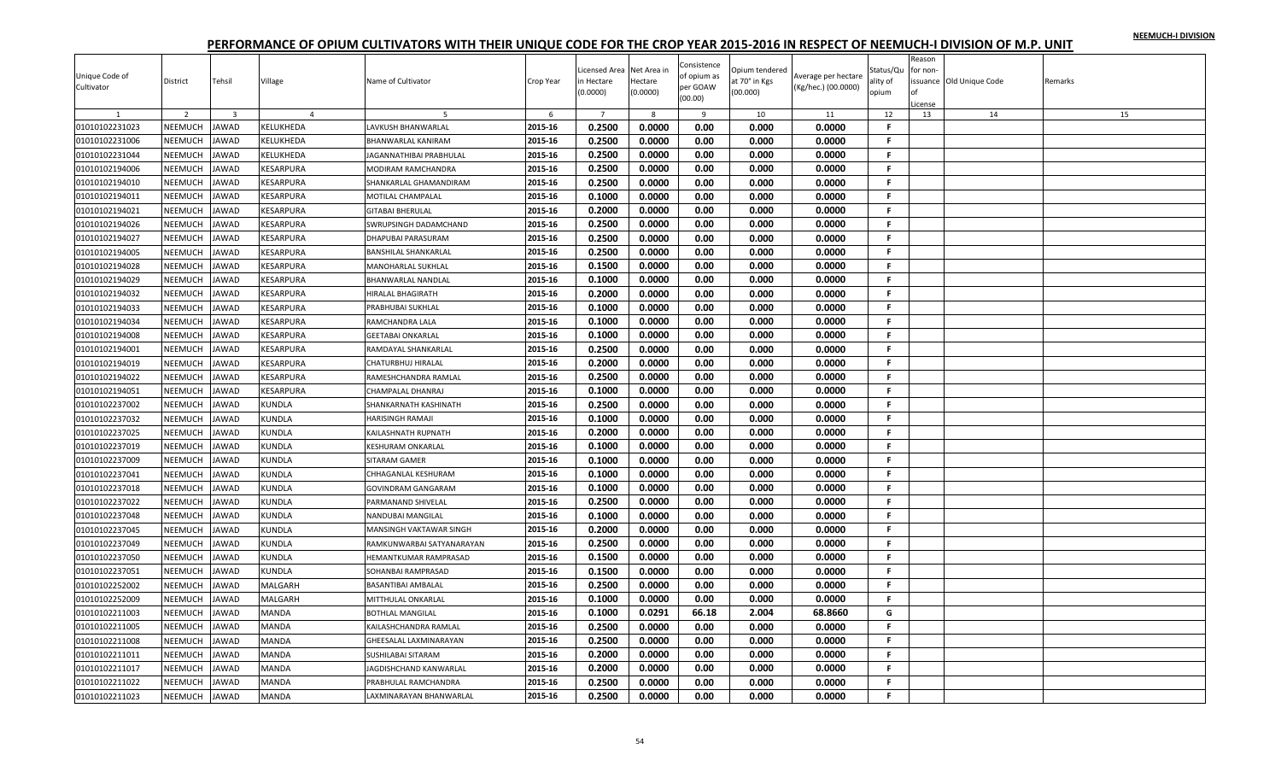|                |                |                         |                |                             |           | icensed Area   | Net Area in | Consistence | Opium tendered |                     | Status/Qu    | Reason<br>for non- |                         |         |
|----------------|----------------|-------------------------|----------------|-----------------------------|-----------|----------------|-------------|-------------|----------------|---------------------|--------------|--------------------|-------------------------|---------|
| Unique Code of | District       | Tehsil                  | Village        | Name of Cultivator          | Crop Year | n Hectare      | Hectare     | of opium as | at 70° in Kgs  | Average per hectare | ality of     |                    | ssuance Old Unique Code | Remarks |
| Cultivator     |                |                         |                |                             |           | (0.0000)       | (0.0000)    | per GOAW    | (00.000)       | (Kg/hec.) (00.0000) | opium        |                    |                         |         |
|                |                |                         |                |                             |           |                |             | (00.00)     |                |                     |              | License            |                         |         |
|                | 2              | $\overline{\mathbf{3}}$ | $\overline{a}$ |                             | 6         | $\overline{7}$ | 8           | 9           | 10             | 11                  | 12           | 13                 | 14                      | 15      |
| 01010102231023 | NEEMUCH        | <b>JAWAD</b>            | KELUKHEDA      | LAVKUSH BHANWARLAL          | 2015-16   | 0.2500         | 0.0000      | 0.00        | 0.000          | 0.0000              | F.           |                    |                         |         |
| 01010102231006 | NEEMUCH        | JAWAD                   | KELUKHEDA      | <b>BHANWARLAL KANIRAM</b>   | 2015-16   | 0.2500         | 0.0000      | 0.00        | 0.000          | 0.0000              | F.           |                    |                         |         |
| 01010102231044 | NEEMUCH        | <b>JAWAD</b>            | KELUKHEDA      | JAGANNATHIBAI PRABHULAL     | 2015-16   | 0.2500         | 0.0000      | 0.00        | 0.000          | 0.0000              | F.           |                    |                         |         |
| 01010102194006 | NEEMUCH        | <b>JAWAD</b>            | KESARPURA      | MODIRAM RAMCHANDRA          | 2015-16   | 0.2500         | 0.0000      | 0.00        | 0.000          | 0.0000              | F.           |                    |                         |         |
| 01010102194010 | NEEMUCH        | <b>JAWAD</b>            | KESARPURA      | SHANKARLAL GHAMANDIRAM      | 2015-16   | 0.2500         | 0.0000      | 0.00        | 0.000          | 0.0000              | F.           |                    |                         |         |
| 01010102194011 | <b>NEEMUCH</b> | <b>JAWAD</b>            | KESARPURA      | MOTILAL CHAMPALAL           | 2015-16   | 0.1000         | 0.0000      | 0.00        | 0.000          | 0.0000              | F.           |                    |                         |         |
| 01010102194021 | NEEMUCH        | <b>JAWAD</b>            | KESARPURA      | <b>GITABAI BHERULAL</b>     | 2015-16   | 0.2000         | 0.0000      | 0.00        | 0.000          | 0.0000              | F.           |                    |                         |         |
| 01010102194026 | NEEMUCH        | JAWAD                   | KESARPURA      | SWRUPSINGH DADAMCHAND       | 2015-16   | 0.2500         | 0.0000      | 0.00        | 0.000          | 0.0000              | F.           |                    |                         |         |
| 01010102194027 | NEEMUCH        | JAWAD                   | KESARPURA      | DHAPUBAI PARASURAM          | 2015-16   | 0.2500         | 0.0000      | 0.00        | 0.000          | 0.0000              | F.           |                    |                         |         |
| 01010102194005 | NEEMUCH        | <b>JAWAD</b>            | KESARPURA      | <b>BANSHILAL SHANKARLAI</b> | 2015-16   | 0.2500         | 0.0000      | 0.00        | 0.000          | 0.0000              | F.           |                    |                         |         |
| 01010102194028 | NEEMUCH        | <b>JAWAD</b>            | KESARPURA      | MANOHARLAL SUKHLAL          | 2015-16   | 0.1500         | 0.0000      | 0.00        | 0.000          | 0.0000              | F.           |                    |                         |         |
| 01010102194029 | <b>NEEMUCH</b> | <b>JAWAD</b>            | KESARPURA      | <b>BHANWARLAL NANDLAL</b>   | 2015-16   | 0.1000         | 0.0000      | 0.00        | 0.000          | 0.0000              | F.           |                    |                         |         |
| 01010102194032 | NEEMUCH        | JAWAD                   | KESARPURA      | <b>HIRALAL BHAGIRATH</b>    | 2015-16   | 0.2000         | 0.0000      | 0.00        | 0.000          | 0.0000              | F.           |                    |                         |         |
| 01010102194033 | NEEMUCH        | <b>JAWAD</b>            | KESARPURA      | PRABHUBAI SUKHLAL           | 2015-16   | 0.1000         | 0.0000      | 0.00        | 0.000          | 0.0000              | F.           |                    |                         |         |
| 01010102194034 | NEEMUCH        | <b>JAWAD</b>            | KESARPURA      | RAMCHANDRA LALA             | 2015-16   | 0.1000         | 0.0000      | 0.00        | 0.000          | 0.0000              | F.           |                    |                         |         |
| 01010102194008 | NEEMUCH        | <b>JAWAD</b>            | KESARPURA      | <b>GEETABAI ONKARLAL</b>    | 2015-16   | 0.1000         | 0.0000      | 0.00        | 0.000          | 0.0000              | F.           |                    |                         |         |
| 01010102194001 | <b>NEEMUCH</b> | <b>JAWAD</b>            | KESARPURA      | RAMDAYAL SHANKARLAI         | 2015-16   | 0.2500         | 0.0000      | 0.00        | 0.000          | 0.0000              | F.           |                    |                         |         |
| 01010102194019 | <b>NEEMUCH</b> | JAWAD                   | KESARPURA      | <b>CHATURBHUJ HIRALAL</b>   | 2015-16   | 0.2000         | 0.0000      | 0.00        | 0.000          | 0.0000              | F.           |                    |                         |         |
| 01010102194022 | NEEMUCH        | <b>JAWAD</b>            | KESARPURA      | RAMESHCHANDRA RAMLAL        | 2015-16   | 0.2500         | 0.0000      | 0.00        | 0.000          | 0.0000              | F.           |                    |                         |         |
| 01010102194051 | NEEMUCH        | <b>JAWAD</b>            | KESARPURA      | CHAMPALAL DHANRAJ           | 2015-16   | 0.1000         | 0.0000      | 0.00        | 0.000          | 0.0000              | F.           |                    |                         |         |
| 01010102237002 | NEEMUCH        | <b>JAWAD</b>            | KUNDLA         | SHANKARNATH KASHINATH       | 2015-16   | 0.2500         | 0.0000      | 0.00        | 0.000          | 0.0000              | $\mathbf{F}$ |                    |                         |         |
| 01010102237032 | NEEMUCH        | <b>JAWAD</b>            | KUNDLA         | <b>HARISINGH RAMAJI</b>     | 2015-16   | 0.1000         | 0.0000      | 0.00        | 0.000          | 0.0000              | F.           |                    |                         |         |
| 01010102237025 | NEEMUCH        | <b>JAWAD</b>            | KUNDLA         | KAILASHNATH RUPNATH         | 2015-16   | 0.2000         | 0.0000      | 0.00        | 0.000          | 0.0000              | F.           |                    |                         |         |
| 01010102237019 | NEEMUCH        | JAWAD                   | KUNDLA         | <b>KESHURAM ONKARLAL</b>    | 2015-16   | 0.1000         | 0.0000      | 0.00        | 0.000          | 0.0000              | F.           |                    |                         |         |
| 01010102237009 | NEEMUCH        | <b>JAWAD</b>            | KUNDLA         | SITARAM GAMER               | 2015-16   | 0.1000         | 0.0000      | 0.00        | 0.000          | 0.0000              | F.           |                    |                         |         |
| 01010102237041 | NEEMUCH        | <b>JAWAD</b>            | KUNDLA         | CHHAGANLAL KESHURAM         | 2015-16   | 0.1000         | 0.0000      | 0.00        | 0.000          | 0.0000              | F.           |                    |                         |         |
| 01010102237018 | NEEMUCH        | <b>JAWAD</b>            | KUNDLA         | <b>GOVINDRAM GANGARAM</b>   | 2015-16   | 0.1000         | 0.0000      | 0.00        | 0.000          | 0.0000              | -F.          |                    |                         |         |
| 01010102237022 | <b>NEEMUCH</b> | <b>JAWAD</b>            | KUNDLA         | PARMANAND SHIVELAI          | 2015-16   | 0.2500         | 0.0000      | 0.00        | 0.000          | 0.0000              | F.           |                    |                         |         |
| 01010102237048 | NEEMUCH        | JAWAD                   | KUNDLA         | <b>NANDUBAI MANGILAL</b>    | 2015-16   | 0.1000         | 0.0000      | 0.00        | 0.000          | 0.0000              | F.           |                    |                         |         |
| 01010102237045 | NEEMUCH        | IAWAD                   | KUNDLA         | MANSINGH VAKTAWAR SINGH     | 2015-16   | 0.2000         | 0.0000      | 0.00        | 0.000          | 0.0000              | F.           |                    |                         |         |
| 01010102237049 | NEEMUCH        | <b>JAWAD</b>            | KUNDLA         | RAMKUNWARBAI SATYANARAYAN   | 2015-16   | 0.2500         | 0.0000      | 0.00        | 0.000          | 0.0000              | F.           |                    |                         |         |
| 01010102237050 | NEEMUCH        | JAWAD                   | KUNDLA         | HEMANTKUMAR RAMPRASAD       | 2015-16   | 0.1500         | 0.0000      | 0.00        | 0.000          | 0.0000              | F.           |                    |                         |         |
| 01010102237051 | NEEMUCH        | JAWAD                   | KUNDLA         | SOHANBAI RAMPRASAD          | 2015-16   | 0.1500         | 0.0000      | 0.00        | 0.000          | 0.0000              | F.           |                    |                         |         |
| 01010102252002 | <b>NEEMUCH</b> | <b>JAWAD</b>            | MALGARH        | <b>BASANTIBAI AMBALAI</b>   | 2015-16   | 0.2500         | 0.0000      | 0.00        | 0.000          | 0.0000              | F.           |                    |                         |         |
| 01010102252009 | NEEMUCH        | JAWAD                   | MALGARH        | MITTHULAL ONKARLAL          | 2015-16   | 0.1000         | 0.0000      | 0.00        | 0.000          | 0.0000              | F.           |                    |                         |         |
| 01010102211003 | NEEMUCH        | <b>JAWAD</b>            | MANDA          | <b>BOTHLAL MANGILAL</b>     | 2015-16   | 0.1000         | 0.0291      | 66.18       | 2.004          | 68.8660             | G            |                    |                         |         |
| 01010102211005 | NEEMUCH        | <b>JAWAD</b>            | MANDA          | KAILASHCHANDRA RAMLAL       | 2015-16   | 0.2500         | 0.0000      | 0.00        | 0.000          | 0.0000              | F.           |                    |                         |         |
| 01010102211008 | NEEMUCH        | JAWAD                   | MANDA          | GHEESALAL LAXMINARAYAN      | 2015-16   | 0.2500         | 0.0000      | 0.00        | 0.000          | 0.0000              | F.           |                    |                         |         |
| 01010102211011 | <b>NEEMUCH</b> | <b>JAWAD</b>            | MANDA          | SUSHILABAI SITARAM          | 2015-16   | 0.2000         | 0.0000      | 0.00        | 0.000          | 0.0000              | F.           |                    |                         |         |
| 01010102211017 | NEEMUCH        | <b>JAWAD</b>            | MANDA          | JAGDISHCHAND KANWARLAL      | 2015-16   | 0.2000         | 0.0000      | 0.00        | 0.000          | 0.0000              | F            |                    |                         |         |
| 01010102211022 |                |                         | MANDA          | PRABHULAL RAMCHANDRA        | 2015-16   | 0.2500         | 0.0000      | 0.00        | 0.000          | 0.0000              | F.           |                    |                         |         |
|                | NEEMUCH        | JAWAD                   |                |                             | 2015-16   | 0.2500         | 0.0000      | 0.00        | 0.000          | 0.0000              | F.           |                    |                         |         |
| 01010102211023 | NEEMUCH        | <b>JAWAD</b>            | MANDA          | LAXMINARAYAN BHANWARLAL     |           |                |             |             |                |                     |              |                    |                         |         |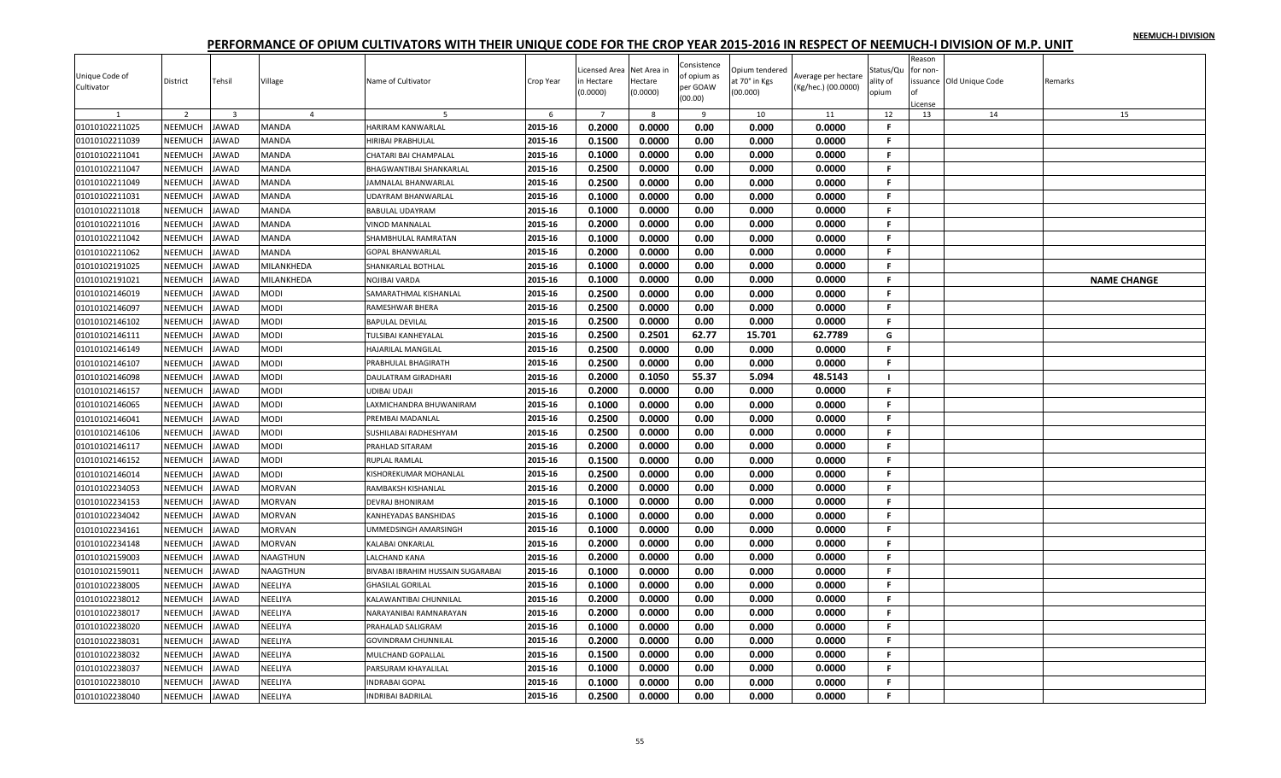|                              |                |                         |                |                                   |           |                |             |                         |                |                                            |           | Reason        |                         |                    |
|------------------------------|----------------|-------------------------|----------------|-----------------------------------|-----------|----------------|-------------|-------------------------|----------------|--------------------------------------------|-----------|---------------|-------------------------|--------------------|
|                              |                |                         |                |                                   |           | icensed Area   | Net Area ir | Consistence             | Opium tendered |                                            | Status/Qu | for non-      |                         |                    |
| Jnique Code of<br>Cultivator | District       | Tehsil                  | Village        | Name of Cultivator                | Crop Year | ነ Hectare      | Hectare     | of opium as<br>per GOAW | at 70° in Kgs  | Average per hectare<br>(Kg/hec.) (00.0000) | ality of  |               | ssuance Old Unique Code | Remarks            |
|                              |                |                         |                |                                   |           | 0.0000         | (0.0000)    | (00.00)                 | (00.000)       |                                            | opium     |               |                         |                    |
|                              | 2              | $\overline{\mathbf{3}}$ | $\overline{4}$ | -5                                | 6         | $\overline{7}$ | - 8         | 9                       | 10             | 11                                         | 12        | .icense<br>13 | 14                      | 15                 |
| 01010102211025               | NEEMUCH        | <b>JAWAD</b>            | <b>MANDA</b>   | HARIRAM KANWARLAL                 | 2015-16   | 0.2000         | 0.0000      | 0.00                    | 0.000          | 0.0000                                     | F.        |               |                         |                    |
| 01010102211039               | NEEMUCH        | <b>JAWAD</b>            | MANDA          | HIRIBAI PRABHULAL                 | 2015-16   | 0.1500         | 0.0000      | 0.00                    | 0.000          | 0.0000                                     | F         |               |                         |                    |
| 01010102211041               | <b>NEEMUCH</b> | <b>JAWAD</b>            | MANDA          | CHATARI BAI CHAMPALAL             | 2015-16   | 0.1000         | 0.0000      | 0.00                    | 0.000          | 0.0000                                     | F.        |               |                         |                    |
| 01010102211047               | NEEMUCH        | <b>JAWAD</b>            | <b>MANDA</b>   | BHAGWANTIBAI SHANKARLAL           | 2015-16   | 0.2500         | 0.0000      | 0.00                    | 0.000          | 0.0000                                     | F.        |               |                         |                    |
| 01010102211049               | NEEMUCH        | <b>JAWAD</b>            | <b>MANDA</b>   | <b>JAMNALAL BHANWARLAL</b>        | 2015-16   | 0.2500         | 0.0000      | 0.00                    | 0.000          | 0.0000                                     | F.        |               |                         |                    |
| 01010102211031               | NEEMUCH        | <b>JAWAD</b>            | MANDA          | <b>UDAYRAM BHANWARLAL</b>         | 2015-16   | 0.1000         | 0.0000      | 0.00                    | 0.000          | 0.0000                                     | F.        |               |                         |                    |
| 01010102211018               | NEEMUCH        | <b>JAWAD</b>            | MANDA          | <b>BABULAL UDAYRAM</b>            | 2015-16   | 0.1000         | 0.0000      | 0.00                    | 0.000          | 0.0000                                     | F.        |               |                         |                    |
| 01010102211016               | <b>NEEMUCH</b> | <b>JAWAD</b>            | MANDA          | <b>VINOD MANNALAL</b>             | 2015-16   | 0.2000         | 0.0000      | 0.00                    | 0.000          | 0.0000                                     | F.        |               |                         |                    |
| 01010102211042               | NEEMUCH        | <b>JAWAD</b>            | MANDA          | SHAMBHULAL RAMRATAN               | 2015-16   | 0.1000         | 0.0000      | 0.00                    | 0.000          | 0.0000                                     | F.        |               |                         |                    |
| 01010102211062               | NEEMUCH        | <b>JAWAD</b>            | MANDA          | <b>GOPAL BHANWARLAL</b>           | 2015-16   | 0.2000         | 0.0000      | 0.00                    | 0.000          | 0.0000                                     | F.        |               |                         |                    |
| 01010102191025               | NEEMUCH        | <b>JAWAD</b>            | MILANKHEDA     | SHANKARLAL BOTHLAL                | 2015-16   | 0.1000         | 0.0000      | 0.00                    | 0.000          | 0.0000                                     | .F        |               |                         |                    |
| 01010102191021               | NEEMUCH        | <b>JAWAD</b>            | MILANKHEDA     | <b>NOJIBAI VARDA</b>              | 2015-16   | 0.1000         | 0.0000      | 0.00                    | 0.000          | 0.0000                                     | F.        |               |                         | <b>NAME CHANGE</b> |
| 01010102146019               | <b>NEEMUCH</b> | <b>JAWAD</b>            | MODI           | SAMARATHMAL KISHANLAL             | 2015-16   | 0.2500         | 0.0000      | 0.00                    | 0.000          | 0.0000                                     | F.        |               |                         |                    |
| 01010102146097               | NEEMUCH        | <b>JAWAD</b>            | MODI           | RAMESHWAR BHERA                   | 2015-16   | 0.2500         | 0.0000      | 0.00                    | 0.000          | 0.0000                                     | F.        |               |                         |                    |
| 01010102146102               | NEEMUCH        | <b>JAWAD</b>            | MODI           | <b>BAPULAL DEVILAL</b>            | 2015-16   | 0.2500         | 0.0000      | 0.00                    | 0.000          | 0.0000                                     | F.        |               |                         |                    |
| 01010102146111               | <b>NEEMUCH</b> | <b>JAWAD</b>            | MODI           | <b>TULSIBAI KANHEYALAL</b>        | 2015-16   | 0.2500         | 0.2501      | 62.77                   | 15.701         | 62.7789                                    | G         |               |                         |                    |
| 01010102146149               | NEEMUCH        | <b>JAWAD</b>            | <b>MODI</b>    | HAJARILAL MANGILAL                | 2015-16   | 0.2500         | 0.0000      | 0.00                    | 0.000          | 0.0000                                     | F.        |               |                         |                    |
| 01010102146107               | <b>NEEMUCH</b> | JAWAD                   | MODI           | PRABHULAL BHAGIRATH               | 2015-16   | 0.2500         | 0.0000      | 0.00                    | 0.000          | 0.0000                                     | F.        |               |                         |                    |
| 01010102146098               | NEEMUCH        | <b>JAWAD</b>            | MODI           | <b>DAULATRAM GIRADHARI</b>        | 2015-16   | 0.2000         | 0.1050      | 55.37                   | 5.094          | 48.5143                                    |           |               |                         |                    |
| 01010102146157               | NEEMUCH        | <b>JAWAD</b>            | MODI           | <b>UDIBAI UDAJI</b>               | 2015-16   | 0.2000         | 0.0000      | 0.00                    | 0.000          | 0.0000                                     | F.        |               |                         |                    |
| 01010102146065               | NEEMUCH        | <b>JAWAD</b>            | <b>MODI</b>    | LAXMICHANDRA BHUWANIRAM           | 2015-16   | 0.1000         | 0.0000      | 0.00                    | 0.000          | 0.0000                                     | F.        |               |                         |                    |
| 01010102146041               | NEEMUCH        | <b>JAWAD</b>            | <b>MODI</b>    | PREMBAI MADANLAI                  | 2015-16   | 0.2500         | 0.0000      | 0.00                    | 0.000          | 0.0000                                     | -F.       |               |                         |                    |
| 01010102146106               | NEEMUCH        | <b>JAWAD</b>            | MODI           | SUSHILABAI RADHESHYAM             | 2015-16   | 0.2500         | 0.0000      | 0.00                    | 0.000          | 0.0000                                     | F.        |               |                         |                    |
| 01010102146117               | NEEMUCH        | JAWAD                   | MODI           | PRAHLAD SITARAM                   | 2015-16   | 0.2000         | 0.0000      | 0.00                    | 0.000          | 0.0000                                     | F.        |               |                         |                    |
| 01010102146152               | <b>NEEMUCH</b> | JAWAD                   | MODI           | <b>RUPLAL RAMLAL</b>              | 2015-16   | 0.1500         | 0.0000      | 0.00                    | 0.000          | 0.0000                                     | F.        |               |                         |                    |
| 01010102146014               | NEEMUCH        | <b>JAWAD</b>            | <b>MODI</b>    | KISHOREKUMAR MOHANLAL             | 2015-16   | 0.2500         | 0.0000      | 0.00                    | 0.000          | 0.0000                                     | F.        |               |                         |                    |
| 01010102234053               | NEEMUCH        | <b>JAWAD</b>            | <b>MORVAN</b>  | RAMBAKSH KISHANLAL                | 2015-16   | 0.2000         | 0.0000      | 0.00                    | 0.000          | 0.0000                                     | F.        |               |                         |                    |
| 01010102234153               | NEEMUCH        | <b>JAWAD</b>            | <b>MORVAN</b>  | <b>DEVRAJ BHONIRAM</b>            | 2015-16   | 0.1000         | 0.0000      | 0.00                    | 0.000          | 0.0000                                     | F.        |               |                         |                    |
| 01010102234042               | NEEMUCH        | <b>JAWAD</b>            | <b>MORVAN</b>  | KANHEYADAS BANSHIDAS              | 2015-16   | 0.1000         | 0.0000      | 0.00                    | 0.000          | 0.0000                                     | -F        |               |                         |                    |
| 01010102234161               | <b>NEEMUCH</b> | JAWAD                   | MORVAN         | UMMEDSINGH AMARSINGH              | 2015-16   | 0.1000         | 0.0000      | 0.00                    | 0.000          | 0.0000                                     | F.        |               |                         |                    |
| 01010102234148               | NEEMUCH        | <b>JAWAD</b>            | <b>MORVAN</b>  | <b>KALABAI ONKARLAL</b>           | 2015-16   | 0.2000         | 0.0000      | 0.00                    | 0.000          | 0.0000                                     | F.        |               |                         |                    |
| 01010102159003               | <b>NEEMUCH</b> | <b>JAWAD</b>            | NAAGTHUN       | <b>LALCHAND KANA</b>              | 2015-16   | 0.2000         | 0.0000      | 0.00                    | 0.000          | 0.0000                                     | F.        |               |                         |                    |
| 01010102159011               | NEEMUCH        | <b>JAWAD</b>            | NAAGTHUN       | BIVABAI IBRAHIM HUSSAIN SUGARABAI | 2015-16   | 0.1000         | 0.0000      | 0.00                    | 0.000          | 0.0000                                     | F.        |               |                         |                    |
| 01010102238005               | NEEMUCH        | <b>JAWAD</b>            | NEELIYA        | <b>GHASILAL GORILAL</b>           | 2015-16   | 0.1000         | 0.0000      | 0.00                    | 0.000          | 0.0000                                     | F.        |               |                         |                    |
| 01010102238012               | <b>NEEMUCH</b> | <b>AWAD</b>             | NEELIYA        | KALAWANTIBAI CHUNNILAL            | 2015-16   | 0.2000         | 0.0000      | 0.00                    | 0.000          | 0.0000                                     | F.        |               |                         |                    |
| 01010102238017               | NEEMUCH        | <b>JAWAD</b>            | NEELIYA        | NARAYANIBAI RAMNARAYAN            | 2015-16   | 0.2000         | 0.0000      | 0.00                    | 0.000          | 0.0000                                     | F.        |               |                         |                    |
| 01010102238020               | <b>NEEMUCH</b> | <b>JAWAD</b>            | NEELIYA        | PRAHALAD SALIGRAM                 | 2015-16   | 0.1000         | 0.0000      | 0.00                    | 0.000          | 0.0000                                     | F.        |               |                         |                    |
| 01010102238031               | NEEMUCH        | <b>JAWAD</b>            | NEELIYA        | <b>GOVINDRAM CHUNNILAL</b>        | 2015-16   | 0.2000         | 0.0000      | 0.00                    | 0.000          | 0.0000                                     | F.        |               |                         |                    |
| 01010102238032               | NEEMUCH        | <b>JAWAD</b>            | NEELIYA        | MULCHAND GOPALLAL                 | 2015-16   | 0.1500         | 0.0000      | 0.00                    | 0.000          | 0.0000                                     | F.        |               |                         |                    |
| 01010102238037               | <b>NEEMUCH</b> | JAWAD                   | NEELIYA        | PARSURAM KHAYALILAL               | 2015-16   | 0.1000         | 0.0000      | 0.00                    | 0.000          | 0.0000                                     | F         |               |                         |                    |
| 01010102238010               | <b>NEEMUCH</b> | JAWAD                   | NEELIYA        | <b>INDRABAI GOPAL</b>             | 2015-16   | 0.1000         | 0.0000      | 0.00                    | 0.000          | 0.0000                                     | F.        |               |                         |                    |
| 01010102238040               | NEEMUCH        | <b>JAWAD</b>            | NEELIYA        | <b>INDRIBAI BADRILAL</b>          | 2015-16   | 0.2500         | 0.0000      | 0.00                    | 0.000          | 0.0000                                     | F.        |               |                         |                    |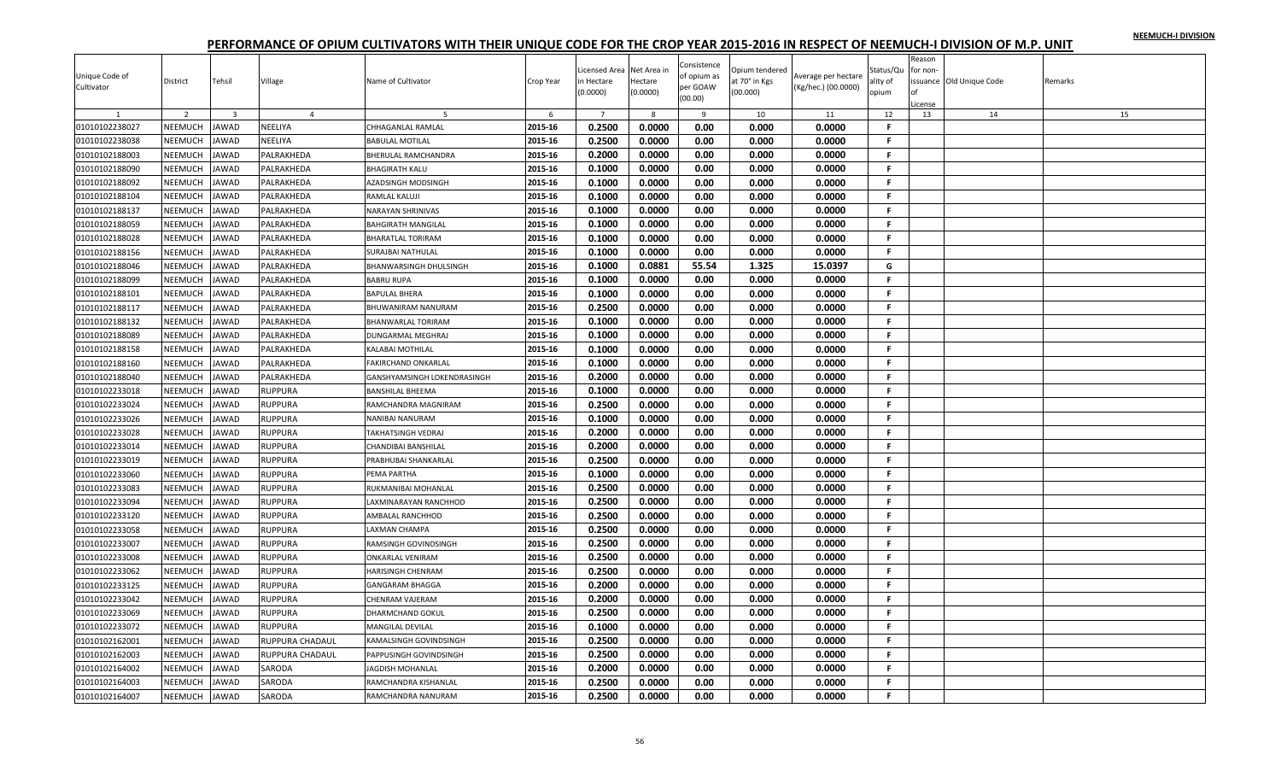| Unique Code of |                |                         |                 |                                  |           | Licensed Area          | Net Area in         | Consistence<br>of opium as | Opium tendered            | Average per hectare | Status/Qu         | Reason<br>for non |                         |         |
|----------------|----------------|-------------------------|-----------------|----------------------------------|-----------|------------------------|---------------------|----------------------------|---------------------------|---------------------|-------------------|-------------------|-------------------------|---------|
| Cultivator     | District       | Tehsil                  | Village         | Name of Cultivator               | Crop Year | in Hectare<br>(0.0000) | Hectare<br>(0.0000) | per GOAW<br>(00.00)        | at 70° in Kgs<br>(00.000) | (Kg/hec.) (00.0000) | ality of<br>opium | icense            | ssuance Old Unique Code | Remarks |
|                | 2              | $\overline{\mathbf{3}}$ | $\overline{4}$  | -5                               | 6         | $7^{\circ}$            | 8                   | 9                          | 10                        | 11                  | 12                | 13                | 14                      | 15      |
| 01010102238027 | NEEMUCH        | JAWAD                   | NEELIYA         | CHHAGANLAL RAMLAL                | 2015-16   | 0.2500                 | 0.0000              | 0.00                       | 0.000                     | 0.0000              | F.                |                   |                         |         |
| 01010102238038 | NEEMUCH        | JAWAD                   | NEELIYA         | <b>BABULAL MOTILAL</b>           | 2015-16   | 0.2500                 | 0.0000              | 0.00                       | 0.000                     | 0.0000              | F.                |                   |                         |         |
| 01010102188003 | NEEMUCH        | <b>JAWAD</b>            | PALRAKHEDA      | BHERULAL RAMCHANDRA              | 2015-16   | 0.2000                 | 0.0000              | 0.00                       | 0.000                     | 0.0000              | -F.               |                   |                         |         |
| 01010102188090 | NEEMUCH        | JAWAD                   | PALRAKHEDA      | <b>BHAGIRATH KALU</b>            | 2015-16   | 0.1000                 | 0.0000              | 0.00                       | 0.000                     | 0.0000              | -F.               |                   |                         |         |
| 01010102188092 | NEEMUCH        | <b>JAWAD</b>            | PALRAKHEDA      | AZADSINGH MODSINGH               | 2015-16   | 0.1000                 | 0.0000              | 0.00                       | 0.000                     | 0.0000              | -F.               |                   |                         |         |
| 01010102188104 | NEEMUCH        | <b>JAWAD</b>            | PALRAKHEDA      | RAMLAL KALUJI                    | 2015-16   | 0.1000                 | 0.0000              | 0.00                       | 0.000                     | 0.0000              | F                 |                   |                         |         |
| 01010102188137 | NEEMUCH        | JAWAD                   | PALRAKHEDA      | <b>VARAYAN SHRINIVAS</b>         | 2015-16   | 0.1000                 | 0.0000              | 0.00                       | 0.000                     | 0.0000              | F.                |                   |                         |         |
| 01010102188059 | NEEMUCH        | <b>JAWAD</b>            | PALRAKHEDA      | <b>BAHGIRATH MANGILAL</b>        | 2015-16   | 0.1000                 | 0.0000              | 0.00                       | 0.000                     | 0.0000              | F.                |                   |                         |         |
| 01010102188028 | NEEMUCH        | JAWAD                   | PALRAKHEDA      | BHARATLAL TORIRAM                | 2015-16   | 0.1000                 | 0.0000              | 0.00                       | 0.000                     | 0.0000              | F.                |                   |                         |         |
| 01010102188156 | NEEMUCH        | <b>JAWAD</b>            | PALRAKHEDA      | SURAJBAI NATHULAL                | 2015-16   | 0.1000                 | 0.0000              | 0.00                       | 0.000                     | 0.0000              | F.                |                   |                         |         |
| 01010102188046 | NEEMUCH        | <b>JAWAD</b>            | PALRAKHEDA      | BHANWARSINGH DHULSINGH           | 2015-16   | 0.1000                 | 0.0881              | 55.54                      | 1.325                     | 15.0397             | G                 |                   |                         |         |
| 01010102188099 | NEEMUCH        | JAWAD                   | PALRAKHEDA      | <b>BABRU RUPA</b>                | 2015-16   | 0.1000                 | 0.0000              | 0.00                       | 0.000                     | 0.0000              | F.                |                   |                         |         |
| 01010102188101 | NEEMUCH        | JAWAD                   | PALRAKHEDA      | BAPULAL BHERA                    | 2015-16   | 0.1000                 | 0.0000              | 0.00                       | 0.000                     | 0.0000              | -F.               |                   |                         |         |
| 01010102188117 | NEEMUCH        | <b>JAWAD</b>            | PALRAKHEDA      | BHUWANIRAM NANURAM               | 2015-16   | 0.2500                 | 0.0000              | 0.00                       | 0.000                     | 0.0000              | -F.               |                   |                         |         |
| 01010102188132 | NEEMUCH        | JAWAD                   | PALRAKHEDA      | BHANWARLAL TORIRAM               | 2015-16   | 0.1000                 | 0.0000              | 0.00                       | 0.000                     | 0.0000              | F.                |                   |                         |         |
| 01010102188089 | NEEMUCH        | <b>JAWAD</b>            | PALRAKHEDA      | DUNGARMAL MEGHRAJ                | 2015-16   | 0.1000                 | 0.0000              | 0.00                       | 0.000                     | 0.0000              | F.                |                   |                         |         |
| 01010102188158 | NEEMUCH        | <b>JAWAD</b>            | PALRAKHEDA      | KALABAI MOTHILAL                 | 2015-16   | 0.1000                 | 0.0000              | 0.00                       | 0.000                     | 0.0000              | F.                |                   |                         |         |
| 01010102188160 | NEEMUCH        | <b>JAWAD</b>            | PALRAKHEDA      | AKIRCHAND ONKARLAL               | 2015-16   | 0.1000                 | 0.0000              | 0.00                       | 0.000                     | 0.0000              | F.                |                   |                         |         |
| 01010102188040 | NEEMUCH        | <b>JAWAD</b>            | PALRAKHEDA      | GANSHYAMSINGH LOKENDRASINGH      | 2015-16   | 0.2000                 | 0.0000              | 0.00                       | 0.000                     | 0.0000              | -F.               |                   |                         |         |
| 01010102233018 | NEEMUCH        | <b>JAWAD</b>            | RUPPURA         | BANSHILAL BHEEMA                 | 2015-16   | 0.1000                 | 0.0000              | 0.00                       | 0.000                     | 0.0000              | F.                |                   |                         |         |
| 01010102233024 | NEEMUCH        | <b>JAWAD</b>            | <b>RUPPURA</b>  | RAMCHANDRA MAGNIRAM              | 2015-16   | 0.2500                 | 0.0000              | 0.00                       | 0.000                     | 0.0000              | .F.               |                   |                         |         |
| 01010102233026 | NEEMUCH        | <b>JAWAD</b>            | RUPPURA         | NANIBAI NANURAM                  | 2015-16   | 0.1000                 | 0.0000              | 0.00                       | 0.000                     | 0.0000              | -F.               |                   |                         |         |
| 01010102233028 | NEEMUCH        | <b>JAWAD</b>            | RUPPURA         | <b><i>FAKHATSINGH VEDRAJ</i></b> | 2015-16   | 0.2000                 | 0.0000              | 0.00                       | 0.000                     | 0.0000              | F.                |                   |                         |         |
| 01010102233014 | NEEMUCH        | <b>JAWAD</b>            | <b>RUPPURA</b>  | CHANDIBAI BANSHILAL              | 2015-16   | 0.2000                 | 0.0000              | 0.00                       | 0.000                     | 0.0000              | F.                |                   |                         |         |
| 01010102233019 | NEEMUCH        | JAWAD                   | RUPPURA         | PRABHUBAI SHANKARLAL             | 2015-16   | 0.2500                 | 0.0000              | 0.00                       | 0.000                     | 0.0000              | F.                |                   |                         |         |
| 01010102233060 | NEEMUCH        | JAWAD                   | <b>RUPPURA</b>  | PEMA PARTHA                      | 2015-16   | 0.1000                 | 0.0000              | 0.00                       | 0.000                     | 0.0000              | F.                |                   |                         |         |
| 01010102233083 | NEEMUCH        | <b>JAWAD</b>            | <b>RUPPURA</b>  | RUKMANIBAI MOHANLAL              | 2015-16   | 0.2500                 | 0.0000              | 0.00                       | 0.000                     | 0.0000              | -F.               |                   |                         |         |
| 01010102233094 | NEEMUCH        | <b>JAWAD</b>            | RUPPURA         | AXMINARAYAN RANCHHOD             | 2015-16   | 0.2500                 | 0.0000              | 0.00                       | 0.000                     | 0.0000              | F.                |                   |                         |         |
| 01010102233120 | NEEMUCH        | <b>AWAD</b>             | RUPPURA         | AMBALAL RANCHHOD                 | 2015-16   | 0.2500                 | 0.0000              | 0.00                       | 0.000                     | 0.0000              | F.                |                   |                         |         |
| 01010102233058 | NEEMUCH        | <b>JAWAD</b>            | <b>RUPPURA</b>  | LAXMAN CHAMPA                    | 2015-16   | 0.2500                 | 0.0000              | 0.00                       | 0.000                     | 0.0000              | -F.               |                   |                         |         |
| 01010102233007 | NEEMUCH        | <b>JAWAD</b>            | <b>RUPPURA</b>  | RAMSINGH GOVINDSINGH             | 2015-16   | 0.2500                 | 0.0000              | 0.00                       | 0.000                     | 0.0000              | -F.               |                   |                         |         |
| 01010102233008 | NEEMUCH        | JAWAD                   | RUPPURA         | ONKARLAL VENIRAM                 | 2015-16   | 0.2500                 | 0.0000              | 0.00                       | 0.000                     | 0.0000              | .F.               |                   |                         |         |
| 01010102233062 | NEEMUCH        | JAWAD                   | <b>RUPPURA</b>  | HARISINGH CHENRAM                | 2015-16   | 0.2500                 | 0.0000              | 0.00                       | 0.000                     | 0.0000              | -F.               |                   |                         |         |
| 01010102233125 | NEEMUCH        | <b>AWAD</b>             | RUPPURA         | GANGARAM BHAGGA                  | 2015-16   | 0.2000                 | 0.0000              | 0.00                       | 0.000                     | 0.0000              | F.                |                   |                         |         |
| 01010102233042 | NEEMUCH        | JAWAD                   | RUPPURA         | CHENRAM VAJERAM                  | 2015-16   | 0.2000                 | 0.0000              | 0.00                       | 0.000                     | 0.0000              | F.                |                   |                         |         |
| 01010102233069 | NEEMUCH        | JAWAD                   | RUPPURA         | DHARMCHAND GOKUL                 | 2015-16   | 0.2500                 | 0.0000              | 0.00                       | 0.000                     | 0.0000              | F.                |                   |                         |         |
| 01010102233072 | NEEMUCH        | <b>JAWAD</b>            | RUPPURA         | <b>MANGILAL DEVILAL</b>          | 2015-16   | 0.1000                 | 0.0000              | 0.00                       | 0.000                     | 0.0000              | F.                |                   |                         |         |
| 01010102162001 | NEEMUCH        | <b>JAWAD</b>            | RUPPURA CHADAUL | KAMALSINGH GOVINDSINGH           | 2015-16   | 0.2500                 | 0.0000              | 0.00                       | 0.000                     | 0.0000              | F.                |                   |                         |         |
| 01010102162003 | NEEMUCH        | JAWAD                   | RUPPURA CHADAUL | PAPPUSINGH GOVINDSINGH           | 2015-16   | 0.2500                 | 0.0000              | 0.00                       | 0.000                     | 0.0000              | -F                |                   |                         |         |
| 01010102164002 | <b>NEEMUCH</b> | <b>AWAD</b>             | SARODA          | <b>AGDISH MOHANLAL</b>           | 2015-16   | 0.2000                 | 0.0000              | 0.00                       | 0.000                     | 0.0000              | F                 |                   |                         |         |
| 01010102164003 | NEEMUCH        | <b>AWAD</b>             | SARODA          | RAMCHANDRA KISHANLAL             | 2015-16   | 0.2500                 | 0.0000              | 0.00                       | 0.000                     | 0.0000              | F.                |                   |                         |         |
| 01010102164007 | NEEMUCH        | <b>JAWAD</b>            | SARODA          | RAMCHANDRA NANURAM               | 2015-16   | 0.2500                 | 0.0000              | 0.00                       | 0.000                     | 0.0000              | F.                |                   |                         |         |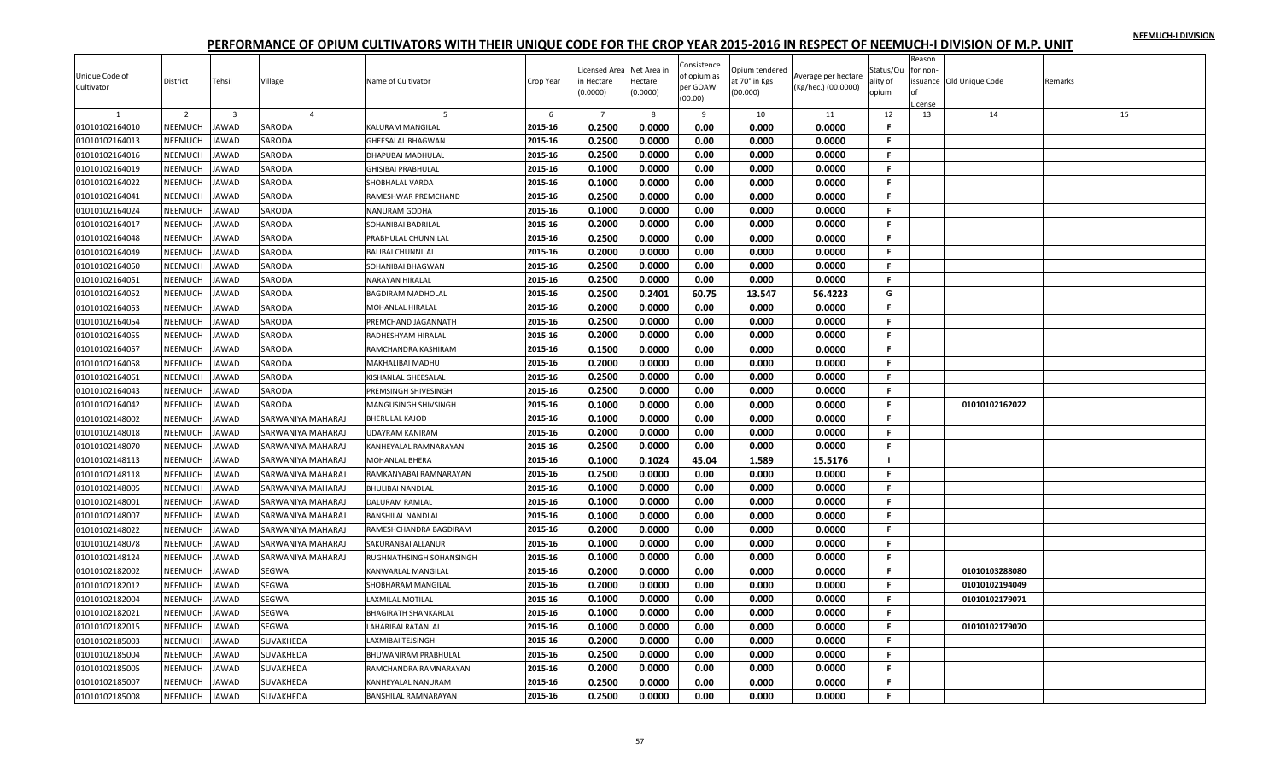| Reason<br>Consistence<br>icensed Area<br>Net Area in<br>Dpium tendered<br>Status/Qu<br>for non-<br>Unique Code of<br>of opium as<br>Average per hectare<br>District<br>Tehsil<br>Village<br>Name of Cultivator<br>Crop Year<br>n Hectare<br>Hectare<br>at 70° in Kgs<br>ssuance Old Unique Code<br>Remarks<br>ality of<br>per GOAW<br>Cultivator<br>(Kg/hec.) (00.0000)<br>(0.0000)<br>(00.000)<br>(0.0000)<br>opium<br>(00.00)<br>icense<br>2<br>$\overline{7}$<br>12<br>15<br>$\overline{\mathbf{3}}$<br>$\overline{4}$<br>6<br>8<br>9<br>10<br>11<br>13<br>14<br>0.2500<br>0.0000<br>2015-16<br>0.00<br>0.000<br>0.0000<br>$\mathbf{F}$<br>01010102164010<br>NEEMUCH<br><b>JAWAD</b><br><b>KALURAM MANGILAL</b><br>SARODA<br>2015-16<br>0.2500<br>0.0000<br>0.00<br>F.<br>01010102164013<br>NEEMUCH<br>0.000<br>0.0000<br><b>JAWAD</b><br>SARODA<br><b>GHEESALAL BHAGWAN</b><br>01010102164016<br>NEEMUCH<br>2015-16<br>0.2500<br>0.0000<br>0.00<br>0.0000<br><b>JAWAD</b><br>SARODA<br>0.000<br>F.<br>DHAPUBAI MADHULAL<br>01010102164019<br><b>NEEMUCH</b><br>2015-16<br>0.1000<br>0.00<br><b>JAWAD</b><br>SARODA<br>0.0000<br>0.000<br>0.0000<br>.F.<br><b>GHISIBAI PRABHULAL</b><br>01010102164022<br>NEEMUCH<br>2015-16<br>0.1000<br>0.0000<br>0.00<br>0.000<br>0.0000<br><b>JAWAD</b><br>SARODA<br>-F.<br>SHOBHALAL VARDA<br>01010102164041<br>NEEMUCH<br>SARODA<br>2015-16<br>0.2500<br>0.0000<br>0.00<br>0.000<br>0.0000<br>-F.<br><b>JAWAD</b><br>RAMESHWAR PREMCHAND<br>NEEMUCH<br>01010102164024<br><b>JAWAD</b><br>2015-16<br>0.1000<br>0.0000<br>0.00<br>0.000<br>0.0000<br>F.<br>SARODA<br><b>NANURAM GODHA</b><br>NEEMUCH<br>0.2000<br>0.0000<br>0.00<br>0.0000<br>01010102164017<br><b>JAWAD</b><br>SARODA<br>2015-16<br>0.000<br>-F.<br>SOHANIBAI BADRILAL<br>2015-16<br>0.2500<br>0.0000<br>0.00<br>0.000<br>0.0000<br>-F.<br>01010102164048<br>NEEMUCH<br><b>JAWAD</b><br>SARODA<br>PRABHULAL CHUNNILAL<br>0.2000<br>0.00<br>01010102164049<br>NEEMUCH<br>2015-16<br>0.0000<br>0.000<br>0.0000<br><b>JAWAD</b><br>SARODA<br><b>BALIBAI CHUNNILAL</b><br>.F.<br>0.2500<br>01010102164050<br>NEEMUCH<br><b>JAWAD</b><br>SARODA<br>2015-16<br>0.0000<br>0.00<br>0.000<br>0.0000<br>F.<br>SOHANIBAI BHAGWAN<br>01010102164051<br><b>NEEMUCH</b><br>2015-16<br>0.2500<br>0.0000<br>0.000<br><b>JAWAD</b><br>SARODA<br>0.00<br>0.0000<br>F.<br><b>NARAYAN HIRALAL</b><br>0.2500<br>60.75<br>13.547<br>56.4223<br>01010102164052<br>NEEMUCH<br><b>JAWAD</b><br>SARODA<br>2015-16<br>0.2401<br>G<br><b>BAGDIRAM MADHOLAL</b><br>NEEMUCH<br>0.2000<br>01010102164053<br><b>JAWAD</b><br>SARODA<br>2015-16<br>0.0000<br>0.00<br>0.000<br>0.0000<br>-F.<br><b>MOHANLAL HIRALAL</b><br>01010102164054<br>NEEMUCH<br>0.2500<br>0.0000<br>0.00<br>0.000<br>0.0000<br><b>JAWAD</b><br>SARODA<br>2015-16<br>F.<br>PREMCHAND JAGANNATH<br>0.2000<br>01010102164055<br>NEEMUCH<br>2015-16<br>0.0000<br>0.00<br>0.000<br>0.0000<br>-F.<br><b>JAWAD</b><br>SARODA<br>RADHESHYAM HIRALAL<br>0.1500<br>01010102164057<br><b>NEEMUCH</b><br>2015-16<br>0.0000<br>0.00<br>0.000<br>0.0000<br>F.<br><b>JAWAD</b><br>SARODA<br>RAMCHANDRA KASHIRAM<br>2015-16<br>0.2000<br>0.0000<br>0.00<br>0.000<br>0.0000<br>NEEMUCH<br>F.<br>01010102164058<br><b>JAWAD</b><br>SARODA<br>MAKHALIBAI MADHU<br>NEEMUCH<br>0.2500<br>0.0000<br>01010102164061<br><b>JAWAD</b><br>SARODA<br>2015-16<br>0.00<br>0.000<br>0.0000<br>F.<br>KISHANLAL GHEESALAL<br>0.2500<br>0.0000<br>01010102164043<br>NEEMUCH<br><b>JAWAD</b><br>2015-16<br>0.0000<br>0.00<br>0.000<br>-F.<br>SARODA<br>PREMSINGH SHIVESINGH<br>NEEMUCH<br>01010102164042<br>2015-16<br>0.1000<br>0.0000<br>0.00<br>0.0000<br>F.<br><b>JAWAD</b><br>SARODA<br>0.000<br>01010102162022<br>MANGUSINGH SHIVSINGH<br>01010102148002<br>NEEMUCH<br>0.1000<br>0.0000<br><b>JAWAD</b><br>SARWANIYA MAHARAJ<br><b>BHERULAL KAJOD</b><br>2015-16<br>0.00<br>0.000<br>0.0000<br>F.<br>01010102148018<br><b>NEEMUCH</b><br>2015-16<br>0.2000<br>0.0000<br>0.00<br>0.0000<br><b>JAWAD</b><br>0.000<br>F.<br>SARWANIYA MAHARAJ<br>UDAYRAM KANIRAM<br>0.2500<br>2015-16<br>0.0000<br>0.00<br>0.000<br>0.0000<br>F.<br>01010102148070<br>NEEMUCH<br><b>JAWAD</b><br>KANHEYALAL RAMNARAYAN<br>SARWANIYA MAHARAJ<br>0.1000<br>NEEMUCH<br>2015-16<br>0.1024<br>45.04<br>1.589<br>15.5176<br>01010102148113<br><b>JAWAD</b><br>SARWANIYA MAHARAJ<br><b>MOHANLAL BHERA</b><br>- 1<br>0.2500<br>0.0000<br>0.0000<br>01010102148118<br>NEEMUCH<br>2015-16<br>0.00<br>0.000<br>F.<br><b>JAWAD</b><br>RAMKANYABAI RAMNARAYAN<br>SARWANIYA MAHARAJ<br>01010102148005<br>NEEMUCH<br><b>JAWAD</b><br>2015-16<br>0.1000<br>0.0000<br>0.00<br>0.000<br>0.0000<br>SARWANIYA MAHARAJ<br><b>BHULIBAI NANDLAL</b><br>-F.<br>01010102148001<br>NEEMUCH<br><b>JAWAD</b><br>2015-16<br>0.1000<br>0.0000<br>0.00<br>0.000<br>0.0000<br>-F.<br>SARWANIYA MAHARAJ<br>DALURAM RAMLAL<br>NEEMUCH<br>0.1000<br>0.0000<br>0.00<br>0.000<br>01010102148007<br><b>JAWAD</b><br>2015-16<br>0.0000<br>F.<br>SARWANIYA MAHARAJ<br><b>BANSHILAL NANDLAL</b><br>01010102148022<br>NEEMUCH<br>2015-16<br>0.2000<br>0.0000<br>0.00<br>0.000<br>0.0000<br><b>JAWAD</b><br>SARWANIYA MAHARAJ<br>RAMESHCHANDRA BAGDIRAM<br>-F.<br>01010102148078<br>NEEMUCH<br><b>JAWAD</b><br>2015-16<br>0.1000<br>0.0000<br>0.00<br>0.000<br>0.0000<br>-F.<br>SARWANIYA MAHARAJ<br>SAKURANBAI ALLANUR<br>NEEMUCH<br>2015-16<br>0.1000<br>0.0000<br>0.00<br>0.000<br>0.0000<br>01010102148124<br><b>JAWAD</b><br>SARWANIYA MAHARAJ<br>RUGHNATHSINGH SOHANSINGH<br>-F.<br>2015-16<br>0.2000<br>0.0000<br>0.00<br>0.000<br>0.0000<br>01010102182002<br>NEEMUCH<br><b>JAWAD</b><br><b>SEGWA</b><br>KANWARLAL MANGILAL<br>.F.<br>01010103288080<br>NEEMUCH<br>2015-16<br>0.2000<br>0.0000<br>0.00<br>0.000<br>0.0000<br>F.<br>01010102182012<br><b>JAWAD</b><br><b>SEGWA</b><br>SHOBHARAM MANGILAI<br>01010102194049<br>NEEMUCH<br>SEGWA<br>2015-16<br>0.1000<br>0.0000<br>0.00<br>01010102182004<br><b>JAWAD</b><br>0.000<br>0.0000<br>F.<br>01010102179071<br>LAXMILAL MOTILAL<br>NEEMUCH<br>0.1000<br>0.0000<br>01010102182021<br><b>JAWAD</b><br><b>SEGWA</b><br>2015-16<br>0.00<br>0.000<br>0.0000<br>F.<br><b>BHAGIRATH SHANKARLAL</b><br>01010102182015<br>NEEMUCH<br>2015-16<br>0.1000<br>0.0000<br>0.00<br>0.0000<br><b>JAWAD</b><br>SEGWA<br>0.000<br>F.<br>LAHARIBAI RATANLAL<br>01010102179070<br>NEEMUCH<br>0.2000<br>0.00<br>01010102185003<br><b>JAWAD</b><br>SUVAKHEDA<br>2015-16<br>0.0000<br>0.000<br>0.0000<br>F.<br>LAXMIBAI TEJSINGH<br>0.2500<br>01010102185004<br>NEEMUCH<br><b>JAWAD</b><br>SUVAKHEDA<br>2015-16<br>0.0000<br>0.00<br>0.000<br>0.0000<br>-F.<br><b>BHUWANIRAM PRABHULAL</b><br>0.2000<br>2015-16<br>0.0000<br>0.00<br>0.000<br>0.0000<br>01010102185005<br>NEEMUCH<br>F.<br><b>JAWAD</b><br>SUVAKHEDA<br>RAMCHANDRA RAMNARAYAN<br>0.2500<br>2015-16<br>0.0000<br>0.00<br>0.000<br>0.0000<br>F.<br>01010102185007<br>NEEMUCH<br><b>JAWAD</b><br>SUVAKHEDA<br>KANHEYALAL NANURAM<br>0.2500<br>0.00<br>01010102185008<br>NEEMUCH<br>2015-16<br>0.0000<br>0.000<br>0.0000<br>F.<br><b>JAWAD</b><br>SUVAKHEDA<br><b>BANSHILAL RAMNARAYAN</b> |  |  |  |  |  |  |  |  |
|--------------------------------------------------------------------------------------------------------------------------------------------------------------------------------------------------------------------------------------------------------------------------------------------------------------------------------------------------------------------------------------------------------------------------------------------------------------------------------------------------------------------------------------------------------------------------------------------------------------------------------------------------------------------------------------------------------------------------------------------------------------------------------------------------------------------------------------------------------------------------------------------------------------------------------------------------------------------------------------------------------------------------------------------------------------------------------------------------------------------------------------------------------------------------------------------------------------------------------------------------------------------------------------------------------------------------------------------------------------------------------------------------------------------------------------------------------------------------------------------------------------------------------------------------------------------------------------------------------------------------------------------------------------------------------------------------------------------------------------------------------------------------------------------------------------------------------------------------------------------------------------------------------------------------------------------------------------------------------------------------------------------------------------------------------------------------------------------------------------------------------------------------------------------------------------------------------------------------------------------------------------------------------------------------------------------------------------------------------------------------------------------------------------------------------------------------------------------------------------------------------------------------------------------------------------------------------------------------------------------------------------------------------------------------------------------------------------------------------------------------------------------------------------------------------------------------------------------------------------------------------------------------------------------------------------------------------------------------------------------------------------------------------------------------------------------------------------------------------------------------------------------------------------------------------------------------------------------------------------------------------------------------------------------------------------------------------------------------------------------------------------------------------------------------------------------------------------------------------------------------------------------------------------------------------------------------------------------------------------------------------------------------------------------------------------------------------------------------------------------------------------------------------------------------------------------------------------------------------------------------------------------------------------------------------------------------------------------------------------------------------------------------------------------------------------------------------------------------------------------------------------------------------------------------------------------------------------------------------------------------------------------------------------------------------------------------------------------------------------------------------------------------------------------------------------------------------------------------------------------------------------------------------------------------------------------------------------------------------------------------------------------------------------------------------------------------------------------------------------------------------------------------------------------------------------------------------------------------------------------------------------------------------------------------------------------------------------------------------------------------------------------------------------------------------------------------------------------------------------------------------------------------------------------------------------------------------------------------------------------------------------------------------------------------------------------------------------------------------------------------------------------------------------------------------------------------------------------------------------------------------------------------------------------------------------------------------------------------------------------------------------------------------------------------------------------------------------------------------------------------------------------------------------------------------------------------------------------------------------------------------------------------------------------------------------------------------------------------------------------------------------------------------------------------------------------------------------------------------------------------------------------------------------------------------------------------------------------------------------------------------------------------------------------------------------------------------------------------------------------------------------------------------------------------------------------------------------------------------------------------------------------------------------------------------------------------------------------------------------------------------------------------------------------------------------------------------------------------------------------------------------------------------------------------------------------------------------------------------------------------------------------------------------------------------------------------------------------------------------------------------------------------------------------------------------------------------------------------------------------------------------------------|--|--|--|--|--|--|--|--|
|                                                                                                                                                                                                                                                                                                                                                                                                                                                                                                                                                                                                                                                                                                                                                                                                                                                                                                                                                                                                                                                                                                                                                                                                                                                                                                                                                                                                                                                                                                                                                                                                                                                                                                                                                                                                                                                                                                                                                                                                                                                                                                                                                                                                                                                                                                                                                                                                                                                                                                                                                                                                                                                                                                                                                                                                                                                                                                                                                                                                                                                                                                                                                                                                                                                                                                                                                                                                                                                                                                                                                                                                                                                                                                                                                                                                                                                                                                                                                                                                                                                                                                                                                                                                                                                                                                                                                                                                                                                                                                                                                                                                                                                                                                                                                                                                                                                                                                                                                                                                                                                                                                                                                                                                                                                                                                                                                                                                                                                                                                                                                                                                                                                                                                                                                                                                                                                                                                                                                                                                                                                                                                                                                                                                                                                                                                                                                                                                                                                                                                                                                                                                                                                                                                                                                                                                                                                                                                                                                                                                                                                                                                                                                  |  |  |  |  |  |  |  |  |
|                                                                                                                                                                                                                                                                                                                                                                                                                                                                                                                                                                                                                                                                                                                                                                                                                                                                                                                                                                                                                                                                                                                                                                                                                                                                                                                                                                                                                                                                                                                                                                                                                                                                                                                                                                                                                                                                                                                                                                                                                                                                                                                                                                                                                                                                                                                                                                                                                                                                                                                                                                                                                                                                                                                                                                                                                                                                                                                                                                                                                                                                                                                                                                                                                                                                                                                                                                                                                                                                                                                                                                                                                                                                                                                                                                                                                                                                                                                                                                                                                                                                                                                                                                                                                                                                                                                                                                                                                                                                                                                                                                                                                                                                                                                                                                                                                                                                                                                                                                                                                                                                                                                                                                                                                                                                                                                                                                                                                                                                                                                                                                                                                                                                                                                                                                                                                                                                                                                                                                                                                                                                                                                                                                                                                                                                                                                                                                                                                                                                                                                                                                                                                                                                                                                                                                                                                                                                                                                                                                                                                                                                                                                                                  |  |  |  |  |  |  |  |  |
|                                                                                                                                                                                                                                                                                                                                                                                                                                                                                                                                                                                                                                                                                                                                                                                                                                                                                                                                                                                                                                                                                                                                                                                                                                                                                                                                                                                                                                                                                                                                                                                                                                                                                                                                                                                                                                                                                                                                                                                                                                                                                                                                                                                                                                                                                                                                                                                                                                                                                                                                                                                                                                                                                                                                                                                                                                                                                                                                                                                                                                                                                                                                                                                                                                                                                                                                                                                                                                                                                                                                                                                                                                                                                                                                                                                                                                                                                                                                                                                                                                                                                                                                                                                                                                                                                                                                                                                                                                                                                                                                                                                                                                                                                                                                                                                                                                                                                                                                                                                                                                                                                                                                                                                                                                                                                                                                                                                                                                                                                                                                                                                                                                                                                                                                                                                                                                                                                                                                                                                                                                                                                                                                                                                                                                                                                                                                                                                                                                                                                                                                                                                                                                                                                                                                                                                                                                                                                                                                                                                                                                                                                                                                                  |  |  |  |  |  |  |  |  |
|                                                                                                                                                                                                                                                                                                                                                                                                                                                                                                                                                                                                                                                                                                                                                                                                                                                                                                                                                                                                                                                                                                                                                                                                                                                                                                                                                                                                                                                                                                                                                                                                                                                                                                                                                                                                                                                                                                                                                                                                                                                                                                                                                                                                                                                                                                                                                                                                                                                                                                                                                                                                                                                                                                                                                                                                                                                                                                                                                                                                                                                                                                                                                                                                                                                                                                                                                                                                                                                                                                                                                                                                                                                                                                                                                                                                                                                                                                                                                                                                                                                                                                                                                                                                                                                                                                                                                                                                                                                                                                                                                                                                                                                                                                                                                                                                                                                                                                                                                                                                                                                                                                                                                                                                                                                                                                                                                                                                                                                                                                                                                                                                                                                                                                                                                                                                                                                                                                                                                                                                                                                                                                                                                                                                                                                                                                                                                                                                                                                                                                                                                                                                                                                                                                                                                                                                                                                                                                                                                                                                                                                                                                                                                  |  |  |  |  |  |  |  |  |
|                                                                                                                                                                                                                                                                                                                                                                                                                                                                                                                                                                                                                                                                                                                                                                                                                                                                                                                                                                                                                                                                                                                                                                                                                                                                                                                                                                                                                                                                                                                                                                                                                                                                                                                                                                                                                                                                                                                                                                                                                                                                                                                                                                                                                                                                                                                                                                                                                                                                                                                                                                                                                                                                                                                                                                                                                                                                                                                                                                                                                                                                                                                                                                                                                                                                                                                                                                                                                                                                                                                                                                                                                                                                                                                                                                                                                                                                                                                                                                                                                                                                                                                                                                                                                                                                                                                                                                                                                                                                                                                                                                                                                                                                                                                                                                                                                                                                                                                                                                                                                                                                                                                                                                                                                                                                                                                                                                                                                                                                                                                                                                                                                                                                                                                                                                                                                                                                                                                                                                                                                                                                                                                                                                                                                                                                                                                                                                                                                                                                                                                                                                                                                                                                                                                                                                                                                                                                                                                                                                                                                                                                                                                                                  |  |  |  |  |  |  |  |  |
|                                                                                                                                                                                                                                                                                                                                                                                                                                                                                                                                                                                                                                                                                                                                                                                                                                                                                                                                                                                                                                                                                                                                                                                                                                                                                                                                                                                                                                                                                                                                                                                                                                                                                                                                                                                                                                                                                                                                                                                                                                                                                                                                                                                                                                                                                                                                                                                                                                                                                                                                                                                                                                                                                                                                                                                                                                                                                                                                                                                                                                                                                                                                                                                                                                                                                                                                                                                                                                                                                                                                                                                                                                                                                                                                                                                                                                                                                                                                                                                                                                                                                                                                                                                                                                                                                                                                                                                                                                                                                                                                                                                                                                                                                                                                                                                                                                                                                                                                                                                                                                                                                                                                                                                                                                                                                                                                                                                                                                                                                                                                                                                                                                                                                                                                                                                                                                                                                                                                                                                                                                                                                                                                                                                                                                                                                                                                                                                                                                                                                                                                                                                                                                                                                                                                                                                                                                                                                                                                                                                                                                                                                                                                                  |  |  |  |  |  |  |  |  |
|                                                                                                                                                                                                                                                                                                                                                                                                                                                                                                                                                                                                                                                                                                                                                                                                                                                                                                                                                                                                                                                                                                                                                                                                                                                                                                                                                                                                                                                                                                                                                                                                                                                                                                                                                                                                                                                                                                                                                                                                                                                                                                                                                                                                                                                                                                                                                                                                                                                                                                                                                                                                                                                                                                                                                                                                                                                                                                                                                                                                                                                                                                                                                                                                                                                                                                                                                                                                                                                                                                                                                                                                                                                                                                                                                                                                                                                                                                                                                                                                                                                                                                                                                                                                                                                                                                                                                                                                                                                                                                                                                                                                                                                                                                                                                                                                                                                                                                                                                                                                                                                                                                                                                                                                                                                                                                                                                                                                                                                                                                                                                                                                                                                                                                                                                                                                                                                                                                                                                                                                                                                                                                                                                                                                                                                                                                                                                                                                                                                                                                                                                                                                                                                                                                                                                                                                                                                                                                                                                                                                                                                                                                                                                  |  |  |  |  |  |  |  |  |
|                                                                                                                                                                                                                                                                                                                                                                                                                                                                                                                                                                                                                                                                                                                                                                                                                                                                                                                                                                                                                                                                                                                                                                                                                                                                                                                                                                                                                                                                                                                                                                                                                                                                                                                                                                                                                                                                                                                                                                                                                                                                                                                                                                                                                                                                                                                                                                                                                                                                                                                                                                                                                                                                                                                                                                                                                                                                                                                                                                                                                                                                                                                                                                                                                                                                                                                                                                                                                                                                                                                                                                                                                                                                                                                                                                                                                                                                                                                                                                                                                                                                                                                                                                                                                                                                                                                                                                                                                                                                                                                                                                                                                                                                                                                                                                                                                                                                                                                                                                                                                                                                                                                                                                                                                                                                                                                                                                                                                                                                                                                                                                                                                                                                                                                                                                                                                                                                                                                                                                                                                                                                                                                                                                                                                                                                                                                                                                                                                                                                                                                                                                                                                                                                                                                                                                                                                                                                                                                                                                                                                                                                                                                                                  |  |  |  |  |  |  |  |  |
|                                                                                                                                                                                                                                                                                                                                                                                                                                                                                                                                                                                                                                                                                                                                                                                                                                                                                                                                                                                                                                                                                                                                                                                                                                                                                                                                                                                                                                                                                                                                                                                                                                                                                                                                                                                                                                                                                                                                                                                                                                                                                                                                                                                                                                                                                                                                                                                                                                                                                                                                                                                                                                                                                                                                                                                                                                                                                                                                                                                                                                                                                                                                                                                                                                                                                                                                                                                                                                                                                                                                                                                                                                                                                                                                                                                                                                                                                                                                                                                                                                                                                                                                                                                                                                                                                                                                                                                                                                                                                                                                                                                                                                                                                                                                                                                                                                                                                                                                                                                                                                                                                                                                                                                                                                                                                                                                                                                                                                                                                                                                                                                                                                                                                                                                                                                                                                                                                                                                                                                                                                                                                                                                                                                                                                                                                                                                                                                                                                                                                                                                                                                                                                                                                                                                                                                                                                                                                                                                                                                                                                                                                                                                                  |  |  |  |  |  |  |  |  |
|                                                                                                                                                                                                                                                                                                                                                                                                                                                                                                                                                                                                                                                                                                                                                                                                                                                                                                                                                                                                                                                                                                                                                                                                                                                                                                                                                                                                                                                                                                                                                                                                                                                                                                                                                                                                                                                                                                                                                                                                                                                                                                                                                                                                                                                                                                                                                                                                                                                                                                                                                                                                                                                                                                                                                                                                                                                                                                                                                                                                                                                                                                                                                                                                                                                                                                                                                                                                                                                                                                                                                                                                                                                                                                                                                                                                                                                                                                                                                                                                                                                                                                                                                                                                                                                                                                                                                                                                                                                                                                                                                                                                                                                                                                                                                                                                                                                                                                                                                                                                                                                                                                                                                                                                                                                                                                                                                                                                                                                                                                                                                                                                                                                                                                                                                                                                                                                                                                                                                                                                                                                                                                                                                                                                                                                                                                                                                                                                                                                                                                                                                                                                                                                                                                                                                                                                                                                                                                                                                                                                                                                                                                                                                  |  |  |  |  |  |  |  |  |
|                                                                                                                                                                                                                                                                                                                                                                                                                                                                                                                                                                                                                                                                                                                                                                                                                                                                                                                                                                                                                                                                                                                                                                                                                                                                                                                                                                                                                                                                                                                                                                                                                                                                                                                                                                                                                                                                                                                                                                                                                                                                                                                                                                                                                                                                                                                                                                                                                                                                                                                                                                                                                                                                                                                                                                                                                                                                                                                                                                                                                                                                                                                                                                                                                                                                                                                                                                                                                                                                                                                                                                                                                                                                                                                                                                                                                                                                                                                                                                                                                                                                                                                                                                                                                                                                                                                                                                                                                                                                                                                                                                                                                                                                                                                                                                                                                                                                                                                                                                                                                                                                                                                                                                                                                                                                                                                                                                                                                                                                                                                                                                                                                                                                                                                                                                                                                                                                                                                                                                                                                                                                                                                                                                                                                                                                                                                                                                                                                                                                                                                                                                                                                                                                                                                                                                                                                                                                                                                                                                                                                                                                                                                                                  |  |  |  |  |  |  |  |  |
|                                                                                                                                                                                                                                                                                                                                                                                                                                                                                                                                                                                                                                                                                                                                                                                                                                                                                                                                                                                                                                                                                                                                                                                                                                                                                                                                                                                                                                                                                                                                                                                                                                                                                                                                                                                                                                                                                                                                                                                                                                                                                                                                                                                                                                                                                                                                                                                                                                                                                                                                                                                                                                                                                                                                                                                                                                                                                                                                                                                                                                                                                                                                                                                                                                                                                                                                                                                                                                                                                                                                                                                                                                                                                                                                                                                                                                                                                                                                                                                                                                                                                                                                                                                                                                                                                                                                                                                                                                                                                                                                                                                                                                                                                                                                                                                                                                                                                                                                                                                                                                                                                                                                                                                                                                                                                                                                                                                                                                                                                                                                                                                                                                                                                                                                                                                                                                                                                                                                                                                                                                                                                                                                                                                                                                                                                                                                                                                                                                                                                                                                                                                                                                                                                                                                                                                                                                                                                                                                                                                                                                                                                                                                                  |  |  |  |  |  |  |  |  |
|                                                                                                                                                                                                                                                                                                                                                                                                                                                                                                                                                                                                                                                                                                                                                                                                                                                                                                                                                                                                                                                                                                                                                                                                                                                                                                                                                                                                                                                                                                                                                                                                                                                                                                                                                                                                                                                                                                                                                                                                                                                                                                                                                                                                                                                                                                                                                                                                                                                                                                                                                                                                                                                                                                                                                                                                                                                                                                                                                                                                                                                                                                                                                                                                                                                                                                                                                                                                                                                                                                                                                                                                                                                                                                                                                                                                                                                                                                                                                                                                                                                                                                                                                                                                                                                                                                                                                                                                                                                                                                                                                                                                                                                                                                                                                                                                                                                                                                                                                                                                                                                                                                                                                                                                                                                                                                                                                                                                                                                                                                                                                                                                                                                                                                                                                                                                                                                                                                                                                                                                                                                                                                                                                                                                                                                                                                                                                                                                                                                                                                                                                                                                                                                                                                                                                                                                                                                                                                                                                                                                                                                                                                                                                  |  |  |  |  |  |  |  |  |
|                                                                                                                                                                                                                                                                                                                                                                                                                                                                                                                                                                                                                                                                                                                                                                                                                                                                                                                                                                                                                                                                                                                                                                                                                                                                                                                                                                                                                                                                                                                                                                                                                                                                                                                                                                                                                                                                                                                                                                                                                                                                                                                                                                                                                                                                                                                                                                                                                                                                                                                                                                                                                                                                                                                                                                                                                                                                                                                                                                                                                                                                                                                                                                                                                                                                                                                                                                                                                                                                                                                                                                                                                                                                                                                                                                                                                                                                                                                                                                                                                                                                                                                                                                                                                                                                                                                                                                                                                                                                                                                                                                                                                                                                                                                                                                                                                                                                                                                                                                                                                                                                                                                                                                                                                                                                                                                                                                                                                                                                                                                                                                                                                                                                                                                                                                                                                                                                                                                                                                                                                                                                                                                                                                                                                                                                                                                                                                                                                                                                                                                                                                                                                                                                                                                                                                                                                                                                                                                                                                                                                                                                                                                                                  |  |  |  |  |  |  |  |  |
|                                                                                                                                                                                                                                                                                                                                                                                                                                                                                                                                                                                                                                                                                                                                                                                                                                                                                                                                                                                                                                                                                                                                                                                                                                                                                                                                                                                                                                                                                                                                                                                                                                                                                                                                                                                                                                                                                                                                                                                                                                                                                                                                                                                                                                                                                                                                                                                                                                                                                                                                                                                                                                                                                                                                                                                                                                                                                                                                                                                                                                                                                                                                                                                                                                                                                                                                                                                                                                                                                                                                                                                                                                                                                                                                                                                                                                                                                                                                                                                                                                                                                                                                                                                                                                                                                                                                                                                                                                                                                                                                                                                                                                                                                                                                                                                                                                                                                                                                                                                                                                                                                                                                                                                                                                                                                                                                                                                                                                                                                                                                                                                                                                                                                                                                                                                                                                                                                                                                                                                                                                                                                                                                                                                                                                                                                                                                                                                                                                                                                                                                                                                                                                                                                                                                                                                                                                                                                                                                                                                                                                                                                                                                                  |  |  |  |  |  |  |  |  |
|                                                                                                                                                                                                                                                                                                                                                                                                                                                                                                                                                                                                                                                                                                                                                                                                                                                                                                                                                                                                                                                                                                                                                                                                                                                                                                                                                                                                                                                                                                                                                                                                                                                                                                                                                                                                                                                                                                                                                                                                                                                                                                                                                                                                                                                                                                                                                                                                                                                                                                                                                                                                                                                                                                                                                                                                                                                                                                                                                                                                                                                                                                                                                                                                                                                                                                                                                                                                                                                                                                                                                                                                                                                                                                                                                                                                                                                                                                                                                                                                                                                                                                                                                                                                                                                                                                                                                                                                                                                                                                                                                                                                                                                                                                                                                                                                                                                                                                                                                                                                                                                                                                                                                                                                                                                                                                                                                                                                                                                                                                                                                                                                                                                                                                                                                                                                                                                                                                                                                                                                                                                                                                                                                                                                                                                                                                                                                                                                                                                                                                                                                                                                                                                                                                                                                                                                                                                                                                                                                                                                                                                                                                                                                  |  |  |  |  |  |  |  |  |
|                                                                                                                                                                                                                                                                                                                                                                                                                                                                                                                                                                                                                                                                                                                                                                                                                                                                                                                                                                                                                                                                                                                                                                                                                                                                                                                                                                                                                                                                                                                                                                                                                                                                                                                                                                                                                                                                                                                                                                                                                                                                                                                                                                                                                                                                                                                                                                                                                                                                                                                                                                                                                                                                                                                                                                                                                                                                                                                                                                                                                                                                                                                                                                                                                                                                                                                                                                                                                                                                                                                                                                                                                                                                                                                                                                                                                                                                                                                                                                                                                                                                                                                                                                                                                                                                                                                                                                                                                                                                                                                                                                                                                                                                                                                                                                                                                                                                                                                                                                                                                                                                                                                                                                                                                                                                                                                                                                                                                                                                                                                                                                                                                                                                                                                                                                                                                                                                                                                                                                                                                                                                                                                                                                                                                                                                                                                                                                                                                                                                                                                                                                                                                                                                                                                                                                                                                                                                                                                                                                                                                                                                                                                                                  |  |  |  |  |  |  |  |  |
|                                                                                                                                                                                                                                                                                                                                                                                                                                                                                                                                                                                                                                                                                                                                                                                                                                                                                                                                                                                                                                                                                                                                                                                                                                                                                                                                                                                                                                                                                                                                                                                                                                                                                                                                                                                                                                                                                                                                                                                                                                                                                                                                                                                                                                                                                                                                                                                                                                                                                                                                                                                                                                                                                                                                                                                                                                                                                                                                                                                                                                                                                                                                                                                                                                                                                                                                                                                                                                                                                                                                                                                                                                                                                                                                                                                                                                                                                                                                                                                                                                                                                                                                                                                                                                                                                                                                                                                                                                                                                                                                                                                                                                                                                                                                                                                                                                                                                                                                                                                                                                                                                                                                                                                                                                                                                                                                                                                                                                                                                                                                                                                                                                                                                                                                                                                                                                                                                                                                                                                                                                                                                                                                                                                                                                                                                                                                                                                                                                                                                                                                                                                                                                                                                                                                                                                                                                                                                                                                                                                                                                                                                                                                                  |  |  |  |  |  |  |  |  |
|                                                                                                                                                                                                                                                                                                                                                                                                                                                                                                                                                                                                                                                                                                                                                                                                                                                                                                                                                                                                                                                                                                                                                                                                                                                                                                                                                                                                                                                                                                                                                                                                                                                                                                                                                                                                                                                                                                                                                                                                                                                                                                                                                                                                                                                                                                                                                                                                                                                                                                                                                                                                                                                                                                                                                                                                                                                                                                                                                                                                                                                                                                                                                                                                                                                                                                                                                                                                                                                                                                                                                                                                                                                                                                                                                                                                                                                                                                                                                                                                                                                                                                                                                                                                                                                                                                                                                                                                                                                                                                                                                                                                                                                                                                                                                                                                                                                                                                                                                                                                                                                                                                                                                                                                                                                                                                                                                                                                                                                                                                                                                                                                                                                                                                                                                                                                                                                                                                                                                                                                                                                                                                                                                                                                                                                                                                                                                                                                                                                                                                                                                                                                                                                                                                                                                                                                                                                                                                                                                                                                                                                                                                                                                  |  |  |  |  |  |  |  |  |
|                                                                                                                                                                                                                                                                                                                                                                                                                                                                                                                                                                                                                                                                                                                                                                                                                                                                                                                                                                                                                                                                                                                                                                                                                                                                                                                                                                                                                                                                                                                                                                                                                                                                                                                                                                                                                                                                                                                                                                                                                                                                                                                                                                                                                                                                                                                                                                                                                                                                                                                                                                                                                                                                                                                                                                                                                                                                                                                                                                                                                                                                                                                                                                                                                                                                                                                                                                                                                                                                                                                                                                                                                                                                                                                                                                                                                                                                                                                                                                                                                                                                                                                                                                                                                                                                                                                                                                                                                                                                                                                                                                                                                                                                                                                                                                                                                                                                                                                                                                                                                                                                                                                                                                                                                                                                                                                                                                                                                                                                                                                                                                                                                                                                                                                                                                                                                                                                                                                                                                                                                                                                                                                                                                                                                                                                                                                                                                                                                                                                                                                                                                                                                                                                                                                                                                                                                                                                                                                                                                                                                                                                                                                                                  |  |  |  |  |  |  |  |  |
|                                                                                                                                                                                                                                                                                                                                                                                                                                                                                                                                                                                                                                                                                                                                                                                                                                                                                                                                                                                                                                                                                                                                                                                                                                                                                                                                                                                                                                                                                                                                                                                                                                                                                                                                                                                                                                                                                                                                                                                                                                                                                                                                                                                                                                                                                                                                                                                                                                                                                                                                                                                                                                                                                                                                                                                                                                                                                                                                                                                                                                                                                                                                                                                                                                                                                                                                                                                                                                                                                                                                                                                                                                                                                                                                                                                                                                                                                                                                                                                                                                                                                                                                                                                                                                                                                                                                                                                                                                                                                                                                                                                                                                                                                                                                                                                                                                                                                                                                                                                                                                                                                                                                                                                                                                                                                                                                                                                                                                                                                                                                                                                                                                                                                                                                                                                                                                                                                                                                                                                                                                                                                                                                                                                                                                                                                                                                                                                                                                                                                                                                                                                                                                                                                                                                                                                                                                                                                                                                                                                                                                                                                                                                                  |  |  |  |  |  |  |  |  |
|                                                                                                                                                                                                                                                                                                                                                                                                                                                                                                                                                                                                                                                                                                                                                                                                                                                                                                                                                                                                                                                                                                                                                                                                                                                                                                                                                                                                                                                                                                                                                                                                                                                                                                                                                                                                                                                                                                                                                                                                                                                                                                                                                                                                                                                                                                                                                                                                                                                                                                                                                                                                                                                                                                                                                                                                                                                                                                                                                                                                                                                                                                                                                                                                                                                                                                                                                                                                                                                                                                                                                                                                                                                                                                                                                                                                                                                                                                                                                                                                                                                                                                                                                                                                                                                                                                                                                                                                                                                                                                                                                                                                                                                                                                                                                                                                                                                                                                                                                                                                                                                                                                                                                                                                                                                                                                                                                                                                                                                                                                                                                                                                                                                                                                                                                                                                                                                                                                                                                                                                                                                                                                                                                                                                                                                                                                                                                                                                                                                                                                                                                                                                                                                                                                                                                                                                                                                                                                                                                                                                                                                                                                                                                  |  |  |  |  |  |  |  |  |
|                                                                                                                                                                                                                                                                                                                                                                                                                                                                                                                                                                                                                                                                                                                                                                                                                                                                                                                                                                                                                                                                                                                                                                                                                                                                                                                                                                                                                                                                                                                                                                                                                                                                                                                                                                                                                                                                                                                                                                                                                                                                                                                                                                                                                                                                                                                                                                                                                                                                                                                                                                                                                                                                                                                                                                                                                                                                                                                                                                                                                                                                                                                                                                                                                                                                                                                                                                                                                                                                                                                                                                                                                                                                                                                                                                                                                                                                                                                                                                                                                                                                                                                                                                                                                                                                                                                                                                                                                                                                                                                                                                                                                                                                                                                                                                                                                                                                                                                                                                                                                                                                                                                                                                                                                                                                                                                                                                                                                                                                                                                                                                                                                                                                                                                                                                                                                                                                                                                                                                                                                                                                                                                                                                                                                                                                                                                                                                                                                                                                                                                                                                                                                                                                                                                                                                                                                                                                                                                                                                                                                                                                                                                                                  |  |  |  |  |  |  |  |  |
|                                                                                                                                                                                                                                                                                                                                                                                                                                                                                                                                                                                                                                                                                                                                                                                                                                                                                                                                                                                                                                                                                                                                                                                                                                                                                                                                                                                                                                                                                                                                                                                                                                                                                                                                                                                                                                                                                                                                                                                                                                                                                                                                                                                                                                                                                                                                                                                                                                                                                                                                                                                                                                                                                                                                                                                                                                                                                                                                                                                                                                                                                                                                                                                                                                                                                                                                                                                                                                                                                                                                                                                                                                                                                                                                                                                                                                                                                                                                                                                                                                                                                                                                                                                                                                                                                                                                                                                                                                                                                                                                                                                                                                                                                                                                                                                                                                                                                                                                                                                                                                                                                                                                                                                                                                                                                                                                                                                                                                                                                                                                                                                                                                                                                                                                                                                                                                                                                                                                                                                                                                                                                                                                                                                                                                                                                                                                                                                                                                                                                                                                                                                                                                                                                                                                                                                                                                                                                                                                                                                                                                                                                                                                                  |  |  |  |  |  |  |  |  |
|                                                                                                                                                                                                                                                                                                                                                                                                                                                                                                                                                                                                                                                                                                                                                                                                                                                                                                                                                                                                                                                                                                                                                                                                                                                                                                                                                                                                                                                                                                                                                                                                                                                                                                                                                                                                                                                                                                                                                                                                                                                                                                                                                                                                                                                                                                                                                                                                                                                                                                                                                                                                                                                                                                                                                                                                                                                                                                                                                                                                                                                                                                                                                                                                                                                                                                                                                                                                                                                                                                                                                                                                                                                                                                                                                                                                                                                                                                                                                                                                                                                                                                                                                                                                                                                                                                                                                                                                                                                                                                                                                                                                                                                                                                                                                                                                                                                                                                                                                                                                                                                                                                                                                                                                                                                                                                                                                                                                                                                                                                                                                                                                                                                                                                                                                                                                                                                                                                                                                                                                                                                                                                                                                                                                                                                                                                                                                                                                                                                                                                                                                                                                                                                                                                                                                                                                                                                                                                                                                                                                                                                                                                                                                  |  |  |  |  |  |  |  |  |
|                                                                                                                                                                                                                                                                                                                                                                                                                                                                                                                                                                                                                                                                                                                                                                                                                                                                                                                                                                                                                                                                                                                                                                                                                                                                                                                                                                                                                                                                                                                                                                                                                                                                                                                                                                                                                                                                                                                                                                                                                                                                                                                                                                                                                                                                                                                                                                                                                                                                                                                                                                                                                                                                                                                                                                                                                                                                                                                                                                                                                                                                                                                                                                                                                                                                                                                                                                                                                                                                                                                                                                                                                                                                                                                                                                                                                                                                                                                                                                                                                                                                                                                                                                                                                                                                                                                                                                                                                                                                                                                                                                                                                                                                                                                                                                                                                                                                                                                                                                                                                                                                                                                                                                                                                                                                                                                                                                                                                                                                                                                                                                                                                                                                                                                                                                                                                                                                                                                                                                                                                                                                                                                                                                                                                                                                                                                                                                                                                                                                                                                                                                                                                                                                                                                                                                                                                                                                                                                                                                                                                                                                                                                                                  |  |  |  |  |  |  |  |  |
|                                                                                                                                                                                                                                                                                                                                                                                                                                                                                                                                                                                                                                                                                                                                                                                                                                                                                                                                                                                                                                                                                                                                                                                                                                                                                                                                                                                                                                                                                                                                                                                                                                                                                                                                                                                                                                                                                                                                                                                                                                                                                                                                                                                                                                                                                                                                                                                                                                                                                                                                                                                                                                                                                                                                                                                                                                                                                                                                                                                                                                                                                                                                                                                                                                                                                                                                                                                                                                                                                                                                                                                                                                                                                                                                                                                                                                                                                                                                                                                                                                                                                                                                                                                                                                                                                                                                                                                                                                                                                                                                                                                                                                                                                                                                                                                                                                                                                                                                                                                                                                                                                                                                                                                                                                                                                                                                                                                                                                                                                                                                                                                                                                                                                                                                                                                                                                                                                                                                                                                                                                                                                                                                                                                                                                                                                                                                                                                                                                                                                                                                                                                                                                                                                                                                                                                                                                                                                                                                                                                                                                                                                                                                                  |  |  |  |  |  |  |  |  |
|                                                                                                                                                                                                                                                                                                                                                                                                                                                                                                                                                                                                                                                                                                                                                                                                                                                                                                                                                                                                                                                                                                                                                                                                                                                                                                                                                                                                                                                                                                                                                                                                                                                                                                                                                                                                                                                                                                                                                                                                                                                                                                                                                                                                                                                                                                                                                                                                                                                                                                                                                                                                                                                                                                                                                                                                                                                                                                                                                                                                                                                                                                                                                                                                                                                                                                                                                                                                                                                                                                                                                                                                                                                                                                                                                                                                                                                                                                                                                                                                                                                                                                                                                                                                                                                                                                                                                                                                                                                                                                                                                                                                                                                                                                                                                                                                                                                                                                                                                                                                                                                                                                                                                                                                                                                                                                                                                                                                                                                                                                                                                                                                                                                                                                                                                                                                                                                                                                                                                                                                                                                                                                                                                                                                                                                                                                                                                                                                                                                                                                                                                                                                                                                                                                                                                                                                                                                                                                                                                                                                                                                                                                                                                  |  |  |  |  |  |  |  |  |
|                                                                                                                                                                                                                                                                                                                                                                                                                                                                                                                                                                                                                                                                                                                                                                                                                                                                                                                                                                                                                                                                                                                                                                                                                                                                                                                                                                                                                                                                                                                                                                                                                                                                                                                                                                                                                                                                                                                                                                                                                                                                                                                                                                                                                                                                                                                                                                                                                                                                                                                                                                                                                                                                                                                                                                                                                                                                                                                                                                                                                                                                                                                                                                                                                                                                                                                                                                                                                                                                                                                                                                                                                                                                                                                                                                                                                                                                                                                                                                                                                                                                                                                                                                                                                                                                                                                                                                                                                                                                                                                                                                                                                                                                                                                                                                                                                                                                                                                                                                                                                                                                                                                                                                                                                                                                                                                                                                                                                                                                                                                                                                                                                                                                                                                                                                                                                                                                                                                                                                                                                                                                                                                                                                                                                                                                                                                                                                                                                                                                                                                                                                                                                                                                                                                                                                                                                                                                                                                                                                                                                                                                                                                                                  |  |  |  |  |  |  |  |  |
|                                                                                                                                                                                                                                                                                                                                                                                                                                                                                                                                                                                                                                                                                                                                                                                                                                                                                                                                                                                                                                                                                                                                                                                                                                                                                                                                                                                                                                                                                                                                                                                                                                                                                                                                                                                                                                                                                                                                                                                                                                                                                                                                                                                                                                                                                                                                                                                                                                                                                                                                                                                                                                                                                                                                                                                                                                                                                                                                                                                                                                                                                                                                                                                                                                                                                                                                                                                                                                                                                                                                                                                                                                                                                                                                                                                                                                                                                                                                                                                                                                                                                                                                                                                                                                                                                                                                                                                                                                                                                                                                                                                                                                                                                                                                                                                                                                                                                                                                                                                                                                                                                                                                                                                                                                                                                                                                                                                                                                                                                                                                                                                                                                                                                                                                                                                                                                                                                                                                                                                                                                                                                                                                                                                                                                                                                                                                                                                                                                                                                                                                                                                                                                                                                                                                                                                                                                                                                                                                                                                                                                                                                                                                                  |  |  |  |  |  |  |  |  |
|                                                                                                                                                                                                                                                                                                                                                                                                                                                                                                                                                                                                                                                                                                                                                                                                                                                                                                                                                                                                                                                                                                                                                                                                                                                                                                                                                                                                                                                                                                                                                                                                                                                                                                                                                                                                                                                                                                                                                                                                                                                                                                                                                                                                                                                                                                                                                                                                                                                                                                                                                                                                                                                                                                                                                                                                                                                                                                                                                                                                                                                                                                                                                                                                                                                                                                                                                                                                                                                                                                                                                                                                                                                                                                                                                                                                                                                                                                                                                                                                                                                                                                                                                                                                                                                                                                                                                                                                                                                                                                                                                                                                                                                                                                                                                                                                                                                                                                                                                                                                                                                                                                                                                                                                                                                                                                                                                                                                                                                                                                                                                                                                                                                                                                                                                                                                                                                                                                                                                                                                                                                                                                                                                                                                                                                                                                                                                                                                                                                                                                                                                                                                                                                                                                                                                                                                                                                                                                                                                                                                                                                                                                                                                  |  |  |  |  |  |  |  |  |
|                                                                                                                                                                                                                                                                                                                                                                                                                                                                                                                                                                                                                                                                                                                                                                                                                                                                                                                                                                                                                                                                                                                                                                                                                                                                                                                                                                                                                                                                                                                                                                                                                                                                                                                                                                                                                                                                                                                                                                                                                                                                                                                                                                                                                                                                                                                                                                                                                                                                                                                                                                                                                                                                                                                                                                                                                                                                                                                                                                                                                                                                                                                                                                                                                                                                                                                                                                                                                                                                                                                                                                                                                                                                                                                                                                                                                                                                                                                                                                                                                                                                                                                                                                                                                                                                                                                                                                                                                                                                                                                                                                                                                                                                                                                                                                                                                                                                                                                                                                                                                                                                                                                                                                                                                                                                                                                                                                                                                                                                                                                                                                                                                                                                                                                                                                                                                                                                                                                                                                                                                                                                                                                                                                                                                                                                                                                                                                                                                                                                                                                                                                                                                                                                                                                                                                                                                                                                                                                                                                                                                                                                                                                                                  |  |  |  |  |  |  |  |  |
|                                                                                                                                                                                                                                                                                                                                                                                                                                                                                                                                                                                                                                                                                                                                                                                                                                                                                                                                                                                                                                                                                                                                                                                                                                                                                                                                                                                                                                                                                                                                                                                                                                                                                                                                                                                                                                                                                                                                                                                                                                                                                                                                                                                                                                                                                                                                                                                                                                                                                                                                                                                                                                                                                                                                                                                                                                                                                                                                                                                                                                                                                                                                                                                                                                                                                                                                                                                                                                                                                                                                                                                                                                                                                                                                                                                                                                                                                                                                                                                                                                                                                                                                                                                                                                                                                                                                                                                                                                                                                                                                                                                                                                                                                                                                                                                                                                                                                                                                                                                                                                                                                                                                                                                                                                                                                                                                                                                                                                                                                                                                                                                                                                                                                                                                                                                                                                                                                                                                                                                                                                                                                                                                                                                                                                                                                                                                                                                                                                                                                                                                                                                                                                                                                                                                                                                                                                                                                                                                                                                                                                                                                                                                                  |  |  |  |  |  |  |  |  |
|                                                                                                                                                                                                                                                                                                                                                                                                                                                                                                                                                                                                                                                                                                                                                                                                                                                                                                                                                                                                                                                                                                                                                                                                                                                                                                                                                                                                                                                                                                                                                                                                                                                                                                                                                                                                                                                                                                                                                                                                                                                                                                                                                                                                                                                                                                                                                                                                                                                                                                                                                                                                                                                                                                                                                                                                                                                                                                                                                                                                                                                                                                                                                                                                                                                                                                                                                                                                                                                                                                                                                                                                                                                                                                                                                                                                                                                                                                                                                                                                                                                                                                                                                                                                                                                                                                                                                                                                                                                                                                                                                                                                                                                                                                                                                                                                                                                                                                                                                                                                                                                                                                                                                                                                                                                                                                                                                                                                                                                                                                                                                                                                                                                                                                                                                                                                                                                                                                                                                                                                                                                                                                                                                                                                                                                                                                                                                                                                                                                                                                                                                                                                                                                                                                                                                                                                                                                                                                                                                                                                                                                                                                                                                  |  |  |  |  |  |  |  |  |
|                                                                                                                                                                                                                                                                                                                                                                                                                                                                                                                                                                                                                                                                                                                                                                                                                                                                                                                                                                                                                                                                                                                                                                                                                                                                                                                                                                                                                                                                                                                                                                                                                                                                                                                                                                                                                                                                                                                                                                                                                                                                                                                                                                                                                                                                                                                                                                                                                                                                                                                                                                                                                                                                                                                                                                                                                                                                                                                                                                                                                                                                                                                                                                                                                                                                                                                                                                                                                                                                                                                                                                                                                                                                                                                                                                                                                                                                                                                                                                                                                                                                                                                                                                                                                                                                                                                                                                                                                                                                                                                                                                                                                                                                                                                                                                                                                                                                                                                                                                                                                                                                                                                                                                                                                                                                                                                                                                                                                                                                                                                                                                                                                                                                                                                                                                                                                                                                                                                                                                                                                                                                                                                                                                                                                                                                                                                                                                                                                                                                                                                                                                                                                                                                                                                                                                                                                                                                                                                                                                                                                                                                                                                                                  |  |  |  |  |  |  |  |  |
|                                                                                                                                                                                                                                                                                                                                                                                                                                                                                                                                                                                                                                                                                                                                                                                                                                                                                                                                                                                                                                                                                                                                                                                                                                                                                                                                                                                                                                                                                                                                                                                                                                                                                                                                                                                                                                                                                                                                                                                                                                                                                                                                                                                                                                                                                                                                                                                                                                                                                                                                                                                                                                                                                                                                                                                                                                                                                                                                                                                                                                                                                                                                                                                                                                                                                                                                                                                                                                                                                                                                                                                                                                                                                                                                                                                                                                                                                                                                                                                                                                                                                                                                                                                                                                                                                                                                                                                                                                                                                                                                                                                                                                                                                                                                                                                                                                                                                                                                                                                                                                                                                                                                                                                                                                                                                                                                                                                                                                                                                                                                                                                                                                                                                                                                                                                                                                                                                                                                                                                                                                                                                                                                                                                                                                                                                                                                                                                                                                                                                                                                                                                                                                                                                                                                                                                                                                                                                                                                                                                                                                                                                                                                                  |  |  |  |  |  |  |  |  |
|                                                                                                                                                                                                                                                                                                                                                                                                                                                                                                                                                                                                                                                                                                                                                                                                                                                                                                                                                                                                                                                                                                                                                                                                                                                                                                                                                                                                                                                                                                                                                                                                                                                                                                                                                                                                                                                                                                                                                                                                                                                                                                                                                                                                                                                                                                                                                                                                                                                                                                                                                                                                                                                                                                                                                                                                                                                                                                                                                                                                                                                                                                                                                                                                                                                                                                                                                                                                                                                                                                                                                                                                                                                                                                                                                                                                                                                                                                                                                                                                                                                                                                                                                                                                                                                                                                                                                                                                                                                                                                                                                                                                                                                                                                                                                                                                                                                                                                                                                                                                                                                                                                                                                                                                                                                                                                                                                                                                                                                                                                                                                                                                                                                                                                                                                                                                                                                                                                                                                                                                                                                                                                                                                                                                                                                                                                                                                                                                                                                                                                                                                                                                                                                                                                                                                                                                                                                                                                                                                                                                                                                                                                                                                  |  |  |  |  |  |  |  |  |
|                                                                                                                                                                                                                                                                                                                                                                                                                                                                                                                                                                                                                                                                                                                                                                                                                                                                                                                                                                                                                                                                                                                                                                                                                                                                                                                                                                                                                                                                                                                                                                                                                                                                                                                                                                                                                                                                                                                                                                                                                                                                                                                                                                                                                                                                                                                                                                                                                                                                                                                                                                                                                                                                                                                                                                                                                                                                                                                                                                                                                                                                                                                                                                                                                                                                                                                                                                                                                                                                                                                                                                                                                                                                                                                                                                                                                                                                                                                                                                                                                                                                                                                                                                                                                                                                                                                                                                                                                                                                                                                                                                                                                                                                                                                                                                                                                                                                                                                                                                                                                                                                                                                                                                                                                                                                                                                                                                                                                                                                                                                                                                                                                                                                                                                                                                                                                                                                                                                                                                                                                                                                                                                                                                                                                                                                                                                                                                                                                                                                                                                                                                                                                                                                                                                                                                                                                                                                                                                                                                                                                                                                                                                                                  |  |  |  |  |  |  |  |  |
|                                                                                                                                                                                                                                                                                                                                                                                                                                                                                                                                                                                                                                                                                                                                                                                                                                                                                                                                                                                                                                                                                                                                                                                                                                                                                                                                                                                                                                                                                                                                                                                                                                                                                                                                                                                                                                                                                                                                                                                                                                                                                                                                                                                                                                                                                                                                                                                                                                                                                                                                                                                                                                                                                                                                                                                                                                                                                                                                                                                                                                                                                                                                                                                                                                                                                                                                                                                                                                                                                                                                                                                                                                                                                                                                                                                                                                                                                                                                                                                                                                                                                                                                                                                                                                                                                                                                                                                                                                                                                                                                                                                                                                                                                                                                                                                                                                                                                                                                                                                                                                                                                                                                                                                                                                                                                                                                                                                                                                                                                                                                                                                                                                                                                                                                                                                                                                                                                                                                                                                                                                                                                                                                                                                                                                                                                                                                                                                                                                                                                                                                                                                                                                                                                                                                                                                                                                                                                                                                                                                                                                                                                                                                                  |  |  |  |  |  |  |  |  |
|                                                                                                                                                                                                                                                                                                                                                                                                                                                                                                                                                                                                                                                                                                                                                                                                                                                                                                                                                                                                                                                                                                                                                                                                                                                                                                                                                                                                                                                                                                                                                                                                                                                                                                                                                                                                                                                                                                                                                                                                                                                                                                                                                                                                                                                                                                                                                                                                                                                                                                                                                                                                                                                                                                                                                                                                                                                                                                                                                                                                                                                                                                                                                                                                                                                                                                                                                                                                                                                                                                                                                                                                                                                                                                                                                                                                                                                                                                                                                                                                                                                                                                                                                                                                                                                                                                                                                                                                                                                                                                                                                                                                                                                                                                                                                                                                                                                                                                                                                                                                                                                                                                                                                                                                                                                                                                                                                                                                                                                                                                                                                                                                                                                                                                                                                                                                                                                                                                                                                                                                                                                                                                                                                                                                                                                                                                                                                                                                                                                                                                                                                                                                                                                                                                                                                                                                                                                                                                                                                                                                                                                                                                                                                  |  |  |  |  |  |  |  |  |
|                                                                                                                                                                                                                                                                                                                                                                                                                                                                                                                                                                                                                                                                                                                                                                                                                                                                                                                                                                                                                                                                                                                                                                                                                                                                                                                                                                                                                                                                                                                                                                                                                                                                                                                                                                                                                                                                                                                                                                                                                                                                                                                                                                                                                                                                                                                                                                                                                                                                                                                                                                                                                                                                                                                                                                                                                                                                                                                                                                                                                                                                                                                                                                                                                                                                                                                                                                                                                                                                                                                                                                                                                                                                                                                                                                                                                                                                                                                                                                                                                                                                                                                                                                                                                                                                                                                                                                                                                                                                                                                                                                                                                                                                                                                                                                                                                                                                                                                                                                                                                                                                                                                                                                                                                                                                                                                                                                                                                                                                                                                                                                                                                                                                                                                                                                                                                                                                                                                                                                                                                                                                                                                                                                                                                                                                                                                                                                                                                                                                                                                                                                                                                                                                                                                                                                                                                                                                                                                                                                                                                                                                                                                                                  |  |  |  |  |  |  |  |  |
|                                                                                                                                                                                                                                                                                                                                                                                                                                                                                                                                                                                                                                                                                                                                                                                                                                                                                                                                                                                                                                                                                                                                                                                                                                                                                                                                                                                                                                                                                                                                                                                                                                                                                                                                                                                                                                                                                                                                                                                                                                                                                                                                                                                                                                                                                                                                                                                                                                                                                                                                                                                                                                                                                                                                                                                                                                                                                                                                                                                                                                                                                                                                                                                                                                                                                                                                                                                                                                                                                                                                                                                                                                                                                                                                                                                                                                                                                                                                                                                                                                                                                                                                                                                                                                                                                                                                                                                                                                                                                                                                                                                                                                                                                                                                                                                                                                                                                                                                                                                                                                                                                                                                                                                                                                                                                                                                                                                                                                                                                                                                                                                                                                                                                                                                                                                                                                                                                                                                                                                                                                                                                                                                                                                                                                                                                                                                                                                                                                                                                                                                                                                                                                                                                                                                                                                                                                                                                                                                                                                                                                                                                                                                                  |  |  |  |  |  |  |  |  |
|                                                                                                                                                                                                                                                                                                                                                                                                                                                                                                                                                                                                                                                                                                                                                                                                                                                                                                                                                                                                                                                                                                                                                                                                                                                                                                                                                                                                                                                                                                                                                                                                                                                                                                                                                                                                                                                                                                                                                                                                                                                                                                                                                                                                                                                                                                                                                                                                                                                                                                                                                                                                                                                                                                                                                                                                                                                                                                                                                                                                                                                                                                                                                                                                                                                                                                                                                                                                                                                                                                                                                                                                                                                                                                                                                                                                                                                                                                                                                                                                                                                                                                                                                                                                                                                                                                                                                                                                                                                                                                                                                                                                                                                                                                                                                                                                                                                                                                                                                                                                                                                                                                                                                                                                                                                                                                                                                                                                                                                                                                                                                                                                                                                                                                                                                                                                                                                                                                                                                                                                                                                                                                                                                                                                                                                                                                                                                                                                                                                                                                                                                                                                                                                                                                                                                                                                                                                                                                                                                                                                                                                                                                                                                  |  |  |  |  |  |  |  |  |
|                                                                                                                                                                                                                                                                                                                                                                                                                                                                                                                                                                                                                                                                                                                                                                                                                                                                                                                                                                                                                                                                                                                                                                                                                                                                                                                                                                                                                                                                                                                                                                                                                                                                                                                                                                                                                                                                                                                                                                                                                                                                                                                                                                                                                                                                                                                                                                                                                                                                                                                                                                                                                                                                                                                                                                                                                                                                                                                                                                                                                                                                                                                                                                                                                                                                                                                                                                                                                                                                                                                                                                                                                                                                                                                                                                                                                                                                                                                                                                                                                                                                                                                                                                                                                                                                                                                                                                                                                                                                                                                                                                                                                                                                                                                                                                                                                                                                                                                                                                                                                                                                                                                                                                                                                                                                                                                                                                                                                                                                                                                                                                                                                                                                                                                                                                                                                                                                                                                                                                                                                                                                                                                                                                                                                                                                                                                                                                                                                                                                                                                                                                                                                                                                                                                                                                                                                                                                                                                                                                                                                                                                                                                                                  |  |  |  |  |  |  |  |  |
|                                                                                                                                                                                                                                                                                                                                                                                                                                                                                                                                                                                                                                                                                                                                                                                                                                                                                                                                                                                                                                                                                                                                                                                                                                                                                                                                                                                                                                                                                                                                                                                                                                                                                                                                                                                                                                                                                                                                                                                                                                                                                                                                                                                                                                                                                                                                                                                                                                                                                                                                                                                                                                                                                                                                                                                                                                                                                                                                                                                                                                                                                                                                                                                                                                                                                                                                                                                                                                                                                                                                                                                                                                                                                                                                                                                                                                                                                                                                                                                                                                                                                                                                                                                                                                                                                                                                                                                                                                                                                                                                                                                                                                                                                                                                                                                                                                                                                                                                                                                                                                                                                                                                                                                                                                                                                                                                                                                                                                                                                                                                                                                                                                                                                                                                                                                                                                                                                                                                                                                                                                                                                                                                                                                                                                                                                                                                                                                                                                                                                                                                                                                                                                                                                                                                                                                                                                                                                                                                                                                                                                                                                                                                                  |  |  |  |  |  |  |  |  |
|                                                                                                                                                                                                                                                                                                                                                                                                                                                                                                                                                                                                                                                                                                                                                                                                                                                                                                                                                                                                                                                                                                                                                                                                                                                                                                                                                                                                                                                                                                                                                                                                                                                                                                                                                                                                                                                                                                                                                                                                                                                                                                                                                                                                                                                                                                                                                                                                                                                                                                                                                                                                                                                                                                                                                                                                                                                                                                                                                                                                                                                                                                                                                                                                                                                                                                                                                                                                                                                                                                                                                                                                                                                                                                                                                                                                                                                                                                                                                                                                                                                                                                                                                                                                                                                                                                                                                                                                                                                                                                                                                                                                                                                                                                                                                                                                                                                                                                                                                                                                                                                                                                                                                                                                                                                                                                                                                                                                                                                                                                                                                                                                                                                                                                                                                                                                                                                                                                                                                                                                                                                                                                                                                                                                                                                                                                                                                                                                                                                                                                                                                                                                                                                                                                                                                                                                                                                                                                                                                                                                                                                                                                                                                  |  |  |  |  |  |  |  |  |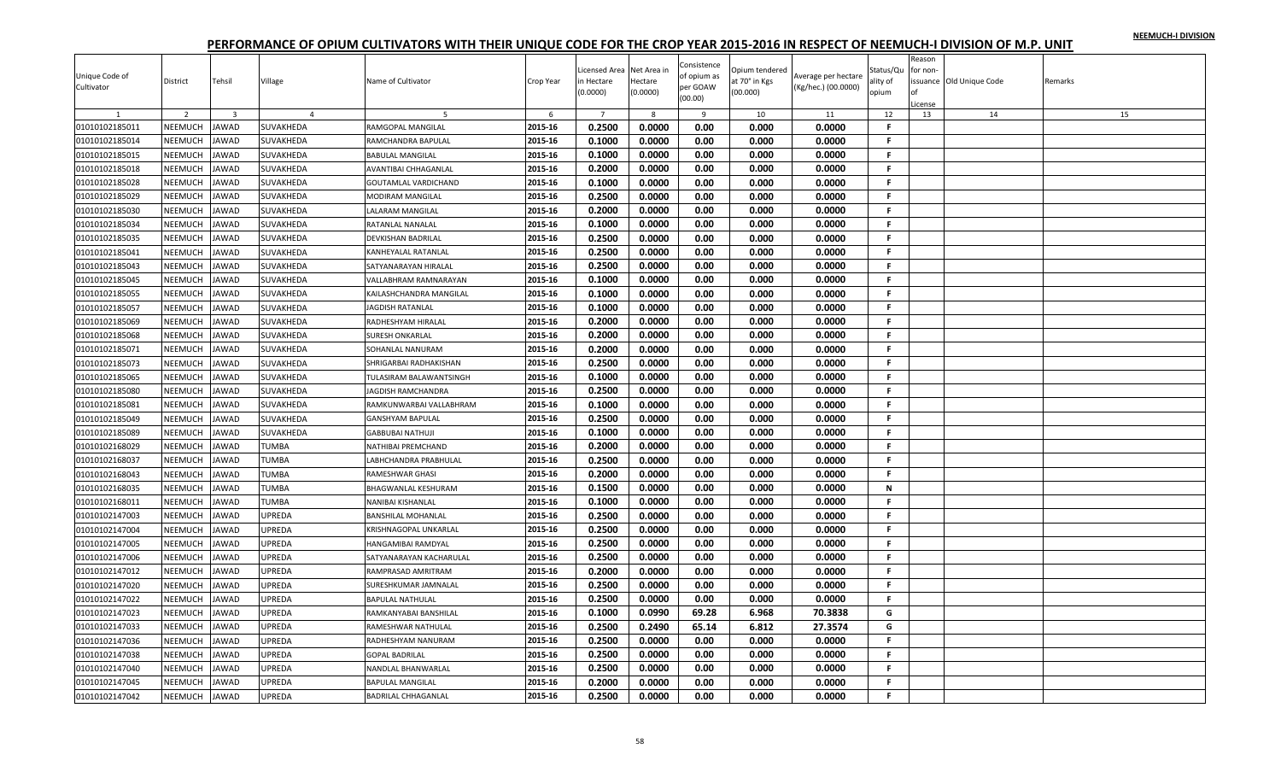| Unique Code of<br>Cultivator | District       | Tehsil                  | Village        | Name of Cultivator          | Crop Year | icensed Area<br>n Hectare | Net Area ir<br>Hectare | Consistence<br>of opium as<br>per GOAW | Opium tendered<br>at 70° in Kgs | Average per hectare<br>(Kg/hec.) (00.0000) | Status/Qu<br>ality of | Reason<br>or non-<br>оf | issuance Old Unique Code | Remarks |
|------------------------------|----------------|-------------------------|----------------|-----------------------------|-----------|---------------------------|------------------------|----------------------------------------|---------------------------------|--------------------------------------------|-----------------------|-------------------------|--------------------------|---------|
|                              |                |                         |                |                             |           | 0.0000                    | (0.0000)               | (00.00)                                | (00.000)                        |                                            | opium                 | License                 |                          |         |
|                              | 2              | $\overline{\mathbf{3}}$ | $\overline{4}$ |                             | 6         | $\overline{7}$            | 8                      | 9                                      | 10                              | 11                                         | 12                    | 13                      | 14                       | 15      |
| 01010102185011               | NEEMUCH        | JAWAD                   | SUVAKHEDA      | RAMGOPAL MANGILAL           | 2015-16   | 0.2500                    | 0.0000                 | 0.00                                   | 0.000                           | 0.0000                                     | -F                    |                         |                          |         |
| 01010102185014               | <b>NEEMUCH</b> | <b>JAWAD</b>            | SUVAKHEDA      | RAMCHANDRA BAPULAL          | 2015-16   | 0.1000                    | 0.0000                 | 0.00                                   | 0.000                           | 0.0000                                     | F.                    |                         |                          |         |
| 01010102185015               | NEEMUCH        | JAWAD                   | SUVAKHEDA      | <b>BABULAL MANGILAL</b>     | 2015-16   | 0.1000                    | 0.0000                 | 0.00                                   | 0.000                           | 0.0000                                     | F.                    |                         |                          |         |
| 01010102185018               | NEEMUCH        | <b>JAWAD</b>            | SUVAKHEDA      | <b>AVANTIBAI CHHAGANLAL</b> | 2015-16   | 0.2000                    | 0.0000                 | 0.00                                   | 0.000                           | 0.0000                                     | F.                    |                         |                          |         |
| 01010102185028               | NEEMUCH        | <b>JAWAD</b>            | SUVAKHEDA      | GOUTAMLAL VARDICHAND        | 2015-16   | 0.1000                    | 0.0000                 | 0.00                                   | 0.000                           | 0.0000                                     | F.                    |                         |                          |         |
| 01010102185029               | NEEMUCH        | <b>JAWAD</b>            | SUVAKHEDA      | MODIRAM MANGILAL            | 2015-16   | 0.2500                    | 0.0000                 | 0.00                                   | 0.000                           | 0.0000                                     | F.                    |                         |                          |         |
| 01010102185030               | NEEMUCH        | <b>JAWAD</b>            | SUVAKHEDA      | LALARAM MANGILAL            | 2015-16   | 0.2000                    | 0.0000                 | 0.00                                   | 0.000                           | 0.0000                                     | F.                    |                         |                          |         |
| 01010102185034               | <b>NEEMUCH</b> | <b>JAWAD</b>            | SUVAKHEDA      | RATANLAL NANALAL            | 2015-16   | 0.1000                    | 0.0000                 | 0.00                                   | 0.000                           | 0.0000                                     | F.                    |                         |                          |         |
| 01010102185035               | NEEMUCH        | <b>JAWAD</b>            | SUVAKHEDA      | DEVKISHAN BADRILAL          | 2015-16   | 0.2500                    | 0.0000                 | 0.00                                   | 0.000                           | 0.0000                                     | F.                    |                         |                          |         |
| 01010102185041               | NEEMUCH        | <b>JAWAD</b>            | SUVAKHEDA      | <b>KANHEYALAL RATANLAL</b>  | 2015-16   | 0.2500                    | 0.0000                 | 0.00                                   | 0.000                           | 0.0000                                     | .F                    |                         |                          |         |
| 01010102185043               | NEEMUCH        | <b>JAWAD</b>            | SUVAKHEDA      | SATYANARAYAN HIRALAL        | 2015-16   | 0.2500                    | 0.0000                 | 0.00                                   | 0.000                           | 0.0000                                     | F.                    |                         |                          |         |
| 01010102185045               | NEEMUCH        | <b>JAWAD</b>            | SUVAKHEDA      | VALLABHRAM RAMNARAYAN       | 2015-16   | 0.1000                    | 0.0000                 | 0.00                                   | 0.000                           | 0.0000                                     | F.                    |                         |                          |         |
| 01010102185055               | <b>NEEMUCH</b> | JAWAD                   | SUVAKHEDA      | KAILASHCHANDRA MANGILAL     | 2015-16   | 0.1000                    | 0.0000                 | 0.00                                   | 0.000                           | 0.0000                                     | F.                    |                         |                          |         |
| 01010102185057               | NEEMUCH        | <b>JAWAD</b>            | SUVAKHEDA      | <b>JAGDISH RATANLAL</b>     | 2015-16   | 0.1000                    | 0.0000                 | 0.00                                   | 0.000                           | 0.0000                                     | F.                    |                         |                          |         |
| 01010102185069               | NEEMUCH        | <b>JAWAD</b>            | SUVAKHEDA      | RADHESHYAM HIRALAL          | 2015-16   | 0.2000                    | 0.0000                 | 0.00                                   | 0.000                           | 0.0000                                     | F.                    |                         |                          |         |
| 01010102185068               | NEEMUCH        | <b>JAWAD</b>            | SUVAKHEDA      | <b>SURESH ONKARLAL</b>      | 2015-16   | 0.2000                    | 0.0000                 | 0.00                                   | 0.000                           | 0.0000                                     | F.                    |                         |                          |         |
| 01010102185071               | NEEMUCH        | <b>JAWAD</b>            | SUVAKHEDA      | SOHANLAL NANURAM            | 2015-16   | 0.2000                    | 0.0000                 | 0.00                                   | 0.000                           | 0.0000                                     | F.                    |                         |                          |         |
| 01010102185073               | <b>NEEMUCH</b> | JAWAD                   | SUVAKHEDA      | SHRIGARBAI RADHAKISHAN      | 2015-16   | 0.2500                    | 0.0000                 | 0.00                                   | 0.000                           | 0.0000                                     | F                     |                         |                          |         |
| 01010102185065               | NEEMUCH        | <b>JAWAD</b>            | SUVAKHEDA      | TULASIRAM BALAWANTSINGH     | 2015-16   | 0.1000                    | 0.0000                 | 0.00                                   | 0.000                           | 0.0000                                     | F.                    |                         |                          |         |
| 01010102185080               | NEEMUCH        | <b>JAWAD</b>            | SUVAKHEDA      | JAGDISH RAMCHANDRA          | 2015-16   | 0.2500                    | 0.0000                 | 0.00                                   | 0.000                           | 0.0000                                     | F.                    |                         |                          |         |
| 01010102185081               | NEEMUCH        | <b>JAWAD</b>            | SUVAKHEDA      | RAMKUNWARBAI VALLABHRAM     | 2015-16   | 0.1000                    | 0.0000                 | 0.00                                   | 0.000                           | 0.0000                                     | F.                    |                         |                          |         |
| 01010102185049               | NEEMUCH        | <b>JAWAD</b>            | SUVAKHEDA      | <b>GANSHYAM BAPULAL</b>     | 2015-16   | 0.2500                    | 0.0000                 | 0.00                                   | 0.000                           | 0.0000                                     | F.                    |                         |                          |         |
| 01010102185089               | NEEMUCH        | <b>JAWAD</b>            | SUVAKHEDA      | <b>GABBUBAI NATHUJI</b>     | 2015-16   | 0.1000                    | 0.0000                 | 0.00                                   | 0.000                           | 0.0000                                     | F.                    |                         |                          |         |
| 01010102168029               | <b>NEEMUCH</b> | <b>JAWAD</b>            | TUMBA          | NATHIBAI PREMCHAND          | 2015-16   | 0.2000                    | 0.0000                 | 0.00                                   | 0.000                           | 0.0000                                     | F.                    |                         |                          |         |
| 01010102168037               | NEEMUCH        | JAWAD                   | TUMBA          | LABHCHANDRA PRABHULAL       | 2015-16   | 0.2500                    | 0.0000                 | 0.00                                   | 0.000                           | 0.0000                                     | F.                    |                         |                          |         |
| 01010102168043               | NEEMUCH        | <b>JAWAD</b>            | TUMBA          | <b>RAMESHWAR GHASI</b>      | 2015-16   | 0.2000                    | 0.0000                 | 0.00                                   | 0.000                           | 0.0000                                     | $\mathbf{F}$          |                         |                          |         |
| 01010102168035               | NEEMUCH        | <b>JAWAD</b>            | <b>TUMBA</b>   | <b>BHAGWANLAL KESHURAM</b>  | 2015-16   | 0.1500                    | 0.0000                 | 0.00                                   | 0.000                           | 0.0000                                     | N                     |                         |                          |         |
| 01010102168011               | NEEMUCH        | <b>JAWAD</b>            | <b>TUMBA</b>   | <b>NANIBAI KISHANLAI</b>    | 2015-16   | 0.1000                    | 0.0000                 | 0.00                                   | 0.000                           | 0.0000                                     | F.                    |                         |                          |         |
| 01010102147003               | NEEMUCH        | <b>JAWAD</b>            | UPREDA         | <b>BANSHILAL MOHANLAL</b>   | 2015-16   | 0.2500                    | 0.0000                 | 0.00                                   | 0.000                           | 0.0000                                     | F.                    |                         |                          |         |
| 01010102147004               | NEEMUCH        | <b>JAWAD</b>            | <b>JPREDA</b>  | KRISHNAGOPAL UNKARLAL       | 2015-16   | 0.2500                    | 0.0000                 | 0.00                                   | 0.000                           | 0.0000                                     | F.                    |                         |                          |         |
| 01010102147005               | NEEMUCH        | <b>JAWAD</b>            | <b>UPREDA</b>  | HANGAMIBAI RAMDYAL          | 2015-16   | 0.2500                    | 0.0000                 | 0.00                                   | 0.000                           | 0.0000                                     | F.                    |                         |                          |         |
| 01010102147006               | NEEMUCH        | <b>JAWAD</b>            | JPREDA         | SATYANARAYAN KACHARULAL     | 2015-16   | 0.2500                    | 0.0000                 | 0.00                                   | 0.000                           | 0.0000                                     | F.                    |                         |                          |         |
| 01010102147012               | NEEMUCH        | <b>JAWAD</b>            | UPREDA         | RAMPRASAD AMRITRAM          | 2015-16   | 0.2000                    | 0.0000                 | 0.00                                   | 0.000                           | 0.0000                                     | F.                    |                         |                          |         |
| 01010102147020               | NEEMUCH        | <b>JAWAD</b>            | UPREDA         | SURESHKUMAR JAMNALAL        | 2015-16   | 0.2500                    | 0.0000                 | 0.00                                   | 0.000                           | 0.0000                                     | F.                    |                         |                          |         |
| 01010102147022               | <b>NEEMUCH</b> | JAWAD                   | JPREDA         | <b>BAPULAL NATHULAL</b>     | 2015-16   | 0.2500                    | 0.0000                 | 0.00                                   | 0.000                           | 0.0000                                     | F.                    |                         |                          |         |
| 01010102147023               | NEEMUCH        | <b>JAWAD</b>            | UPREDA         | RAMKANYABAI BANSHILAL       | 2015-16   | 0.1000                    | 0.0990                 | 69.28                                  | 6.968                           | 70.3838                                    | G                     |                         |                          |         |
| 01010102147033               | NEEMUCH        | <b>JAWAD</b>            | UPREDA         | RAMESHWAR NATHULAL          | 2015-16   | 0.2500                    | 0.2490                 | 65.14                                  | 6.812                           | 27.3574                                    | G                     |                         |                          |         |
| 01010102147036               | NEEMUCH        | <b>JAWAD</b>            | UPREDA         | RADHESHYAM NANURAM          | 2015-16   | 0.2500                    | 0.0000                 | 0.00                                   | 0.000                           | 0.0000                                     | F.                    |                         |                          |         |
| 01010102147038               | NEEMUCH        | <b>JAWAD</b>            | UPREDA         | <b>GOPAL BADRILAL</b>       | 2015-16   | 0.2500                    | 0.0000                 | 0.00                                   | 0.000                           | 0.0000                                     | F.                    |                         |                          |         |
| 01010102147040               | <b>NEEMUCH</b> | JAWAD                   | <b>JPREDA</b>  | NANDLAL BHANWARLAL          | 2015-16   | 0.2500                    | 0.0000                 | 0.00                                   | 0.000                           | 0.0000                                     | F                     |                         |                          |         |
| 01010102147045               | <b>NEEMUCH</b> | JAWAD                   | <b>JPREDA</b>  | <b>BAPULAL MANGILAL</b>     | 2015-16   | 0.2000                    | 0.0000                 | 0.00                                   | 0.000                           | 0.0000                                     | F.                    |                         |                          |         |
| 01010102147042               | NEEMUCH        | JAWAD                   | <b>JPREDA</b>  | <b>BADRILAL CHHAGANLAL</b>  | 2015-16   | 0.2500                    | 0.0000                 | 0.00                                   | 0.000                           | 0.0000                                     | F.                    |                         |                          |         |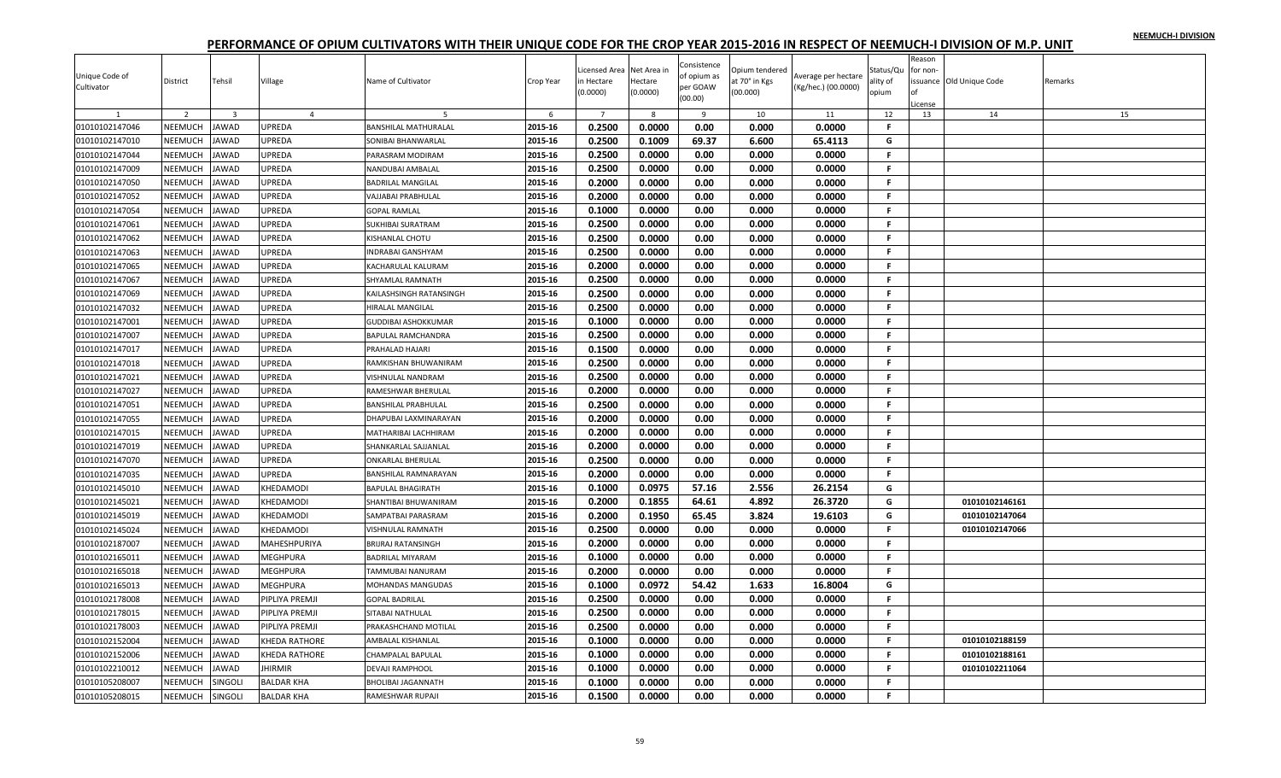| Unique Code of<br>Cultivator | District       | Tehsil                  | Village        | Name of Cultivator          | Crop Year | Licensed Area<br>n Hectare<br>(0.0000) | Net Area ir<br>Hectare<br>(0.0000) | Consistence<br>of opium as<br>per GOAW<br>(00.00) | Opium tendered<br>at 70° in Kgs<br>(00.000) | Average per hectare<br>(Kg/hec.) (00.0000) | Status/Qu<br>ality of<br>opium | Reason<br>for non- | ssuance Old Unique Code | Remarks |
|------------------------------|----------------|-------------------------|----------------|-----------------------------|-----------|----------------------------------------|------------------------------------|---------------------------------------------------|---------------------------------------------|--------------------------------------------|--------------------------------|--------------------|-------------------------|---------|
|                              |                |                         |                |                             |           |                                        |                                    |                                                   |                                             |                                            |                                | cense              |                         |         |
|                              | 2              | $\overline{\mathbf{3}}$ | $\overline{4}$ |                             | 6         | $\overline{7}$                         | 8                                  | 9                                                 | 10                                          | 11                                         | 12                             | 13                 | 14                      | 15      |
| 01010102147046               | <b>NEEMUCH</b> | <b>JAWAD</b>            | UPREDA         | BANSHILAL MATHURALAL        | 2015-16   | 0.2500                                 | 0.0000                             | 0.00                                              | 0.000                                       | 0.0000                                     | F                              |                    |                         |         |
| 01010102147010               | <b>NEEMUCH</b> | <b>JAWAD</b>            | UPREDA         | SONIBAI BHANWARLAL          | 2015-16   | 0.2500                                 | 0.1009                             | 69.37                                             | 6.600                                       | 65.4113                                    | G                              |                    |                         |         |
| 01010102147044               | NEEMUCH        | JAWAD                   | UPREDA         | PARASRAM MODIRAM            | 2015-16   | 0.2500                                 | 0.0000                             | 0.00                                              | 0.000                                       | 0.0000                                     | F.                             |                    |                         |         |
| 01010102147009               | NEEMUCH        | <b>JAWAD</b>            | UPREDA         | NANDUBAI AMBALAL            | 2015-16   | 0.2500                                 | 0.0000                             | 0.00                                              | 0.000                                       | 0.0000                                     | .F.                            |                    |                         |         |
| 01010102147050               | NEEMUCH        | JAWAD                   | UPREDA         | BADRILAL MANGILAL           | 2015-16   | 0.2000                                 | 0.0000                             | 0.00                                              | 0.000                                       | 0.0000                                     | F.                             |                    |                         |         |
| 01010102147052               | NEEMUCH        | <b>JAWAD</b>            | UPREDA         | VAJJABAI PRABHULAL          | 2015-16   | 0.2000                                 | 0.0000                             | 0.00                                              | 0.000                                       | 0.0000                                     | F.                             |                    |                         |         |
| 01010102147054               | <b>NEEMUCH</b> | <b>AWAD</b>             | JPREDA         | GOPAL RAMLAL                | 2015-16   | 0.1000                                 | 0.0000                             | 0.00                                              | 0.000                                       | 0.0000                                     | F.                             |                    |                         |         |
| 01010102147061               | NEEMUCH        | JAWAD                   | UPREDA         | SUKHIBAI SURATRAM           | 2015-16   | 0.2500                                 | 0.0000                             | 0.00                                              | 0.000                                       | 0.0000                                     | F.                             |                    |                         |         |
| 01010102147062               | NEEMUCH        | JAWAD                   | UPREDA         | KISHANLAL CHOTU             | 2015-16   | 0.2500                                 | 0.0000                             | 0.00                                              | 0.000                                       | 0.0000                                     | F.                             |                    |                         |         |
| 01010102147063               | NEEMUCH        | <b>JAWAD</b>            | UPREDA         | <b>INDRABAI GANSHYAM</b>    | 2015-16   | 0.2500                                 | 0.0000                             | 0.00                                              | 0.000                                       | 0.0000                                     | F.                             |                    |                         |         |
| 01010102147065               | NEEMUCH        | <b>JAWAD</b>            | UPREDA         | KACHARULAL KALURAM          | 2015-16   | 0.2000                                 | 0.0000                             | 0.00                                              | 0.000                                       | 0.0000                                     | F.                             |                    |                         |         |
| 01010102147067               | NEEMUCH        | <b>JAWAD</b>            | UPREDA         | SHYAMLAL RAMNATH            | 2015-16   | 0.2500                                 | 0.0000                             | 0.00                                              | 0.000                                       | 0.0000                                     | F.                             |                    |                         |         |
| 01010102147069               | NEEMUCH        | <b>JAWAD</b>            | UPREDA         | KAILASHSINGH RATANSINGH     | 2015-16   | 0.2500                                 | 0.0000                             | 0.00                                              | 0.000                                       | 0.0000                                     | F.                             |                    |                         |         |
| 01010102147032               | NEEMUCH        | <b>JAWAD</b>            | UPREDA         | HIRALAL MANGILAL            | 2015-16   | 0.2500                                 | 0.0000                             | 0.00                                              | 0.000                                       | 0.0000                                     | -F.                            |                    |                         |         |
| 01010102147001               | NEEMUCH        | JAWAD                   | UPREDA         | GUDDIBAI ASHOKKUMAR         | 2015-16   | 0.1000                                 | 0.0000                             | 0.00                                              | 0.000                                       | 0.0000                                     | -F.                            |                    |                         |         |
| 01010102147007               | NEEMUCH        | <b>JAWAD</b>            | UPREDA         | BAPULAL RAMCHANDRA          | 2015-16   | 0.2500                                 | 0.0000                             | 0.00                                              | 0.000                                       | 0.0000                                     | -F.                            |                    |                         |         |
| 01010102147017               | NEEMUCH        | <b>JAWAD</b>            | JPREDA         | PRAHALAD HAJARI             | 2015-16   | 0.1500                                 | 0.0000                             | 0.00                                              | 0.000                                       | 0.0000                                     | F.                             |                    |                         |         |
| 01010102147018               | NEEMUCH        | <b>AWAD</b>             | JPREDA         | RAMKISHAN BHUWANIRAM        | 2015-16   | 0.2500                                 | 0.0000                             | 0.00                                              | 0.000                                       | 0.0000                                     | F.                             |                    |                         |         |
| 01010102147021               | NEEMUCH        | <b>JAWAD</b>            | UPREDA         | VISHNULAL NANDRAM           | 2015-16   | 0.2500                                 | 0.0000                             | 0.00                                              | 0.000                                       | 0.0000                                     | -F.                            |                    |                         |         |
| 01010102147027               | NEEMUCH        | <b>JAWAD</b>            | UPREDA         | RAMESHWAR BHERULAL          | 2015-16   | 0.2000                                 | 0.0000                             | 0.00                                              | 0.000                                       | 0.0000                                     | F.                             |                    |                         |         |
| 01010102147051               | NEEMUCH        | JAWAD                   | UPREDA         | BANSHILAL PRABHULAL         | 2015-16   | 0.2500                                 | 0.0000                             | 0.00                                              | 0.000                                       | 0.0000                                     | .F.                            |                    |                         |         |
| 01010102147055               | NEEMUCH        | <b>JAWAD</b>            | <b>JPREDA</b>  | DHAPUBAI LAXMINARAYAN       | 2015-16   | 0.2000                                 | 0.0000                             | 0.00                                              | 0.000                                       | 0.0000                                     | -F.                            |                    |                         |         |
| 01010102147015               | NEEMUCH        | JAWAD                   | <b>JPREDA</b>  | <b>MATHARIBAI LACHHIRAM</b> | 2015-16   | 0.2000                                 | 0.0000                             | 0.00                                              | 0.000                                       | 0.0000                                     | F.                             |                    |                         |         |
| 01010102147019               | NEEMUCH        | JAWAD                   | UPREDA         | SHANKARLAL SAJJANLAL        | 2015-16   | 0.2000                                 | 0.0000                             | 0.00                                              | 0.000                                       | 0.0000                                     | F.                             |                    |                         |         |
| 01010102147070               | NEEMUCH        | <b>JAWAD</b>            | UPREDA         | ONKARLAL BHERULAL           | 2015-16   | 0.2500                                 | 0.0000                             | 0.00                                              | 0.000                                       | 0.0000                                     | F.                             |                    |                         |         |
| 01010102147035               | NEEMUCH        | JAWAD                   | UPREDA         | BANSHILAL RAMNARAYAN        | 2015-16   | 0.2000                                 | 0.0000                             | 0.00                                              | 0.000                                       | 0.0000                                     | F.                             |                    |                         |         |
| 01010102145010               | NEEMUCH        | JAWAD                   | KHEDAMODI      | <b>BAPULAL BHAGIRATH</b>    | 2015-16   | 0.1000                                 | 0.0975                             | 57.16                                             | 2.556                                       | 26.2154                                    | G                              |                    |                         |         |
| 01010102145021               | NEEMUCH        | <b>JAWAD</b>            | KHEDAMODI      | SHANTIBAI BHUWANIRAM        | 2015-16   | 0.2000                                 | 0.1855                             | 64.61                                             | 4.892                                       | 26.3720                                    | G                              |                    | 01010102146161          |         |
| 01010102145019               | NEEMUCH        | <b>AWAD</b>             | KHEDAMODI      | <b>SAMPATBAI PARASRAM</b>   | 2015-16   | 0.2000                                 | 0.1950                             | 65.45                                             | 3.824                                       | 19.6103                                    | G                              |                    | 01010102147064          |         |
| 01010102145024               | NEEMUCH        | JAWAD                   | KHEDAMODI      | VISHNULAL RAMNATH           | 2015-16   | 0.2500                                 | 0.0000                             | 0.00                                              | 0.000                                       | 0.0000                                     | F.                             |                    | 01010102147066          |         |
| 01010102187007               | NEEMUCH        | <b>JAWAD</b>            | MAHESHPURIYA   | BRIJRAJ RATANSINGH          | 2015-16   | 0.2000                                 | 0.0000                             | 0.00                                              | 0.000                                       | 0.0000                                     | -F.                            |                    |                         |         |
| 01010102165011               | NEEMUCH        | <b>JAWAD</b>            | MEGHPURA       | BADRILAL MIYARAM            | 2015-16   | 0.1000                                 | 0.0000                             | 0.00                                              | 0.000                                       | 0.0000                                     | F.                             |                    |                         |         |
| 01010102165018               | NEEMUCH        | JAWAD                   | MEGHPURA       | <b>TAMMUBAI NANURAM</b>     | 2015-16   | 0.2000                                 | 0.0000                             | 0.00                                              | 0.000                                       | 0.0000                                     | -F.                            |                    |                         |         |
| 01010102165013               | NEEMUCH        | <b>AWAD</b>             | MEGHPURA       | MOHANDAS MANGUDAS           | 2015-16   | 0.1000                                 | 0.0972                             | 54.42                                             | 1.633                                       | 16.8004                                    | G                              |                    |                         |         |
| 01010102178008               | NEEMUCH        | JAWAD                   | PIPLIYA PREMJI | <b>GOPAL BADRILAL</b>       | 2015-16   | 0.2500                                 | 0.0000                             | 0.00                                              | 0.000                                       | 0.0000                                     | F.                             |                    |                         |         |
| 01010102178015               | NEEMUCH        | <b>JAWAD</b>            | PIPLIYA PREMJI | SITABAI NATHULAL            | 2015-16   | 0.2500                                 | 0.0000                             | 0.00                                              | 0.000                                       | 0.0000                                     | $\mathsf F$                    |                    |                         |         |
| 01010102178003               | NEEMUCH        | <b>JAWAD</b>            | PIPLIYA PREMJI | PRAKASHCHAND MOTILAL        | 2015-16   | 0.2500                                 | 0.0000                             | 0.00                                              | 0.000                                       | 0.0000                                     | F.                             |                    |                         |         |
| 01010102152004               | NEEMUCH        | <b>JAWAD</b>            | KHEDA RATHORE  | AMBALAL KISHANLAL           | 2015-16   | 0.1000                                 | 0.0000                             | 0.00                                              | 0.000                                       | 0.0000                                     | F.                             |                    | 01010102188159          |         |
| 01010102152006               | NEEMUCH        | JAWAD                   | KHEDA RATHORE  | CHAMPALAL BAPULAL           | 2015-16   | 0.1000                                 | 0.0000                             | 0.00                                              | 0.000                                       | 0.0000                                     | F.                             |                    | 01010102188161          |         |
| 01010102210012               | <b>NEEMUCH</b> | <b>AWAD</b>             |                | DEVAJI RAMPHOOL             | 2015-16   | 0.1000                                 | 0.0000                             | 0.00                                              | 0.000                                       | 0.0000                                     | F                              |                    | 01010102211064          |         |
|                              |                |                         | <b>HIRMIR</b>  |                             |           | 0.1000                                 | 0.0000                             | 0.00                                              |                                             | 0.0000                                     | F.                             |                    |                         |         |
| 01010105208007               | NEEMUCH        | SINGOLI                 | BALDAR KHA     | BHOLIBAI JAGANNATH          | 2015-16   |                                        |                                    |                                                   | 0.000                                       |                                            | $\mathbf{F}$                   |                    |                         |         |
| 01010105208015               | NEEMUCH        | SINGOLI                 | BALDAR KHA     | RAMESHWAR RUPAJI            | 2015-16   | 0.1500                                 | 0.0000                             | 0.00                                              | 0.000                                       | 0.0000                                     |                                |                    |                         |         |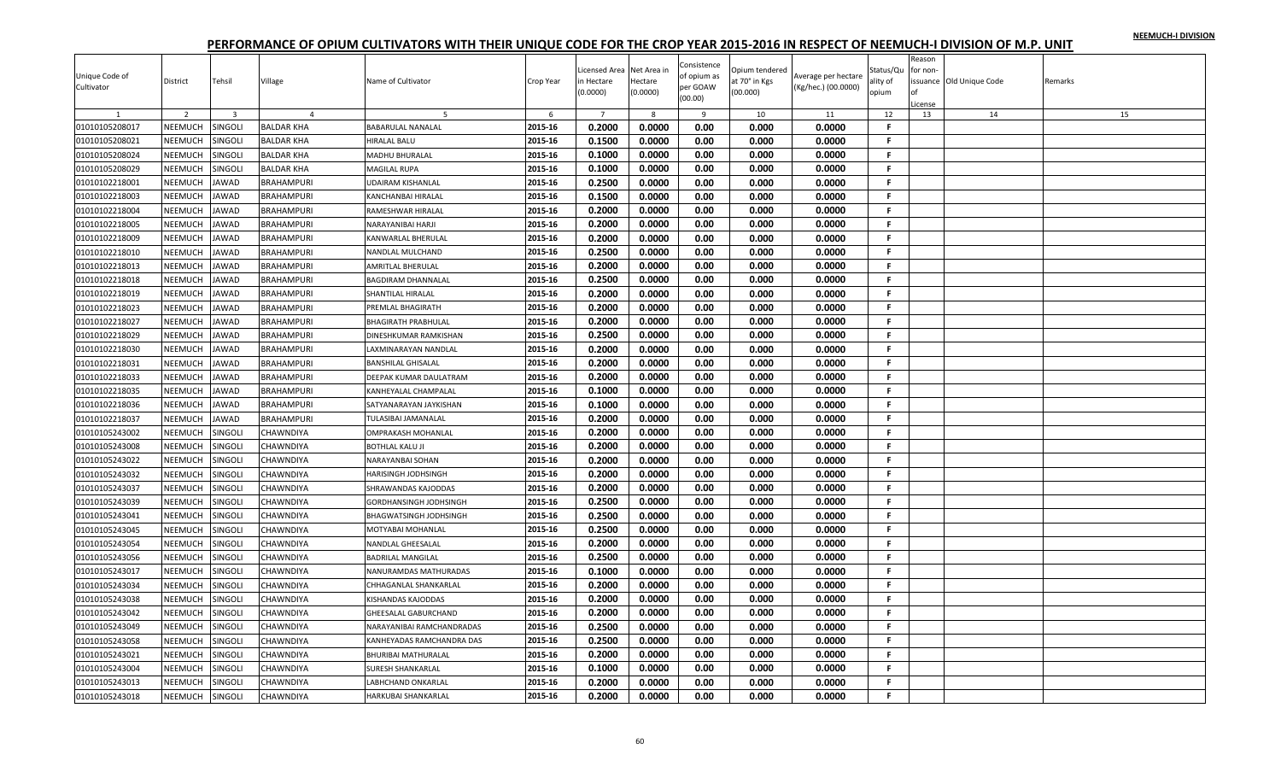| Unique Code of<br>Cultivator | District       | Tehsil         | Village           | Name of Cultivator        | Crop Year | Licensed Area<br>n Hectare<br>(0.0000) | Net Area in<br>Hectare<br>(0.0000) | Consistence<br>of opium as<br>per GOAW<br>(00.00) | Opium tendered<br>at 70° in Kgs<br>(00.000) | Average per hectare<br>(Kg/hec.) (00.0000) | Status/Qu<br>ality of<br>opium | Reason<br>for non-<br>Ωf<br>icense | ssuance Old Unique Code | Remarks |
|------------------------------|----------------|----------------|-------------------|---------------------------|-----------|----------------------------------------|------------------------------------|---------------------------------------------------|---------------------------------------------|--------------------------------------------|--------------------------------|------------------------------------|-------------------------|---------|
|                              | 2              | $\overline{3}$ | $\overline{4}$    | -5                        | 6         | $\overline{7}$                         | 8                                  | $\mathbf{q}$                                      | 10                                          | 11                                         | 12                             | 13                                 | 14                      | 15      |
| 01010105208017               | NEEMUCH        | SINGOLI        | <b>BALDAR KHA</b> | BABARULAL NANALAL         | 2015-16   | 0.2000                                 | 0.0000                             | 0.00                                              | 0.000                                       | 0.0000                                     | F.                             |                                    |                         |         |
| 01010105208021               | NEEMUCH        | <b>SINGOLI</b> | BALDAR KHA        | HIRALAL BALU              | 2015-16   | 0.1500                                 | 0.0000                             | 0.00                                              | 0.000                                       | 0.0000                                     | F.                             |                                    |                         |         |
| 01010105208024               | NEEMUCH        | SINGOLI        | BALDAR KHA        | <b>MADHU BHURALAL</b>     | 2015-16   | 0.1000                                 | 0.0000                             | 0.00                                              | 0.000                                       | 0.0000                                     | F.                             |                                    |                         |         |
| 01010105208029               | NEEMUCH        | <b>SINGOLI</b> | <b>BALDAR KHA</b> | MAGILAL RUPA              | 2015-16   | 0.1000                                 | 0.0000                             | 0.00                                              | 0.000                                       | 0.0000                                     | F.                             |                                    |                         |         |
| 01010102218001               | NEEMUCH        | <b>JAWAD</b>   | <b>BRAHAMPURI</b> | UDAIRAM KISHANLAL         | 2015-16   | 0.2500                                 | 0.0000                             | 0.00                                              | 0.000                                       | 0.0000                                     | F.                             |                                    |                         |         |
| 01010102218003               | NEEMUCH        | <b>JAWAD</b>   | BRAHAMPURI        | KANCHANBAI HIRALAL        | 2015-16   | 0.1500                                 | 0.0000                             | 0.00                                              | 0.000                                       | 0.0000                                     | F.                             |                                    |                         |         |
| 01010102218004               | NEEMUCH        | <b>JAWAD</b>   | BRAHAMPURI        | RAMESHWAR HIRALAL         | 2015-16   | 0.2000                                 | 0.0000                             | 0.00                                              | 0.000                                       | 0.0000                                     | F.                             |                                    |                         |         |
| 01010102218005               | NEEMUCH        | <b>JAWAD</b>   | <b>BRAHAMPURI</b> | NARAYANIBAI HARJI         | 2015-16   | 0.2000                                 | 0.0000                             | 0.00                                              | 0.000                                       | 0.0000                                     | F.                             |                                    |                         |         |
| 01010102218009               | NEEMUCH        | <b>JAWAD</b>   | BRAHAMPURI        | KANWARLAL BHERULAL        | 2015-16   | 0.2000                                 | 0.0000                             | 0.00                                              | 0.000                                       | 0.0000                                     | F.                             |                                    |                         |         |
| 01010102218010               | NEEMUCH        | <b>JAWAD</b>   | BRAHAMPURI        | NANDLAL MULCHAND          | 2015-16   | 0.2500                                 | 0.0000                             | 0.00                                              | 0.000                                       | 0.0000                                     | F.                             |                                    |                         |         |
| 01010102218013               | NEEMUCH        | <b>JAWAD</b>   | BRAHAMPURI        | AMRITLAL BHERULAL         | 2015-16   | 0.2000                                 | 0.0000                             | 0.00                                              | 0.000                                       | 0.0000                                     | -F.                            |                                    |                         |         |
| 01010102218018               | NEEMUCH        | <b>JAWAD</b>   | BRAHAMPURI        | BAGDIRAM DHANNALAL        | 2015-16   | 0.2500                                 | 0.0000                             | 0.00                                              | 0.000                                       | 0.0000                                     | -F.                            |                                    |                         |         |
| 01010102218019               | NEEMUCH        | JAWAD          | BRAHAMPURI        | SHANTILAL HIRALAL         | 2015-16   | 0.2000                                 | 0.0000                             | 0.00                                              | 0.000                                       | 0.0000                                     | F.                             |                                    |                         |         |
| 01010102218023               | NEEMUCH        | <b>AWAD</b>    | BRAHAMPURI        | PREMLAL BHAGIRATH         | 2015-16   | 0.2000                                 | 0.0000                             | 0.00                                              | 0.000                                       | 0.0000                                     | F.                             |                                    |                         |         |
| 01010102218027               | NEEMUCH        | JAWAD          | BRAHAMPURI        | BHAGIRATH PRABHULAL       | 2015-16   | 0.2000                                 | 0.0000                             | 0.00                                              | 0.000                                       | 0.0000                                     | -F                             |                                    |                         |         |
| 01010102218029               | NEEMUCH        | JAWAD          | BRAHAMPURI        | DINESHKUMAR RAMKISHAN     | 2015-16   | 0.2500                                 | 0.0000                             | 0.00                                              | 0.000                                       | 0.0000                                     | F.                             |                                    |                         |         |
| 01010102218030               | NEEMUCH        | <b>AWAD</b>    | BRAHAMPURI        | LAXMINARAYAN NANDLAL      | 2015-16   | 0.2000                                 | 0.0000                             | 0.00                                              | 0.000                                       | 0.0000                                     | -F.                            |                                    |                         |         |
| 01010102218031               | NEEMUCH        | <b>JAWAD</b>   | <b>BRAHAMPURI</b> | BANSHILAL GHISALAL        | 2015-16   | 0.2000                                 | 0.0000                             | 0.00                                              | 0.000                                       | 0.0000                                     | F.                             |                                    |                         |         |
| 01010102218033               | NEEMUCH        | <b>AWAD</b>    | BRAHAMPURI        | DEEPAK KUMAR DAULATRAM    | 2015-16   | 0.2000                                 | 0.0000                             | 0.00                                              | 0.000                                       | 0.0000                                     | F.                             |                                    |                         |         |
| 01010102218035               | NEEMUCH        | <b>JAWAD</b>   | <b>BRAHAMPURI</b> | KANHEYALAL CHAMPALAL      | 2015-16   | 0.1000                                 | 0.0000                             | 0.00                                              | 0.000                                       | 0.0000                                     | $\mathbf{F}$                   |                                    |                         |         |
| 01010102218036               | NEEMUCH        | JAWAD          | BRAHAMPURI        | SATYANARAYAN JAYKISHAN    | 2015-16   | 0.1000                                 | 0.0000                             | 0.00                                              | 0.000                                       | 0.0000                                     | -F.                            |                                    |                         |         |
| 01010102218037               | NEEMUCH        | JAWAD          | BRAHAMPURI        | TULASIBAI JAMANALAL       | 2015-16   | 0.2000                                 | 0.0000                             | 0.00                                              | 0.000                                       | 0.0000                                     | -F.                            |                                    |                         |         |
| 01010105243002               | NEEMUCH        | <b>SINGOLI</b> | CHAWNDIYA         | OMPRAKASH MOHANLAL        | 2015-16   | 0.2000                                 | 0.0000                             | 0.00                                              | 0.000                                       | 0.0000                                     | -F.                            |                                    |                         |         |
| 01010105243008               | NEEMUCH        | <b>SINGOLI</b> | CHAWNDIYA         | BOTHLAL KALU JI           | 2015-16   | 0.2000                                 | 0.0000                             | 0.00                                              | 0.000                                       | 0.0000                                     | F.                             |                                    |                         |         |
| 01010105243022               | NEEMUCH        | SINGOLI        | CHAWNDIYA         | NARAYANBAI SOHAN          | 2015-16   | 0.2000                                 | 0.0000                             | 0.00                                              | 0.000                                       | 0.0000                                     | -F.                            |                                    |                         |         |
| 01010105243032               | NEEMUCH        | <b>SINGOLI</b> | CHAWNDIYA         | HARISINGH JODHSINGH       | 2015-16   | 0.2000                                 | 0.0000                             | 0.00                                              | 0.000                                       | 0.0000                                     | F.                             |                                    |                         |         |
| 01010105243037               | NEEMUCH        | SINGOLI        | CHAWNDIYA         | SHRAWANDAS KAJODDAS       | 2015-16   | 0.2000                                 | 0.0000                             | 0.00                                              | 0.000                                       | 0.0000                                     | F.                             |                                    |                         |         |
| 01010105243039               | NEEMUCH        | <b>SINGOLI</b> | CHAWNDIYA         | GORDHANSINGH JODHSINGH    | 2015-16   | 0.2500                                 | 0.0000                             | 0.00                                              | 0.000                                       | 0.0000                                     | -F.                            |                                    |                         |         |
| 01010105243041               | NEEMUCH        | SINGOLI        | CHAWNDIYA         | BHAGWATSINGH JODHSINGH    | 2015-16   | 0.2500                                 | 0.0000                             | 0.00                                              | 0.000                                       | 0.0000                                     | F.                             |                                    |                         |         |
| 01010105243045               | NEEMUCH        | SINGOLI        | CHAWNDIYA         | <b>MOTYABAI MOHANLAL</b>  | 2015-16   | 0.2500                                 | 0.0000                             | 0.00                                              | 0.000                                       | 0.0000                                     | F.                             |                                    |                         |         |
| 01010105243054               | NEEMUCH        | <b>SINGOLI</b> | CHAWNDIYA         | NANDLAL GHEESALAL         | 2015-16   | 0.2000                                 | 0.0000                             | 0.00                                              | 0.000                                       | 0.0000                                     | -F.                            |                                    |                         |         |
| 01010105243056               | NEEMUCH        | <b>SINGOLI</b> | CHAWNDIYA         | <b>BADRILAL MANGILAL</b>  | 2015-16   | 0.2500                                 | 0.0000                             | 0.00                                              | 0.000                                       | 0.0000                                     | F.                             |                                    |                         |         |
| 01010105243017               | NEEMUCH        | SINGOLI        | CHAWNDIYA         | NANURAMDAS MATHURADAS     | 2015-16   | 0.1000                                 | 0.0000                             | 0.00                                              | 0.000                                       | 0.0000                                     | -F.                            |                                    |                         |         |
| 01010105243034               | NEEMUCH        | <b>SINGOLI</b> | CHAWNDIYA         | CHHAGANLAL SHANKARLAL     | 2015-16   | 0.2000                                 | 0.0000                             | 0.00                                              | 0.000                                       | 0.0000                                     | F.                             |                                    |                         |         |
| 01010105243038               | <b>NEEMUCH</b> | SINGOLI        | CHAWNDIYA         | <b>(ISHANDAS KAJODDAS</b> | 2015-16   | 0.2000                                 | 0.0000                             | 0.00                                              | 0.000                                       | 0.0000                                     | F.                             |                                    |                         |         |
| 01010105243042               | NEEMUCH        | <b>SINGOLI</b> | CHAWNDIYA         | GHEESALAL GABURCHAND      | 2015-16   | 0.2000                                 | 0.0000                             | 0.00                                              | 0.000                                       | 0.0000                                     | .F.                            |                                    |                         |         |
| 01010105243049               | NEEMUCH        | <b>SINGOLI</b> | CHAWNDIYA         | NARAYANIBAI RAMCHANDRADAS | 2015-16   | 0.2500                                 | 0.0000                             | 0.00                                              | 0.000                                       | 0.0000                                     | F.                             |                                    |                         |         |
| 01010105243058               | NEEMUCH        | SINGOLI        | CHAWNDIYA         | KANHEYADAS RAMCHANDRA DAS | 2015-16   | 0.2500                                 | 0.0000                             | 0.00                                              | 0.000                                       | 0.0000                                     | F.                             |                                    |                         |         |
| 01010105243021               | NEEMUCH        | <b>SINGOLI</b> | CHAWNDIYA         | BHURIBAI MATHURALAL       | 2015-16   | 0.2000                                 | 0.0000                             | 0.00                                              | 0.000                                       | 0.0000                                     | -F.                            |                                    |                         |         |
| 01010105243004               | <b>NEEMUCH</b> | SINGOLI        | CHAWNDIYA         | <b>SURESH SHANKARLAL</b>  | 2015-16   | 0.1000                                 | 0.0000                             | 0.00                                              | 0.000                                       | 0.0000                                     | F.                             |                                    |                         |         |
| 01010105243013               | <b>NEEMUCH</b> | SINGOLI        | CHAWNDIYA         | ABHCHAND ONKARLAL         | 2015-16   | 0.2000                                 | 0.0000                             | 0.00                                              | 0.000                                       | 0.0000                                     | F.                             |                                    |                         |         |
| 01010105243018               | NEEMUCH        | SINGOLI        | CHAWNDIYA         | HARKUBAI SHANKARLAL       | 2015-16   | 0.2000                                 | 0.0000                             | 0.00                                              | 0.000                                       | 0.0000                                     | F.                             |                                    |                         |         |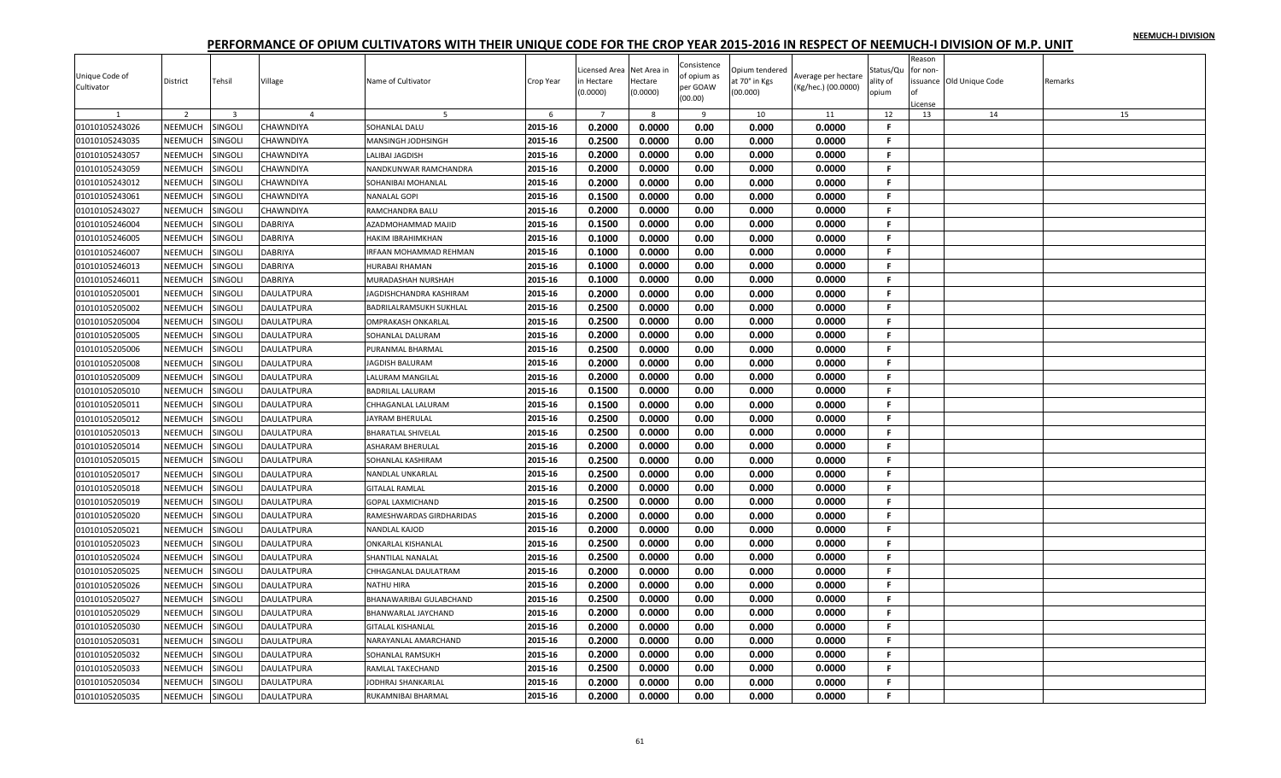| Unique Code of |                |                         |                   |                                |           | icensed Area   | Net Area in | Consistence<br>of opium as | Opium tendered | Average per hectare | Status/Qu | Reason<br>for non- |                         |         |
|----------------|----------------|-------------------------|-------------------|--------------------------------|-----------|----------------|-------------|----------------------------|----------------|---------------------|-----------|--------------------|-------------------------|---------|
| Cultivator     | District       | Tehsil                  | Village           | Name of Cultivator             | Crop Year | n Hectare      | Hectare     | per GOAW                   | at 70° in Kgs  | (Kg/hec.) (00.0000) | ality of  |                    | ssuance Old Unique Code | Remarks |
|                |                |                         |                   |                                |           | 0.0000         | (0.0000)    | (00.00)                    | (00.000)       |                     | opium     |                    |                         |         |
|                | $\overline{2}$ | $\overline{\mathbf{3}}$ | $\overline{a}$    | -5                             | 6         | $\overline{7}$ | 8           | 9                          | 10             | 11                  | 12        | License<br>13      | 14                      | 15      |
| 01010105243026 | NEEMUCH        | SINGOLI                 | CHAWNDIYA         | SOHANLAL DALU                  | 2015-16   | 0.2000         | 0.0000      | 0.00                       | 0.000          | 0.0000              | F.        |                    |                         |         |
| 01010105243035 | <b>NEEMUCH</b> | SINGOLI                 | CHAWNDIYA         | MANSINGH JODHSINGH             | 2015-16   | 0.2500         | 0.0000      | 0.00                       | 0.000          | 0.0000              | F.        |                    |                         |         |
| 01010105243057 | NEEMUCH        | <b>SINGOLI</b>          | CHAWNDIYA         | LALIBAI JAGDISH                | 2015-16   | 0.2000         | 0.0000      | 0.00                       | 0.000          | 0.0000              | F.        |                    |                         |         |
| 01010105243059 | NEEMUCH        | SINGOLI                 | CHAWNDIYA         | NANDKUNWAR RAMCHANDRA          | 2015-16   | 0.2000         | 0.0000      | 0.00                       | 0.000          | 0.0000              | F.        |                    |                         |         |
| 01010105243012 | NEEMUCH        | SINGOLI                 | CHAWNDIYA         | SOHANIBAI MOHANLAL             | 2015-16   | 0.2000         | 0.0000      | 0.00                       | 0.000          | 0.0000              | F.        |                    |                         |         |
| 01010105243061 | NEEMUCH        | <b>SINGOLI</b>          | CHAWNDIYA         | <b>NANALAL GOPI</b>            | 2015-16   | 0.1500         | 0.0000      | 0.00                       | 0.000          | 0.0000              | F.        |                    |                         |         |
| 01010105243027 | NEEMUCH        | SINGOLI                 | CHAWNDIYA         | RAMCHANDRA BALU                | 2015-16   | 0.2000         | 0.0000      | 0.00                       | 0.000          | 0.0000              | F         |                    |                         |         |
| 01010105246004 | NEEMUCH        | SINGOLI                 | DABRIYA           |                                | 2015-16   | 0.1500         | 0.0000      | 0.00                       |                | 0.0000              | F.        |                    |                         |         |
|                |                |                         |                   | AZADMOHAMMAD MAJID             | 2015-16   | 0.1000         | 0.0000      | 0.00                       | 0.000<br>0.000 | 0.0000              | F.        |                    |                         |         |
| 01010105246005 | NEEMUCH        | <b>SINGOLI</b>          | DABRIYA           | HAKIM IBRAHIMKHAN              |           |                |             |                            |                |                     |           |                    |                         |         |
| 01010105246007 | NEEMUCH        | SINGOLI                 | <b>DABRIYA</b>    | <b>IRFAAN MOHAMMAD REHMAN</b>  | 2015-16   | 0.1000         | 0.0000      | 0.00                       | 0.000          | 0.0000              | F.        |                    |                         |         |
| 01010105246013 | NEEMUCH        | <b>SINGOLI</b>          | DABRIYA           | HURABAI RHAMAN                 | 2015-16   | 0.1000         | 0.0000      | 0.00                       | 0.000          | 0.0000              | F.        |                    |                         |         |
| 01010105246011 | NEEMUCH        | <b>SINGOLI</b>          | DABRIYA           | MURADASHAH NURSHAH             | 2015-16   | 0.1000         | 0.0000      | 0.00                       | 0.000          | 0.0000              | F.        |                    |                         |         |
| 01010105205001 | NEEMUCH        | SINGOLI                 | DAULATPURA        | JAGDISHCHANDRA KASHIRAM        | 2015-16   | 0.2000         | 0.0000      | 0.00                       | 0.000          | 0.0000              | F.        |                    |                         |         |
| 01010105205002 | NEEMUCH        | SINGOLI                 | DAULATPURA        | <b>BADRILALRAMSUKH SUKHLAL</b> | 2015-16   | 0.2500         | 0.0000      | 0.00                       | 0.000          | 0.0000              | F.        |                    |                         |         |
| 01010105205004 | NEEMUCH        | <b>SINGOLI</b>          | <b>DAULATPURA</b> | <b>OMPRAKASH ONKARLAL</b>      | 2015-16   | 0.2500         | 0.0000      | 0.00                       | 0.000          | 0.0000              | F.        |                    |                         |         |
| 01010105205005 | NEEMUCH        | SINGOLI                 | DAULATPURA        | SOHANLAL DALURAM               | 2015-16   | 0.2000         | 0.0000      | 0.00                       | 0.000          | 0.0000              | F.        |                    |                         |         |
| 01010105205006 | NEEMUCH        | <b>SINGOLI</b>          | DAULATPURA        | PURANMAL BHARMAL               | 2015-16   | 0.2500         | 0.0000      | 0.00                       | 0.000          | 0.0000              | F.        |                    |                         |         |
| 01010105205008 | NEEMUCH        | <b>SINGOLI</b>          | DAULATPURA        | JAGDISH BALURAM                | 2015-16   | 0.2000         | 0.0000      | 0.00                       | 0.000          | 0.0000              | F.        |                    |                         |         |
| 01010105205009 | NEEMUCH        | SINGOLI                 | DAULATPURA        | LALURAM MANGILAL               | 2015-16   | 0.2000         | 0.0000      | 0.00                       | 0.000          | 0.0000              | F.        |                    |                         |         |
| 01010105205010 | NEEMUCH        | SINGOLI                 | DAULATPURA        | <b>BADRILAL LALURAM</b>        | 2015-16   | 0.1500         | 0.0000      | 0.00                       | 0.000          | 0.0000              | F.        |                    |                         |         |
| 01010105205011 | NEEMUCH        | SINGOLI                 | DAULATPURA        | CHHAGANLAL LALURAM             | 2015-16   | 0.1500         | 0.0000      | 0.00                       | 0.000          | 0.0000              | F.        |                    |                         |         |
| 01010105205012 | NEEMUCH        | SINGOLI                 | DAULATPURA        | JAYRAM BHERULAL                | 2015-16   | 0.2500         | 0.0000      | 0.00                       | 0.000          | 0.0000              | F.        |                    |                         |         |
| 01010105205013 | NEEMUCH        | SINGOLI                 | DAULATPURA        | <b>BHARATLAL SHIVELAL</b>      | 2015-16   | 0.2500         | 0.0000      | 0.00                       | 0.000          | 0.0000              | F.        |                    |                         |         |
| 01010105205014 | NEEMUCH        | SINGOLI                 | DAULATPURA        | ASHARAM BHERULAI               | 2015-16   | 0.2000         | 0.0000      | 0.00                       | 0.000          | 0.0000              | F.        |                    |                         |         |
| 01010105205015 | NEEMUCH        | SINGOLI                 | <b>DAULATPURA</b> | SOHANLAL KASHIRAM              | 2015-16   | 0.2500         | 0.0000      | 0.00                       | 0.000          | 0.0000              | F.        |                    |                         |         |
| 01010105205017 | NEEMUCH        | <b>SINGOLI</b>          | DAULATPURA        | <b>NANDLAL UNKARLAL</b>        | 2015-16   | 0.2500         | 0.0000      | 0.00                       | 0.000          | 0.0000              | F.        |                    |                         |         |
| 01010105205018 | NEEMUCH        | SINGOLI                 | DAULATPURA        | <b>GITALAL RAMLAL</b>          | 2015-16   | 0.2000         | 0.0000      | 0.00                       | 0.000          | 0.0000              | -F.       |                    |                         |         |
| 01010105205019 | NEEMUCH        | <b>SINGOLI</b>          | <b>DAULATPURA</b> | <b>GOPAL LAXMICHAND</b>        | 2015-16   | 0.2500         | 0.0000      | 0.00                       | 0.000          | 0.0000              | F.        |                    |                         |         |
| 01010105205020 | NEEMUCH        | SINGOLI                 | DAULATPURA        | RAMESHWARDAS GIRDHARIDAS       | 2015-16   | 0.2000         | 0.0000      | 0.00                       | 0.000          | 0.0000              | F.        |                    |                         |         |
| 01010105205021 | NEEMUCH        | SINGOLI                 | DAULATPURA        | NANDLAL KAJOD                  | 2015-16   | 0.2000         | 0.0000      | 0.00                       | 0.000          | 0.0000              | F.        |                    |                         |         |
| 01010105205023 | NEEMUCH        | <b>SINGOLI</b>          | <b>DAULATPURA</b> | <b>ONKARLAL KISHANLAL</b>      | 2015-16   | 0.2500         | 0.0000      | 0.00                       | 0.000          | 0.0000              | F.        |                    |                         |         |
| 01010105205024 | NEEMUCH        | SINGOLI                 | DAULATPURA        | <b>SHANTILAL NANALAL</b>       | 2015-16   | 0.2500         | 0.0000      | 0.00                       | 0.000          | 0.0000              | F.        |                    |                         |         |
|                | NEEMUCH        |                         |                   | CHHAGANLAL DAULATRAM           | 2015-16   | 0.2000         | 0.0000      | 0.00                       | 0.000          | 0.0000              | F.        |                    |                         |         |
| 01010105205025 |                | SINGOLI                 | DAULATPURA        |                                | 2015-16   | 0.2000         |             | 0.00                       |                | 0.0000              | F.        |                    |                         |         |
| 01010105205026 | NEEMUCH        | <b>SINGOLI</b>          | DAULATPURA        | <b>NATHU HIRA</b>              |           |                | 0.0000      |                            | 0.000          |                     |           |                    |                         |         |
| 01010105205027 | NEEMUCH        | SINGOLI                 | DAULATPURA        | BHANAWARIBAI GULABCHAND        | 2015-16   | 0.2500         | 0.0000      | 0.00                       | 0.000          | 0.0000              | F.        |                    |                         |         |
| 01010105205029 | NEEMUCH        | <b>SINGOLI</b>          | DAULATPURA        | BHANWARLAL JAYCHAND            | 2015-16   | 0.2000         | 0.0000      | 0.00                       | 0.000          | 0.0000              | F.        |                    |                         |         |
| 01010105205030 | NEEMUCH        | <b>SINGOLI</b>          | DAULATPURA        | <b>GITALAL KISHANLAL</b>       | 2015-16   | 0.2000         | 0.0000      | 0.00                       | 0.000          | 0.0000              | F.        |                    |                         |         |
| 01010105205031 | NEEMUCH        | SINGOLI                 | DAULATPURA        | NARAYANLAL AMARCHAND           | 2015-16   | 0.2000         | 0.0000      | 0.00                       | 0.000          | 0.0000              | F.        |                    |                         |         |
| 01010105205032 | NEEMUCH        | SINGOLI                 | DAULATPURA        | SOHANLAL RAMSUKH               | 2015-16   | 0.2000         | 0.0000      | 0.00                       | 0.000          | 0.0000              | F.        |                    |                         |         |
| 01010105205033 | <b>NEEMUCH</b> | SINGOLI                 | DAULATPURA        | RAMLAL TAKECHAND               | 2015-16   | 0.2500         | 0.0000      | 0.00                       | 0.000          | 0.0000              | F         |                    |                         |         |
| 01010105205034 | <b>NEEMUCH</b> | SINGOLI                 | DAULATPURA        | <b>JODHRAJ SHANKARLAL</b>      | 2015-16   | 0.2000         | 0.0000      | 0.00                       | 0.000          | 0.0000              | F.        |                    |                         |         |
| 01010105205035 | NEEMUCH        | <b>SINGOLI</b>          | DAULATPURA        | RUKAMNIBAI BHARMAL             | 2015-16   | 0.2000         | 0.0000      | 0.00                       | 0.000          | 0.0000              | F.        |                    |                         |         |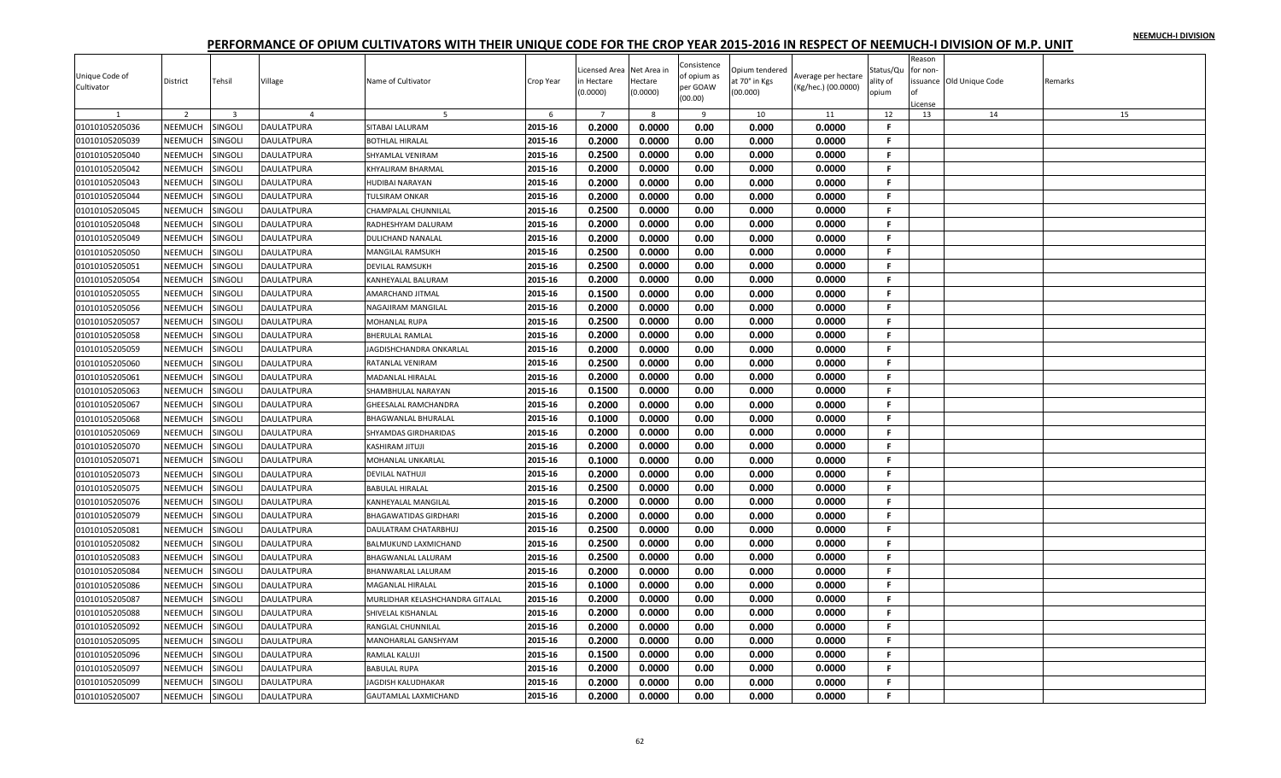|                |                |                         |                   |                                 |           | icensed Area   | Net Area in | Consistence | Opium tendered |                     | Status/Qu    | Reason<br>for non- |                         |         |
|----------------|----------------|-------------------------|-------------------|---------------------------------|-----------|----------------|-------------|-------------|----------------|---------------------|--------------|--------------------|-------------------------|---------|
| Unique Code of | District       | Tehsil                  | Village           | Name of Cultivator              | Crop Year | n Hectare      | Hectare     | of opium as | at 70° in Kgs  | Average per hectare | ality of     |                    | ssuance Old Unique Code | Remarks |
| Cultivator     |                |                         |                   |                                 |           | 0.0000         | (0.0000)    | per GOAW    | (00.000)       | (Kg/hec.) (00.0000) | opium        |                    |                         |         |
|                |                |                         |                   |                                 |           |                |             | (00.00)     |                |                     |              | License            |                         |         |
|                | $\overline{2}$ | $\overline{\mathbf{3}}$ | $\overline{a}$    | -5                              | 6         | $\overline{7}$ | 8           | 9           | 10             | 11                  | 12           | 13                 | 14                      | 15      |
| 01010105205036 | NEEMUCH        | SINGOLI                 | <b>DAULATPURA</b> | SITABAI LALURAM                 | 2015-16   | 0.2000         | 0.0000      | 0.00        | 0.000          | 0.0000              | F.           |                    |                         |         |
| 01010105205039 | <b>NEEMUCH</b> | SINGOLI                 | DAULATPURA        | <b>BOTHLAL HIRALAL</b>          | 2015-16   | 0.2000         | 0.0000      | 0.00        | 0.000          | 0.0000              | F.           |                    |                         |         |
| 01010105205040 | NEEMUCH        | <b>SINGOLI</b>          | <b>DAULATPURA</b> | SHYAMLAL VENIRAM                | 2015-16   | 0.2500         | 0.0000      | 0.00        | 0.000          | 0.0000              | F.           |                    |                         |         |
| 01010105205042 | NEEMUCH        | SINGOLI                 | DAULATPURA        | <b>KHYALIRAM BHARMAL</b>        | 2015-16   | 0.2000         | 0.0000      | 0.00        | 0.000          | 0.0000              | F.           |                    |                         |         |
| 01010105205043 | NEEMUCH        | SINGOLI                 | DAULATPURA        | HUDIBAI NARAYAN                 | 2015-16   | 0.2000         | 0.0000      | 0.00        | 0.000          | 0.0000              | F.           |                    |                         |         |
| 01010105205044 | NEEMUCH        | <b>SINGOLI</b>          | DAULATPURA        | <b>TULSIRAM ONKAR</b>           | 2015-16   | 0.2000         | 0.0000      | 0.00        | 0.000          | 0.0000              | F.           |                    |                         |         |
| 01010105205045 | NEEMUCH        | SINGOLI                 | DAULATPURA        | <b>CHAMPALAL CHUNNILAL</b>      | 2015-16   | 0.2500         | 0.0000      | 0.00        | 0.000          | 0.0000              | F            |                    |                         |         |
| 01010105205048 | NEEMUCH        | SINGOLI                 | DAULATPURA        | RADHESHYAM DALURAM              | 2015-16   | 0.2000         | 0.0000      | 0.00        | 0.000          | 0.0000              | F.           |                    |                         |         |
| 01010105205049 | NEEMUCH        | <b>SINGOLI</b>          | DAULATPURA        | <b>DULICHAND NANALAL</b>        | 2015-16   | 0.2000         | 0.0000      | 0.00        | 0.000          | 0.0000              | F.           |                    |                         |         |
| 01010105205050 | NEEMUCH        | <b>SINGOLI</b>          | DAULATPURA        | <b>MANGILAL RAMSUKH</b>         | 2015-16   | 0.2500         | 0.0000      | 0.00        | 0.000          | 0.0000              | F.           |                    |                         |         |
| 01010105205051 | NEEMUCH        | <b>SINGOLI</b>          | DAULATPURA        | <b>DEVILAL RAMSUKH</b>          | 2015-16   | 0.2500         | 0.0000      | 0.00        | 0.000          | 0.0000              | F.           |                    |                         |         |
| 01010105205054 | NEEMUCH        | <b>SINGOLI</b>          | DAULATPURA        | KANHEYALAL BALURAM              | 2015-16   | 0.2000         | 0.0000      | 0.00        | 0.000          | 0.0000              | F            |                    |                         |         |
| 01010105205055 | NEEMUCH        | SINGOLI                 | DAULATPURA        | AMARCHAND JITMAL                | 2015-16   | 0.1500         | 0.0000      | 0.00        | 0.000          | 0.0000              | F.           |                    |                         |         |
| 01010105205056 | NEEMUCH        | <b>SINGOLI</b>          | DAULATPURA        | NAGAJIRAM MANGILAL              | 2015-16   | 0.2000         | 0.0000      | 0.00        | 0.000          | 0.0000              | F.           |                    |                         |         |
| 01010105205057 | NEEMUCH        | <b>SINGOLI</b>          | <b>DAULATPURA</b> | <b>MOHANLAL RUPA</b>            | 2015-16   | 0.2500         | 0.0000      | 0.00        | 0.000          | 0.0000              | F.           |                    |                         |         |
| 01010105205058 | NEEMUCH        | SINGOLI                 | DAULATPURA        | <b>BHERULAL RAMLAL</b>          | 2015-16   | 0.2000         | 0.0000      | 0.00        | 0.000          | 0.0000              | F.           |                    |                         |         |
| 01010105205059 | NEEMUCH        | <b>SINGOLI</b>          | DAULATPURA        | JAGDISHCHANDRA ONKARLAL         | 2015-16   | 0.2000         | 0.0000      | 0.00        | 0.000          | 0.0000              | F.           |                    |                         |         |
| 01010105205060 | NEEMUCH        | <b>SINGOLI</b>          | DAULATPURA        | RATANLAL VENIRAM                | 2015-16   | 0.2500         | 0.0000      | 0.00        | 0.000          | 0.0000              | F.           |                    |                         |         |
| 01010105205061 | NEEMUCH        | SINGOLI                 | DAULATPURA        | <b>MADANLAL HIRALAL</b>         | 2015-16   | 0.2000         | 0.0000      | 0.00        | 0.000          | 0.0000              | F.           |                    |                         |         |
| 01010105205063 | NEEMUCH        | <b>SINGOLI</b>          | DAULATPURA        | SHAMBHULAL NARAYAN              | 2015-16   | 0.1500         | 0.0000      | 0.00        | 0.000          | 0.0000              | F.           |                    |                         |         |
| 01010105205067 | NEEMUCH        | <b>SINGOLI</b>          | DAULATPURA        | <b>GHEESALAL RAMCHANDRA</b>     | 2015-16   | 0.2000         | 0.0000      | 0.00        | 0.000          | 0.0000              | $\mathbf{F}$ |                    |                         |         |
| 01010105205068 | NEEMUCH        | SINGOLI                 | DAULATPURA        | <b>BHAGWANLAL BHURALAL</b>      | 2015-16   | 0.1000         | 0.0000      | 0.00        | 0.000          | 0.0000              | F.           |                    |                         |         |
| 01010105205069 | NEEMUCH        | <b>SINGOLI</b>          | DAULATPURA        | SHYAMDAS GIRDHARIDAS            | 2015-16   | 0.2000         | 0.0000      | 0.00        | 0.000          | 0.0000              | F.           |                    |                         |         |
| 01010105205070 | NEEMUCH        | SINGOLI                 | DAULATPURA        | <b>KASHIRAM JITUJI</b>          | 2015-16   | 0.2000         | 0.0000      | 0.00        | 0.000          | 0.0000              | F.           |                    |                         |         |
| 01010105205071 | NEEMUCH        | SINGOLI                 | <b>DAULATPURA</b> | MOHANLAL UNKARLAL               | 2015-16   | 0.1000         | 0.0000      | 0.00        | 0.000          | 0.0000              | F.           |                    |                         |         |
| 01010105205073 | NEEMUCH        | <b>SINGOLI</b>          | DAULATPURA        | <b>DEVILAL NATHUJI</b>          | 2015-16   | 0.2000         | 0.0000      | 0.00        | 0.000          | 0.0000              | F.           |                    |                         |         |
| 01010105205075 | NEEMUCH        | SINGOLI                 | DAULATPURA        | <b>BABULAL HIRALAL</b>          | 2015-16   | 0.2500         | 0.0000      | 0.00        | 0.000          | 0.0000              | -F.          |                    |                         |         |
| 01010105205076 | NEEMUCH        | <b>SINGOLI</b>          | <b>DAULATPURA</b> | KANHEYALAL MANGILAL             | 2015-16   | 0.2000         | 0.0000      | 0.00        | 0.000          | 0.0000              | F.           |                    |                         |         |
| 01010105205079 | NEEMUCH        | SINGOLI                 | DAULATPURA        | <b>BHAGAWATIDAS GIRDHARI</b>    | 2015-16   | 0.2000         | 0.0000      | 0.00        | 0.000          | 0.0000              | F.           |                    |                         |         |
| 01010105205081 | NEEMUCH        | SINGOLI                 | DAULATPURA        | DAULATRAM CHATARBHUJ            | 2015-16   | 0.2500         | 0.0000      | 0.00        | 0.000          | 0.0000              | F.           |                    |                         |         |
| 01010105205082 | NEEMUCH        | <b>SINGOLI</b>          | <b>DAULATPURA</b> | BALMUKUND LAXMICHAND            | 2015-16   | 0.2500         | 0.0000      | 0.00        | 0.000          | 0.0000              | F.           |                    |                         |         |
| 01010105205083 | NEEMUCH        | <b>SINGOLI</b>          | DAULATPURA        | <b>BHAGWANLAL LALURAM</b>       | 2015-16   | 0.2500         | 0.0000      | 0.00        | 0.000          | 0.0000              | F.           |                    |                         |         |
| 01010105205084 | NEEMUCH        | SINGOLI                 | DAULATPURA        | <b>BHANWARLAL LALURAM</b>       | 2015-16   | 0.2000         | 0.0000      | 0.00        | 0.000          | 0.0000              | F.           |                    |                         |         |
| 01010105205086 | NEEMUCH        | <b>SINGOLI</b>          | <b>DAULATPURA</b> | <b>MAGANLAL HIRALAL</b>         | 2015-16   | 0.1000         | 0.0000      | 0.00        | 0.000          | 0.0000              | F.           |                    |                         |         |
| 01010105205087 | NEEMUCH        | SINGOLI                 | DAULATPURA        | MURLIDHAR KELASHCHANDRA GITALAL | 2015-16   | 0.2000         | 0.0000      | 0.00        | 0.000          | 0.0000              | F.           |                    |                         |         |
| 01010105205088 | NEEMUCH        | <b>SINGOLI</b>          | DAULATPURA        | SHIVELAL KISHANLAL              | 2015-16   | 0.2000         | 0.0000      | 0.00        | 0.000          | 0.0000              | F.           |                    |                         |         |
| 01010105205092 | NEEMUCH        | <b>SINGOLI</b>          | DAULATPURA        | RANGLAL CHUNNILAL               | 2015-16   | 0.2000         | 0.0000      | 0.00        | 0.000          | 0.0000              | F.           |                    |                         |         |
| 01010105205095 | NEEMUCH        | SINGOLI                 | DAULATPURA        | MANOHARLAL GANSHYAM             | 2015-16   | 0.2000         | 0.0000      | 0.00        | 0.000          | 0.0000              | F.           |                    |                         |         |
| 01010105205096 | NEEMUCH        | SINGOLI                 | DAULATPURA        |                                 | 2015-16   | 0.1500         | 0.0000      | 0.00        | 0.000          | 0.0000              | F.           |                    |                         |         |
|                |                |                         |                   | RAMLAL KALUJI                   | 2015-16   | 0.2000         |             | 0.00        | 0.000          | 0.0000              | F            |                    |                         |         |
| 01010105205097 | NEEMUCH        | SINGOLI                 | DAULATPURA        | <b>BABULAL RUPA</b>             |           |                | 0.0000      |             |                |                     |              |                    |                         |         |
| 01010105205099 | <b>NEEMUCH</b> | SINGOLI                 | DAULATPURA        | <b>JAGDISH KALUDHAKAR</b>       | 2015-16   | 0.2000         | 0.0000      | 0.00        | 0.000          | 0.0000              | F.           |                    |                         |         |
| 01010105205007 | NEEMUCH        | <b>SINGOLI</b>          | DAULATPURA        | <b>GAUTAMLAL LAXMICHAND</b>     | 2015-16   | 0.2000         | 0.0000      | 0.00        | 0.000          | 0.0000              | F.           |                    |                         |         |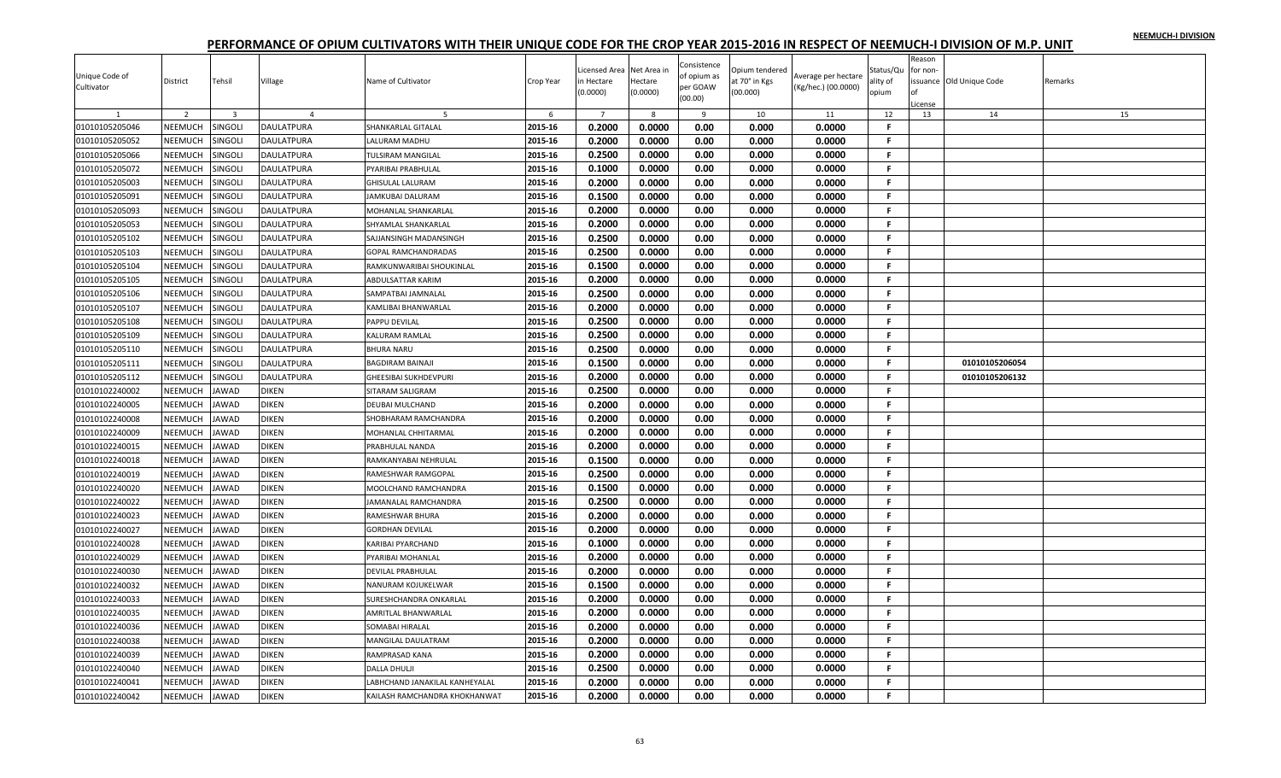|                |                |                         |                   |                                              |           | icensed Area   | Net Area in      | Consistence         | Opium tendered |                     | Status/Qu    | Reason<br>for non- |                         |         |
|----------------|----------------|-------------------------|-------------------|----------------------------------------------|-----------|----------------|------------------|---------------------|----------------|---------------------|--------------|--------------------|-------------------------|---------|
| Unique Code of | District       | Tehsil                  | Village           | Name of Cultivator                           | Crop Year | n Hectare      | Hectare          | of opium as         | at 70° in Kgs  | Average per hectare | ality of     |                    | ssuance Old Unique Code | Remarks |
| Cultivator     |                |                         |                   |                                              |           | 0.0000         | (0.0000)         | per GOAW<br>(00.00) | (00.000)       | (Kg/hec.) (00.0000) | opium        |                    |                         |         |
|                | $\overline{2}$ | $\overline{\mathbf{3}}$ | $\overline{a}$    |                                              | 6         | $\overline{7}$ | 8                | 9                   | 10             | 11                  | 12           | .icense<br>13      | 14                      | 15      |
| 01010105205046 | NEEMUCH        | <b>SINGOLI</b>          | <b>DAULATPURA</b> | SHANKARLAL GITALAL                           | 2015-16   | 0.2000         | 0.0000           | 0.00                | 0.000          | 0.0000              | F.           |                    |                         |         |
|                |                |                         |                   |                                              | 2015-16   | 0.2000         | 0.0000           | 0.00                | 0.000          | 0.0000              | F.           |                    |                         |         |
| 01010105205052 | <b>NEEMUCH</b> | SINGOLI                 | DAULATPURA        | LALURAM MADHU                                |           |                |                  |                     |                |                     |              |                    |                         |         |
| 01010105205066 | NEEMUCH        | <b>SINGOLI</b>          | <b>DAULATPURA</b> | <b>TULSIRAM MANGILAL</b>                     | 2015-16   | 0.2500         | 0.0000           | 0.00                | 0.000          | 0.0000              | F.           |                    |                         |         |
| 01010105205072 | NEEMUCH        | SINGOLI                 | DAULATPURA        | PYARIBAI PRABHULAL                           | 2015-16   | 0.1000         | 0.0000           | 0.00                | 0.000          | 0.0000              | F.           |                    |                         |         |
| 01010105205003 | NEEMUCH        | SINGOLI                 | DAULATPURA        | <b>GHISULAL LALURAM</b>                      | 2015-16   | 0.2000         | 0.0000           | 0.00                | 0.000          | 0.0000              | F.           |                    |                         |         |
| 01010105205091 | NEEMUCH        | <b>SINGOLI</b>          | DAULATPURA        | <b>JAMKUBAI DALURAM</b>                      | 2015-16   | 0.1500         | 0.0000           | 0.00                | 0.000          | 0.0000              | F.           |                    |                         |         |
| 01010105205093 | NEEMUCH        | SINGOLI                 | DAULATPURA        | MOHANLAL SHANKARLAL                          | 2015-16   | 0.2000         | 0.0000           | 0.00                | 0.000          | 0.0000              | F            |                    |                         |         |
| 01010105205053 | NEEMUCH        | SINGOLI                 | DAULATPURA        | SHYAMLAL SHANKARLAL                          | 2015-16   | 0.2000         | 0.0000           | 0.00                | 0.000          | 0.0000              | F.           |                    |                         |         |
| 01010105205102 | NEEMUCH        | <b>SINGOLI</b>          | DAULATPURA        | SAJJANSINGH MADANSINGH                       | 2015-16   | 0.2500         | 0.0000           | 0.00                | 0.000          | 0.0000              | F.           |                    |                         |         |
| 01010105205103 | NEEMUCH        | <b>SINGOLI</b>          | <b>DAULATPURA</b> | <b>GOPAL RAMCHANDRADAS</b>                   | 2015-16   | 0.2500         | 0.0000           | 0.00                | 0.000          | 0.0000              | F.           |                    |                         |         |
| 01010105205104 | NEEMUCH        | <b>SINGOLI</b>          | DAULATPURA        | RAMKUNWARIBAI SHOUKINLAL                     | 2015-16   | 0.1500         | 0.0000           | 0.00                | 0.000          | 0.0000              | F.           |                    |                         |         |
| 01010105205105 | NEEMUCH        | <b>SINGOLI</b>          | <b>DAULATPURA</b> | <b>ABDULSATTAR KARIM</b>                     | 2015-16   | 0.2000         | 0.0000           | 0.00                | 0.000          | 0.0000              | F.           |                    |                         |         |
| 01010105205106 | NEEMUCH        | SINGOLI                 | DAULATPURA        | SAMPATBAI JAMNALAL                           | 2015-16   | 0.2500         | 0.0000           | 0.00                | 0.000          | 0.0000              | F.           |                    |                         |         |
| 01010105205107 | NEEMUCH        | <b>SINGOLI</b>          | DAULATPURA        | KAMLIBAI BHANWARLAL                          | 2015-16   | 0.2000         | 0.0000           | 0.00                | 0.000          | 0.0000              | F.           |                    |                         |         |
| 01010105205108 | NEEMUCH        | <b>SINGOLI</b>          | <b>DAULATPURA</b> | PAPPU DEVILAL                                | 2015-16   | 0.2500         | 0.0000           | 0.00                | 0.000          | 0.0000              | F.           |                    |                         |         |
| 01010105205109 | NEEMUCH        | SINGOLI                 | DAULATPURA        | <b>KALURAM RAMLAL</b>                        | 2015-16   | 0.2500         | 0.0000           | 0.00                | 0.000          | 0.0000              | F.           |                    |                         |         |
| 01010105205110 | NEEMUCH        | <b>SINGOLI</b>          | DAULATPURA        | <b>BHURA NARU</b>                            | 2015-16   | 0.2500         | 0.0000           | 0.00                | 0.000          | 0.0000              | F.           |                    |                         |         |
| 01010105205111 | NEEMUCH        | SINGOLI                 | DAULATPURA        | <b>BAGDIRAM BAINAJI</b>                      | 2015-16   | 0.1500         | 0.0000           | 0.00                | 0.000          | 0.0000              | F.           |                    | 01010105206054          |         |
| 01010105205112 | NEEMUCH        | SINGOLI                 | <b>DAULATPURA</b> | <b>GHEESIBAI SUKHDEVPURI</b>                 | 2015-16   | 0.2000         | 0.0000           | 0.00                | 0.000          | 0.0000              | F.           |                    | 01010105206132          |         |
| 01010102240002 | NEEMUCH        | <b>JAWAD</b>            | <b>DIKEN</b>      | SITARAM SALIGRAM                             | 2015-16   | 0.2500         | 0.0000           | 0.00                | 0.000          | 0.0000              | F.           |                    |                         |         |
| 01010102240005 | NEEMUCH        | <b>JAWAD</b>            | <b>DIKEN</b>      | DEUBAI MULCHAND                              | 2015-16   | 0.2000         | 0.0000           | 0.00                | 0.000          | 0.0000              | $\mathbf{F}$ |                    |                         |         |
| 01010102240008 | NEEMUCH        | <b>JAWAD</b>            | <b>DIKEN</b>      | SHOBHARAM RAMCHANDRA                         | 2015-16   | 0.2000         | 0.0000           | 0.00                | 0.000          | 0.0000              | F.           |                    |                         |         |
| 01010102240009 | NEEMUCH        | <b>JAWAD</b>            | <b>DIKEN</b>      | MOHANLAL CHHITARMAL                          | 2015-16   | 0.2000         | 0.0000           | 0.00                | 0.000          | 0.0000              | F.           |                    |                         |         |
| 01010102240015 | <b>NEEMUCH</b> | JAWAD                   | DIKEN             | PRABHULAL NANDA                              | 2015-16   | 0.2000         | 0.0000           | 0.00                | 0.000          | 0.0000              | F.           |                    |                         |         |
| 01010102240018 | NEEMUCH        | <b>JAWAD</b>            | <b>DIKEN</b>      | RAMKANYABAI NEHRULAL                         | 2015-16   | 0.1500         | 0.0000           | 0.00                | 0.000          | 0.0000              | F.           |                    |                         |         |
| 01010102240019 | NEEMUCH        | <b>JAWAD</b>            | <b>DIKEN</b>      | RAMESHWAR RAMGOPAL                           | 2015-16   | 0.2500         | 0.0000           | 0.00                | 0.000          | 0.0000              | F.           |                    |                         |         |
| 01010102240020 | NEEMUCH        | <b>JAWAD</b>            | <b>DIKEN</b>      |                                              | 2015-16   | 0.1500         |                  | 0.00                | 0.000          | 0.0000              | -F.          |                    |                         |         |
| 01010102240022 | NEEMUCH        | <b>JAWAD</b>            | <b>DIKEN</b>      | MOOLCHAND RAMCHANDRA<br>JAMANALAL RAMCHANDRA | 2015-16   | 0.2500         | 0.0000<br>0.0000 | 0.00                | 0.000          | 0.0000              | F.           |                    |                         |         |
|                | NEEMUCH        |                         |                   |                                              |           |                |                  |                     |                |                     | F.           |                    |                         |         |
| 01010102240023 |                | <b>JAWAD</b>            | <b>DIKEN</b>      | RAMESHWAR BHURA                              | 2015-16   | 0.2000         | 0.0000           | 0.00                | 0.000          | 0.0000              | F.           |                    |                         |         |
| 01010102240027 | <b>NEEMUCH</b> | JAWAD                   | DIKEN             | <b>GORDHAN DEVILAL</b>                       | 2015-16   | 0.2000         | 0.0000           | 0.00                | 0.000          | 0.0000              |              |                    |                         |         |
| 01010102240028 | NEEMUCH        | <b>JAWAD</b>            | <b>DIKEN</b>      | <b>KARIBAI PYARCHAND</b>                     | 2015-16   | 0.1000         | 0.0000           | 0.00                | 0.000          | 0.0000              | F.           |                    |                         |         |
| 01010102240029 | NEEMUCH        | <b>JAWAD</b>            | <b>DIKEN</b>      | PYARIBAI MOHANLAL                            | 2015-16   | 0.2000         | 0.0000           | 0.00                | 0.000          | 0.0000              | F.           |                    |                         |         |
| 01010102240030 | NEEMUCH        | <b>JAWAD</b>            | DIKEN             | <b>DEVILAL PRABHULAL</b>                     | 2015-16   | 0.2000         | 0.0000           | 0.00                | 0.000          | 0.0000              | F.           |                    |                         |         |
| 01010102240032 | NEEMUCH        | <b>JAWAD</b>            | <b>DIKEN</b>      | NANURAM KOJUKELWAR                           | 2015-16   | 0.1500         | 0.0000           | 0.00                | 0.000          | 0.0000              | F.           |                    |                         |         |
| 01010102240033 | <b>NEEMUCH</b> | JAWAD                   | DIKEN             | SURESHCHANDRA ONKARLAL                       | 2015-16   | 0.2000         | 0.0000           | 0.00                | 0.000          | 0.0000              | F.           |                    |                         |         |
| 01010102240035 | NEEMUCH        | <b>JAWAD</b>            | <b>DIKEN</b>      | AMRITLAL BHANWARLAL                          | 2015-16   | 0.2000         | 0.0000           | 0.00                | 0.000          | 0.0000              | F.           |                    |                         |         |
| 01010102240036 | <b>NEEMUCH</b> | <b>JAWAD</b>            | <b>DIKEN</b>      | SOMABAI HIRALAL                              | 2015-16   | 0.2000         | 0.0000           | 0.00                | 0.000          | 0.0000              | F.           |                    |                         |         |
| 01010102240038 | NEEMUCH        | <b>JAWAD</b>            | DIKEN             | <b>MANGILAL DAULATRAM</b>                    | 2015-16   | 0.2000         | 0.0000           | 0.00                | 0.000          | 0.0000              | F.           |                    |                         |         |
| 01010102240039 | NEEMUCH        | <b>JAWAD</b>            | DIKEN             | RAMPRASAD KANA                               | 2015-16   | 0.2000         | 0.0000           | 0.00                | 0.000          | 0.0000              | F.           |                    |                         |         |
| 01010102240040 | <b>NEEMUCH</b> | JAWAD                   | <b>DIKEN</b>      | <b>DALLA DHULJI</b>                          | 2015-16   | 0.2500         | 0.0000           | 0.00                | 0.000          | 0.0000              | F            |                    |                         |         |
| 01010102240041 | <b>NEEMUCH</b> | JAWAD                   | <b>DIKEN</b>      | LABHCHAND JANAKILAL KANHEYALAL               | 2015-16   | 0.2000         | 0.0000           | 0.00                | 0.000          | 0.0000              | F.           |                    |                         |         |
| 01010102240042 | NEEMUCH        | <b>JAWAD</b>            | <b>DIKEN</b>      | KAILASH RAMCHANDRA KHOKHANWAT                | 2015-16   | 0.2000         | 0.0000           | 0.00                | 0.000          | 0.0000              | F.           |                    |                         |         |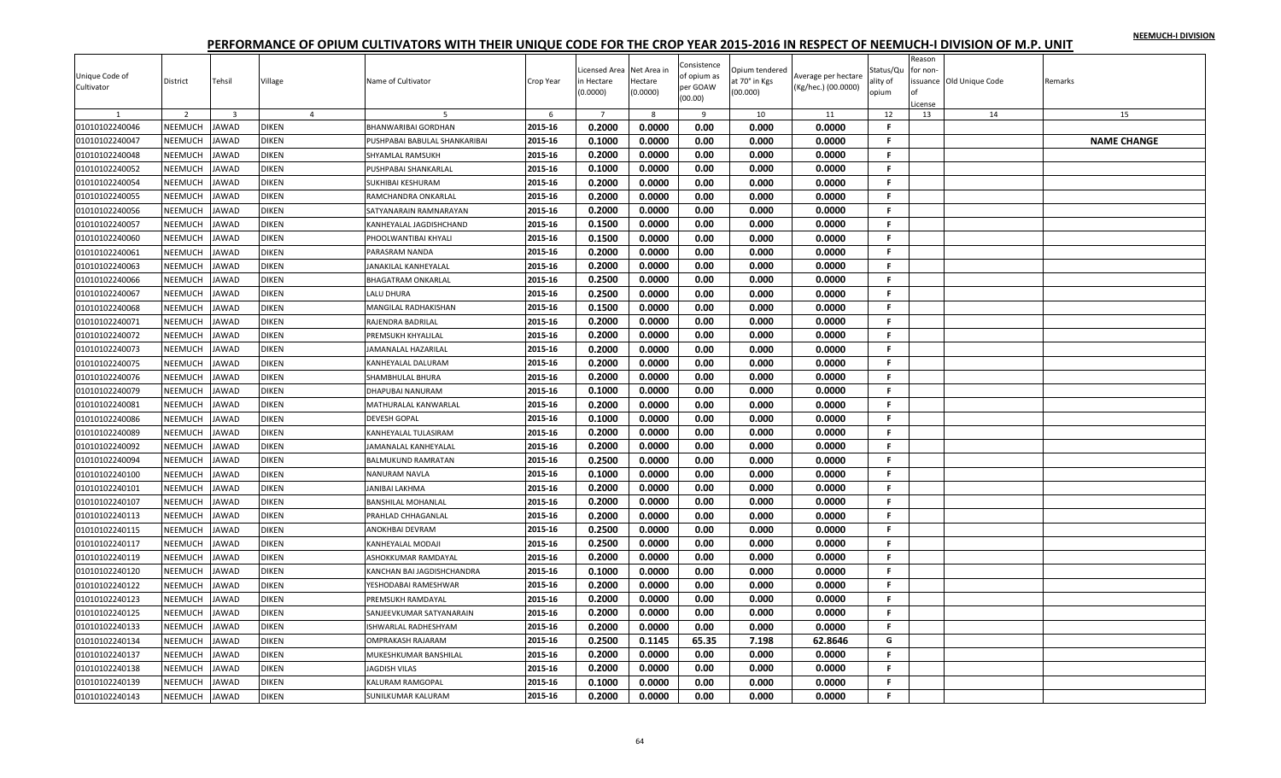|                |                |                         |                |                               |           |                          |              |             |                |                     |           | Reason   |                          |                    |
|----------------|----------------|-------------------------|----------------|-------------------------------|-----------|--------------------------|--------------|-------------|----------------|---------------------|-----------|----------|--------------------------|--------------------|
|                |                |                         |                |                               |           | icensed Area Net Area in |              | Consistence | Opium tendered |                     | Status/Qu | for non- |                          |                    |
| Unique Code of | District       | Tehsil                  | Village        | Name of Cultivator            | Crop Year | n Hectare                | Hectare      | of opium as | at 70° in Kgs  | Average per hectare | ılity of  |          | issuance Old Unique Code | Remarks            |
| Cultivator     |                |                         |                |                               |           | 0.0000                   | (0.0000)     | per GOAW    | (00.000)       | (Kg/hec.) (00.0000) | opium     |          |                          |                    |
|                |                |                         |                |                               |           |                          |              | (00.00)     |                |                     |           | icense   |                          |                    |
|                | $\overline{2}$ | $\overline{\mathbf{3}}$ | $\overline{a}$ | 5                             | 6         | $\overline{7}$           | $\mathbf{R}$ | 9           | 10             | 11                  | 12        | 13       | 14                       | 15                 |
| 01010102240046 | NEEMUCH        | <b>JAWAD</b>            | <b>DIKEN</b>   | BHANWARIBAI GORDHAN           | 2015-16   | 0.2000                   | 0.0000       | 0.00        | 0.000          | 0.0000              | F.        |          |                          |                    |
| 01010102240047 | NEEMUCH        | <b>JAWAD</b>            | <b>DIKEN</b>   | PUSHPABAI BABULAL SHANKARIBAI | 2015-16   | 0.1000                   | 0.0000       | 0.00        | 0.000          | 0.0000              | F.        |          |                          | <b>NAME CHANGE</b> |
| 01010102240048 | NEEMUCH        | <b>JAWAD</b>            | <b>DIKEN</b>   | SHYAMLAL RAMSUKH              | 2015-16   | 0.2000                   | 0.0000       | 0.00        | 0.000          | 0.0000              | F.        |          |                          |                    |
| 01010102240052 | <b>NEEMUCH</b> | <b>JAWAD</b>            | <b>DIKEN</b>   | PUSHPABAI SHANKARLAL          | 2015-16   | 0.1000                   | 0.0000       | 0.00        | 0.000          | 0.0000              | F.        |          |                          |                    |
| 01010102240054 | NEEMUCH        | <b>JAWAD</b>            | <b>DIKEN</b>   | SUKHIBAI KESHURAM             | 2015-16   | 0.2000                   | 0.0000       | 0.00        | 0.000          | 0.0000              | F.        |          |                          |                    |
| 01010102240055 | NEEMUCH        | <b>JAWAD</b>            | <b>DIKEN</b>   | RAMCHANDRA ONKARLAL           | 2015-16   | 0.2000                   | 0.0000       | 0.00        | 0.000          | 0.0000              | F.        |          |                          |                    |
| 01010102240056 | NEEMUCH        | <b>JAWAD</b>            | <b>DIKEN</b>   | SATYANARAIN RAMNARAYAN        | 2015-16   | 0.2000                   | 0.0000       | 0.00        | 0.000          | 0.0000              | F.        |          |                          |                    |
| 01010102240057 | NEEMUCH        | <b>JAWAD</b>            | <b>DIKEN</b>   | KANHEYALAL JAGDISHCHAND       | 2015-16   | 0.1500                   | 0.0000       | 0.00        | 0.000          | 0.0000              | F.        |          |                          |                    |
| 01010102240060 | NEEMUCH        | JAWAD                   | <b>DIKEN</b>   | PHOOLWANTIBAI KHYALI          | 2015-16   | 0.1500                   | 0.0000       | 0.00        | 0.000          | 0.0000              | F.        |          |                          |                    |
| 01010102240061 | NEEMUCH        | <b>JAWAD</b>            | <b>DIKEN</b>   | PARASRAM NANDA                | 2015-16   | 0.2000                   | 0.0000       | 0.00        | 0.000          | 0.0000              | F.        |          |                          |                    |
| 01010102240063 | NEEMUCH        | <b>JAWAD</b>            | <b>DIKEN</b>   | JANAKILAL KANHEYALAL          | 2015-16   | 0.2000                   | 0.0000       | 0.00        | 0.000          | 0.0000              | F.        |          |                          |                    |
| 01010102240066 | NEEMUCH        | <b>JAWAD</b>            | <b>DIKEN</b>   | <b>BHAGATRAM ONKARLAI</b>     | 2015-16   | 0.2500                   | 0.0000       | 0.00        | 0.000          | 0.0000              | F.        |          |                          |                    |
| 01010102240067 | NEEMUCH        | <b>JAWAD</b>            | <b>DIKEN</b>   | LALU DHURA                    | 2015-16   | 0.2500                   | 0.0000       | 0.00        | 0.000          | 0.0000              | F.        |          |                          |                    |
| 01010102240068 | <b>NEEMUCH</b> | <b>JAWAD</b>            | <b>DIKEN</b>   | MANGILAL RADHAKISHAN          | 2015-16   | 0.1500                   | 0.0000       | 0.00        | 0.000          | 0.0000              | F.        |          |                          |                    |
| 01010102240071 | <b>NEEMUCH</b> | <b>JAWAD</b>            | <b>DIKEN</b>   | RAJENDRA BADRILAL             | 2015-16   | 0.2000                   | 0.0000       | 0.00        | 0.000          | 0.0000              | F.        |          |                          |                    |
| 01010102240072 | NEEMUCH        | <b>JAWAD</b>            | <b>DIKEN</b>   | PREMSUKH KHYALILAL            | 2015-16   | 0.2000                   | 0.0000       | 0.00        | 0.000          | 0.0000              | F.        |          |                          |                    |
| 01010102240073 | NEEMUCH        | <b>JAWAD</b>            | <b>DIKEN</b>   | JAMANALAL HAZARILAL           | 2015-16   | 0.2000                   | 0.0000       | 0.00        | 0.000          | 0.0000              | F.        |          |                          |                    |
| 01010102240075 | <b>NEEMUCH</b> | <b>JAWAD</b>            | <b>DIKEN</b>   | KANHEYALAL DALURAM            | 2015-16   | 0.2000                   | 0.0000       | 0.00        | 0.000          | 0.0000              | F.        |          |                          |                    |
| 01010102240076 | NEEMUCH        | <b>JAWAD</b>            | <b>DIKEN</b>   | SHAMBHULAL BHURA              | 2015-16   | 0.2000                   | 0.0000       | 0.00        | 0.000          | 0.0000              | F.        |          |                          |                    |
| 01010102240079 | NEEMUCH        | <b>JAWAD</b>            | <b>DIKEN</b>   | DHAPUBAI NANURAM              | 2015-16   | 0.1000                   | 0.0000       | 0.00        | 0.000          | 0.0000              | F.        |          |                          |                    |
| 01010102240081 | <b>NEEMUCH</b> | <b>JAWAD</b>            | <b>DIKEN</b>   | MATHURALAL KANWARLAL          | 2015-16   | 0.2000                   | 0.0000       | 0.00        | 0.000          | 0.0000              | F.        |          |                          |                    |
| 01010102240086 | NEEMUCH        | <b>JAWAD</b>            | <b>DIKEN</b>   | <b>DEVESH GOPAL</b>           | 2015-16   | 0.1000                   | 0.0000       | 0.00        | 0.000          | 0.0000              | F.        |          |                          |                    |
| 01010102240089 | NEEMUCH        | <b>JAWAD</b>            | <b>DIKEN</b>   | KANHEYALAL TULASIRAM          | 2015-16   | 0.2000                   | 0.0000       | 0.00        | 0.000          | 0.0000              | F.        |          |                          |                    |
| 01010102240092 | NEEMUCH        | <b>JAWAD</b>            | <b>DIKEN</b>   | JAMANALAL KANHEYALAL          | 2015-16   | 0.2000                   | 0.0000       | 0.00        | 0.000          | 0.0000              | F.        |          |                          |                    |
| 01010102240094 | NEEMUCH        | <b>JAWAD</b>            | <b>DIKEN</b>   | BALMUKUND RAMRATAN            | 2015-16   | 0.2500                   | 0.0000       | 0.00        | 0.000          | 0.0000              | F.        |          |                          |                    |
| 01010102240100 | NEEMUCH        | <b>JAWAD</b>            | <b>DIKEN</b>   | NANURAM NAVLA                 | 2015-16   | 0.1000                   | 0.0000       | 0.00        | 0.000          | 0.0000              | F.        |          |                          |                    |
| 01010102240101 | <b>NEEMUCH</b> | <b>JAWAD</b>            | <b>DIKEN</b>   | JANIBAI LAKHMA                | 2015-16   | 0.2000                   | 0.0000       | 0.00        | 0.000          | 0.0000              | F.        |          |                          |                    |
| 01010102240107 | NEEMUCH        | <b>JAWAD</b>            | <b>DIKEN</b>   | <b>BANSHILAL MOHANLAL</b>     | 2015-16   | 0.2000                   | 0.0000       | 0.00        | 0.000          | 0.0000              | F.        |          |                          |                    |
| 01010102240113 | NEEMUCH        | <b>JAWAD</b>            | <b>DIKEN</b>   | PRAHLAD CHHAGANLAL            | 2015-16   | 0.2000                   | 0.0000       | 0.00        | 0.000          | 0.0000              | F.        |          |                          |                    |
| 01010102240115 | NEEMUCH        | JAWAD                   | <b>DIKEN</b>   | ANOKHBAI DEVRAM               | 2015-16   | 0.2500                   | 0.0000       | 0.00        | 0.000          | 0.0000              | F.        |          |                          |                    |
| 01010102240117 | NEEMUCH        | <b>JAWAD</b>            | <b>DIKEN</b>   | KANHEYALAL MODAJI             | 2015-16   | 0.2500                   | 0.0000       | 0.00        | 0.000          | 0.0000              | F.        |          |                          |                    |
| 01010102240119 | NEEMUCH        | <b>JAWAD</b>            | <b>DIKEN</b>   | ASHOKKUMAR RAMDAYAL           | 2015-16   | 0.2000                   | 0.0000       | 0.00        | 0.000          | 0.0000              | F.        |          |                          |                    |
| 01010102240120 | NEEMUCH        | JAWAD                   | <b>DIKEN</b>   | KANCHAN BAI JAGDISHCHANDRA    | 2015-16   | 0.1000                   | 0.0000       | 0.00        | 0.000          | 0.0000              | F.        |          |                          |                    |
| 01010102240122 | NEEMUCH        | <b>JAWAD</b>            | <b>DIKEN</b>   | YESHODABAI RAMESHWAR          | 2015-16   | 0.2000                   | 0.0000       | 0.00        | 0.000          | 0.0000              | F.        |          |                          |                    |
| 01010102240123 | NEEMUCH        | <b>JAWAD</b>            | <b>DIKEN</b>   | PREMSUKH RAMDAYAL             | 2015-16   | 0.2000                   | 0.0000       | 0.00        | 0.000          | 0.0000              | F.        |          |                          |                    |
| 01010102240125 | <b>NEEMUCH</b> | <b>JAWAD</b>            | <b>DIKEN</b>   | SANJEEVKUMAR SATYANARAIN      | 2015-16   | 0.2000                   | 0.0000       | 0.00        | 0.000          | 0.0000              | F.        |          |                          |                    |
| 01010102240133 | NEEMUCH        | <b>JAWAD</b>            | <b>DIKEN</b>   | ISHWARLAL RADHESHYAM          | 2015-16   | 0.2000                   | 0.0000       | 0.00        | 0.000          | 0.0000              | F.        |          |                          |                    |
| 01010102240134 | NEEMUCH        | <b>JAWAD</b>            | <b>DIKEN</b>   | OMPRAKASH RAJARAM             | 2015-16   | 0.2500                   | 0.1145       | 65.35       | 7.198          | 62.8646             | G         |          |                          |                    |
| 01010102240137 | NEEMUCH        | JAWAD                   | <b>DIKEN</b>   | MUKESHKUMAR BANSHILAL         | 2015-16   | 0.2000                   | 0.0000       | 0.00        | 0.000          | 0.0000              | F.        |          |                          |                    |
| 01010102240138 | NEEMUCH        | <b>JAWAD</b>            | <b>DIKEN</b>   | JAGDISH VILAS                 | 2015-16   | 0.2000                   | 0.0000       | 0.00        | 0.000          | 0.0000              | F.        |          |                          |                    |
|                |                |                         |                |                               |           |                          |              |             |                |                     | F.        |          |                          |                    |
| 01010102240139 | NEEMUCH        | <b>JAWAD</b>            | <b>DIKEN</b>   | KALURAM RAMGOPAL              | 2015-16   | 0.1000                   | 0.0000       | 0.00        | 0.000          | 0.0000              |           |          |                          |                    |
| 01010102240143 | <b>NEEMUCH</b> | <b>JAWAD</b>            | <b>DIKEN</b>   | <b>SUNILKUMAR KALURAM</b>     | 2015-16   | 0.2000                   | 0.0000       | 0.00        | 0.000          | 0.0000              | F.        |          |                          |                    |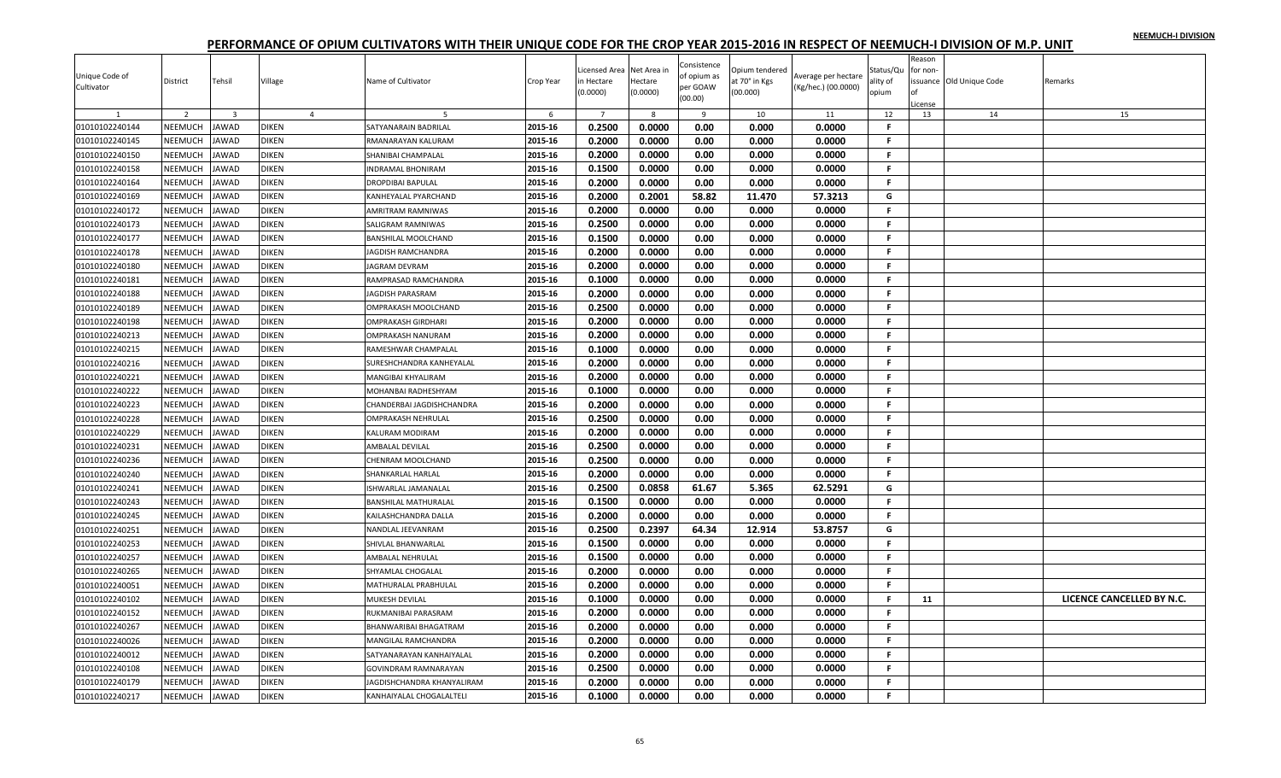| Unique Code of<br>Cultivator | District       | Tehsil                  | Village        | Name of Cultivator        | Crop Year | Licensed Area<br>n Hectare<br>(0.0000) | Net Area ir<br>Hectare<br>(0.0000) | Consistence<br>of opium as<br>per GOAW<br>(00.00) | Opium tendered<br>at 70° in Kgs<br>(00.000) | Average per hectare<br>(Kg/hec.) (00.0000) | Status/Qu<br>ality of<br>opium | Reason<br>for non- | ssuance Old Unique Code | Remarks                   |
|------------------------------|----------------|-------------------------|----------------|---------------------------|-----------|----------------------------------------|------------------------------------|---------------------------------------------------|---------------------------------------------|--------------------------------------------|--------------------------------|--------------------|-------------------------|---------------------------|
|                              |                |                         |                |                           |           |                                        |                                    |                                                   |                                             |                                            |                                | cense              |                         |                           |
|                              | 2              | $\overline{\mathbf{3}}$ | $\overline{4}$ |                           | 6         | $\overline{7}$                         | 8                                  | 9                                                 | 10                                          | 11                                         | 12                             | 13                 | 14                      | 15                        |
| 01010102240144               | <b>NEEMUCH</b> | <b>JAWAD</b>            | <b>DIKEN</b>   | SATYANARAIN BADRILAI      | 2015-16   | 0.2500                                 | 0.0000                             | 0.00                                              | 0.000                                       | 0.0000                                     | F                              |                    |                         |                           |
| 01010102240145               | <b>NEEMUCH</b> | <b>JAWAD</b>            | DIKEN          | RMANARAYAN KALURAM        | 2015-16   | 0.2000                                 | 0.0000                             | 0.00                                              | 0.000                                       | 0.0000                                     | F.                             |                    |                         |                           |
| 01010102240150               | NEEMUCH        | JAWAD                   | DIKEN          | SHANIBAI CHAMPALAL        | 2015-16   | 0.2000                                 | 0.0000                             | 0.00                                              | 0.000                                       | 0.0000                                     | F.                             |                    |                         |                           |
| 01010102240158               | NEEMUCH        | <b>JAWAD</b>            | <b>DIKEN</b>   | <b>INDRAMAL BHONIRAM</b>  | 2015-16   | 0.1500                                 | 0.0000                             | 0.00                                              | 0.000                                       | 0.0000                                     | .F.                            |                    |                         |                           |
| 01010102240164               | NEEMUCH        | <b>JAWAD</b>            | DIKEN          | DROPDIBAI BAPULAL         | 2015-16   | 0.2000                                 | 0.0000                             | 0.00                                              | 0.000                                       | 0.0000                                     | -F.                            |                    |                         |                           |
| 01010102240169               | NEEMUCH        | <b>JAWAD</b>            | <b>DIKEN</b>   | KANHEYALAL PYARCHAND      | 2015-16   | 0.2000                                 | 0.2001                             | 58.82                                             | 11.470                                      | 57.3213                                    | G                              |                    |                         |                           |
| 01010102240172               | NEEMUCH        | <b>JAWAD</b>            | <b>DIKEN</b>   | AMRITRAM RAMNIWAS         | 2015-16   | 0.2000                                 | 0.0000                             | 0.00                                              | 0.000                                       | 0.0000                                     | F.                             |                    |                         |                           |
| 01010102240173               | NEEMUCH        | JAWAD                   | DIKEN          | SALIGRAM RAMNIWAS         | 2015-16   | 0.2500                                 | 0.0000                             | 0.00                                              | 0.000                                       | 0.0000                                     | -F.                            |                    |                         |                           |
| 01010102240177               | NEEMUCH        | <b>JAWAD</b>            | DIKEN          | BANSHILAL MOOLCHAND       | 2015-16   | 0.1500                                 | 0.0000                             | 0.00                                              | 0.000                                       | 0.0000                                     | -F.                            |                    |                         |                           |
| 01010102240178               | NEEMUCH        | <b>JAWAD</b>            | <b>DIKEN</b>   | <b>JAGDISH RAMCHANDRA</b> | 2015-16   | 0.2000                                 | 0.0000                             | 0.00                                              | 0.000                                       | 0.0000                                     | .F.                            |                    |                         |                           |
| 01010102240180               | NEEMUCH        | <b>JAWAD</b>            | <b>DIKEN</b>   | <b>JAGRAM DEVRAM</b>      | 2015-16   | 0.2000                                 | 0.0000                             | 0.00                                              | 0.000                                       | 0.0000                                     | F.                             |                    |                         |                           |
| 01010102240181               | NEEMUCH        | JAWAD                   | <b>DIKEN</b>   | RAMPRASAD RAMCHANDRA      | 2015-16   | 0.1000                                 | 0.0000                             | 0.00                                              | 0.000                                       | 0.0000                                     | F.                             |                    |                         |                           |
| 01010102240188               | NEEMUCH        | JAWAD                   | DIKEN          | <b>AGDISH PARASRAM</b>    | 2015-16   | 0.2000                                 | 0.0000                             | 0.00                                              | 0.000                                       | 0.0000                                     | F.                             |                    |                         |                           |
| 01010102240189               | NEEMUCH        | <b>JAWAD</b>            | <b>DIKEN</b>   | OMPRAKASH MOOLCHAND       | 2015-16   | 0.2500                                 | 0.0000                             | 0.00                                              | 0.000                                       | 0.0000                                     | -F.                            |                    |                         |                           |
| 01010102240198               | NEEMUCH        | <b>JAWAD</b>            | DIKEN          | OMPRAKASH GIRDHARI        | 2015-16   | 0.2000                                 | 0.0000                             | 0.00                                              | 0.000                                       | 0.0000                                     | -F.                            |                    |                         |                           |
| 01010102240213               | NEEMUCH        | JAWAD                   | DIKEN          | OMPRAKASH NANURAM         | 2015-16   | 0.2000                                 | 0.0000                             | 0.00                                              | 0.000                                       | 0.0000                                     | -F.                            |                    |                         |                           |
| 01010102240215               | NEEMUCH        | <b>JAWAD</b>            | <b>DIKEN</b>   | RAMESHWAR CHAMPALAL       | 2015-16   | 0.1000                                 | 0.0000                             | 0.00                                              | 0.000                                       | 0.0000                                     | F.                             |                    |                         |                           |
| 01010102240216               | NEEMUCH        | JAWAD                   | <b>DIKEN</b>   | SURESHCHANDRA KANHEYALAL  | 2015-16   | 0.2000                                 | 0.0000                             | 0.00                                              | 0.000                                       | 0.0000                                     | F.                             |                    |                         |                           |
| 01010102240221               | NEEMUCH        | JAWAD                   | DIKEN          | MANGIBAI KHYALIRAM        | 2015-16   | 0.2000                                 | 0.0000                             | 0.00                                              | 0.000                                       | 0.0000                                     | F.                             |                    |                         |                           |
| 01010102240222               | NEEMUCH        | <b>JAWAD</b>            | <b>DIKEN</b>   | MOHANBAI RADHESHYAM       | 2015-16   | 0.1000                                 | 0.0000                             | 0.00                                              | 0.000                                       | 0.0000                                     | -F.                            |                    |                         |                           |
| 01010102240223               | NEEMUCH        | JAWAD                   | DIKEN          | CHANDERBAI JAGDISHCHANDRA | 2015-16   | 0.2000                                 | 0.0000                             | 0.00                                              | 0.000                                       | 0.0000                                     | F.                             |                    |                         |                           |
| 01010102240228               | NEEMUCH        | JAWAD                   | DIKEN          | OMPRAKASH NEHRULAL        | 2015-16   | 0.2500                                 | 0.0000                             | 0.00                                              | 0.000                                       | 0.0000                                     | F.                             |                    |                         |                           |
| 01010102240229               | NEEMUCH        | <b>JAWAD</b>            | <b>DIKEN</b>   | KALURAM MODIRAM           | 2015-16   | 0.2000                                 | 0.0000                             | 0.00                                              | 0.000                                       | 0.0000                                     | F.                             |                    |                         |                           |
| 01010102240231               | NEEMUCH        | <b>AWAD</b>             | DIKEN          | <b>AMBALAL DEVILAL</b>    | 2015-16   | 0.2500                                 | 0.0000                             | 0.00                                              | 0.000                                       | 0.0000                                     | F.                             |                    |                         |                           |
| 01010102240236               | NEEMUCH        | <b>IAWAD</b>            | DIKEN          | CHENRAM MOOLCHAND         | 2015-16   | 0.2500                                 | 0.0000                             | 0.00                                              | 0.000                                       | 0.0000                                     | F.                             |                    |                         |                           |
| 01010102240240               | NEEMUCH        | JAWAD                   | <b>DIKEN</b>   | SHANKARLAL HARLAL         | 2015-16   | 0.2000                                 | 0.0000                             | 0.00                                              | 0.000                                       | 0.0000                                     | -F.                            |                    |                         |                           |
| 01010102240241               | NEEMUCH        | <b>JAWAD</b>            | <b>DIKEN</b>   | SHWARLAL JAMANALAL        | 2015-16   | 0.2500                                 | 0.0858                             | 61.67                                             | 5.365                                       | 62.5291                                    | G                              |                    |                         |                           |
| 01010102240243               | NEEMUCH        | <b>JAWAD</b>            | <b>DIKEN</b>   | BANSHILAL MATHURALAL      | 2015-16   | 0.1500                                 | 0.0000                             | 0.00                                              | 0.000                                       | 0.0000                                     | F.                             |                    |                         |                           |
| 01010102240245               | NEEMUCH        | <b>JAWAD</b>            | <b>DIKEN</b>   | KAILASHCHANDRA DALLA      | 2015-16   | 0.2000                                 | 0.0000                             | 0.00                                              | 0.000                                       | 0.0000                                     | F.                             |                    |                         |                           |
| 01010102240251               | NEEMUCH        | <b>AWAD</b>             | DIKEN          | NANDLAL JEEVANRAM         | 2015-16   | 0.2500                                 | 0.2397                             | 64.34                                             | 12.914                                      | 53.8757                                    | G                              |                    |                         |                           |
| 01010102240253               | NEEMUCH        | <b>JAWAD</b>            | <b>DIKEN</b>   | SHIVLAL BHANWARLAL        | 2015-16   | 0.1500                                 | 0.0000                             | 0.00                                              | 0.000                                       | 0.0000                                     | -F.                            |                    |                         |                           |
| 01010102240257               | NEEMUCH        | JAWAD                   | DIKEN          | AMBALAL NEHRULAL          | 2015-16   | 0.1500                                 | 0.0000                             | 0.00                                              | 0.000                                       | 0.0000                                     | .F.                            |                    |                         |                           |
| 01010102240265               | NEEMUCH        | <b>AWAD</b>             | DIKEN          | SHYAMLAL CHOGALAL         | 2015-16   | 0.2000                                 | 0.0000                             | 0.00                                              | 0.000                                       | 0.0000                                     | .F.                            |                    |                         |                           |
| 01010102240051               | NEEMUCH        | <b>JAWAD</b>            | <b>DIKEN</b>   | MATHURALAL PRABHULAL      | 2015-16   | 0.2000                                 | 0.0000                             | 0.00                                              | 0.000                                       | 0.0000                                     | F.                             |                    |                         |                           |
| 01010102240102               | NEEMUCH        | <b>AWAD</b>             | DIKEN          | MUKESH DEVILAL            | 2015-16   | 0.1000                                 | 0.0000                             | 0.00                                              | 0.000                                       | 0.0000                                     | F.                             | 11                 |                         | LICENCE CANCELLED BY N.C. |
| 01010102240152               | NEEMUCH        | <b>JAWAD</b>            | <b>DIKEN</b>   | RUKMANIBAI PARASRAM       | 2015-16   | 0.2000                                 | 0.0000                             | 0.00                                              | 0.000                                       | 0.0000                                     | -F.                            |                    |                         |                           |
| 01010102240267               | NEEMUCH        | <b>JAWAD</b>            | DIKEN          | BHANWARIBAI BHAGATRAM     | 2015-16   | 0.2000                                 | 0.0000                             | 0.00                                              | 0.000                                       | 0.0000                                     | F.                             |                    |                         |                           |
| 01010102240026               | NEEMUCH        | JAWAD                   | DIKEN          | MANGILAL RAMCHANDRA       | 2015-16   | 0.2000                                 | 0.0000                             | 0.00                                              | 0.000                                       | 0.0000                                     | F.                             |                    |                         |                           |
| 01010102240012               | NEEMUCH        | <b>JAWAD</b>            | <b>DIKEN</b>   | SATYANARAYAN KANHAIYALAL  | 2015-16   | 0.2000                                 | 0.0000                             | 0.00                                              | 0.000                                       | 0.0000                                     | -F.                            |                    |                         |                           |
| 01010102240108               | <b>NEEMUCH</b> | <b>AWAD</b>             | <b>DIKEN</b>   | GOVINDRAM RAMNARAYAN      | 2015-16   | 0.2500                                 | 0.0000                             | 0.00                                              | 0.000                                       | 0.0000                                     | F                              |                    |                         |                           |
| 01010102240179               | NEEMUCH        | <b>AWAD</b>             | DIKEN          | AGDISHCHANDRA KHANYALIRAM | 2015-16   | 0.2000                                 | 0.0000                             | 0.00                                              | 0.000                                       | 0.0000                                     | F.                             |                    |                         |                           |
| 01010102240217               | NEEMUCH        | JAWAD                   | <b>DIKEN</b>   | KANHAIYALAL CHOGALALTELI  | 2015-16   | 0.1000                                 | 0.0000                             | 0.00                                              | 0.000                                       | 0.0000                                     | F.                             |                    |                         |                           |
|                              |                |                         |                |                           |           |                                        |                                    |                                                   |                                             |                                            |                                |                    |                         |                           |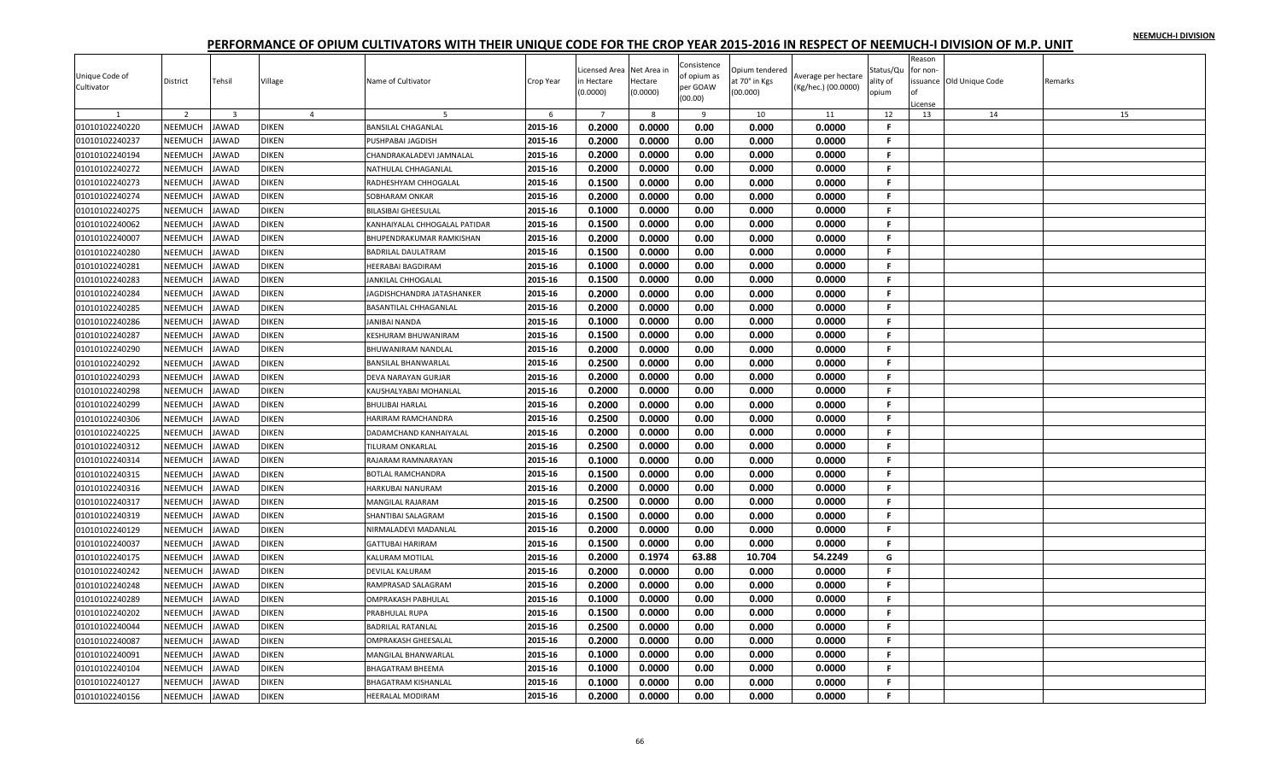| Unique Code of<br>Cultivator | District       | Tehsil                  | Village        | Name of Cultivator                   | Crop Year | Licensed Area<br>n Hectare<br>(0.0000) | Net Area ir<br>Hectare<br>(0.0000) | Consistence<br>of opium as<br>per GOAW | Opium tendered<br>at 70° in Kgs<br>(00.000) | Average per hectare<br>(Kg/hec.) (00.0000) | Status/Qu<br>ality of<br>opium | Reason<br>for non- | ssuance Old Unique Code | Remarks |
|------------------------------|----------------|-------------------------|----------------|--------------------------------------|-----------|----------------------------------------|------------------------------------|----------------------------------------|---------------------------------------------|--------------------------------------------|--------------------------------|--------------------|-------------------------|---------|
|                              |                |                         |                |                                      |           |                                        |                                    | (00.00)                                |                                             |                                            |                                | icense             |                         |         |
|                              | 2              | $\overline{\mathbf{3}}$ | $\overline{4}$ |                                      | 6         | $\overline{7}$                         | 8                                  | 9                                      | 10                                          | 11                                         | 12                             | 13                 | 14                      | 15      |
| 01010102240220               | <b>NEEMUCH</b> | <b>JAWAD</b>            | <b>DIKEN</b>   | <b>BANSILAL CHAGANLAI</b>            | 2015-16   | 0.2000                                 | 0.0000                             | 0.00                                   | 0.000                                       | 0.0000                                     | F                              |                    |                         |         |
| 01010102240237               | <b>NEEMUCH</b> | <b>JAWAD</b>            | DIKEN          | <b>USHPABAI JAGDISH</b>              | 2015-16   | 0.2000                                 | 0.0000                             | 0.00                                   | 0.000                                       | 0.0000                                     | F.                             |                    |                         |         |
| 01010102240194               | NEEMUCH        | <b>JAWAD</b>            | <b>DIKEN</b>   | CHANDRAKALADEVI JAMNALAL             | 2015-16   | 0.2000                                 | 0.0000                             | 0.00                                   | 0.000                                       | 0.0000                                     | F.                             |                    |                         |         |
| 01010102240272               | NEEMUCH        | <b>JAWAD</b>            | <b>DIKEN</b>   | NATHULAL CHHAGANLAL                  | 2015-16   | 0.2000                                 | 0.0000                             | 0.00                                   | 0.000                                       | 0.0000                                     | .F.                            |                    |                         |         |
| 01010102240273               | NEEMUCH        | <b>JAWAD</b>            | DIKEN          | RADHESHYAM CHHOGALAL                 | 2015-16   | 0.1500                                 | 0.0000                             | 0.00                                   | 0.000                                       | 0.0000                                     | -F.                            |                    |                         |         |
| 01010102240274               | NEEMUCH        | <b>JAWAD</b>            | <b>DIKEN</b>   | SOBHARAM ONKAR                       | 2015-16   | 0.2000                                 | 0.0000                             | 0.00                                   | 0.000                                       | 0.0000                                     | F.                             |                    |                         |         |
| 01010102240275               | NEEMUCH        | <b>JAWAD</b>            | <b>DIKEN</b>   | <b>BILASIBAI GHEESULAL</b>           | 2015-16   | 0.1000                                 | 0.0000                             | 0.00                                   | 0.000                                       | 0.0000                                     | F.                             |                    |                         |         |
| 01010102240062               | NEEMUCH        | JAWAD                   | DIKEN          | <b>KANHAIYALAL CHHOGALAL PATIDAR</b> | 2015-16   | 0.1500                                 | 0.0000                             | 0.00                                   | 0.000                                       | 0.0000                                     | -F.                            |                    |                         |         |
| 01010102240007               | NEEMUCH        | <b>JAWAD</b>            | <b>DIKEN</b>   | BHUPENDRAKUMAR RAMKISHAN             | 2015-16   | 0.2000                                 | 0.0000                             | 0.00                                   | 0.000                                       | 0.0000                                     | -F.                            |                    |                         |         |
| 01010102240280               | NEEMUCH        | JAWAD                   | <b>DIKEN</b>   | BADRILAL DAULATRAM                   | 2015-16   | 0.1500                                 | 0.0000                             | 0.00                                   | 0.000                                       | 0.0000                                     | .F.                            |                    |                         |         |
| 01010102240281               | NEEMUCH        | <b>JAWAD</b>            | <b>DIKEN</b>   | HEERABAI BAGDIRAM                    | 2015-16   | 0.1000                                 | 0.0000                             | 0.00                                   | 0.000                                       | 0.0000                                     | F.                             |                    |                         |         |
| 01010102240283               | NEEMUCH        | JAWAD                   | DIKEN          | <b>ANKILAL CHHOGALAL</b>             | 2015-16   | 0.1500                                 | 0.0000                             | 0.00                                   | 0.000                                       | 0.0000                                     | F.                             |                    |                         |         |
| 01010102240284               | NEEMUCH        | JAWAD                   | DIKEN          | AGDISHCHANDRA JATASHANKER            | 2015-16   | 0.2000                                 | 0.0000                             | 0.00                                   | 0.000                                       | 0.0000                                     | F.                             |                    |                         |         |
| 01010102240285               | NEEMUCH        | <b>JAWAD</b>            | <b>DIKEN</b>   | BASANTILAL CHHAGANLAL                | 2015-16   | 0.2000                                 | 0.0000                             | 0.00                                   | 0.000                                       | 0.0000                                     | F.                             |                    |                         |         |
| 01010102240286               | NEEMUCH        | <b>JAWAD</b>            | DIKEN          | JANIBAI NANDA                        | 2015-16   | 0.1000                                 | 0.0000                             | 0.00                                   | 0.000                                       | 0.0000                                     | F.                             |                    |                         |         |
| 01010102240287               | NEEMUCH        | JAWAD                   | DIKEN          | KESHURAM BHUWANIRAM                  | 2015-16   | 0.1500                                 | 0.0000                             | 0.00                                   | 0.000                                       | 0.0000                                     | -F.                            |                    |                         |         |
| 01010102240290               | NEEMUCH        | <b>JAWAD</b>            | <b>DIKEN</b>   | BHUWANIRAM NANDLAL                   | 2015-16   | 0.2000                                 | 0.0000                             | 0.00                                   | 0.000                                       | 0.0000                                     | F.                             |                    |                         |         |
| 01010102240292               | NEEMUCH        | JAWAD                   | <b>DIKEN</b>   | BANSILAL BHANWARLAL                  | 2015-16   | 0.2500                                 | 0.0000                             | 0.00                                   | 0.000                                       | 0.0000                                     | F.                             |                    |                         |         |
| 01010102240293               | NEEMUCH        | <b>JAWAD</b>            | DIKEN          | DEVA NARAYAN GURJAR                  | 2015-16   | 0.2000                                 | 0.0000                             | 0.00                                   | 0.000                                       | 0.0000                                     | F.                             |                    |                         |         |
| 01010102240298               | NEEMUCH        | <b>JAWAD</b>            | <b>DIKEN</b>   | KAUSHALYABAI MOHANLAL                | 2015-16   | 0.2000                                 | 0.0000                             | 0.00                                   | 0.000                                       | 0.0000                                     | -F.                            |                    |                         |         |
| 01010102240299               | NEEMUCH        | <b>JAWAD</b>            | <b>DIKEN</b>   | BHULIBAI HARLAL                      | 2015-16   | 0.2000                                 | 0.0000                             | 0.00                                   | 0.000                                       | 0.0000                                     | F.                             |                    |                         |         |
| 01010102240306               | NEEMUCH        | JAWAD                   | DIKEN          | HARIRAM RAMCHANDRA                   | 2015-16   | 0.2500                                 | 0.0000                             | 0.00                                   | 0.000                                       | 0.0000                                     | F.                             |                    |                         |         |
| 01010102240225               | NEEMUCH        | <b>JAWAD</b>            | <b>DIKEN</b>   | DADAMCHAND KANHAIYALAL               | 2015-16   | 0.2000                                 | 0.0000                             | 0.00                                   | 0.000                                       | 0.0000                                     | F.                             |                    |                         |         |
| 01010102240312               | NEEMUCH        | <b>AWAD</b>             | DIKEN          | <b><i>FILURAM ONKARLAL</i></b>       | 2015-16   | 0.2500                                 | 0.0000                             | 0.00                                   | 0.000                                       | 0.0000                                     | F.                             |                    |                         |         |
| 01010102240314               | NEEMUCH        | JAWAD                   | <b>DIKEN</b>   | RAJARAM RAMNARAYAN                   | 2015-16   | 0.1000                                 | 0.0000                             | 0.00                                   | 0.000                                       | 0.0000                                     | F.                             |                    |                         |         |
| 01010102240315               | NEEMUCH        | JAWAD                   | <b>DIKEN</b>   | BOTLAL RAMCHANDRA                    | 2015-16   | 0.1500                                 | 0.0000                             | 0.00                                   | 0.000                                       | 0.0000                                     | -F.                            |                    |                         |         |
| 01010102240316               | NEEMUCH        | <b>JAWAD</b>            | <b>DIKEN</b>   | HARKUBAI NANURAM                     | 2015-16   | 0.2000                                 | 0.0000                             | 0.00                                   | 0.000                                       | 0.0000                                     | -F.                            |                    |                         |         |
| 01010102240317               | NEEMUCH        | <b>JAWAD</b>            | <b>DIKEN</b>   | MANGILAL RAJARAM                     | 2015-16   | 0.2500                                 | 0.0000                             | 0.00                                   | 0.000                                       | 0.0000                                     | -F.                            |                    |                         |         |
| 01010102240319               | NEEMUCH        | <b>JAWAD</b>            | <b>DIKEN</b>   | SHANTIBAI SALAGRAM                   | 2015-16   | 0.1500                                 | 0.0000                             | 0.00                                   | 0.000                                       | 0.0000                                     | F.                             |                    |                         |         |
| 01010102240129               | NEEMUCH        | <b>AWAD</b>             | DIKEN          | <b>VIRMALADEVI MADANLAL</b>          | 2015-16   | 0.2000                                 | 0.0000                             | 0.00                                   | 0.000                                       | 0.0000                                     | F.                             |                    |                         |         |
| 01010102240037               | NEEMUCH        | <b>JAWAD</b>            | <b>DIKEN</b>   | GATTUBAI HARIRAM                     | 2015-16   | 0.1500                                 | 0.0000                             | 0.00                                   | 0.000                                       | 0.0000                                     | -F.                            |                    |                         |         |
| 01010102240175               | NEEMUCH        | JAWAD                   | <b>DIKEN</b>   | KALURAM MOTILAL                      | 2015-16   | 0.2000                                 | 0.1974                             | 63.88                                  | 10.704                                      | 54.2249                                    | G                              |                    |                         |         |
| 01010102240242               | NEEMUCH        | <b>AWAD</b>             | DIKEN          | DEVILAL KALURAM                      | 2015-16   | 0.2000                                 | 0.0000                             | 0.00                                   | 0.000                                       | 0.0000                                     | .F.                            |                    |                         |         |
| 01010102240248               | NEEMUCH        | <b>JAWAD</b>            | <b>DIKEN</b>   | RAMPRASAD SALAGRAM                   | 2015-16   | 0.2000                                 | 0.0000                             | 0.00                                   | 0.000                                       | 0.0000                                     | F.                             |                    |                         |         |
| 01010102240289               | NEEMUCH        | <b>AWAD</b>             | DIKEN          | OMPRAKASH PABHULAL                   | 2015-16   | 0.1000                                 | 0.0000                             | 0.00                                   | 0.000                                       | 0.0000                                     | F.                             |                    |                         |         |
| 01010102240202               | NEEMUCH        | <b>JAWAD</b>            | <b>DIKEN</b>   | PRABHULAL RUPA                       | 2015-16   | 0.1500                                 | 0.0000                             | 0.00                                   | 0.000                                       | 0.0000                                     | F.                             |                    |                         |         |
| 01010102240044               | NEEMUCH        | <b>JAWAD</b>            | DIKEN          | BADRILAL RATANLAL                    | 2015-16   | 0.2500                                 | 0.0000                             | 0.00                                   | 0.000                                       | 0.0000                                     | F.                             |                    |                         |         |
| 01010102240087               | NEEMUCH        | JAWAD                   | <b>DIKEN</b>   | OMPRAKASH GHEESALAL                  | 2015-16   | 0.2000                                 | 0.0000                             | 0.00                                   | 0.000                                       | 0.0000                                     | F.                             |                    |                         |         |
| 01010102240091               | NEEMUCH        | <b>JAWAD</b>            | <b>DIKEN</b>   | MANGILAL BHANWARLAL                  | 2015-16   | 0.1000                                 | 0.0000                             | 0.00                                   | 0.000                                       | 0.0000                                     | -F.                            |                    |                         |         |
| 01010102240104               | <b>NEEMUCH</b> | <b>AWAD</b>             | <b>DIKEN</b>   | <b>BHAGATRAM BHEEMA</b>              | 2015-16   | 0.1000                                 | 0.0000                             | 0.00                                   | 0.000                                       | 0.0000                                     | F.                             |                    |                         |         |
| 01010102240127               | <b>NEEMUCH</b> | <b>AWAD</b>             | DIKEN          | <b>BHAGATRAM KISHANLAL</b>           | 2015-16   | 0.1000                                 | 0.0000                             | 0.00                                   | 0.000                                       | 0.0000                                     | F.                             |                    |                         |         |
| 01010102240156               | NEEMUCH        | <b>JAWAD</b>            | <b>DIKEN</b>   | HEERALAL MODIRAM                     | 2015-16   | 0.2000                                 | 0.0000                             | 0.00                                   | 0.000                                       | 0.0000                                     | F.                             |                    |                         |         |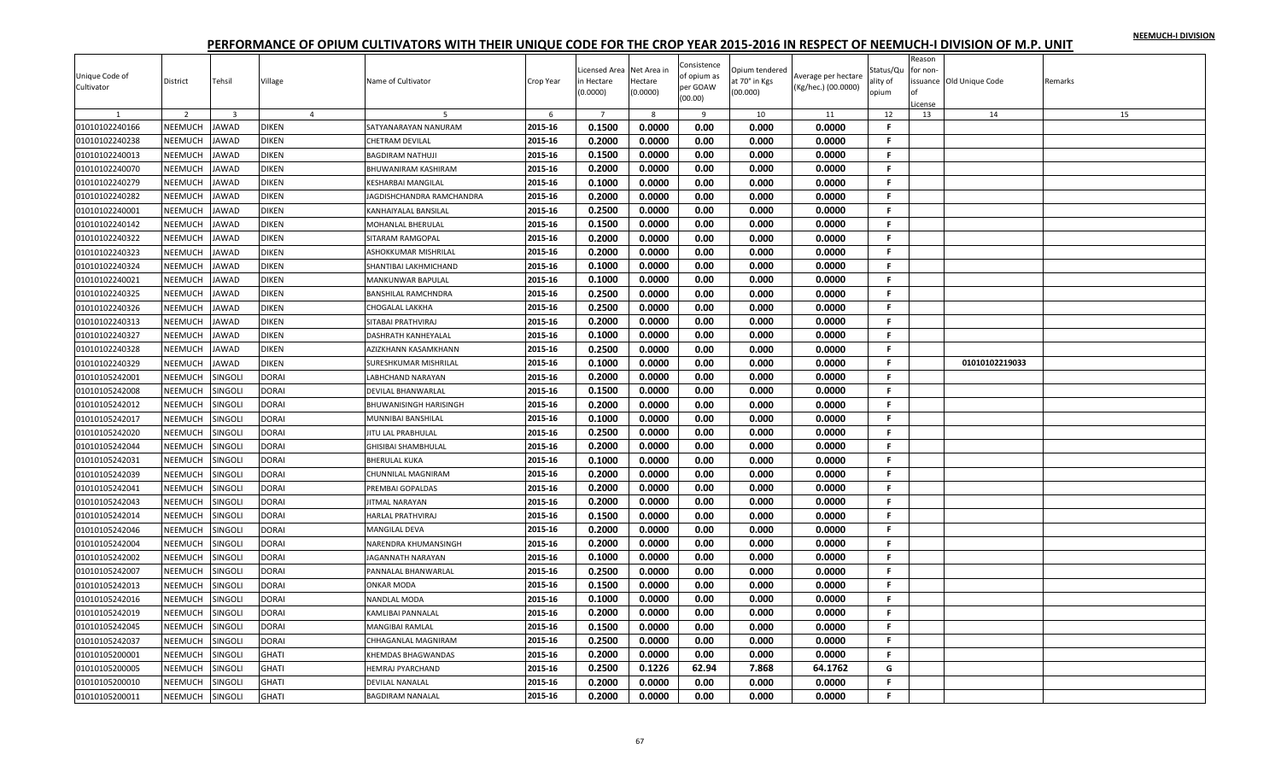| Unique Code of<br>Cultivator | District       | Tehsil                  | Village        | Name of Cultivator               | Crop Year | Licensed Area<br>n Hectare<br>(0.0000) | Net Area ir<br>Hectare<br>(0.0000) | Consistence<br>of opium as<br>per GOAW<br>(00.00) | Opium tendered<br>at 70° in Kgs<br>(00.000) | Average per hectare<br>(Kg/hec.) (00.0000) | Status/Qu<br>ality of<br>opium | Reason<br>for non- | ssuance Old Unique Code | Remarks |
|------------------------------|----------------|-------------------------|----------------|----------------------------------|-----------|----------------------------------------|------------------------------------|---------------------------------------------------|---------------------------------------------|--------------------------------------------|--------------------------------|--------------------|-------------------------|---------|
|                              |                |                         |                |                                  |           |                                        |                                    |                                                   |                                             |                                            |                                | cense              |                         |         |
|                              | 2              | $\overline{\mathbf{3}}$ | $\overline{4}$ |                                  | 6         | $\overline{7}$                         | 8                                  | 9                                                 | 10                                          | 11                                         | 12                             | 13                 | 14                      | 15      |
| 01010102240166               | <b>NEEMUCH</b> | <b>JAWAD</b>            | <b>DIKEN</b>   | SATYANARAYAN NANURAM             | 2015-16   | 0.1500                                 | 0.0000                             | 0.00                                              | 0.000                                       | 0.0000                                     | F                              |                    |                         |         |
| 01010102240238               | <b>NEEMUCH</b> | <b>JAWAD</b>            | DIKEN          | CHETRAM DEVILAL                  | 2015-16   | 0.2000                                 | 0.0000                             | 0.00                                              | 0.000                                       | 0.0000                                     | F.                             |                    |                         |         |
| 01010102240013               | NEEMUCH        | JAWAD                   | DIKEN          | BAGDIRAM NATHUJI                 | 2015-16   | 0.1500                                 | 0.0000                             | 0.00                                              | 0.000                                       | 0.0000                                     | F.                             |                    |                         |         |
| 01010102240070               | NEEMUCH        | <b>JAWAD</b>            | <b>DIKEN</b>   | BHUWANIRAM KASHIRAM              | 2015-16   | 0.2000                                 | 0.0000                             | 0.00                                              | 0.000                                       | 0.0000                                     | .F.                            |                    |                         |         |
| 01010102240279               | NEEMUCH        | <b>JAWAD</b>            | DIKEN          | KESHARBAI MANGILAL               | 2015-16   | 0.1000                                 | 0.0000                             | 0.00                                              | 0.000                                       | 0.0000                                     | -F.                            |                    |                         |         |
| 01010102240282               | NEEMUCH        | <b>JAWAD</b>            | <b>DIKEN</b>   | <b>JAGDISHCHANDRA RAMCHANDRA</b> | 2015-16   | 0.2000                                 | 0.0000                             | 0.00                                              | 0.000                                       | 0.0000                                     | F.                             |                    |                         |         |
| 01010102240001               | NEEMUCH        | <b>JAWAD</b>            | <b>DIKEN</b>   | <b>KANHAIYALAL BANSILAL</b>      | 2015-16   | 0.2500                                 | 0.0000                             | 0.00                                              | 0.000                                       | 0.0000                                     | F.                             |                    |                         |         |
| 01010102240142               | NEEMUCH        | JAWAD                   | DIKEN          | MOHANLAL BHERULAL                | 2015-16   | 0.1500                                 | 0.0000                             | 0.00                                              | 0.000                                       | 0.0000                                     | -F.                            |                    |                         |         |
| 01010102240322               | NEEMUCH        | <b>JAWAD</b>            | <b>DIKEN</b>   | SITARAM RAMGOPAL                 | 2015-16   | 0.2000                                 | 0.0000                             | 0.00                                              | 0.000                                       | 0.0000                                     | -F.                            |                    |                         |         |
| 01010102240323               | NEEMUCH        | JAWAD                   | <b>DIKEN</b>   | ASHOKKUMAR MISHRILAL             | 2015-16   | 0.2000                                 | 0.0000                             | 0.00                                              | 0.000                                       | 0.0000                                     | .F.                            |                    |                         |         |
| 01010102240324               | NEEMUCH        | <b>JAWAD</b>            | <b>DIKEN</b>   | SHANTIBAI LAKHMICHAND            | 2015-16   | 0.1000                                 | 0.0000                             | 0.00                                              | 0.000                                       | 0.0000                                     | F.                             |                    |                         |         |
| 01010102240021               | NEEMUCH        | JAWAD                   | DIKEN          | MANKUNWAR BAPULAL                | 2015-16   | 0.1000                                 | 0.0000                             | 0.00                                              | 0.000                                       | 0.0000                                     | F.                             |                    |                         |         |
| 01010102240325               | NEEMUCH        | JAWAD                   | DIKEN          | BANSHILAL RAMCHNDRA              | 2015-16   | 0.2500                                 | 0.0000                             | 0.00                                              | 0.000                                       | 0.0000                                     | F.                             |                    |                         |         |
| 01010102240326               | NEEMUCH        | <b>JAWAD</b>            | <b>DIKEN</b>   | CHOGALAL LAKKHA                  | 2015-16   | 0.2500                                 | 0.0000                             | 0.00                                              | 0.000                                       | 0.0000                                     | F.                             |                    |                         |         |
| 01010102240313               | NEEMUCH        | <b>JAWAD</b>            | DIKEN          | SITABAI PRATHVIRAJ               | 2015-16   | 0.2000                                 | 0.0000                             | 0.00                                              | 0.000                                       | 0.0000                                     | F.                             |                    |                         |         |
| 01010102240327               | NEEMUCH        | JAWAD                   | DIKEN          | DASHRATH KANHEYALAL              | 2015-16   | 0.1000                                 | 0.0000                             | 0.00                                              | 0.000                                       | 0.0000                                     | -F.                            |                    |                         |         |
| 01010102240328               | NEEMUCH        | <b>JAWAD</b>            | <b>DIKEN</b>   | AZIZKHANN KASAMKHANN             | 2015-16   | 0.2500                                 | 0.0000                             | 0.00                                              | 0.000                                       | 0.0000                                     | F.                             |                    |                         |         |
| 01010102240329               | NEEMUCH        | <b>AWAD</b>             | <b>DIKEN</b>   | SURESHKUMAR MISHRILAL            | 2015-16   | 0.1000                                 | 0.0000                             | 0.00                                              | 0.000                                       | 0.0000                                     | F.                             |                    | 01010102219033          |         |
| 01010105242001               | NEEMUCH        | SINGOLI                 | <b>DORAI</b>   | LABHCHAND NARAYAN                | 2015-16   | 0.2000                                 | 0.0000                             | 0.00                                              | 0.000                                       | 0.0000                                     | F.                             |                    |                         |         |
| 01010105242008               | NEEMUCH        | <b>SINGOLI</b>          | DORAI          | DEVILAL BHANWARLAL               | 2015-16   | 0.1500                                 | 0.0000                             | 0.00                                              | 0.000                                       | 0.0000                                     | -F.                            |                    |                         |         |
| 01010105242012               | NEEMUCH        | SINGOLI                 | DORAI          | BHUWANISINGH HARISINGH           | 2015-16   | 0.2000                                 | 0.0000                             | 0.00                                              | 0.000                                       | 0.0000                                     | F.                             |                    |                         |         |
| 01010105242017               | NEEMUCH        | SINGOLI                 | <b>DORAI</b>   | MUNNIBAI BANSHILAL               | 2015-16   | 0.1000                                 | 0.0000                             | 0.00                                              | 0.000                                       | 0.0000                                     | F.                             |                    |                         |         |
| 01010105242020               | NEEMUCH        | SINGOLI                 | DORAI          | JITU LAL PRABHULAL               | 2015-16   | 0.2500                                 | 0.0000                             | 0.00                                              | 0.000                                       | 0.0000                                     | F.                             |                    |                         |         |
| 01010105242044               | NEEMUCH        | <b>INGOLI</b>           | DORAI          | GHISIBAI SHAMBHULAL              | 2015-16   | 0.2000                                 | 0.0000                             | 0.00                                              | 0.000                                       | 0.0000                                     | F.                             |                    |                         |         |
| 01010105242031               | NEEMUCH        | SINGOLI                 | DORAI          | BHERULAL KUKA                    | 2015-16   | 0.1000                                 | 0.0000                             | 0.00                                              | 0.000                                       | 0.0000                                     | F.                             |                    |                         |         |
| 01010105242039               | NEEMUCH        | <b>SINGOLI</b>          | <b>DORAI</b>   | CHUNNILAL MAGNIRAM               | 2015-16   | 0.2000                                 | 0.0000                             | 0.00                                              | 0.000                                       | 0.0000                                     | F.                             |                    |                         |         |
| 01010105242041               | NEEMUCH        | SINGOLI                 | <b>DORAI</b>   | PREMBAI GOPALDAS                 | 2015-16   | 0.2000                                 | 0.0000                             | 0.00                                              | 0.000                                       | 0.0000                                     | .F.                            |                    |                         |         |
| 01010105242043               | NEEMUCH        | SINGOLI                 | DORAI          | <b>JITMAL NARAYAN</b>            | 2015-16   | 0.2000                                 | 0.0000                             | 0.00                                              | 0.000                                       | 0.0000                                     | F.                             |                    |                         |         |
| 01010105242014               | NEEMUCH        | SINGOLI                 | DORAI          | HARLAL PRATHVIRAJ                | 2015-16   | 0.1500                                 | 0.0000                             | 0.00                                              | 0.000                                       | 0.0000                                     | F.                             |                    |                         |         |
| 01010105242046               | NEEMUCH        | SINGOLI                 | DORAI          | MANGILAL DEVA                    | 2015-16   | 0.2000                                 | 0.0000                             | 0.00                                              | 0.000                                       | 0.0000                                     | F.                             |                    |                         |         |
| 01010105242004               | NEEMUCH        | SINGOLI                 | <b>DORAI</b>   | NARENDRA KHUMANSINGH             | 2015-16   | 0.2000                                 | 0.0000                             | 0.00                                              | 0.000                                       | 0.0000                                     | -F.                            |                    |                         |         |
| 01010105242002               | NEEMUCH        | SINGOLI                 | DORAI          | <b>JAGANNATH NARAYAN</b>         | 2015-16   | 0.1000                                 | 0.0000                             | 0.00                                              | 0.000                                       | 0.0000                                     | F.                             |                    |                         |         |
| 01010105242007               | NEEMUCH        | SINGOLI                 | DORAI          | PANNALAL BHANWARLAL              | 2015-16   | 0.2500                                 | 0.0000                             | 0.00                                              | 0.000                                       | 0.0000                                     | .F.                            |                    |                         |         |
| 01010105242013               | NEEMUCH        | SINGOLI                 | <b>DORAI</b>   | ONKAR MODA                       | 2015-16   | 0.1500                                 | 0.0000                             | 0.00                                              | 0.000                                       | 0.0000                                     | F.                             |                    |                         |         |
| 01010105242016               | NEEMUCH        | SINGOLI                 | DORAI          | NANDLAL MODA                     | 2015-16   | 0.1000                                 | 0.0000                             | 0.00                                              | 0.000                                       | 0.0000                                     | F.                             |                    |                         |         |
| 01010105242019               | NEEMUCH        | <b>SINGOLI</b>          | <b>DORAI</b>   | KAMLIBAI PANNALAL                | 2015-16   | 0.2000                                 | 0.0000                             | 0.00                                              | 0.000                                       | 0.0000                                     | F.                             |                    |                         |         |
| 01010105242045               | NEEMUCH        | <b>SINGOLI</b>          | DORAI          | MANGIBAI RAMLAL                  | 2015-16   | 0.1500                                 | 0.0000                             | 0.00                                              | 0.000                                       | 0.0000                                     | F.                             |                    |                         |         |
| 01010105242037               | NEEMUCH        | SINGOLI                 | DORAI          | CHHAGANLAL MAGNIRAM              | 2015-16   | 0.2500                                 | 0.0000                             | 0.00                                              | 0.000                                       | 0.0000                                     | F.                             |                    |                         |         |
| 01010105200001               | NEEMUCH        | SINGOLI                 | <b>GHATI</b>   | KHEMDAS BHAGWANDAS               | 2015-16   | 0.2000                                 | 0.0000                             | 0.00                                              | 0.000                                       | 0.0000                                     | -F.                            |                    |                         |         |
| 01010105200005               | <b>NEEMUCH</b> | <b>INGOLI</b>           | <b>GHATI</b>   | <b>IEMRAJ PYARCHAND</b>          | 2015-16   | 0.2500                                 | 0.1226                             | 62.94                                             | 7.868                                       | 64.1762                                    | G                              |                    |                         |         |
| 01010105200010               | NEEMUCH        | SINGOLI                 | <b>GHATI</b>   | DEVILAL NANALAL                  | 2015-16   | 0.2000                                 | 0.0000                             | 0.00                                              | 0.000                                       | 0.0000                                     | F.                             |                    |                         |         |
| 01010105200011               | NEEMUCH        | <b>SINGOLI</b>          | GHATI          | <b>BAGDIRAM NANALAL</b>          | 2015-16   | 0.2000                                 | 0.0000                             | 0.00                                              | 0.000                                       | 0.0000                                     | F.                             |                    |                         |         |
|                              |                |                         |                |                                  |           |                                        |                                    |                                                   |                                             |                                            |                                |                    |                         |         |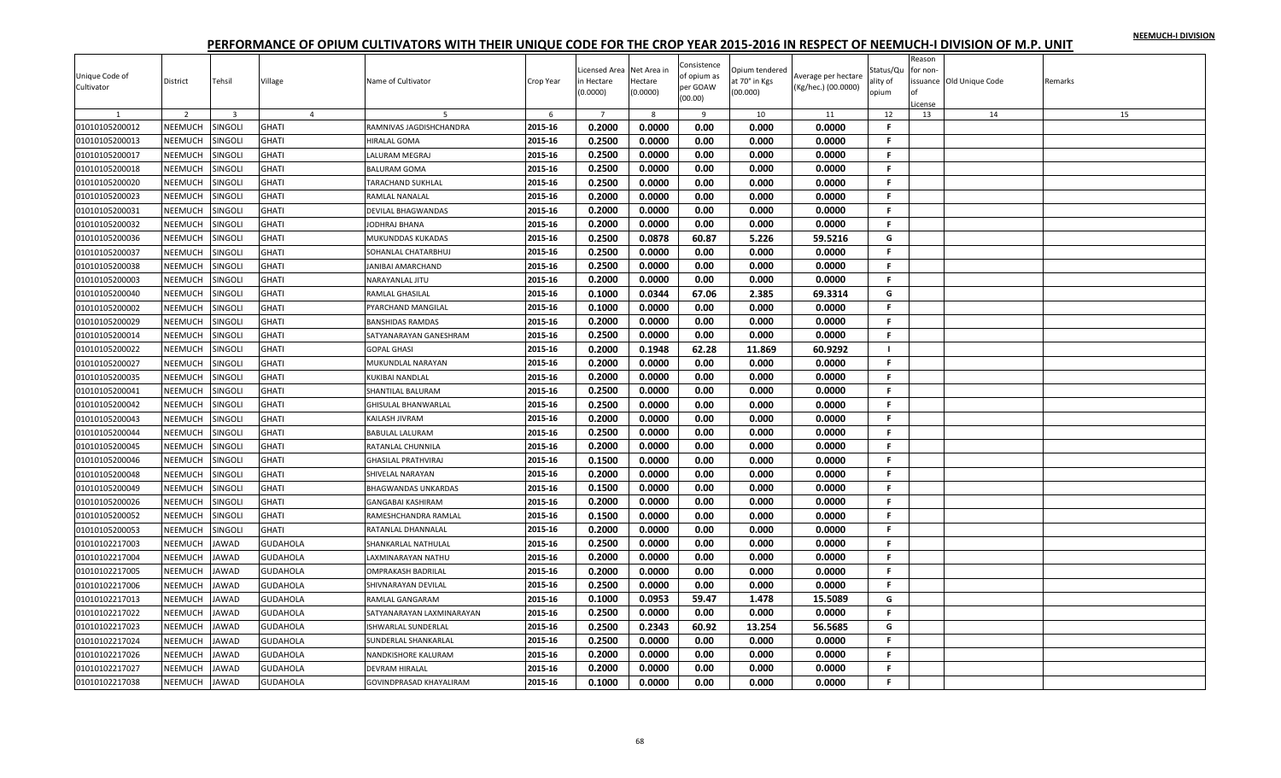| Unique Code of<br>Cultivator | District       | Tehsil         | Village         | Name of Cultivator         | Crop Year | icensed Area<br>n Hectare | Net Area in<br>Hectare | Consistence<br>of opium as<br>per GOAW | Opium tendered<br>at 70° in Kgs | Average per hectare<br>(Kg/hec.) (00.0000) | Status/Qu<br>ality of | Reason<br>for non- | issuance Old Unique Code | Remarks |
|------------------------------|----------------|----------------|-----------------|----------------------------|-----------|---------------------------|------------------------|----------------------------------------|---------------------------------|--------------------------------------------|-----------------------|--------------------|--------------------------|---------|
|                              |                |                |                 |                            |           | (0.0000)                  | (0.0000)               | (00.00)                                | (00.000)                        |                                            | opium                 |                    |                          |         |
|                              | $\overline{2}$ | $\overline{3}$ | $\overline{4}$  | -5                         | -6        | $\overline{7}$            | 8                      | -9                                     | 10                              | 11                                         | 12                    | .icense<br>13      | 14                       | 15      |
| 01010105200012               | NEEMUCH        | SINGOLI        | <b>GHATI</b>    | RAMNIVAS JAGDISHCHANDRA    | 2015-16   | 0.2000                    | 0.0000                 | 0.00                                   | 0.000                           | 0.0000                                     | -F                    |                    |                          |         |
| 01010105200013               | NEEMUCH        | SINGOLI        | <b>GHATI</b>    | HIRALAL GOMA               | 2015-16   | 0.2500                    | 0.0000                 | 0.00                                   | 0.000                           | 0.0000                                     | $\mathbf{F}$          |                    |                          |         |
| 01010105200017               | NEEMUCH        | SINGOLI        | <b>GHATI</b>    | LALURAM MEGRAJ             | 2015-16   | 0.2500                    | 0.0000                 | 0.00                                   | 0.000                           | 0.0000                                     | F.                    |                    |                          |         |
| 01010105200018               | NEEMUCH        | SINGOLI        | <b>GHATI</b>    | <b>BALURAM GOMA</b>        | 2015-16   | 0.2500                    | 0.0000                 | 0.00                                   | 0.000                           | 0.0000                                     | F.                    |                    |                          |         |
| 01010105200020               | NEEMUCH        | SINGOLI        | <b>GHATI</b>    | TARACHAND SUKHLAL          | 2015-16   | 0.2500                    | 0.0000                 | 0.00                                   | 0.000                           | 0.0000                                     | F.                    |                    |                          |         |
| 01010105200023               | <b>NEEMUCH</b> | SINGOLI        | <b>GHATI</b>    | RAMLAL NANALAL             | 2015-16   | 0.2000                    | 0.0000                 | 0.00                                   | 0.000                           | 0.0000                                     | F.                    |                    |                          |         |
| 01010105200031               | NEEMUCH        | SINGOLI        | <b>GHATI</b>    | DEVILAL BHAGWANDAS         | 2015-16   | 0.2000                    | 0.0000                 | 0.00                                   | 0.000                           | 0.0000                                     | F.                    |                    |                          |         |
| 01010105200032               | NEEMUCH        | SINGOL         | <b>GHATI</b>    | JODHRAJ BHANA              | 2015-16   | 0.2000                    | 0.0000                 | 0.00                                   | 0.000                           | 0.0000                                     | F                     |                    |                          |         |
| 01010105200036               | NEEMUCH        | SINGOLI        | <b>GHATI</b>    | MUKUNDDAS KUKADAS          | 2015-16   | 0.2500                    | 0.0878                 | 60.87                                  | 5.226                           | 59.5216                                    | G                     |                    |                          |         |
| 01010105200037               | <b>NEEMUCH</b> | <b>SINGOLI</b> | <b>GHATI</b>    | SOHANLAL CHATARBHUJ        | 2015-16   | 0.2500                    | 0.0000                 | 0.00                                   | 0.000                           | 0.0000                                     | F.                    |                    |                          |         |
| 01010105200038               | NEEMUCH        | SINGOL         | <b>GHATI</b>    | JANIBAI AMARCHAND          | 2015-16   | 0.2500                    | 0.0000                 | 0.00                                   | 0.000                           | 0.0000                                     | .F.                   |                    |                          |         |
| 01010105200003               | <b>NEEMUCH</b> | SINGOLI        | <b>GHATI</b>    | NARAYANLAL JITU            | 2015-16   | 0.2000                    | 0.0000                 | 0.00                                   | 0.000                           | 0.0000                                     | F                     |                    |                          |         |
| 01010105200040               | NEEMUCH        | SINGOLI        | <b>GHATI</b>    | RAMLAL GHASILAL            | 2015-16   | 0.1000                    | 0.0344                 | 67.06                                  | 2.385                           | 69.3314                                    | G                     |                    |                          |         |
| 01010105200002               | <b>NEEMUCH</b> | SINGOLI        | <b>GHATI</b>    | PYARCHAND MANGILAL         | 2015-16   | 0.1000                    | 0.0000                 | 0.00                                   | 0.000                           | 0.0000                                     | F.                    |                    |                          |         |
| 01010105200029               | NEEMUCH        | SINGOLI        | <b>GHATI</b>    | <b>BANSHIDAS RAMDAS</b>    | 2015-16   | 0.2000                    | 0.0000                 | 0.00                                   | 0.000                           | 0.0000                                     | .F.                   |                    |                          |         |
| 01010105200014               | NEEMUCH        | SINGOL         | <b>GHATI</b>    | SATYANARAYAN GANESHRAM     | 2015-16   | 0.2500                    | 0.0000                 | 0.00                                   | 0.000                           | 0.0000                                     | $\mathbf{F}$          |                    |                          |         |
| 01010105200022               | NEEMUCH        | SINGOLI        | <b>GHATI</b>    | <b>GOPAL GHASI</b>         | 2015-16   | 0.2000                    | 0.1948                 | 62.28                                  | 11.869                          | 60.9292                                    |                       |                    |                          |         |
| 01010105200027               | NEEMUCH        | SINGOLI        | <b>GHATI</b>    | MUKUNDLAL NARAYAN          | 2015-16   | 0.2000                    | 0.0000                 | 0.00                                   | 0.000                           | 0.0000                                     | F.                    |                    |                          |         |
| 01010105200035               | NEEMUCH        | SINGOL         | <b>GHATI</b>    | KUKIBAI NANDLAL            | 2015-16   | 0.2000                    | 0.0000                 | 0.00                                   | 0.000                           | 0.0000                                     | F.                    |                    |                          |         |
| 01010105200041               | NEEMUCH        | SINGOLI        | <b>GHATI</b>    | SHANTILAL BALURAM          | 2015-16   | 0.2500                    | 0.0000                 | 0.00                                   | 0.000                           | 0.0000                                     | -F.                   |                    |                          |         |
| 01010105200042               | NEEMUCH        | SINGOLI        | <b>GHATI</b>    | GHISULAL BHANWARLAL        | 2015-16   | 0.2500                    | 0.0000                 | 0.00                                   | 0.000                           | 0.0000                                     | F.                    |                    |                          |         |
| 01010105200043               | NEEMUCH        | SINGOLI        | <b>GHATI</b>    | KAILASH JIVRAM             | 2015-16   | 0.2000                    | 0.0000                 | 0.00                                   | 0.000                           | 0.0000                                     | F.                    |                    |                          |         |
| 01010105200044               | <b>NEEMUCH</b> | SINGOLI        | <b>GHATI</b>    | BABULAL LALURAM            | 2015-16   | 0.2500                    | 0.0000                 | 0.00                                   | 0.000                           | 0.0000                                     | F.                    |                    |                          |         |
| 01010105200045               | NEEMUCH        | SINGOL         | <b>GHATI</b>    | RATANLAL CHUNNILA          | 2015-16   | 0.2000                    | 0.0000                 | 0.00                                   | 0.000                           | 0.0000                                     | F                     |                    |                          |         |
| 01010105200046               | NEEMUCH        | SINGOLI        | <b>GHATI</b>    | GHASILAL PRATHVIRAJ        | 2015-16   | 0.1500                    | 0.0000                 | 0.00                                   | 0.000                           | 0.0000                                     | F.                    |                    |                          |         |
| 01010105200048               | <b>NEEMUCH</b> | SINGOLI        | <b>GHATI</b>    | SHIVELAL NARAYAN           | 2015-16   | 0.2000                    | 0.0000                 | 0.00                                   | 0.000                           | 0.0000                                     | F.                    |                    |                          |         |
| 01010105200049               | NEEMUCH        | SINGOLI        | <b>GHATI</b>    | BHAGWANDAS UNKARDAS        | 2015-16   | 0.1500                    | 0.0000                 | 0.00                                   | 0.000                           | 0.0000                                     | F.                    |                    |                          |         |
| 01010105200026               | NEEMUCH        | SINGOLI        | <b>GHATI</b>    | GANGABAI KASHIRAM          | 2015-16   | 0.2000                    | 0.0000                 | 0.00                                   | 0.000                           | 0.0000                                     | F                     |                    |                          |         |
| 01010105200052               | NEEMUCH        | SINGOLI        | <b>GHATI</b>    | RAMESHCHANDRA RAMLAL       | 2015-16   | 0.1500                    | 0.0000                 | 0.00                                   | 0.000                           | 0.0000                                     | F.                    |                    |                          |         |
| 01010105200053               | <b>NEEMUCH</b> | SINGOLI        | <b>GHATI</b>    | RATANLAL DHANNALAL         | 2015-16   | 0.2000                    | 0.0000                 | 0.00                                   | 0.000                           | 0.0000                                     | -F                    |                    |                          |         |
| 01010102217003               | NEEMUCH        | <b>JAWAD</b>   | <b>GUDAHOLA</b> | SHANKARLAL NATHULAI        | 2015-16   | 0.2500                    | 0.0000                 | 0.00                                   | 0.000                           | 0.0000                                     | .F.                   |                    |                          |         |
| 01010102217004               | NEEMUCH        | <b>JAWAD</b>   | <b>GUDAHOLA</b> | LAXMINARAYAN NATHU         | 2015-16   | 0.2000                    | 0.0000                 | 0.00                                   | 0.000                           | 0.0000                                     | F.                    |                    |                          |         |
| 01010102217005               | NEEMUCH        | <b>JAWAD</b>   | <b>GUDAHOLA</b> | OMPRAKASH BADRILAL         | 2015-16   | 0.2000                    | 0.0000                 | 0.00                                   | 0.000                           | 0.0000                                     | F.                    |                    |                          |         |
| 01010102217006               | <b>NEEMUCH</b> | <b>JAWAD</b>   | <b>GUDAHOLA</b> | SHIVNARAYAN DEVILAL        | 2015-16   | 0.2500                    | 0.0000                 | 0.00                                   | 0.000                           | 0.0000                                     | F.                    |                    |                          |         |
| 01010102217013               | NEEMUCH        | <b>JAWAD</b>   | <b>GUDAHOLA</b> | RAMLAL GANGARAM            | 2015-16   | 0.1000                    | 0.0953                 | 59.47                                  | 1.478                           | 15.5089                                    | G                     |                    |                          |         |
| 01010102217022               | NEEMUCH        | <b>JAWAD</b>   | <b>GUDAHOLA</b> | SATYANARAYAN LAXMINARAYAN  | 2015-16   | 0.2500                    | 0.0000                 | 0.00                                   | 0.000                           | 0.0000                                     | -F                    |                    |                          |         |
| 01010102217023               | NEEMUCH        | <b>JAWAD</b>   | <b>GUDAHOLA</b> | <b>ISHWARLAL SUNDERLAL</b> | 2015-16   | 0.2500                    | 0.2343                 | 60.92                                  | 13.254                          | 56.5685                                    | G                     |                    |                          |         |
| 01010102217024               | NEEMUCH        | <b>JAWAD</b>   | <b>GUDAHOLA</b> | SUNDERLAL SHANKARLAL       | 2015-16   | 0.2500                    | 0.0000                 | 0.00                                   | 0.000                           | 0.0000                                     | .F                    |                    |                          |         |
| 01010102217026               | NEEMUCH        | <b>JAWAD</b>   | <b>GUDAHOLA</b> | NANDKISHORE KALURAM        | 2015-16   | 0.2000                    | 0.0000                 | 0.00                                   | 0.000                           | 0.0000                                     | F.                    |                    |                          |         |
| 01010102217027               | NEEMUCH        | JAWAD          | <b>GUDAHOLA</b> | DEVRAM HIRALAL             | 2015-16   | 0.2000                    | 0.0000                 | 0.00                                   | 0.000                           | 0.0000                                     | F.                    |                    |                          |         |
| 01010102217038               | NEEMUCH        | <b>JAWAD</b>   | <b>GUDAHOLA</b> | GOVINDPRASAD KHAYALIRAM    | 2015-16   | 0.1000                    | 0.0000                 | 0.00                                   | 0.000                           | 0.0000                                     | F                     |                    |                          |         |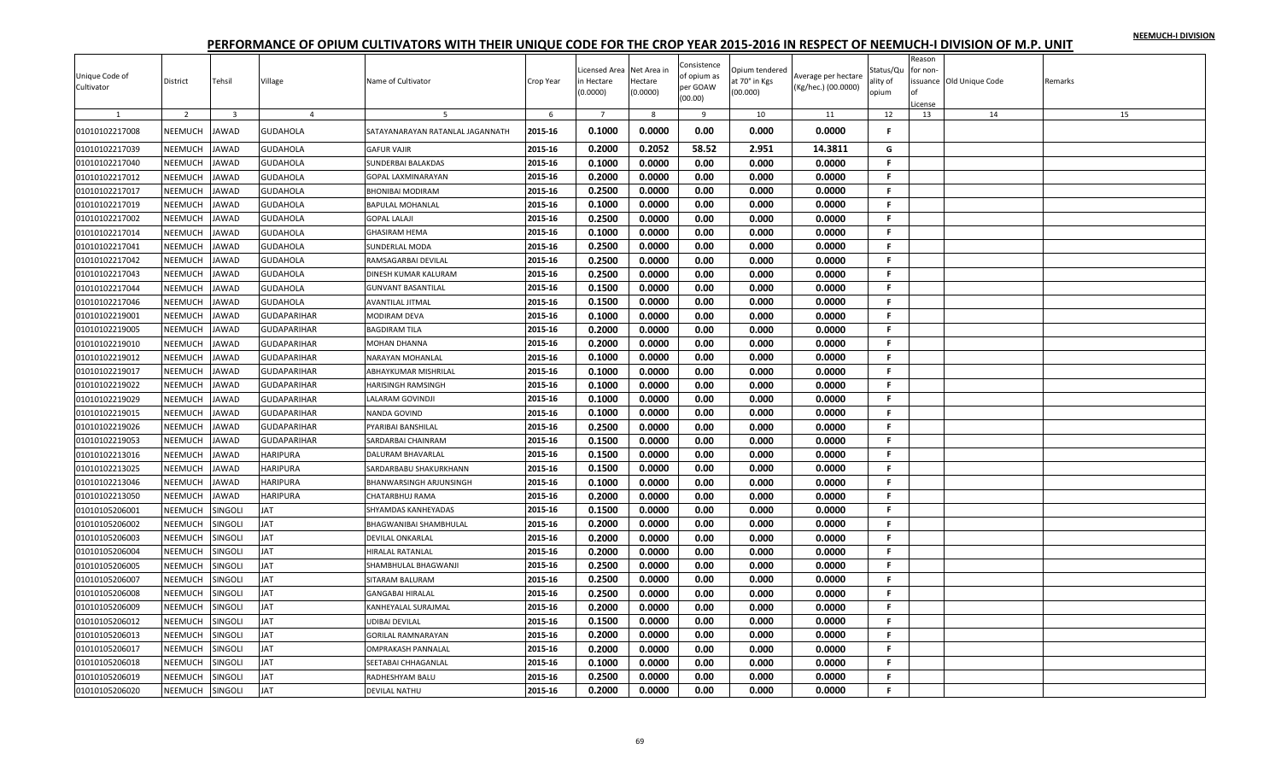| Unique Code of<br>Cultivator | District | Tehsil                  | Village            | Name of Cultivator               | Crop Year | icensed Area<br>n Hectare<br>(0.0000) | Net Area in<br>Hectare<br>(0.0000) | Consistence<br>of opium as<br>per GOAW<br>(00.00) | Opium tendered<br>at 70° in Kgs<br>(00.000) | Average per hectare<br>(Kg/hec.) (00.0000) | Status/Qu<br>ality of<br>opium | Reason<br>for non<br>.icense | ssuance Old Unique Code | Remarks |
|------------------------------|----------|-------------------------|--------------------|----------------------------------|-----------|---------------------------------------|------------------------------------|---------------------------------------------------|---------------------------------------------|--------------------------------------------|--------------------------------|------------------------------|-------------------------|---------|
| 1                            | 2        | $\overline{\mathbf{3}}$ | $\overline{4}$     | -5                               | 6         | $\overline{7}$                        | 8                                  | 9                                                 | 10                                          | 11                                         | 12                             | 13                           | 14                      | 15      |
| 01010102217008               | NEEMUCH  | <b>IAWAD</b>            | <b>GUDAHOLA</b>    | SATAYANARAYAN RATANLAL JAGANNATH | 2015-16   | 0.1000                                | 0.0000                             | 0.00                                              | 0.000                                       | 0.0000                                     | Е                              |                              |                         |         |
| 01010102217039               | NEEMUCH  | <b>JAWAD</b>            | <b>GUDAHOLA</b>    | <b>GAFUR VAJIR</b>               | 2015-16   | 0.2000                                | 0.2052                             | 58.52                                             | 2.951                                       | 14.3811                                    | G                              |                              |                         |         |
| 01010102217040               | NEEMUCH  | <b>JAWAD</b>            | <b>GUDAHOLA</b>    | SUNDERBAI BALAKDAS               | 2015-16   | 0.1000                                | 0.0000                             | 0.00                                              | 0.000                                       | 0.0000                                     | F.                             |                              |                         |         |
| 01010102217012               | NEEMUCH  | <b>JAWAD</b>            | <b>GUDAHOLA</b>    | GOPAL LAXMINARAYAN               | 2015-16   | 0.2000                                | 0.0000                             | 0.00                                              | 0.000                                       | 0.0000                                     | F.                             |                              |                         |         |
| 01010102217017               | NEEMUCH  | <b>JAWAD</b>            | GUDAHOLA           | BHONIBAI MODIRAM                 | 2015-16   | 0.2500                                | 0.0000                             | 0.00                                              | 0.000                                       | 0.0000                                     | F.                             |                              |                         |         |
| 01010102217019               | NEEMUCH  | <b>JAWAD</b>            | <b>GUDAHOLA</b>    | BAPULAL MOHANLAL                 | 2015-16   | 0.1000                                | 0.0000                             | 0.00                                              | 0.000                                       | 0.0000                                     | F.                             |                              |                         |         |
| 01010102217002               | NEEMUCH  | <b>JAWAD</b>            | <b>GUDAHOLA</b>    | <b>GOPAL LALAJI</b>              | 2015-16   | 0.2500                                | 0.0000                             | 0.00                                              | 0.000                                       | 0.0000                                     | F.                             |                              |                         |         |
| 01010102217014               | NEEMUCH  | JAWAD                   | <b>GUDAHOLA</b>    | GHASIRAM HEMA                    | 2015-16   | 0.1000                                | 0.0000                             | 0.00                                              | 0.000                                       | 0.0000                                     | F.                             |                              |                         |         |
| 01010102217041               | NEEMUCH  | <b>JAWAD</b>            | GUDAHOLA           | SUNDERLAL MODA                   | 2015-16   | 0.2500                                | 0.0000                             | 0.00                                              | 0.000                                       | 0.0000                                     | F.                             |                              |                         |         |
| 01010102217042               | NEEMUCH  | <b>JAWAD</b>            | <b>GUDAHOLA</b>    | RAMSAGARBAI DEVILAL              | 2015-16   | 0.2500                                | 0.0000                             | 0.00                                              | 0.000                                       | 0.0000                                     | F.                             |                              |                         |         |
| 01010102217043               | NEEMUCH  | <b>JAWAD</b>            | <b>GUDAHOLA</b>    | DINESH KUMAR KALURAM             | 2015-16   | 0.2500                                | 0.0000                             | 0.00                                              | 0.000                                       | 0.0000                                     | F                              |                              |                         |         |
| 01010102217044               | NEEMUCH  | <b>JAWAD</b>            | <b>GUDAHOLA</b>    | <b>GUNVANT BASANTILAL</b>        | 2015-16   | 0.1500                                | 0.0000                             | 0.00                                              | 0.000                                       | 0.0000                                     | F.                             |                              |                         |         |
| 01010102217046               | NEEMUCH  | <b>JAWAD</b>            | <b>GUDAHOLA</b>    | AVANTILAL JITMAL                 | 2015-16   | 0.1500                                | 0.0000                             | 0.00                                              | 0.000                                       | 0.0000                                     | F.                             |                              |                         |         |
| 01010102219001               | NEEMUCH  | JAWAD                   | GUDAPARIHAR        | MODIRAM DEVA                     | 2015-16   | 0.1000                                | 0.0000                             | 0.00                                              | 0.000                                       | 0.0000                                     | F.                             |                              |                         |         |
| 01010102219005               | NEEMUCH  | <b>JAWAD</b>            | <b>GUDAPARIHAR</b> | <b>BAGDIRAM TILA</b>             | 2015-16   | 0.2000                                | 0.0000                             | 0.00                                              | 0.000                                       | 0.0000                                     | F.                             |                              |                         |         |
| 01010102219010               | NEEMUCH  | <b>JAWAD</b>            | <b>GUDAPARIHAR</b> | MOHAN DHANNA                     | 2015-16   | 0.2000                                | 0.0000                             | 0.00                                              | 0.000                                       | 0.0000                                     | F.                             |                              |                         |         |
| 01010102219012               | NEEMUCH  | <b>JAWAD</b>            | GUDAPARIHAR        | NARAYAN MOHANLAL                 | 2015-16   | 0.1000                                | 0.0000                             | 0.00                                              | 0.000                                       | 0.0000                                     | F.                             |                              |                         |         |
| 01010102219017               | NEEMUCH  | <b>JAWAD</b>            | <b>GUDAPARIHAR</b> | ABHAYKUMAR MISHRILAL             | 2015-16   | 0.1000                                | 0.0000                             | 0.00                                              | 0.000                                       | 0.0000                                     | F.                             |                              |                         |         |
| 01010102219022               | NEEMUCH  | <b>JAWAD</b>            | GUDAPARIHAR        | HARISINGH RAMSINGH               | 2015-16   | 0.1000                                | 0.0000                             | 0.00                                              | 0.000                                       | 0.0000                                     | F.                             |                              |                         |         |
| 01010102219029               | NEEMUCH  | <b>JAWAD</b>            | <b>GUDAPARIHAR</b> | LALARAM GOVINDJI                 | 2015-16   | 0.1000                                | 0.0000                             | 0.00                                              | 0.000                                       | 0.0000                                     | F.                             |                              |                         |         |
| 01010102219015               | NEEMUCH  | <b>JAWAD</b>            | <b>GUDAPARIHAR</b> | <b>VANDA GOVIND</b>              | 2015-16   | 0.1000                                | 0.0000                             | 0.00                                              | 0.000                                       | 0.0000                                     | F.                             |                              |                         |         |
| 01010102219026               | NEEMUCH  | <b>JAWAD</b>            | <b>GUDAPARIHAR</b> | PYARIBAI BANSHILAL               | 2015-16   | 0.2500                                | 0.0000                             | 0.00                                              | 0.000                                       | 0.0000                                     | F.                             |                              |                         |         |
| 01010102219053               | NEEMUCH  | <b>JAWAD</b>            | GUDAPARIHAR        | SARDARBAI CHAINRAM               | 2015-16   | 0.1500                                | 0.0000                             | 0.00                                              | 0.000                                       | 0.0000                                     | F.                             |                              |                         |         |
| 01010102213016               | NEEMUCH  | <b>JAWAD</b>            | <b>HARIPURA</b>    | DALURAM BHAVARLAL                | 2015-16   | 0.1500                                | 0.0000                             | 0.00                                              | 0.000                                       | 0.0000                                     | F.                             |                              |                         |         |
| 01010102213025               | NEEMUCH  | <b>JAWAD</b>            | <b>HARIPURA</b>    | SARDARBABU SHAKURKHANN           | 2015-16   | 0.1500                                | 0.0000                             | 0.00                                              | 0.000                                       | 0.0000                                     | F.                             |                              |                         |         |
| 01010102213046               | NEEMUCH  | <b>JAWAD</b>            | <b>HARIPURA</b>    | BHANWARSINGH ARJUNSINGH          | 2015-16   | 0.1000                                | 0.0000                             | 0.00                                              | 0.000                                       | 0.0000                                     | F.                             |                              |                         |         |
| 01010102213050               | NEEMUCH  | <b>JAWAD</b>            | <b>HARIPURA</b>    | CHATARBHUJ RAMA                  | 2015-16   | 0.2000                                | 0.0000                             | 0.00                                              | 0.000                                       | 0.0000                                     | F.                             |                              |                         |         |
| 01010105206001               | NEEMUCH  | <b>SINGOLI</b>          | IAT                | SHYAMDAS KANHEYADAS              | 2015-16   | 0.1500                                | 0.0000                             | 0.00                                              | 0.000                                       | 0.0000                                     | F.                             |                              |                         |         |
| 01010105206002               | NEEMUCH  | <b>SINGOLI</b>          | JAT                | BHAGWANIBAI SHAMBHULAL           | 2015-16   | 0.2000                                | 0.0000                             | 0.00                                              | 0.000                                       | 0.0000                                     | F.                             |                              |                         |         |
| 01010105206003               | NEEMUCH  | SINGOLI                 | <b>AT</b>          | DEVILAL ONKARLAL                 | 2015-16   | 0.2000                                | 0.0000                             | 0.00                                              | 0.000                                       | 0.0000                                     | F.                             |                              |                         |         |
| 01010105206004               | NEEMUCH  | <b>SINGOLI</b>          | <b>AT</b>          | HIRALAL RATANLAL                 | 2015-16   | 0.2000                                | 0.0000                             | 0.00                                              | 0.000                                       | 0.0000                                     | F.                             |                              |                         |         |
| 01010105206005               | NEEMUCH  | <b>SINGOLI</b>          | <b>JAT</b>         | SHAMBHULAL BHAGWANJI             | 2015-16   | 0.2500                                | 0.0000                             | 0.00                                              | 0.000                                       | 0.0000                                     | F.                             |                              |                         |         |
| 01010105206007               | NEEMUCH  | <b>SINGOLI</b>          | <b>AT</b>          | SITARAM BALURAM                  | 2015-16   | 0.2500                                | 0.0000                             | 0.00                                              | 0.000                                       | 0.0000                                     | F.                             |                              |                         |         |
| 01010105206008               | NEEMUCH  | <b>SINGOLI</b>          | <b>AT</b>          | <b>GANGABAI HIRALAL</b>          | 2015-16   | 0.2500                                | 0.0000                             | 0.00                                              | 0.000                                       | 0.0000                                     | F.                             |                              |                         |         |
| 01010105206009               | NEEMUCH  | <b>SINGOLI</b>          | <b>AT</b>          | KANHEYALAL SURAJMAL              | 2015-16   | 0.2000                                | 0.0000                             | 0.00                                              | 0.000                                       | 0.0000                                     | F.                             |                              |                         |         |
| 01010105206012               | NEEMUCH  | SINGOLI                 | AT                 | UDIBAI DEVILAL                   | 2015-16   | 0.1500                                | 0.0000                             | 0.00                                              | 0.000                                       | 0.0000                                     | F.                             |                              |                         |         |
| 01010105206013               | NEEMUCH  | <b>SINGOLI</b>          | <b>AT</b>          | GORILAL RAMNARAYAN               | 2015-16   | 0.2000                                | 0.0000                             | 0.00                                              | 0.000                                       | 0.0000                                     | F.                             |                              |                         |         |
| 01010105206017               | NEEMUCH  | SINGOLI                 | <b>AT</b>          | OMPRAKASH PANNALAL               | 2015-16   | 0.2000                                | 0.0000                             | 0.00                                              | 0.000                                       | 0.0000                                     | F.                             |                              |                         |         |
| 01010105206018               | NEEMUCH  | SINGOLI                 | AT                 | SEETABAI CHHAGANLAL              | 2015-16   | 0.1000                                | 0.0000                             | 0.00                                              | 0.000                                       | 0.0000                                     | F.                             |                              |                         |         |
| 01010105206019               | NEEMUCH  | SINGOLI                 | AT                 | RADHESHYAM BALU                  | 2015-16   | 0.2500                                | 0.0000                             | 0.00                                              | 0.000                                       | 0.0000                                     | F.                             |                              |                         |         |
| 01010105206020               | NEEMUCH  | SINGOLI                 | AT                 | DEVILAL NATHU                    | 2015-16   | 0.2000                                | 0.0000                             | 0.00                                              | 0.000                                       | 0.0000                                     | F.                             |                              |                         |         |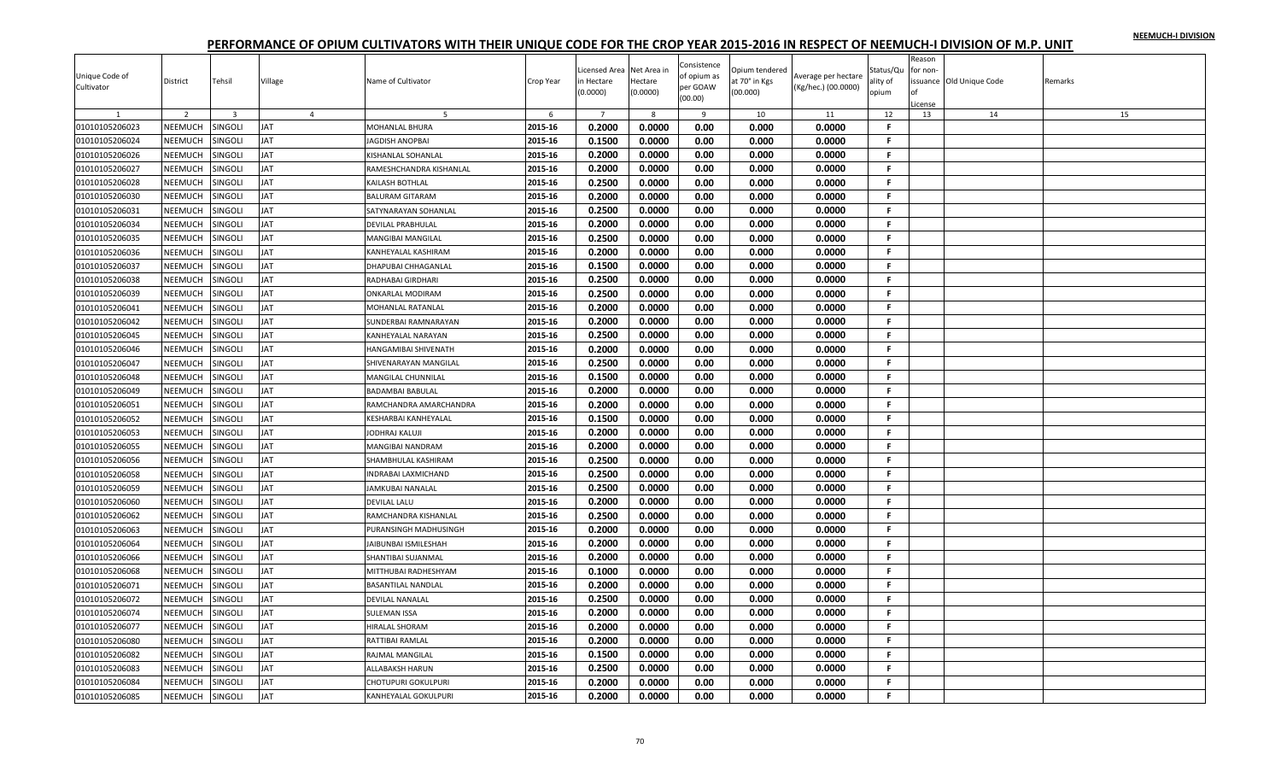| Unique Code of |                |                         |                |                             |           | icensed Area        | Net Area in         | Consistence<br>of opium as | Opium tendered            | Average per hectare | Status/Qu         | Reason<br>for non- |                         |         |
|----------------|----------------|-------------------------|----------------|-----------------------------|-----------|---------------------|---------------------|----------------------------|---------------------------|---------------------|-------------------|--------------------|-------------------------|---------|
| Cultivator     | District       | Tehsil                  | Village        | Name of Cultivator          | Crop Year | n Hectare<br>0.0000 | Hectare<br>(0.0000) | per GOAW<br>(00.00)        | at 70° in Kgs<br>(00.000) | (Kg/hec.) (00.0000) | ality of<br>opium | License            | ssuance Old Unique Code | Remarks |
|                | $\overline{2}$ | $\overline{\mathbf{3}}$ | $\overline{a}$ | -5                          | 6         | $\overline{7}$      | 8                   | 9                          | 10                        | 11                  | 12                | 13                 | 14                      | 15      |
| 01010105206023 | NEEMUCH        | <b>SINGOLI</b>          | JAT            | <b>MOHANLAL BHURA</b>       | 2015-16   | 0.2000              | 0.0000              | 0.00                       | 0.000                     | 0.0000              | F.                |                    |                         |         |
| 01010105206024 | <b>NEEMUCH</b> | SINGOLI                 | <b>AT</b>      | JAGDISH ANOPBAI             | 2015-16   | 0.1500              | 0.0000              | 0.00                       | 0.000                     | 0.0000              | F.                |                    |                         |         |
| 01010105206026 | NEEMUCH        | <b>SINGOLI</b>          | JAT            | KISHANLAL SOHANLAL          | 2015-16   | 0.2000              | 0.0000              | 0.00                       | 0.000                     | 0.0000              | F.                |                    |                         |         |
| 01010105206027 | NEEMUCH        | <b>SINGOLI</b>          | JAT            | RAMESHCHANDRA KISHANLAL     | 2015-16   | 0.2000              | 0.0000              | 0.00                       | 0.000                     | 0.0000              | F.                |                    |                         |         |
| 01010105206028 | NEEMUCH        | SINGOLI                 | <b>AT</b>      | KAILASH BOTHLAL             | 2015-16   | 0.2500              | 0.0000              | 0.00                       | 0.000                     | 0.0000              | F.                |                    |                         |         |
| 01010105206030 | NEEMUCH        | <b>SINGOLI</b>          | JAT            | <b>BALURAM GITARAM</b>      | 2015-16   | 0.2000              | 0.0000              | 0.00                       | 0.000                     | 0.0000              | F.                |                    |                         |         |
| 01010105206031 | NEEMUCH        | SINGOLI                 | JAT            | SATYNARAYAN SOHANLAL        | 2015-16   | 0.2500              | 0.0000              | 0.00                       | 0.000                     | 0.0000              | F                 |                    |                         |         |
| 01010105206034 | NEEMUCH        | SINGOLI                 | <b>AT</b>      | <b>DEVILAL PRABHULAL</b>    | 2015-16   | 0.2000              | 0.0000              | 0.00                       | 0.000                     | 0.0000              | F.                |                    |                         |         |
| 01010105206035 | NEEMUCH        | SINGOLI                 | <b>TAI</b>     | <b>MANGIBAI MANGILAL</b>    | 2015-16   | 0.2500              | 0.0000              | 0.00                       | 0.000                     | 0.0000              | F.                |                    |                         |         |
| 01010105206036 | NEEMUCH        | SINGOLI                 | <b>AT</b>      | <b>KANHEYALAL KASHIRAM</b>  | 2015-16   | 0.2000              | 0.0000              | 0.00                       | 0.000                     | 0.0000              | F.                |                    |                         |         |
| 01010105206037 | NEEMUCH        | <b>SINGOLI</b>          | JAT            | DHAPUBAI CHHAGANLAL         | 2015-16   | 0.1500              | 0.0000              | 0.00                       | 0.000                     | 0.0000              | F.                |                    |                         |         |
| 01010105206038 | NEEMUCH        | SINGOLI                 | <b>JAT</b>     | RADHABAI GIRDHARI           | 2015-16   | 0.2500              | 0.0000              | 0.00                       | 0.000                     | 0.0000              | F.                |                    |                         |         |
| 01010105206039 | NEEMUCH        | SINGOLI                 | <b>AT</b>      | ONKARLAL MODIRAM            | 2015-16   | 0.2500              | 0.0000              | 0.00                       | 0.000                     | 0.0000              | F.                |                    |                         |         |
| 01010105206041 | NEEMUCH        | SINGOLI                 | JAT            | MOHANLAL RATANLAL           | 2015-16   | 0.2000              | 0.0000              | 0.00                       | 0.000                     | 0.0000              | F.                |                    |                         |         |
| 01010105206042 | NEEMUCH        | <b>SINGOLI</b>          | <b>TAI</b>     | SUNDERBAI RAMNARAYAN        | 2015-16   | 0.2000              | 0.0000              | 0.00                       | 0.000                     | 0.0000              | F.                |                    |                         |         |
| 01010105206045 | NEEMUCH        | <b>SINGOLI</b>          | <b>AT</b>      | KANHEYALAL NARAYAN          | 2015-16   | 0.2500              | 0.0000              | 0.00                       | 0.000                     | 0.0000              | F.                |                    |                         |         |
| 01010105206046 | NEEMUCH        | SINGOLI                 | JAT            | HANGAMIBAI SHIVENATH        | 2015-16   | 0.2000              | 0.0000              | 0.00                       | 0.000                     | 0.0000              | F.                |                    |                         |         |
| 01010105206047 | NEEMUCH        | SINGOLI                 | <b>AT</b>      | SHIVENARAYAN MANGILAL       | 2015-16   | 0.2500              | 0.0000              | 0.00                       | 0.000                     | 0.0000              | F.                |                    |                         |         |
| 01010105206048 | NEEMUCH        | SINGOLI                 | JAT            | <b>MANGILAL CHUNNILAL</b>   | 2015-16   | 0.1500              | 0.0000              | 0.00                       | 0.000                     | 0.0000              | F.                |                    |                         |         |
| 01010105206049 | NEEMUCH        | SINGOLI                 | JAT            | <b>BADAMBAI BABULAL</b>     | 2015-16   | 0.2000              | 0.0000              | 0.00                       | 0.000                     | 0.0000              | F.                |                    |                         |         |
| 01010105206051 | NEEMUCH        | <b>SINGOLI</b>          | <b>JAT</b>     | RAMCHANDRA AMARCHANDRA      | 2015-16   | 0.2000              | 0.0000              | 0.00                       | 0.000                     | 0.0000              | $\mathbf{F}$      |                    |                         |         |
| 01010105206052 | NEEMUCH        | SINGOLI                 | JAT            | <b>KESHARBAI KANHEYALAL</b> | 2015-16   | 0.1500              | 0.0000              | 0.00                       | 0.000                     | 0.0000              | F.                |                    |                         |         |
| 01010105206053 | NEEMUCH        | SINGOLI                 | JAT            | JODHRAJ KALUJI              | 2015-16   | 0.2000              | 0.0000              | 0.00                       | 0.000                     | 0.0000              | F.                |                    |                         |         |
| 01010105206055 | NEEMUCH        | SINGOLI                 | <b>AT</b>      | MANGIBAI NANDRAM            | 2015-16   | 0.2000              | 0.0000              | 0.00                       | 0.000                     | 0.0000              | F.                |                    |                         |         |
| 01010105206056 | NEEMUCH        | SINGOLI                 | <b>AT</b>      | SHAMBHULAL KASHIRAM         | 2015-16   | 0.2500              | 0.0000              | 0.00                       | 0.000                     | 0.0000              | F.                |                    |                         |         |
| 01010105206058 | NEEMUCH        | <b>SINGOLI</b>          | <b>JAT</b>     | <b>INDRABAI LAXMICHAND</b>  | 2015-16   | 0.2500              | 0.0000              | 0.00                       | 0.000                     | 0.0000              | F.                |                    |                         |         |
| 01010105206059 | NEEMUCH        | SINGOLI                 | <b>JAT</b>     | JAMKUBAI NANALAL            | 2015-16   | 0.2500              | 0.0000              | 0.00                       | 0.000                     | 0.0000              | -F.               |                    |                         |         |
| 01010105206060 | NEEMUCH        | SINGOLI                 | <b>AT</b>      | <b>DEVILAL LALU</b>         | 2015-16   | 0.2000              | 0.0000              | 0.00                       | 0.000                     | 0.0000              | F.                |                    |                         |         |
| 01010105206062 | NEEMUCH        | SINGOLI                 | JAT            | RAMCHANDRA KISHANLAL        | 2015-16   | 0.2500              | 0.0000              | 0.00                       | 0.000                     | 0.0000              | F.                |                    |                         |         |
| 01010105206063 | NEEMUCH        | SINGOLI                 | <b>AT</b>      | PURANSINGH MADHUSINGH       | 2015-16   | 0.2000              | 0.0000              | 0.00                       | 0.000                     | 0.0000              | F.                |                    |                         |         |
| 01010105206064 | NEEMUCH        | <b>SINGOLI</b>          | JAT            | <b>JAIBUNBAI ISMILESHAH</b> | 2015-16   | 0.2000              | 0.0000              | 0.00                       | 0.000                     | 0.0000              | F.                |                    |                         |         |
| 01010105206066 | NEEMUCH        | SINGOLI                 | <b>AT</b>      | SHANTIBAI SUJANMAI          | 2015-16   | 0.2000              | 0.0000              | 0.00                       | 0.000                     | 0.0000              | F.                |                    |                         |         |
| 01010105206068 | NEEMUCH        | SINGOLI                 | ΙAΤ            | MITTHUBAI RADHESHYAM        | 2015-16   | 0.1000              | 0.0000              | 0.00                       | 0.000                     | 0.0000              | F.                |                    |                         |         |
| 01010105206071 | NEEMUCH        | <b>SINGOLI</b>          | <b>JAT</b>     | <b>BASANTILAL NANDLAL</b>   | 2015-16   | 0.2000              | 0.0000              | 0.00                       | 0.000                     | 0.0000              | F.                |                    |                         |         |
| 01010105206072 | <b>NEEMUCH</b> | SINGOLI                 | AT             | DEVILAL NANALAL             | 2015-16   | 0.2500              | 0.0000              | 0.00                       | 0.000                     | 0.0000              | F.                |                    |                         |         |
| 01010105206074 | NEEMUCH        | <b>SINGOLI</b>          | JAT            | <b>SULEMAN ISSA</b>         | 2015-16   | 0.2000              | 0.0000              | 0.00                       | 0.000                     | 0.0000              | F.                |                    |                         |         |
| 01010105206077 | NEEMUCH        | <b>SINGOLI</b>          | <b>JAT</b>     | HIRALAL SHORAM              | 2015-16   | 0.2000              | 0.0000              | 0.00                       | 0.000                     | 0.0000              | F.                |                    |                         |         |
| 01010105206080 | NEEMUCH        | SINGOLI                 | <b>AT</b>      | RATTIBAI RAMLAL             | 2015-16   | 0.2000              | 0.0000              | 0.00                       | 0.000                     | 0.0000              | F.                |                    |                         |         |
| 01010105206082 | NEEMUCH        | SINGOLI                 | JAT            | RAJMAL MANGILAL             | 2015-16   | 0.1500              | 0.0000              | 0.00                       | 0.000                     | 0.0000              | F.                |                    |                         |         |
| 01010105206083 | <b>NEEMUCH</b> | SINGOLI                 | AT             | ALLABAKSH HARUN             | 2015-16   | 0.2500              | 0.0000              | 0.00                       | 0.000                     | 0.0000              | F                 |                    |                         |         |
| 01010105206084 | <b>NEEMUCH</b> | SINGOLI                 | AT             | CHOTUPURI GOKULPURI         | 2015-16   | 0.2000              | 0.0000              | 0.00                       | 0.000                     | 0.0000              | F.                |                    |                         |         |
| 01010105206085 | NEEMUCH        | <b>SINGOLI</b>          | <b>AT</b>      | KANHEYALAL GOKULPURI        | 2015-16   | 0.2000              | 0.0000              | 0.00                       | 0.000                     | 0.0000              | F.                |                    |                         |         |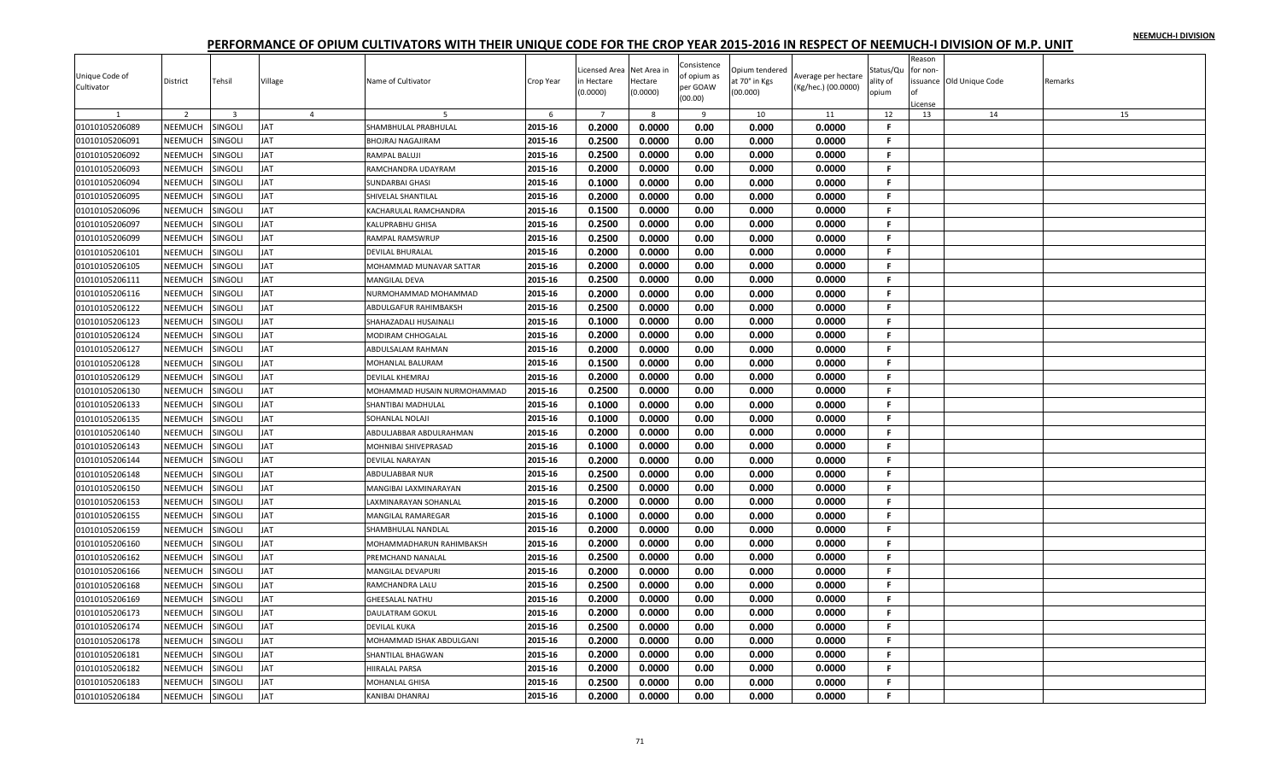| Unique Code of |                |                |                |                             |           | icensed Area   | Net Area in | Consistence<br>of opium as | Opium tendered | Average per hectare | Status/Qu    | Reason<br>for non- |                         |         |
|----------------|----------------|----------------|----------------|-----------------------------|-----------|----------------|-------------|----------------------------|----------------|---------------------|--------------|--------------------|-------------------------|---------|
| Cultivator     | District       | Tehsil         | Village        | Name of Cultivator          | Crop Year | n Hectare      | Hectare     | per GOAW                   | at 70° in Kgs  |                     | ality of     |                    | ssuance Old Unique Code | Remarks |
|                |                |                |                |                             |           | 0.0000         | (0.0000)    | (00.00)                    | (00.000)       | (Kg/hec.) (00.0000) | opium        |                    |                         |         |
|                | $\overline{2}$ | $\overline{3}$ | $\overline{4}$ |                             | 6         | $\overline{7}$ | 8           | 9                          | 10             | 11                  | 12           | .icense<br>13      | 14                      | 15      |
| 01010105206089 | NEEMUCH        | <b>SINGOLI</b> | JAT            | SHAMBHULAL PRABHULAL        | 2015-16   | 0.2000         | 0.0000      | 0.00                       | 0.000          | 0.0000              | F.           |                    |                         |         |
| 01010105206091 | <b>NEEMUCH</b> | SINGOLI        | <b>AT</b>      | <b>BHOJRAJ NAGAJIRAM</b>    | 2015-16   | 0.2500         | 0.0000      | 0.00                       | 0.000          | 0.0000              | F.           |                    |                         |         |
| 01010105206092 | NEEMUCH        | <b>SINGOLI</b> | JAT            |                             | 2015-16   | 0.2500         | 0.0000      | 0.00                       | 0.000          | 0.0000              | F.           |                    |                         |         |
|                | NEEMUCH        |                | JAT            | RAMPAL BALUJI               |           | 0.2000         | 0.0000      |                            |                |                     | F.           |                    |                         |         |
| 01010105206093 |                | <b>SINGOLI</b> |                | RAMCHANDRA UDAYRAM          | 2015-16   |                |             | 0.00                       | 0.000          | 0.0000              |              |                    |                         |         |
| 01010105206094 | NEEMUCH        | <b>SINGOLI</b> | <b>AT</b>      | <b>SUNDARBAI GHASI</b>      | 2015-16   | 0.1000         | 0.0000      | 0.00                       | 0.000          | 0.0000              | F.           |                    |                         |         |
| 01010105206095 | NEEMUCH        | <b>SINGOLI</b> | JAT            | SHIVELAL SHANTILAL          | 2015-16   | 0.2000         | 0.0000      | 0.00                       | 0.000          | 0.0000              | F.           |                    |                         |         |
| 01010105206096 | NEEMUCH        | SINGOLI        | <b>JAT</b>     | KACHARULAL RAMCHANDRA       | 2015-16   | 0.1500         | 0.0000      | 0.00                       | 0.000          | 0.0000              | F            |                    |                         |         |
| 01010105206097 | NEEMUCH        | SINGOLI        | <b>AT</b>      | <b>KALUPRABHU GHISA</b>     | 2015-16   | 0.2500         | 0.0000      | 0.00                       | 0.000          | 0.0000              | F.           |                    |                         |         |
| 01010105206099 | NEEMUCH        | SINGOLI        | JAT            | RAMPAL RAMSWRUP             | 2015-16   | 0.2500         | 0.0000      | 0.00                       | 0.000          | 0.0000              | F.           |                    |                         |         |
| 01010105206101 | NEEMUCH        | SINGOLI        | <b>JAT</b>     | <b>DEVILAL BHURALAL</b>     | 2015-16   | 0.2000         | 0.0000      | 0.00                       | 0.000          | 0.0000              | F.           |                    |                         |         |
| 01010105206105 | NEEMUCH        | SINGOLI        | JAT            | MOHAMMAD MUNAVAR SATTAR     | 2015-16   | 0.2000         | 0.0000      | 0.00                       | 0.000          | 0.0000              | F.           |                    |                         |         |
| 01010105206111 | NEEMUCH        | SINGOLI        | JAT            | <b>MANGILAL DEVA</b>        | 2015-16   | 0.2500         | 0.0000      | 0.00                       | 0.000          | 0.0000              | F.           |                    |                         |         |
| 01010105206116 | NEEMUCH        | SINGOLI        | <b>AT</b>      | NURMOHAMMAD MOHAMMAD        | 2015-16   | 0.2000         | 0.0000      | 0.00                       | 0.000          | 0.0000              | F.           |                    |                         |         |
| 01010105206122 | NEEMUCH        | SINGOLI        | JAT            | ABDULGAFUR RAHIMBAKSH       | 2015-16   | 0.2500         | 0.0000      | 0.00                       | 0.000          | 0.0000              | F.           |                    |                         |         |
| 01010105206123 | NEEMUCH        | SINGOLI        | <b>AT</b>      | SHAHAZADALI HUSAINALI       | 2015-16   | 0.1000         | 0.0000      | 0.00                       | 0.000          | 0.0000              | F.           |                    |                         |         |
| 01010105206124 | NEEMUCH        | SINGOLI        | <b>AT</b>      | MODIRAM CHHOGALAL           | 2015-16   | 0.2000         | 0.0000      | 0.00                       | 0.000          | 0.0000              | $\mathbf{F}$ |                    |                         |         |
| 01010105206127 | NEEMUCH        | SINGOLI        | <b>AT</b>      | ABDULSALAM RAHMAN           | 2015-16   | 0.2000         | 0.0000      | 0.00                       | 0.000          | 0.0000              | F.           |                    |                         |         |
| 01010105206128 | NEEMUCH        | <b>SINGOLI</b> | <b>JAT</b>     | MOHANLAL BALURAM            | 2015-16   | 0.1500         | 0.0000      | 0.00                       | 0.000          | 0.0000              | F.           |                    |                         |         |
| 01010105206129 | NEEMUCH        | <b>SINGOLI</b> | <b>AT</b>      | <b>DEVILAL KHEMRAJ</b>      | 2015-16   | 0.2000         | 0.0000      | 0.00                       | 0.000          | 0.0000              | F.           |                    |                         |         |
| 01010105206130 | NEEMUCH        | <b>SINGOLI</b> | <b>AT</b>      | MOHAMMAD HUSAIN NURMOHAMMAD | 2015-16   | 0.2500         | 0.0000      | 0.00                       | 0.000          | 0.0000              | F.           |                    |                         |         |
| 01010105206133 | NEEMUCH        | <b>SINGOLI</b> | JAT            | SHANTIBAI MADHULAL          | 2015-16   | 0.1000         | 0.0000      | 0.00                       | 0.000          | 0.0000              | F.           |                    |                         |         |
| 01010105206135 | NEEMUCH        | SINGOLI        | <b>AT</b>      | SOHANLAL NOLAJI             | 2015-16   | 0.1000         | 0.0000      | 0.00                       | 0.000          | 0.0000              | F.           |                    |                         |         |
| 01010105206140 | NEEMUCH        | SINGOLI        | <b>AT</b>      | ABDULJABBAR ABDULRAHMAN     | 2015-16   | 0.2000         | 0.0000      | 0.00                       | 0.000          | 0.0000              | F.           |                    |                         |         |
| 01010105206143 | NEEMUCH        | <b>INGOLI</b>  | <b>AT</b>      | MOHNIBAI SHIVEPRASAD        | 2015-16   | 0.1000         | 0.0000      | 0.00                       | 0.000          | 0.0000              | F            |                    |                         |         |
| 01010105206144 | NEEMUCH        | <b>SINGOLI</b> | JAT            | <b>DEVILAL NARAYAN</b>      | 2015-16   | 0.2000         | 0.0000      | 0.00                       | 0.000          | 0.0000              | F.           |                    |                         |         |
| 01010105206148 | NEEMUCH        | <b>SINGOLI</b> | <b>TAL</b>     | ABDULJABBAR NUR             | 2015-16   | 0.2500         | 0.0000      | 0.00                       | 0.000          | 0.0000              | F.           |                    |                         |         |
| 01010105206150 | NEEMUCH        | SINGOLI        | <b>AT</b>      | MANGIBAI LAXMINARAYAN       | 2015-16   | 0.2500         | 0.0000      | 0.00                       | 0.000          | 0.0000              | F.           |                    |                         |         |
| 01010105206153 | NEEMUCH        | SINGOLI        | JAT            | LAXMINARAYAN SOHANLAL       | 2015-16   | 0.2000         | 0.0000      | 0.00                       | 0.000          | 0.0000              | F.           |                    |                         |         |
| 01010105206155 | NEEMUCH        | SINGOLI        | <b>JAT</b>     | <b>MANGILAL RAMAREGAR</b>   | 2015-16   | 0.1000         | 0.0000      | 0.00                       | 0.000          | 0.0000              | F            |                    |                         |         |
| 01010105206159 | NEEMUCH        | SINGOLI        | <b>AT</b>      | SHAMBHULAL NANDLAL          | 2015-16   | 0.2000         | 0.0000      | 0.00                       | 0.000          | 0.0000              | F.           |                    |                         |         |
| 01010105206160 | NEEMUCH        | SINGOLI        | JAT            | MOHAMMADHARUN RAHIMBAKSH    | 2015-16   | 0.2000         | 0.0000      | 0.00                       | 0.000          | 0.0000              | F.           |                    |                         |         |
| 01010105206162 | NEEMUCH        | <b>SINGOLI</b> | <b>TAL</b>     | PREMCHAND NANALAL           | 2015-16   | 0.2500         | 0.0000      | 0.00                       | 0.000          | 0.0000              | F.           |                    |                         |         |
|                | NEEMUCH        | <b>SINGOLI</b> | <b>AT</b>      |                             | 2015-16   | 0.2000         | 0.0000      | 0.00                       | 0.000          | 0.0000              | F.           |                    |                         |         |
| 01010105206166 |                |                |                | MANGILAL DEVAPURI           |           |                |             |                            |                |                     | F.           |                    |                         |         |
| 01010105206168 | NEEMUCH        | SINGOLI        | JAT            | RAMCHANDRA LALU             | 2015-16   | 0.2500         | 0.0000      | 0.00                       | 0.000          | 0.0000              |              |                    |                         |         |
| 01010105206169 | NEEMUCH        | SINGOLI        | <b>AT</b>      | <b>GHEESALAL NATHU</b>      | 2015-16   | 0.2000         | 0.0000      | 0.00                       | 0.000          | 0.0000              | F.           |                    |                         |         |
| 01010105206173 | NEEMUCH        | SINGOLI        | JAT            | <b>DAULATRAM GOKUL</b>      | 2015-16   | 0.2000         | 0.0000      | 0.00                       | 0.000          | 0.0000              | F.           |                    |                         |         |
| 01010105206174 | NEEMUCH        | SINGOLI        | <b>AT</b>      | <b>DEVILAL KUKA</b>         | 2015-16   | 0.2500         | 0.0000      | 0.00                       | 0.000          | 0.0000              | F.           |                    |                         |         |
| 01010105206178 | NEEMUCH        | <b>SINGOLI</b> | JAT            | MOHAMMAD ISHAK ABDULGANI    | 2015-16   | 0.2000         | 0.0000      | 0.00                       | 0.000          | 0.0000              | F.           |                    |                         |         |
| 01010105206181 | NEEMUCH        | SINGOLI        | <b>JAT</b>     | <b>SHANTILAL BHAGWAN</b>    | 2015-16   | 0.2000         | 0.0000      | 0.00                       | 0.000          | 0.0000              | -F.          |                    |                         |         |
| 01010105206182 | NEEMUCH        | SINGOLI        | <b>AT</b>      | <b>HIIRALAL PARSA</b>       | 2015-16   | 0.2000         | 0.0000      | 0.00                       | 0.000          | 0.0000              | F.           |                    |                         |         |
| 01010105206183 | <b>NEEMUCH</b> | <b>SINGOLI</b> | AT             | MOHANLAL GHISA              | 2015-16   | 0.2500         | 0.0000      | 0.00                       | 0.000          | 0.0000              | F.           |                    |                         |         |
| 01010105206184 | NEEMUCH        | <b>SINGOLI</b> | <b>AT</b>      | KANIBAI DHANRAJ             | 2015-16   | 0.2000         | 0.0000      | 0.00                       | 0.000          | 0.0000              | F.           |                    |                         |         |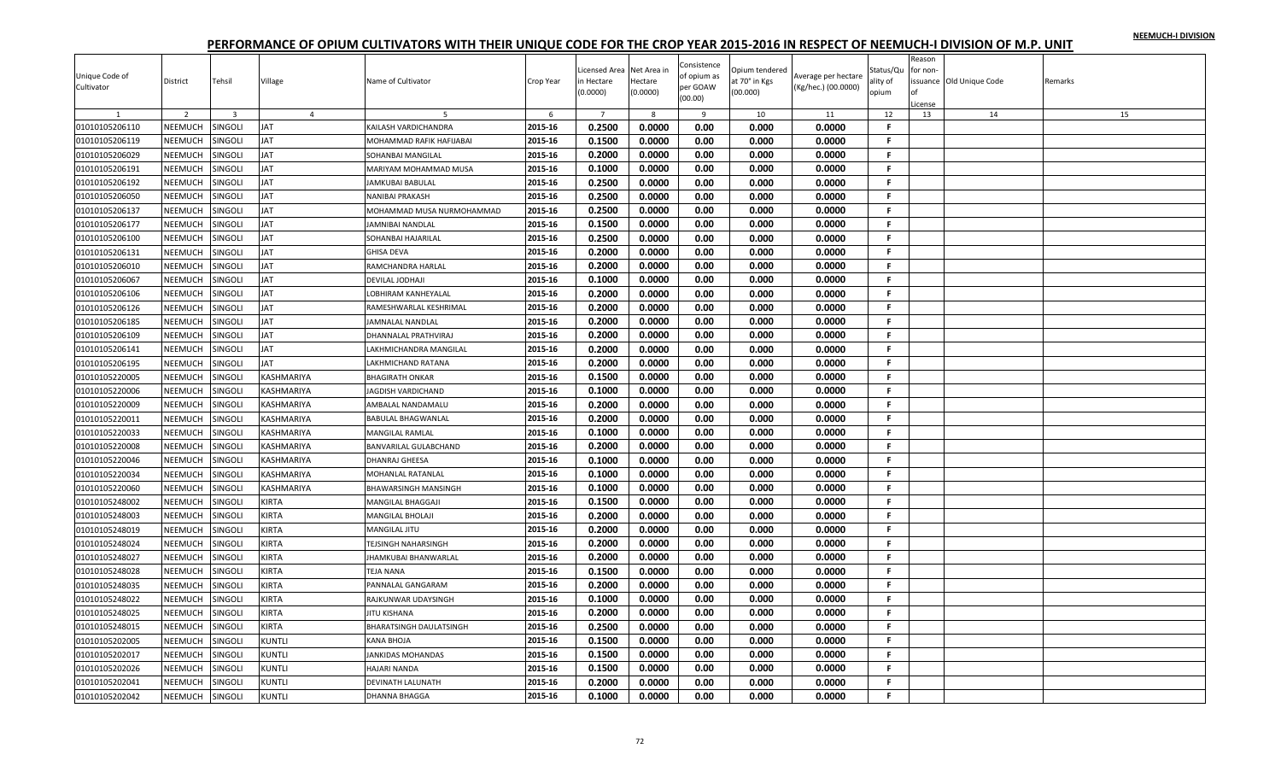| Unique Code of<br>Cultivator | District       | Tehsil                  | Village        | Name of Cultivator              | Crop Year | Licensed Area<br>n Hectare<br>(0.0000) | Net Area ir<br>Hectare<br>(0.0000) | Consistence<br>of opium as<br>per GOAW<br>(00.00) | Opium tendered<br>at 70° in Kgs<br>(00.000) | Average per hectare<br>(Kg/hec.) (00.0000) | Status/Qu<br>ality of<br>opium | Reason<br>for non- | ssuance Old Unique Code | Remarks |
|------------------------------|----------------|-------------------------|----------------|---------------------------------|-----------|----------------------------------------|------------------------------------|---------------------------------------------------|---------------------------------------------|--------------------------------------------|--------------------------------|--------------------|-------------------------|---------|
|                              |                |                         |                |                                 |           |                                        |                                    |                                                   |                                             |                                            |                                | cense              |                         |         |
|                              | 2              | $\overline{\mathbf{3}}$ | $\overline{4}$ |                                 | 6         | $\overline{7}$                         | 8                                  | 9                                                 | 10                                          | 11                                         | 12                             | 13                 | 14                      | 15      |
| 01010105206110               | NEEMUCH        | <b>SINGOLI</b>          | <b>JAT</b>     | KAILASH VARDICHANDRA            | 2015-16   | 0.2500                                 | 0.0000                             | 0.00                                              | 0.000                                       | 0.0000                                     | F                              |                    |                         |         |
| 01010105206119               | <b>NEEMUCH</b> | SINGOLI                 | JAT            | <b>MOHAMMAD RAFIK HAFIJABAI</b> | 2015-16   | 0.1500                                 | 0.0000                             | 0.00                                              | 0.000                                       | 0.0000                                     | F.                             |                    |                         |         |
| 01010105206029               | NEEMUCH        | SINGOLI                 | <b>AT</b>      | SOHANBAI MANGILAL               | 2015-16   | 0.2000                                 | 0.0000                             | 0.00                                              | 0.000                                       | 0.0000                                     | F.                             |                    |                         |         |
| 01010105206191               | NEEMUCH        | SINGOLI                 | <b>AT</b>      | MARIYAM MOHAMMAD MUSA           | 2015-16   | 0.1000                                 | 0.0000                             | 0.00                                              | 0.000                                       | 0.0000                                     | .F.                            |                    |                         |         |
| 01010105206192               | NEEMUCH        | SINGOLI                 | <b>AT</b>      | <b>JAMKUBAI BABULAL</b>         | 2015-16   | 0.2500                                 | 0.0000                             | 0.00                                              | 0.000                                       | 0.0000                                     | -F.                            |                    |                         |         |
| 01010105206050               | NEEMUCH        | SINGOLI                 | AT             | NANIBAI PRAKASH                 | 2015-16   | 0.2500                                 | 0.0000                             | 0.00                                              | 0.000                                       | 0.0000                                     | F.                             |                    |                         |         |
| 01010105206137               | NEEMUCH        | SINGOLI                 | AT             | MOHAMMAD MUSA NURMOHAMMAD       | 2015-16   | 0.2500                                 | 0.0000                             | 0.00                                              | 0.000                                       | 0.0000                                     | F.                             |                    |                         |         |
| 01010105206177               | NEEMUCH        | SINGOLI                 | AT             | <b>AMNIBAI NANDLAL</b>          | 2015-16   | 0.1500                                 | 0.0000                             | 0.00                                              | 0.000                                       | 0.0000                                     | -F.                            |                    |                         |         |
| 01010105206100               | NEEMUCH        | <b>SINGOLI</b>          | <b>AT</b>      | SOHANBAI HAJARILAL              | 2015-16   | 0.2500                                 | 0.0000                             | 0.00                                              | 0.000                                       | 0.0000                                     | -F.                            |                    |                         |         |
| 01010105206131               | NEEMUCH        | SINGOLI                 | <b>AT</b>      | GHISA DEVA                      | 2015-16   | 0.2000                                 | 0.0000                             | 0.00                                              | 0.000                                       | 0.0000                                     | .F.                            |                    |                         |         |
| 01010105206010               | NEEMUCH        | <b>SINGOLI</b>          | <b>AT</b>      | RAMCHANDRA HARLAL               | 2015-16   | 0.2000                                 | 0.0000                             | 0.00                                              | 0.000                                       | 0.0000                                     | F.                             |                    |                         |         |
| 01010105206067               | NEEMUCH        | SINGOLI                 | <b>AT</b>      | DEVILAL JODHAJI                 | 2015-16   | 0.1000                                 | 0.0000                             | 0.00                                              | 0.000                                       | 0.0000                                     | F.                             |                    |                         |         |
| 01010105206106               | NEEMUCH        | SINGOLI                 | AT             | OBHIRAM KANHEYALAL              | 2015-16   | 0.2000                                 | 0.0000                             | 0.00                                              | 0.000                                       | 0.0000                                     | F.                             |                    |                         |         |
| 01010105206126               | NEEMUCH        | SINGOLI                 | AT             | RAMESHWARLAL KESHRIMAL          | 2015-16   | 0.2000                                 | 0.0000                             | 0.00                                              | 0.000                                       | 0.0000                                     | F.                             |                    |                         |         |
| 01010105206185               | NEEMUCH        | <b>SINGOLI</b>          | <b>AT</b>      | <b>JAMNALAL NANDLAL</b>         | 2015-16   | 0.2000                                 | 0.0000                             | 0.00                                              | 0.000                                       | 0.0000                                     | F.                             |                    |                         |         |
| 01010105206109               | NEEMUCH        | SINGOLI                 | ΙAΤ            | DHANNALAL PRATHVIRAJ            | 2015-16   | 0.2000                                 | 0.0000                             | 0.00                                              | 0.000                                       | 0.0000                                     | F.                             |                    |                         |         |
| 01010105206141               | NEEMUCH        | SINGOLI                 | <b>AT</b>      | LAKHMICHANDRA MANGILAL          | 2015-16   | 0.2000                                 | 0.0000                             | 0.00                                              | 0.000                                       | 0.0000                                     | F.                             |                    |                         |         |
| 01010105206195               | NEEMUCH        | SINGOLI                 | AT             | AKHMICHAND RATANA               | 2015-16   | 0.2000                                 | 0.0000                             | 0.00                                              | 0.000                                       | 0.0000                                     | F.                             |                    |                         |         |
| 01010105220005               | NEEMUCH        | <b>SINGOLI</b>          | KASHMARIYA     | <b>BHAGIRATH ONKAR</b>          | 2015-16   | 0.1500                                 | 0.0000                             | 0.00                                              | 0.000                                       | 0.0000                                     | F.                             |                    |                         |         |
| 01010105220006               | NEEMUCH        | <b>SINGOLI</b>          | KASHMARIYA     | AGDISH VARDICHAND               | 2015-16   | 0.1000                                 | 0.0000                             | 0.00                                              | 0.000                                       | 0.0000                                     | -F.                            |                    |                         |         |
| 01010105220009               | NEEMUCH        | SINGOLI                 | KASHMARIYA     | AMBALAL NANDAMALU               | 2015-16   | 0.2000                                 | 0.0000                             | 0.00                                              | 0.000                                       | 0.0000                                     | F.                             |                    |                         |         |
| 01010105220011               | NEEMUCH        | SINGOLI                 | KASHMARIYA     | BABULAL BHAGWANLAL              | 2015-16   | 0.2000                                 | 0.0000                             | 0.00                                              | 0.000                                       | 0.0000                                     | F.                             |                    |                         |         |
| 01010105220033               | NEEMUCH        | SINGOLI                 | KASHMARIYA     | MANGILAL RAMLAL                 | 2015-16   | 0.1000                                 | 0.0000                             | 0.00                                              | 0.000                                       | 0.0000                                     | F.                             |                    |                         |         |
| 01010105220008               | NEEMUCH        | <b>INGOLI</b>           | KASHMARIYA     | BANVARILAL GULABCHAND           | 2015-16   | 0.2000                                 | 0.0000                             | 0.00                                              | 0.000                                       | 0.0000                                     | F.                             |                    |                         |         |
| 01010105220046               | NEEMUCH        | SINGOLI                 | KASHMARIYA     | DHANRAJ GHEESA                  | 2015-16   | 0.1000                                 | 0.0000                             | 0.00                                              | 0.000                                       | 0.0000                                     | F.                             |                    |                         |         |
| 01010105220034               | NEEMUCH        | <b>SINGOLI</b>          | KASHMARIYA     | <b>MOHANLAL RATANLAL</b>        | 2015-16   | 0.1000                                 | 0.0000                             | 0.00                                              | 0.000                                       | 0.0000                                     | -F.                            |                    |                         |         |
| 01010105220060               | NEEMUCH        | SINGOLI                 | KASHMARIYA     | BHAWARSINGH MANSINGH            | 2015-16   | 0.1000                                 | 0.0000                             | 0.00                                              | 0.000                                       | 0.0000                                     | -F.                            |                    |                         |         |
| 01010105248002               | NEEMUCH        | SINGOLI                 | KIRTA          | MANGILAL BHAGGAJI               | 2015-16   | 0.1500                                 | 0.0000                             | 0.00                                              | 0.000                                       | 0.0000                                     | F.                             |                    |                         |         |
| 01010105248003               | NEEMUCH        | SINGOLI                 | KIRTA          | <b>MANGILAL BHOLAJI</b>         | 2015-16   | 0.2000                                 | 0.0000                             | 0.00                                              | 0.000                                       | 0.0000                                     | F.                             |                    |                         |         |
| 01010105248019               | NEEMUCH        | SINGOLI                 | <b>KIRTA</b>   | MANGILAL JITU                   | 2015-16   | 0.2000                                 | 0.0000                             | 0.00                                              | 0.000                                       | 0.0000                                     | F.                             |                    |                         |         |
| 01010105248024               | NEEMUCH        | SINGOLI                 | KIRTA          | TEJSINGH NAHARSINGH             | 2015-16   | 0.2000                                 | 0.0000                             | 0.00                                              | 0.000                                       | 0.0000                                     | -F.                            |                    |                         |         |
| 01010105248027               | NEEMUCH        | SINGOLI                 | KIRTA          | IHAMKUBAI BHANWARLAL            | 2015-16   | 0.2000                                 | 0.0000                             | 0.00                                              | 0.000                                       | 0.0000                                     | F.                             |                    |                         |         |
| 01010105248028               | NEEMUCH        | SINGOLI                 | <b>KIRTA</b>   | TEJA NANA                       | 2015-16   | 0.1500                                 | 0.0000                             | 0.00                                              | 0.000                                       | 0.0000                                     | .F.                            |                    |                         |         |
| 01010105248035               | NEEMUCH        | SINGOLI                 | KIRTA          | PANNALAL GANGARAM               | 2015-16   | 0.2000                                 | 0.0000                             | 0.00                                              | 0.000                                       | 0.0000                                     | F.                             |                    |                         |         |
| 01010105248022               | NEEMUCH        | SINGOLI                 | KIRTA          | RAJKUNWAR UDAYSINGH             | 2015-16   | 0.1000                                 | 0.0000                             | 0.00                                              | 0.000                                       | 0.0000                                     | F.                             |                    |                         |         |
| 01010105248025               | NEEMUCH        | <b>SINGOLI</b>          | KIRTA          | <b>JITU KISHANA</b>             | 2015-16   | 0.2000                                 | 0.0000                             | 0.00                                              | 0.000                                       | 0.0000                                     | F.                             |                    |                         |         |
| 01010105248015               | NEEMUCH        | SINGOLI                 | KIRTA          | BHARATSINGH DAULATSINGH         | 2015-16   | 0.2500                                 | 0.0000                             | 0.00                                              | 0.000                                       | 0.0000                                     | F.                             |                    |                         |         |
|                              |                |                         |                |                                 |           |                                        |                                    |                                                   |                                             |                                            |                                |                    |                         |         |
| 01010105202005               | NEEMUCH        | SINGOLI                 | KUNTLI         | KANA BHOJA                      | 2015-16   | 0.1500                                 | 0.0000                             | 0.00                                              | 0.000                                       | 0.0000                                     | F.<br>-F.                      |                    |                         |         |
| 01010105202017               | NEEMUCH        | SINGOLI                 | KUNTLI         | ANKIDAS MOHANDAS                | 2015-16   | 0.1500                                 | 0.0000                             | 0.00                                              | 0.000                                       | 0.0000                                     |                                |                    |                         |         |
| 01010105202026               | <b>NEEMUCH</b> | <b>INGOLI</b>           | <b>KUNTLI</b>  | <b>HAJARI NANDA</b>             | 2015-16   | 0.1500                                 | 0.0000                             | 0.00                                              | 0.000                                       | 0.0000                                     | F                              |                    |                         |         |
| 01010105202041               | NEEMUCH        | SINGOLI                 | KUNTLI         | DEVINATH LALUNATH               | 2015-16   | 0.2000                                 | 0.0000                             | 0.00                                              | 0.000                                       | 0.0000                                     | F.                             |                    |                         |         |
| 01010105202042               | NEEMUCH        | <b>SINGOLI</b>          | KUNTLI         | DHANNA BHAGGA                   | 2015-16   | 0.1000                                 | 0.0000                             | 0.00                                              | 0.000                                       | 0.0000                                     | F.                             |                    |                         |         |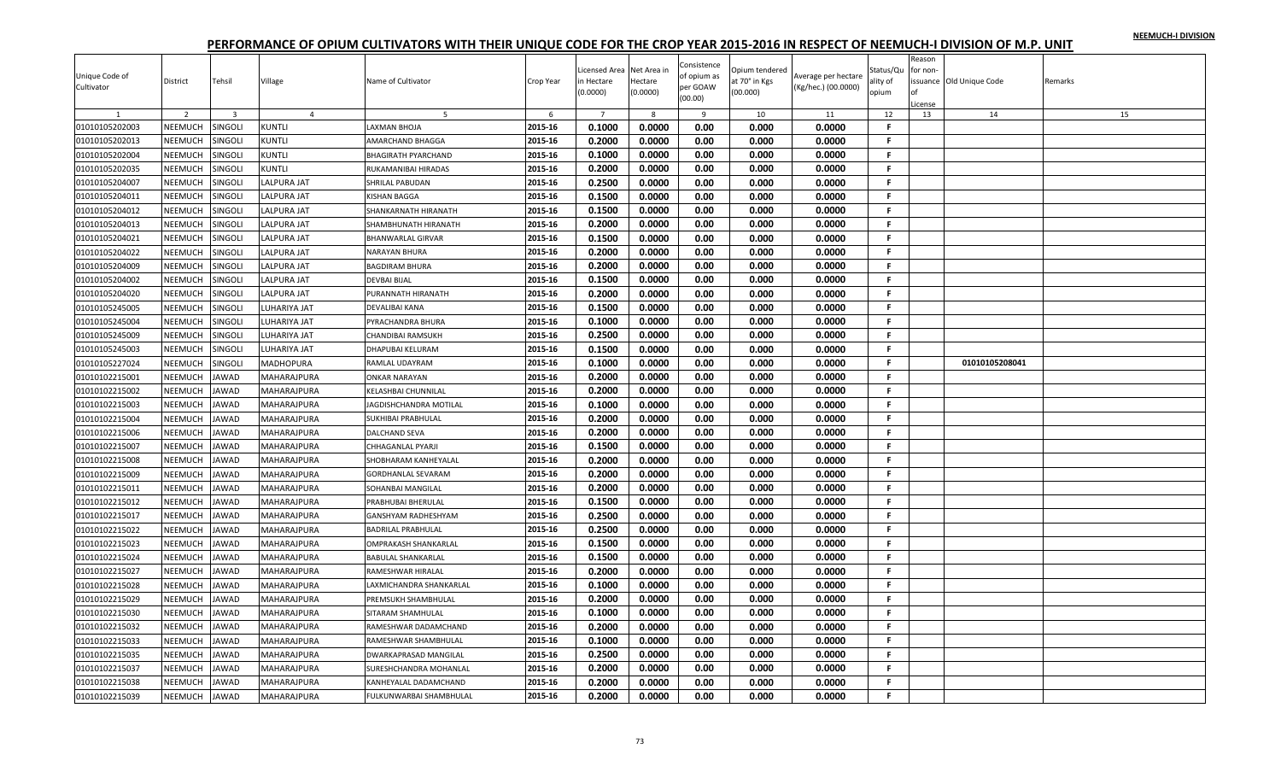| Unique Code of<br>Cultivator | District       | Tehsil                  | Village            | Name of Cultivator           | Crop Year | Licensed Area<br>in Hectare<br>(0.0000) | Net Area ir<br>Hectare<br>(0.0000) | Consistence<br>of opium as<br>per GOAW<br>(00.00) | Opium tendered<br>at 70° in Kgs<br>(00.000) | Average per hectare<br>(Kg/hec.) (00.0000) | Status/Qu<br>ality of<br>opium | Reason<br>for non- | ssuance Old Unique Code | Remarks |
|------------------------------|----------------|-------------------------|--------------------|------------------------------|-----------|-----------------------------------------|------------------------------------|---------------------------------------------------|---------------------------------------------|--------------------------------------------|--------------------------------|--------------------|-------------------------|---------|
|                              |                |                         |                    |                              |           |                                         |                                    |                                                   |                                             |                                            |                                | cense              |                         |         |
|                              | $\overline{2}$ | $\overline{\mathbf{3}}$ | $\overline{4}$     | -5                           | 6         | $\overline{7}$                          | 8                                  | 9                                                 | 10                                          | 11                                         | 12                             | 13                 | 14                      | 15      |
| 01010105202003               | NEEMUCH        | <b>SINGOLI</b>          | KUNTLI             | LAXMAN BHOJA                 | 2015-16   | 0.1000                                  | 0.0000                             | 0.00                                              | 0.000                                       | 0.0000                                     | F                              |                    |                         |         |
| 01010105202013               | NEEMUCH        | <b>SINGOLI</b>          | KUNTLI             | AMARCHAND BHAGGA             | 2015-16   | 0.2000                                  | 0.0000                             | 0.00                                              | 0.000                                       | 0.0000                                     | F.                             |                    |                         |         |
| 01010105202004               | NEEMUCH        | <b>SINGOLI</b>          | KUNTLI             | BHAGIRATH PYARCHAND          | 2015-16   | 0.1000                                  | 0.0000                             | 0.00                                              | 0.000                                       | 0.0000                                     | F.                             |                    |                         |         |
| 01010105202035               | NEEMUCH        | <b>SINGOLI</b>          | <b>KUNTLI</b>      | RUKAMANIBAI HIRADAS          | 2015-16   | 0.2000                                  | 0.0000                             | 0.00                                              | 0.000                                       | 0.0000                                     | F.                             |                    |                         |         |
| 01010105204007               | NEEMUCH        | <b>SINGOLI</b>          | LALPURA JAT        | SHRILAL PABUDAN              | 2015-16   | 0.2500                                  | 0.0000                             | 0.00                                              | 0.000                                       | 0.0000                                     | F.                             |                    |                         |         |
| 01010105204011               | NEEMUCH        | <b>SINGOLI</b>          | LALPURA JAT        | KISHAN BAGGA                 | 2015-16   | 0.1500                                  | 0.0000                             | 0.00                                              | 0.000                                       | 0.0000                                     | F.                             |                    |                         |         |
| 01010105204012               | <b>NEEMUCH</b> | SINGOLI                 | LALPURA JAT        | SHANKARNATH HIRANATH         | 2015-16   | 0.1500                                  | 0.0000                             | 0.00                                              | 0.000                                       | 0.0000                                     | F.                             |                    |                         |         |
| 01010105204013               | NEEMUCH        | SINGOLI                 | LALPURA JAT        | SHAMBHUNATH HIRANATH         | 2015-16   | 0.2000                                  | 0.0000                             | 0.00                                              | 0.000                                       | 0.0000                                     | F.                             |                    |                         |         |
| 01010105204021               | NEEMUCH        | <b>SINGOLI</b>          | LALPURA JAT        | BHANWARLAL GIRVAR            | 2015-16   | 0.1500                                  | 0.0000                             | 0.00                                              | 0.000                                       | 0.0000                                     | F.                             |                    |                         |         |
| 01010105204022               | NEEMUCH        | SINGOLI                 | LALPURA JAT        | NARAYAN BHURA                | 2015-16   | 0.2000                                  | 0.0000                             | 0.00                                              | 0.000                                       | 0.0000                                     | F.                             |                    |                         |         |
| 01010105204009               | NEEMUCH        | SINGOLI                 | LALPURA JAT        | <b>BAGDIRAM BHURA</b>        | 2015-16   | 0.2000                                  | 0.0000                             | 0.00                                              | 0.000                                       | 0.0000                                     | F.                             |                    |                         |         |
| 01010105204002               | NEEMUCH        | SINGOLI                 | LALPURA JAT        | DEVBAI BIJAL                 | 2015-16   | 0.1500                                  | 0.0000                             | 0.00                                              | 0.000                                       | 0.0000                                     | F.                             |                    |                         |         |
| 01010105204020               | NEEMUCH        | SINGOLI                 | LALPURA JAT        | PURANNATH HIRANATH           | 2015-16   | 0.2000                                  | 0.0000                             | 0.00                                              | 0.000                                       | 0.0000                                     | F.                             |                    |                         |         |
| 01010105245005               | NEEMUCH        | SINGOLI                 | LUHARIYA JAT       | DEVALIBAI KANA               | 2015-16   | 0.1500                                  | 0.0000                             | 0.00                                              | 0.000                                       | 0.0000                                     | -F.                            |                    |                         |         |
| 01010105245004               | NEEMUCH        | <b>SINGOLI</b>          | LUHARIYA JAT       | PYRACHANDRA BHURA            | 2015-16   | 0.1000                                  | 0.0000                             | 0.00                                              | 0.000                                       | 0.0000                                     | .F.                            |                    |                         |         |
| 01010105245009               | NEEMUCH        | <b>SINGOLI</b>          | <b>UHARIYA JAT</b> | CHANDIBAI RAMSUKH            | 2015-16   | 0.2500                                  | 0.0000                             | 0.00                                              | 0.000                                       | 0.0000                                     | F.                             |                    |                         |         |
| 01010105245003               | NEEMUCH        | SINGOLI                 | UHARIYA JAT        | DHAPUBAI KELURAM             | 2015-16   | 0.1500                                  | 0.0000                             | 0.00                                              | 0.000                                       | 0.0000                                     | F.                             |                    |                         |         |
| 01010105227024               | NEEMUCH        | SINGOLI                 | MADHOPURA          | RAMLAL UDAYRAM               | 2015-16   | 0.1000                                  | 0.0000                             | 0.00                                              | 0.000                                       | 0.0000                                     | F.                             |                    | 01010105208041          |         |
| 01010102215001               | NEEMUCH        | <b>JAWAD</b>            | MAHARAJPURA        | ONKAR NARAYAN                | 2015-16   | 0.2000                                  | 0.0000                             | 0.00                                              | 0.000                                       | 0.0000                                     | -F.                            |                    |                         |         |
| 01010102215002               | NEEMUCH        | JAWAD                   | MAHARAJPURA        | KELASHBAI CHUNNILAL          | 2015-16   | 0.2000                                  | 0.0000                             | 0.00                                              | 0.000                                       | 0.0000                                     | F.                             |                    |                         |         |
| 01010102215003               | NEEMUCH        | JAWAD                   | MAHARAJPURA        | <b>AGDISHCHANDRA MOTILAL</b> | 2015-16   | 0.1000                                  | 0.0000                             | 0.00                                              | 0.000                                       | 0.0000                                     | F.                             |                    |                         |         |
| 01010102215004               | NEEMUCH        | <b>JAWAD</b>            | MAHARAJPURA        | SUKHIBAI PRABHULAL           | 2015-16   | 0.2000                                  | 0.0000                             | 0.00                                              | 0.000                                       | 0.0000                                     | -F.                            |                    |                         |         |
| 01010102215006               | NEEMUCH        | JAWAD                   | MAHARAJPURA        | DALCHAND SEVA                | 2015-16   | 0.2000                                  | 0.0000                             | 0.00                                              | 0.000                                       | 0.0000                                     | F.                             |                    |                         |         |
| 01010102215007               | NEEMUCH        | JAWAD                   | MAHARAJPURA        | CHHAGANLAL PYARJI            | 2015-16   | 0.1500                                  | 0.0000                             | 0.00                                              | 0.000                                       | 0.0000                                     | F.                             |                    |                         |         |
| 01010102215008               | NEEMUCH        | <b>JAWAD</b>            | MAHARAJPURA        | SHOBHARAM KANHEYALAL         | 2015-16   | 0.2000                                  | 0.0000                             | 0.00                                              | 0.000                                       | 0.0000                                     | F.                             |                    |                         |         |
| 01010102215009               | NEEMUCH        | JAWAD                   | MAHARAJPURA        | <b>GORDHANLAL SEVARAM</b>    | 2015-16   | 0.2000                                  | 0.0000                             | 0.00                                              | 0.000                                       | 0.0000                                     | F.                             |                    |                         |         |
| 01010102215011               | NEEMUCH        | JAWAD                   | MAHARAJPURA        | SOHANBAI MANGILAL            | 2015-16   | 0.2000                                  | 0.0000                             | 0.00                                              | 0.000                                       | 0.0000                                     | .F.                            |                    |                         |         |
| 01010102215012               | NEEMUCH        | <b>JAWAD</b>            | MAHARAJPURA        | PRABHUBAI BHERULAL           | 2015-16   | 0.1500                                  | 0.0000                             | 0.00                                              | 0.000                                       | 0.0000                                     | F.                             |                    |                         |         |
| 01010102215017               | NEEMUCH        | <b>AWAD</b>             | MAHARAJPURA        | GANSHYAM RADHESHYAM          | 2015-16   | 0.2500                                  | 0.0000                             | 0.00                                              | 0.000                                       | 0.0000                                     | F.                             |                    |                         |         |
| 01010102215022               | NEEMUCH        | JAWAD                   | MAHARAJPURA        | BADRILAL PRABHULAL           | 2015-16   | 0.2500                                  | 0.0000                             | 0.00                                              | 0.000                                       | 0.0000                                     | F.                             |                    |                         |         |
| 01010102215023               | NEEMUCH        | JAWAD                   | MAHARAJPURA        | OMPRAKASH SHANKARLAL         | 2015-16   | 0.1500                                  | 0.0000                             | 0.00                                              | 0.000                                       | 0.0000                                     | -F.                            |                    |                         |         |
| 01010102215024               | NEEMUCH        | JAWAD                   | MAHARAJPURA        | <b>BABULAL SHANKARLAL</b>    | 2015-16   | 0.1500                                  | 0.0000                             | 0.00                                              | 0.000                                       | 0.0000                                     | F.                             |                    |                         |         |
| 01010102215027               | NEEMUCH        | JAWAD                   | MAHARAJPURA        | RAMESHWAR HIRALAL            | 2015-16   | 0.2000                                  | 0.0000                             | 0.00                                              | 0.000                                       | 0.0000                                     | .F.                            |                    |                         |         |
| 01010102215028               | NEEMUCH        | <b>AWAD</b>             | MAHARAJPURA        | LAXMICHANDRA SHANKARLAL      | 2015-16   | 0.1000                                  | 0.0000                             | 0.00                                              | 0.000                                       | 0.0000                                     | F.                             |                    |                         |         |
|                              |                |                         |                    |                              |           |                                         |                                    |                                                   |                                             |                                            | F.                             |                    |                         |         |
| 01010102215029               | NEEMUCH        | JAWAD                   | MAHARAJPURA        | PREMSUKH SHAMBHULAL          | 2015-16   | 0.2000                                  | 0.0000                             | 0.00                                              | 0.000                                       | 0.0000                                     |                                |                    |                         |         |
| 01010102215030               | NEEMUCH        | JAWAD                   | MAHARAJPURA        | SITARAM SHAMHULAL            | 2015-16   | 0.1000                                  | 0.0000                             | 0.00                                              | 0.000                                       | 0.0000                                     | F.                             |                    |                         |         |
| 01010102215032               | NEEMUCH        | <b>JAWAD</b>            | MAHARAJPURA        | RAMESHWAR DADAMCHAND         | 2015-16   | 0.2000                                  | 0.0000                             | 0.00                                              | 0.000                                       | 0.0000                                     | F.                             |                    |                         |         |
| 01010102215033               | NEEMUCH        | JAWAD                   | MAHARAJPURA        | RAMESHWAR SHAMBHULAL         | 2015-16   | 0.1000                                  | 0.0000                             | 0.00                                              | 0.000                                       | 0.0000                                     | F.                             |                    |                         |         |
| 01010102215035               | NEEMUCH        | JAWAD                   | MAHARAJPURA        | DWARKAPRASAD MANGILAL        | 2015-16   | 0.2500                                  | 0.0000                             | 0.00                                              | 0.000                                       | 0.0000                                     | F.                             |                    |                         |         |
| 01010102215037               | <b>NEEMUCH</b> | <b>IAWAD</b>            | MAHARAJPURA        | SURESHCHANDRA MOHANLAL       | 2015-16   | 0.2000                                  | 0.0000                             | 0.00                                              | 0.000                                       | 0.0000                                     | F                              |                    |                         |         |
| 01010102215038               | NEEMUCH        | <b>AWAD</b>             | MAHARAJPURA        | KANHEYALAL DADAMCHAND        | 2015-16   | 0.2000                                  | 0.0000                             | 0.00                                              | 0.000                                       | 0.0000                                     | F.                             |                    |                         |         |
| 01010102215039               | NEEMUCH        | <b>JAWAD</b>            | MAHARAJPURA        | FULKUNWARBAI SHAMBHULAL      | 2015-16   | 0.2000                                  | 0.0000                             | 0.00                                              | 0.000                                       | 0.0000                                     | F.                             |                    |                         |         |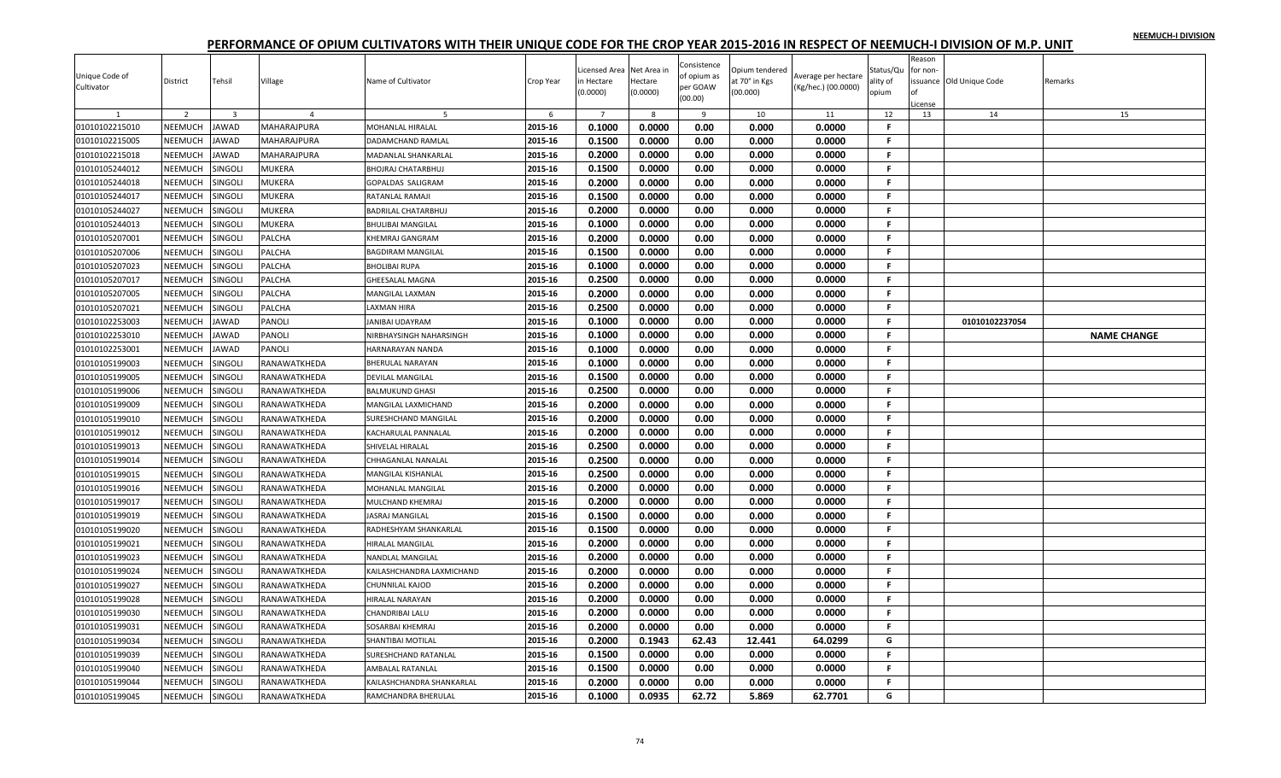|                |                |                         |               |                                       |           | icensed Area   | Net Area in | Consistence | Opium tendered |                     | Status/Qu    | Reason<br>for non- |                         |                    |
|----------------|----------------|-------------------------|---------------|---------------------------------------|-----------|----------------|-------------|-------------|----------------|---------------------|--------------|--------------------|-------------------------|--------------------|
| Unique Code of | District       | Tehsil                  | Village       | Name of Cultivator                    | Crop Year | n Hectare      | Hectare     | of opium as | at 70° in Kgs  | Average per hectare | ality of     |                    | ssuance Old Unique Code | Remarks            |
| Cultivator     |                |                         |               |                                       |           | 0.0000         | (0.0000)    | per GOAW    | (00.000)       | (Kg/hec.) (00.0000) | opium        |                    |                         |                    |
|                |                |                         |               |                                       |           |                |             | (00.00)     |                |                     |              | .icense            |                         |                    |
|                | $\overline{2}$ | $\overline{\mathbf{3}}$ |               | -5                                    | 6         | $\overline{7}$ | 8           | 9           | 10             | 11                  | 12           | 13                 | 14                      | 15                 |
| 01010102215010 | NEEMUCH        | <b>JAWAD</b>            | MAHARAJPURA   | <b>MOHANLAL HIRALAL</b>               | 2015-16   | 0.1000         | 0.0000      | 0.00        | 0.000          | 0.0000              | F.           |                    |                         |                    |
| 01010102215005 | <b>NEEMUCH</b> | JAWAD                   | MAHARAJPURA   | DADAMCHAND RAMLAL                     | 2015-16   | 0.1500         | 0.0000      | 0.00        | 0.000          | 0.0000              | F.           |                    |                         |                    |
| 01010102215018 | NEEMUCH        | <b>JAWAD</b>            | MAHARAJPURA   | <b>MADANLAL SHANKARLAL</b>            | 2015-16   | 0.2000         | 0.0000      | 0.00        | 0.000          | 0.0000              | F.           |                    |                         |                    |
| 01010105244012 | NEEMUCH        | SINGOLI                 | <b>MUKERA</b> | <b>BHOJRAJ CHATARBHUJ</b>             | 2015-16   | 0.1500         | 0.0000      | 0.00        | 0.000          | 0.0000              | F.           |                    |                         |                    |
| 01010105244018 | NEEMUCH        | SINGOLI                 | MUKERA        | GOPALDAS SALIGRAM                     | 2015-16   | 0.2000         | 0.0000      | 0.00        | 0.000          | 0.0000              | F.           |                    |                         |                    |
| 01010105244017 | NEEMUCH        | SINGOLI                 | <b>MUKERA</b> | RATANLAL RAMAJI                       | 2015-16   | 0.1500         | 0.0000      | 0.00        | 0.000          | 0.0000              | F.           |                    |                         |                    |
| 01010105244027 | NEEMUCH        | SINGOLI                 | MUKERA        | <b>BADRILAL CHATARBHUJ</b>            | 2015-16   | 0.2000         | 0.0000      | 0.00        | 0.000          | 0.0000              | F            |                    |                         |                    |
| 01010105244013 | NEEMUCH        | SINGOLI                 | MUKERA        | <b>BHULIBAI MANGILAL</b>              | 2015-16   | 0.1000         | 0.0000      | 0.00        | 0.000          | 0.0000              | F.           |                    |                         |                    |
| 01010105207001 | NEEMUCH        | SINGOLI                 | PALCHA        | <b>KHEMRAJ GANGRAM</b>                | 2015-16   | 0.2000         | 0.0000      | 0.00        | 0.000          | 0.0000              | F.           |                    |                         |                    |
| 01010105207006 | NEEMUCH        | SINGOLI                 | PALCHA        | <b>BAGDIRAM MANGILAL</b>              | 2015-16   | 0.1500         | 0.0000      | 0.00        | 0.000          | 0.0000              | F.           |                    |                         |                    |
| 01010105207023 | NEEMUCH        | SINGOLI                 | PALCHA        | <b>BHOLIBAI RUPA</b>                  | 2015-16   | 0.1000         | 0.0000      | 0.00        | 0.000          | 0.0000              | F.           |                    |                         |                    |
| 01010105207017 | NEEMUCH        | SINGOLI                 | PALCHA        | <b>GHEESALAL MAGNA</b>                | 2015-16   | 0.2500         | 0.0000      | 0.00        | 0.000          | 0.0000              | F            |                    |                         |                    |
| 01010105207005 | NEEMUCH        | SINGOLI                 | PALCHA        | MANGILAL LAXMAN                       | 2015-16   | 0.2000         | 0.0000      | 0.00        | 0.000          | 0.0000              | F.           |                    |                         |                    |
| 01010105207021 | NEEMUCH        | <b>SINGOLI</b>          | PALCHA        | LAXMAN HIRA                           | 2015-16   | 0.2500         | 0.0000      | 0.00        | 0.000          | 0.0000              | F.           |                    |                         |                    |
| 01010102253003 | NEEMUCH        | <b>JAWAD</b>            | PANOLI        | <b>JANIBAI UDAYRAM</b>                | 2015-16   | 0.1000         | 0.0000      | 0.00        | 0.000          | 0.0000              | F.           |                    | 01010102237054          |                    |
| 01010102253010 | NEEMUCH        | <b>JAWAD</b>            | PANOLI        | NIRBHAYSINGH NAHARSINGH               | 2015-16   | 0.1000         | 0.0000      | 0.00        | 0.000          | 0.0000              | F.           |                    |                         | <b>NAME CHANGE</b> |
| 01010102253001 | NEEMUCH        | <b>JAWAD</b>            | PANOLI        | HARNARAYAN NANDA                      | 2015-16   | 0.1000         | 0.0000      | 0.00        | 0.000          | 0.0000              | F.           |                    |                         |                    |
| 01010105199003 | NEEMUCH        | SINGOLI                 | RANAWATKHEDA  | <b>BHERULAL NARAYAN</b>               | 2015-16   | 0.1000         | 0.0000      | 0.00        | 0.000          | 0.0000              | F            |                    |                         |                    |
| 01010105199005 | NEEMUCH        | SINGOLI                 | RANAWATKHEDA  | <b>DEVILAL MANGILAL</b>               | 2015-16   | 0.1500         | 0.0000      | 0.00        | 0.000          | 0.0000              | F.           |                    |                         |                    |
| 01010105199006 | NEEMUCH        | SINGOLI                 | RANAWATKHEDA  | <b>BALMUKUND GHASI</b>                | 2015-16   | 0.2500         | 0.0000      | 0.00        | 0.000          | 0.0000              | F.           |                    |                         |                    |
| 01010105199009 | NEEMUCH        | <b>SINGOLI</b>          | RANAWATKHEDA  | MANGILAL LAXMICHAND                   | 2015-16   | 0.2000         | 0.0000      | 0.00        | 0.000          | 0.0000              | $\mathbf{F}$ |                    |                         |                    |
| 01010105199010 | NEEMUCH        | SINGOLI                 | RANAWATKHEDA  | SURESHCHAND MANGILAL                  | 2015-16   | 0.2000         | 0.0000      | 0.00        | 0.000          | 0.0000              | F.           |                    |                         |                    |
| 01010105199012 | NEEMUCH        | <b>SINGOLI</b>          | RANAWATKHEDA  | KACHARULAL PANNALAL                   | 2015-16   | 0.2000         | 0.0000      | 0.00        | 0.000          | 0.0000              | F.           |                    |                         |                    |
| 01010105199013 | <b>NEEMUCH</b> | SINGOLI                 | RANAWATKHEDA  | SHIVELAL HIRALAL                      | 2015-16   | 0.2500         | 0.0000      | 0.00        | 0.000          | 0.0000              | F.           |                    |                         |                    |
| 01010105199014 | NEEMUCH        | SINGOLI                 | RANAWATKHEDA  | CHHAGANLAL NANALAL                    | 2015-16   | 0.2500         | 0.0000      | 0.00        | 0.000          | 0.0000              | F.           |                    |                         |                    |
| 01010105199015 | NEEMUCH        | <b>SINGOLI</b>          | RANAWATKHEDA  | MANGILAL KISHANLAL                    | 2015-16   | 0.2500         | 0.0000      | 0.00        | 0.000          | 0.0000              | F.           |                    |                         |                    |
| 01010105199016 | NEEMUCH        | SINGOLI                 | RANAWATKHEDA  | MOHANLAL MANGILAL                     | 2015-16   | 0.2000         | 0.0000      | 0.00        | 0.000          | 0.0000              | -F.          |                    |                         |                    |
| 01010105199017 | NEEMUCH        | SINGOLI                 | RANAWATKHEDA  | MULCHAND KHEMRAJ                      | 2015-16   | 0.2000         | 0.0000      | 0.00        | 0.000          | 0.0000              | F.           |                    |                         |                    |
| 01010105199019 | NEEMUCH        | SINGOLI                 | RANAWATKHEDA  | JASRAJ MANGILAL                       | 2015-16   | 0.1500         | 0.0000      | 0.00        | 0.000          | 0.0000              | -F           |                    |                         |                    |
| 01010105199020 | NEEMUCH        | SINGOLI                 | RANAWATKHEDA  | RADHESHYAM SHANKARLAL                 | 2015-16   | 0.1500         | 0.0000      | 0.00        | 0.000          | 0.0000              | F.           |                    |                         |                    |
| 01010105199021 | NEEMUCH        | <b>SINGOLI</b>          | RANAWATKHEDA  | HIRALAL MANGILAL                      | 2015-16   | 0.2000         | 0.0000      | 0.00        | 0.000          | 0.0000              | F.           |                    |                         |                    |
| 01010105199023 | NEEMUCH        | SINGOLI                 | RANAWATKHEDA  | <b>NANDLAL MANGILAL</b>               | 2015-16   | 0.2000         | 0.0000      | 0.00        | 0.000          | 0.0000              | F.           |                    |                         |                    |
| 01010105199024 | NEEMUCH        | SINGOLI                 | RANAWATKHEDA  | KAILASHCHANDRA LAXMICHAND             | 2015-16   | 0.2000         | 0.0000      | 0.00        | 0.000          | 0.0000              | F.           |                    |                         |                    |
| 01010105199027 | NEEMUCH        | <b>SINGOLI</b>          | RANAWATKHEDA  | <b>CHUNNILAL KAJOD</b>                | 2015-16   | 0.2000         | 0.0000      | 0.00        | 0.000          | 0.0000              | F.           |                    |                         |                    |
| 01010105199028 | <b>NEEMUCH</b> | SINGOLI                 | RANAWATKHEDA  | HIRALAL NARAYAN                       | 2015-16   | 0.2000         | 0.0000      | 0.00        | 0.000          | 0.0000              | F.           |                    |                         |                    |
| 01010105199030 | NEEMUCH        | <b>SINGOLI</b>          | RANAWATKHEDA  | CHANDRIBAI LALU                       | 2015-16   | 0.2000         | 0.0000      | 0.00        | 0.000          | 0.0000              | F.           |                    |                         |                    |
| 01010105199031 | <b>NEEMUCH</b> | <b>SINGOLI</b>          | RANAWATKHEDA  |                                       | 2015-16   | 0.2000         | 0.0000      | 0.00        | 0.000          | 0.0000              | F.           |                    |                         |                    |
|                | NEEMUCH        | SINGOLI                 | RANAWATKHEDA  | SOSARBAI KHEMRAJ<br>SHANTIBAI MOTILAL | 2015-16   | 0.2000         | 0.1943      | 62.43       | 12.441         | 64.0299             | G            |                    |                         |                    |
| 01010105199034 |                |                         |               |                                       |           |                |             |             |                |                     | F.           |                    |                         |                    |
| 01010105199039 | NEEMUCH        | SINGOLI                 | RANAWATKHEDA  | SURESHCHAND RATANLAL                  | 2015-16   | 0.1500         | 0.0000      | 0.00        | 0.000          | 0.0000              | F            |                    |                         |                    |
| 01010105199040 | <b>NEEMUCH</b> | SINGOLI                 | RANAWATKHEDA  | <b>AMBALAL RATANLAL</b>               | 2015-16   | 0.1500         | 0.0000      | 0.00        | 0.000          | 0.0000              |              |                    |                         |                    |
| 01010105199044 | <b>NEEMUCH</b> | SINGOLI                 | RANAWATKHEDA  | KAILASHCHANDRA SHANKARLAL             | 2015-16   | 0.2000         | 0.0000      | 0.00        | 0.000          | 0.0000              | F.           |                    |                         |                    |
| 01010105199045 | NEEMUCH        | SINGOLI                 | RANAWATKHEDA  | RAMCHANDRA BHERULAL                   | 2015-16   | 0.1000         | 0.0935      | 62.72       | 5.869          | 62.7701             | G            |                    |                         |                    |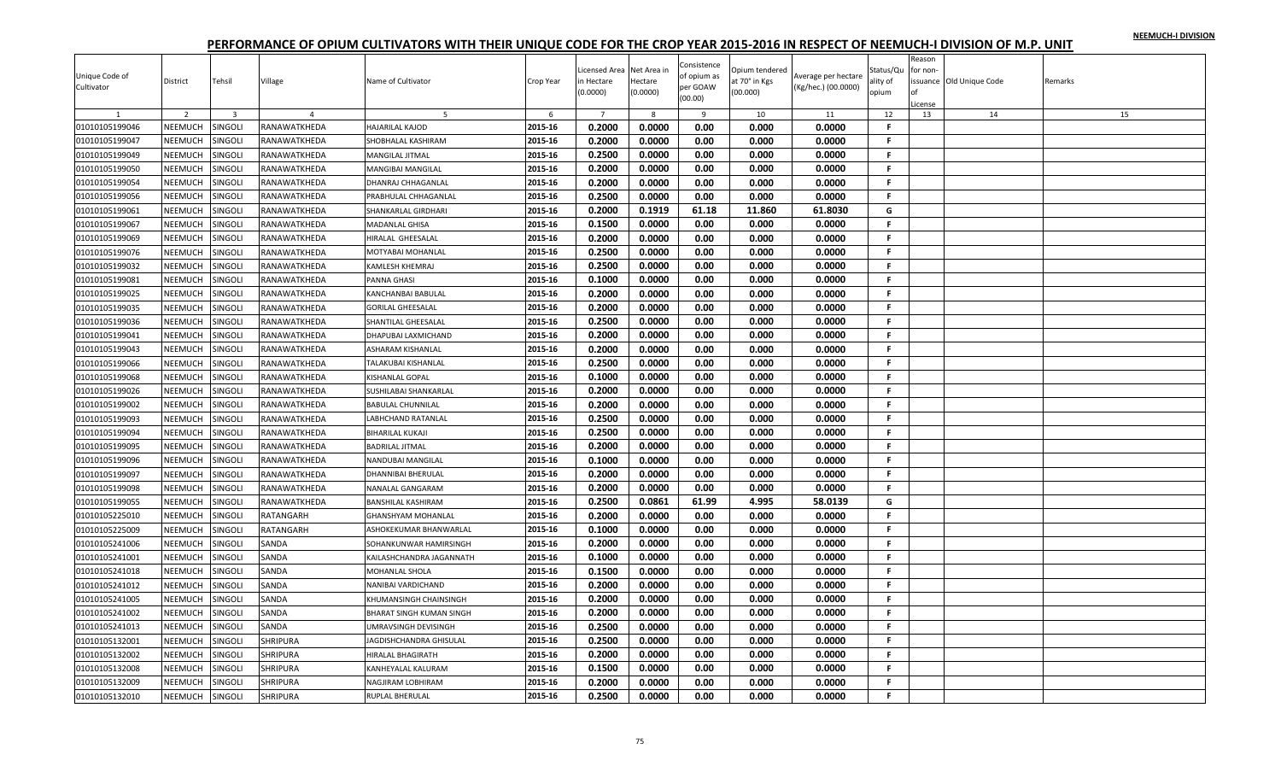|                |                |                         |                 |                                 |           |                     |                     | Consistence |                           |                     |                   | Reason   |                         |         |
|----------------|----------------|-------------------------|-----------------|---------------------------------|-----------|---------------------|---------------------|-------------|---------------------------|---------------------|-------------------|----------|-------------------------|---------|
| Unique Code of |                |                         |                 |                                 |           | icensed Area        | Net Area in         | of opium as | Opium tendered            | Average per hectare | Status/Qu         | for non- |                         |         |
| Cultivator     | District       | Tehsil                  | Village         | Name of Cultivator              | Crop Year | n Hectare<br>0.0000 | Hectare<br>(0.0000) | per GOAW    | at 70° in Kgs<br>(00.000) | (Kg/hec.) (00.0000) | ality of<br>opium |          | ssuance Old Unique Code | Remarks |
|                |                |                         |                 |                                 |           |                     |                     | (00.00)     |                           |                     |                   | License  |                         |         |
|                | $\overline{2}$ | $\overline{\mathbf{3}}$ | $\overline{a}$  | -5                              | 6         | $\overline{7}$      | $\mathbf{g}$        | 9           | 10                        | 11                  | 12                | 13       | 14                      | 15      |
| 01010105199046 | NEEMUCH        | SINGOLI                 | RANAWATKHEDA    | <b>HAJARILAL KAJOD</b>          | 2015-16   | 0.2000              | 0.0000              | 0.00        | 0.000                     | 0.0000              | F.                |          |                         |         |
| 01010105199047 | <b>NEEMUCH</b> | SINGOLI                 | RANAWATKHEDA    | SHOBHALAL KASHIRAM              | 2015-16   | 0.2000              | 0.0000              | 0.00        | 0.000                     | 0.0000              | F.                |          |                         |         |
| 01010105199049 | NEEMUCH        | <b>SINGOLI</b>          | RANAWATKHEDA    | <b>MANGILAL JITMAL</b>          | 2015-16   | 0.2500              | 0.0000              | 0.00        | 0.000                     | 0.0000              | F.                |          |                         |         |
| 01010105199050 | NEEMUCH        | SINGOLI                 | RANAWATKHEDA    | <b>MANGIBAI MANGILAL</b>        | 2015-16   | 0.2000              | 0.0000              | 0.00        | 0.000                     | 0.0000              | F.                |          |                         |         |
| 01010105199054 | NEEMUCH        | SINGOLI                 | RANAWATKHEDA    | DHANRAJ CHHAGANLAL              | 2015-16   | 0.2000              | 0.0000              | 0.00        | 0.000                     | 0.0000              | F.                |          |                         |         |
|                | NEEMUCH        |                         |                 |                                 |           | 0.2500              |                     |             |                           |                     | F.                |          |                         |         |
| 01010105199056 |                | <b>SINGOLI</b>          | RANAWATKHEDA    | PRABHULAL CHHAGANLAL            | 2015-16   |                     | 0.0000              | 0.00        | 0.000                     | 0.0000              |                   |          |                         |         |
| 01010105199061 | NEEMUCH        | <b>SINGOLI</b>          | RANAWATKHEDA    | SHANKARLAL GIRDHARI             | 2015-16   | 0.2000              | 0.1919              | 61.18       | 11.860                    | 61.8030             | G                 |          |                         |         |
| 01010105199067 | NEEMUCH        | SINGOLI                 | RANAWATKHEDA    | MADANLAL GHISA                  | 2015-16   | 0.1500              | 0.0000              | 0.00        | 0.000                     | 0.0000              | F.                |          |                         |         |
| 01010105199069 | NEEMUCH        | <b>SINGOLI</b>          | RANAWATKHEDA    | HIRALAL GHEESALAL               | 2015-16   | 0.2000              | 0.0000              | 0.00        | 0.000                     | 0.0000              | F.                |          |                         |         |
| 01010105199076 | NEEMUCH        | <b>SINGOLI</b>          | RANAWATKHEDA    | <b>MOTYABAI MOHANLAL</b>        | 2015-16   | 0.2500              | 0.0000              | 0.00        | 0.000                     | 0.0000              | F.                |          |                         |         |
| 01010105199032 | NEEMUCH        | <b>SINGOLI</b>          | RANAWATKHEDA    | <b>KAMLESH KHEMRAJ</b>          | 2015-16   | 0.2500              | 0.0000              | 0.00        | 0.000                     | 0.0000              | F.                |          |                         |         |
| 01010105199081 | NEEMUCH        | <b>SINGOLI</b>          | RANAWATKHEDA    | PANNA GHASI                     | 2015-16   | 0.1000              | 0.0000              | 0.00        | 0.000                     | 0.0000              | F.                |          |                         |         |
| 01010105199025 | NEEMUCH        | <b>SINGOLI</b>          | RANAWATKHEDA    | KANCHANBAI BABULAL              | 2015-16   | 0.2000              | 0.0000              | 0.00        | 0.000                     | 0.0000              | F.                |          |                         |         |
| 01010105199035 | NEEMUCH        | SINGOLI                 | RANAWATKHEDA    | <b>GORILAL GHEESALAL</b>        | 2015-16   | 0.2000              | 0.0000              | 0.00        | 0.000                     | 0.0000              | F.                |          |                         |         |
| 01010105199036 | NEEMUCH        | <b>SINGOLI</b>          | RANAWATKHEDA    | SHANTILAL GHEESALAL             | 2015-16   | 0.2500              | 0.0000              | 0.00        | 0.000                     | 0.0000              | F.                |          |                         |         |
| 01010105199041 | NEEMUCH        | SINGOLI                 | RANAWATKHEDA    | DHAPUBAI LAXMICHAND             | 2015-16   | 0.2000              | 0.0000              | 0.00        | 0.000                     | 0.0000              | $\mathbf{F}$      |          |                         |         |
| 01010105199043 | NEEMUCH        | SINGOLI                 | RANAWATKHEDA    | ASHARAM KISHANLAL               | 2015-16   | 0.2000              | 0.0000              | 0.00        | 0.000                     | 0.0000              | F.                |          |                         |         |
| 01010105199066 | NEEMUCH        | <b>SINGOLI</b>          | RANAWATKHEDA    | TALAKUBAI KISHANLAL             | 2015-16   | 0.2500              | 0.0000              | 0.00        | 0.000                     | 0.0000              | F.                |          |                         |         |
| 01010105199068 | NEEMUCH        | SINGOLI                 | RANAWATKHEDA    | KISHANLAL GOPAL                 | 2015-16   | 0.1000              | 0.0000              | 0.00        | 0.000                     | 0.0000              | F.                |          |                         |         |
| 01010105199026 | NEEMUCH        | <b>SINGOLI</b>          | RANAWATKHEDA    | SUSHILABAI SHANKARLAL           | 2015-16   | 0.2000              | 0.0000              | 0.00        | 0.000                     | 0.0000              | F.                |          |                         |         |
| 01010105199002 | NEEMUCH        | SINGOLI                 | RANAWATKHEDA    | <b>BABULAL CHUNNILAL</b>        | 2015-16   | 0.2000              | 0.0000              | 0.00        | 0.000                     | 0.0000              | F.                |          |                         |         |
| 01010105199093 | NEEMUCH        | SINGOLI                 | RANAWATKHEDA    | <b>LABHCHAND RATANLAL</b>       | 2015-16   | 0.2500              | 0.0000              | 0.00        | 0.000                     | 0.0000              | F.                |          |                         |         |
| 01010105199094 | NEEMUCH        | <b>SINGOLI</b>          | RANAWATKHEDA    | <b>BIHARILAL KUKAJI</b>         | 2015-16   | 0.2500              | 0.0000              | 0.00        | 0.000                     | 0.0000              | F.                |          |                         |         |
|                |                |                         |                 |                                 |           |                     |                     |             |                           |                     | F                 |          |                         |         |
| 01010105199095 | <b>NEEMUCH</b> | SINGOLI                 | RANAWATKHEDA    | <b>BADRILAL JITMAL</b>          | 2015-16   | 0.2000              | 0.0000              | 0.00        | 0.000                     | 0.0000              |                   |          |                         |         |
| 01010105199096 | NEEMUCH        | <b>SINGOLI</b>          | RANAWATKHEDA    | NANDUBAI MANGILAL               | 2015-16   | 0.1000              | 0.0000              | 0.00        | 0.000                     | 0.0000              | F.                |          |                         |         |
| 01010105199097 | NEEMUCH        | SINGOLI                 | RANAWATKHEDA    | <b>DHANNIBAI BHERULAL</b>       | 2015-16   | 0.2000              | 0.0000              | 0.00        | 0.000                     | 0.0000              | F.                |          |                         |         |
| 01010105199098 | NEEMUCH        | <b>SINGOLI</b>          | RANAWATKHEDA    | NANALAL GANGARAM                | 2015-16   | 0.2000              | 0.0000              | 0.00        | 0.000                     | 0.0000              | F.                |          |                         |         |
| 01010105199055 | NEEMUCH        | <b>SINGOLI</b>          | RANAWATKHEDA    | <b>BANSHILAL KASHIRAM</b>       | 2015-16   | 0.2500              | 0.0861              | 61.99       | 4.995                     | 58.0139             | G                 |          |                         |         |
| 01010105225010 | NEEMUCH        | <b>SINGOLI</b>          | RATANGARH       | <b>GHANSHYAM MOHANLAL</b>       | 2015-16   | 0.2000              | 0.0000              | 0.00        | 0.000                     | 0.0000              | F                 |          |                         |         |
| 01010105225009 | NEEMUCH        | SINGOLI                 | RATANGARH       | ASHOKEKUMAR BHANWARLAL          | 2015-16   | 0.1000              | 0.0000              | 0.00        | 0.000                     | 0.0000              | F.                |          |                         |         |
| 01010105241006 | NEEMUCH        | <b>SINGOLI</b>          | SANDA           | SOHANKUNWAR HAMIRSINGH          | 2015-16   | 0.2000              | 0.0000              | 0.00        | 0.000                     | 0.0000              | F.                |          |                         |         |
| 01010105241001 | NEEMUCH        | <b>SINGOLI</b>          | SANDA           | KAILASHCHANDRA JAGANNATH        | 2015-16   | 0.1000              | 0.0000              | 0.00        | 0.000                     | 0.0000              | F.                |          |                         |         |
| 01010105241018 | NEEMUCH        | <b>SINGOLI</b>          | SANDA           | <b>MOHANLAL SHOLA</b>           | 2015-16   | 0.1500              | 0.0000              | 0.00        | 0.000                     | 0.0000              | F.                |          |                         |         |
| 01010105241012 | NEEMUCH        | <b>SINGOLI</b>          | SANDA           | NANIBAI VARDICHAND              | 2015-16   | 0.2000              | 0.0000              | 0.00        | 0.000                     | 0.0000              | F.                |          |                         |         |
| 01010105241005 | NEEMUCH        | <b>SINGOLI</b>          | SANDA           | KHUMANSINGH CHAINSINGH          | 2015-16   | 0.2000              | 0.0000              | 0.00        | 0.000                     | 0.0000              | F.                |          |                         |         |
| 01010105241002 | NEEMUCH        | SINGOLI                 | SANDA           | <b>BHARAT SINGH KUMAN SINGH</b> | 2015-16   | 0.2000              | 0.0000              | 0.00        | 0.000                     | 0.0000              | F.                |          |                         |         |
| 01010105241013 | NEEMUCH        | <b>SINGOLI</b>          | SANDA           | UMRAVSINGH DEVISINGH            | 2015-16   | 0.2500              | 0.0000              | 0.00        | 0.000                     | 0.0000              | F.                |          |                         |         |
| 01010105132001 | NEEMUCH        | <b>SINGOLI</b>          | SHRIPURA        | JAGDISHCHANDRA GHISULAL         | 2015-16   | 0.2500              | 0.0000              | 0.00        | 0.000                     | 0.0000              | F.                |          |                         |         |
| 01010105132002 | NEEMUCH        | SINGOLI                 | SHRIPURA        | <b>HIRALAL BHAGIRATH</b>        | 2015-16   | 0.2000              | 0.0000              | 0.00        | 0.000                     | 0.0000              | F.                |          |                         |         |
| 01010105132008 | NEEMUCH        | SINGOLI                 |                 |                                 | 2015-16   | 0.1500              | 0.0000              | 0.00        | 0.000                     | 0.0000              | F.                |          |                         |         |
|                |                |                         | SHRIPURA        | KANHEYALAL KALURAM              |           |                     |                     |             |                           |                     | F.                |          |                         |         |
| 01010105132009 | <b>NEEMUCH</b> | <b>SINGOLI</b>          | SHRIPURA        | NAGJIRAM LOBHIRAM               | 2015-16   | 0.2000              | 0.0000              | 0.00        | 0.000                     | 0.0000              |                   |          |                         |         |
| 01010105132010 | NEEMUCH        | <b>SINGOLI</b>          | <b>SHRIPURA</b> | <b>RUPLAL BHERULAL</b>          | 2015-16   | 0.2500              | 0.0000              | 0.00        | 0.000                     | 0.0000              | F.                |          |                         |         |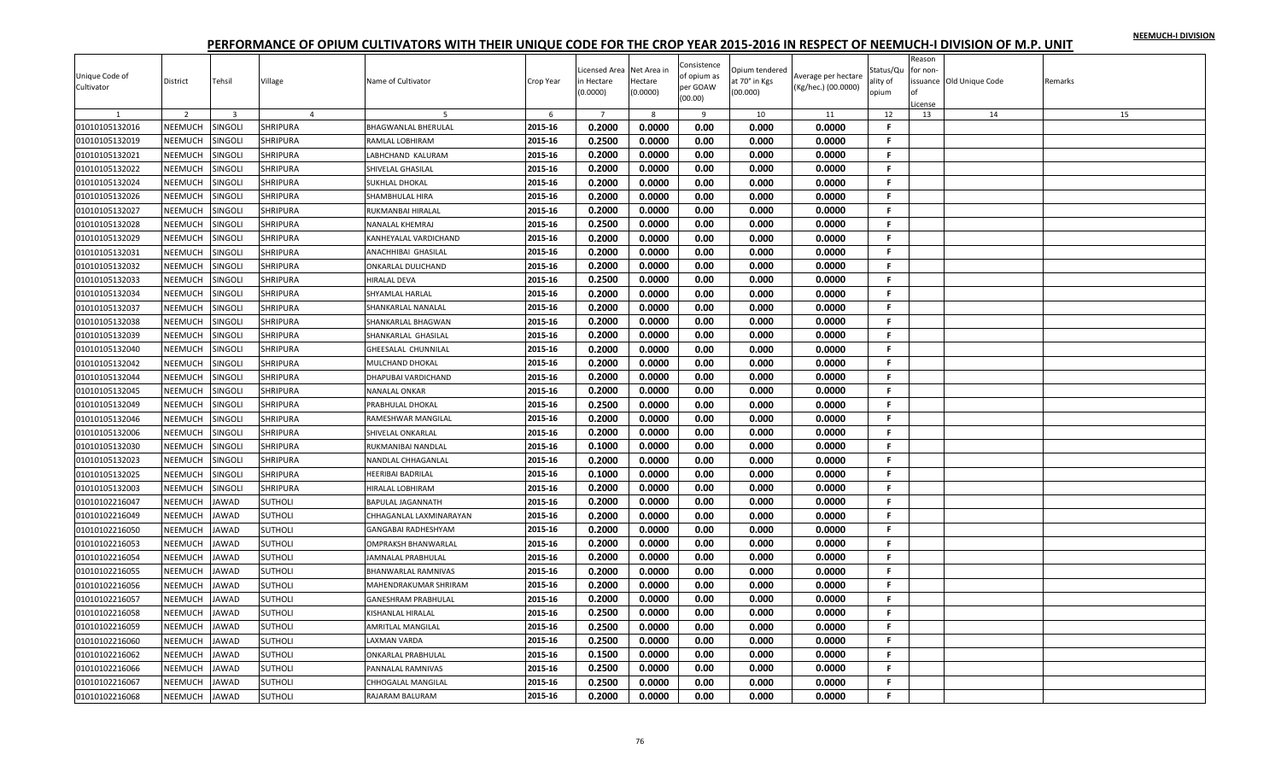|                |                |                         |                 |                            |           | icensed Area   | Net Area in  | Consistence | Opium tendered |                     | Status/Qu    | Reason<br>for non- |                         |         |
|----------------|----------------|-------------------------|-----------------|----------------------------|-----------|----------------|--------------|-------------|----------------|---------------------|--------------|--------------------|-------------------------|---------|
| Unique Code of | District       | Tehsil                  | Village         | Name of Cultivator         | Crop Year | n Hectare      | Hectare      | of opium as | at 70° in Kgs  | Average per hectare | ality of     |                    | ssuance Old Unique Code | Remarks |
| Cultivator     |                |                         |                 |                            |           | 0.0000         | (0.0000)     | per GOAW    | (00.000)       | (Kg/hec.) (00.0000) | opium        |                    |                         |         |
|                |                |                         |                 |                            |           |                |              | (00.00)     |                |                     |              | .icense            |                         |         |
|                | $\overline{2}$ | $\overline{\mathbf{3}}$ | $\overline{4}$  |                            | 6         | $\overline{7}$ | $\mathbf{g}$ | 9           | 10             | 11                  | 12           | 13                 | 14                      | 15      |
| 01010105132016 | NEEMUCH        | <b>SINGOLI</b>          | <b>SHRIPURA</b> | <b>BHAGWANLAL BHERULAL</b> | 2015-16   | 0.2000         | 0.0000       | 0.00        | 0.000          | 0.0000              | F.           |                    |                         |         |
| 01010105132019 | <b>NEEMUCH</b> | SINGOLI                 | SHRIPURA        | RAMLAL LOBHIRAM            | 2015-16   | 0.2500         | 0.0000       | 0.00        | 0.000          | 0.0000              | F.           |                    |                         |         |
| 01010105132021 | NEEMUCH        | <b>SINGOLI</b>          | SHRIPURA        | LABHCHAND KALURAM          | 2015-16   | 0.2000         | 0.0000       | 0.00        | 0.000          | 0.0000              | F.           |                    |                         |         |
| 01010105132022 | NEEMUCH        | <b>SINGOLI</b>          | <b>SHRIPURA</b> | SHIVELAL GHASILAL          | 2015-16   | 0.2000         | 0.0000       | 0.00        | 0.000          | 0.0000              | F.           |                    |                         |         |
| 01010105132024 | NEEMUCH        | SINGOLI                 | SHRIPURA        | <b>SUKHLAL DHOKAL</b>      | 2015-16   | 0.2000         | 0.0000       | 0.00        | 0.000          | 0.0000              | F.           |                    |                         |         |
| 01010105132026 | NEEMUCH        | <b>SINGOLI</b>          | SHRIPURA        | SHAMBHULAL HIRA            | 2015-16   | 0.2000         | 0.0000       | 0.00        | 0.000          | 0.0000              | F.           |                    |                         |         |
| 01010105132027 | NEEMUCH        | SINGOLI                 | <b>SHRIPURA</b> | RUKMANBAI HIRALAL          | 2015-16   | 0.2000         | 0.0000       | 0.00        | 0.000          | 0.0000              | F            |                    |                         |         |
| 01010105132028 | NEEMUCH        | SINGOLI                 | SHRIPURA        | NANALAL KHEMRAJ            | 2015-16   | 0.2500         | 0.0000       | 0.00        | 0.000          | 0.0000              | F.           |                    |                         |         |
| 01010105132029 | NEEMUCH        | SINGOLI                 | <b>SHRIPURA</b> | KANHEYALAL VARDICHAND      | 2015-16   | 0.2000         | 0.0000       | 0.00        | 0.000          | 0.0000              | F.           |                    |                         |         |
| 01010105132031 | NEEMUCH        | SINGOLI                 | <b>SHRIPURA</b> | ANACHHIBAI GHASILAL        | 2015-16   | 0.2000         | 0.0000       | 0.00        | 0.000          | 0.0000              | F.           |                    |                         |         |
| 01010105132032 | NEEMUCH        | SINGOLI                 | SHRIPURA        | ONKARLAL DULICHAND         | 2015-16   | 0.2000         | 0.0000       | 0.00        | 0.000          | 0.0000              | F.           |                    |                         |         |
| 01010105132033 | NEEMUCH        | <b>SINGOLI</b>          | SHRIPURA        | <b>HIRALAL DEVA</b>        | 2015-16   | 0.2500         | 0.0000       | 0.00        | 0.000          | 0.0000              | F.           |                    |                         |         |
| 01010105132034 | NEEMUCH        | SINGOLI                 | <b>SHRIPURA</b> | SHYAMLAL HARLAL            | 2015-16   | 0.2000         | 0.0000       | 0.00        | 0.000          | 0.0000              | F.           |                    |                         |         |
| 01010105132037 | NEEMUCH        | SINGOLI                 | SHRIPURA        | SHANKARLAL NANALAL         | 2015-16   | 0.2000         | 0.0000       | 0.00        | 0.000          | 0.0000              | F.           |                    |                         |         |
| 01010105132038 | NEEMUCH        | SINGOLI                 | SHRIPURA        | SHANKARLAL BHAGWAN         | 2015-16   | 0.2000         | 0.0000       | 0.00        | 0.000          | 0.0000              | F.           |                    |                         |         |
| 01010105132039 | NEEMUCH        | SINGOLI                 | SHRIPURA        | SHANKARLAL GHASILAL        | 2015-16   | 0.2000         | 0.0000       | 0.00        | 0.000          | 0.0000              | $\mathbf{F}$ |                    |                         |         |
| 01010105132040 | NEEMUCH        | SINGOLI                 | <b>SHRIPURA</b> | GHEESALAL CHUNNILAL        | 2015-16   | 0.2000         | 0.0000       | 0.00        | 0.000          | 0.0000              | F.           |                    |                         |         |
| 01010105132042 | NEEMUCH        | <b>SINGOLI</b>          | <b>SHRIPURA</b> | MULCHAND DHOKAL            | 2015-16   | 0.2000         | 0.0000       | 0.00        | 0.000          | 0.0000              | F.           |                    |                         |         |
| 01010105132044 | NEEMUCH        | <b>SINGOLI</b>          | SHRIPURA        | DHAPUBAI VARDICHAND        | 2015-16   | 0.2000         | 0.0000       | 0.00        | 0.000          | 0.0000              | F.           |                    |                         |         |
| 01010105132045 | NEEMUCH        | <b>SINGOLI</b>          | SHRIPURA        | <b>NANALAL ONKAR</b>       | 2015-16   | 0.2000         | 0.0000       | 0.00        | 0.000          | 0.0000              | F.           |                    |                         |         |
| 01010105132049 | NEEMUCH        | SINGOLI                 | <b>SHRIPURA</b> | PRABHULAL DHOKAL           | 2015-16   | 0.2500         | 0.0000       | 0.00        | 0.000          | 0.0000              | F.           |                    |                         |         |
| 01010105132046 | NEEMUCH        | SINGOLI                 | SHRIPURA        | RAMESHWAR MANGILAL         | 2015-16   | 0.2000         | 0.0000       | 0.00        | 0.000          | 0.0000              | F.           |                    |                         |         |
| 01010105132006 | NEEMUCH        | SINGOLI                 | <b>SHRIPURA</b> | SHIVELAL ONKARLAI          | 2015-16   | 0.2000         | 0.0000       | 0.00        | 0.000          | 0.0000              | F.           |                    |                         |         |
| 01010105132030 | NEEMUCH        | SINGOLI                 | SHRIPURA        | RUKMANIBAI NANDLAL         | 2015-16   | 0.1000         | 0.0000       | 0.00        | 0.000          | 0.0000              | F            |                    |                         |         |
|                |                |                         |                 |                            |           | 0.2000         |              |             |                |                     | F.           |                    |                         |         |
| 01010105132023 | NEEMUCH        | <b>SINGOLI</b>          | SHRIPURA        | NANDLAL CHHAGANLAL         | 2015-16   |                | 0.0000       | 0.00        | 0.000          | 0.0000              |              |                    |                         |         |
| 01010105132025 | NEEMUCH        | <b>SINGOLI</b>          | <b>SHRIPURA</b> | HEERIBAI BADRILAL          | 2015-16   | 0.1000         | 0.0000       | 0.00        | 0.000          | 0.0000              | F.           |                    |                         |         |
| 01010105132003 | NEEMUCH        | SINGOLI                 | <b>SHRIPURA</b> | HIRALAL LOBHIRAM           | 2015-16   | 0.2000         | 0.0000       | 0.00        | 0.000          | 0.0000              | F.           |                    |                         |         |
| 01010102216047 | NEEMUCH        | JAWAD                   | <b>SUTHOLI</b>  | <b>BAPULAL JAGANNATH</b>   | 2015-16   | 0.2000         | 0.0000       | 0.00        | 0.000          | 0.0000              | F.           |                    |                         |         |
| 01010102216049 | NEEMUCH        | <b>JAWAD</b>            | <b>SUTHOLI</b>  | CHHAGANLAL LAXMINARAYAN    | 2015-16   | 0.2000         | 0.0000       | 0.00        | 0.000          | 0.0000              | F            |                    |                         |         |
| 01010102216050 | NEEMUCH        | JAWAD                   | <b>SUTHOLI</b>  | GANGABAI RADHESHYAM        | 2015-16   | 0.2000         | 0.0000       | 0.00        | 0.000          | 0.0000              | F.           |                    |                         |         |
| 01010102216053 | NEEMUCH        | <b>JAWAD</b>            | <b>SUTHOLI</b>  | <b>OMPRAKSH BHANWARLAL</b> | 2015-16   | 0.2000         | 0.0000       | 0.00        | 0.000          | 0.0000              | F.           |                    |                         |         |
| 01010102216054 | NEEMUCH        | <b>JAWAD</b>            | SUTHOLI         | JAMNALAL PRABHULAL         | 2015-16   | 0.2000         | 0.0000       | 0.00        | 0.000          | 0.0000              | F.           |                    |                         |         |
| 01010102216055 | NEEMUCH        | <b>JAWAD</b>            | <b>SUTHOLI</b>  | BHANWARLAL RAMNIVAS        | 2015-16   | 0.2000         | 0.0000       | 0.00        | 0.000          | 0.0000              | F.           |                    |                         |         |
| 01010102216056 | NEEMUCH        | <b>JAWAD</b>            | SUTHOLI         | MAHENDRAKUMAR SHRIRAM      | 2015-16   | 0.2000         | 0.0000       | 0.00        | 0.000          | 0.0000              | F.           |                    |                         |         |
| 01010102216057 | NEEMUCH        | JAWAD                   | <b>SUTHOLI</b>  | <b>GANESHRAM PRABHULAL</b> | 2015-16   | 0.2000         | 0.0000       | 0.00        | 0.000          | 0.0000              | F.           |                    |                         |         |
| 01010102216058 | <b>NEEMUCH</b> | <b>JAWAD</b>            | <b>SUTHOLI</b>  | KISHANLAL HIRALAL          | 2015-16   | 0.2500         | 0.0000       | 0.00        | 0.000          | 0.0000              | F.           |                    |                         |         |
| 01010102216059 | NEEMUCH        | <b>JAWAD</b>            | <b>SUTHOLI</b>  | <b>AMRITLAL MANGILAL</b>   | 2015-16   | 0.2500         | 0.0000       | 0.00        | 0.000          | 0.0000              | F.           |                    |                         |         |
| 01010102216060 | NEEMUCH        | <b>JAWAD</b>            | <b>SUTHOLI</b>  | LAXMAN VARDA               | 2015-16   | 0.2500         | 0.0000       | 0.00        | 0.000          | 0.0000              | F.           |                    |                         |         |
| 01010102216062 | NEEMUCH        | <b>JAWAD</b>            | <b>SUTHOLI</b>  | <b>ONKARLAL PRABHULAL</b>  | 2015-16   | 0.1500         | 0.0000       | 0.00        | 0.000          | 0.0000              | F.           |                    |                         |         |
| 01010102216066 | NEEMUCH        | <b>JAWAD</b>            | <b>SUTHOLI</b>  | PANNALAL RAMNIVAS          | 2015-16   | 0.2500         | 0.0000       | 0.00        | 0.000          | 0.0000              | F.           |                    |                         |         |
| 01010102216067 | <b>NEEMUCH</b> | <b>AWAD</b>             | SUTHOLI         | CHHOGALAL MANGILAL         | 2015-16   | 0.2500         | 0.0000       | 0.00        | 0.000          | 0.0000              | F.           |                    |                         |         |
| 01010102216068 | NEEMUCH        | <b>JAWAD</b>            | <b>SUTHOLI</b>  | RAJARAM BALURAM            | 2015-16   | 0.2000         | 0.0000       | 0.00        | 0.000          | 0.0000              | F.           |                    |                         |         |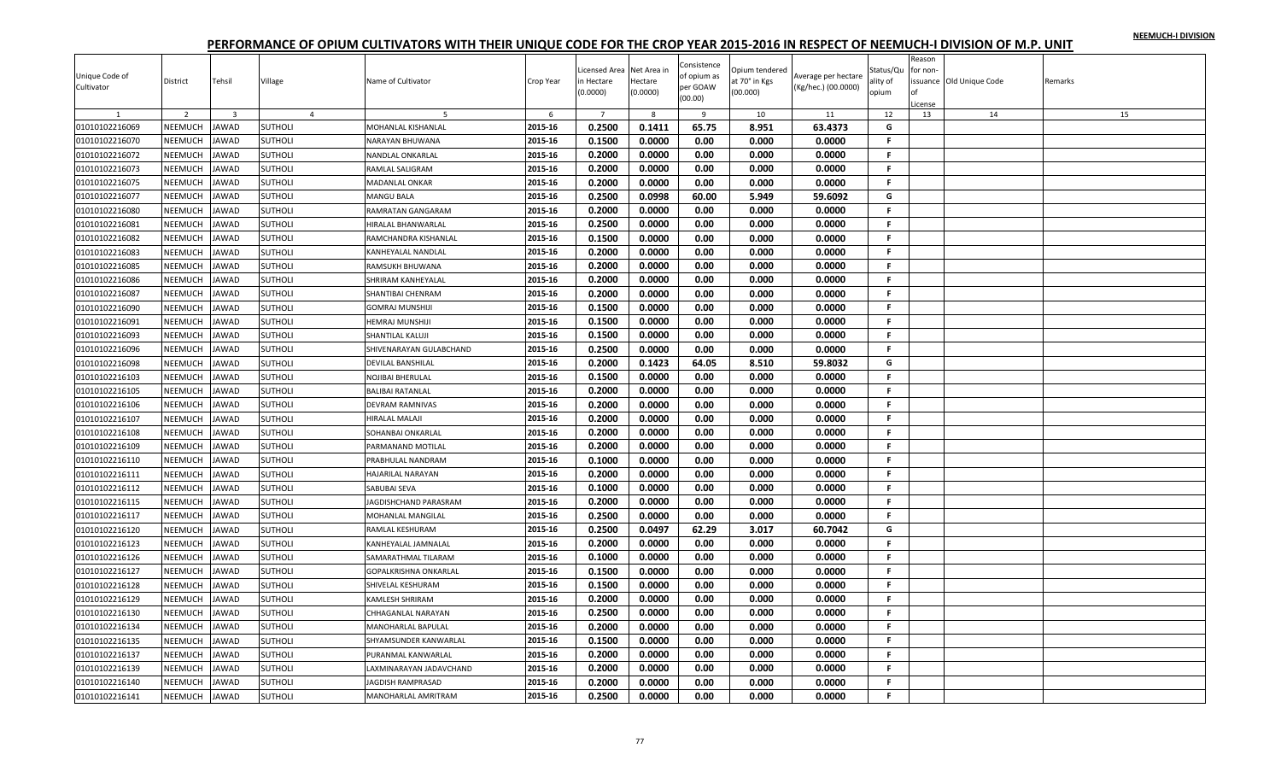| Unique Code of |                |                |                |                          |           | Licensed Area          | Net Area in         | Consistence<br>of opium as | Opium tendered            | Average per hectare | Status/Qu         | Reason<br>for non |                         |         |
|----------------|----------------|----------------|----------------|--------------------------|-----------|------------------------|---------------------|----------------------------|---------------------------|---------------------|-------------------|-------------------|-------------------------|---------|
| Cultivator     | District       | Tehsil         | Village        | Name of Cultivator       | Crop Year | in Hectare<br>(0.0000) | Hectare<br>(0.0000) | per GOAW<br>(00.00)        | at 70° in Kgs<br>(00.000) | (Kg/hec.) (00.0000) | ality of<br>opium | of                | ssuance Old Unique Code | Remarks |
| $\overline{1}$ | 2              | $\overline{3}$ | $\overline{4}$ | $\overline{5}$           | 6         | $7^{\circ}$            | 8                   | 9                          | 10                        | 11                  | 12                | icense<br>13      | 14                      | 15      |
| 01010102216069 | NEEMUCH        | JAWAD          | <b>SUTHOLI</b> | MOHANLAL KISHANLAL       | 2015-16   | 0.2500                 | 0.1411              | 65.75                      | 8.951                     | 63.4373             | G                 |                   |                         |         |
| 01010102216070 | NEEMUCH        | <b>JAWAD</b>   | SUTHOLI        | NARAYAN BHUWANA          | 2015-16   | 0.1500                 | 0.0000              | 0.00                       | 0.000                     | 0.0000              | F.                |                   |                         |         |
| 01010102216072 | NEEMUCH        | <b>JAWAD</b>   | SUTHOLI        | NANDLAL ONKARLAL         | 2015-16   | 0.2000                 | 0.0000              | 0.00                       | 0.000                     | 0.0000              | F.                |                   |                         |         |
| 01010102216073 | NEEMUCH        | JAWAD          | <b>SUTHOLI</b> | RAMLAL SALIGRAM          | 2015-16   | 0.2000                 | 0.0000              | 0.00                       | 0.000                     | 0.0000              | -F.               |                   |                         |         |
| 01010102216075 | NEEMUCH        | <b>JAWAD</b>   | <b>SUTHOLI</b> | <b>MADANLAL ONKAR</b>    | 2015-16   | 0.2000                 | 0.0000              | 0.00                       | 0.000                     | 0.0000              | -F.               |                   |                         |         |
| 01010102216077 | NEEMUCH        | <b>JAWAD</b>   | <b>SUTHOLI</b> | MANGU BALA               | 2015-16   | 0.2500                 | 0.0998              | 60.00                      | 5.949                     | 59.6092             | G                 |                   |                         |         |
| 01010102216080 | NEEMUCH        | JAWAD          | SUTHOLI        | RAMRATAN GANGARAM        | 2015-16   | 0.2000                 | 0.0000              | 0.00                       | 0.000                     | 0.0000              | F.                |                   |                         |         |
| 01010102216081 | NEEMUCH        | <b>AWAD</b>    | SUTHOLI        | HIRALAL BHANWARLAL       | 2015-16   | 0.2500                 | 0.0000              | 0.00                       | 0.000                     | 0.0000              | F.                |                   |                         |         |
| 01010102216082 | NEEMUCH        | <b>AWAD</b>    | SUTHOLI        | RAMCHANDRA KISHANLAL     | 2015-16   | 0.1500                 | 0.0000              | 0.00                       | 0.000                     | 0.0000              | F.                |                   |                         |         |
| 01010102216083 | NEEMUCH        | <b>JAWAD</b>   | <b>SUTHOLI</b> | KANHEYALAL NANDLAL       | 2015-16   | 0.2000                 | 0.0000              | 0.00                       | 0.000                     | 0.0000              | F.                |                   |                         |         |
| 01010102216085 | NEEMUCH        | <b>JAWAD</b>   | <b>SUTHOLI</b> | RAMSUKH BHUWANA          | 2015-16   | 0.2000                 | 0.0000              | 0.00                       | 0.000                     | 0.0000              | F.                |                   |                         |         |
| 01010102216086 | NEEMUCH        | <b>AWAD</b>    | SUTHOLI        | SHRIRAM KANHEYALAL       | 2015-16   | 0.2000                 | 0.0000              | 0.00                       | 0.000                     | 0.0000              | F.                |                   |                         |         |
| 01010102216087 | NEEMUCH        | JAWAD          | <b>SUTHOLI</b> | SHANTIBAI CHENRAM        | 2015-16   | 0.2000                 | 0.0000              | 0.00                       | 0.000                     | 0.0000              | -F.               |                   |                         |         |
| 01010102216090 | NEEMUCH        | <b>JAWAD</b>   | <b>SUTHOLI</b> | GOMRAJ MUNSHIJI          | 2015-16   | 0.1500                 | 0.0000              | 0.00                       | 0.000                     | 0.0000              | -F.               |                   |                         |         |
| 01010102216091 | NEEMUCH        | <b>JAWAD</b>   | SUTHOLI        | HEMRAJ MUNSHIJI          | 2015-16   | 0.1500                 | 0.0000              | 0.00                       | 0.000                     | 0.0000              | F.                |                   |                         |         |
| 01010102216093 | NEEMUCH        | <b>JAWAD</b>   | <b>SUTHOLI</b> | SHANTILAL KALUJI         | 2015-16   | 0.1500                 | 0.0000              | 0.00                       | 0.000                     | 0.0000              | F.                |                   |                         |         |
| 01010102216096 | NEEMUCH        | <b>JAWAD</b>   | SUTHOLI        | SHIVENARAYAN GULABCHAND  | 2015-16   | 0.2500                 | 0.0000              | 0.00                       | 0.000                     | 0.0000              | F.                |                   |                         |         |
| 01010102216098 | NEEMUCH        | <b>AWAD</b>    | <b>SUTHOLI</b> | DEVILAL BANSHILAL        | 2015-16   | 0.2000                 | 0.1423              | 64.05                      | 8.510                     | 59.8032             | G                 |                   |                         |         |
| 01010102216103 | NEEMUCH        | <b>JAWAD</b>   | <b>SUTHOLI</b> | NOJIBAI BHERULAL         | 2015-16   | 0.1500                 | 0.0000              | 0.00                       | 0.000                     | 0.0000              | -F.               |                   |                         |         |
| 01010102216105 | NEEMUCH        | JAWAD          | <b>SUTHOLI</b> | BALIBAI RATANLAL         | 2015-16   | 0.2000                 | 0.0000              | 0.00                       | 0.000                     | 0.0000              | F.                |                   |                         |         |
| 01010102216106 | NEEMUCH        | <b>JAWAD</b>   | <b>SUTHOLI</b> | DEVRAM RAMNIVAS          | 2015-16   | 0.2000                 | 0.0000              | 0.00                       | 0.000                     | 0.0000              | .F.               |                   |                         |         |
| 01010102216107 | NEEMUCH        | <b>JAWAD</b>   | SUTHOLI        | HIRALAL MALAJI           | 2015-16   | 0.2000                 | 0.0000              | 0.00                       | 0.000                     | 0.0000              | -F.               |                   |                         |         |
| 01010102216108 | NEEMUCH        | <b>JAWAD</b>   | <b>SUTHOLI</b> | SOHANBAI ONKARLAL        | 2015-16   | 0.2000                 | 0.0000              | 0.00                       | 0.000                     | 0.0000              | F.                |                   |                         |         |
| 01010102216109 | NEEMUCH        | <b>JAWAD</b>   | <b>SUTHOLI</b> | PARMANAND MOTILAL        | 2015-16   | 0.2000                 | 0.0000              | 0.00                       | 0.000                     | 0.0000              | -F.               |                   |                         |         |
| 01010102216110 | NEEMUCH        | <b>JAWAD</b>   | SUTHOLI        | PRABHULAL NANDRAM        | 2015-16   | 0.1000                 | 0.0000              | 0.00                       | 0.000                     | 0.0000              | F.                |                   |                         |         |
| 01010102216111 | NEEMUCH        | JAWAD          | <b>SUTHOLI</b> | HAJARILAL NARAYAN        | 2015-16   | 0.2000                 | 0.0000              | 0.00                       | 0.000                     | 0.0000              | F.                |                   |                         |         |
| 01010102216112 | NEEMUCH        | <b>JAWAD</b>   | <b>SUTHOLI</b> | SABUBAI SEVA             | 2015-16   | 0.1000                 | 0.0000              | 0.00                       | 0.000                     | 0.0000              | -F.               |                   |                         |         |
| 01010102216115 | NEEMUCH        | <b>JAWAD</b>   | <b>SUTHOLI</b> | AGDISHCHAND PARASRAM     | 2015-16   | 0.2000                 | 0.0000              | 0.00                       | 0.000                     | 0.0000              | F.                |                   |                         |         |
| 01010102216117 | NEEMUCH        | <b>AWAD</b>    | SUTHOLI        | <b>MOHANLAL MANGILAL</b> | 2015-16   | 0.2500                 | 0.0000              | 0.00                       | 0.000                     | 0.0000              | F.                |                   |                         |         |
| 01010102216120 | NEEMUCH        | <b>JAWAD</b>   | <b>SUTHOLI</b> | RAMLAL KESHURAM          | 2015-16   | 0.2500                 | 0.0497              | 62.29                      | 3.017                     | 60.7042             | G                 |                   |                         |         |
| 01010102216123 | NEEMUCH        | <b>JAWAD</b>   | SUTHOLI        | KANHEYALAL JAMNALAL      | 2015-16   | 0.2000                 | 0.0000              | 0.00                       | 0.000                     | 0.0000              | -F.               |                   |                         |         |
| 01010102216126 | NEEMUCH        | <b>JAWAD</b>   | SUTHOLI        | SAMARATHMAL TILARAM      | 2015-16   | 0.1000                 | 0.0000              | 0.00                       | 0.000                     | 0.0000              | F.                |                   |                         |         |
| 01010102216127 | NEEMUCH        | <b>JAWAD</b>   | <b>SUTHOLI</b> | GOPALKRISHNA ONKARLAL    | 2015-16   | 0.1500                 | 0.0000              | 0.00                       | 0.000                     | 0.0000              | -F.               |                   |                         |         |
| 01010102216128 | NEEMUCH        | <b>AWAD</b>    | <b>SUTHOLI</b> | SHIVELAL KESHURAM        | 2015-16   | 0.1500                 | 0.0000              | 0.00                       | 0.000                     | 0.0000              | F.                |                   |                         |         |
| 01010102216129 | NEEMUCH        | JAWAD          | <b>SUTHOLI</b> | KAMLESH SHRIRAM          | 2015-16   | 0.2000                 | 0.0000              | 0.00                       | 0.000                     | 0.0000              | F.                |                   |                         |         |
| 01010102216130 | NEEMUCH        | <b>JAWAD</b>   | <b>SUTHOLI</b> | CHHAGANLAL NARAYAN       | 2015-16   | 0.2500                 | 0.0000              | 0.00                       | 0.000                     | 0.0000              | $\mathsf F$       |                   |                         |         |
| 01010102216134 | NEEMUCH        | <b>JAWAD</b>   | <b>SUTHOLI</b> | MANOHARLAL BAPULAL       | 2015-16   | 0.2000                 | 0.0000              | 0.00                       | 0.000                     | 0.0000              | -F.               |                   |                         |         |
| 01010102216135 | NEEMUCH        | <b>JAWAD</b>   | <b>SUTHOLI</b> | SHYAMSUNDER KANWARLAL    | 2015-16   | 0.1500                 | 0.0000              | 0.00                       | 0.000                     | 0.0000              | F.                |                   |                         |         |
| 01010102216137 | NEEMUCH        | <b>JAWAD</b>   | SUTHOLI        | PURANMAL KANWARLAL       | 2015-16   | 0.2000                 | 0.0000              | 0.00                       | 0.000                     | 0.0000              | -F                |                   |                         |         |
| 01010102216139 | <b>NEEMUCH</b> | <b>AWAD</b>    | <b>SUTHOLI</b> | AXMINARAYAN JADAVCHAND   | 2015-16   | 0.2000                 | 0.0000              | 0.00                       | 0.000                     | 0.0000              | F                 |                   |                         |         |
| 01010102216140 | NEEMUCH        | <b>AWAD</b>    | <b>SUTHOLI</b> | <b>AGDISH RAMPRASAD</b>  | 2015-16   | 0.2000                 | 0.0000              | 0.00                       | 0.000                     | 0.0000              | F.                |                   |                         |         |
| 01010102216141 | NEEMUCH        | <b>JAWAD</b>   | <b>SUTHOLI</b> | MANOHARLAL AMRITRAM      | 2015-16   | 0.2500                 | 0.0000              | 0.00                       | 0.000                     | 0.0000              | F.                |                   |                         |         |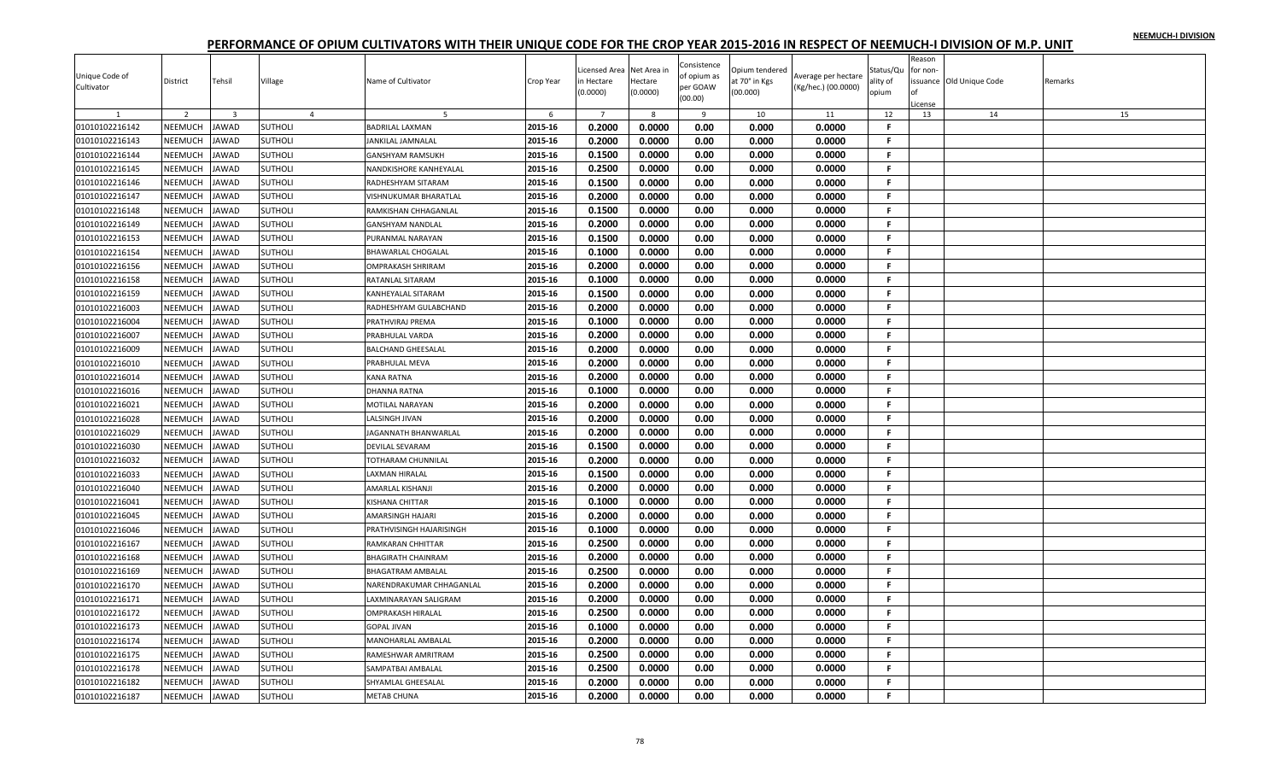| Unique Code of<br>Cultivator | District       | Tehsil                  | Village        | Name of Cultivator          | Crop Year | Licensed Area<br>n Hectare<br>(0.0000) | Net Area ir<br>Hectare<br>(0.0000) | Consistence<br>of opium as<br>per GOAW<br>(00.00) | Opium tendered<br>at 70° in Kgs<br>(00.000) | Average per hectare<br>(Kg/hec.) (00.0000) | Status/Qu<br>ality of<br>opium | Reason<br>for non-<br>of | ssuance Old Unique Code | Remarks |
|------------------------------|----------------|-------------------------|----------------|-----------------------------|-----------|----------------------------------------|------------------------------------|---------------------------------------------------|---------------------------------------------|--------------------------------------------|--------------------------------|--------------------------|-------------------------|---------|
|                              |                |                         |                |                             |           |                                        |                                    |                                                   |                                             |                                            |                                | icense                   |                         |         |
|                              | 2              | $\overline{\mathbf{3}}$ | $\overline{4}$ | 5                           | 6         | $\overline{7}$<br>0.2000               | 8<br>0.0000                        | 9                                                 | 10                                          | 11                                         | 12<br>F                        | 13                       | 14                      | 15      |
| 01010102216142               | NEEMUCH        | <b>JAWAD</b>            | <b>SUTHOLI</b> | BADRILAL LAXMAN             | 2015-16   |                                        |                                    | 0.00                                              | 0.000                                       | 0.0000                                     |                                |                          |                         |         |
| 01010102216143               | <b>NEEMUCH</b> | <b>JAWAD</b>            | <b>SUTHOLI</b> | <b>ANKILAL JAMNALAL</b>     | 2015-16   | 0.2000                                 | 0.0000                             | 0.00                                              | 0.000                                       | 0.0000                                     | F.                             |                          |                         |         |
| 01010102216144               | NEEMUCH        | <b>JAWAD</b>            | <b>SUTHOLI</b> | GANSHYAM RAMSUKH            | 2015-16   | 0.1500                                 | 0.0000                             | 0.00                                              | 0.000                                       | 0.0000                                     | F.                             |                          |                         |         |
| 01010102216145               | NEEMUCH        | <b>JAWAD</b>            | <b>SUTHOLI</b> | NANDKISHORE KANHEYALAL      | 2015-16   | 0.2500                                 | 0.0000                             | 0.00                                              | 0.000                                       | 0.0000                                     | .F.                            |                          |                         |         |
| 01010102216146               | NEEMUCH        | <b>JAWAD</b>            | <b>SUTHOLI</b> | RADHESHYAM SITARAM          | 2015-16   | 0.1500                                 | 0.0000                             | 0.00                                              | 0.000                                       | 0.0000                                     | -F.                            |                          |                         |         |
| 01010102216147               | NEEMUCH        | <b>JAWAD</b>            | <b>SUTHOLI</b> | VISHNUKUMAR BHARATLAL       | 2015-16   | 0.2000                                 | 0.0000                             | 0.00                                              | 0.000                                       | 0.0000                                     | F.                             |                          |                         |         |
| 01010102216148               | NEEMUCH        | <b>JAWAD</b>            | <b>SUTHOLI</b> | RAMKISHAN CHHAGANLAL        | 2015-16   | 0.1500                                 | 0.0000                             | 0.00                                              | 0.000                                       | 0.0000                                     | F.                             |                          |                         |         |
| 01010102216149               | NEEMUCH        | JAWAD                   | SUTHOLI        | GANSHYAM NANDLAL            | 2015-16   | 0.2000                                 | 0.0000                             | 0.00                                              | 0.000                                       | 0.0000                                     | -F.                            |                          |                         |         |
| 01010102216153               | NEEMUCH        | <b>JAWAD</b>            | <b>SUTHOLI</b> | PURANMAL NARAYAN            | 2015-16   | 0.1500                                 | 0.0000                             | 0.00                                              | 0.000                                       | 0.0000                                     | -F.                            |                          |                         |         |
| 01010102216154               | NEEMUCH        | JAWAD                   | <b>SUTHOLI</b> | BHAWARLAL CHOGALAL          | 2015-16   | 0.1000                                 | 0.0000                             | 0.00                                              | 0.000                                       | 0.0000                                     | .F.                            |                          |                         |         |
| 01010102216156               | NEEMUCH        | <b>JAWAD</b>            | <b>SUTHOLI</b> | OMPRAKASH SHRIRAM           | 2015-16   | 0.2000                                 | 0.0000                             | 0.00                                              | 0.000                                       | 0.0000                                     | F.                             |                          |                         |         |
| 01010102216158               | NEEMUCH        | JAWAD                   | <b>SUTHOLI</b> | RATANLAL SITARAM            | 2015-16   | 0.1000                                 | 0.0000                             | 0.00                                              | 0.000                                       | 0.0000                                     | F.                             |                          |                         |         |
| 01010102216159               | NEEMUCH        | JAWAD                   | SUTHOLI        | <b>CANHEYALAL SITARAM</b>   | 2015-16   | 0.1500                                 | 0.0000                             | 0.00                                              | 0.000                                       | 0.0000                                     | F.                             |                          |                         |         |
| 01010102216003               | NEEMUCH        | <b>JAWAD</b>            | <b>SUTHOLI</b> | RADHESHYAM GULABCHAND       | 2015-16   | 0.2000                                 | 0.0000                             | 0.00                                              | 0.000                                       | 0.0000                                     | F.                             |                          |                         |         |
| 01010102216004               | NEEMUCH        | <b>JAWAD</b>            | SUTHOLI        | PRATHVIRAJ PREMA            | 2015-16   | 0.1000                                 | 0.0000                             | 0.00                                              | 0.000                                       | 0.0000                                     | F.                             |                          |                         |         |
| 01010102216007               | NEEMUCH        | JAWAD                   | <b>SUTHOLI</b> | PRABHULAL VARDA             | 2015-16   | 0.2000                                 | 0.0000                             | 0.00                                              | 0.000                                       | 0.0000                                     | -F.                            |                          |                         |         |
| 01010102216009               | NEEMUCH        | <b>JAWAD</b>            | <b>SUTHOLI</b> | <b>BALCHAND GHEESALAL</b>   | 2015-16   | 0.2000                                 | 0.0000                             | 0.00                                              | 0.000                                       | 0.0000                                     | F.                             |                          |                         |         |
| 01010102216010               | NEEMUCH        | JAWAD                   | SUTHOLI        | PRABHULAL MEVA              | 2015-16   | 0.2000                                 | 0.0000                             | 0.00                                              | 0.000                                       | 0.0000                                     | F.                             |                          |                         |         |
| 01010102216014               | NEEMUCH        | JAWAD                   | <b>SUTHOLI</b> | KANA RATNA                  | 2015-16   | 0.2000                                 | 0.0000                             | 0.00                                              | 0.000                                       | 0.0000                                     | F.                             |                          |                         |         |
| 01010102216016               | NEEMUCH        | <b>JAWAD</b>            | SUTHOLI        | DHANNA RATNA                | 2015-16   | 0.1000                                 | 0.0000                             | 0.00                                              | 0.000                                       | 0.0000                                     | -F.                            |                          |                         |         |
| 01010102216021               | NEEMUCH        | <b>JAWAD</b>            | <b>SUTHOLI</b> | MOTILAL NARAYAN             | 2015-16   | 0.2000                                 | 0.0000                             | 0.00                                              | 0.000                                       | 0.0000                                     | F.                             |                          |                         |         |
| 01010102216028               | NEEMUCH        | JAWAD                   | <b>SUTHOLI</b> | LALSINGH JIVAN              | 2015-16   | 0.2000                                 | 0.0000                             | 0.00                                              | 0.000                                       | 0.0000                                     | F.                             |                          |                         |         |
| 01010102216029               | NEEMUCH        | <b>JAWAD</b>            | <b>SUTHOLI</b> | <b>JAGANNATH BHANWARLAL</b> | 2015-16   | 0.2000                                 | 0.0000                             | 0.00                                              | 0.000                                       | 0.0000                                     | F.                             |                          |                         |         |
| 01010102216030               | NEEMUCH        | <b>AWAD</b>             | <b>SUTHOLI</b> | DEVILAL SEVARAM             | 2015-16   | 0.1500                                 | 0.0000                             | 0.00                                              | 0.000                                       | 0.0000                                     | F.                             |                          |                         |         |
| 01010102216032               | NEEMUCH        | JAWAD                   | SUTHOLI        | TOTHARAM CHUNNILAL          | 2015-16   | 0.2000                                 | 0.0000                             | 0.00                                              | 0.000                                       | 0.0000                                     | F.                             |                          |                         |         |
| 01010102216033               | NEEMUCH        | JAWAD                   | <b>SUTHOLI</b> | LAXMAN HIRALAL              | 2015-16   | 0.1500                                 | 0.0000                             | 0.00                                              | 0.000                                       | 0.0000                                     | F.                             |                          |                         |         |
| 01010102216040               | NEEMUCH        | <b>JAWAD</b>            | <b>SUTHOLI</b> | AMARLAL KISHANJI            | 2015-16   | 0.2000                                 | 0.0000                             | 0.00                                              | 0.000                                       | 0.0000                                     | .F.                            |                          |                         |         |
| 01010102216041               | NEEMUCH        | <b>JAWAD</b>            | <b>SUTHOLI</b> | KISHANA CHITTAR             | 2015-16   | 0.1000                                 | 0.0000                             | 0.00                                              | 0.000                                       | 0.0000                                     | F.                             |                          |                         |         |
| 01010102216045               | NEEMUCH        | <b>JAWAD</b>            | <b>SUTHOLI</b> | AMARSINGH HAJARI            | 2015-16   | 0.2000                                 | 0.0000                             | 0.00                                              | 0.000                                       | 0.0000                                     | F.                             |                          |                         |         |
| 01010102216046               | NEEMUCH        | <b>AWAD</b>             | SUTHOLI        | PRATHVISINGH HAJARISINGH    | 2015-16   | 0.1000                                 | 0.0000                             | 0.00                                              | 0.000                                       | 0.0000                                     | F.                             |                          |                         |         |
| 01010102216167               | NEEMUCH        | <b>JAWAD</b>            | <b>SUTHOLI</b> | RAMKARAN CHHITTAR           | 2015-16   | 0.2500                                 | 0.0000                             | 0.00                                              | 0.000                                       | 0.0000                                     | -F.                            |                          |                         |         |
| 01010102216168               | NEEMUCH        | JAWAD                   | SUTHOLI        | BHAGIRATH CHAINRAM          | 2015-16   | 0.2000                                 | 0.0000                             | 0.00                                              | 0.000                                       | 0.0000                                     | F.                             |                          |                         |         |
| 01010102216169               | NEEMUCH        | <b>AWAD</b>             | <b>SUTHOLI</b> | BHAGATRAM AMBALAL           | 2015-16   | 0.2500                                 | 0.0000                             | 0.00                                              | 0.000                                       | 0.0000                                     | .F.                            |                          |                         |         |
| 01010102216170               | NEEMUCH        | <b>JAWAD</b>            | <b>SUTHOLI</b> | NARENDRAKUMAR CHHAGANLAL    | 2015-16   | 0.2000                                 | 0.0000                             | 0.00                                              | 0.000                                       | 0.0000                                     | F.                             |                          |                         |         |
| 01010102216171               | NEEMUCH        | <b>AWAD</b>             | <b>SUTHOLI</b> |                             | 2015-16   | 0.2000                                 | 0.0000                             | 0.00                                              | 0.000                                       | 0.0000                                     | F.                             |                          |                         |         |
| 01010102216172               | NEEMUCH        | <b>JAWAD</b>            | <b>SUTHOLI</b> | AXMINARAYAN SALIGRAM        | 2015-16   | 0.2500                                 | 0.0000                             |                                                   | 0.000                                       | 0.0000                                     | F.                             |                          |                         |         |
|                              |                |                         |                | OMPRAKASH HIRALAL           |           |                                        |                                    | 0.00                                              |                                             |                                            |                                |                          |                         |         |
| 01010102216173               | NEEMUCH        | <b>JAWAD</b>            | <b>SUTHOLI</b> | <b>GOPAL JIVAN</b>          | 2015-16   | 0.1000                                 | 0.0000                             | 0.00                                              | 0.000                                       | 0.0000                                     | F.                             |                          |                         |         |
| 01010102216174               | NEEMUCH        | JAWAD                   | <b>SUTHOLI</b> | MANOHARLAL AMBALAL          | 2015-16   | 0.2000                                 | 0.0000                             | 0.00                                              | 0.000                                       | 0.0000                                     | F.                             |                          |                         |         |
| 01010102216175               | NEEMUCH        | <b>JAWAD</b>            | <b>SUTHOLI</b> | RAMESHWAR AMRITRAM          | 2015-16   | 0.2500                                 | 0.0000                             | 0.00                                              | 0.000                                       | 0.0000                                     | -F.                            |                          |                         |         |
| 01010102216178               | NEEMUCH        | <b>AWAD</b>             | <b>SUTHOLI</b> | <b>SAMPATBAI AMBALAL</b>    | 2015-16   | 0.2500                                 | 0.0000                             | 0.00                                              | 0.000                                       | 0.0000                                     | F.                             |                          |                         |         |
| 01010102216182               | NEEMUCH        | <b>AWAD</b>             | SUTHOLI        | SHYAMLAL GHEESALAL          | 2015-16   | 0.2000                                 | 0.0000                             | 0.00                                              | 0.000                                       | 0.0000                                     | F.                             |                          |                         |         |
| 01010102216187               | NEEMUCH        | <b>JAWAD</b>            | SUTHOLI        | METAB CHUNA                 | 2015-16   | 0.2000                                 | 0.0000                             | 0.00                                              | 0.000                                       | 0.0000                                     | F.                             |                          |                         |         |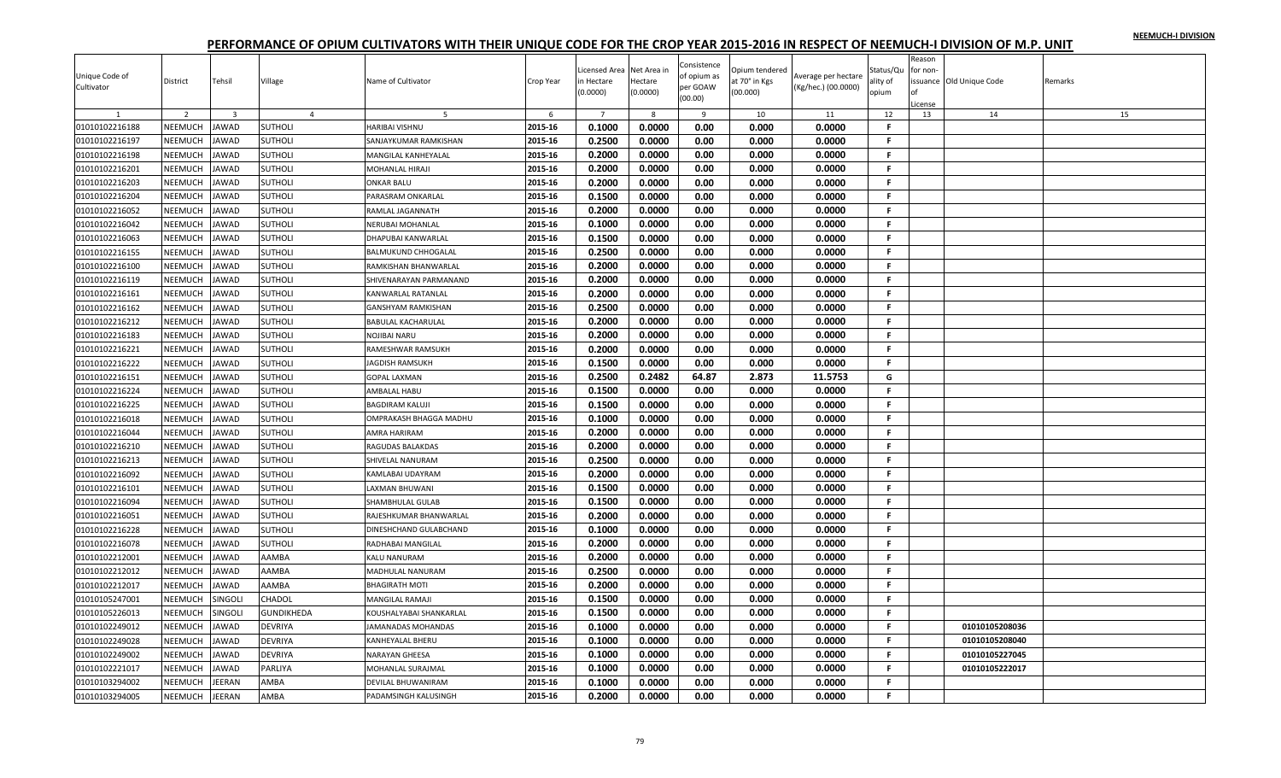|                |                |                         |                   |                            |           |                           |          |                            |                |                     |           | Reason       |                         |         |
|----------------|----------------|-------------------------|-------------------|----------------------------|-----------|---------------------------|----------|----------------------------|----------------|---------------------|-----------|--------------|-------------------------|---------|
| Unique Code of |                |                         |                   |                            |           | Licensed Area Net Area in |          | Consistence<br>of opium as | Opium tendered | Average per hectare | Status/Qu | for non-     |                         |         |
| Cultivator     | District       | Tehsil                  | Village           | Name of Cultivator         | Crop Year | n Hectare                 | Hectare  | per GOAW                   | at 70° in Kgs  | (Kg/hec.) (00.0000) | ality of  |              | ssuance Old Unique Code | Remarks |
|                |                |                         |                   |                            |           | (0.0000)                  | (0.0000) | (00.00)                    | (00.000)       |                     | opium     |              |                         |         |
|                | 2              | $\overline{\mathbf{3}}$ | $\overline{4}$    | .5                         | 6         | $7^{\circ}$               | -8       | 9                          | 10             | 11                  | 12        | icense<br>13 | 14                      | 15      |
| 01010102216188 | NEEMUCH        | <b>JAWAD</b>            | <b>SUTHOLI</b>    | HARIBAI VISHNU             | 2015-16   | 0.1000                    | 0.0000   | 0.00                       | 0.000          | 0.0000              | F.        |              |                         |         |
| 01010102216197 | NEEMUCH        | <b>JAWAD</b>            | <b>SUTHOLI</b>    | SANJAYKUMAR RAMKISHAN      | 2015-16   | 0.2500                    | 0.0000   | 0.00                       | 0.000          | 0.0000              | F.        |              |                         |         |
| 01010102216198 | NEEMUCH        | <b>JAWAD</b>            | <b>SUTHOLI</b>    | MANGILAL KANHEYALAL        | 2015-16   | 0.2000                    | 0.0000   | 0.00                       | 0.000          | 0.0000              | F.        |              |                         |         |
| 01010102216201 | NEEMUCH        | <b>JAWAD</b>            | <b>SUTHOLI</b>    | MOHANLAL HIRAJI            | 2015-16   | 0.2000                    | 0.0000   | 0.00                       | 0.000          | 0.0000              | F.        |              |                         |         |
| 01010102216203 | <b>NEEMUCH</b> | <b>JAWAD</b>            | <b>SUTHOLI</b>    | <b>ONKAR BALU</b>          | 2015-16   | 0.2000                    | 0.0000   | 0.00                       | 0.000          | 0.0000              | F.        |              |                         |         |
| 01010102216204 | NEEMUCH        | <b>JAWAD</b>            | <b>SUTHOLI</b>    | PARASRAM ONKARLAL          | 2015-16   | 0.1500                    | 0.0000   | 0.00                       | 0.000          | 0.0000              | F         |              |                         |         |
| 01010102216052 | NEEMUCH        | <b>JAWAD</b>            | <b>SUTHOLI</b>    | RAMLAL JAGANNATH           | 2015-16   | 0.2000                    | 0.0000   | 0.00                       | 0.000          | 0.0000              | F         |              |                         |         |
| 01010102216042 | NEEMUCH        | <b>JAWAD</b>            | <b>SUTHOLI</b>    | <b>VERUBAI MOHANLAL</b>    | 2015-16   | 0.1000                    | 0.0000   | 0.00                       | 0.000          | 0.0000              | F.        |              |                         |         |
| 01010102216063 | NEEMUCH        | <b>JAWAD</b>            | <b>SUTHOLI</b>    | DHAPUBAI KANWARLAL         | 2015-16   | 0.1500                    | 0.0000   | 0.00                       | 0.000          | 0.0000              | F.        |              |                         |         |
| 01010102216155 | NEEMUCH        | <b>JAWAD</b>            | <b>SUTHOLI</b>    | <b>BALMUKUND CHHOGALAL</b> | 2015-16   | 0.2500                    | 0.0000   | 0.00                       | 0.000          | 0.0000              | F         |              |                         |         |
| 01010102216100 | NEEMUCH        | <b>JAWAD</b>            | <b>SUTHOLI</b>    | RAMKISHAN BHANWARLAL       | 2015-16   | 0.2000                    | 0.0000   | 0.00                       | 0.000          | 0.0000              | F.        |              |                         |         |
| 01010102216119 | NEEMUCH        | <b>JAWAD</b>            | <b>SUTHOLI</b>    | SHIVENARAYAN PARMANAND     | 2015-16   | 0.2000                    | 0.0000   | 0.00                       | 0.000          | 0.0000              | F.        |              |                         |         |
| 01010102216161 | NEEMUCH        | JAWAD                   | <b>SUTHOLI</b>    | KANWARLAL RATANLAL         | 2015-16   | 0.2000                    | 0.0000   | 0.00                       | 0.000          | 0.0000              | F.        |              |                         |         |
| 01010102216162 | <b>NEEMUCH</b> | <b>JAWAD</b>            | <b>SUTHOLI</b>    | <b>GANSHYAM RAMKISHAN</b>  | 2015-16   | 0.2500                    | 0.0000   | 0.00                       | 0.000          | 0.0000              | F.        |              |                         |         |
| 01010102216212 | NEEMUCH        | <b>JAWAD</b>            | <b>SUTHOLI</b>    | <b>BABULAL KACHARULAL</b>  | 2015-16   | 0.2000                    | 0.0000   | 0.00                       | 0.000          | 0.0000              | F.        |              |                         |         |
| 01010102216183 | NEEMUCH        | <b>JAWAD</b>            | <b>SUTHOLI</b>    | NOJIBAI NARU               | 2015-16   | 0.2000                    | 0.0000   | 0.00                       | 0.000          | 0.0000              | F.        |              |                         |         |
| 01010102216221 | NEEMUCH        | <b>JAWAD</b>            | <b>SUTHOLI</b>    | RAMESHWAR RAMSUKH          | 2015-16   | 0.2000                    | 0.0000   | 0.00                       | 0.000          | 0.0000              | F.        |              |                         |         |
| 01010102216222 | NEEMUCH        | <b>AWAD</b>             | <b>SUTHOLI</b>    | <b>AGDISH RAMSUKH</b>      | 2015-16   | 0.1500                    | 0.0000   | 0.00                       | 0.000          | 0.0000              | F.        |              |                         |         |
| 01010102216151 | NEEMUCH        | JAWAD                   | <b>SUTHOLI</b>    | <b>GOPAL LAXMAN</b>        | 2015-16   | 0.2500                    | 0.2482   | 64.87                      | 2.873          | 11.5753             | G         |              |                         |         |
| 01010102216224 | NEEMUCH        | <b>JAWAD</b>            | <b>SUTHOLI</b>    | AMBALAL HABU               | 2015-16   | 0.1500                    | 0.0000   | 0.00                       | 0.000          | 0.0000              | F.        |              |                         |         |
| 01010102216225 | NEEMUCH        | <b>JAWAD</b>            | <b>SUTHOLI</b>    | <b>BAGDIRAM KALUJI</b>     | 2015-16   | 0.1500                    | 0.0000   | 0.00                       | 0.000          | 0.0000              | F.        |              |                         |         |
| 01010102216018 | NEEMUCH        | <b>JAWAD</b>            | <b>SUTHOLI</b>    | OMPRAKASH BHAGGA MADHU     | 2015-16   | 0.1000                    | 0.0000   | 0.00                       | 0.000          | 0.0000              | F.        |              |                         |         |
| 01010102216044 | NEEMUCH        | <b>JAWAD</b>            | <b>SUTHOLI</b>    | AMRA HARIRAM               | 2015-16   | 0.2000                    | 0.0000   | 0.00                       | 0.000          | 0.0000              | F.        |              |                         |         |
| 01010102216210 | NEEMUCH        | JAWAD                   | <b>SUTHOLI</b>    | RAGUDAS BALAKDAS           | 2015-16   | 0.2000                    | 0.0000   | 0.00                       | 0.000          | 0.0000              | F.        |              |                         |         |
| 01010102216213 | NEEMUCH        | JAWAD                   | <b>SUTHOLI</b>    | SHIVELAL NANURAM           | 2015-16   | 0.2500                    | 0.0000   | 0.00                       | 0.000          | 0.0000              | F.        |              |                         |         |
| 01010102216092 | NEEMUCH        | <b>JAWAD</b>            | <b>SUTHOLI</b>    | KAMLABAI UDAYRAM           | 2015-16   | 0.2000                    | 0.0000   | 0.00                       | 0.000          | 0.0000              | F.        |              |                         |         |
| 01010102216101 | NEEMUCH        | JAWAD                   | <b>SUTHOLI</b>    | LAXMAN BHUWANI             | 2015-16   | 0.1500                    | 0.0000   | 0.00                       | 0.000          | 0.0000              | F.        |              |                         |         |
| 01010102216094 | NEEMUCH        | <b>JAWAD</b>            | <b>SUTHOLI</b>    | SHAMBHULAL GULAB           | 2015-16   | 0.1500                    | 0.0000   | 0.00                       | 0.000          | 0.0000              | F.        |              |                         |         |
| 01010102216051 | <b>NEEMUCH</b> | <b>AWAD</b>             | <b>SUTHOLI</b>    | RAJESHKUMAR BHANWARLAL     | 2015-16   | 0.2000                    | 0.0000   | 0.00                       | 0.000          | 0.0000              | F.        |              |                         |         |
| 01010102216228 | NEEMUCH        | JAWAD                   | <b>SUTHOLI</b>    | DINESHCHAND GULABCHAND     | 2015-16   | 0.1000                    | 0.0000   | 0.00                       | 0.000          | 0.0000              | F.        |              |                         |         |
| 01010102216078 | NEEMUCH        | <b>JAWAD</b>            | <b>SUTHOLI</b>    | RADHABAI MANGILAL          | 2015-16   | 0.2000                    | 0.0000   | 0.00                       | 0.000          | 0.0000              | F.        |              |                         |         |
| 01010102212001 | NEEMUCH        | <b>JAWAD</b>            | <b>AAMBA</b>      | KALU NANURAM               | 2015-16   | 0.2000                    | 0.0000   | 0.00                       | 0.000          | 0.0000              | F.        |              |                         |         |
| 01010102212012 | NEEMUCH        | <b>JAWAD</b>            | AAMBA             | MADHULAL NANURAM           | 2015-16   | 0.2500                    | 0.0000   | 0.00                       | 0.000          | 0.0000              | F.        |              |                         |         |
| 01010102212017 | NEEMUCH        | <b>JAWAD</b>            | AAMBA             | <b>BHAGIRATH MOTI</b>      | 2015-16   | 0.2000                    | 0.0000   | 0.00                       | 0.000          | 0.0000              | F.        |              |                         |         |
| 01010105247001 | NEEMUCH        | SINGOLI                 | CHADOL            | MANGILAL RAMAJI            | 2015-16   | 0.1500                    | 0.0000   | 0.00                       | 0.000          | 0.0000              | F         |              |                         |         |
| 01010105226013 | NEEMUCH        | SINGOLI                 | <b>GUNDIKHEDA</b> | KOUSHALYABAI SHANKARLAL    | 2015-16   | 0.1500                    | 0.0000   | 0.00                       | 0.000          | 0.0000              | F.        |              |                         |         |
| 01010102249012 | NEEMUCH        | <b>JAWAD</b>            | <b>DEVRIYA</b>    | IAMANADAS MOHANDAS         | 2015-16   | 0.1000                    | 0.0000   | 0.00                       | 0.000          | 0.0000              | F.        |              | 01010105208036          |         |
| 01010102249028 | NEEMUCH        | <b>JAWAD</b>            | <b>DEVRIYA</b>    | KANHEYALAL BHERU           | 2015-16   | 0.1000                    | 0.0000   | 0.00                       | 0.000          | 0.0000              | F.        |              | 01010105208040          |         |
| 01010102249002 | NEEMUCH        | JAWAD                   | <b>DEVRIYA</b>    | NARAYAN GHEESA             | 2015-16   | 0.1000                    | 0.0000   | 0.00                       | 0.000          | 0.0000              | F         |              | 01010105227045          |         |
| 01010102221017 | NEEMUCH        | <b>AWAD</b>             | PARLIYA           | MOHANLAL SURAJMAL          | 2015-16   | 0.1000                    | 0.0000   | 0.00                       | 0.000          | 0.0000              | F         |              | 01010105222017          |         |
| 01010103294002 | <b>NEEMUCH</b> | <b>IEERAN</b>           | AMBA              | DEVILAL BHUWANIRAM         | 2015-16   | 0.1000                    | 0.0000   | 0.00                       | 0.000          | 0.0000              | F.        |              |                         |         |
| 01010103294005 | NEEMUCH        | JEERAN                  | AMBA              | PADAMSINGH KALUSINGH       | 2015-16   | 0.2000                    | 0.0000   | 0.00                       | 0.000          | 0.0000              | F.        |              |                         |         |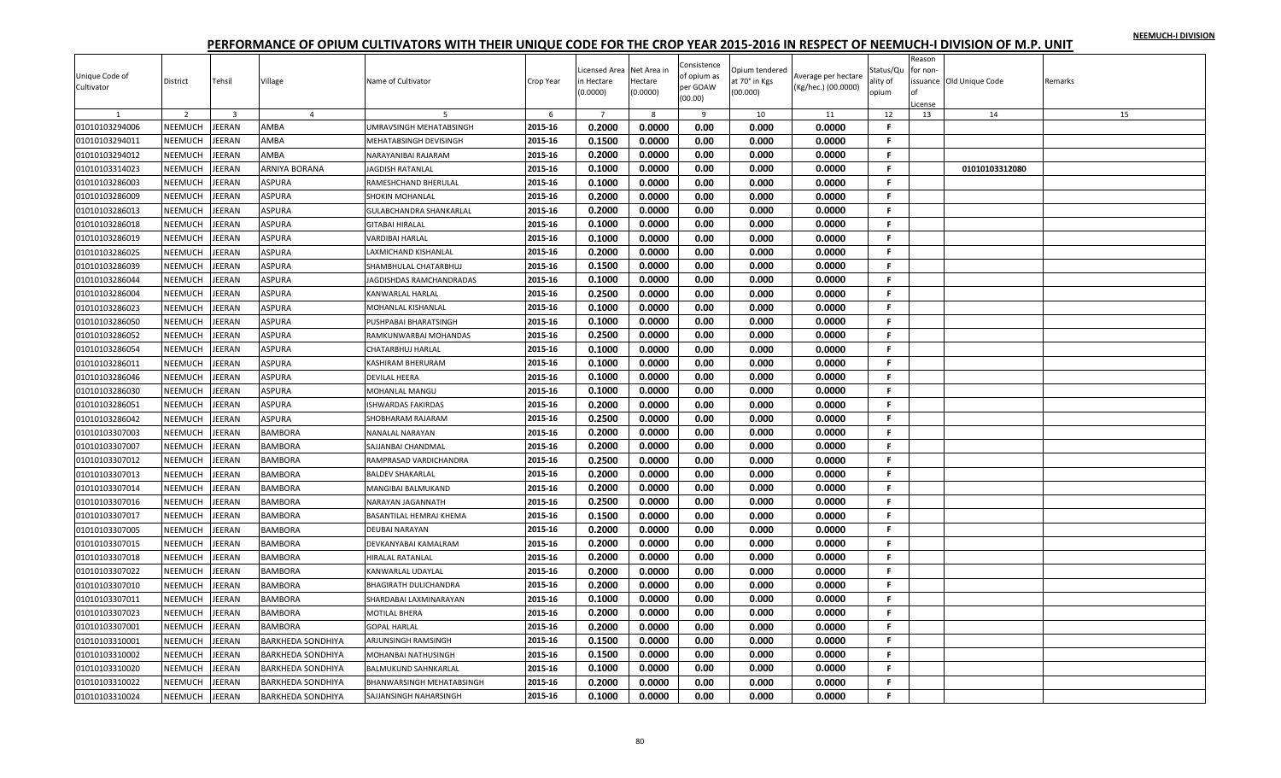|                |                |                         |                          |                                  |           |                |             |                     |                |                     |              | Reason   |                          |         |
|----------------|----------------|-------------------------|--------------------------|----------------------------------|-----------|----------------|-------------|---------------------|----------------|---------------------|--------------|----------|--------------------------|---------|
|                |                |                         |                          |                                  |           | icensed Area.  | Net Area ir | Consistence         | Opium tendered |                     | Status/Qu    | for non- |                          |         |
| Unique Code of | District       | Tehsil                  | Village                  | Name of Cultivator               | Crop Year | n Hectare      | Hectare     | of opium as         | at 70° in Kgs  | Average per hectare | ality of     |          | issuance Old Unique Code | Remarks |
| Cultivator     |                |                         |                          |                                  |           | (0.0000)       | (0.0000)    | per GOAW<br>(00.00) | (00.000)       | (Kg/hec.) (00.0000) | opium        | Ωf       |                          |         |
|                |                |                         |                          |                                  |           |                |             |                     |                |                     |              | icense   |                          |         |
|                | $\overline{2}$ | $\overline{\mathbf{3}}$ | $\overline{4}$           |                                  | 6         | $\overline{7}$ | 8           | 9                   | 10             | 11                  | 12           | 13       | 14                       | 15      |
| 01010103294006 | NEEMUCH        | JEERAN                  | AMBA                     | UMRAVSINGH MEHATABSINGH          | 2015-16   | 0.2000         | 0.0000      | 0.00                | 0.000          | 0.0000              | F.           |          |                          |         |
| 01010103294011 | <b>NEEMUCH</b> | <b>JEERAN</b>           | AMBA                     | MEHATABSINGH DEVISINGH           | 2015-16   | 0.1500         | 0.0000      | 0.00                | 0.000          | 0.0000              | F.           |          |                          |         |
| 01010103294012 | NEEMUCH        | JEERAN                  | AMBA                     | NARAYANIBAI RAJARAM              | 2015-16   | 0.2000         | 0.0000      | 0.00                | 0.000          | 0.0000              | -F.          |          |                          |         |
| 01010103314023 | NEEMUCH        | JEERAN                  | ARNIYA BORANA            | <b>JAGDISH RATANLAL</b>          | 2015-16   | 0.1000         | 0.0000      | 0.00                | 0.000          | 0.0000              | F.           |          | 01010103312080           |         |
| 01010103286003 | NEEMUCH        | JEERAN                  | <b>ASPURA</b>            | RAMESHCHAND BHERULAL             | 2015-16   | 0.1000         | 0.0000      | 0.00                | 0.000          | 0.0000              | F.           |          |                          |         |
| 01010103286009 | NEEMUCH        | JEERAN                  | <b>ASPURA</b>            | SHOKIN MOHANLAL                  | 2015-16   | 0.2000         | 0.0000      | 0.00                | 0.000          | 0.0000              | F.           |          |                          |         |
| 01010103286013 | NEEMUCH        | JEERAN                  | ASPURA                   | <b>GULABCHANDRA SHANKARLAL</b>   | 2015-16   | 0.2000         | 0.0000      | 0.00                | 0.000          | 0.0000              | -F.          |          |                          |         |
| 01010103286018 | NEEMUCH        | JEERAN                  | <b>ASPURA</b>            | <b>GITABAI HIRALAL</b>           | 2015-16   | 0.1000         | 0.0000      | 0.00                | 0.000          | 0.0000              | F.           |          |                          |         |
| 01010103286019 | NEEMUCH        | JEERAN                  | <b>ASPURA</b>            | <b>VARDIBAI HARLAL</b>           | 2015-16   | 0.1000         | 0.0000      | 0.00                | 0.000          | 0.0000              | F.           |          |                          |         |
| 01010103286025 | NEEMUCH        | JEERAN                  | <b>ASPURA</b>            | LAXMICHAND KISHANLAL             | 2015-16   | 0.2000         | 0.0000      | 0.00                | 0.000          | 0.0000              | F.           |          |                          |         |
| 01010103286039 | NEEMUCH        | JEERAN                  | ASPURA                   | SHAMBHULAL CHATARBHUJ            | 2015-16   | 0.1500         | 0.0000      | 0.00                | 0.000          | 0.0000              | .F.          |          |                          |         |
| 01010103286044 | NEEMUCH        | <b>JEERAN</b>           | ASPURA                   | JAGDISHDAS RAMCHANDRADAS         | 2015-16   | 0.1000         | 0.0000      | 0.00                | 0.000          | 0.0000              | -F.          |          |                          |         |
| 01010103286004 | <b>NEEMUCH</b> | JEERAN                  | ASPURA                   | KANWARLAL HARLAL                 | 2015-16   | 0.2500         | 0.0000      | 0.00                | 0.000          | 0.0000              | F.           |          |                          |         |
| 01010103286023 | NEEMUCH        | JEERAN                  | ASPURA                   | MOHANLAL KISHANLAL               | 2015-16   | 0.1000         | 0.0000      | 0.00                | 0.000          | 0.0000              | -F.          |          |                          |         |
| 01010103286050 | NEEMUCH        | JEERAN                  | <b>ASPURA</b>            | PUSHPABAI BHARATSINGH            | 2015-16   | 0.1000         | 0.0000      | 0.00                | 0.000          | 0.0000              | F.           |          |                          |         |
| 01010103286052 | NEEMUCH        | JEERAN                  | <b>ASPURA</b>            | RAMKUNWARBAI MOHANDAS            | 2015-16   | 0.2500         | 0.0000      | 0.00                | 0.000          | 0.0000              | -F.          |          |                          |         |
| 01010103286054 | NEEMUCH        | JEERAN                  | ASPURA                   | <b>CHATARBHUJ HARLAL</b>         | 2015-16   | 0.1000         | 0.0000      | 0.00                | 0.000          | 0.0000              | .F.          |          |                          |         |
| 01010103286011 | NEEMUCH        | JEERAN                  | ASPURA                   | <b>KASHIRAM BHERURAM</b>         | 2015-16   | 0.1000         | 0.0000      | 0.00                | 0.000          | 0.0000              | F.           |          |                          |         |
| 01010103286046 | NEEMUCH        | JEERAN                  | ASPURA                   | <b>DEVILAL HEERA</b>             | 2015-16   | 0.1000         | 0.0000      | 0.00                | 0.000          | 0.0000              | F.           |          |                          |         |
| 01010103286030 | NEEMUCH        | JEERAN                  | <b>ASPURA</b>            | <b>MOHANLAL MANGU</b>            | 2015-16   | 0.1000         | 0.0000      | 0.00                | 0.000          | 0.0000              | $\mathbf{F}$ |          |                          |         |
| 01010103286051 | NEEMUCH        | JEERAN                  | <b>ASPURA</b>            | <b>ISHWARDAS FAKIRDAS</b>        | 2015-16   | 0.2000         | 0.0000      | 0.00                | 0.000          | 0.0000              | F.           |          |                          |         |
| 01010103286042 | NEEMUCH        | JEERAN                  | ASPURA                   | SHOBHARAM RAJARAM                | 2015-16   | 0.2500         | 0.0000      | 0.00                | 0.000          | 0.0000              | -F.          |          |                          |         |
| 01010103307003 | NEEMUCH        | JEERAN                  | <b>BAMBORA</b>           | NANALAL NARAYAN                  | 2015-16   | 0.2000         | 0.0000      | 0.00                | 0.000          | 0.0000              | -F.          |          |                          |         |
| 01010103307007 | NEEMUCH        | JEERAN                  | <b>BAMBORA</b>           | SAJJANBAI CHANDMAL               | 2015-16   | 0.2000         | 0.0000      | 0.00                | 0.000          | 0.0000              | F.           |          |                          |         |
| 01010103307012 | NEEMUCH        | JEERAN                  | <b>BAMBORA</b>           | RAMPRASAD VARDICHANDRA           | 2015-16   | 0.2500         | 0.0000      | 0.00                | 0.000          | 0.0000              | -F.          |          |                          |         |
| 01010103307013 | NEEMUCH        | JEERAN                  | <b>BAMBORA</b>           | <b>BALDEV SHAKARLAL</b>          | 2015-16   | 0.2000         | 0.0000      | 0.00                | 0.000          | 0.0000              | $\mathbf{F}$ |          |                          |         |
| 01010103307014 | NEEMUCH        | JEERAN                  | <b>BAMBORA</b>           | <b>MANGIBAI BALMUKAND</b>        | 2015-16   | 0.2000         | 0.0000      | 0.00                | 0.000          | 0.0000              | .F.          |          |                          |         |
| 01010103307016 | NEEMUCH        | JEERAN                  | <b>BAMBORA</b>           | NARAYAN JAGANNATH                | 2015-16   | 0.2500         | 0.0000      | 0.00                | 0.000          | 0.0000              | -F.          |          |                          |         |
| 01010103307017 | <b>NEEMUCH</b> | JEERAN                  | <b>BAMBORA</b>           | <b>BASANTILAL HEMRAJ KHEMA</b>   | 2015-16   | 0.1500         | 0.0000      | 0.00                | 0.000          | 0.0000              | -F           |          |                          |         |
| 01010103307005 | NEEMUCH        | JEERAN                  | <b>BAMBORA</b>           | <b>DEUBAI NARAYAN</b>            | 2015-16   | 0.2000         | 0.0000      | 0.00                | 0.000          | 0.0000              | F.           |          |                          |         |
| 01010103307015 | NEEMUCH        | JEERAN                  | <b>BAMBORA</b>           | DEVKANYABAI KAMALRAM             | 2015-16   | 0.2000         | 0.0000      | 0.00                | 0.000          | 0.0000              | F.           |          |                          |         |
| 01010103307018 | NEEMUCH        | JEERAN                  | <b>BAMBORA</b>           | HIRALAL RATANLAL                 | 2015-16   | 0.2000         | 0.0000      | 0.00                | 0.000          | 0.0000              | F.           |          |                          |         |
| 01010103307022 | NEEMUCH        | JEERAN                  | <b>BAMBORA</b>           | KANWARLAL UDAYLAL                | 2015-16   | 0.2000         | 0.0000      | 0.00                | 0.000          | 0.0000              | .F.          |          |                          |         |
| 01010103307010 | <b>NEEMUCH</b> | <b>JEERAN</b>           | <b>BAMBORA</b>           | <b>BHAGIRATH DULICHANDRA</b>     | 2015-16   | 0.2000         | 0.0000      | 0.00                | 0.000          | 0.0000              | -F.          |          |                          |         |
| 01010103307011 | NEEMUCH        | JEERAN                  | <b>BAMBORA</b>           | SHARDABAI LAXMINARAYAN           | 2015-16   | 0.1000         | 0.0000      | 0.00                | 0.000          | 0.0000              | F.           |          |                          |         |
| 01010103307023 | NEEMUCH        | JEERAN                  | <b>BAMBORA</b>           | <b>MOTILAL BHERA</b>             | 2015-16   | 0.2000         | 0.0000      | 0.00                | 0.000          | 0.0000              | .F.          |          |                          |         |
| 01010103307001 | NEEMUCH        | JEERAN                  | <b>BAMBORA</b>           | <b>GOPAL HARLAL</b>              | 2015-16   | 0.2000         | 0.0000      | 0.00                | 0.000          | 0.0000              | F.           |          |                          |         |
|                | NEEMUCH        | JEERAN                  |                          |                                  | 2015-16   | 0.1500         | 0.0000      | 0.00                |                |                     | -F.          |          |                          |         |
| 01010103310001 |                |                         | <b>BARKHEDA SONDHIYA</b> | ARJUNSINGH RAMSINGH              |           |                |             |                     | 0.000          | 0.0000              | -F.          |          |                          |         |
| 01010103310002 | NEEMUCH        | JEERAN                  | <b>BARKHEDA SONDHIYA</b> | MOHANBAI NATHUSINGH              | 2015-16   | 0.1500         | 0.0000      | 0.00                | 0.000          | 0.0000              |              |          |                          |         |
| 01010103310020 | <b>NEEMUCH</b> | JEERAN                  | <b>BARKHEDA SONDHIYA</b> | <b>BALMUKUND SAHNKARLAL</b>      | 2015-16   | 0.1000         | 0.0000      | 0.00                | 0.000          | 0.0000              | F.           |          |                          |         |
| 01010103310022 | NEEMUCH        | JEERAN                  | <b>BARKHEDA SONDHIYA</b> | <b>BHANWARSINGH MEHATABSINGH</b> | 2015-16   | 0.2000         | 0.0000      | 0.00                | 0.000          | 0.0000              | F.           |          |                          |         |
| 01010103310024 | NEEMUCH        | JEERAN                  | <b>BARKHEDA SONDHIYA</b> | SAJJANSINGH NAHARSINGH           | 2015-16   | 0.1000         | 0.0000      | 0.00                | 0.000          | 0.0000              | F.           |          |                          |         |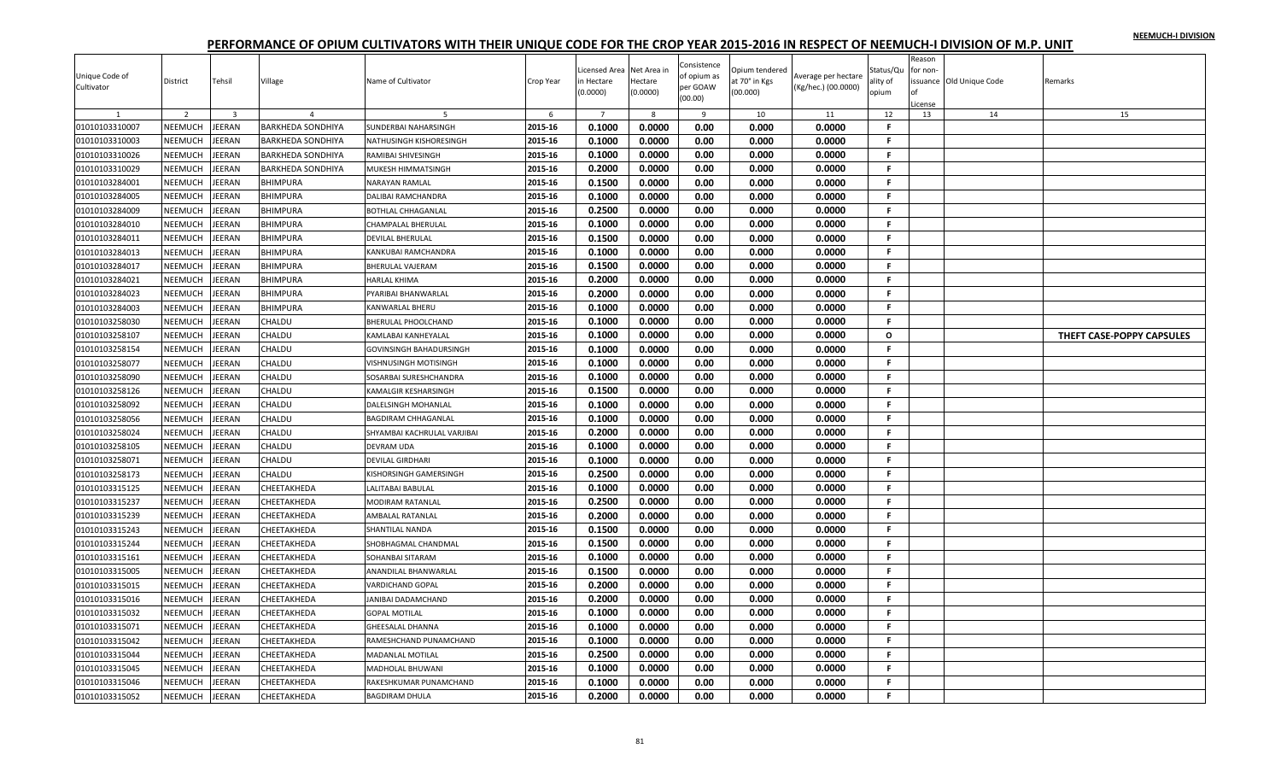| Unique Code of | District       | Tehsil                  | Village                  | Name of Cultivator             | Crop Year | icensed Area<br>n Hectare | Net Area in<br>Hectare | Consistence<br>of opium as | Opium tendered<br>it 70° in Kgs | Average per hectare | Status/Qu<br>ality of | Reason<br>for non- | ssuance Old Unique Code | Remarks                   |
|----------------|----------------|-------------------------|--------------------------|--------------------------------|-----------|---------------------------|------------------------|----------------------------|---------------------------------|---------------------|-----------------------|--------------------|-------------------------|---------------------------|
| Cultivator     |                |                         |                          |                                |           | (0.0000)                  | (0.0000)               | per GOAW<br>(00.00)        | (00.000)                        | (Kg/hec.) (00.0000) | opium                 |                    |                         |                           |
|                | 2              | $\overline{\mathbf{3}}$ |                          |                                | 6         | $\overline{7}$            | 8                      | 9                          | 10                              | 11                  | 12                    | License<br>13      | 14                      | 15                        |
| 01010103310007 | NEEMUCH        | JEERAN                  | <b>BARKHEDA SONDHIYA</b> | SUNDERBAI NAHARSINGH           | 2015-16   | 0.1000                    | 0.0000                 | 0.00                       | 0.000                           | 0.0000              | F.                    |                    |                         |                           |
| 01010103310003 | NEEMUCH        | <b>JEERAN</b>           | BARKHEDA SONDHIYA        | NATHUSINGH KISHORESINGH        | 2015-16   | 0.1000                    | 0.0000                 | 0.00                       | 0.000                           | 0.0000              | F.                    |                    |                         |                           |
| 01010103310026 | NEEMUCH        | <b>JEERAN</b>           | <b>BARKHEDA SONDHIYA</b> | RAMIBAI SHIVESINGH             | 2015-16   | 0.1000                    | 0.0000                 | 0.00                       | 0.000                           | 0.0000              | F.                    |                    |                         |                           |
| 01010103310029 | NEEMUCH        | JEERAN                  | <b>BARKHEDA SONDHIYA</b> | MUKESH HIMMATSINGH             | 2015-16   | 0.2000                    | 0.0000                 | 0.00                       | 0.000                           | 0.0000              | F.                    |                    |                         |                           |
| 01010103284001 | NEEMUCH        | <b>JEERAN</b>           | BHIMPURA                 | <b>NARAYAN RAMLAL</b>          | 2015-16   | 0.1500                    | 0.0000                 | 0.00                       | 0.000                           | 0.0000              | F.                    |                    |                         |                           |
| 01010103284005 | <b>NEEMUCH</b> | <b>JEERAN</b>           | <b>BHIMPURA</b>          | <b>DALIBAI RAMCHANDRA</b>      | 2015-16   | 0.1000                    | 0.0000                 | 0.00                       | 0.000                           | 0.0000              | F.                    |                    |                         |                           |
| 01010103284009 | NEEMUCH        | <b>JEERAN</b>           | BHIMPURA                 | <b>BOTHLAL CHHAGANLAL</b>      | 2015-16   | 0.2500                    | 0.0000                 | 0.00                       | 0.000                           | 0.0000              | F                     |                    |                         |                           |
| 01010103284010 | NEEMUCH        | EERAN                   | BHIMPURA                 | CHAMPALAL BHERULAL             | 2015-16   | 0.1000                    | 0.0000                 | 0.00                       | 0.000                           | 0.0000              | F.                    |                    |                         |                           |
| 01010103284011 | <b>NEEMUCH</b> | <b>JEERAN</b>           | <b>BHIMPURA</b>          | <b>DEVILAL BHERULAL</b>        | 2015-16   | 0.1500                    | 0.0000                 | 0.00                       | 0.000                           | 0.0000              | F.                    |                    |                         |                           |
| 01010103284013 | NEEMUCH        | <b>JEERAN</b>           | BHIMPURA                 | KANKUBAI RAMCHANDRA            | 2015-16   | 0.1000                    | 0.0000                 | 0.00                       | 0.000                           | 0.0000              | F.                    |                    |                         |                           |
| 01010103284017 | NEEMUCH        | JEERAN                  | <b>BHIMPURA</b>          | <b>BHERULAL VAJERAM</b>        | 2015-16   | 0.1500                    | 0.0000                 | 0.00                       | 0.000                           | 0.0000              | F.                    |                    |                         |                           |
| 01010103284021 | <b>NEEMUCH</b> | JEERAN                  | BHIMPURA                 | <b>HARLAL KHIMA</b>            | 2015-16   | 0.2000                    | 0.0000                 | 0.00                       | 0.000                           | 0.0000              | F                     |                    |                         |                           |
| 01010103284023 | NEEMUCH        | EERAN                   | <b>BHIMPURA</b>          | PYARIBAI BHANWARLAL            | 2015-16   | 0.2000                    | 0.0000                 | 0.00                       | 0.000                           | 0.0000              | F.                    |                    |                         |                           |
| 01010103284003 | NEEMUCH        | <b>JEERAN</b>           | <b>BHIMPURA</b>          | <b>KANWARLAL BHERU</b>         | 2015-16   | 0.1000                    | 0.0000                 | 0.00                       | 0.000                           | 0.0000              | F.                    |                    |                         |                           |
| 01010103258030 | NEEMUCH        | <b>JEERAN</b>           | CHALDU                   | <b>BHERULAL PHOOLCHAND</b>     | 2015-16   | 0.1000                    | 0.0000                 | 0.00                       | 0.000                           | 0.0000              | F.                    |                    |                         |                           |
| 01010103258107 | NEEMUCH        | <b>JEERAN</b>           | CHALDU                   | KAMLABAI KANHEYALAL            | 2015-16   | 0.1000                    | 0.0000                 | 0.00                       | 0.000                           | 0.0000              | $\circ$               |                    |                         | THEFT CASE-POPPY CAPSULES |
| 01010103258154 | <b>NEEMUCH</b> | JEERAN                  | CHALDU                   | <b>GOVINSINGH BAHADURSINGH</b> | 2015-16   | 0.1000                    | 0.0000                 | 0.00                       | 0.000                           | 0.0000              | F.                    |                    |                         |                           |
| 01010103258077 | <b>NEEMUCH</b> | EERAN                   | CHALDU                   | <b>VISHNUSINGH MOTISINGH</b>   | 2015-16   | 0.1000                    | 0.0000                 | 0.00                       | 0.000                           | 0.0000              | F                     |                    |                         |                           |
| 01010103258090 | NEEMUCH        | <b>JEERAN</b>           | CHALDU                   | SOSARBAI SURESHCHANDRA         | 2015-16   | 0.1000                    | 0.0000                 | 0.00                       | 0.000                           | 0.0000              | F.                    |                    |                         |                           |
| 01010103258126 | NEEMUCH        | <b>JEERAN</b>           | CHALDU                   | KAMALGIR KESHARSINGH           | 2015-16   | 0.1500                    | 0.0000                 | 0.00                       | 0.000                           | 0.0000              | F.                    |                    |                         |                           |
| 01010103258092 | <b>NEEMUCH</b> | <b>JEERAN</b>           | CHALDU                   | DALELSINGH MOHANLAL            | 2015-16   | 0.1000                    | 0.0000                 | 0.00                       | 0.000                           | 0.0000              | $\mathbf{F}$          |                    |                         |                           |
| 01010103258056 | NEEMUCH        | <b>JEERAN</b>           | CHALDU                   | <b>BAGDIRAM CHHAGANLAL</b>     | 2015-16   | 0.1000                    | 0.0000                 | 0.00                       | 0.000                           | 0.0000              | F.                    |                    |                         |                           |
| 01010103258024 | NEEMUCH        | JEERAN                  | CHALDU                   | SHYAMBAI KACHRULAL VARJIBAI    | 2015-16   | 0.2000                    | 0.0000                 | 0.00                       | 0.000                           | 0.0000              | F.                    |                    |                         |                           |
| 01010103258105 | NEEMUCH        | <b>JEERAN</b>           | CHALDU                   | <b>DEVRAM UDA</b>              | 2015-16   | 0.1000                    | 0.0000                 | 0.00                       | 0.000                           | 0.0000              | F.                    |                    |                         |                           |
| 01010103258071 | NEEMUCH        | <b>JEERAN</b>           | CHALDU                   | <b>DEVILAL GIRDHARI</b>        | 2015-16   | 0.1000                    | 0.0000                 | 0.00                       | 0.000                           | 0.0000              | F.                    |                    |                         |                           |
| 01010103258173 | NEEMUCH        | JEERAN                  | CHALDU                   | KISHORSINGH GAMERSINGH         | 2015-16   | 0.2500                    | 0.0000                 | 0.00                       | 0.000                           | 0.0000              | F.                    |                    |                         |                           |
| 01010103315125 | NEEMUCH        | <b>JEERAN</b>           | CHEETAKHEDA              | LALITABAI BABULAL              | 2015-16   | 0.1000                    | 0.0000                 | 0.00                       | 0.000                           | 0.0000              | -F.                   |                    |                         |                           |
| 01010103315237 | <b>NEEMUCH</b> | <b>JEERAN</b>           | CHEETAKHEDA              | <b>MODIRAM RATANLAL</b>        | 2015-16   | 0.2500                    | 0.0000                 | 0.00                       | 0.000                           | 0.0000              | F.                    |                    |                         |                           |
| 01010103315239 | NEEMUCH        | <b>JEERAN</b>           | CHEETAKHEDA              | <b>AMBALAL RATANLAL</b>        | 2015-16   | 0.2000                    | 0.0000                 | 0.00                       | 0.000                           | 0.0000              | -F                    |                    |                         |                           |
| 01010103315243 | NEEMUCH        | EERAN                   | CHEETAKHEDA              | SHANTILAL NANDA                | 2015-16   | 0.1500                    | 0.0000                 | 0.00                       | 0.000                           | 0.0000              | F.                    |                    |                         |                           |
| 01010103315244 | NEEMUCH        | JEERAN                  | CHEETAKHEDA              | SHOBHAGMAL CHANDMAL            | 2015-16   | 0.1500                    | 0.0000                 | 0.00                       | 0.000                           | 0.0000              | F.                    |                    |                         |                           |
| 01010103315161 | NEEMUCH        | <b>JEERAN</b>           | CHEETAKHEDA              | SOHANBAI SITARAM               | 2015-16   | 0.1000                    | 0.0000                 | 0.00                       | 0.000                           | 0.0000              | F.                    |                    |                         |                           |
| 01010103315005 | NEEMUCH        | <b>JEERAN</b>           | CHEETAKHEDA              | ANANDILAL BHANWARLAL           | 2015-16   | 0.1500                    | 0.0000                 | 0.00                       | 0.000                           | 0.0000              | F.                    |                    |                         |                           |
| 01010103315015 | <b>NEEMUCH</b> | JEERAN                  | CHEETAKHEDA              | VARDICHAND GOPAL               | 2015-16   | 0.2000                    | 0.0000                 | 0.00                       | 0.000                           | 0.0000              | F.                    |                    |                         |                           |
| 01010103315016 | NEEMUCH        | EERAN                   | CHEETAKHEDA              | JANIBAI DADAMCHAND             | 2015-16   | 0.2000                    | 0.0000                 | 0.00                       | 0.000                           | 0.0000              | F.                    |                    |                         |                           |
| 01010103315032 | NEEMUCH        | JEERAN                  | CHEETAKHEDA              | <b>GOPAL MOTILAL</b>           | 2015-16   | 0.1000                    | 0.0000                 | 0.00                       | 0.000                           | 0.0000              | F.                    |                    |                         |                           |
| 01010103315071 | NEEMUCH        | <b>JEERAN</b>           | CHEETAKHEDA              | <b>GHEESALAL DHANNA</b>        | 2015-16   | 0.1000                    | 0.0000                 | 0.00                       | 0.000                           | 0.0000              | F.                    |                    |                         |                           |
| 01010103315042 | NEEMUCH        | <b>JEERAN</b>           | CHEETAKHEDA              | RAMESHCHAND PUNAMCHAND         | 2015-16   | 0.1000                    | 0.0000                 | 0.00                       | 0.000                           | 0.0000              | F.                    |                    |                         |                           |
| 01010103315044 | NEEMUCH        | <b>JEERAN</b>           | CHEETAKHEDA              | <b>MADANLAL MOTILAL</b>        | 2015-16   | 0.2500                    | 0.0000                 | 0.00                       | 0.000                           | 0.0000              | F.                    |                    |                         |                           |
| 01010103315045 | NEEMUCH        | EERAN                   | CHEETAKHEDA              | <b>MADHOLAL BHUWANI</b>        | 2015-16   | 0.1000                    | 0.0000                 | 0.00                       | 0.000                           | 0.0000              | F                     |                    |                         |                           |
| 01010103315046 | NEEMUCH        | <b>JEERAN</b>           | CHEETAKHEDA              | RAKESHKUMAR PUNAMCHAND         | 2015-16   | 0.1000                    | 0.0000                 | 0.00                       | 0.000                           | 0.0000              | F.                    |                    |                         |                           |
| 01010103315052 | NEEMUCH        | JEERAN                  | CHEETAKHEDA              | <b>BAGDIRAM DHULA</b>          | 2015-16   | 0.2000                    | 0.0000                 | 0.00                       | 0.000                           | 0.0000              | F.                    |                    |                         |                           |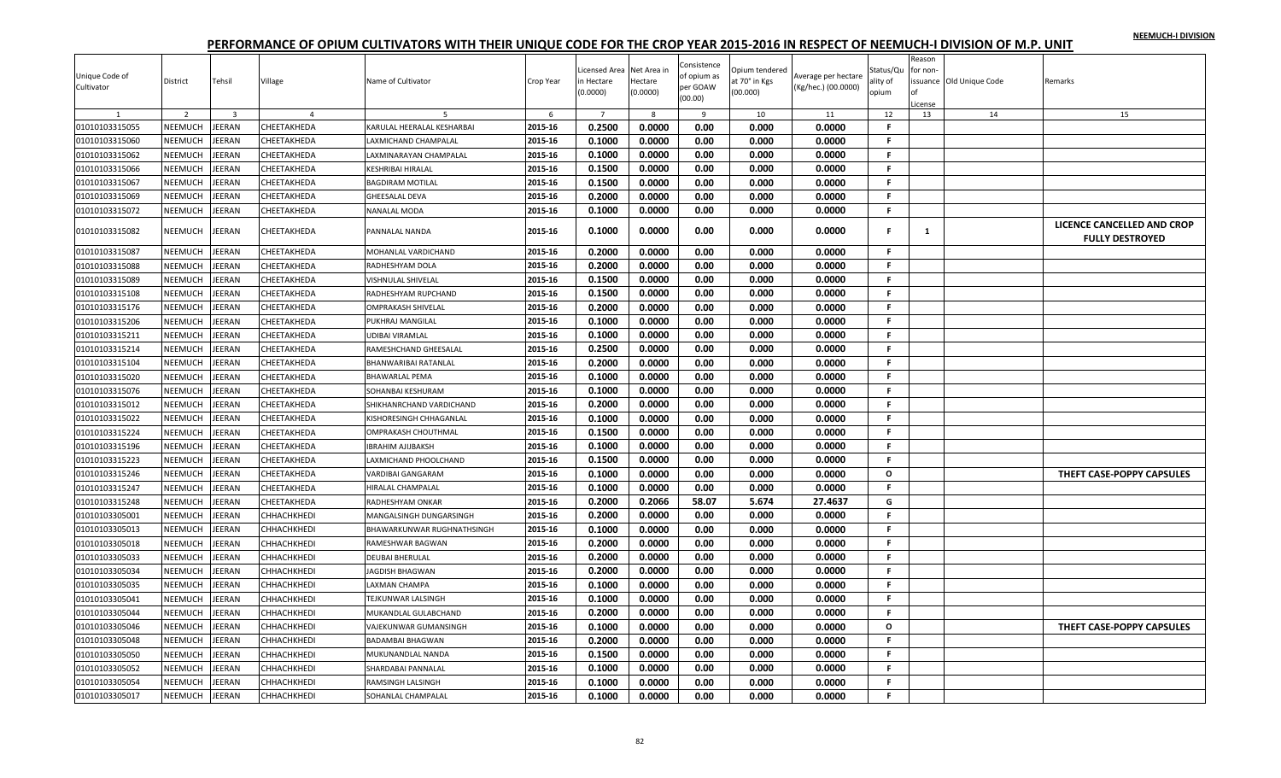|                                  |                |                |                    |                                |           | icensed Area   | Net Area ir | Consistence         | Opium tendered |                     | Status/Qu    | Reason<br>for non- |                          |                            |
|----------------------------------|----------------|----------------|--------------------|--------------------------------|-----------|----------------|-------------|---------------------|----------------|---------------------|--------------|--------------------|--------------------------|----------------------------|
| Unique Code of                   | District       | Tehsil         | Village            | Name of Cultivator             | Crop Year | n Hectare      | Hectare     | of opium as         | it 70° in Kgs  | Average per hectare | ılity of     |                    | issuance Old Unique Code | Remarks                    |
| Cultivator                       |                |                |                    |                                |           | (0.0000)       | (0.0000)    | per GOAW<br>(00.00) | (00.000)       | (Kg/hec.) (00.0000) | opium        |                    |                          |                            |
|                                  | $\overline{2}$ | $\overline{3}$ | $\overline{a}$     | -5                             | 6         | $\overline{7}$ | 8           | 9                   | 10             | 11                  | 12           | License<br>13      | 14                       | 15                         |
| 01010103315055                   | NEEMUCH        | JEERAN         | CHEETAKHEDA        | KARULAL HEERALAL KESHARBAI     | 2015-16   | 0.2500         | 0.0000      | 0.00                | 0.000          | 0.0000              | F            |                    |                          |                            |
| 01010103315060                   | NEEMUCH        | <b>JEERAN</b>  | CHEETAKHEDA        | LAXMICHAND CHAMPALAL           | 2015-16   | 0.1000         | 0.0000      | 0.00                | 0.000          | 0.0000              | F.           |                    |                          |                            |
| 01010103315062                   | NEEMUCH        | JEERAN         | CHEETAKHEDA        | LAXMINARAYAN CHAMPALAL         | 2015-16   | 0.1000         | 0.0000      | 0.00                | 0.000          | 0.0000              | F.           |                    |                          |                            |
| 01010103315066                   | NEEMUCH        | JEERAN         | CHEETAKHEDA        | <b>KESHRIBAI HIRALAL</b>       | 2015-16   | 0.1500         | 0.0000      | 0.00                | 0.000          | 0.0000              | F.           |                    |                          |                            |
| 01010103315067                   | <b>NEEMUCH</b> | JEERAN         | CHEETAKHEDA        | <b>BAGDIRAM MOTILAL</b>        | 2015-16   | 0.1500         | 0.0000      | 0.00                | 0.000          | 0.0000              | F.           |                    |                          |                            |
| 01010103315069                   | NEEMUCH        | JEERAN         | CHEETAKHEDA        | <b>GHEESALAL DEVA</b>          | 2015-16   | 0.2000         | 0.0000      | 0.00                | 0.000          | 0.0000              | F            |                    |                          |                            |
| 01010103315072                   | NEEMUCH        | JEERAN         | CHEETAKHEDA        | NANALAL MODA                   | 2015-16   | 0.1000         | 0.0000      | 0.00                | 0.000          | 0.0000              | F.           |                    |                          |                            |
|                                  |                |                |                    |                                |           |                |             |                     |                |                     |              |                    |                          | LICENCE CANCELLED AND CROP |
| 01010103315082                   | NEEMUCH        | JEERAN         | CHEETAKHEDA        | PANNALAL NANDA                 | 2015-16   | 0.1000         | 0.0000      | 0.00                | 0.000          | 0.0000              |              | 1                  |                          | <b>FULLY DESTROYED</b>     |
| 01010103315087                   | NEEMUCH        | <b>JEERAN</b>  | CHEETAKHEDA        | MOHANLAL VARDICHAND            | 2015-16   | 0.2000         | 0.0000      | 0.00                | 0.000          | 0.0000              | F.           |                    |                          |                            |
| 01010103315088                   | NEEMUCH        | <b>JEERAN</b>  | CHEETAKHEDA        | RADHESHYAM DOLA                | 2015-16   | 0.2000         | 0.0000      | 0.00                | 0.000          | 0.0000              | F.           |                    |                          |                            |
| 01010103315089                   | NEEMUCH        | <b>JEERAN</b>  | CHEETAKHEDA        | VISHNULAL SHIVELAL             | 2015-16   | 0.1500         | 0.0000      | 0.00                | 0.000          | 0.0000              | F            |                    |                          |                            |
| 01010103315108                   | NEEMUCH        | JEERAN         | CHEETAKHEDA        | RADHESHYAM RUPCHAND            | 2015-16   | 0.1500         | 0.0000      | 0.00                | 0.000          | 0.0000              | F.           |                    |                          |                            |
| 01010103315176                   | NEEMUCH        | <b>JEERAN</b>  | CHEETAKHEDA        | <b>OMPRAKASH SHIVELAL</b>      | 2015-16   | 0.2000         | 0.0000      | 0.00                | 0.000          | 0.0000              | F.           |                    |                          |                            |
| 01010103315206                   | NEEMUCH        | <b>JEERAN</b>  | CHEETAKHEDA        | PUKHRAJ MANGILAL               | 2015-16   | 0.1000         | 0.0000      | 0.00                | 0.000          | 0.0000              | F.           |                    |                          |                            |
| 01010103315211                   | NEEMUCH        | <b>JEERAN</b>  | CHEETAKHEDA        | <b>UDIBAI VIRAMLAL</b>         | 2015-16   | 0.1000         | 0.0000      | 0.00                | 0.000          | 0.0000              | F.           |                    |                          |                            |
| 01010103315214                   | <b>NEEMUCH</b> | JEERAN         | CHEETAKHEDA        | RAMESHCHAND GHEESALAL          | 2015-16   | 0.2500         | 0.0000      | 0.00                | 0.000          | 0.0000              | F.           |                    |                          |                            |
| 01010103315104                   | NEEMUCH        | JEERAN         | CHEETAKHEDA        | <b>BHANWARIBAI RATANLAL</b>    | 2015-16   | 0.2000         | 0.0000      | 0.00                | 0.000          | 0.0000              | F.           |                    |                          |                            |
| 01010103315020                   | NEEMUCH        | <b>JEERAN</b>  | CHEETAKHEDA        | <b>BHAWARLAL PEMA</b>          | 2015-16   | 0.1000         | 0.0000      | 0.00                | 0.000          | 0.0000              | F.           |                    |                          |                            |
| 01010103315076                   | NEEMUCH        | JEERAN         | CHEETAKHEDA        | SOHANBAI KESHURAM              | 2015-16   | 0.1000         | 0.0000      | 0.00                | 0.000          | 0.0000              | F            |                    |                          |                            |
| 01010103315012                   | NEEMUCH        | JEERAN         | CHEETAKHEDA        | SHIKHANRCHAND VARDICHAND       | 2015-16   | 0.2000         | 0.0000      | 0.00                | 0.000          | 0.0000              | F.           |                    |                          |                            |
| 01010103315022                   | <b>NEEMUCH</b> | JEERAN         | CHEETAKHEDA        | KISHORESINGH CHHAGANLAI        | 2015-16   | 0.1000         | 0.0000      | 0.00                | 0.000          | 0.0000              | F.           |                    |                          |                            |
| 01010103315224                   | NEEMUCH        | JEERAN         | CHEETAKHEDA        | OMPRAKASH CHOUTHMAL            | 2015-16   | 0.1500         | 0.0000      | 0.00                | 0.000          | 0.0000              | F            |                    |                          |                            |
| 01010103315196                   | NEEMUCH        | JEERAN         | CHEETAKHEDA        | <b>IBRAHIM AJIJBAKSH</b>       | 2015-16   | 0.1000         | 0.0000      | 0.00                | 0.000          | 0.0000              | Е            |                    |                          |                            |
| 01010103315223                   | NEEMUCH        | <b>JEERAN</b>  | CHEETAKHEDA        | LAXMICHAND PHOOLCHAND          | 2015-16   | 0.1500         | 0.0000      | 0.00                | 0.000          | 0.0000              | F.           |                    |                          |                            |
| 01010103315246                   | NEEMUCH        | <b>JEERAN</b>  | CHEETAKHEDA        | <b>VARDIBAI GANGARAM</b>       | 2015-16   | 0.1000         | 0.0000      | 0.00                | 0.000          | 0.0000              | $\mathbf{o}$ |                    |                          | THEFT CASE-POPPY CAPSULES  |
| 01010103315247                   | NEEMUCH        | JEERAN         | CHEETAKHEDA        | HIRALAL CHAMPALAL              | 2015-16   | 0.1000         | 0.0000      | 0.00                | 0.000          | 0.0000              | F.           |                    |                          |                            |
| 01010103315248                   | NEEMUCH        | JEERAN         | CHEETAKHEDA        | RADHESHYAM ONKAR               | 2015-16   | 0.2000         | 0.2066      | 58.07               | 5.674          | 27.4637             | G            |                    |                          |                            |
| 01010103305001                   | <b>NEEMUCH</b> | JEERAN         | <b>СННАСНКНЕDI</b> | <b>MANGALSINGH DUNGARSINGH</b> | 2015-16   | 0.2000         | 0.0000      | 0.00                | 0.000          | 0.0000              | F.           |                    |                          |                            |
| 01010103305013                   | NEEMUCH        | JEERAN         | СННАСНКНЕDІ        | BHAWARKUNWAR RUGHNATHSINGH     | 2015-16   | 0.1000         | 0.0000      | 0.00                | 0.000          | 0.0000              | F            |                    |                          |                            |
| 01010103305018                   | NEEMUCH        | <b>JEERAN</b>  | СННАСНКНЕDІ        | RAMESHWAR BAGWAN               | 2015-16   | 0.2000         | 0.0000      | 0.00                | 0.000          | 0.0000              | F.           |                    |                          |                            |
| 01010103305033                   | NEEMUCH        | <b>JEERAN</b>  | CHHACHKHEDI        | <b>DEUBAI BHERULAL</b>         | 2015-16   | 0.2000         | 0.0000      | 0.00                | 0.000          | 0.0000              | F.           |                    |                          |                            |
| 01010103305034                   | NEEMUCH        | <b>JEERAN</b>  | СННАСНКНЕDІ        | JAGDISH BHAGWAN                | 2015-16   | 0.2000         | 0.0000      | 0.00                | 0.000          | 0.0000              | F.           |                    |                          |                            |
| 01010103305035                   | NEEMUCH        | <b>JEERAN</b>  | СННАСНКНЕDІ        | <b>LAXMAN CHAMPA</b>           | 2015-16   | 0.1000         | 0.0000      | 0.00                | 0.000          | 0.0000              | F.           |                    |                          |                            |
| 01010103305041                   | NEEMUCH        | <b>JEERAN</b>  | CHHACHKHEDI        | <b>TEJKUNWAR LALSINGH</b>      | 2015-16   | 0.1000         | 0.0000      | 0.00                | 0.000          | 0.0000              | F.           |                    |                          |                            |
| 01010103305044                   | NEEMUCH        | <b>JEERAN</b>  | СННАСНКНЕDІ        | MUKANDLAL GULABCHAND           | 2015-16   | 0.2000         | 0.0000      | 0.00                | 0.000          | 0.0000              | F            |                    |                          |                            |
| 01010103305046                   | NEEMUCH        | <b>JEERAN</b>  | СННАСНКНЕDІ        | VAJEKUNWAR GUMANSINGH          | 2015-16   | 0.1000         | 0.0000      | 0.00                | 0.000          | 0.0000              | $\mathbf{o}$ |                    |                          | THEFT CASE-POPPY CAPSULES  |
| 01010103305048                   | NEEMUCH        | JEERAN         | СННАСНКНЕDІ        | <b>BADAMBAI BHAGWAN</b>        | 2015-16   | 0.2000         | 0.0000      | 0.00                | 0.000          | 0.0000              | F.           |                    |                          |                            |
|                                  | NEEMUCH        | JEERAN         | СННАСНКНЕDІ        | MUKUNANDLAL NANDA              | 2015-16   | 0.1500         | 0.0000      | 0.00                | 0.000          | 0.0000              | F.           |                    |                          |                            |
| 01010103305050<br>01010103305052 | NEEMUCH        | JEERAN         |                    |                                |           | 0.1000         | 0.0000      | 0.00                | 0.000          | 0.0000              | F            |                    |                          |                            |
|                                  |                |                | CHHACHKHEDI        | SHARDABAI PANNALAL             | 2015-16   |                |             |                     |                |                     |              |                    |                          |                            |
| 01010103305054                   | NEEMUCH        | <b>JEERAN</b>  | CHHACHKHEDI        | RAMSINGH LALSINGH              | 2015-16   | 0.1000         | 0.0000      | 0.00                | 0.000          | 0.0000              | Е            |                    |                          |                            |
| 01010103305017                   | NEEMUCH        | <b>JEERAN</b>  | <b>СННАСНКНЕDI</b> | SOHANLAL CHAMPALAL             | 2015-16   | 0.1000         | 0.0000      | 0.00                | 0.000          | 0.0000              | F.           |                    |                          |                            |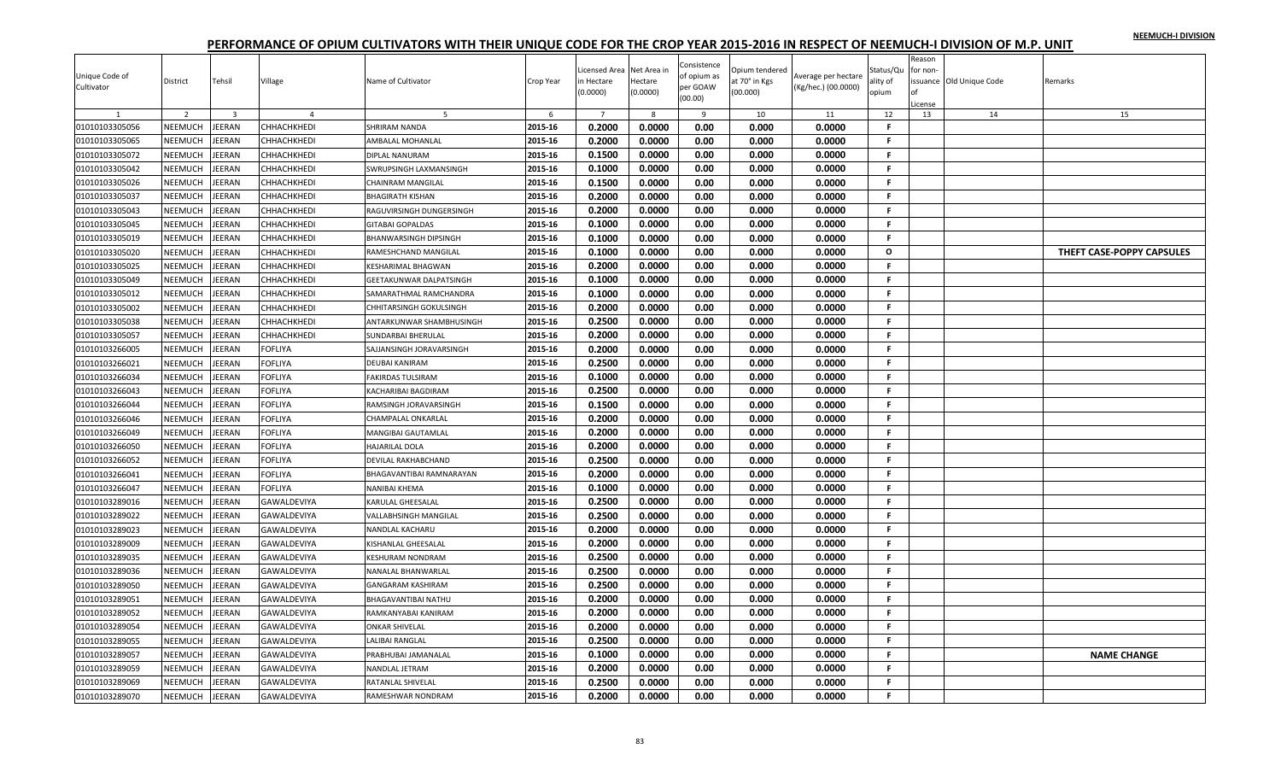|                |                |                         |                |                                |           | icensed Area   | Net Area in  | Consistence         | Opium tendered |                     | Status/Qu    | Reason<br>for non |                         |                           |
|----------------|----------------|-------------------------|----------------|--------------------------------|-----------|----------------|--------------|---------------------|----------------|---------------------|--------------|-------------------|-------------------------|---------------------------|
| Unique Code of | District       | Tehsil                  | Village        | Name of Cultivator             | Crop Year | n Hectare      | Hectare      | of opium as         | it 70° in Kgs  | Average per hectare | ality of     |                   | ssuance Old Unique Code | Remarks                   |
| Cultivator     |                |                         |                |                                |           | (0.0000)       | (0.0000)     | per GOAW<br>(00.00) | (00.000)       | (Kg/hec.) (00.0000) | opium        |                   |                         |                           |
|                |                |                         |                |                                |           |                |              |                     |                |                     |              | License           |                         |                           |
|                | 2              | $\overline{\mathbf{3}}$ |                | -5                             | 6         | $\overline{7}$ | $\mathbf{R}$ | 9                   | 10             | 11                  | 12           | 13                | 14                      | 15                        |
| 01010103305056 | NEEMUCH        | JEERAN                  | СННАСНКНЕDІ    | <b>SHRIRAM NANDA</b>           | 2015-16   | 0.2000         | 0.0000       | 0.00                | 0.000          | 0.0000              | F.           |                   |                         |                           |
| 01010103305065 | NEEMUCH        | <b>JEERAN</b>           | CHHACHKHEDI    | AMBALAL MOHANLAL               | 2015-16   | 0.2000         | 0.0000       | 0.00                | 0.000          | 0.0000              | F.           |                   |                         |                           |
| 01010103305072 | NEEMUCH        | <b>JEERAN</b>           | CHHACHKHEDI    | DIPLAL NANURAM                 | 2015-16   | 0.1500         | 0.0000       | 0.00                | 0.000          | 0.0000              | F.           |                   |                         |                           |
| 01010103305042 | NEEMUCH        | JEERAN                  | СННАСНКНЕDІ    | SWRUPSINGH LAXMANSINGH         | 2015-16   | 0.1000         | 0.0000       | 0.00                | 0.000          | 0.0000              | F.           |                   |                         |                           |
| 01010103305026 | NEEMUCH        | <b>JEERAN</b>           | CHHACHKHEDI    | <b>CHAINRAM MANGILAL</b>       | 2015-16   | 0.1500         | 0.0000       | 0.00                | 0.000          | 0.0000              | F.           |                   |                         |                           |
| 01010103305037 | <b>NEEMUCH</b> | JEERAN                  | СННАСНКНЕDІ    | <b>BHAGIRATH KISHAN</b>        | 2015-16   | 0.2000         | 0.0000       | 0.00                | 0.000          | 0.0000              | F.           |                   |                         |                           |
| 01010103305043 | NEEMUCH        | <b>JEERAN</b>           | CHHACHKHEDI    | RAGUVIRSINGH DUNGERSINGH       | 2015-16   | 0.2000         | 0.0000       | 0.00                | 0.000          | 0.0000              | F            |                   |                         |                           |
| 01010103305045 | NEEMUCH        | EERAN                   | CHHACHKHEDI    | <b>GITABAI GOPALDAS</b>        | 2015-16   | 0.1000         | 0.0000       | 0.00                | 0.000          | 0.0000              | F.           |                   |                         |                           |
| 01010103305019 | <b>NEEMUCH</b> | <b>JEERAN</b>           | СННАСНКНЕDІ    | <b>BHANWARSINGH DIPSINGH</b>   | 2015-16   | 0.1000         | 0.0000       | 0.00                | 0.000          | 0.0000              | F.           |                   |                         |                           |
| 01010103305020 | NEEMUCH        | <b>JEERAN</b>           | CHHACHKHEDI    | RAMESHCHAND MANGILAL           | 2015-16   | 0.1000         | 0.0000       | 0.00                | 0.000          | 0.0000              | $\circ$      |                   |                         | THEFT CASE-POPPY CAPSULES |
| 01010103305025 | NEEMUCH        | JEERAN                  | СННАСНКНЕDІ    | <b>KESHARIMAL BHAGWAN</b>      | 2015-16   | 0.2000         | 0.0000       | 0.00                | 0.000          | 0.0000              | F.           |                   |                         |                           |
| 01010103305049 | <b>NEEMUCH</b> | JEERAN                  | CHHACHKHEDI    | <b>GEETAKUNWAR DALPATSINGH</b> | 2015-16   | 0.1000         | 0.0000       | 0.00                | 0.000          | 0.0000              | F            |                   |                         |                           |
| 01010103305012 | NEEMUCH        | EERAN                   | CHHACHKHEDI    | SAMARATHMAL RAMCHANDRA         | 2015-16   | 0.1000         | 0.0000       | 0.00                | 0.000          | 0.0000              | F.           |                   |                         |                           |
| 01010103305002 | NEEMUCH        | JEERAN                  | СННАСНКНЕDІ    | CHHITARSINGH GOKULSINGH        | 2015-16   | 0.2000         | 0.0000       | 0.00                | 0.000          | 0.0000              | F.           |                   |                         |                           |
| 01010103305038 | NEEMUCH        | <b>JEERAN</b>           | CHHACHKHEDI    | ANTARKUNWAR SHAMBHUSINGH       | 2015-16   | 0.2500         | 0.0000       | 0.00                | 0.000          | 0.0000              | F.           |                   |                         |                           |
| 01010103305057 | NEEMUCH        | <b>JEERAN</b>           | СННАСНКНЕDІ    | <b>SUNDARBAI BHERULAL</b>      | 2015-16   | 0.2000         | 0.0000       | 0.00                | 0.000          | 0.0000              | F.           |                   |                         |                           |
| 01010103266005 | <b>NEEMUCH</b> | JEERAN                  | FOFLIYA        | SAJJANSINGH JORAVARSINGH       | 2015-16   | 0.2000         | 0.0000       | 0.00                | 0.000          | 0.0000              | F.           |                   |                         |                           |
| 01010103266021 | <b>NEEMUCH</b> | EERAN                   | <b>FOFLIYA</b> | <b>DEUBAI KANIRAM</b>          | 2015-16   | 0.2500         | 0.0000       | 0.00                | 0.000          | 0.0000              | F.           |                   |                         |                           |
| 01010103266034 | NEEMUCH        | <b>JEERAN</b>           | FOFLIYA        | <b>FAKIRDAS TULSIRAM</b>       | 2015-16   | 0.1000         | 0.0000       | 0.00                | 0.000          | 0.0000              | F.           |                   |                         |                           |
| 01010103266043 | NEEMUCH        | <b>JEERAN</b>           | <b>FOFLIYA</b> | KACHARIBAI BAGDIRAM            | 2015-16   | 0.2500         | 0.0000       | 0.00                | 0.000          | 0.0000              | F.           |                   |                         |                           |
| 01010103266044 | NEEMUCH        | <b>JEERAN</b>           | <b>FOFLIYA</b> | RAMSINGH JORAVARSINGH          | 2015-16   | 0.1500         | 0.0000       | 0.00                | 0.000          | 0.0000              | $\mathbf{F}$ |                   |                         |                           |
| 01010103266046 | NEEMUCH        | <b>JEERAN</b>           | FOFLIYA        | <b>CHAMPALAL ONKARLAL</b>      | 2015-16   | 0.2000         | 0.0000       | 0.00                | 0.000          | 0.0000              | F.           |                   |                         |                           |
| 01010103266049 | NEEMUCH        | JEERAN                  | <b>FOFLIYA</b> | MANGIBAI GAUTAMLAL             | 2015-16   | 0.2000         | 0.0000       | 0.00                | 0.000          | 0.0000              | F.           |                   |                         |                           |
| 01010103266050 | NEEMUCH        | <b>JEERAN</b>           | FOFLIYA        | HAJARILAL DOLA                 | 2015-16   | 0.2000         | 0.0000       | 0.00                | 0.000          | 0.0000              | F.           |                   |                         |                           |
| 01010103266052 | NEEMUCH        | <b>JEERAN</b>           | <b>FOFLIYA</b> | DEVILAL RAKHABCHAND            | 2015-16   | 0.2500         | 0.0000       | 0.00                | 0.000          | 0.0000              | F.           |                   |                         |                           |
| 01010103266041 | NEEMUCH        | JEERAN                  | <b>FOFLIYA</b> | BHAGAVANTIBAI RAMNARAYAN       | 2015-16   | 0.2000         | 0.0000       | 0.00                | 0.000          | 0.0000              | F.           |                   |                         |                           |
| 01010103266047 | NEEMUCH        | <b>JEERAN</b>           | FOFLIYA        | <b>NANIBAI KHEMA</b>           | 2015-16   | 0.1000         | 0.0000       | 0.00                | 0.000          | 0.0000              | -F.          |                   |                         |                           |
| 01010103289016 | <b>NEEMUCH</b> | <b>JEERAN</b>           | GAWALDEVIYA    | <b>KARULAL GHEESALAL</b>       | 2015-16   | 0.2500         | 0.0000       | 0.00                | 0.000          | 0.0000              | F.           |                   |                         |                           |
| 01010103289022 | NEEMUCH        | <b>JEERAN</b>           | GAWALDEVIYA    | <b>VALLABHSINGH MANGILAL</b>   | 2015-16   | 0.2500         | 0.0000       | 0.00                | 0.000          | 0.0000              | F.           |                   |                         |                           |
| 01010103289023 | NEEMUCH        | EERAN                   | GAWALDEVIYA    | NANDLAL KACHARU                | 2015-16   | 0.2000         | 0.0000       | 0.00                | 0.000          | 0.0000              | F.           |                   |                         |                           |
| 01010103289009 | NEEMUCH        | JEERAN                  | GAWALDEVIYA    | KISHANLAL GHEESALAL            | 2015-16   | 0.2000         | 0.0000       | 0.00                | 0.000          | 0.0000              | F.           |                   |                         |                           |
| 01010103289035 | NEEMUCH        | <b>JEERAN</b>           | GAWALDEVIYA    | <b>KESHURAM NONDRAM</b>        | 2015-16   | 0.2500         | 0.0000       | 0.00                | 0.000          | 0.0000              | F.           |                   |                         |                           |
| 01010103289036 | NEEMUCH        | <b>JEERAN</b>           | GAWALDEVIYA    | NANALAL BHANWARLAL             | 2015-16   | 0.2500         | 0.0000       | 0.00                | 0.000          | 0.0000              | F.           |                   |                         |                           |
| 01010103289050 | <b>NEEMUCH</b> | JEERAN                  | GAWALDEVIYA    | <b>GANGARAM KASHIRAM</b>       | 2015-16   | 0.2500         | 0.0000       | 0.00                | 0.000          | 0.0000              | F.           |                   |                         |                           |
| 01010103289051 | NEEMUCH        | EERAN                   | GAWALDEVIYA    | <b>BHAGAVANTIBAI NATHU</b>     | 2015-16   | 0.2000         | 0.0000       | 0.00                | 0.000          | 0.0000              | F.           |                   |                         |                           |
| 01010103289052 | NEEMUCH        | JEERAN                  | GAWALDEVIYA    |                                | 2015-16   | 0.2000         | 0.0000       | 0.00                | 0.000          | 0.0000              | F.           |                   |                         |                           |
| 01010103289054 | NEEMUCH        | <b>JEERAN</b>           | GAWALDEVIYA    | RAMKANYABAI KANIRAM            | 2015-16   | 0.2000         | 0.0000       | 0.00                | 0.000          | 0.0000              | F.           |                   |                         |                           |
|                | NEEMUCH        |                         |                | <b>ONKAR SHIVELAL</b>          |           |                |              |                     |                |                     | F.           |                   |                         |                           |
| 01010103289055 |                | <b>JEERAN</b>           | GAWALDEVIYA    | LALIBAI RANGLAL                | 2015-16   | 0.2500         | 0.0000       | 0.00                | 0.000          | 0.0000              | F.           |                   |                         |                           |
| 01010103289057 | NEEMUCH        | JEERAN                  | GAWALDEVIYA    | PRABHUBAI JAMANALAL            | 2015-16   | 0.1000         | 0.0000       | 0.00                | 0.000          | 0.0000              |              |                   |                         | <b>NAME CHANGE</b>        |
| 01010103289059 | NEEMUCH        | EERAN                   | GAWALDEVIYA    | NANDLAL JETRAM                 | 2015-16   | 0.2000         | 0.0000       | 0.00                | 0.000          | 0.0000              | F            |                   |                         |                           |
| 01010103289069 | NEEMUCH        | <b>JEERAN</b>           | GAWALDEVIYA    | RATANLAL SHIVELAL              | 2015-16   | 0.2500         | 0.0000       | 0.00                | 0.000          | 0.0000              | F.           |                   |                         |                           |
| 01010103289070 | NEEMUCH        | JEERAN                  | GAWALDEVIYA    | RAMESHWAR NONDRAM              | 2015-16   | 0.2000         | 0.0000       | 0.00                | 0.000          | 0.0000              | F.           |                   |                         |                           |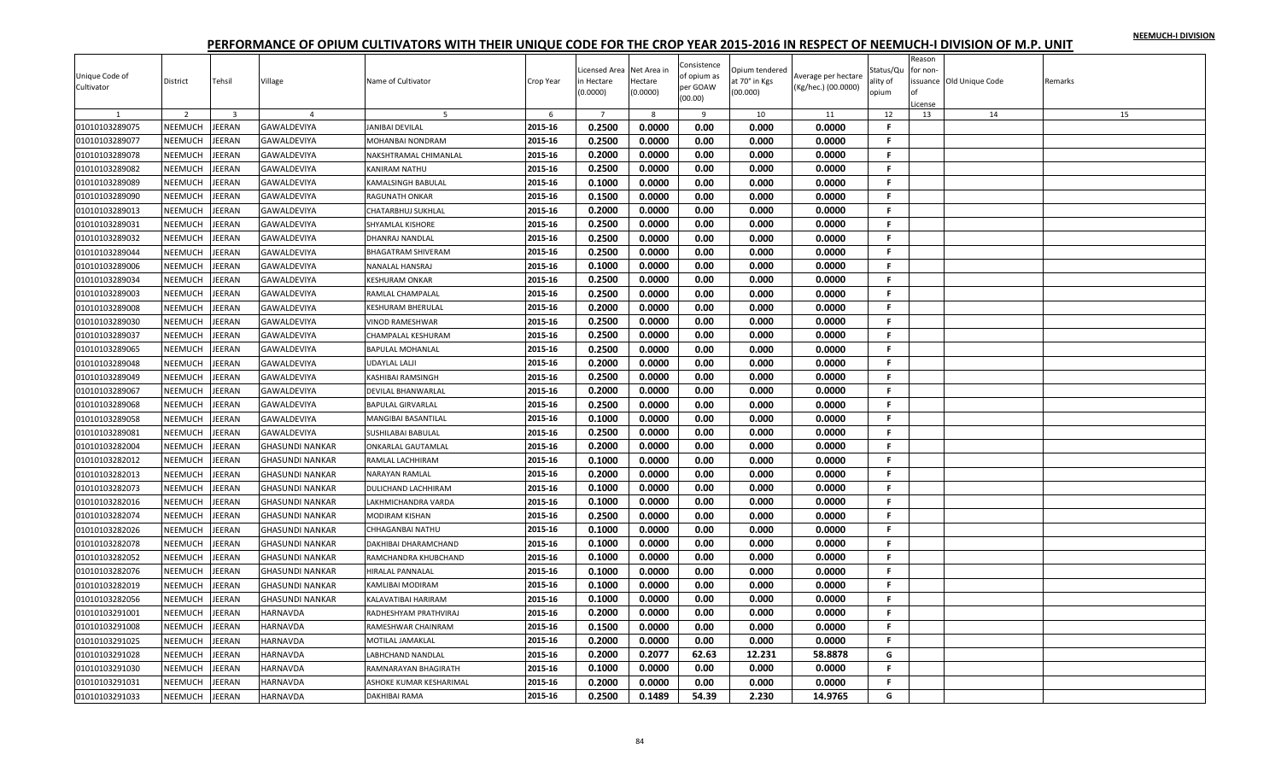|                |                |                         |                        |                           |           | icensed Area   | Net Area in | Consistence         | Opium tendered |                     | Status/Qu    | Reason<br>for non- |                         |         |
|----------------|----------------|-------------------------|------------------------|---------------------------|-----------|----------------|-------------|---------------------|----------------|---------------------|--------------|--------------------|-------------------------|---------|
| Unique Code of | District       | Tehsil                  | Village                | Name of Cultivator        | Crop Year | n Hectare      | Hectare     | of opium as         | at 70° in Kgs  | Average per hectare | ality of     |                    | ssuance Old Unique Code | Remarks |
| Cultivator     |                |                         |                        |                           |           | (0.0000)       | (0.0000)    | per GOAW<br>(00.00) | (00.000)       | (Kg/hec.) (00.0000) | opium        |                    |                         |         |
|                |                |                         |                        |                           |           |                |             |                     |                |                     |              | License            |                         |         |
|                | 2              | $\overline{\mathbf{3}}$ | $\overline{a}$         | -5                        | 6         | $\overline{7}$ | 8           | 9                   | 10             | 11                  | 12           | 13                 | 14                      | 15      |
| 01010103289075 | NEEMUCH        | JEERAN                  | GAWALDEVIYA            | <b>JANIBAI DEVILAL</b>    | 2015-16   | 0.2500         | 0.0000      | 0.00                | 0.000          | 0.0000              | F.           |                    |                         |         |
| 01010103289077 | NEEMUCH        | <b>JEERAN</b>           | GAWALDEVIYA            | MOHANBAI NONDRAM          | 2015-16   | 0.2500         | 0.0000      | 0.00                | 0.000          | 0.0000              | F.           |                    |                         |         |
| 01010103289078 | NEEMUCH        | <b>JEERAN</b>           | GAWALDEVIYA            | NAKSHTRAMAL CHIMANLAL     | 2015-16   | 0.2000         | 0.0000      | 0.00                | 0.000          | 0.0000              | F.           |                    |                         |         |
| 01010103289082 | NEEMUCH        | JEERAN                  | GAWALDEVIYA            | KANIRAM NATHU             | 2015-16   | 0.2500         | 0.0000      | 0.00                | 0.000          | 0.0000              | F.           |                    |                         |         |
| 01010103289089 | NEEMUCH        | <b>JEERAN</b>           | GAWALDEVIYA            | KAMALSINGH BABULAL        | 2015-16   | 0.1000         | 0.0000      | 0.00                | 0.000          | 0.0000              | F.           |                    |                         |         |
| 01010103289090 | <b>NEEMUCH</b> | JEERAN                  | GAWALDEVIYA            | <b>RAGUNATH ONKAR</b>     | 2015-16   | 0.1500         | 0.0000      | 0.00                | 0.000          | 0.0000              | F.           |                    |                         |         |
| 01010103289013 | NEEMUCH        | <b>JEERAN</b>           | GAWALDEVIYA            | <b>CHATARBHUJ SUKHLAL</b> | 2015-16   | 0.2000         | 0.0000      | 0.00                | 0.000          | 0.0000              | F.           |                    |                         |         |
| 01010103289031 | NEEMUCH        | EERAN                   | GAWALDEVIYA            | SHYAMLAL KISHORE          | 2015-16   | 0.2500         | 0.0000      | 0.00                | 0.000          | 0.0000              | F.           |                    |                         |         |
| 01010103289032 | <b>NEEMUCH</b> | <b>JEERAN</b>           | GAWALDEVIYA            | DHANRAJ NANDLAL           | 2015-16   | 0.2500         | 0.0000      | 0.00                | 0.000          | 0.0000              | F.           |                    |                         |         |
| 01010103289044 | NEEMUCH        | JEERAN                  | GAWALDEVIYA            | <b>BHAGATRAM SHIVERAM</b> | 2015-16   | 0.2500         | 0.0000      | 0.00                | 0.000          | 0.0000              | F.           |                    |                         |         |
| 01010103289006 | NEEMUCH        | JEERAN                  | GAWALDEVIYA            | NANALAL HANSRAJ           | 2015-16   | 0.1000         | 0.0000      | 0.00                | 0.000          | 0.0000              | F.           |                    |                         |         |
| 01010103289034 | <b>NEEMUCH</b> | JEERAN                  | GAWALDEVIYA            | <b>KESHURAM ONKAR</b>     | 2015-16   | 0.2500         | 0.0000      | 0.00                | 0.000          | 0.0000              | F.           |                    |                         |         |
| 01010103289003 | NEEMUCH        | <b>JEERAN</b>           | GAWALDEVIYA            | RAMLAL CHAMPALAL          | 2015-16   | 0.2500         | 0.0000      | 0.00                | 0.000          | 0.0000              | F.           |                    |                         |         |
| 01010103289008 | NEEMUCH        | JEERAN                  | GAWALDEVIYA            | <b>KESHURAM BHERULAL</b>  | 2015-16   | 0.2000         | 0.0000      | 0.00                | 0.000          | 0.0000              | F.           |                    |                         |         |
| 01010103289030 | NEEMUCH        | <b>JEERAN</b>           | GAWALDEVIYA            | <b>VINOD RAMESHWAR</b>    | 2015-16   | 0.2500         | 0.0000      | 0.00                | 0.000          | 0.0000              | F.           |                    |                         |         |
| 01010103289037 | NEEMUCH        | <b>JEERAN</b>           | GAWALDEVIYA            | <b>CHAMPALAL KESHURAM</b> | 2015-16   | 0.2500         | 0.0000      | 0.00                | 0.000          | 0.0000              | F.           |                    |                         |         |
| 01010103289065 | <b>NEEMUCH</b> | JEERAN                  | GAWALDEVIYA            | <b>BAPULAL MOHANLAL</b>   | 2015-16   | 0.2500         | 0.0000      | 0.00                | 0.000          | 0.0000              | F.           |                    |                         |         |
| 01010103289048 | <b>NEEMUCH</b> | EERAN                   | GAWALDEVIYA            | UDAYLAL LALJI             | 2015-16   | 0.2000         | 0.0000      | 0.00                | 0.000          | 0.0000              | F.           |                    |                         |         |
| 01010103289049 | NEEMUCH        | JEERAN                  | GAWALDEVIYA            | <b>KASHIBAI RAMSINGH</b>  | 2015-16   | 0.2500         | 0.0000      | 0.00                | 0.000          | 0.0000              | F.           |                    |                         |         |
|                |                |                         |                        |                           |           |                |             |                     |                |                     | F.           |                    |                         |         |
| 01010103289067 | NEEMUCH        | <b>JEERAN</b>           | GAWALDEVIYA            | <b>DEVILAL BHANWARLAL</b> | 2015-16   | 0.2000         | 0.0000      | 0.00                | 0.000          | 0.0000              | $\mathbf{F}$ |                    |                         |         |
| 01010103289068 | NEEMUCH        | JEERAN                  | GAWALDEVIYA            | <b>BAPULAL GIRVARLAL</b>  | 2015-16   | 0.2500         | 0.0000      | 0.00                | 0.000          | 0.0000              |              |                    |                         |         |
| 01010103289058 | NEEMUCH        | <b>JEERAN</b>           | GAWALDEVIYA            | MANGIBAI BASANTILAL       | 2015-16   | 0.1000         | 0.0000      | 0.00                | 0.000          | 0.0000              | F.           |                    |                         |         |
| 01010103289081 | NEEMUCH        | JEERAN                  | GAWALDEVIYA            | SUSHILABAI BABULAL        | 2015-16   | 0.2500         | 0.0000      | 0.00                | 0.000          | 0.0000              | F.           |                    |                         |         |
| 01010103282004 | NEEMUCH        | <b>JEERAN</b>           | <b>GHASUNDI NANKAR</b> | <b>ONKARLAL GAUTAMLAL</b> | 2015-16   | 0.2000         | 0.0000      | 0.00                | 0.000          | 0.0000              | F.           |                    |                         |         |
| 01010103282012 | NEEMUCH        | <b>JEERAN</b>           | <b>GHASUNDI NANKAR</b> | RAMLAL LACHHIRAM          | 2015-16   | 0.1000         | 0.0000      | 0.00                | 0.000          | 0.0000              | F.           |                    |                         |         |
| 01010103282013 | NEEMUCH        | JEERAN                  | <b>GHASUNDI NANKAR</b> | <b>NARAYAN RAMLAL</b>     | 2015-16   | 0.2000         | 0.0000      | 0.00                | 0.000          | 0.0000              | F.           |                    |                         |         |
| 01010103282073 | NEEMUCH        | <b>JEERAN</b>           | <b>GHASUNDI NANKAR</b> | DULICHAND LACHHIRAM       | 2015-16   | 0.1000         | 0.0000      | 0.00                | 0.000          | 0.0000              | -F.          |                    |                         |         |
| 01010103282016 | <b>NEEMUCH</b> | JEERAN                  | <b>GHASUNDI NANKAR</b> | LAKHMICHANDRA VARDA       | 2015-16   | 0.1000         | 0.0000      | 0.00                | 0.000          | 0.0000              | F.           |                    |                         |         |
| 01010103282074 | NEEMUCH        | <b>JEERAN</b>           | GHASUNDI NANKAR        | <b>MODIRAM KISHAN</b>     | 2015-16   | 0.2500         | 0.0000      | 0.00                | 0.000          | 0.0000              | F.           |                    |                         |         |
| 01010103282026 | NEEMUCH        | <b>JEERAN</b>           | GHASUNDI NANKAR        | CHHAGANBAI NATHU          | 2015-16   | 0.1000         | 0.0000      | 0.00                | 0.000          | 0.0000              | F.           |                    |                         |         |
| 01010103282078 | NEEMUCH        | JEERAN                  | <b>GHASUNDI NANKAR</b> | DAKHIBAI DHARAMCHAND      | 2015-16   | 0.1000         | 0.0000      | 0.00                | 0.000          | 0.0000              | F.           |                    |                         |         |
| 01010103282052 | NEEMUCH        | <b>JEERAN</b>           | <b>GHASUNDI NANKAR</b> | RAMCHANDRA KHUBCHAND      | 2015-16   | 0.1000         | 0.0000      | 0.00                | 0.000          | 0.0000              | F.           |                    |                         |         |
| 01010103282076 | NEEMUCH        | <b>JEERAN</b>           | <b>GHASUNDI NANKAR</b> | <b>HIRALAL PANNALAL</b>   | 2015-16   | 0.1000         | 0.0000      | 0.00                | 0.000          | 0.0000              | F.           |                    |                         |         |
| 01010103282019 | <b>NEEMUCH</b> | JEERAN                  | <b>GHASUNDI NANKAR</b> | <b>KAMLIBAI MODIRAM</b>   | 2015-16   | 0.1000         | 0.0000      | 0.00                | 0.000          | 0.0000              | F.           |                    |                         |         |
| 01010103282056 | NEEMUCH        | <b>JEERAN</b>           | <b>GHASUNDI NANKAR</b> | KALAVATIBAI HARIRAM       | 2015-16   | 0.1000         | 0.0000      | 0.00                | 0.000          | 0.0000              | F.           |                    |                         |         |
| 01010103291001 | NEEMUCH        | JEERAN                  | HARNAVDA               | RADHESHYAM PRATHVIRAJ     | 2015-16   | 0.2000         | 0.0000      | 0.00                | 0.000          | 0.0000              | F.           |                    |                         |         |
| 01010103291008 | NEEMUCH        | <b>JEERAN</b>           | HARNAVDA               | RAMESHWAR CHAINRAM        | 2015-16   | 0.1500         | 0.0000      | 0.00                | 0.000          | 0.0000              | F.           |                    |                         |         |
| 01010103291025 | NEEMUCH        | <b>JEERAN</b>           | HARNAVDA               | MOTILAL JAMAKLAL          | 2015-16   | 0.2000         | 0.0000      | 0.00                | 0.000          | 0.0000              | F.           |                    |                         |         |
| 01010103291028 | <b>NEEMUCH</b> | <b>JEERAN</b>           | HARNAVDA               | LABHCHAND NANDLAI         | 2015-16   | 0.2000         | 0.2077      | 62.63               | 12.231         | 58.8878             | G            |                    |                         |         |
| 01010103291030 | NEEMUCH        | EERAN                   | HARNAVDA               | RAMNARAYAN BHAGIRATH      | 2015-16   | 0.1000         | 0.0000      | 0.00                | 0.000          | 0.0000              | F            |                    |                         |         |
| 01010103291031 | NEEMUCH        | <b>JEERAN</b>           | HARNAVDA               | ASHOKE KUMAR KESHARIMAL   | 2015-16   | 0.2000         | 0.0000      | 0.00                | 0.000          | 0.0000              | F.           |                    |                         |         |
| 01010103291033 | NEEMUCH        | JEERAN                  | HARNAVDA               | <b>DAKHIBAI RAMA</b>      | 2015-16   | 0.2500         | 0.1489      | 54.39               | 2.230          | 14.9765             | G            |                    |                         |         |
|                |                |                         |                        |                           |           |                |             |                     |                |                     |              |                    |                         |         |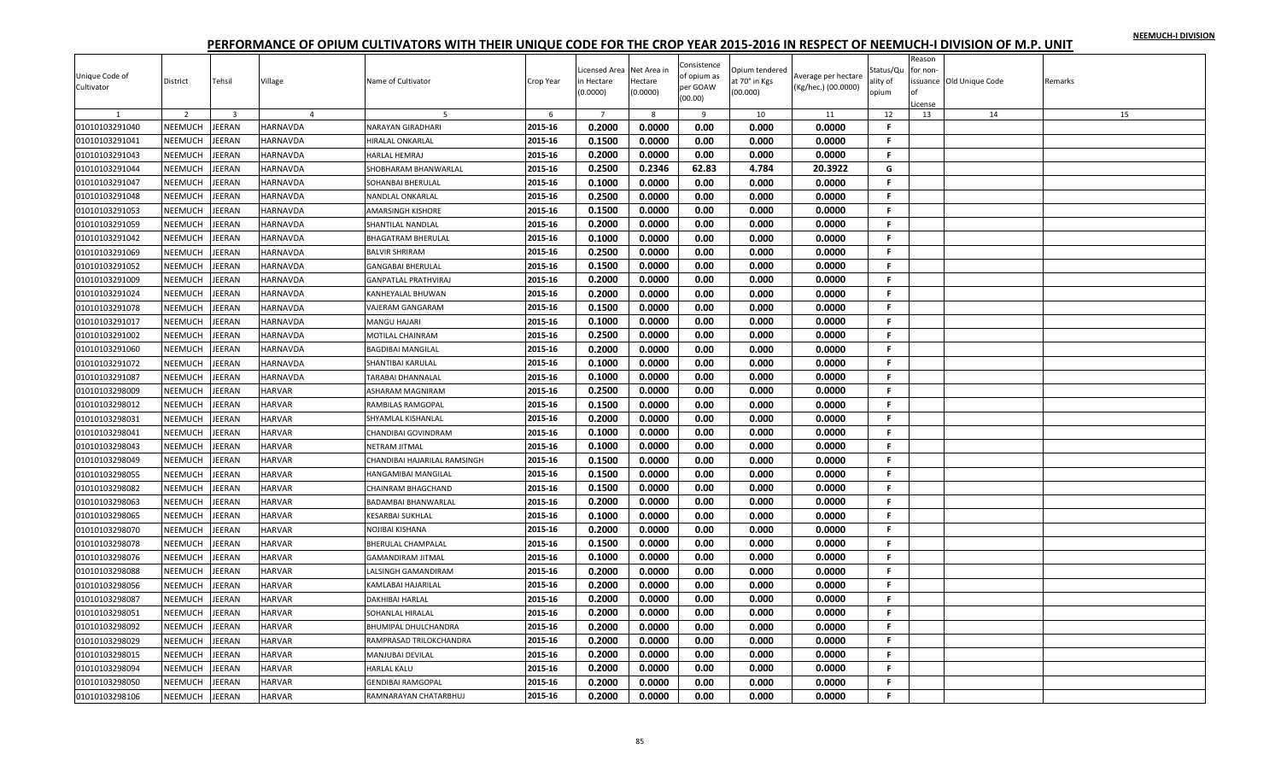| Unique Code of<br>Cultivator | District       | Tehsil                  | Village        | Name of Cultivator           | Crop Year | icensed Area<br>n Hectare | Net Area in<br>Hectare | Consistence<br>of opium as<br>per GOAW | Opium tendered<br>at 70° in Kgs | Average per hectare<br>(Kg/hec.) (00.0000) | Status/Qu<br>ality of | Reason<br>for non- | ssuance Old Unique Code | Remarks |
|------------------------------|----------------|-------------------------|----------------|------------------------------|-----------|---------------------------|------------------------|----------------------------------------|---------------------------------|--------------------------------------------|-----------------------|--------------------|-------------------------|---------|
|                              |                |                         |                |                              |           | (0.0000)                  | (0.0000)               | (00.00)                                | (00.000)                        |                                            | opium                 |                    |                         |         |
|                              | 2              | $\overline{\mathbf{3}}$ | $\overline{a}$ |                              | 6         | $\overline{7}$            | 8                      | 9                                      | 10                              | 11                                         | 12                    | License<br>13      | 14                      | 15      |
| 01010103291040               | NEEMUCH        | JEERAN                  | HARNAVDA       | <b>NARAYAN GIRADHARI</b>     | 2015-16   | 0.2000                    | 0.0000                 | 0.00                                   | 0.000                           | 0.0000                                     | F.                    |                    |                         |         |
| 01010103291041               | NEEMUCH        | <b>JEERAN</b>           | HARNAVDA       | <b>HIRALAL ONKARLAL</b>      | 2015-16   | 0.1500                    | 0.0000                 | 0.00                                   | 0.000                           | 0.0000                                     | F.                    |                    |                         |         |
| 01010103291043               | NEEMUCH        | <b>JEERAN</b>           | HARNAVDA       | HARLAL HEMRAJ                | 2015-16   | 0.2000                    | 0.0000                 | 0.00                                   | 0.000                           | 0.0000                                     | F.                    |                    |                         |         |
| 01010103291044               | NEEMUCH        | JEERAN                  | HARNAVDA       | SHOBHARAM BHANWARLAL         | 2015-16   | 0.2500                    | 0.2346                 | 62.83                                  | 4.784                           | 20.3922                                    | G                     |                    |                         |         |
| 01010103291047               | NEEMUCH        | <b>JEERAN</b>           | HARNAVDA       | <b>SOHANBAI BHERULAL</b>     | 2015-16   | 0.1000                    | 0.0000                 | 0.00                                   | 0.000                           | 0.0000                                     | F.                    |                    |                         |         |
| 01010103291048               | <b>NEEMUCH</b> | <b>JEERAN</b>           | HARNAVDA       | <b>NANDLAL ONKARLAL</b>      | 2015-16   | 0.2500                    | 0.0000                 | 0.00                                   | 0.000                           | 0.0000                                     | F.                    |                    |                         |         |
| 01010103291053               | NEEMUCH        | <b>JEERAN</b>           | HARNAVDA       | <b>AMARSINGH KISHORE</b>     | 2015-16   | 0.1500                    | 0.0000                 | 0.00                                   | 0.000                           | 0.0000                                     | F.                    |                    |                         |         |
| 01010103291059               | NEEMUCH        | EERAN                   | HARNAVDA       | SHANTILAL NANDLAL            | 2015-16   | 0.2000                    | 0.0000                 | 0.00                                   | 0.000                           | 0.0000                                     | F.                    |                    |                         |         |
| 01010103291042               | <b>NEEMUCH</b> | <b>JEERAN</b>           | HARNAVDA       | <b>BHAGATRAM BHERULAL</b>    | 2015-16   | 0.1000                    | 0.0000                 | 0.00                                   | 0.000                           | 0.0000                                     | F.                    |                    |                         |         |
| 01010103291069               | NEEMUCH        | <b>JEERAN</b>           | HARNAVDA       | <b>BALVIR SHRIRAM</b>        | 2015-16   | 0.2500                    | 0.0000                 | 0.00                                   | 0.000                           | 0.0000                                     | F.                    |                    |                         |         |
| 01010103291052               | NEEMUCH        | JEERAN                  | HARNAVDA       | <b>GANGABAI BHERULAL</b>     | 2015-16   | 0.1500                    | 0.0000                 | 0.00                                   | 0.000                           | 0.0000                                     | F.                    |                    |                         |         |
| 01010103291009               | <b>NEEMUCH</b> | JEERAN                  | HARNAVDA       | <b>GANPATLAL PRATHVIRA.</b>  | 2015-16   | 0.2000                    | 0.0000                 | 0.00                                   | 0.000                           | 0.0000                                     | F.                    |                    |                         |         |
| 01010103291024               | NEEMUCH        | EERAN                   | HARNAVDA       | KANHEYALAL BHUWAN            | 2015-16   | 0.2000                    | 0.0000                 | 0.00                                   | 0.000                           | 0.0000                                     | F.                    |                    |                         |         |
| 01010103291078               | NEEMUCH        | <b>JEERAN</b>           | HARNAVDA       | <b>VAJERAM GANGARAM</b>      | 2015-16   | 0.1500                    | 0.0000                 | 0.00                                   | 0.000                           | 0.0000                                     | F.                    |                    |                         |         |
| 01010103291017               | <b>NEEMUCH</b> | <b>JEERAN</b>           | HARNAVDA       | <b>MANGU HAJARI</b>          | 2015-16   | 0.1000                    | 0.0000                 | 0.00                                   | 0.000                           | 0.0000                                     | F.                    |                    |                         |         |
| 01010103291002               | NEEMUCH        | <b>JEERAN</b>           | HARNAVDA       | MOTILAL CHAINRAM             | 2015-16   | 0.2500                    | 0.0000                 | 0.00                                   | 0.000                           | 0.0000                                     | F.                    |                    |                         |         |
| 01010103291060               | <b>NEEMUCH</b> | JEERAN                  | HARNAVDA       | <b>BAGDIBAI MANGILAL</b>     | 2015-16   | 0.2000                    | 0.0000                 | 0.00                                   | 0.000                           | 0.0000                                     | F.                    |                    |                         |         |
| 01010103291072               | <b>NEEMUCH</b> | EERAN                   | HARNAVDA       | SHANTIBAI KARULAL            | 2015-16   | 0.1000                    | 0.0000                 | 0.00                                   | 0.000                           | 0.0000                                     | F.                    |                    |                         |         |
| 01010103291087               | NEEMUCH        | <b>JEERAN</b>           | HARNAVDA       | <b>TARABAI DHANNALAL</b>     | 2015-16   | 0.1000                    | 0.0000                 | 0.00                                   | 0.000                           | 0.0000                                     | F.                    |                    |                         |         |
| 01010103298009               | NEEMUCH        | <b>JEERAN</b>           | HARVAR         | ASHARAM MAGNIRAM             | 2015-16   | 0.2500                    | 0.0000                 | 0.00                                   | 0.000                           | 0.0000                                     | F.                    |                    |                         |         |
| 01010103298012               | <b>NEEMUCH</b> | <b>JEERAN</b>           | <b>HARVAR</b>  | RAMBILAS RAMGOPAL            | 2015-16   | 0.1500                    | 0.0000                 | 0.00                                   | 0.000                           | 0.0000                                     | $\mathbf{F}$          |                    |                         |         |
| 01010103298031               | NEEMUCH        | <b>JEERAN</b>           | HARVAR         | SHYAMLAL KISHANLAL           | 2015-16   | 0.2000                    | 0.0000                 | 0.00                                   | 0.000                           | 0.0000                                     | F.                    |                    |                         |         |
| 01010103298041               | NEEMUCH        | JEERAN                  | <b>HARVAR</b>  | CHANDIBAI GOVINDRAM          | 2015-16   | 0.1000                    | 0.0000                 | 0.00                                   | 0.000                           | 0.0000                                     | F.                    |                    |                         |         |
| 01010103298043               | NEEMUCH        | <b>JEERAN</b>           | HARVAR         | <b>NETRAM JITMAL</b>         | 2015-16   | 0.1000                    | 0.0000                 | 0.00                                   | 0.000                           | 0.0000                                     | F.                    |                    |                         |         |
| 01010103298049               | NEEMUCH        | <b>JEERAN</b>           | <b>HARVAR</b>  | CHANDIBAI HAJARILAL RAMSINGH | 2015-16   | 0.1500                    | 0.0000                 | 0.00                                   | 0.000                           | 0.0000                                     | F.                    |                    |                         |         |
| 01010103298055               | NEEMUCH        | <b>JEERAN</b>           | <b>HARVAR</b>  | HANGAMIBAI MANGILAL          | 2015-16   | 0.1500                    | 0.0000                 | 0.00                                   | 0.000                           | 0.0000                                     | F.                    |                    |                         |         |
| 01010103298082               | NEEMUCH        | <b>JEERAN</b>           | HARVAR         | CHAINRAM BHAGCHAND           | 2015-16   | 0.1500                    | 0.0000                 | 0.00                                   | 0.000                           | 0.0000                                     | F.                    |                    |                         |         |
| 01010103298063               | <b>NEEMUCH</b> | <b>JEERAN</b>           | <b>HARVAR</b>  | <b>BADAMBAI BHANWARLAL</b>   | 2015-16   | 0.2000                    | 0.0000                 | 0.00                                   | 0.000                           | 0.0000                                     | F.                    |                    |                         |         |
| 01010103298065               | NEEMUCH        | <b>JEERAN</b>           | HARVAR         | <b>KESARBAI SUKHLAL</b>      | 2015-16   | 0.1000                    | 0.0000                 | 0.00                                   | 0.000                           | 0.0000                                     | F.                    |                    |                         |         |
| 01010103298070               | NEEMUCH        | EERAN                   | HARVAR         | NOJIBAI KISHANA              | 2015-16   | 0.2000                    | 0.0000                 | 0.00                                   | 0.000                           | 0.0000                                     | F.                    |                    |                         |         |
| 01010103298078               | NEEMUCH        | <b>JEERAN</b>           | <b>HARVAR</b>  | <b>BHERULAL CHAMPALAL</b>    | 2015-16   | 0.1500                    | 0.0000                 | 0.00                                   | 0.000                           | 0.0000                                     | F.                    |                    |                         |         |
| 01010103298076               | NEEMUCH        | <b>JEERAN</b>           | HARVAR         | <b>GAMANDIRAM JITMAL</b>     | 2015-16   | 0.1000                    | 0.0000                 | 0.00                                   | 0.000                           | 0.0000                                     | F.                    |                    |                         |         |
| 01010103298088               | NEEMUCH        | <b>JEERAN</b>           | HARVAR         | LALSINGH GAMANDIRAM          | 2015-16   | 0.2000                    | 0.0000                 | 0.00                                   | 0.000                           | 0.0000                                     | F.                    |                    |                         |         |
| 01010103298056               | <b>NEEMUCH</b> | <b>JEERAN</b>           | <b>HARVAR</b>  | KAMLABAI HAJARILAI           | 2015-16   | 0.2000                    | 0.0000                 | 0.00                                   | 0.000                           | 0.0000                                     | F.                    |                    |                         |         |
| 01010103298087               | NEEMUCH        | EERAN                   | <b>HARVAR</b>  | <b>DAKHIBAI HARLAL</b>       | 2015-16   | 0.2000                    | 0.0000                 | 0.00                                   | 0.000                           | 0.0000                                     | F.                    |                    |                         |         |
| 01010103298051               | NEEMUCH        | JEERAN                  | HARVAR         | SOHANLAL HIRALAL             | 2015-16   | 0.2000                    | 0.0000                 | 0.00                                   | 0.000                           | 0.0000                                     | F.                    |                    |                         |         |
| 01010103298092               | NEEMUCH        | <b>JEERAN</b>           | HARVAR         | <b>BHUMIPAL DHULCHANDRA</b>  | 2015-16   | 0.2000                    | 0.0000                 | 0.00                                   | 0.000                           | 0.0000                                     | F.                    |                    |                         |         |
| 01010103298029               | NEEMUCH        | <b>JEERAN</b>           | HARVAR         | RAMPRASAD TRILOKCHANDRA      | 2015-16   | 0.2000                    | 0.0000                 | 0.00                                   | 0.000                           | 0.0000                                     | F.                    |                    |                         |         |
|                              | NEEMUCH        | <b>JEERAN</b>           | HARVAR         |                              | 2015-16   | 0.2000                    | 0.0000                 | 0.00                                   | 0.000                           | 0.0000                                     | F.                    |                    |                         |         |
| 01010103298015               |                |                         | <b>HARVAR</b>  | MANJUBAI DEVILAL             | 2015-16   | 0.2000                    | 0.0000                 | 0.00                                   | 0.000                           | 0.0000                                     | F                     |                    |                         |         |
| 01010103298094               | NEEMUCH        | EERAN                   |                | HARLAL KALU                  |           |                           |                        |                                        |                                 |                                            | F.                    |                    |                         |         |
| 01010103298050               | NEEMUCH        | EERAN                   | HARVAR         | <b>GENDIBAI RAMGOPAL</b>     | 2015-16   | 0.2000                    | 0.0000                 | 0.00                                   | 0.000                           | 0.0000                                     | F.                    |                    |                         |         |
| 01010103298106               | NEEMUCH        | <b>JEERAN</b>           | HARVAR         | RAMNARAYAN CHATARBHUJ        | 2015-16   | 0.2000                    | 0.0000                 | 0.00                                   | 0.000                           | 0.0000                                     |                       |                    |                         |         |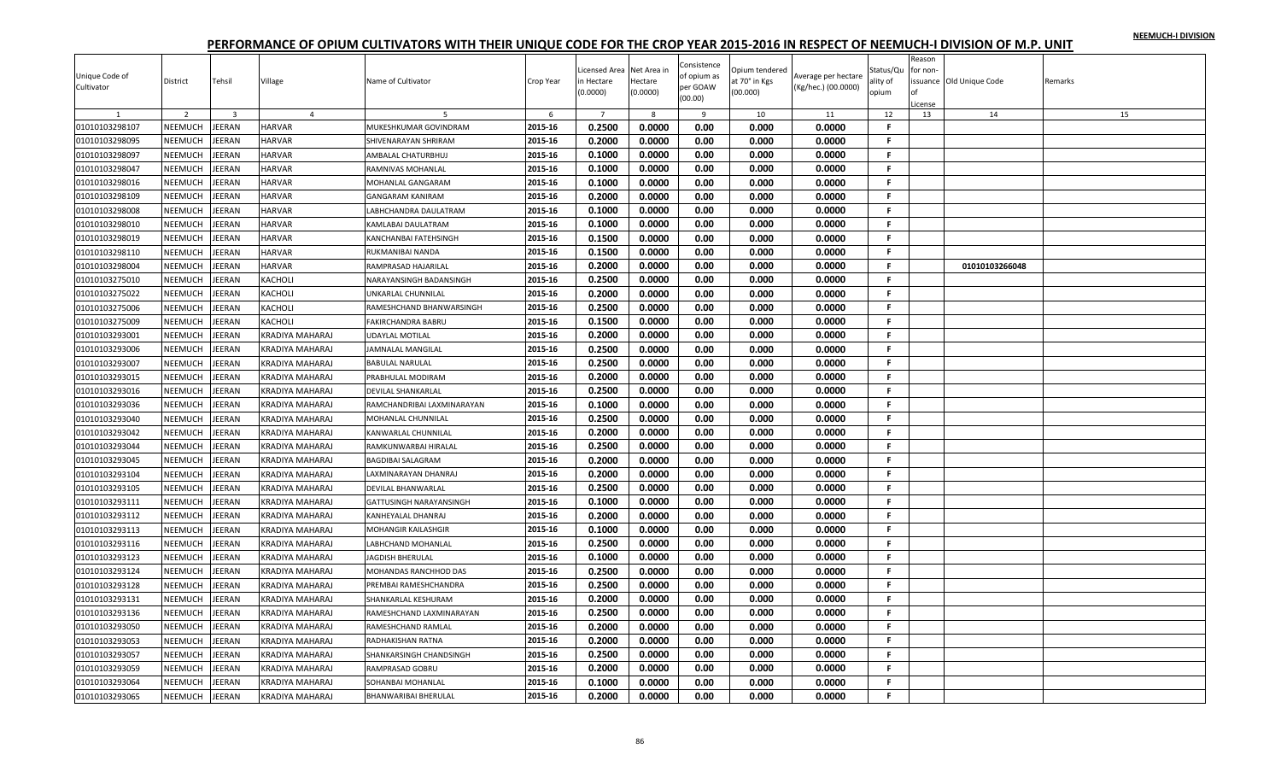| Unique Code of |                |                         |                        |                                |           | icensed Area          | Net Area in         | Consistence<br>of opium as | Opium tendered            | Average per hectare | Status/Qu         | Reason<br>for non- |                         |         |
|----------------|----------------|-------------------------|------------------------|--------------------------------|-----------|-----------------------|---------------------|----------------------------|---------------------------|---------------------|-------------------|--------------------|-------------------------|---------|
| Cultivator     | District       | Tehsil                  | Village                | Name of Cultivator             | Crop Year | n Hectare<br>(0.0000) | Hectare<br>(0.0000) | per GOAW<br>(00.00)        | at 70° in Kgs<br>(00.000) | (Kg/hec.) (00.0000) | ality of<br>opium | icense             | ssuance Old Unique Code | Remarks |
|                | 2              | $\overline{\mathbf{3}}$ | $\overline{4}$         |                                | 6         | $\overline{7}$        | 8                   | 9                          | 10                        | 11                  | 12                | 13                 | 14                      | 15      |
| 01010103298107 | NEEMUCH        | JEERAN                  | <b>HARVAR</b>          | MUKESHKUMAR GOVINDRAM          | 2015-16   | 0.2500                | 0.0000              | 0.00                       | 0.000                     | 0.0000              | -F                |                    |                         |         |
| 01010103298095 | NEEMUCH        | JEERAN                  | <b>HARVAR</b>          | SHIVENARAYAN SHRIRAM           | 2015-16   | 0.2000                | 0.0000              | 0.00                       | 0.000                     | 0.0000              | F.                |                    |                         |         |
| 01010103298097 | NEEMUCH        | JEERAN                  | <b>HARVAR</b>          | AMBALAL CHATURBHUJ             | 2015-16   | 0.1000                | 0.0000              | 0.00                       | 0.000                     | 0.0000              | F.                |                    |                         |         |
| 01010103298047 | NEEMUCH        | JEERAN                  | <b>HARVAR</b>          | RAMNIVAS MOHANLAL              | 2015-16   | 0.1000                | 0.0000              | 0.00                       | 0.000                     | 0.0000              | .F.               |                    |                         |         |
| 01010103298016 | NEEMUCH        | JEERAN                  | <b>HARVAR</b>          | MOHANLAL GANGARAM              | 2015-16   | 0.1000                | 0.0000              | 0.00                       | 0.000                     | 0.0000              | F.                |                    |                         |         |
| 01010103298109 | NEEMUCH        | JEERAN                  | <b>HARVAR</b>          | <b>GANGARAM KANIRAM</b>        | 2015-16   | 0.2000                | 0.0000              | 0.00                       | 0.000                     | 0.0000              | F.                |                    |                         |         |
| 01010103298008 | NEEMUCH        | JEERAN                  | <b>HARVAR</b>          | LABHCHANDRA DAULATRAM          | 2015-16   | 0.1000                | 0.0000              | 0.00                       | 0.000                     | 0.0000              | F.                |                    |                         |         |
| 01010103298010 | NEEMUCH        | JEERAN                  | <b>HARVAR</b>          | KAMLABAI DAULATRAM             | 2015-16   | 0.1000                | 0.0000              | 0.00                       | 0.000                     | 0.0000              | F.                |                    |                         |         |
| 01010103298019 | NEEMUCH        | JEERAN                  | <b>HARVAR</b>          | KANCHANBAI FATEHSINGH          | 2015-16   | 0.1500                | 0.0000              | 0.00                       | 0.000                     | 0.0000              | F.                |                    |                         |         |
| 01010103298110 | NEEMUCH        | JEERAN                  | <b>HARVAR</b>          | RUKMANIBAI NANDA               | 2015-16   | 0.1500                | 0.0000              | 0.00                       | 0.000                     | 0.0000              | F.                |                    |                         |         |
| 01010103298004 | NEEMUCH        | <b>JEERAN</b>           | <b>HARVAR</b>          | RAMPRASAD HAJARILAL            | 2015-16   | 0.2000                | 0.0000              | 0.00                       | 0.000                     | 0.0000              | F.                |                    | 01010103266048          |         |
| 01010103275010 | NEEMUCH        | <b>JEERAN</b>           | KACHOLI                | NARAYANSINGH BADANSINGH        | 2015-16   | 0.2500                | 0.0000              | 0.00                       | 0.000                     | 0.0000              | F.                |                    |                         |         |
| 01010103275022 | NEEMUCH        | JEERAN                  | KACHOLI                | UNKARLAL CHUNNILAL             | 2015-16   | 0.2000                | 0.0000              | 0.00                       | 0.000                     | 0.0000              | -F.               |                    |                         |         |
| 01010103275006 | NEEMUCH        | JEERAN                  | <b>KACHOLI</b>         | RAMESHCHAND BHANWARSINGH       | 2015-16   | 0.2500                | 0.0000              | 0.00                       | 0.000                     | 0.0000              | -F.               |                    |                         |         |
| 01010103275009 | NEEMUCH        | JEERAN                  | <b>KACHOLI</b>         | <b>FAKIRCHANDRA BABRU</b>      | 2015-16   | 0.1500                | 0.0000              | 0.00                       | 0.000                     | 0.0000              | -F.               |                    |                         |         |
| 01010103293001 | NEEMUCH        | JEERAN                  | <b>KRADIYA MAHARAJ</b> | <b>UDAYLAL MOTILAL</b>         | 2015-16   | 0.2000                | 0.0000              | 0.00                       | 0.000                     | 0.0000              | -F.               |                    |                         |         |
| 01010103293006 | <b>NEEMUCH</b> | <b>JEERAN</b>           | KRADIYA MAHARAJ        | JAMNALAL MANGILAL              | 2015-16   | 0.2500                | 0.0000              | 0.00                       | 0.000                     | 0.0000              | F.                |                    |                         |         |
| 01010103293007 | NEEMUCH        | JEERAN                  | KRADIYA MAHARAJ        | <b>BABULAL NARULAL</b>         | 2015-16   | 0.2500                | 0.0000              | 0.00                       | 0.000                     | 0.0000              | F.                |                    |                         |         |
| 01010103293015 | NEEMUCH        | JEERAN                  | <b>KRADIYA MAHARAJ</b> | PRABHULAL MODIRAM              | 2015-16   | 0.2000                | 0.0000              | 0.00                       | 0.000                     | 0.0000              | -F.               |                    |                         |         |
| 01010103293016 | NEEMUCH        | JEERAN                  | <b>KRADIYA MAHARAJ</b> | <b>DEVILAL SHANKARLAL</b>      | 2015-16   | 0.2500                | 0.0000              | 0.00                       | 0.000                     | 0.0000              | F.                |                    |                         |         |
| 01010103293036 | NEEMUCH        | JEERAN                  | KRADIYA MAHARAJ        | RAMCHANDRIBAI LAXMINARAYAN     | 2015-16   | 0.1000                | 0.0000              | 0.00                       | 0.000                     | 0.0000              | .F.               |                    |                         |         |
| 01010103293040 | NEEMUCH        | JEERAN                  | KRADIYA MAHARAJ        | MOHANLAL CHUNNILAL             | 2015-16   | 0.2500                | 0.0000              | 0.00                       | 0.000                     | 0.0000              | -F.               |                    |                         |         |
| 01010103293042 | <b>NEEMUCH</b> | JEERAN                  | KRADIYA MAHARAJ        | <b>KANWARLAL CHUNNILAL</b>     | 2015-16   | 0.2000                | 0.0000              | 0.00                       | 0.000                     | 0.0000              | F.                |                    |                         |         |
| 01010103293044 | NEEMUCH        | JEERAN                  | <b>KRADIYA MAHARAJ</b> | RAMKUNWARBAI HIRALAL           | 2015-16   | 0.2500                | 0.0000              | 0.00                       | 0.000                     | 0.0000              | F.                |                    |                         |         |
| 01010103293045 | NEEMUCH        | <b>JEERAN</b>           | <b>KRADIYA MAHARAJ</b> | <b>BAGDIBAI SALAGRAM</b>       | 2015-16   | 0.2000                | 0.0000              | 0.00                       | 0.000                     | 0.0000              | F.                |                    |                         |         |
| 01010103293104 | NEEMUCH        | JEERAN                  | KRADIYA MAHARAJ        | LAXMINARAYAN DHANRAJ           | 2015-16   | 0.2000                | 0.0000              | 0.00                       | 0.000                     | 0.0000              | F.                |                    |                         |         |
| 01010103293105 | NEEMUCH        | JEERAN                  | KRADIYA MAHARAJ        | <b>DEVILAL BHANWARLAL</b>      | 2015-16   | 0.2500                | 0.0000              | 0.00                       | 0.000                     | 0.0000              | -F.               |                    |                         |         |
| 01010103293111 | <b>NEEMUCH</b> | <b>JEERAN</b>           | <b>KRADIYA MAHARAJ</b> | <b>GATTUSINGH NARAYANSINGH</b> | 2015-16   | 0.1000                | 0.0000              | 0.00                       | 0.000                     | 0.0000              | F.                |                    |                         |         |
| 01010103293112 | NEEMUCH        | <b>JEERAN</b>           | KRADIYA MAHARAJ        | <b>KANHEYALAL DHANRAJ</b>      | 2015-16   | 0.2000                | 0.0000              | 0.00                       | 0.000                     | 0.0000              | F.                |                    |                         |         |
| 01010103293113 | NEEMUCH        | JEERAN                  | <b>KRADIYA MAHARAJ</b> | <b>MOHANGIR KAILASHGIR</b>     | 2015-16   | 0.1000                | 0.0000              | 0.00                       | 0.000                     | 0.0000              | F.                |                    |                         |         |
| 01010103293116 | NEEMUCH        | JEERAN                  | <b>KRADIYA MAHARAJ</b> | LABHCHAND MOHANLAL             | 2015-16   | 0.2500                | 0.0000              | 0.00                       | 0.000                     | 0.0000              | -F.               |                    |                         |         |
| 01010103293123 | NEEMUCH        | <b>JEERAN</b>           | KRADIYA MAHARAJ        | <b>JAGDISH BHERULAL</b>        | 2015-16   | 0.1000                | 0.0000              | 0.00                       | 0.000                     | 0.0000              | -F.               |                    |                         |         |
| 01010103293124 | NEEMUCH        | JEERAN                  | <b>KRADIYA MAHARAJ</b> | MOHANDAS RANCHHOD DAS          | 2015-16   | 0.2500                | 0.0000              | 0.00                       | 0.000                     | 0.0000              | .F.               |                    |                         |         |
| 01010103293128 | NEEMUCH        | JEERAN                  | KRADIYA MAHARAJ        | PREMBAI RAMESHCHANDRA          | 2015-16   | 0.2500                | 0.0000              | 0.00                       | 0.000                     | 0.0000              | F.                |                    |                         |         |
| 01010103293131 | NEEMUCH        | JEERAN                  | KRADIYA MAHARAJ        | SHANKARLAL KESHURAM            | 2015-16   | 0.2000                | 0.0000              | 0.00                       | 0.000                     | 0.0000              | F.                |                    |                         |         |
| 01010103293136 | NEEMUCH        | JEERAN                  | <b>KRADIYA MAHARAJ</b> | RAMESHCHAND LAXMINARAYAN       | 2015-16   | 0.2500                | 0.0000              | 0.00                       | 0.000                     | 0.0000              | F.                |                    |                         |         |
| 01010103293050 | NEEMUCH        | JEERAN                  | <b>KRADIYA MAHARAJ</b> | <b>RAMESHCHAND RAMLAL</b>      | 2015-16   | 0.2000                | 0.0000              | 0.00                       | 0.000                     | 0.0000              | -F.               |                    |                         |         |
| 01010103293053 | NEEMUCH        | JEERAN                  | KRADIYA MAHARAJ        | RADHAKISHAN RATNA              | 2015-16   | 0.2000                | 0.0000              | 0.00                       | 0.000                     | 0.0000              | F.                |                    |                         |         |
| 01010103293057 | NEEMUCH        | JEERAN                  | KRADIYA MAHARAJ        | SHANKARSINGH CHANDSINGH        | 2015-16   | 0.2500                | 0.0000              | 0.00                       | 0.000                     | 0.0000              | -F                |                    |                         |         |
| 01010103293059 | NEEMUCH        | JEERAN                  | KRADIYA MAHARAJ        | RAMPRASAD GOBRU                | 2015-16   | 0.2000                | 0.0000              | 0.00                       | 0.000                     | 0.0000              | F                 |                    |                         |         |
| 01010103293064 | NEEMUCH        | JEERAN                  | KRADIYA MAHARAJ        | SOHANBAI MOHANLAL              | 2015-16   | 0.1000                | 0.0000              | 0.00                       | 0.000                     | 0.0000              | F.                |                    |                         |         |
| 01010103293065 | NEEMUCH        | <b>JEERAN</b>           | <b>KRADIYA MAHARAJ</b> | <b>BHANWARIBAI BHERULAL</b>    | 2015-16   | 0.2000                | 0.0000              | 0.00                       | 0.000                     | 0.0000              | F.                |                    |                         |         |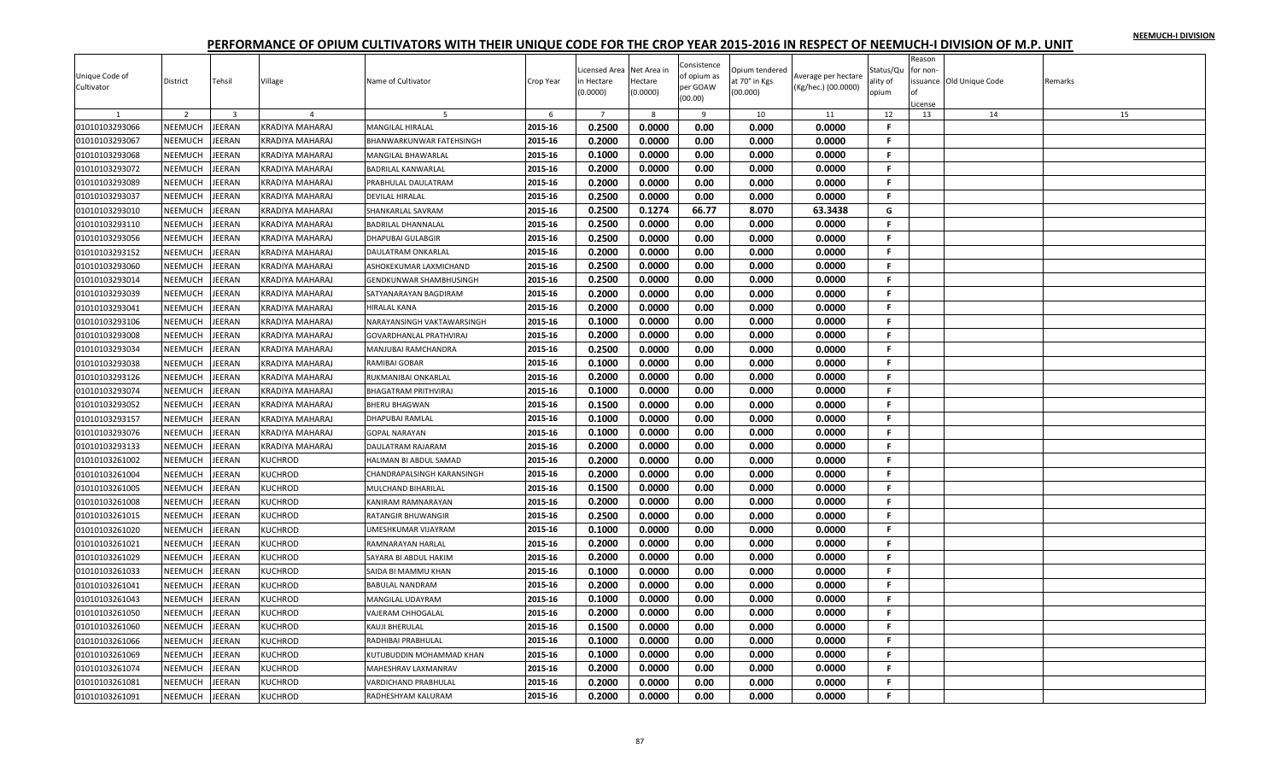|                |                |                         |                 |                                |           | icensed Area   | Net Area in | Consistence | Opium tendered |                     | Status/Qu    | Reason<br>for non- |                         |         |
|----------------|----------------|-------------------------|-----------------|--------------------------------|-----------|----------------|-------------|-------------|----------------|---------------------|--------------|--------------------|-------------------------|---------|
| Unique Code of | District       | Tehsil                  | Village         | Name of Cultivator             | Crop Year | n Hectare      | Hectare     | of opium as | it 70° in Kgs  | Average per hectare | ality of     |                    | ssuance Old Unique Code | Remarks |
| Cultivator     |                |                         |                 |                                |           | (0.0000)       | (0.0000)    | per GOAW    | (00.000)       | (Kg/hec.) (00.0000) | opium        |                    |                         |         |
|                |                |                         |                 |                                |           |                |             | (00.00)     |                |                     |              | License            |                         |         |
|                | 2              | $\overline{\mathbf{3}}$ |                 |                                | 6         | $\overline{7}$ | 8           | 9           | 10             | 11                  | 12           | 13                 | 14                      | 15      |
| 01010103293066 | NEEMUCH        | JEERAN                  | KRADIYA MAHARAJ | <b>MANGILAL HIRALAL</b>        | 2015-16   | 0.2500         | 0.0000      | 0.00        | 0.000          | 0.0000              | F.           |                    |                         |         |
| 01010103293067 | NEEMUCH        | <b>JEERAN</b>           | KRADIYA MAHARAJ | BHANWARKUNWAR FATEHSINGH       | 2015-16   | 0.2000         | 0.0000      | 0.00        | 0.000          | 0.0000              | F.           |                    |                         |         |
| 01010103293068 | NEEMUCH        | <b>JEERAN</b>           | KRADIYA MAHARAJ | <b>MANGILAL BHAWARLAL</b>      | 2015-16   | 0.1000         | 0.0000      | 0.00        | 0.000          | 0.0000              | F.           |                    |                         |         |
| 01010103293072 | NEEMUCH        | JEERAN                  | KRADIYA MAHARAJ | <b>BADRILAL KANWARLAL</b>      | 2015-16   | 0.2000         | 0.0000      | 0.00        | 0.000          | 0.0000              | F.           |                    |                         |         |
| 01010103293089 | NEEMUCH        | <b>JEERAN</b>           | KRADIYA MAHARAJ | PRABHULAL DAULATRAM            | 2015-16   | 0.2000         | 0.0000      | 0.00        | 0.000          | 0.0000              | F.           |                    |                         |         |
| 01010103293037 | <b>NEEMUCH</b> | JEERAN                  | KRADIYA MAHARAJ | <b>DEVILAL HIRALAL</b>         | 2015-16   | 0.2500         | 0.0000      | 0.00        | 0.000          | 0.0000              | F.           |                    |                         |         |
| 01010103293010 | NEEMUCH        | <b>JEERAN</b>           | KRADIYA MAHARAJ | SHANKARLAL SAVRAM              | 2015-16   | 0.2500         | 0.1274      | 66.77       | 8.070          | 63.3438             | G            |                    |                         |         |
| 01010103293110 | NEEMUCH        | EERAN                   | KRADIYA MAHARAJ | <b>BADRILAL DHANNALAL</b>      | 2015-16   | 0.2500         | 0.0000      | 0.00        | 0.000          | 0.0000              | F.           |                    |                         |         |
| 01010103293056 | <b>NEEMUCH</b> | <b>JEERAN</b>           | KRADIYA MAHARAJ | <b>DHAPUBAI GULABGIR</b>       | 2015-16   | 0.2500         | 0.0000      | 0.00        | 0.000          | 0.0000              | F.           |                    |                         |         |
| 01010103293152 | NEEMUCH        | <b>JEERAN</b>           | KRADIYA MAHARAJ | DAULATRAM ONKARLAL             | 2015-16   | 0.2000         | 0.0000      | 0.00        | 0.000          | 0.0000              | F.           |                    |                         |         |
| 01010103293060 | NEEMUCH        | JEERAN                  | KRADIYA MAHARAJ | ASHOKEKUMAR LAXMICHAND         | 2015-16   | 0.2500         | 0.0000      | 0.00        | 0.000          | 0.0000              | F.           |                    |                         |         |
| 01010103293014 | <b>NEEMUCH</b> | JEERAN                  | KRADIYA MAHARAJ | <b>GENDKUNWAR SHAMBHUSINGH</b> | 2015-16   | 0.2500         | 0.0000      | 0.00        | 0.000          | 0.0000              | F.           |                    |                         |         |
| 01010103293039 | NEEMUCH        | <b>JEERAN</b>           | KRADIYA MAHARAJ | SATYANARAYAN BAGDIRAM          | 2015-16   | 0.2000         | 0.0000      | 0.00        | 0.000          | 0.0000              | F.           |                    |                         |         |
| 01010103293041 | NEEMUCH        | JEERAN                  | KRADIYA MAHARAJ | <b>HIRALAL KANA</b>            | 2015-16   | 0.2000         | 0.0000      | 0.00        | 0.000          | 0.0000              | F.           |                    |                         |         |
| 01010103293106 | NEEMUCH        | <b>JEERAN</b>           | KRADIYA MAHARAJ | NARAYANSINGH VAKTAWARSINGH     | 2015-16   | 0.1000         | 0.0000      | 0.00        | 0.000          | 0.0000              | F.           |                    |                         |         |
| 01010103293008 | NEEMUCH        | <b>JEERAN</b>           | KRADIYA MAHARAJ | <b>GOVARDHANLAL PRATHVIRAJ</b> | 2015-16   | 0.2000         | 0.0000      | 0.00        | 0.000          | 0.0000              | F.           |                    |                         |         |
| 01010103293034 | <b>NEEMUCH</b> | JEERAN                  | KRADIYA MAHARAJ | MANJUBAI RAMCHANDRA            | 2015-16   | 0.2500         | 0.0000      | 0.00        | 0.000          | 0.0000              | F.           |                    |                         |         |
| 01010103293038 | <b>NEEMUCH</b> | EERAN                   | KRADIYA MAHARAJ | RAMIBAI GOBAR                  | 2015-16   | 0.1000         | 0.0000      | 0.00        | 0.000          | 0.0000              | F.           |                    |                         |         |
| 01010103293126 | NEEMUCH        | JEERAN                  | KRADIYA MAHARAJ | RUKMANIBAI ONKARLAL            | 2015-16   | 0.2000         | 0.0000      | 0.00        | 0.000          | 0.0000              | F.           |                    |                         |         |
| 01010103293074 | NEEMUCH        | <b>JEERAN</b>           | KRADIYA MAHARAJ | <b>BHAGATRAM PRITHVIRAJ</b>    | 2015-16   | 0.1000         | 0.0000      | 0.00        | 0.000          | 0.0000              | F.           |                    |                         |         |
| 01010103293052 | NEEMUCH        | JEERAN                  | KRADIYA MAHARAJ | <b>BHERU BHAGWAN</b>           | 2015-16   | 0.1500         | 0.0000      | 0.00        | 0.000          | 0.0000              | $\mathbf{F}$ |                    |                         |         |
| 01010103293157 | NEEMUCH        | <b>JEERAN</b>           | KRADIYA MAHARAJ | <b>DHAPUBAI RAMLAL</b>         | 2015-16   | 0.1000         | 0.0000      | 0.00        | 0.000          | 0.0000              | F.           |                    |                         |         |
| 01010103293076 | NEEMUCH        | JEERAN                  | KRADIYA MAHARAJ | <b>GOPAL NARAYAN</b>           | 2015-16   | 0.1000         | 0.0000      | 0.00        | 0.000          | 0.0000              | F.           |                    |                         |         |
| 01010103293133 | NEEMUCH        | <b>JEERAN</b>           | KRADIYA MAHARAJ | <b>DAULATRAM RAJARAM</b>       | 2015-16   | 0.2000         | 0.0000      | 0.00        | 0.000          | 0.0000              | F.           |                    |                         |         |
| 01010103261002 | NEEMUCH        | <b>JEERAN</b>           | KUCHROD         | HALIMAN BI ABDUL SAMAD         | 2015-16   | 0.2000         | 0.0000      | 0.00        | 0.000          | 0.0000              | F.           |                    |                         |         |
| 01010103261004 | NEEMUCH        | JEERAN                  | <b>KUCHROD</b>  | CHANDRAPALSINGH KARANSINGH     | 2015-16   | 0.2000         | 0.0000      | 0.00        | 0.000          | 0.0000              | F.           |                    |                         |         |
| 01010103261005 | NEEMUCH        | <b>JEERAN</b>           | KUCHROD         | MULCHAND BIHARILAL             | 2015-16   | 0.1500         | 0.0000      | 0.00        | 0.000          | 0.0000              | -F.          |                    |                         |         |
| 01010103261008 | <b>NEEMUCH</b> | <b>JEERAN</b>           | KUCHROD         | KANIRAM RAMNARAYAN             | 2015-16   | 0.2000         | 0.0000      | 0.00        | 0.000          | 0.0000              | F.           |                    |                         |         |
| 01010103261015 | NEEMUCH        | <b>JEERAN</b>           | KUCHROD         | <b>RATANGIR BHUWANGIR</b>      | 2015-16   | 0.2500         | 0.0000      | 0.00        | 0.000          | 0.0000              | F.           |                    |                         |         |
| 01010103261020 | NEEMUCH        | EERAN                   | KUCHROD         | UMESHKUMAR VIJAYRAM            | 2015-16   | 0.1000         | 0.0000      | 0.00        | 0.000          | 0.0000              | F.           |                    |                         |         |
| 01010103261021 | NEEMUCH        | <b>JEERAN</b>           | KUCHROD         | RAMNARAYAN HARLAL              | 2015-16   | 0.2000         | 0.0000      | 0.00        | 0.000          | 0.0000              | F.           |                    |                         |         |
| 01010103261029 | NEEMUCH        | <b>JEERAN</b>           | KUCHROD         | SAYARA BI ABDUL HAKIM          | 2015-16   | 0.2000         | 0.0000      | 0.00        | 0.000          | 0.0000              | F.           |                    |                         |         |
| 01010103261033 | NEEMUCH        | <b>JEERAN</b>           | KUCHROD         | SAIDA BI MAMMU KHAN            | 2015-16   | 0.1000         | 0.0000      | 0.00        | 0.000          | 0.0000              | F.           |                    |                         |         |
| 01010103261041 | <b>NEEMUCH</b> | JEERAN                  | KUCHROD         | <b>BABULAL NANDRAM</b>         | 2015-16   | 0.2000         | 0.0000      | 0.00        | 0.000          | 0.0000              | F.           |                    |                         |         |
|                | NEEMUCH        | EERAN                   | KUCHROD         |                                | 2015-16   | 0.1000         | 0.0000      |             | 0.000          |                     | F.           |                    |                         |         |
| 01010103261043 |                |                         |                 | <b>MANGILAL UDAYRAM</b>        |           | 0.2000         |             | 0.00        |                | 0.0000              | F.           |                    |                         |         |
| 01010103261050 | NEEMUCH        | JEERAN                  | KUCHROD         | VAJERAM CHHOGALAL              | 2015-16   | 0.1500         | 0.0000      | 0.00        | 0.000          | 0.0000              | F.           |                    |                         |         |
| 01010103261060 | NEEMUCH        | <b>JEERAN</b>           | <b>KUCHROD</b>  | <b>KAUJI BHERULAL</b>          | 2015-16   |                | 0.0000      | 0.00        | 0.000          | 0.0000              | F.           |                    |                         |         |
| 01010103261066 | NEEMUCH        | <b>JEERAN</b>           | KUCHROD         | RADHIBAI PRABHULAL             | 2015-16   | 0.1000         | 0.0000      | 0.00        | 0.000          | 0.0000              |              |                    |                         |         |
| 01010103261069 | <b>NEEMUCH</b> | <b>JEERAN</b>           | KUCHROD         | KUTUBUDDIN MOHAMMAD KHAN       | 2015-16   | 0.1000         | 0.0000      | 0.00        | 0.000          | 0.0000              | F.           |                    |                         |         |
| 01010103261074 | NEEMUCH        | EERAN                   | KUCHROD         | MAHESHRAV LAXMANRAV            | 2015-16   | 0.2000         | 0.0000      | 0.00        | 0.000          | 0.0000              | F            |                    |                         |         |
| 01010103261081 | NEEMUCH        | <b>JEERAN</b>           | KUCHROD         | VARDICHAND PRABHULAL           | 2015-16   | 0.2000         | 0.0000      | 0.00        | 0.000          | 0.0000              | F.           |                    |                         |         |
| 01010103261091 | NEEMUCH        | JEERAN                  | KUCHROD         | RADHESHYAM KALURAM             | 2015-16   | 0.2000         | 0.0000      | 0.00        | 0.000          | 0.0000              | F.           |                    |                         |         |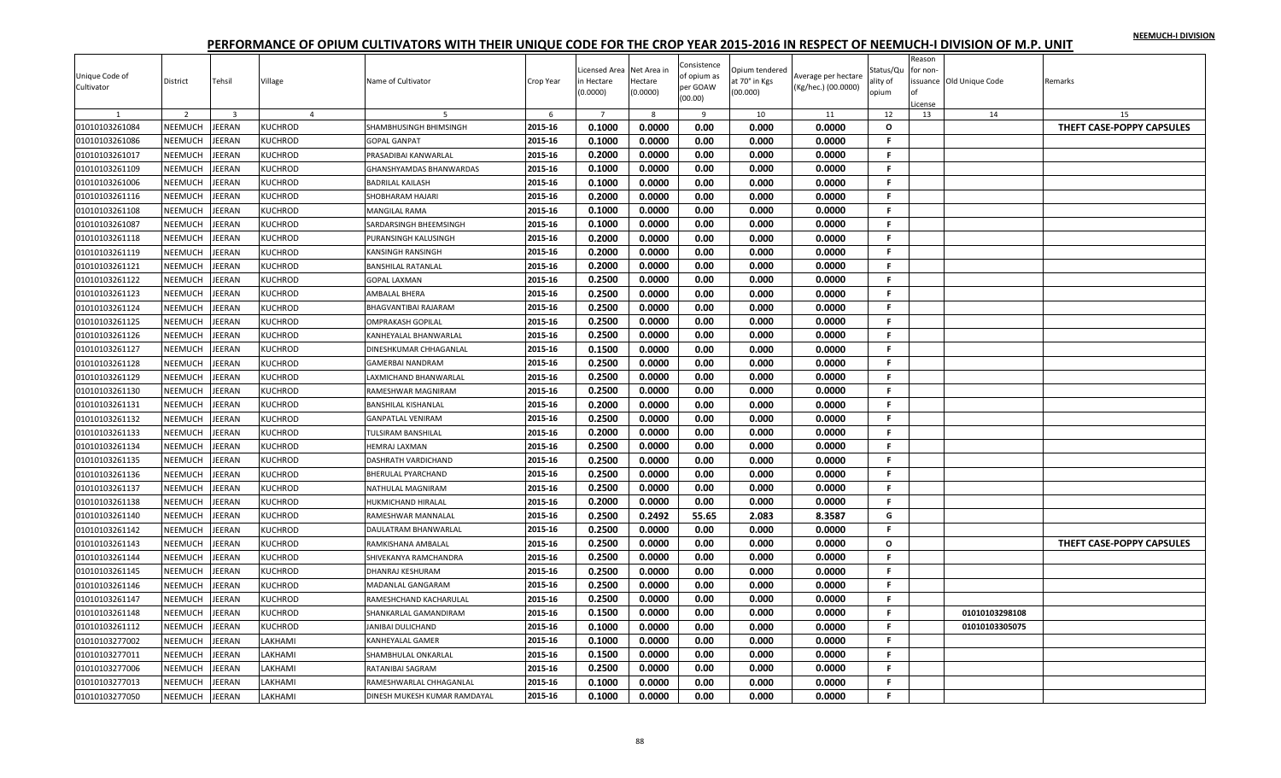| Unique Code of<br>Cultivator | District       | Tehsil                  | Village        | Name of Cultivator           | Crop Year | Licensed Area Net Area in<br>n Hectare<br>(0.0000) | Hectare<br>(0.0000) | Consistence<br>of opium as<br>per GOAW<br>(00.00) | Opium tendered<br>at 70° in Kgs<br>(00.000) | Average per hectare<br>(Kg/hec.) (00.0000) | Status/Qu<br>ality of<br>opium | Reason<br>for non-<br>icense | issuance Old Unique Code | Remarks                   |
|------------------------------|----------------|-------------------------|----------------|------------------------------|-----------|----------------------------------------------------|---------------------|---------------------------------------------------|---------------------------------------------|--------------------------------------------|--------------------------------|------------------------------|--------------------------|---------------------------|
|                              | $\overline{2}$ | $\overline{\mathbf{3}}$ | $\overline{4}$ | 5                            | 6         | $7\overline{ }$                                    | -8                  | -9                                                | 10                                          | 11                                         | 12                             | 13                           | 14                       | 15                        |
| 01010103261084               | NEEMUCH        | JEERAN                  | <b>KUCHROD</b> | SHAMBHUSINGH BHIMSINGH       | 2015-16   | 0.1000                                             | 0.0000              | 0.00                                              | 0.000                                       | 0.0000                                     | $\mathbf{o}$                   |                              |                          | THEFT CASE-POPPY CAPSULES |
| 01010103261086               | NEEMUCH        | <b>IEERAN</b>           | KUCHROD        | <b>GOPAL GANPAT</b>          | 2015-16   | 0.1000                                             | 0.0000              | 0.00                                              | 0.000                                       | 0.0000                                     | F.                             |                              |                          |                           |
| 01010103261017               | NEEMUCH        | <b>EERAN</b>            | KUCHROD        | PRASADIBAI KANWARLAL         | 2015-16   | 0.2000                                             | 0.0000              | 0.00                                              | 0.000                                       | 0.0000                                     | F.                             |                              |                          |                           |
| 01010103261109               | NEEMUCH        | JEERAN                  | <b>KUCHROD</b> | GHANSHYAMDAS BHANWARDAS      | 2015-16   | 0.1000                                             | 0.0000              | 0.00                                              | 0.000                                       | 0.0000                                     | F.                             |                              |                          |                           |
| 01010103261006               | NEEMUCH        | <b>EERAN</b>            | <b>KUCHROD</b> | BADRILAL KAILASH             | 2015-16   | 0.1000                                             | 0.0000              | 0.00                                              | 0.000                                       | 0.0000                                     | F.                             |                              |                          |                           |
| 01010103261116               | NEEMUCH        | JEERAN                  | <b>KUCHROD</b> | SHOBHARAM HAJARI             | 2015-16   | 0.2000                                             | 0.0000              | 0.00                                              | 0.000                                       | 0.0000                                     | F.                             |                              |                          |                           |
| 01010103261108               | NEEMUCH        | JEERAN                  | <b>KUCHROD</b> | <b>MANGILAL RAMA</b>         | 2015-16   | 0.1000                                             | 0.0000              | 0.00                                              | 0.000                                       | 0.0000                                     | F.                             |                              |                          |                           |
| 01010103261087               | NEEMUCH        | <b>EERAN</b>            | <b>KUCHROD</b> | SARDARSINGH BHEEMSINGH       | 2015-16   | 0.1000                                             | 0.0000              | 0.00                                              | 0.000                                       | 0.0000                                     | F.                             |                              |                          |                           |
| 01010103261118               | NEEMUCH        | <b>IEERAN</b>           | <b>KUCHROD</b> | PURANSINGH KALUSINGH         | 2015-16   | 0.2000                                             | 0.0000              | 0.00                                              | 0.000                                       | 0.0000                                     | F                              |                              |                          |                           |
| 01010103261119               | NEEMUCH        | <b>EERAN</b>            | <b>KUCHROD</b> | KANSINGH RANSINGH            | 2015-16   | 0.2000                                             | 0.0000              | 0.00                                              | 0.000                                       | 0.0000                                     | F.                             |                              |                          |                           |
| 01010103261121               | NEEMUCH        | JEERAN                  | <b>KUCHROD</b> | BANSHILAL RATANLAL           | 2015-16   | 0.2000                                             | 0.0000              | 0.00                                              | 0.000                                       | 0.0000                                     | F.                             |                              |                          |                           |
| 01010103261122               | NEEMUCH        | JEERAN                  | <b>KUCHROD</b> | <b>GOPAL LAXMAN</b>          | 2015-16   | 0.2500                                             | 0.0000              | 0.00                                              | 0.000                                       | 0.0000                                     | F.                             |                              |                          |                           |
| 01010103261123               | NEEMUCH        | <b>EERAN</b>            | <b>KUCHROD</b> | AMBALAL BHERA                | 2015-16   | 0.2500                                             | 0.0000              | 0.00                                              | 0.000                                       | 0.0000                                     | F                              |                              |                          |                           |
| 01010103261124               | NEEMUCH        | <b>IEERAN</b>           | KUCHROD        | BHAGVANTIBAI RAJARAM         | 2015-16   | 0.2500                                             | 0.0000              | 0.00                                              | 0.000                                       | 0.0000                                     | F.                             |                              |                          |                           |
| 01010103261125               | NEEMUCH        | JEERAN                  | <b>KUCHROD</b> | OMPRAKASH GOPILAL            | 2015-16   | 0.2500                                             | 0.0000              | 0.00                                              | 0.000                                       | 0.0000                                     | F.                             |                              |                          |                           |
| 01010103261126               | NEEMUCH        | JEERAN                  | <b>KUCHROD</b> | KANHEYALAL BHANWARLAL        | 2015-16   | 0.2500                                             | 0.0000              | 0.00                                              | 0.000                                       | 0.0000                                     | F.                             |                              |                          |                           |
| 01010103261127               | NEEMUCH        | JEERAN                  | <b>KUCHROD</b> | DINESHKUMAR CHHAGANLAL       | 2015-16   | 0.1500                                             | 0.0000              | 0.00                                              | 0.000                                       | 0.0000                                     | F.                             |                              |                          |                           |
| 01010103261128               | NEEMUCH        | <b>EERAN</b>            | <b>KUCHROD</b> | GAMERBAI NANDRAM             | 2015-16   | 0.2500                                             | 0.0000              | 0.00                                              | 0.000                                       | 0.0000                                     | F.                             |                              |                          |                           |
| 01010103261129               | NEEMUCH        | <b>EERAN</b>            | <b>KUCHROD</b> | <b>AXMICHAND BHANWARLAL</b>  | 2015-16   | 0.2500                                             | 0.0000              | 0.00                                              | 0.000                                       | 0.0000                                     | F.                             |                              |                          |                           |
| 01010103261130               | NEEMUCH        | JEERAN                  | <b>KUCHROD</b> | RAMESHWAR MAGNIRAM           | 2015-16   | 0.2500                                             | 0.0000              | 0.00                                              | 0.000                                       | 0.0000                                     | F.                             |                              |                          |                           |
| 01010103261131               | NEEMUCH        | JEERAN                  | <b>KUCHROD</b> | BANSHILAL KISHANLAL          | 2015-16   | 0.2000                                             | 0.0000              | 0.00                                              | 0.000                                       | 0.0000                                     | F.                             |                              |                          |                           |
| 01010103261132               | NEEMUCH        | JEERAN                  | <b>KUCHROD</b> | <b>GANPATLAL VENIRAM</b>     | 2015-16   | 0.2500                                             | 0.0000              | 0.00                                              | 0.000                                       | 0.0000                                     | F.                             |                              |                          |                           |
| 01010103261133               | NEEMUCH        | <b>IEERAN</b>           | <b>KUCHROD</b> | TULSIRAM BANSHILAL           | 2015-16   | 0.2000                                             | 0.0000              | 0.00                                              | 0.000                                       | 0.0000                                     | F.                             |                              |                          |                           |
| 01010103261134               | NEEMUCH        | EERAN                   | <b>KUCHROD</b> | HEMRAJ LAXMAN                | 2015-16   | 0.2500                                             | 0.0000              | 0.00                                              | 0.000                                       | 0.0000                                     | F                              |                              |                          |                           |
| 01010103261135               | NEEMUCH        | JEERAN                  | <b>KUCHROD</b> | DASHRATH VARDICHAND          | 2015-16   | 0.2500                                             | 0.0000              | 0.00                                              | 0.000                                       | 0.0000                                     | F                              |                              |                          |                           |
| 01010103261136               | NEEMUCH        | JEERAN                  | <b>KUCHROD</b> | BHERULAL PYARCHAND           | 2015-16   | 0.2500                                             | 0.0000              | 0.00                                              | 0.000                                       | 0.0000                                     | F.                             |                              |                          |                           |
| 01010103261137               | NEEMUCH        | <b>EERAN</b>            | <b>KUCHROD</b> | NATHULAL MAGNIRAM            | 2015-16   | 0.2500                                             | 0.0000              | 0.00                                              | 0.000                                       | 0.0000                                     | F.                             |                              |                          |                           |
| 01010103261138               | NEEMUCH        | <b>IEERAN</b>           | <b>KUCHROD</b> | HUKMICHAND HIRALAL           | 2015-16   | 0.2000                                             | 0.0000              | 0.00                                              | 0.000                                       | 0.0000                                     | F.                             |                              |                          |                           |
| 01010103261140               | NEEMUCH        | JEERAN                  | <b>KUCHROD</b> | RAMESHWAR MANNALAL           | 2015-16   | 0.2500                                             | 0.2492              | 55.65                                             | 2.083                                       | 8.3587                                     | G                              |                              |                          |                           |
| 01010103261142               | NEEMUCH        | <b>EERAN</b>            | <b>KUCHROD</b> | DAULATRAM BHANWARLAL         | 2015-16   | 0.2500                                             | 0.0000              | 0.00                                              | 0.000                                       | 0.0000                                     | F                              |                              |                          |                           |
| 01010103261143               | NEEMUCH        | <b>IEERAN</b>           | <b>KUCHROD</b> | RAMKISHANA AMBALAL           | 2015-16   | 0.2500                                             | 0.0000              | 0.00                                              | 0.000                                       | 0.0000                                     | $\mathbf{o}$                   |                              |                          | THEFT CASE-POPPY CAPSULES |
| 01010103261144               | NEEMUCH        | <b>IEERAN</b>           | <b>KUCHROD</b> | SHIVEKANYA RAMCHANDRA        | 2015-16   | 0.2500                                             | 0.0000              | 0.00                                              | 0.000                                       | 0.0000                                     | F.                             |                              |                          |                           |
| 01010103261145               | NEEMUCH        | JEERAN                  | <b>KUCHROD</b> | DHANRAJ KESHURAM             | 2015-16   | 0.2500                                             | 0.0000              | 0.00                                              | 0.000                                       | 0.0000                                     | F.                             |                              |                          |                           |
| 01010103261146               | NEEMUCH        | JEERAN                  | <b>KUCHROD</b> | MADANLAL GANGARAM            | 2015-16   | 0.2500                                             | 0.0000              | 0.00                                              | 0.000                                       | 0.0000                                     | F                              |                              |                          |                           |
| 01010103261147               | NEEMUCH        | <b>EERAN</b>            | <b>KUCHROD</b> | RAMESHCHAND KACHARULAL       | 2015-16   | 0.2500                                             | 0.0000              | 0.00                                              | 0.000                                       | 0.0000                                     | F                              |                              |                          |                           |
| 01010103261148               | NEEMUCH        | <b>EERAN</b>            | <b>KUCHROD</b> | SHANKARLAL GAMANDIRAM        | 2015-16   | 0.1500                                             | 0.0000              | 0.00                                              | 0.000                                       | 0.0000                                     | F.                             |                              | 01010103298108           |                           |
| 01010103261112               | NEEMUCH        | JEERAN                  | <b>KUCHROD</b> | JANIBAI DULICHAND            | 2015-16   | 0.1000                                             | 0.0000              | 0.00                                              | 0.000                                       | 0.0000                                     | F                              |                              | 01010103305075           |                           |
| 01010103277002               | NEEMUCH        | <b>IEERAN</b>           | LAKHAMI        | KANHEYALAL GAMER             | 2015-16   | 0.1000                                             | 0.0000              | 0.00                                              | 0.000                                       | 0.0000                                     | F.                             |                              |                          |                           |
| 01010103277011               | NEEMUCH        | <b>EERAN</b>            | LAKHAMI        | SHAMBHULAL ONKARLAL          | 2015-16   | 0.1500                                             | 0.0000              | 0.00                                              | 0.000                                       | 0.0000                                     | F.                             |                              |                          |                           |
| 01010103277006               | NEEMUCH        | <b>EERAN</b>            | LAKHAMI        | RATANIBAI SAGRAM             | 2015-16   | 0.2500                                             | 0.0000              | 0.00                                              | 0.000                                       | 0.0000                                     | F.                             |                              |                          |                           |
| 01010103277013               | <b>NEEMUCH</b> | EERAN                   | <b>AKHAMI</b>  | RAMESHWARLAL CHHAGANLAL      | 2015-16   | 0.1000                                             | 0.0000              | 0.00                                              | 0.000                                       | 0.0000                                     | F.                             |                              |                          |                           |
| 01010103277050               | NEEMUCH        | JEERAN                  | LAKHAMI        | DINESH MUKESH KUMAR RAMDAYAL | 2015-16   | 0.1000                                             | 0.0000              | 0.00                                              | 0.000                                       | 0.0000                                     | F.                             |                              |                          |                           |
|                              |                |                         |                |                              |           |                                                    |                     |                                                   |                                             |                                            |                                |                              |                          |                           |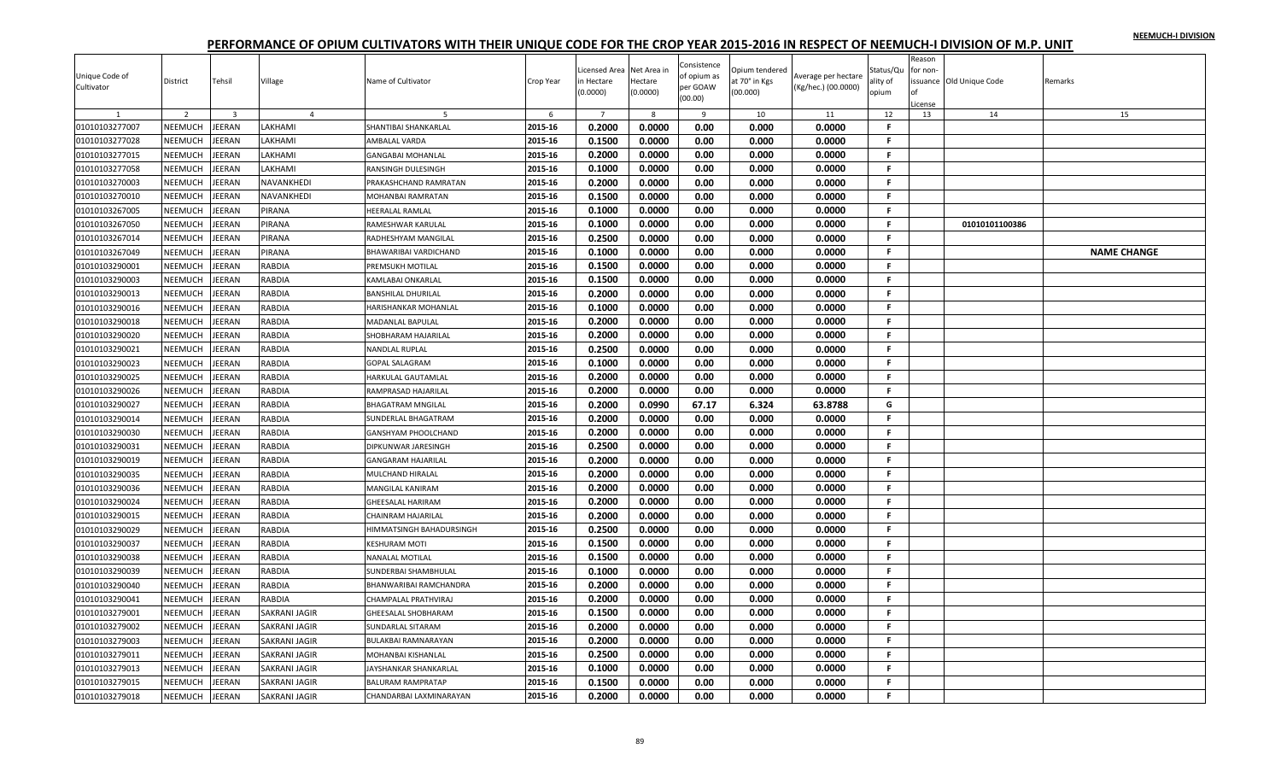|                |                           |                         |                                              |                               |                    | icensed Area     | Net Area in      | Consistence  | Opium tendered |                     | Status/Qu | Reason<br>for non- |                          |                    |
|----------------|---------------------------|-------------------------|----------------------------------------------|-------------------------------|--------------------|------------------|------------------|--------------|----------------|---------------------|-----------|--------------------|--------------------------|--------------------|
| Unique Code of | District                  | Tehsil                  | Village                                      | Name of Cultivator            | Crop Year          | ነ Hectare        | Hectare          | of opium as  | it 70° in Kgs  | Average per hectare | ılity of  |                    | issuance Old Unique Code | Remarks            |
| Cultivator     |                           |                         |                                              |                               |                    | 0.0000)          | (0.0000)         | per GOAW     | 00.000)        | (Kg/hec.) (00.0000) | opium     |                    |                          |                    |
|                |                           |                         |                                              |                               |                    |                  |                  | (00.00)      |                |                     |           | License            |                          |                    |
|                | $\overline{2}$            | $\overline{3}$          | $\overline{a}$                               | -5                            | 6                  | $\overline{7}$   | 8                | $\mathbf{q}$ | 10             | 11                  | 12        | 13                 | 14                       | 15                 |
| 01010103277007 | NEEMUCH                   | <b>JEERAN</b>           | LAKHAMI                                      | SHANTIBAI SHANKARLAL          | 2015-16            | 0.2000           | 0.0000           | 0.00         | 0.000          | 0.0000              | F         |                    |                          |                    |
| 01010103277028 | NEEMUCH                   | JEERAN                  | LAKHAMI                                      | AMBALAL VARDA                 | 2015-16            | 0.1500           | 0.0000           | 0.00         | 0.000          | 0.0000              | F.        |                    |                          |                    |
| 01010103277015 | NEEMUCH                   | JEERAN                  | LAKHAMI                                      | <b>GANGABAI MOHANLAL</b>      | 2015-16            | 0.2000           | 0.0000           | 0.00         | 0.000          | 0.0000              | F.        |                    |                          |                    |
| 01010103277058 | NEEMUCH                   | <b>JEERAN</b>           | LAKHAMI                                      | RANSINGH DULESINGH            | 2015-16            | 0.1000           | 0.0000           | 0.00         | 0.000          | 0.0000              | F.        |                    |                          |                    |
| 01010103270003 | NEEMUCH                   | JEERAN                  | <b>NAVANKHEDI</b>                            | PRAKASHCHAND RAMRATAN         | 2015-16            | 0.2000           | 0.0000           | 0.00         | 0.000          | 0.0000              | F.        |                    |                          |                    |
| 01010103270010 | <b>NEEMUCH</b>            | JEERAN                  | NAVANKHEDI                                   | MOHANBAI RAMRATAN             | 2015-16            | 0.1500           | 0.0000           | 0.00         | 0.000          | 0.0000              | F.        |                    |                          |                    |
| 01010103267005 | NEEMUCH                   | JEERAN                  | PIRANA                                       | HEERALAL RAMLAL               | 2015-16            | 0.1000           | 0.0000           | 0.00         | 0.000          | 0.0000              | F.        |                    |                          |                    |
| 01010103267050 | NEEMUCH                   | <b>JEERAN</b>           | PIRANA                                       | RAMESHWAR KARULAL             | 2015-16            | 0.1000           | 0.0000           | 0.00         | 0.000          | 0.0000              | Е         |                    | 01010101100386           |                    |
| 01010103267014 | NEEMUCH                   | JEERAN                  | PIRANA                                       | RADHESHYAM MANGILAL           | 2015-16            | 0.2500           | 0.0000           | 0.00         | 0.000          | 0.0000              | F.        |                    |                          |                    |
| 01010103267049 | NEEMUCH                   | JEERAN                  | PIRANA                                       | BHAWARIBAI VARDICHAND         | 2015-16            | 0.1000           | 0.0000           | 0.00         | 0.000          | 0.0000              | F.        |                    |                          | <b>NAME CHANGE</b> |
| 01010103290001 | NEEMUCH                   | JEERAN                  | RABDIA                                       | PREMSUKH MOTILAL              | 2015-16            | 0.1500           | 0.0000           | 0.00         | 0.000          | 0.0000              | F.        |                    |                          |                    |
| 01010103290003 | NEEMUCH                   | JEERAN                  | RABDIA                                       | <b>KAMLABAI ONKARLAL</b>      | 2015-16            | 0.1500           | 0.0000           | 0.00         | 0.000          | 0.0000              | F         |                    |                          |                    |
| 01010103290013 | NEEMUCH                   | <b>JEERAN</b>           | RABDIA                                       | <b>BANSHILAL DHURILAL</b>     | 2015-16            | 0.2000           | 0.0000           | 0.00         | 0.000          | 0.0000              | Е         |                    |                          |                    |
| 01010103290016 | NEEMUCH                   | JEERAN                  | <b>RABDIA</b>                                | HARISHANKAR MOHANLAL          | 2015-16            | 0.1000           | 0.0000           | 0.00         | 0.000          | 0.0000              | F.        |                    |                          |                    |
| 01010103290018 | NEEMUCH                   | <b>JEERAN</b>           | <b>RABDIA</b>                                | <b>MADANLAL BAPULAL</b>       | 2015-16            | 0.2000           | 0.0000           | 0.00         | 0.000          | 0.0000              | F.        |                    |                          |                    |
| 01010103290020 | NEEMUCH                   | JEERAN                  | <b>RABDIA</b>                                | SHOBHARAM HAJARILAL           | 2015-16            | 0.2000           | 0.0000           | 0.00         | 0.000          | 0.0000              | F.        |                    |                          |                    |
| 01010103290021 | <b>NEEMUCH</b>            | JEERAN                  | RABDIA                                       | <b>NANDLAL RUPLAL</b>         | 2015-16            | 0.2500           | 0.0000           | 0.00         | 0.000          | 0.0000              | F.        |                    |                          |                    |
| 01010103290023 | NEEMUCH                   | <b>JEERAN</b>           | RABDIA                                       | <b>GOPAL SALAGRAM</b>         | 2015-16            | 0.1000           | 0.0000           | 0.00         | 0.000          | 0.0000              | F         |                    |                          |                    |
| 01010103290025 | NEEMUCH                   | JEERAN                  | RABDIA                                       | HARKULAL GAUTAMLAL            | 2015-16            | 0.2000           | 0.0000           | 0.00         | 0.000          | 0.0000              | F.        |                    |                          |                    |
| 01010103290026 | NEEMUCH                   | JEERAN                  | <b>RABDIA</b>                                | RAMPRASAD HAJARILAL           | 2015-16            | 0.2000           | 0.0000           | 0.00         | 0.000          | 0.0000              | F.        |                    |                          |                    |
| 01010103290027 | NEEMUCH                   | JEERAN                  | RABDIA                                       | <b>BHAGATRAM MNGILAL</b>      | 2015-16            | 0.2000           | 0.0990           | 67.17        | 6.324          | 63.8788             | G         |                    |                          |                    |
| 01010103290014 | NEEMUCH                   | JEERAN                  | RABDIA                                       | SUNDERLAL BHAGATRAM           | 2015-16            | 0.2000           | 0.0000           | 0.00         | 0.000          | 0.0000              | F.        |                    |                          |                    |
| 01010103290030 | <b>NEEMUCH</b>            | JEERAN                  | RABDIA                                       | <b>GANSHYAM PHOOLCHAND</b>    | 2015-16            | 0.2000           | 0.0000           | 0.00         | 0.000          | 0.0000              | F.        |                    |                          |                    |
| 01010103290031 | NEEMUCH                   | JEERAN                  | RABDIA                                       | DIPKUNWAR JARESINGH           | 2015-16            | 0.2500           | 0.0000           | 0.00         | 0.000          | 0.0000              | Е         |                    |                          |                    |
| 01010103290019 | NEEMUCH                   | <b>JEERAN</b>           | <b>RABDIA</b>                                | <b>GANGARAM HAJARILAL</b>     | 2015-16            | 0.2000           | 0.0000           | 0.00         | 0.000          | 0.0000              | F.        |                    |                          |                    |
| 01010103290035 | <b>NEEMUCH</b>            | JEERAN                  | <b>RABDIA</b>                                | MULCHAND HIRALAL              | 2015-16            | 0.2000           | 0.0000           | 0.00         | 0.000          | 0.0000              | F.        |                    |                          |                    |
| 01010103290036 | NEEMUCH                   | JEERAN                  | RABDIA                                       | MANGILAL KANIRAM              | 2015-16            | 0.2000           | 0.0000           | 0.00         | 0.000          | 0.0000              | F.        |                    |                          |                    |
| 01010103290024 | NEEMUCH                   | <b>JEERAN</b>           | <b>RABDIA</b>                                | <b>GHEESALAL HARIRAM</b>      | 2015-16            | 0.2000           | 0.0000           | 0.00         | 0.000          | 0.0000              | F.        |                    |                          |                    |
| 01010103290015 | NEEMUCH                   | JEERAN                  | RABDIA                                       | <b>CHAINRAM HAJARILAL</b>     | 2015-16            | 0.2000           | 0.0000           | 0.00         | 0.000          | 0.0000              | F.        |                    |                          |                    |
| 01010103290029 | NEEMUCH                   | JEERAN                  | RABDIA                                       | HIMMATSINGH BAHADURSINGH      | 2015-16            | 0.2500           | 0.0000           | 0.00         | 0.000          | 0.0000              | F.        |                    |                          |                    |
| 01010103290037 | NEEMUCH                   | <b>JEERAN</b>           | RABDIA                                       | <b>KESHURAM MOTI</b>          | 2015-16            | 0.1500           | 0.0000           | 0.00         | 0.000          | 0.0000              | F.        |                    |                          |                    |
| 01010103290038 | NEEMUCH                   | JEERAN                  | <b>RABDIA</b>                                | <b>NANALAL MOTILAL</b>        | 2015-16            | 0.1500           | 0.0000           | 0.00         | 0.000          | 0.0000              | F.        |                    |                          |                    |
| 01010103290039 | NEEMUCH                   | JEERAN                  | <b>RABDIA</b>                                | SUNDERBAI SHAMBHULAL          | 2015-16            | 0.1000           | 0.0000           | 0.00         | 0.000          | 0.0000              | F.        |                    |                          |                    |
| 01010103290040 | NEEMUCH                   | JEERAN                  | RABDIA                                       | <b>BHANWARIBAI RAMCHANDRA</b> | 2015-16            | 0.2000           | 0.0000           | 0.00         | 0.000          | 0.0000              | Е         |                    |                          |                    |
| 01010103290041 | NEEMUCH                   | JEERAN                  | RABDIA                                       | CHAMPALAL PRATHVIRAJ          | 2015-16            | 0.2000           | 0.0000           | 0.00         | 0.000          | 0.0000              | F.        |                    |                          |                    |
|                |                           |                         |                                              |                               |                    |                  |                  |              |                |                     |           |                    |                          |                    |
| 01010103279001 | NEEMUCH<br><b>NEEMUCH</b> | <b>JEERAN</b><br>JEERAN | <b>SAKRANI JAGIR</b><br><b>SAKRANI JAGIR</b> | <b>GHEESALAL SHOBHARAM</b>    | 2015-16<br>2015-16 | 0.1500<br>0.2000 | 0.0000<br>0.0000 | 0.00<br>0.00 | 0.000<br>0.000 | 0.0000<br>0.0000    | F.<br>F.  |                    |                          |                    |
| 01010103279002 |                           |                         |                                              | <b>SUNDARLAL SITARAM</b>      |                    |                  |                  |              |                |                     |           |                    |                          |                    |
| 01010103279003 | NEEMUCH                   | <b>JEERAN</b>           | <b>SAKRANI JAGIR</b>                         | <b>BULAKBAI RAMNARAYAN</b>    | 2015-16            | 0.2000           | 0.0000           | 0.00         | 0.000          | 0.0000              | F.        |                    |                          |                    |
| 01010103279011 | <b>NEEMUCH</b>            | JEERAN                  | SAKRANI JAGIR                                | <b>MOHANBAI KISHANLAL</b>     | 2015-16            | 0.2500           | 0.0000           | 0.00         | 0.000          | 0.0000              | F.        |                    |                          |                    |
| 01010103279013 | NEEMUCH                   | JEERAN                  | SAKRANI JAGIR                                | JAYSHANKAR SHANKARLAL         | 2015-16            | 0.1000           | 0.0000           | 0.00         | 0.000          | 0.0000              | F.        |                    |                          |                    |
| 01010103279015 | NEEMUCH                   | JEERAN                  | SAKRANI JAGIR                                | <b>BALURAM RAMPRATAP</b>      | 2015-16            | 0.1500           | 0.0000           | 0.00         | 0.000          | 0.0000              | F.        |                    |                          |                    |
| 01010103279018 | NEEMUCH                   | <b>JEERAN</b>           | <b>SAKRANI JAGIR</b>                         | CHANDARBAI LAXMINARAYAN       | 2015-16            | 0.2000           | 0.0000           | 0.00         | 0.000          | 0.0000              | F.        |                    |                          |                    |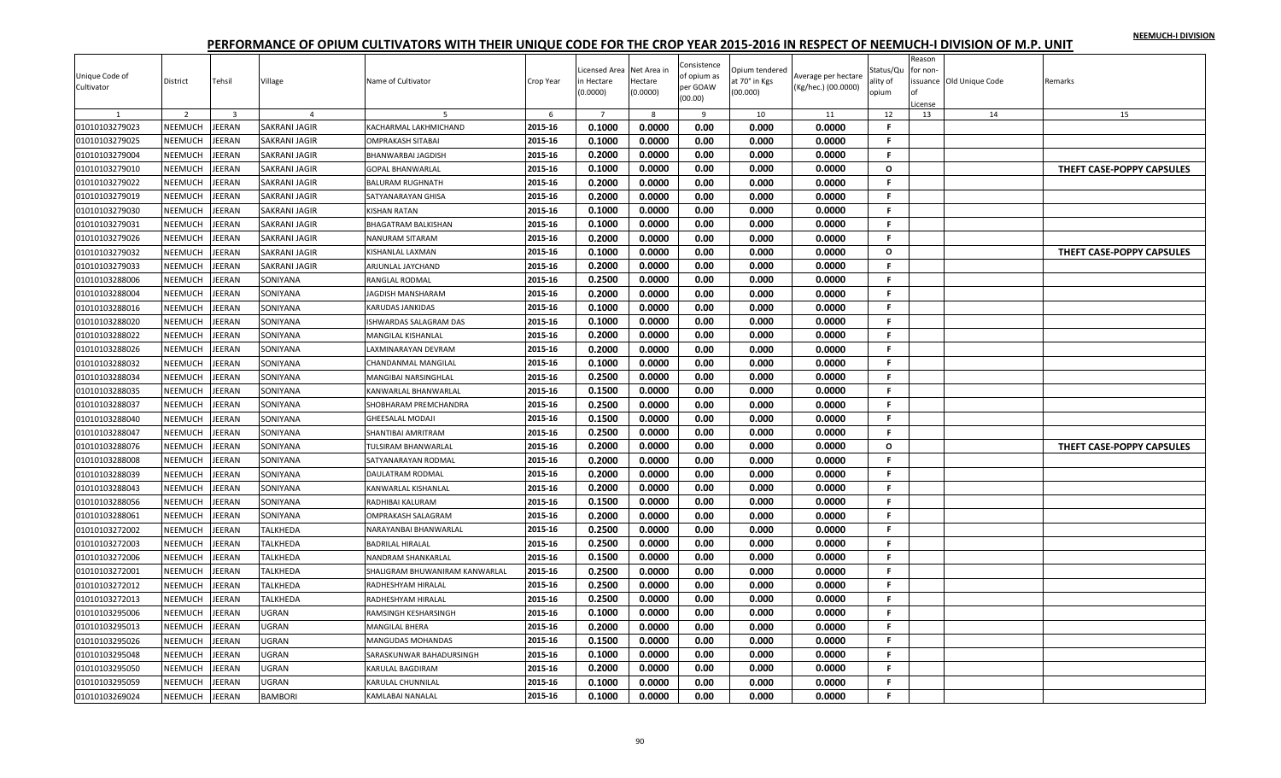|                |                |                |                      |                                |           |                |             |                     |                |                     |              | Reason   |                          |                           |
|----------------|----------------|----------------|----------------------|--------------------------------|-----------|----------------|-------------|---------------------|----------------|---------------------|--------------|----------|--------------------------|---------------------------|
|                |                |                |                      |                                |           | icensed Area   | Net Area ir | Consistence         | Opium tendered |                     | Status/Qu    | for non- |                          |                           |
| Unique Code of | District       | Tehsil         | Village              | Name of Cultivator             | Crop Year | ነ Hectare      | Hectare     | of opium as         | it 70° in Kgs  | Average per hectare | ılity of     |          | issuance Old Unique Code | Remarks                   |
| Cultivator     |                |                |                      |                                |           | 0.0000         | (0.0000)    | per GOAW<br>(00.00) | (00.000)       | (Kg/hec.) (00.0000) | opium        | ∩f       |                          |                           |
|                |                |                |                      |                                |           |                |             |                     |                |                     |              | .icense  |                          |                           |
|                | $\overline{2}$ | $\overline{3}$ | $\overline{4}$       |                                | 6         | $\overline{7}$ | 8           | 9                   | 10             | 11                  | 12           | 13       | 14                       | 15                        |
| 01010103279023 | NEEMUCH        | <b>JEERAN</b>  | <b>SAKRANI JAGIR</b> | KACHARMAL LAKHMICHAND          | 2015-16   | 0.1000         | 0.0000      | 0.00                | 0.000          | 0.0000              | F.           |          |                          |                           |
| 01010103279025 | <b>NEEMUCH</b> | <b>JEERAN</b>  | SAKRANI JAGIR        | <b>OMPRAKASH SITABAI</b>       | 2015-16   | 0.1000         | 0.0000      | 0.00                | 0.000          | 0.0000              | F            |          |                          |                           |
| 01010103279004 | NEEMUCH        | JEERAN         | SAKRANI JAGIR        | BHANWARBAI JAGDISH             | 2015-16   | 0.2000         | 0.0000      | 0.00                | 0.000          | 0.0000              | F            |          |                          |                           |
| 01010103279010 | NEEMUCH        | JEERAN         | <b>SAKRANI JAGIR</b> | <b>GOPAL BHANWARLAL</b>        | 2015-16   | 0.1000         | 0.0000      | 0.00                | 0.000          | 0.0000              | $\mathbf{o}$ |          |                          | THEFT CASE-POPPY CAPSULES |
| 01010103279022 | NEEMUCH        | JEERAN         | SAKRANI JAGIR        | <b>BALURAM RUGHNATH</b>        | 2015-16   | 0.2000         | 0.0000      | 0.00                | 0.000          | 0.0000              | F.           |          |                          |                           |
| 01010103279019 | NEEMUCH        | <b>JEERAN</b>  | <b>SAKRANI JAGIR</b> | SATYANARAYAN GHISA             | 2015-16   | 0.2000         | 0.0000      | 0.00                | 0.000          | 0.0000              | F.           |          |                          |                           |
| 01010103279030 | NEEMUCH        | JEERAN         | SAKRANI JAGIR        | <b>KISHAN RATAN</b>            | 2015-16   | 0.1000         | 0.0000      | 0.00                | 0.000          | 0.0000              | F.           |          |                          |                           |
| 01010103279031 | <b>NEEMUCH</b> | JEERAN         | SAKRANI JAGIR        | <b>BHAGATRAM BALKISHAN</b>     | 2015-16   | 0.1000         | 0.0000      | 0.00                | 0.000          | 0.0000              | F.           |          |                          |                           |
| 01010103279026 | NEEMUCH        | <b>JEERAN</b>  | <b>SAKRANI JAGIR</b> | <b>NANURAM SITARAM</b>         | 2015-16   | 0.2000         | 0.0000      | 0.00                | 0.000          | 0.0000              | F            |          |                          |                           |
| 01010103279032 | NEEMUCH        | JEERAN         | SAKRANI JAGIR        | KISHANLAL LAXMAN               | 2015-16   | 0.1000         | 0.0000      | 0.00                | 0.000          | 0.0000              | $\mathbf{o}$ |          |                          | THEFT CASE-POPPY CAPSULES |
| 01010103279033 | NEEMUCH        | JEERAN         | <b>SAKRANI JAGIR</b> | ARJUNLAL JAYCHAND              | 2015-16   | 0.2000         | 0.0000      | 0.00                | 0.000          | 0.0000              | F.           |          |                          |                           |
| 01010103288006 | NEEMUCH        | JEERAN         | SONIYANA             | RANGLAL RODMAL                 | 2015-16   | 0.2500         | 0.0000      | 0.00                | 0.000          | 0.0000              | F.           |          |                          |                           |
| 01010103288004 | NEEMUCH        | JEERAN         | SONIYANA             | JAGDISH MANSHARAM              | 2015-16   | 0.2000         | 0.0000      | 0.00                | 0.000          | 0.0000              | F.           |          |                          |                           |
| 01010103288016 | NEEMUCH        | JEERAN         | SONIYANA             | <b>KARUDAS JANKIDAS</b>        | 2015-16   | 0.1000         | 0.0000      | 0.00                | 0.000          | 0.0000              | F.           |          |                          |                           |
| 01010103288020 | NEEMUCH        | JEERAN         | SONIYANA             | ISHWARDAS SALAGRAM DAS         | 2015-16   | 0.1000         | 0.0000      | 0.00                | 0.000          | 0.0000              | F.           |          |                          |                           |
| 01010103288022 | NEEMUCH        | JEERAN         | SONIYANA             | <b>MANGILAL KISHANLAL</b>      | 2015-16   | 0.2000         | 0.0000      | 0.00                | 0.000          | 0.0000              | F.           |          |                          |                           |
| 01010103288026 | NEEMUCH        | JEERAN         | SONIYANA             | LAXMINARAYAN DEVRAM            | 2015-16   | 0.2000         | 0.0000      | 0.00                | 0.000          | 0.0000              | F.           |          |                          |                           |
| 01010103288032 | <b>NEEMUCH</b> | JEERAN         | SONIYANA             | CHANDANMAL MANGILAL            | 2015-16   | 0.1000         | 0.0000      | 0.00                | 0.000          | 0.0000              | F.           |          |                          |                           |
| 01010103288034 | NEEMUCH        | <b>JEERAN</b>  | SONIYANA             | MANGIBAI NARSINGHLAL           | 2015-16   | 0.2500         | 0.0000      | 0.00                | 0.000          | 0.0000              | Е            |          |                          |                           |
| 01010103288035 | NEEMUCH        | JEERAN         | SONIYANA             | KANWARLAL BHANWARLAL           | 2015-16   | 0.1500         | 0.0000      | 0.00                | 0.000          | 0.0000              | F.           |          |                          |                           |
| 01010103288037 | NEEMUCH        | JEERAN         | SONIYANA             | SHOBHARAM PREMCHANDRA          | 2015-16   | 0.2500         | 0.0000      | 0.00                | 0.000          | 0.0000              | F.           |          |                          |                           |
| 01010103288040 | NEEMUCH        | JEERAN         | SONIYANA             | <b>GHEESALAL MODAJI</b>        | 2015-16   | 0.1500         | 0.0000      | 0.00                | 0.000          | 0.0000              | F.           |          |                          |                           |
| 01010103288047 | NEEMUCH        | JEERAN         | SONIYANA             | SHANTIBAI AMRITRAM             | 2015-16   | 0.2500         | 0.0000      | 0.00                | 0.000          | 0.0000              | F.           |          |                          |                           |
| 01010103288076 | NEEMUCH        | <b>JEERAN</b>  | SONIYANA             | TULSIRAM BHANWARLAL            | 2015-16   | 0.2000         | 0.0000      | 0.00                | 0.000          | 0.0000              | $\mathbf{o}$ |          |                          | THEFT CASE-POPPY CAPSULES |
| 01010103288008 | NEEMUCH        | JEERAN         | SONIYANA             | SATYANARAYAN RODMAL            | 2015-16   | 0.2000         | 0.0000      | 0.00                | 0.000          | 0.0000              | Е            |          |                          |                           |
| 01010103288039 | NEEMUCH        | <b>JEERAN</b>  | SONIYANA             | DAULATRAM RODMAL               | 2015-16   | 0.2000         | 0.0000      | 0.00                | 0.000          | 0.0000              | F.           |          |                          |                           |
| 01010103288043 | NEEMUCH        | JEERAN         | SONIYANA             | KANWARLAL KISHANLAL            | 2015-16   | 0.2000         | 0.0000      | 0.00                | 0.000          | 0.0000              | F.           |          |                          |                           |
| 01010103288056 | <b>NEEMUCH</b> | JEERAN         | SONIYANA             | RADHIBAI KALURAM               | 2015-16   | 0.1500         | 0.0000      | 0.00                | 0.000          | 0.0000              | F.           |          |                          |                           |
| 01010103288061 | NEEMUCH        | JEERAN         | SONIYANA             | <b>OMPRAKASH SALAGRAM</b>      | 2015-16   | 0.2000         | 0.0000      | 0.00                | 0.000          | 0.0000              | F            |          |                          |                           |
| 01010103272002 | NEEMUCH        | <b>JEERAN</b>  | TALKHEDA             | NARAYANBAI BHANWARLAL          | 2015-16   | 0.2500         | 0.0000      | 0.00                | 0.000          | 0.0000              | Е            |          |                          |                           |
| 01010103272003 | NEEMUCH        | JEERAN         | <b>TALKHEDA</b>      | <b>BADRILAL HIRALAL</b>        | 2015-16   | 0.2500         | 0.0000      | 0.00                | 0.000          | 0.0000              | F.           |          |                          |                           |
| 01010103272006 | NEEMUCH        | JEERAN         | TALKHEDA             | <b>NANDRAM SHANKARLAL</b>      | 2015-16   | 0.1500         | 0.0000      | 0.00                | 0.000          | 0.0000              | F.           |          |                          |                           |
| 01010103272001 | NEEMUCH        | JEERAN         | TALKHEDA             | SHALIGRAM BHUWANIRAM KANWARLAL | 2015-16   | 0.2500         | 0.0000      | 0.00                | 0.000          | 0.0000              | F.           |          |                          |                           |
| 01010103272012 | <b>NEEMUCH</b> | JEERAN         | <b>TALKHEDA</b>      | RADHESHYAM HIRALAL             | 2015-16   | 0.2500         | 0.0000      | 0.00                | 0.000          | 0.0000              | F.           |          |                          |                           |
| 01010103272013 | NEEMUCH        | <b>JEERAN</b>  | TALKHEDA             | RADHESHYAM HIRALAL             | 2015-16   | 0.2500         | 0.0000      | 0.00                | 0.000          | 0.0000              | F            |          |                          |                           |
| 01010103295006 | NEEMUCH        | JEERAN         | UGRAN                | RAMSINGH KESHARSINGH           | 2015-16   | 0.1000         | 0.0000      | 0.00                | 0.000          | 0.0000              | F.           |          |                          |                           |
| 01010103295013 | NEEMUCH        | JEERAN         | UGRAN                |                                | 2015-16   | 0.2000         | 0.0000      | 0.00                | 0.000          | 0.0000              | F.           |          |                          |                           |
| 01010103295026 | NEEMUCH        | JEERAN         | UGRAN                | <b>MANGILAL BHERA</b>          | 2015-16   | 0.1500         | 0.0000      | 0.00                |                |                     | F.           |          |                          |                           |
|                |                |                |                      | <b>MANGUDAS MOHANDAS</b>       |           |                |             |                     | 0.000          | 0.0000              | F.           |          |                          |                           |
| 01010103295048 | NEEMUCH        | JEERAN         | UGRAN                | SARASKUNWAR BAHADURSINGH       | 2015-16   | 0.1000         | 0.0000      | 0.00                | 0.000          | 0.0000              |              |          |                          |                           |
| 01010103295050 | NEEMUCH        | <b>JEERAN</b>  | UGRAN                | <b>KARULAL BAGDIRAM</b>        | 2015-16   | 0.2000         | 0.0000      | 0.00                | 0.000          | 0.0000              | F            |          |                          |                           |
| 01010103295059 | NEEMUCH        | JEERAN         | UGRAN                | KARULAL CHUNNILAI              | 2015-16   | 0.1000         | 0.0000      | 0.00                | 0.000          | 0.0000              | Е            |          |                          |                           |
| 01010103269024 | <b>NEEMUCH</b> | <b>JEERAN</b>  | <b>BAMBORI</b>       | <b>KAMLABAI NANALAL</b>        | 2015-16   | 0.1000         | 0.0000      | 0.00                | 0.000          | 0.0000              | F.           |          |                          |                           |